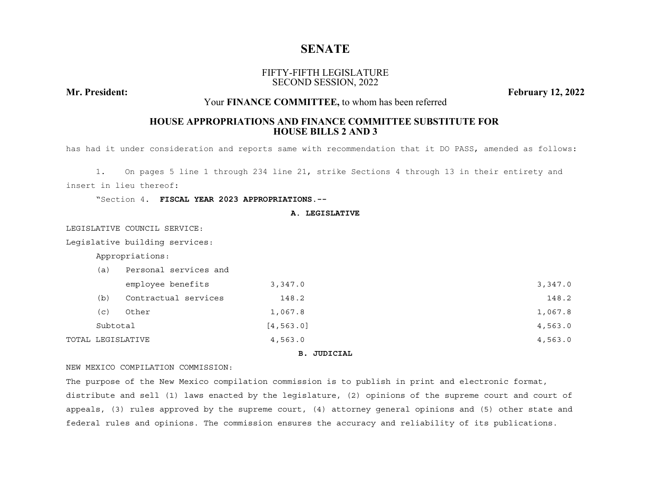# **SENATE**

## FIFTY-FIFTH LEGISLATURESECOND SESSION, 2022

**Mr. President:**

**February 12, 2022**

## Your **FINANCE COMMITTEE,** to whom has been referred

## **HOUSE APPROPRIATIONS AND FINANCE COMMITTEE SUBSTITUTE FOR HOUSE BILLS 2 AND 3**

has had it under consideration and reports same with recommendation that it DO PASS, amended as follows:

1. On pages 5 line 1 through 234 line 21, strike Sections 4 through 13 in their entirety and insert in lieu thereof:

"Section 4. **FISCAL YEAR 2023 APPROPRIATIONS.--**

## **A. LEGISLATIVE**

LEGISLATIVE COUNCIL SERVICE:

Legislative building services:

Appropriations:

| (a)            | Personal services and |            |         |
|----------------|-----------------------|------------|---------|
|                | employee benefits     | 3,347.0    | 3,347.0 |
| (b)            | Contractual services  | 148.2      | 148.2   |
| $(\mathtt{c})$ | Other                 | 1,067.8    | 1,067.8 |
| Subtotal       |                       | [4, 563.0] | 4,563.0 |
|                | TOTAL LEGISLATIVE     | 4,563.0    | 4,563.0 |
|                |                       |            |         |

## **B. JUDICIAL**

NEW MEXICO COMPILATION COMMISSION:

The purpose of the New Mexico compilation commission is to publish in print and electronic format, distribute and sell (1) laws enacted by the legislature, (2) opinions of the supreme court and court of appeals, (3) rules approved by the supreme court, (4) attorney general opinions and (5) other state and federal rules and opinions. The commission ensures the accuracy and reliability of its publications.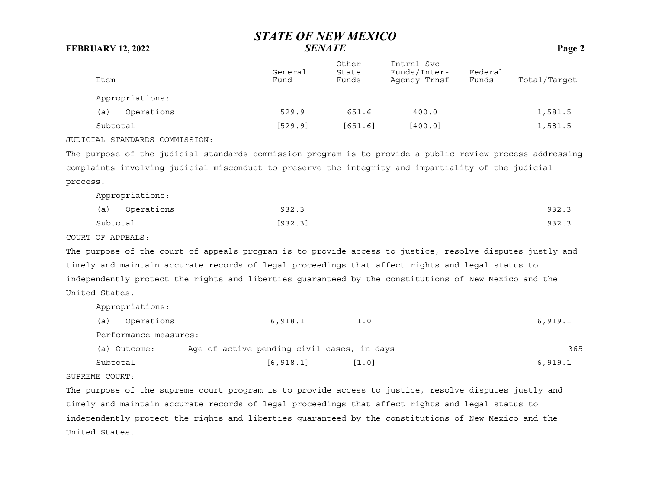| Item                                                                                                      | General<br>Fund | Other<br>State<br>Funds | Intrnl Svc<br>Funds/Inter-<br>Agency Trnsf | Federal<br>Funds | Total/Target |
|-----------------------------------------------------------------------------------------------------------|-----------------|-------------------------|--------------------------------------------|------------------|--------------|
| Appropriations:                                                                                           |                 |                         |                                            |                  |              |
| Operations<br>(a)                                                                                         | 529.9           | 651.6                   | 400.0                                      |                  | 1,581.5      |
| Subtotal                                                                                                  | [529.9]         | [651.6]                 | [400.0]                                    |                  | 1,581.5      |
| JUDICIAL STANDARDS COMMISSION:                                                                            |                 |                         |                                            |                  |              |
| The purpose of the judicial standards commission program is to provide a public review process addressing |                 |                         |                                            |                  |              |
| complaints involving judicial misconduct to preserve the integrity and impartiality of the judicial       |                 |                         |                                            |                  |              |
|                                                                                                           |                 |                         |                                            |                  |              |

process.

Appropriations:

|          | (a) Operations | 932.3   | 932.3 |
|----------|----------------|---------|-------|
| Subtotal |                | [932.3] | 932.3 |

COURT OF APPEALS:

The purpose of the court of appeals program is to provide access to justice, resolve disputes justly and timely and maintain accurate records of legal proceedings that affect rights and legal status to independently protect the rights and liberties guaranteed by the constitutions of New Mexico and the United States.

| Appropriations:       |                                            |                     |         |
|-----------------------|--------------------------------------------|---------------------|---------|
| Operations<br>(a)     | 6,918.1                                    | 1.0                 | 6,919.1 |
| Performance measures: |                                            |                     |         |
| (a) Outcome:          | Age of active pending civil cases, in days |                     | 365     |
| Subtotal              | [6, 918.1]                                 | $\lceil 1.0 \rceil$ | 6,919.1 |
| ------ ---            |                                            |                     |         |

SUPREME COURT:

The purpose of the supreme court program is to provide access to justice, resolve disputes justly and timely and maintain accurate records of legal proceedings that affect rights and legal status to independently protect the rights and liberties guaranteed by the constitutions of New Mexico and the United States.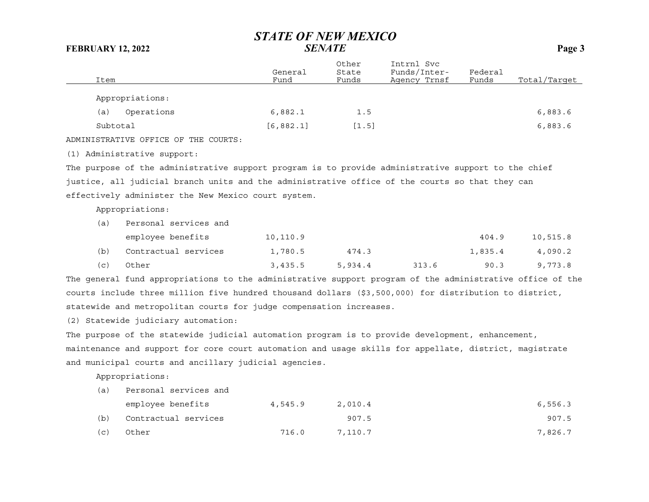| Item                                    | General<br>Fund | Other<br>State<br>Funds | Intrnl Svc<br>Funds/Inter-<br>Agency Trnsf | Federal<br>Funds | Total/Target |
|-----------------------------------------|-----------------|-------------------------|--------------------------------------------|------------------|--------------|
| Appropriations:                         |                 |                         |                                            |                  |              |
| Operations<br>(a)                       | 6,882.1         | 1.5                     |                                            |                  | 6,883.6      |
| Subtotal                                | [6, 882.1]      | [1.5]                   |                                            |                  | 6,883.6      |
| OFFICE OF THE COURTS:<br>ADMINISTRATIVE |                 |                         |                                            |                  |              |

(1) Administrative support:

The purpose of the administrative support program is to provide administrative support to the chief justice, all judicial branch units and the administrative office of the courts so that they can effectively administer the New Mexico court system.

Appropriations:

| (a) | Personal services and |          |         |       |         |          |
|-----|-----------------------|----------|---------|-------|---------|----------|
|     | employee benefits     | 10,110.9 |         |       | 404.9   | 10,515.8 |
| (b) | Contractual services  | 1,780.5  | 474.3   |       | 1,835.4 | 4,090.2  |
| (C) | Other                 | 3,435.5  | 5,934.4 | 313.6 | 90.3    | 9,773.8  |

The general fund appropriations to the administrative support program of the administrative office of the courts include three million five hundred thousand dollars (\$3,500,000) for distribution to district, statewide and metropolitan courts for judge compensation increases.

(2) Statewide judiciary automation:

The purpose of the statewide judicial automation program is to provide development, enhancement, maintenance and support for core court automation and usage skills for appellate, district, magistrate and municipal courts and ancillary judicial agencies.

| (a) | Personal services and |         |         |         |
|-----|-----------------------|---------|---------|---------|
|     | employee benefits     | 4,545.9 | 2,010.4 | 6,556.3 |
| (b) | Contractual services  |         | 907.5   | 907.5   |
| (C) | Other                 | 716.0   | 7,110.7 | 7,826.7 |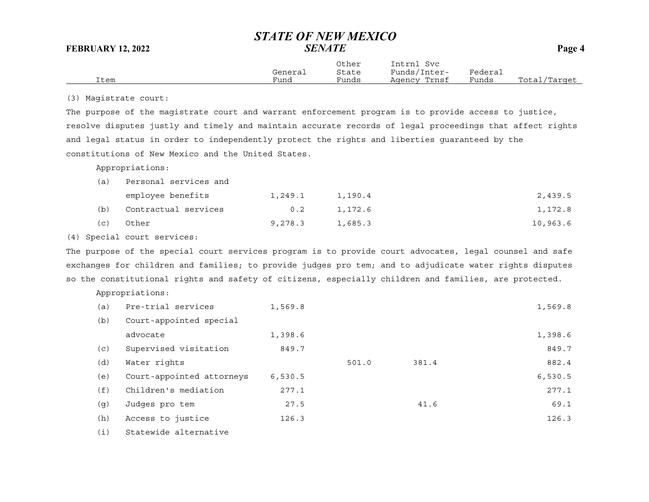Other Intrnl Svc General State Funds/Inter- Federal Item Fund Funds Agency Trnsf Funds Total/Target

(3) Magistrate court:

The purpose of the magistrate court and warrant enforcement program is to provide access to justice, resolve disputes justly and timely and maintain accurate records of legal proceedings that affect rights and legal status in order to independently protect the rights and liberties guaranteed by the constitutions of New Mexico and the United States.

Appropriations:

| (a) | Personal services and |         |         |          |
|-----|-----------------------|---------|---------|----------|
|     | employee benefits     | 1,249.1 | 1,190.4 | 2,439.5  |
| (b) | Contractual services  | 0.2     | 1,172.6 | 1,172.8  |
| (C) | Other                 | 9,278.3 | 1,685.3 | 10,963.6 |

(4) Special court services:

The purpose of the special court services program is to provide court advocates, legal counsel and safe exchanges for children and families; to provide judges pro tem; and to adjudicate water rights disputes so the constitutional rights and safety of citizens, especially children and families, are protected.

| (a) | Pre-trial services        | 1,569.8 |       |       | 1,569.8 |
|-----|---------------------------|---------|-------|-------|---------|
| (b) | Court-appointed special   |         |       |       |         |
|     | advocate                  | 1,398.6 |       |       | 1,398.6 |
| (c) | Supervised visitation     | 849.7   |       |       | 849.7   |
| (d) | Water rights              |         | 501.0 | 381.4 | 882.4   |
| (e) | Court-appointed attorneys | 6,530.5 |       |       | 6,530.5 |
| (f) | Children's mediation      | 277.1   |       |       | 277.1   |
| (g) | Judges pro tem            | 27.5    |       | 41.6  | 69.1    |
| (h) | Access to justice         | 126.3   |       |       | 126.3   |
| (i) | Statewide alternative     |         |       |       |         |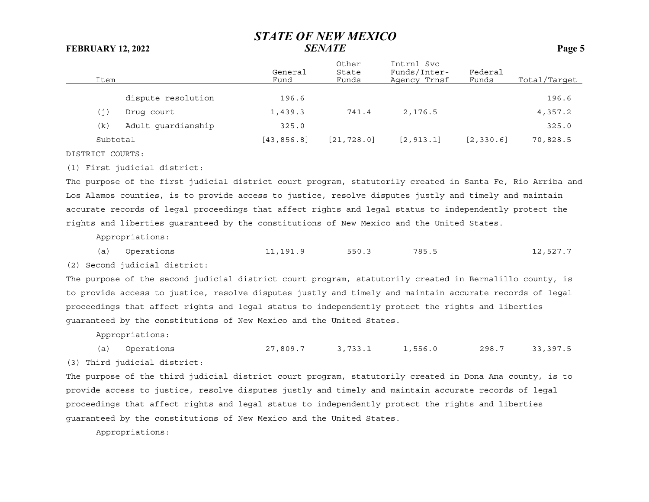| Item     |                    | General<br>Fund | Other<br>State<br>Funds | Intrnl Svc<br>Funds/Inter-<br>Agency Trnsf | Federal<br>Funds | Total/Target |
|----------|--------------------|-----------------|-------------------------|--------------------------------------------|------------------|--------------|
|          | dispute resolution | 196.6           |                         |                                            |                  | 196.6        |
| (j)      | Drug court         | 1,439.3         | 741.4                   | 2,176.5                                    |                  | 4,357.2      |
| (k)      | Adult quardianship | 325.0           |                         |                                            |                  | 325.0        |
| Subtotal |                    | [43, 856.8]     | [21, 728.0]             | [2, 913.1]                                 | [2, 330.6]       | 70,828.5     |

DISTRICT COURTS:

(1) First judicial district:

The purpose of the first judicial district court program, statutorily created in Santa Fe, Rio Arriba and Los Alamos counties, is to provide access to justice, resolve disputes justly and timely and maintain accurate records of legal proceedings that affect rights and legal status to independently protect the rights and liberties guaranteed by the constitutions of New Mexico and the United States.

Appropriations:

(a) Operations 11,191.9 550.3 785.5 12,527.7

(2) Second judicial district:

The purpose of the second judicial district court program, statutorily created in Bernalillo county, is to provide access to justice, resolve disputes justly and timely and maintain accurate records of legal proceedings that affect rights and legal status to independently protect the rights and liberties guaranteed by the constitutions of New Mexico and the United States.

Appropriations:

(a) Operations 27,809.7 3,733.1 1,556.0 298.7 33,397.5 (3) Third judicial district:

The purpose of the third judicial district court program, statutorily created in Dona Ana county, is to provide access to justice, resolve disputes justly and timely and maintain accurate records of legal proceedings that affect rights and legal status to independently protect the rights and liberties guaranteed by the constitutions of New Mexico and the United States.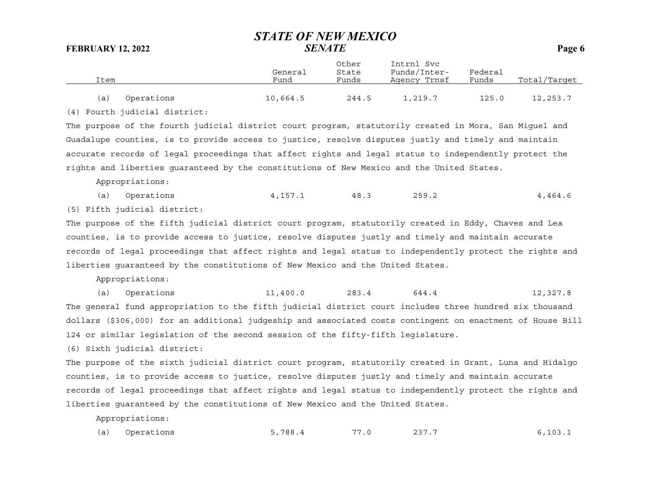Other Intrnl Svc General State Funds/Inter- Federal Item Fund Funds Agency Trnsf Funds Total/Target (a) Operations 10,664.5 244.5 1,219.7 125.0 12,253.7

(4) Fourth judicial district:

The purpose of the fourth judicial district court program, statutorily created in Mora, San Miguel and Guadalupe counties, is to provide access to justice, resolve disputes justly and timely and maintain accurate records of legal proceedings that affect rights and legal status to independently protect the rights and liberties guaranteed by the constitutions of New Mexico and the United States.

Appropriations:

(a) Operations 4,157.1 48.3 259.2 4,464.6

(5) Fifth judicial district:

The purpose of the fifth judicial district court program, statutorily created in Eddy, Chaves and Lea counties, is to provide access to justice, resolve disputes justly and timely and maintain accurate records of legal proceedings that affect rights and legal status to independently protect the rights and liberties guaranteed by the constitutions of New Mexico and the United States.

Appropriations:

(a) Operations 11,400.0 283.4 644.4 12,327.8 The general fund appropriation to the fifth judicial district court includes three hundred six thousand dollars (\$306,000) for an additional judgeship and associated costs contingent on enactment of House Bill 124 or similar legislation of the second session of the fifty-fifth legislature.

(6) Sixth judicial district:

The purpose of the sixth judicial district court program, statutorily created in Grant, Luna and Hidalgo counties, is to provide access to justice, resolve disputes justly and timely and maintain accurate records of legal proceedings that affect rights and legal status to independently protect the rights and liberties guaranteed by the constitutions of New Mexico and the United States.

| (a) Operations<br>5,788.4<br>237.7<br>77<br>7.0 | 6, 103.1 |
|-------------------------------------------------|----------|
|-------------------------------------------------|----------|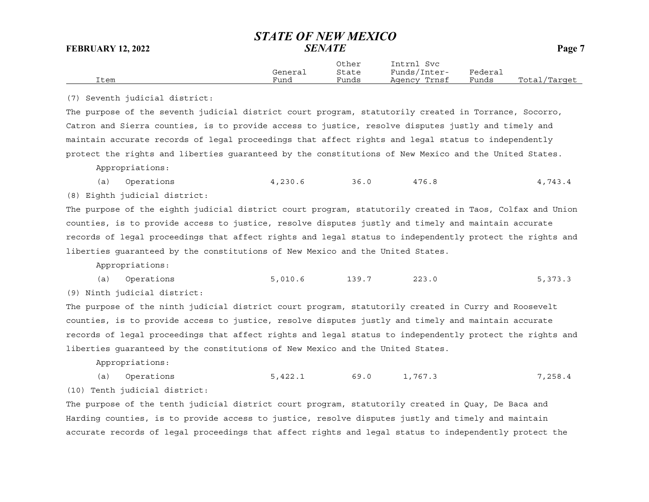|      |         | Other | Intrnl<br>Svc |         |              |
|------|---------|-------|---------------|---------|--------------|
|      | General | State | Funds/Inter-  | Federai |              |
| Item | Fund    | Funds | Agency Trnsf  | Funds   | Total/Target |

(7) Seventh judicial district:

The purpose of the seventh judicial district court program, statutorily created in Torrance, Socorro, Catron and Sierra counties, is to provide access to justice, resolve disputes justly and timely and maintain accurate records of legal proceedings that affect rights and legal status to independently protect the rights and liberties guaranteed by the constitutions of New Mexico and the United States.

Appropriations:

(a) Operations 4,230.6 36.0 476.8 4,743.4

(8) Eighth judicial district:

The purpose of the eighth judicial district court program, statutorily created in Taos, Colfax and Union counties, is to provide access to justice, resolve disputes justly and timely and maintain accurate records of legal proceedings that affect rights and legal status to independently protect the rights and liberties guaranteed by the constitutions of New Mexico and the United States.

Appropriations:

(a) Operations 5,010.6 139.7 223.0 5,373.3

(9) Ninth judicial district:

The purpose of the ninth judicial district court program, statutorily created in Curry and Roosevelt counties, is to provide access to justice, resolve disputes justly and timely and maintain accurate records of legal proceedings that affect rights and legal status to independently protect the rights and liberties guaranteed by the constitutions of New Mexico and the United States.

Appropriations:

(a) Operations 5,422.1 69.0 1,767.3 7,258.4 (10) Tenth judicial district:

The purpose of the tenth judicial district court program, statutorily created in Quay, De Baca and Harding counties, is to provide access to justice, resolve disputes justly and timely and maintain accurate records of legal proceedings that affect rights and legal status to independently protect the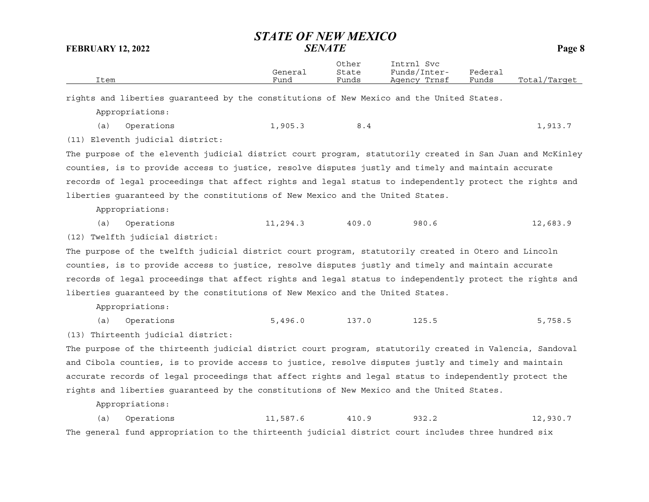Other Intrnl Svc General State Funds/Inter- Federal Item Fund Funds Agency Trnsf Funds Total/Target rights and liberties guaranteed by the constitutions of New Mexico and the United States. Appropriations: (a) Operations 1,905.3 8.4 1,913.7 (11) Eleventh judicial district: The purpose of the eleventh judicial district court program, statutorily created in San Juan and McKinley counties, is to provide access to justice, resolve disputes justly and timely and maintain accurate records of legal proceedings that affect rights and legal status to independently protect the rights and liberties guaranteed by the constitutions of New Mexico and the United States. Appropriations: (a) Operations 11,294.3 409.0 980.6 12,683.9 (12) Twelfth judicial district: The purpose of the twelfth judicial district court program, statutorily created in Otero and Lincoln counties, is to provide access to justice, resolve disputes justly and timely and maintain accurate records of legal proceedings that affect rights and legal status to independently protect the rights and liberties guaranteed by the constitutions of New Mexico and the United States. Appropriations: (a) Operations 5,496.0 137.0 125.5 5,758.5 (13) Thirteenth judicial district: The purpose of the thirteenth judicial district court program, statutorily created in Valencia, Sandoval and Cibola counties, is to provide access to justice, resolve disputes justly and timely and maintain accurate records of legal proceedings that affect rights and legal status to independently protect the rights and liberties guaranteed by the constitutions of New Mexico and the United States. Appropriations: (a) Operations 11,587.6 410.9 932.2 12,930.7 The general fund appropriation to the thirteenth judicial district court includes three hundred six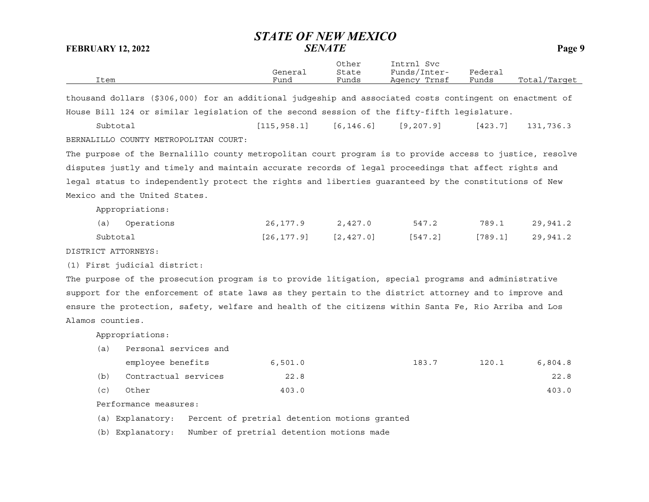Other Intrnl Svc General State Funds/Inter- Federal Item Fund Funds Agency Trnsf Funds Total/Target

thousand dollars (\$306,000) for an additional judgeship and associated costs contingent on enactment of House Bill 124 or similar legislation of the second session of the fifty-fifth legislature.

Subtotal [115,958.1] [6,146.6] [9,207.9] [423.7] 131,736.3 BERNALILLO COUNTY METROPOLITAN COURT:

The purpose of the Bernalillo county metropolitan court program is to provide access to justice, resolve disputes justly and timely and maintain accurate records of legal proceedings that affect rights and legal status to independently protect the rights and liberties guaranteed by the constitutions of New Mexico and the United States.

Appropriations:

| (a) Operations | 26,177.9                   | 2,427.0 | 547.2   | 789.1              | 29,941.2 |
|----------------|----------------------------|---------|---------|--------------------|----------|
| Subtotal       | $[26, 177.9]$ $[2, 427.0]$ |         | [547.2] | $[789.1]$ 29,941.2 |          |

DISTRICT ATTORNEYS:

(1) First judicial district:

The purpose of the prosecution program is to provide litigation, special programs and administrative support for the enforcement of state laws as they pertain to the district attorney and to improve and ensure the protection, safety, welfare and health of the citizens within Santa Fe, Rio Arriba and Los Alamos counties.

Appropriations:

|     | employee benefits    | 6,501.0 | 183.7 | 120.1 | 6,804.8 |
|-----|----------------------|---------|-------|-------|---------|
| (b) | Contractual services | 22.8    |       |       | 22.8    |
| (C) | Other                | 403.0   |       |       | 403.0   |

Performance measures:

(a) Personal services and

(a) Explanatory: Percent of pretrial detention motions granted

(b) Explanatory: Number of pretrial detention motions made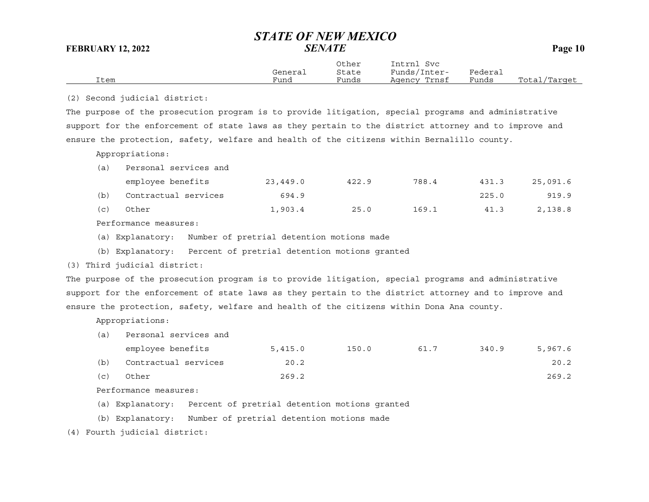|      |         | Other | Intrnl<br>Svc |         |              |
|------|---------|-------|---------------|---------|--------------|
|      | General | State | Funds/Inter-  | Federai |              |
| Item | Fund    | Funds | Agency Trnsf  | Funds   | Total/Target |
|      |         |       |               |         |              |

(2) Second judicial district:

The purpose of the prosecution program is to provide litigation, special programs and administrative support for the enforcement of state laws as they pertain to the district attorney and to improve and ensure the protection, safety, welfare and health of the citizens within Bernalillo county.

Appropriations:

(a) Personal services and

|     | employee benefits    | 23,449.0 | 422.9 | 788.4 | 431.3 | 25,091.6 |
|-----|----------------------|----------|-------|-------|-------|----------|
| (b) | Contractual services | 694.9    |       |       | 225.0 | 919.9    |
| (C) | Other                | 1,903.4  | 25.0  | 169.1 | 41.3  | 2,138.8  |

Performance measures:

- (a) Explanatory: Number of pretrial detention motions made
- (b) Explanatory: Percent of pretrial detention motions granted

(3) Third judicial district:

The purpose of the prosecution program is to provide litigation, special programs and administrative support for the enforcement of state laws as they pertain to the district attorney and to improve and ensure the protection, safety, welfare and health of the citizens within Dona Ana county.

Appropriations:

(a) Personal services and

|     | employee benefits    | 5,415.0 | 150.0 | 61.7 | 340.9 | 5,967.6 |
|-----|----------------------|---------|-------|------|-------|---------|
| (b) | Contractual services | 20.2    |       |      |       | 20.2    |
| (C) | Other                | 269.2   |       |      |       | 269.2   |

Performance measures:

(a) Explanatory: Percent of pretrial detention motions granted

(b) Explanatory: Number of pretrial detention motions made

(4) Fourth judicial district: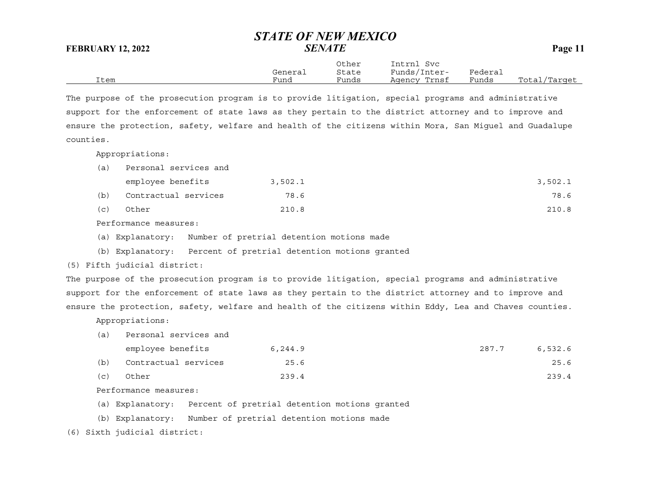Other Intrnl Svc General State Funds/Inter- Federal Item Fund Funds Agency Trnsf Funds Total/Target

The purpose of the prosecution program is to provide litigation, special programs and administrative support for the enforcement of state laws as they pertain to the district attorney and to improve and ensure the protection, safety, welfare and health of the citizens within Mora, San Miguel and Guadalupe counties.

Appropriations:

| (a) | Personal services and |         |         |
|-----|-----------------------|---------|---------|
|     | employee benefits     | 3,502.1 | 3,502.1 |
| (b) | Contractual services  | 78.6    | 78.6    |
| (C) | Other                 | 210.8   | 210.8   |

Performance measures:

- (a) Explanatory: Number of pretrial detention motions made
- (b) Explanatory: Percent of pretrial detention motions granted

(5) Fifth judicial district:

The purpose of the prosecution program is to provide litigation, special programs and administrative support for the enforcement of state laws as they pertain to the district attorney and to improve and ensure the protection, safety, welfare and health of the citizens within Eddy, Lea and Chaves counties.

Appropriations:

(a) Personal services and

|     | employee benefits    | 6,244.9 | 287.7 | 6,532.6 |
|-----|----------------------|---------|-------|---------|
| (b) | Contractual services | 25.6    |       | 25.6    |
| (c) | Other                | 239.4   |       | 239.4   |

Performance measures:

- (a) Explanatory: Percent of pretrial detention motions granted
- (b) Explanatory: Number of pretrial detention motions made

(6) Sixth judicial district: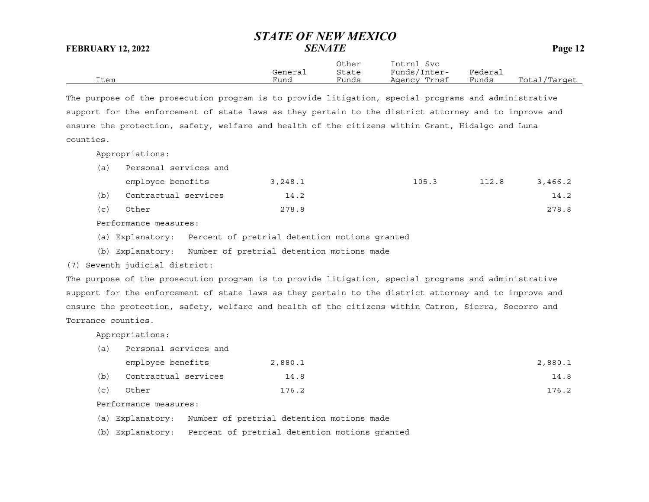Other Intrnl Svc General State Funds/Inter- Federal Item Fund Funds Agency Trnsf Funds Total/Target

The purpose of the prosecution program is to provide litigation, special programs and administrative support for the enforcement of state laws as they pertain to the district attorney and to improve and ensure the protection, safety, welfare and health of the citizens within Grant, Hidalgo and Luna counties.

Appropriations:

(a) Personal services and

|     | employee benefits    | 3,248.1 | 105.3 | 112.8 | 3,466.2 |
|-----|----------------------|---------|-------|-------|---------|
| (b) | Contractual services | 14.2    |       |       | 14.2    |
| (C) | Other                | 278.8   |       |       | 278.8   |

Performance measures:

- (a) Explanatory: Percent of pretrial detention motions granted
- (b) Explanatory: Number of pretrial detention motions made

(7) Seventh judicial district:

The purpose of the prosecution program is to provide litigation, special programs and administrative support for the enforcement of state laws as they pertain to the district attorney and to improve and ensure the protection, safety, welfare and health of the citizens within Catron, Sierra, Socorro and Torrance counties.

Appropriations:

| (a) | Personal services and |         |         |  |  |
|-----|-----------------------|---------|---------|--|--|
|     | employee benefits     | 2,880.1 | 2,880.1 |  |  |
| (b) | Contractual services  | 14.8    | 14.8    |  |  |
| (c) | Other                 | 176.2   | 176.2   |  |  |

Performance measures:

(a) Explanatory: Number of pretrial detention motions made

(b) Explanatory: Percent of pretrial detention motions granted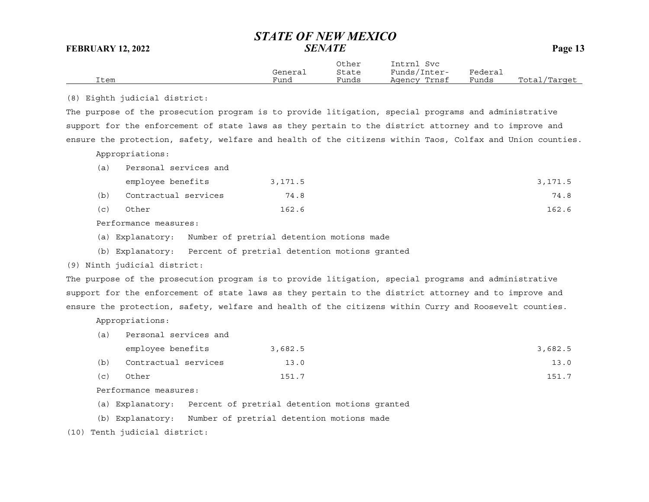| Item |                                                                                                           | General<br>Fund | Other<br>State<br>Funds | Intrnl Svc<br>Funds/Inter-<br>Agency Trnsf | Federal<br>Funds | Total/Target |
|------|-----------------------------------------------------------------------------------------------------------|-----------------|-------------------------|--------------------------------------------|------------------|--------------|
|      | (8) Eighth judicial district:                                                                             |                 |                         |                                            |                  |              |
|      | The purpose of the prosecution program is to provide litigation, special programs and administrative      |                 |                         |                                            |                  |              |
|      | support for the enforcement of state laws as they pertain to the district attorney and to improve and     |                 |                         |                                            |                  |              |
|      | ensure the protection, safety, welfare and health of the citizens within Taos, Colfax and Union counties. |                 |                         |                                            |                  |              |
|      | Appropriations:                                                                                           |                 |                         |                                            |                  |              |
| (a)  | Personal services and                                                                                     |                 |                         |                                            |                  |              |
|      | employee benefits                                                                                         | 3,171.5         |                         |                                            |                  | 3,171.5      |
| (b)  | Contractual services                                                                                      | 74.8            |                         |                                            |                  | 74.8         |
| (c)  | Other                                                                                                     | 162.6           |                         |                                            |                  | 162.6        |
|      | Performance measures:                                                                                     |                 |                         |                                            |                  |              |
|      | Number of pretrial detention motions made<br>(a) Explanatory:                                             |                 |                         |                                            |                  |              |
|      | (b) Explanatory: Percent of pretrial detention motions granted                                            |                 |                         |                                            |                  |              |
|      | (9) Ninth judicial district:                                                                              |                 |                         |                                            |                  |              |
|      | The purpose of the prosecution program is to provide litigation, special programs and administrative      |                 |                         |                                            |                  |              |
|      | support for the enforcement of state laws as they pertain to the district attorney and to improve and     |                 |                         |                                            |                  |              |
|      | ensure the protection, safety, welfare and health of the citizens within Curry and Roosevelt counties.    |                 |                         |                                            |                  |              |
|      | Appropriations:                                                                                           |                 |                         |                                            |                  |              |
| (a)  | Personal services and                                                                                     |                 |                         |                                            |                  |              |
|      | employee benefits                                                                                         | 3,682.5         |                         |                                            |                  | 3,682.5      |
| (b)  | Contractual services                                                                                      | 13.0            |                         |                                            |                  | 13.0         |
| (c)  | Other                                                                                                     | 151.7           |                         |                                            |                  | 151.7        |
|      | Performance measures:                                                                                     |                 |                         |                                            |                  |              |
|      | Percent of pretrial detention motions granted<br>(a) Explanatory:                                         |                 |                         |                                            |                  |              |
|      | Number of pretrial detention motions made<br>(b) Explanatory:                                             |                 |                         |                                            |                  |              |

(10) Tenth judicial district: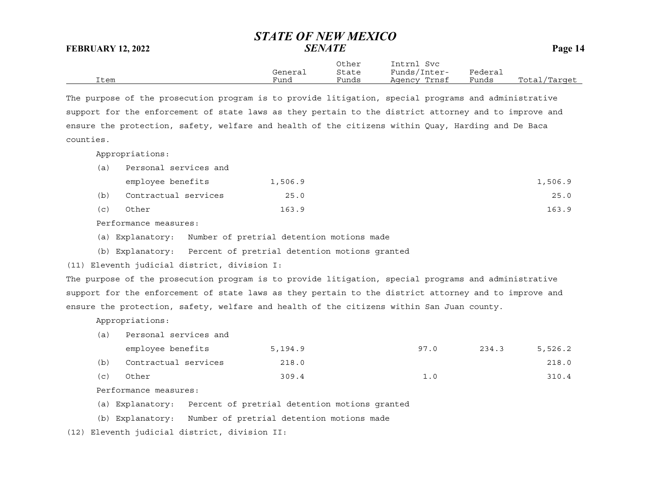Other Intrnl Svc General State Funds/Inter- Federal Item Fund Funds Agency Trnsf Funds Total/Target

The purpose of the prosecution program is to provide litigation, special programs and administrative support for the enforcement of state laws as they pertain to the district attorney and to improve and ensure the protection, safety, welfare and health of the citizens within Quay, Harding and De Baca counties.

Appropriations:

| (a) | Personal services and |         |         |
|-----|-----------------------|---------|---------|
|     | employee benefits     | 1,506.9 | 1,506.9 |
| (b) | Contractual services  | 25.0    | 25.0    |

(c) Other 163.9 163.9

Performance measures:

- (a) Explanatory: Number of pretrial detention motions made
- (b) Explanatory: Percent of pretrial detention motions granted

(11) Eleventh judicial district, division I:

The purpose of the prosecution program is to provide litigation, special programs and administrative support for the enforcement of state laws as they pertain to the district attorney and to improve and ensure the protection, safety, welfare and health of the citizens within San Juan county.

Appropriations:

(a) Personal services and

|     | employee benefits    | 5,194.9 | 97.0 | 234.3 | 5,526.2 |
|-----|----------------------|---------|------|-------|---------|
| (b) | Contractual services | 218.0   |      |       | 218.0   |
| (C) | Other                | 309.4   | 1.0  |       | 310.4   |

Performance measures:

- (a) Explanatory: Percent of pretrial detention motions granted
- (b) Explanatory: Number of pretrial detention motions made

(12) Eleventh judicial district, division II: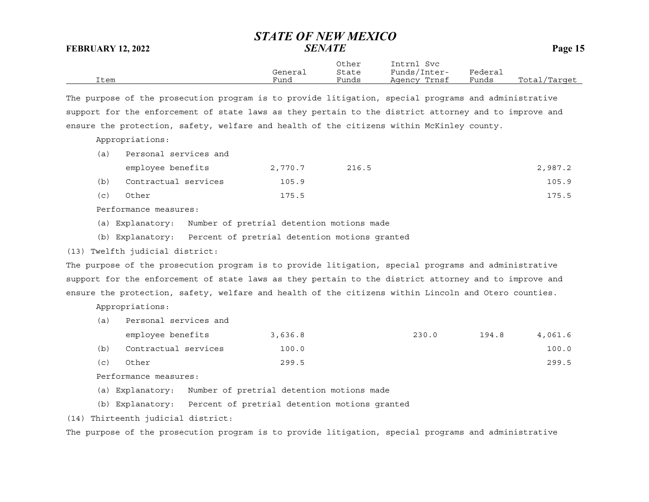Other Intrnl Svc General State Funds/Inter- Federal Item Fund Funds Agency Trnsf Funds Total/Target

The purpose of the prosecution program is to provide litigation, special programs and administrative support for the enforcement of state laws as they pertain to the district attorney and to improve and ensure the protection, safety, welfare and health of the citizens within McKinley county.

Appropriations:

| (a) | Personal services and |         |       |         |  |  |  |
|-----|-----------------------|---------|-------|---------|--|--|--|
|     | employee benefits     | 2,770.7 | 216.5 | 2,987.2 |  |  |  |
| (b) | Contractual services  | 105.9   |       | 105.9   |  |  |  |
| (C) | Other                 | 175.5   |       | 175.5   |  |  |  |

Performance measures:

- (a) Explanatory: Number of pretrial detention motions made
- (b) Explanatory: Percent of pretrial detention motions granted

## (13) Twelfth judicial district:

The purpose of the prosecution program is to provide litigation, special programs and administrative support for the enforcement of state laws as they pertain to the district attorney and to improve and ensure the protection, safety, welfare and health of the citizens within Lincoln and Otero counties.

Appropriations:

(a) Personal services and

|     | employee benefits    | 3,636.8 | 230.0 | 194.8 | 4,061.6 |
|-----|----------------------|---------|-------|-------|---------|
| (b) | Contractual services | 100.0   |       |       | 100.0   |
| (C) | Other                | 299.5   |       |       | 299.5   |

Performance measures:

(a) Explanatory: Number of pretrial detention motions made

- (b) Explanatory: Percent of pretrial detention motions granted
- (14) Thirteenth judicial district:

The purpose of the prosecution program is to provide litigation, special programs and administrative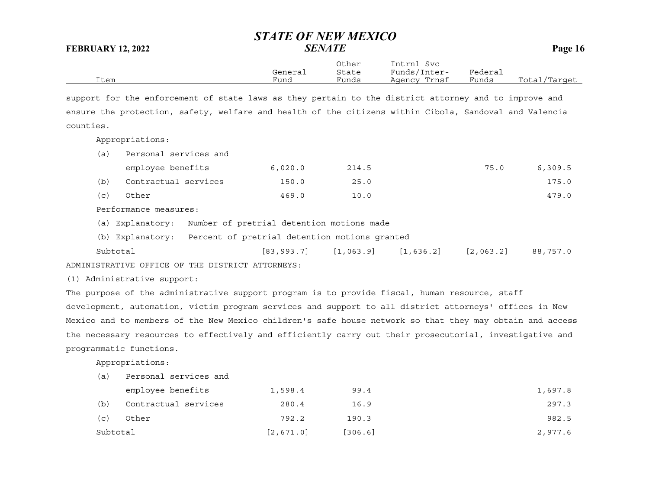|      |         | Other | Intrnl<br>Svc |         |              |
|------|---------|-------|---------------|---------|--------------|
|      | General | State | Funds/Inter-  | Federai |              |
| Item | Fund    | Funds | Agency Trnsf  | Funds   | Total/Target |

support for the enforcement of state laws as they pertain to the district attorney and to improve and ensure the protection, safety, welfare and health of the citizens within Cibola, Sandoval and Valencia counties.

Appropriations:

| (a)        | Personal services and                                                                                                   |                                                                                                                 |       |      |         |
|------------|-------------------------------------------------------------------------------------------------------------------------|-----------------------------------------------------------------------------------------------------------------|-------|------|---------|
|            | employee benefits                                                                                                       | 6,020.0                                                                                                         | 214.5 | 75.0 | 6,309.5 |
| (b)        | Contractual services                                                                                                    | 150.0                                                                                                           | 25.0  |      | 175.0   |
| (c)        | Other                                                                                                                   | 469.0                                                                                                           | 10.0  |      | 479.0   |
|            | Performance measures:                                                                                                   |                                                                                                                 |       |      |         |
| $\sqrt{1}$ | $-1$<br>the contract of the contract of the contract of the contract of the contract of the contract of the contract of | the contract of the contract of the contract of the contract of the contract of the contract of the contract of |       |      |         |

(a) Explanatory: Number of pretrial detention motions made

(b) Explanatory: Percent of pretrial detention motions granted

Subtotal [83,993.7] [1,063.9] [1,636.2] [2,063.2] 88,757.0 ADMINISTRATIVE OFFICE OF THE DISTRICT ATTORNEYS:

(1) Administrative support:

The purpose of the administrative support program is to provide fiscal, human resource, staff development, automation, victim program services and support to all district attorneys' offices in New Mexico and to members of the New Mexico children's safe house network so that they may obtain and access the necessary resources to effectively and efficiently carry out their prosecutorial, investigative and programmatic functions.

| (a)       | Personal services and |           |         |         |
|-----------|-----------------------|-----------|---------|---------|
|           | employee benefits     | 1,598.4   | 99.4    | 1,697.8 |
| (b)       | Contractual services  | 280.4     | 16.9    | 297.3   |
| $(\,c\,)$ | Other                 | 792.2     | 190.3   | 982.5   |
| Subtotal  |                       | [2,671.0] | [306.6] | 2,977.6 |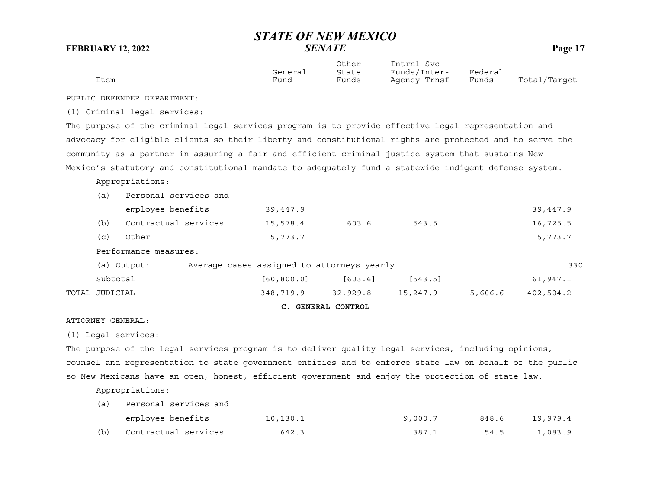|      | General | Other<br>State | Intrnl<br>Svc<br>Funds/Inter- | Federai |              |
|------|---------|----------------|-------------------------------|---------|--------------|
| Item | Funa    | Funds          | Agency Trnsf                  | Funds   | Total/Target |

PUBLIC DEFENDER DEPARTMENT:

(1) Criminal legal services:

The purpose of the criminal legal services program is to provide effective legal representation and advocacy for eligible clients so their liberty and constitutional rights are protected and to serve the community as a partner in assuring a fair and efficient criminal justice system that sustains New Mexico's statutory and constitutional mandate to adequately fund a statewide indigent defense system.

## Appropriations:

|                |                       |                                            | C. GENERAL CONTROL |          |         |           |
|----------------|-----------------------|--------------------------------------------|--------------------|----------|---------|-----------|
| TOTAL JUDICIAL |                       | 348,719.9                                  | 32,929.8           | 15,247.9 | 5,606.6 | 402,504.2 |
| Subtotal       |                       | [60, 800.0]                                | [603.6]            | [543.5]  |         | 61,947.1  |
|                | (a) Output:           | Average cases assigned to attorneys yearly |                    |          |         | 33C       |
|                | Performance measures: |                                            |                    |          |         |           |
| (c)            | Other                 | 5,773.7                                    |                    |          |         | 5,773.7   |
| (b)            | Contractual services  | 15,578.4                                   | 603.6              | 543.5    |         | 16,725.5  |
|                | employee benefits     | 39,447.9                                   |                    |          |         | 39,447.9  |
| (a)            | Personal services and |                                            |                    |          |         |           |

ATTORNEY GENERAL:

(1) Legal services:

The purpose of the legal services program is to deliver quality legal services, including opinions, counsel and representation to state government entities and to enforce state law on behalf of the public so New Mexicans have an open, honest, efficient government and enjoy the protection of state law.

| (a) | Personal services and |          |         |       |          |  |  |  |  |
|-----|-----------------------|----------|---------|-------|----------|--|--|--|--|
|     | employee benefits     | 10,130.1 | 9,000.7 | 848.6 | 19,979.4 |  |  |  |  |
| (b) | Contractual services  | 642.3    | 387.1   | 54.5  | 1,083.9  |  |  |  |  |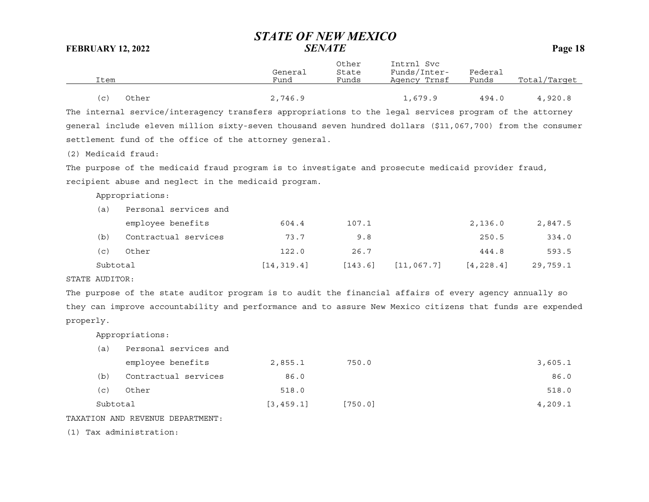|                     |                                                                                                            | General     | Other<br>State | Intrnl Svc<br>Funds/Inter- | Federal    |              |
|---------------------|------------------------------------------------------------------------------------------------------------|-------------|----------------|----------------------------|------------|--------------|
| Item                |                                                                                                            | Fund        | Funds          | Agency Trnsf               | Funds      | Total/Target |
| (c)                 | Other                                                                                                      | 2,746.9     |                | 1,679.9                    | 494.0      | 4,920.8      |
|                     | The internal service/interagency transfers appropriations to the legal services program of the attorney    |             |                |                            |            |              |
|                     | general include eleven million sixty-seven thousand seven hundred dollars (\$11,067,700) from the consumer |             |                |                            |            |              |
|                     | settlement fund of the office of the attorney general.                                                     |             |                |                            |            |              |
| (2) Medicaid fraud: |                                                                                                            |             |                |                            |            |              |
|                     | The purpose of the medicaid fraud program is to investigate and prosecute medicaid provider fraud,         |             |                |                            |            |              |
|                     | recipient abuse and neglect in the medicaid program.                                                       |             |                |                            |            |              |
|                     | Appropriations:                                                                                            |             |                |                            |            |              |
| (a)                 | Personal services and                                                                                      |             |                |                            |            |              |
|                     | employee benefits                                                                                          | 604.4       | 107.1          |                            | 2,136.0    | 2,847.5      |
| (b)                 | Contractual services                                                                                       | 73.7        | 9.8            |                            | 250.5      | 334.0        |
| (c)                 | Other                                                                                                      | 122.0       | 26.7           |                            | 444.8      | 593.5        |
| Subtotal            |                                                                                                            | [14, 319.4] | [143.6]        | [11, 067.7]                | [4, 228.4] | 29,759.1     |
| STATE AUDITOR:      |                                                                                                            |             |                |                            |            |              |
|                     | The purpose of the state auditor program is to audit the financial affairs of every agency annually so     |             |                |                            |            |              |

they can improve accountability and performance and to assure New Mexico citizens that funds are expended properly.

Appropriations:

| (a)      | Personal services and |            |         |         |
|----------|-----------------------|------------|---------|---------|
|          | employee benefits     | 2,855.1    | 750.0   | 3,605.1 |
| (b)      | Contractual services  | 86.0       |         | 86.0    |
| (c)      | Other                 | 518.0      |         | 518.0   |
| Subtotal |                       | [3, 459.1] | [750.0] | 4,209.1 |
|          |                       |            |         |         |

TAXATION AND REVENUE DEPARTMENT:

(1) Tax administration: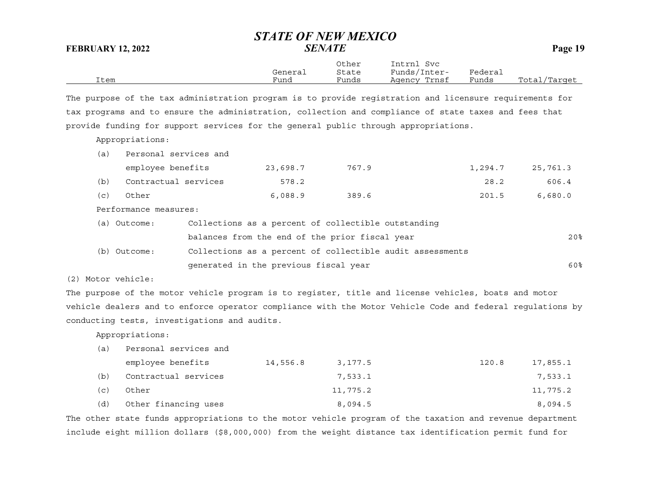Other Intrnl Svc General State Funds/Inter- Federal Item Fund Funds Agency Trnsf Funds Total/Target

The purpose of the tax administration program is to provide registration and licensure requirements for tax programs and to ensure the administration, collection and compliance of state taxes and fees that provide funding for support services for the general public through appropriations.

Appropriations:

| (a) | Personal services and |                                                           |       |         |                 |
|-----|-----------------------|-----------------------------------------------------------|-------|---------|-----------------|
|     | employee benefits     | 23,698.7                                                  | 767.9 | 1,294.7 | 25,761.3        |
| (b) | Contractual services  | 578.2                                                     |       | 28.2    | 606.4           |
| (c) | Other                 | 6.088.9                                                   | 389.6 | 201.5   | 6,680.0         |
|     | Performance measures: |                                                           |       |         |                 |
|     | (a) Outcome:          | Collections as a percent of collectible outstanding       |       |         |                 |
|     |                       | balances from the end of the prior fiscal year            |       |         | 20 <sup>8</sup> |
| (b) | Outcome:              | Collections as a percent of collectible audit assessments |       |         |                 |
|     |                       | generated in the previous fiscal year                     |       |         | 60%             |

(2) Motor vehicle:

The purpose of the motor vehicle program is to register, title and license vehicles, boats and motor vehicle dealers and to enforce operator compliance with the Motor Vehicle Code and federal regulations by conducting tests, investigations and audits.

Appropriations:

| (a)                   | Personal services and |          |          |       |          |
|-----------------------|-----------------------|----------|----------|-------|----------|
|                       | employee benefits     | 14,556.8 | 3,177.5  | 120.8 | 17,855.1 |
| (b)                   | Contractual services  |          | 7,533.1  |       | 7,533.1  |
| $\left( $ C $\right)$ | Other                 |          | 11,775.2 |       | 11,775.2 |
| (d)                   | Other financing uses  |          | 8,094.5  |       | 8,094.5  |

The other state funds appropriations to the motor vehicle program of the taxation and revenue department include eight million dollars (\$8,000,000) from the weight distance tax identification permit fund for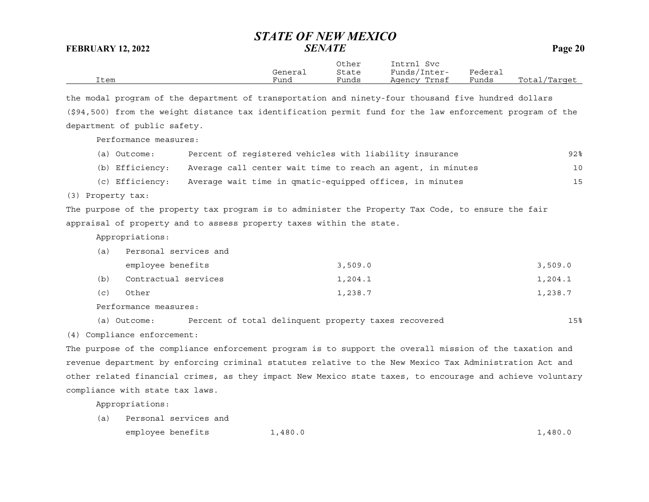|      |         | Other | Intrnl<br>Svc   |                             |                  |
|------|---------|-------|-----------------|-----------------------------|------------------|
|      | General | State | Funds/Inter-    | ${}_{\rm \texttt{Federau}}$ |                  |
| Item | Funa    | Funds | Trnsf<br>Aqency | Funds                       | Total<br>/Target |

the modal program of the department of transportation and ninety-four thousand five hundred dollars (\$94,500) from the weight distance tax identification permit fund for the law enforcement program of the department of public safety.

Performance measures:

| (a) Outcome: | Percent of registered vehicles with liability insurance                     | 92% |
|--------------|-----------------------------------------------------------------------------|-----|
|              | (b) Efficiency: Average call center wait time to reach an agent, in minutes | 10  |
|              | (c) Efficiency: Average wait time in qmatic-equipped offices, in minutes    | 15  |

(3) Property tax:

The purpose of the property tax program is to administer the Property Tax Code, to ensure the fair appraisal of property and to assess property taxes within the state.

Appropriations:

| (a) | Personal services and |         |         |
|-----|-----------------------|---------|---------|
|     | employee benefits     | 3,509.0 | 3,509.0 |
| (b) | Contractual services  | 1,204.1 | 1,204.1 |
| (C) | Other                 | 1,238.7 | 1,238.7 |
|     |                       |         |         |

Performance measures:

(a) Outcome: Percent of total delinquent property taxes recovered 15%

(4) Compliance enforcement:

The purpose of the compliance enforcement program is to support the overall mission of the taxation and revenue department by enforcing criminal statutes relative to the New Mexico Tax Administration Act and other related financial crimes, as they impact New Mexico state taxes, to encourage and achieve voluntary compliance with state tax laws.

Appropriations:

(a) Personal services and employee benefits  $1,480.0$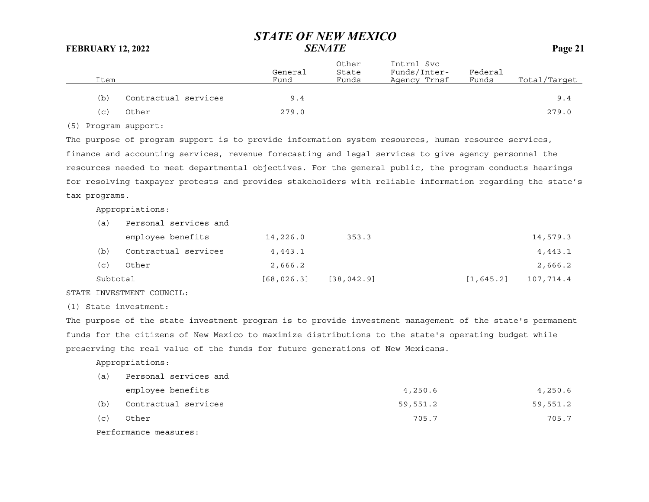| Item |                      | General<br>Fund | Other<br>State<br>Funds | Intrnl Svc<br>Funds/Inter-<br>Agency Trnsf | Federal<br>Funds | Total/Target |
|------|----------------------|-----------------|-------------------------|--------------------------------------------|------------------|--------------|
| (b)  | Contractual services | 9.4             |                         |                                            |                  | 9.4          |
| (c)  | Other                | 279.0           |                         |                                            |                  | 279.0        |

(5) Program support:

The purpose of program support is to provide information system resources, human resource services, finance and accounting services, revenue forecasting and legal services to give agency personnel the resources needed to meet departmental objectives. For the general public, the program conducts hearings for resolving taxpayer protests and provides stakeholders with reliable information regarding the state's tax programs.

Appropriations:

| (a)      | Personal services and |             |             |            |           |
|----------|-----------------------|-------------|-------------|------------|-----------|
|          | employee benefits     | 14,226.0    | 353.3       |            | 14,579.3  |
| (b)      | Contractual services  | 4,443.1     |             |            | 4,443.1   |
| (c)      | Other                 | 2,666.2     |             |            | 2,666.2   |
| Subtotal |                       | [68, 026.3] | [38, 042.9] | [1, 645.2] | 107,714.4 |

STATE INVESTMENT COUNCIL:

(1) State investment:

The purpose of the state investment program is to provide investment management of the state's permanent funds for the citizens of New Mexico to maximize distributions to the state's operating budget while preserving the real value of the funds for future generations of New Mexicans.

Appropriations:

| _ _ |                       |          |          |
|-----|-----------------------|----------|----------|
| (c) | Other                 | 705.7    | 705.7    |
| (b) | Contractual services  | 59,551.2 | 59,551.2 |
|     | employee benefits     | 4,250.6  | 4,250.6  |
| (a) | Personal services and |          |          |

Performance measures: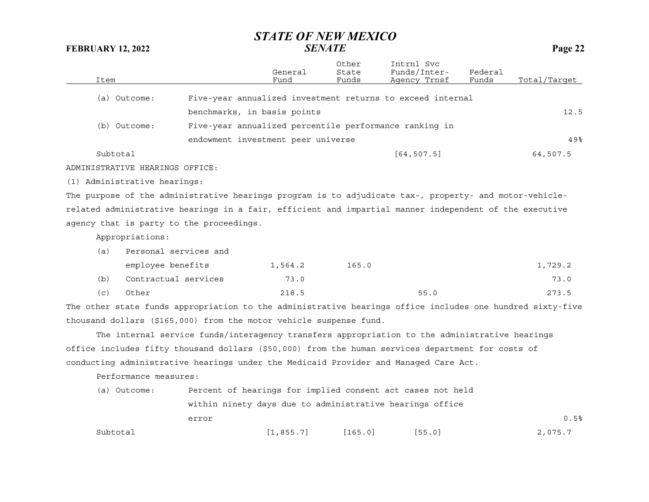| Item |                                 |                                                                                                           | General<br>Fund | Other<br>State<br>Funds | Intrnl Svc<br>Funds/Inter-<br>Agency Trnsf | Federal<br>Funds | Total/Tarqet |
|------|---------------------------------|-----------------------------------------------------------------------------------------------------------|-----------------|-------------------------|--------------------------------------------|------------------|--------------|
|      | (a) Outcome:                    | Five-year annualized investment returns to exceed internal                                                |                 |                         |                                            |                  |              |
|      |                                 | benchmarks, in basis points                                                                               |                 |                         |                                            |                  | 12.5         |
|      | (b) Outcome:                    | Five-year annualized percentile performance ranking in                                                    |                 |                         |                                            |                  |              |
|      |                                 | endowment investment peer universe                                                                        |                 |                         |                                            |                  | 49.8         |
|      | Subtotal                        |                                                                                                           |                 |                         | [64, 507.5]                                |                  | 64,507.5     |
|      | ADMINISTRATIVE HEARINGS OFFICE: |                                                                                                           |                 |                         |                                            |                  |              |
|      | (1) Administrative hearings:    |                                                                                                           |                 |                         |                                            |                  |              |
|      |                                 | The purpose of the administrative hearings program is to adjudicate tax-, property- and motor-vehicle-    |                 |                         |                                            |                  |              |
|      |                                 | related administrative hearings in a fair, efficient and impartial manner independent of the executive    |                 |                         |                                            |                  |              |
|      |                                 | agency that is party to the proceedings.                                                                  |                 |                         |                                            |                  |              |
|      | Appropriations:                 |                                                                                                           |                 |                         |                                            |                  |              |
| (a)  | Personal services and           |                                                                                                           |                 |                         |                                            |                  |              |
|      | employee benefits               |                                                                                                           | 1,564.2         | 165.0                   |                                            |                  | 1,729.2      |
| (b)  | Contractual services            |                                                                                                           | 73.0            |                         |                                            |                  | 73.0         |
| (c)  | Other                           |                                                                                                           | 218.5           |                         | 55.0                                       |                  | 273.5        |
|      |                                 | The other state funds appropriation to the administrative hearings office includes one hundred sixty-five |                 |                         |                                            |                  |              |
|      |                                 | thousand dollars (\$165,000) from the motor vehicle suspense fund.                                        |                 |                         |                                            |                  |              |
|      |                                 | The internal service funds/interagency transfers appropriation to the administrative hearings             |                 |                         |                                            |                  |              |
|      |                                 | office includes fifty thousand dollars (\$50,000) from the human services department for costs of         |                 |                         |                                            |                  |              |
|      |                                 | conducting administrative hearings under the Medicaid Provider and Managed Care Act.                      |                 |                         |                                            |                  |              |
|      | Performance measures:           |                                                                                                           |                 |                         |                                            |                  |              |
|      | (a) Outcome:                    | Percent of hearings for implied consent act cases not held                                                |                 |                         |                                            |                  |              |
|      |                                 | within ninety days due to administrative hearings office                                                  |                 |                         |                                            |                  |              |
|      |                                 | error                                                                                                     |                 |                         |                                            |                  | 0.5%         |

Subtotal [1,855.7] [165.0] [55.0] [55.0] 2,075.7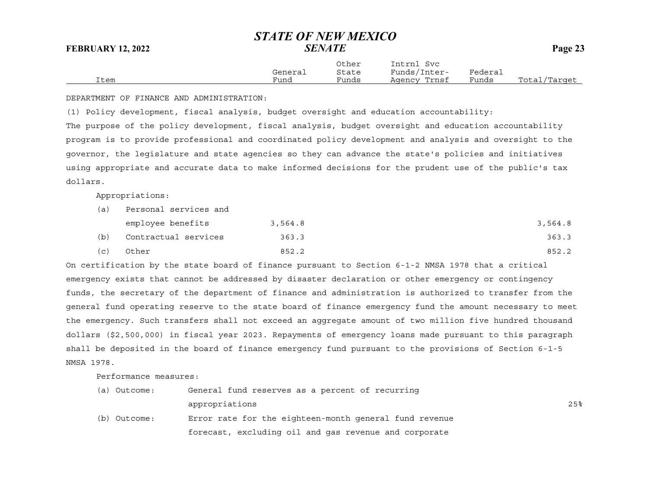|      | General | Other<br>State | Intrnl<br>Svc<br>Funds/Inter- | ${}_{\rm \texttt{Federau}}$ |                  |
|------|---------|----------------|-------------------------------|-----------------------------|------------------|
| Item | Funa    | Funds          | Trnsf<br>Agency               | Funds                       | Total<br>/Tarqet |

DEPARTMENT OF FINANCE AND ADMINISTRATION:

(1) Policy development, fiscal analysis, budget oversight and education accountability: The purpose of the policy development, fiscal analysis, budget oversight and education accountability program is to provide professional and coordinated policy development and analysis and oversight to the governor, the legislature and state agencies so they can advance the state's policies and initiatives using appropriate and accurate data to make informed decisions for the prudent use of the public's tax dollars.

Appropriations:

| (a) | Personal services and |         |         |  |  |  |
|-----|-----------------------|---------|---------|--|--|--|
|     | employee benefits     | 3,564.8 | 3,564.8 |  |  |  |
| (b) | Contractual services  | 363.3   | 363.3   |  |  |  |
| (c) | Other                 | 852.2   | 852.2   |  |  |  |

On certification by the state board of finance pursuant to Section 6-1-2 NMSA 1978 that a critical emergency exists that cannot be addressed by disaster declaration or other emergency or contingency funds, the secretary of the department of finance and administration is authorized to transfer from the general fund operating reserve to the state board of finance emergency fund the amount necessary to meet the emergency. Such transfers shall not exceed an aggregate amount of two million five hundred thousand dollars (\$2,500,000) in fiscal year 2023. Repayments of emergency loans made pursuant to this paragraph shall be deposited in the board of finance emergency fund pursuant to the provisions of Section 6-1-5 NMSA 1978.

Performance measures:

| (a) Outcome: | General fund reserves as a percent of recurring        |     |
|--------------|--------------------------------------------------------|-----|
|              | appropriations                                         | 25% |
| (b) Outcome: | Error rate for the eighteen-month general fund revenue |     |
|              | forecast, excluding oil and gas revenue and corporate  |     |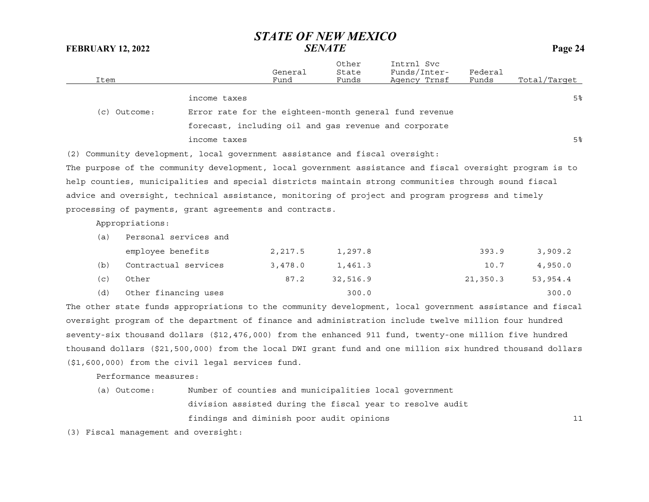| Item                                                                                                      |                       | General<br>Fund | Other<br>State<br>Funds | Intrnl Svc<br>Funds/Inter-<br>Agency Trnsf             | Federal<br>Funds | Total/Tarqet   |
|-----------------------------------------------------------------------------------------------------------|-----------------------|-----------------|-------------------------|--------------------------------------------------------|------------------|----------------|
|                                                                                                           | income taxes          |                 |                         |                                                        |                  | 5 <sup>8</sup> |
| (c) Outcome:                                                                                              |                       |                 |                         | Error rate for the eighteen-month general fund revenue |                  |                |
|                                                                                                           |                       |                 |                         | forecast, including oil and gas revenue and corporate  |                  |                |
|                                                                                                           | income taxes          |                 |                         |                                                        |                  | 5 <sup>°</sup> |
| (2) Community development, local government assistance and fiscal oversight:                              |                       |                 |                         |                                                        |                  |                |
| The purpose of the community development, local government assistance and fiscal oversight program is to  |                       |                 |                         |                                                        |                  |                |
| help counties, municipalities and special districts maintain strong communities through sound fiscal      |                       |                 |                         |                                                        |                  |                |
| advice and oversight, technical assistance, monitoring of project and program progress and timely         |                       |                 |                         |                                                        |                  |                |
| processing of payments, grant agreements and contracts.                                                   |                       |                 |                         |                                                        |                  |                |
| Appropriations:                                                                                           |                       |                 |                         |                                                        |                  |                |
| (a)                                                                                                       | Personal services and |                 |                         |                                                        |                  |                |
|                                                                                                           | employee benefits     | 2,217.5         | 1,297.8                 |                                                        | 393.9            | 3,909.2        |
| (b)                                                                                                       | Contractual services  | 3,478.0         | 1,461.3                 |                                                        | 10.7             | 4,950.0        |
| Other<br>(c)                                                                                              |                       | 87.2            | 32,516.9                |                                                        | 21,350.3         | 53,954.4       |
| (d)                                                                                                       | Other financing uses  |                 | 300.0                   |                                                        |                  | 300.0          |
| The other state funds appropriations to the community development, local government assistance and fiscal |                       |                 |                         |                                                        |                  |                |
| oversight program of the department of finance and administration include twelve million four hundred     |                       |                 |                         |                                                        |                  |                |

oversight program of the department of finance and administration include twelve million four hundred seventy-six thousand dollars (\$12,476,000) from the enhanced 911 fund, twenty-one million five hundred thousand dollars (\$21,500,000) from the local DWI grant fund and one million six hundred thousand dollars (\$1,600,000) from the civil legal services fund.

Performance measures:

(a) Outcome: Number of counties and municipalities local government division assisted during the fiscal year to resolve audit findings and diminish poor audit opinions <sup>11</sup>

(3) Fiscal management and oversight: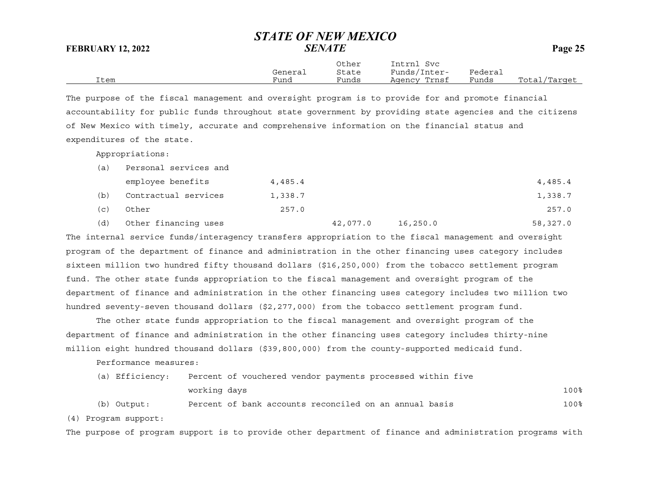|      |         | Other | Intrnl<br>Svc |         |              |
|------|---------|-------|---------------|---------|--------------|
|      | General | State | Funds/Inter-  | Federai |              |
| Item | Funa    | Funds | Agency Trnsf  | Funds   | Total/Target |

The purpose of the fiscal management and oversight program is to provide for and promote financial accountability for public funds throughout state government by providing state agencies and the citizens of New Mexico with timely, accurate and comprehensive information on the financial status and expenditures of the state.

Appropriations:

| (a) | Personal services and |         |          |          |          |
|-----|-----------------------|---------|----------|----------|----------|
|     | employee benefits     | 4,485.4 |          |          | 4,485.4  |
| (b) | Contractual services  | 1,338.7 |          |          | 1,338.7  |
| (C) | Other                 | 257.0   |          |          | 257.0    |
| (d) | Other financing uses  |         | 42,077.0 | 16,250.0 | 58,327.0 |

The internal service funds/interagency transfers appropriation to the fiscal management and oversight program of the department of finance and administration in the other financing uses category includes sixteen million two hundred fifty thousand dollars (\$16,250,000) from the tobacco settlement program fund. The other state funds appropriation to the fiscal management and oversight program of the department of finance and administration in the other financing uses category includes two million two hundred seventy-seven thousand dollars (\$2,277,000) from the tobacco settlement program fund.

The other state funds appropriation to the fiscal management and oversight program of the department of finance and administration in the other financing uses category includes thirty-nine million eight hundred thousand dollars (\$39,800,000) from the county-supported medicaid fund.

Performance measures:

| (a) Efficiency: |              | Percent of vouchered vendor payments processed within five |      |
|-----------------|--------------|------------------------------------------------------------|------|
|                 | working days |                                                            | 100% |
| (b) Output:     |              | Percent of bank accounts reconciled on an annual basis     | 100% |

(4) Program support:

The purpose of program support is to provide other department of finance and administration programs with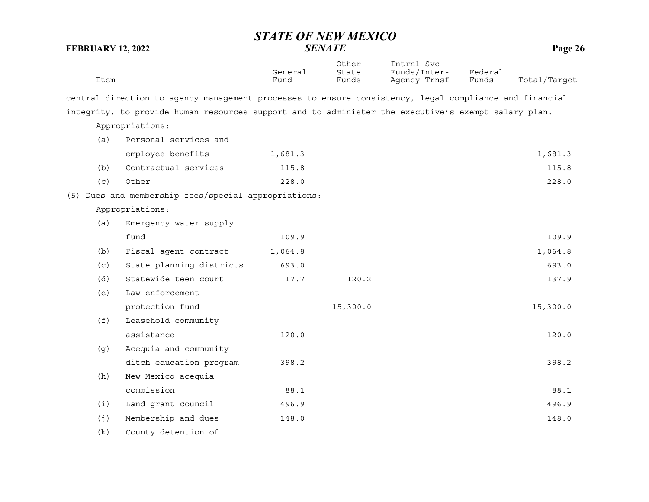Other Intrnl Svc

| Item |                                                                                                        | General<br>Fund | State<br>Funds | Funds/Inter-<br>Agency Trnsf | Federal<br>Funds | Total/Target |
|------|--------------------------------------------------------------------------------------------------------|-----------------|----------------|------------------------------|------------------|--------------|
|      | central direction to agency management processes to ensure consistency, legal compliance and financial |                 |                |                              |                  |              |
|      | integrity, to provide human resources support and to administer the executive's exempt salary plan.    |                 |                |                              |                  |              |
|      | Appropriations:                                                                                        |                 |                |                              |                  |              |
| (a)  | Personal services and                                                                                  |                 |                |                              |                  |              |
|      | employee benefits                                                                                      | 1,681.3         |                |                              |                  | 1,681.3      |
| (b)  | Contractual services                                                                                   | 115.8           |                |                              |                  | 115.8        |
| (c)  | Other                                                                                                  | 228.0           |                |                              |                  | 228.0        |
|      | (5) Dues and membership fees/special appropriations:                                                   |                 |                |                              |                  |              |
|      | Appropriations:                                                                                        |                 |                |                              |                  |              |
| (a)  | Emergency water supply                                                                                 |                 |                |                              |                  |              |
|      | fund                                                                                                   | 109.9           |                |                              |                  | 109.9        |
| (b)  | Fiscal agent contract                                                                                  | 1,064.8         |                |                              |                  | 1,064.8      |
| (c)  | State planning districts                                                                               | 693.0           |                |                              |                  | 693.0        |
| (d)  | Statewide teen court                                                                                   | 17.7            | 120.2          |                              |                  | 137.9        |
| (e)  | Law enforcement                                                                                        |                 |                |                              |                  |              |
|      | protection fund                                                                                        |                 | 15,300.0       |                              |                  | 15,300.0     |
| (f)  | Leasehold community                                                                                    |                 |                |                              |                  |              |
|      | assistance                                                                                             | 120.0           |                |                              |                  | 120.0        |
| (g)  | Acequia and community                                                                                  |                 |                |                              |                  |              |
|      | ditch education program                                                                                | 398.2           |                |                              |                  | 398.2        |
| (h)  | New Mexico acequia                                                                                     |                 |                |                              |                  |              |
|      | commission                                                                                             | 88.1            |                |                              |                  | 88.1         |
|      |                                                                                                        |                 |                |                              |                  |              |

(i) Land grant council 496.9 496.9  $(j)$  Membership and dues  $148.0$ 

(k) County detention of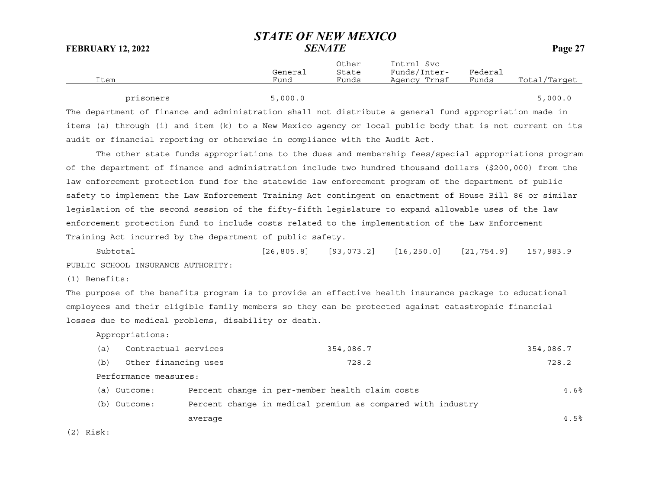|      |         | Other | Intrnl<br>Svc |         |              |
|------|---------|-------|---------------|---------|--------------|
|      | General | State | Funds/Inter-  | Federal |              |
| Item | Fund    | Funds | Agency Trnsf  | Funds   | Total/Target |
|      |         |       |               |         |              |

|  | prisoners |                                                                                                        | 5,000.0 |  |  |  | 5,000.0 |  |
|--|-----------|--------------------------------------------------------------------------------------------------------|---------|--|--|--|---------|--|
|  |           | The department of finance and administration shall not distribute a general fund appropriation made in |         |  |  |  |         |  |

items (a) through (i) and item (k) to a New Mexico agency or local public body that is not current on its audit or financial reporting or otherwise in compliance with the Audit Act.

The other state funds appropriations to the dues and membership fees/special appropriations program of the department of finance and administration include two hundred thousand dollars (\$200,000) from the law enforcement protection fund for the statewide law enforcement program of the department of public safety to implement the Law Enforcement Training Act contingent on enactment of House Bill 86 or similar legislation of the second session of the fifty-fifth legislature to expand allowable uses of the law enforcement protection fund to include costs related to the implementation of the Law Enforcement Training Act incurred by the department of public safety.

Subtotal [26,805.8] [93,073.2] [16,250.0] [21,754.9] 157,883.9 PUBLIC SCHOOL INSURANCE AUTHORITY:

(1) Benefits:

The purpose of the benefits program is to provide an effective health insurance package to educational employees and their eligible family members so they can be protected against catastrophic financial losses due to medical problems, disability or death.

Appropriations:

| (a) | Contractual services  | 354,086.7                                                   | 354,086.7 |
|-----|-----------------------|-------------------------------------------------------------|-----------|
| (b) | Other financing uses  | 728.2                                                       | 728.2     |
|     | Performance measures: |                                                             |           |
|     | (a) Outcome:          | Percent change in per-member health claim costs             | 4.6%      |
|     | (b) Outcome:          | Percent change in medical premium as compared with industry |           |
|     | average               |                                                             | 4.5%      |
|     |                       |                                                             |           |

(2) Risk: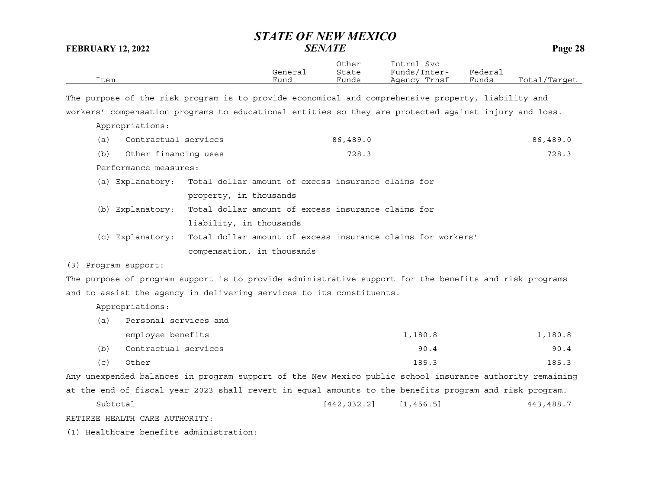|      |         | Other | Intrnl<br>Svc      |         |                  |
|------|---------|-------|--------------------|---------|------------------|
|      | General | State | Funds/I.<br>Inter- | Federai |                  |
| Item | Funa    | Funds | Trnsf<br>Agency    | Funds   | Total<br>/Target |

The purpose of the risk program is to provide economical and comprehensive property, liability and workers' compensation programs to educational entities so they are protected against injury and loss.

Appropriations:

| (a)              | Contractual services  |                                                                              | 86,489.0 | 86,489.0 |
|------------------|-----------------------|------------------------------------------------------------------------------|----------|----------|
| (b)              | Other financing uses  |                                                                              | 728.3    | 728.3    |
|                  | Performance measures: |                                                                              |          |          |
|                  |                       | (a) Explanatory: Total dollar amount of excess insurance claims for          |          |          |
|                  |                       | property, in thousands                                                       |          |          |
|                  |                       | (b) Explanatory: Total dollar amount of excess insurance claims for          |          |          |
|                  |                       | liability, in thousands                                                      |          |          |
|                  |                       | (c) Explanatory: Total dollar amount of excess insurance claims for workers' |          |          |
|                  |                       | compensation, in thousands                                                   |          |          |
| Program support: |                       |                                                                              |          |          |

The purpose of program support is to provide administrative support for the benefits and risk programs and to assist the agency in delivering services to its constituents.

Appropriations:

 $(3)$ 

| (a) | Personal services and |         |         |
|-----|-----------------------|---------|---------|
|     | employee benefits     | 1,180.8 | 1,180.8 |
| (b) | Contractual services  | 90.4    | 90.4    |
| (c) | Other                 | 185.3   | 185.3   |

Any unexpended balances in program support of the New Mexico public school insurance authority remaining at the end of fiscal year 2023 shall revert in equal amounts to the benefits program and risk program.

Subtotal [442,032.2] [1,456.5] 443,488.7 RETIREE HEALTH CARE AUTHORITY:

(1) Healthcare benefits administration: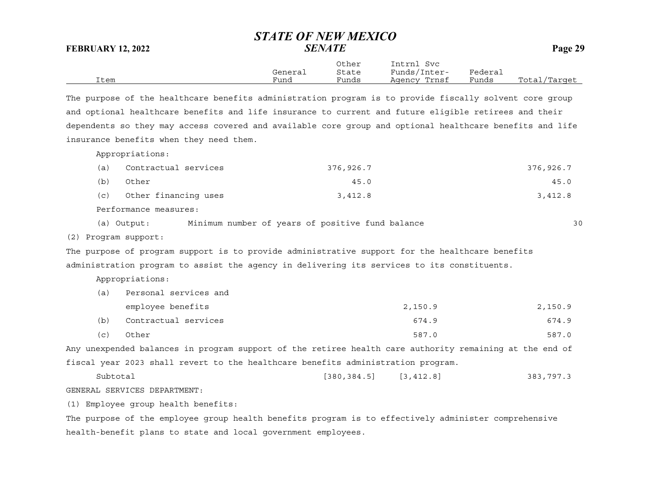|      |         | Other | Intrnl<br>Svc |         |              |
|------|---------|-------|---------------|---------|--------------|
|      | General | State | Funds/Inter-  | Federai |              |
| Item | Funa    | Funds | Agency Trnsf  | Funds   | Total/Target |

The purpose of the healthcare benefits administration program is to provide fiscally solvent core group and optional healthcare benefits and life insurance to current and future eligible retirees and their dependents so they may access covered and available core group and optional healthcare benefits and life insurance benefits when they need them.

Appropriations:

| (a) | Contractual services | 376,926.7 | 376,926.7 |
|-----|----------------------|-----------|-----------|
| (b) | Other                | 45.0      | 45.0      |
| (C) | Other financing uses | 3,412.8   | 3,412.8   |

Performance measures:

(a) Output: Minimum number of years of positive fund balance 30

(2) Program support:

The purpose of program support is to provide administrative support for the healthcare benefits administration program to assist the agency in delivering its services to its constituents.

Appropriations:

| (a) | Personal services and |         |         |  |  |  |  |  |  |
|-----|-----------------------|---------|---------|--|--|--|--|--|--|
|     | employee benefits     | 2,150.9 | 2,150.9 |  |  |  |  |  |  |
| (b) | Contractual services  | 674.9   | 674.9   |  |  |  |  |  |  |
| (c) | Other                 | 587.0   | 587.0   |  |  |  |  |  |  |

Any unexpended balances in program support of the retiree health care authority remaining at the end of fiscal year 2023 shall revert to the healthcare benefits administration program.

```
Subtotal [380,384.5] [3,412.8] 383,797.3
```
GENERAL SERVICES DEPARTMENT:

(1) Employee group health benefits:

The purpose of the employee group health benefits program is to effectively administer comprehensive health-benefit plans to state and local government employees.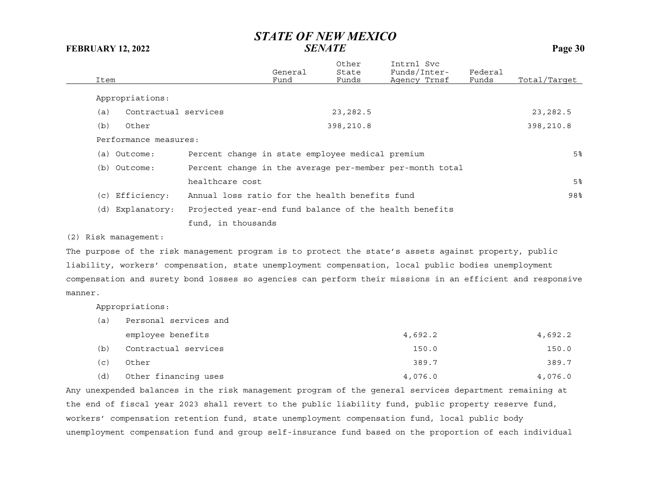| Item                        |                                                          | General<br>Fund | Other<br>State<br>Funds | Intrnl Svc<br>Funds/Inter-<br>Agency Trnsf | Federal<br>Funds | Total/Target   |
|-----------------------------|----------------------------------------------------------|-----------------|-------------------------|--------------------------------------------|------------------|----------------|
| Appropriations:             |                                                          |                 |                         |                                            |                  |                |
| Contractual services<br>(a) |                                                          |                 | 23, 282.5               |                                            |                  | 23, 282.5      |
| (b)<br>Other                |                                                          |                 | 398,210.8               |                                            |                  | 398,210.8      |
| Performance measures:       |                                                          |                 |                         |                                            |                  |                |
| (a) Outcome:                | Percent change in state employee medical premium         |                 |                         |                                            |                  | 5%             |
| (b) Outcome:                | Percent change in the average per-member per-month total |                 |                         |                                            |                  |                |
|                             | healthcare cost                                          |                 |                         |                                            |                  | 5 <sup>°</sup> |
| (c) Efficiency:             | Annual loss ratio for the health benefits fund           |                 |                         |                                            |                  | 98%            |
| (d) Explanatory:            | Projected year-end fund balance of the health benefits   |                 |                         |                                            |                  |                |
|                             | fund, in thousands                                       |                 |                         |                                            |                  |                |

(2) Risk management:

The purpose of the risk management program is to protect the state's assets against property, public liability, workers' compensation, state unemployment compensation, local public bodies unemployment compensation and surety bond losses so agencies can perform their missions in an efficient and responsive manner.

Appropriations:

| (a) | Personal services and |         |         |
|-----|-----------------------|---------|---------|
|     | employee benefits     | 4,692.2 | 4,692.2 |
| (b) | Contractual services  | 150.0   | 150.0   |
| (c) | Other                 | 389.7   | 389.7   |
| (d) | Other financing uses  | 4,076.0 | 4,076.0 |

Any unexpended balances in the risk management program of the general services department remaining at the end of fiscal year 2023 shall revert to the public liability fund, public property reserve fund, workers' compensation retention fund, state unemployment compensation fund, local public body unemployment compensation fund and group self-insurance fund based on the proportion of each individual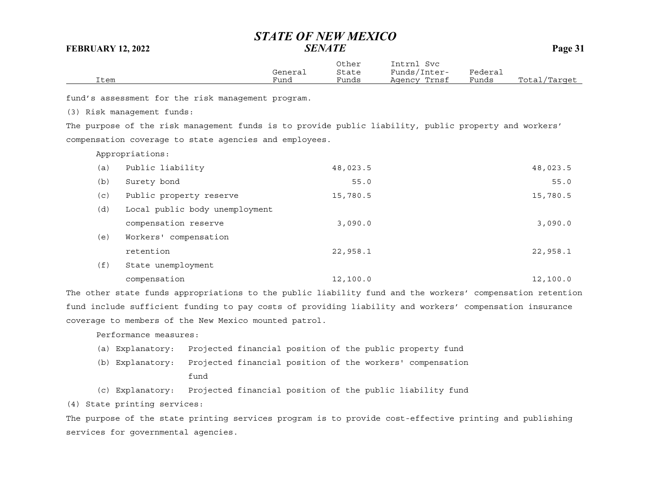|      | General | Other<br>State | Intrnl<br>Svc<br>Funds/Inter- | Federai |              |
|------|---------|----------------|-------------------------------|---------|--------------|
| Item | Fund    | Funds          | Agency Trnsf                  | Funds   | Total/Target |

fund's assessment for the risk management program.

(3) Risk management funds:

The purpose of the risk management funds is to provide public liability, public property and workers' compensation coverage to state agencies and employees.

Appropriations:

| (a) | Public liability               | 48,023.5 | 48,023.5 |
|-----|--------------------------------|----------|----------|
| (b) | Surety bond                    | 55.0     | 55.0     |
| (c) | Public property reserve        | 15,780.5 | 15,780.5 |
| (d) | Local public body unemployment |          |          |
|     | compensation reserve           | 3,090.0  | 3,090.0  |
| (e) | Workers' compensation          |          |          |
|     | retention                      | 22,958.1 | 22,958.1 |
| (f) | State unemployment             |          |          |
|     | compensation                   | 12,100.0 | 12,100.0 |

The other state funds appropriations to the public liability fund and the workers' compensation retention fund include sufficient funding to pay costs of providing liability and workers' compensation insurance coverage to members of the New Mexico mounted patrol.

Performance measures:

- (a) Explanatory: Projected financial position of the public property fund
- (b) Explanatory: Projected financial position of the workers' compensation fund
- (c) Explanatory: Projected financial position of the public liability fund

(4) State printing services:

The purpose of the state printing services program is to provide cost-effective printing and publishing services for governmental agencies.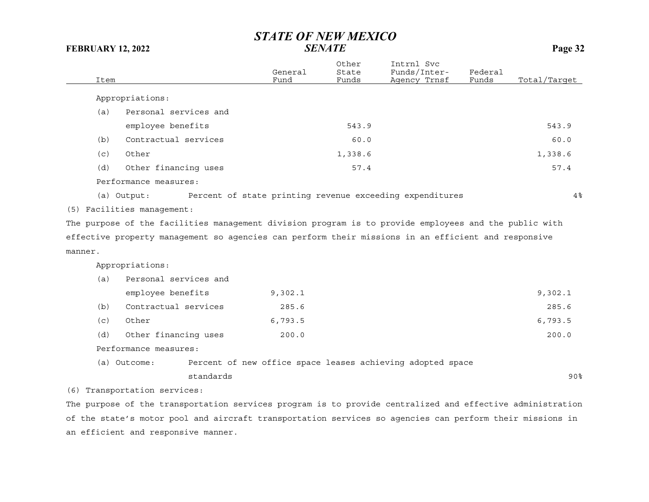| Item    |                                                                                                       | General<br>Fund | Other<br>State<br>Funds | Intrnl Svc<br>Funds/Inter-<br>Agency Trnsf                 | Federal<br>Funds | Total/Tarqet    |
|---------|-------------------------------------------------------------------------------------------------------|-----------------|-------------------------|------------------------------------------------------------|------------------|-----------------|
|         | Appropriations:                                                                                       |                 |                         |                                                            |                  |                 |
| (a)     | Personal services and                                                                                 |                 |                         |                                                            |                  |                 |
|         | employee benefits                                                                                     |                 | 543.9                   |                                                            |                  | 543.9           |
| (b)     | Contractual services                                                                                  |                 | 60.0                    |                                                            |                  | 60.0            |
| (c)     | Other                                                                                                 |                 | 1,338.6                 |                                                            |                  | 1,338.6         |
| (d)     | Other financing uses                                                                                  |                 | 57.4                    |                                                            |                  | 57.4            |
|         | Performance measures:                                                                                 |                 |                         |                                                            |                  |                 |
|         | (a) Output:                                                                                           |                 |                         | Percent of state printing revenue exceeding expenditures   |                  | 4%              |
|         | (5) Facilities management:                                                                            |                 |                         |                                                            |                  |                 |
|         | The purpose of the facilities management division program is to provide employees and the public with |                 |                         |                                                            |                  |                 |
|         | effective property management so agencies can perform their missions in an efficient and responsive   |                 |                         |                                                            |                  |                 |
| manner. |                                                                                                       |                 |                         |                                                            |                  |                 |
|         | Appropriations:                                                                                       |                 |                         |                                                            |                  |                 |
| (a)     | Personal services and                                                                                 |                 |                         |                                                            |                  |                 |
|         | employee benefits                                                                                     | 9,302.1         |                         |                                                            |                  | 9,302.1         |
| (b)     | Contractual services                                                                                  | 285.6           |                         |                                                            |                  | 285.6           |
| (c)     | Other                                                                                                 | 6,793.5         |                         |                                                            |                  | 6,793.5         |
| (d)     | Other financing uses                                                                                  | 200.0           |                         |                                                            |                  | 200.0           |
|         | Performance measures:                                                                                 |                 |                         |                                                            |                  |                 |
|         | (a) Outcome:                                                                                          |                 |                         | Percent of new office space leases achieving adopted space |                  |                 |
|         | standards                                                                                             |                 |                         |                                                            |                  | 90 <sub>8</sub> |

(6) Transportation services:

The purpose of the transportation services program is to provide centralized and effective administration of the state's motor pool and aircraft transportation services so agencies can perform their missions in an efficient and responsive manner.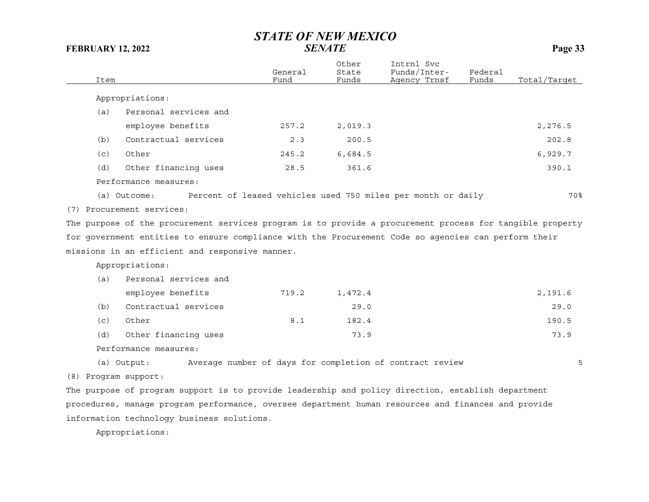| Item |                                                                                                           | General<br>Fund | Other<br>State<br>Funds | Intrnl Svc<br>Funds/Inter-<br>Agency Trnsf                   | Federal<br>Funds | Total/Target |
|------|-----------------------------------------------------------------------------------------------------------|-----------------|-------------------------|--------------------------------------------------------------|------------------|--------------|
|      | Appropriations:                                                                                           |                 |                         |                                                              |                  |              |
| (a)  | Personal services and                                                                                     |                 |                         |                                                              |                  |              |
|      | employee benefits                                                                                         | 257.2           |                         |                                                              |                  |              |
|      |                                                                                                           |                 | 2,019.3                 |                                                              |                  | 2,276.5      |
| (b)  | Contractual services                                                                                      | 2.3             | 200.5                   |                                                              |                  | 202.8        |
| (c)  | Other                                                                                                     | 245.2           | 6,684.5                 |                                                              |                  | 6,929.7      |
| (d)  | Other financing uses                                                                                      | 28.5            | 361.6                   |                                                              |                  | 390.1        |
|      | Performance measures:                                                                                     |                 |                         |                                                              |                  |              |
|      | (a) Outcome:                                                                                              |                 |                         | Percent of leased vehicles used 750 miles per month or daily |                  | 70%          |
|      | (7) Procurement services:                                                                                 |                 |                         |                                                              |                  |              |
|      | The purpose of the procurement services program is to provide a procurement process for tangible property |                 |                         |                                                              |                  |              |
|      | for government entities to ensure compliance with the Procurement Code so agencies can perform their      |                 |                         |                                                              |                  |              |
|      |                                                                                                           |                 |                         |                                                              |                  |              |
|      | missions in an efficient and responsive manner.                                                           |                 |                         |                                                              |                  |              |
|      | Appropriations:                                                                                           |                 |                         |                                                              |                  |              |
| (a)  | Personal services and                                                                                     |                 |                         |                                                              |                  |              |
|      | employee benefits                                                                                         | 719.2           | 1,472.4                 |                                                              |                  | 2,191.6      |
| (b)  | Contractual services                                                                                      |                 | 29.0                    |                                                              |                  | 29.0         |
| (c)  | Other                                                                                                     | 8.1             | 182.4                   |                                                              |                  | 190.5        |
| (d)  | Other financing uses                                                                                      |                 | 73.9                    |                                                              |                  | 73.9         |
|      | Performance measures:                                                                                     |                 |                         |                                                              |                  |              |
|      | (a) Output:                                                                                               |                 |                         | Average number of days for completion of contract review     |                  | 5            |
|      |                                                                                                           |                 |                         |                                                              |                  |              |
|      | (8) Program support:                                                                                      |                 |                         |                                                              |                  |              |
|      | The purpose of program support is to provide leadership and policy direction, establish department        |                 |                         |                                                              |                  |              |
|      |                                                                                                           |                 |                         |                                                              |                  |              |

procedures, manage program performance, oversee department human resources and finances and provide information technology business solutions.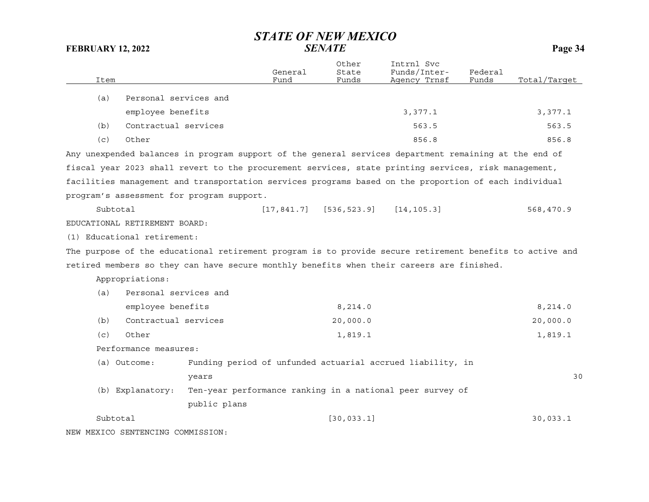|      |                                   |                                                                                                          | General     | Other<br>State | Intrnl Svc<br>Funds/Inter- | Federal |              |
|------|-----------------------------------|----------------------------------------------------------------------------------------------------------|-------------|----------------|----------------------------|---------|--------------|
| Item |                                   |                                                                                                          | Fund        | Funds          | Agency Trnsf               | Funds   | Total/Target |
| (a)  | Personal services and             |                                                                                                          |             |                |                            |         |              |
|      | employee benefits                 |                                                                                                          |             |                | 3,377.1                    |         | 3,377.1      |
| (b)  | Contractual services              |                                                                                                          |             |                | 563.5                      |         | 563.5        |
| (c)  | Other                             |                                                                                                          |             |                | 856.8                      |         | 856.8        |
|      |                                   | Any unexpended balances in program support of the general services department remaining at the end of    |             |                |                            |         |              |
|      |                                   | fiscal year 2023 shall revert to the procurement services, state printing services, risk management,     |             |                |                            |         |              |
|      |                                   | facilities management and transportation services programs based on the proportion of each individual    |             |                |                            |         |              |
|      |                                   | program's assessment for program support.                                                                |             |                |                            |         |              |
|      | Subtotal                          |                                                                                                          | [17, 841.7] | [536, 523.9]   | [14, 105.3]                |         | 568,470.9    |
|      | EDUCATIONAL RETIREMENT BOARD:     |                                                                                                          |             |                |                            |         |              |
|      | (1) Educational retirement:       |                                                                                                          |             |                |                            |         |              |
|      |                                   | The purpose of the educational retirement program is to provide secure retirement benefits to active and |             |                |                            |         |              |
|      |                                   | retired members so they can have secure monthly benefits when their careers are finished.                |             |                |                            |         |              |
|      | Appropriations:                   |                                                                                                          |             |                |                            |         |              |
| (a)  | Personal services and             |                                                                                                          |             |                |                            |         |              |
|      | employee benefits                 |                                                                                                          |             | 8, 214.0       |                            |         | 8, 214.0     |
| (b)  | Contractual services              |                                                                                                          |             | 20,000.0       |                            |         | 20,000.0     |
| (c)  | Other                             |                                                                                                          |             | 1,819.1        |                            |         | 1,819.1      |
|      | Performance measures:             |                                                                                                          |             |                |                            |         |              |
|      | (a) Outcome:                      | Funding period of unfunded actuarial accrued liability, in                                               |             |                |                            |         |              |
|      |                                   | years                                                                                                    |             |                |                            |         | 30           |
|      | (b) Explanatory:                  | Ten-year performance ranking in a national peer survey of                                                |             |                |                            |         |              |
|      |                                   | public plans                                                                                             |             |                |                            |         |              |
|      | Subtotal                          |                                                                                                          |             | [30, 033.1]    |                            |         | 30,033.1     |
|      | NEW MEXICO SENTENCING COMMISSION: |                                                                                                          |             |                |                            |         |              |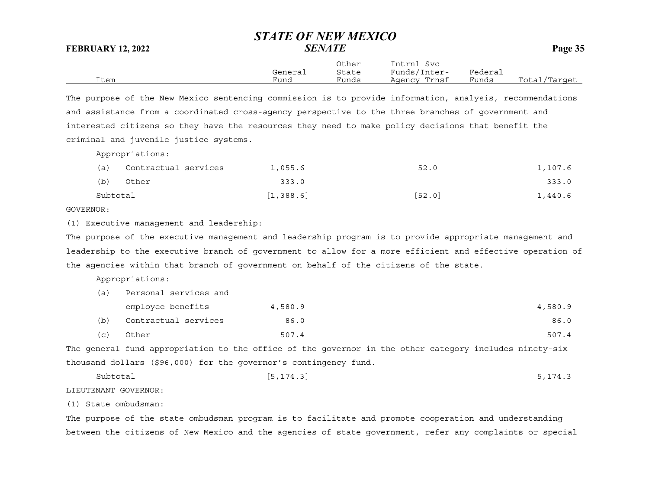Other Intrnl Svc General State Funds/Inter- Federal Item Fund Funds Agency Trnsf Funds Total/Target

The purpose of the New Mexico sentencing commission is to provide information, analysis, recommendations and assistance from a coordinated cross-agency perspective to the three branches of government and interested citizens so they have the resources they need to make policy decisions that benefit the criminal and juvenile justice systems.

Appropriations:

| (a)      | Contractual services | 1,055.6    | 52.0   | 1,107.6 |
|----------|----------------------|------------|--------|---------|
| (b)      | Other                | 333.0      |        | 333.0   |
| Subtotal |                      | [1, 388.6] | [52.0] | 1,440.6 |

## GOVERNOR:

(1) Executive management and leadership:

The purpose of the executive management and leadership program is to provide appropriate management and leadership to the executive branch of government to allow for a more efficient and effective operation of the agencies within that branch of government on behalf of the citizens of the state.

Appropriations:

| (a) | Personal services and |         |         |  |  |  |
|-----|-----------------------|---------|---------|--|--|--|
|     | employee benefits     | 4,580.9 | 4,580.9 |  |  |  |
| (b) | Contractual services  | 86.0    | 86.0    |  |  |  |
| (c) | Other                 | 507.4   | 507.4   |  |  |  |

The general fund appropriation to the office of the governor in the other category includes ninety-six thousand dollars (\$96,000) for the governor's contingency fund.

Subtotal [5,174.3] 5,174.3

LIEUTENANT GOVERNOR:

(1) State ombudsman:

The purpose of the state ombudsman program is to facilitate and promote cooperation and understanding between the citizens of New Mexico and the agencies of state government, refer any complaints or special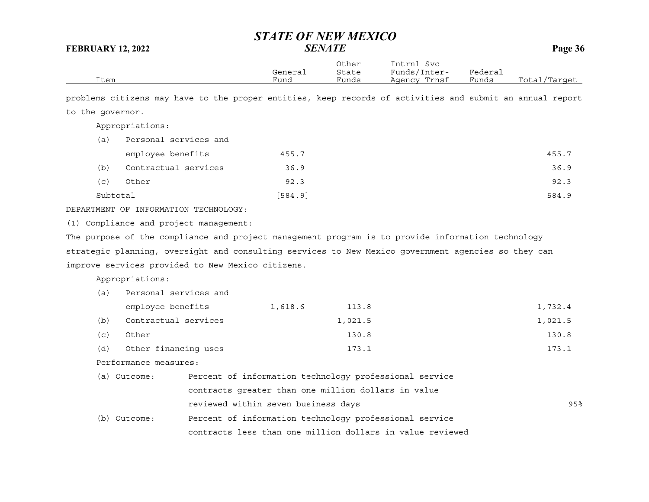| Item             |                                       |                                                                                                           | General<br>Fund | Other<br>State<br>Funds | Intrnl Svc<br>Funds/Inter-<br>Agency Trnsf                | Federal<br>Funds | Total/Target |
|------------------|---------------------------------------|-----------------------------------------------------------------------------------------------------------|-----------------|-------------------------|-----------------------------------------------------------|------------------|--------------|
|                  |                                       | problems citizens may have to the proper entities, keep records of activities and submit an annual report |                 |                         |                                                           |                  |              |
| to the governor. |                                       |                                                                                                           |                 |                         |                                                           |                  |              |
|                  | Appropriations:                       |                                                                                                           |                 |                         |                                                           |                  |              |
| (a)              | Personal services and                 |                                                                                                           |                 |                         |                                                           |                  |              |
|                  | employee benefits                     |                                                                                                           | 455.7           |                         |                                                           |                  | 455.7        |
| (b)              | Contractual services                  |                                                                                                           | 36.9            |                         |                                                           |                  | 36.9         |
| (c)              | Other                                 |                                                                                                           | 92.3            |                         |                                                           |                  | 92.3         |
|                  | Subtotal                              |                                                                                                           | [584.9]         |                         |                                                           |                  | 584.9        |
|                  | DEPARTMENT OF INFORMATION TECHNOLOGY: |                                                                                                           |                 |                         |                                                           |                  |              |
|                  |                                       | (1) Compliance and project management:                                                                    |                 |                         |                                                           |                  |              |
|                  |                                       | The purpose of the compliance and project management program is to provide information technology         |                 |                         |                                                           |                  |              |
|                  |                                       | strategic planning, oversight and consulting services to New Mexico government agencies so they can       |                 |                         |                                                           |                  |              |
|                  |                                       | improve services provided to New Mexico citizens.                                                         |                 |                         |                                                           |                  |              |
|                  | Appropriations:                       |                                                                                                           |                 |                         |                                                           |                  |              |
| (a)              | Personal services and                 |                                                                                                           |                 |                         |                                                           |                  |              |
|                  | employee benefits                     |                                                                                                           | 1,618.6         | 113.8                   |                                                           |                  | 1,732.4      |
| (b)              | Contractual services                  |                                                                                                           |                 | 1,021.5                 |                                                           |                  | 1,021.5      |
| (c)              | Other                                 |                                                                                                           |                 | 130.8                   |                                                           |                  | 130.8        |
| (d)              | Other financing uses                  |                                                                                                           |                 | 173.1                   |                                                           |                  | 173.1        |
|                  | Performance measures:                 |                                                                                                           |                 |                         |                                                           |                  |              |
|                  | (a) Outcome:                          | Percent of information technology professional service                                                    |                 |                         |                                                           |                  |              |
|                  |                                       | contracts greater than one million dollars in value                                                       |                 |                         |                                                           |                  |              |
|                  |                                       | reviewed within seven business days                                                                       |                 |                         |                                                           |                  | 95%          |
|                  | (b) Outcome:                          | Percent of information technology professional service                                                    |                 |                         |                                                           |                  |              |
|                  |                                       |                                                                                                           |                 |                         | contracts less than one million dollars in value reviewed |                  |              |
|                  |                                       |                                                                                                           |                 |                         |                                                           |                  |              |
|                  |                                       |                                                                                                           |                 |                         |                                                           |                  |              |
|                  |                                       |                                                                                                           |                 |                         |                                                           |                  |              |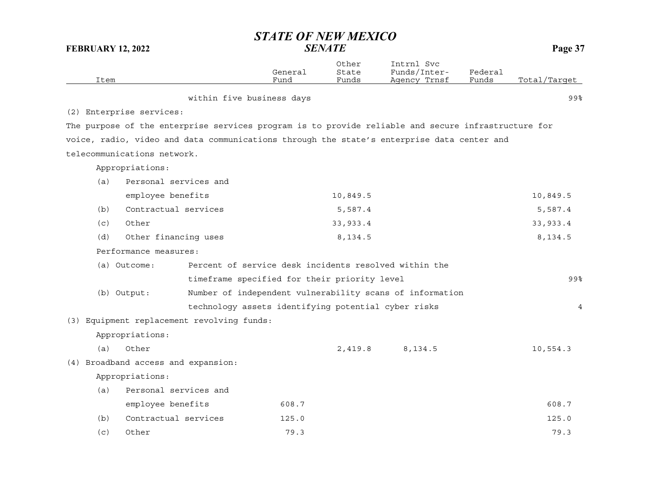| Item |                                     |                                            | General<br>Fund                                     | Other<br>State<br>Funds | Intrnl Svc<br>Funds/Inter-<br>Agency Trnsf                                                          | Federal<br>Funds | Total/Target |
|------|-------------------------------------|--------------------------------------------|-----------------------------------------------------|-------------------------|-----------------------------------------------------------------------------------------------------|------------------|--------------|
|      |                                     | within five business days                  |                                                     |                         |                                                                                                     |                  | 99%          |
|      | (2) Enterprise services:            |                                            |                                                     |                         |                                                                                                     |                  |              |
|      |                                     |                                            |                                                     |                         | The purpose of the enterprise services program is to provide reliable and secure infrastructure for |                  |              |
|      |                                     |                                            |                                                     |                         | voice, radio, video and data communications through the state's enterprise data center and          |                  |              |
|      | telecommunications network.         |                                            |                                                     |                         |                                                                                                     |                  |              |
|      | Appropriations:                     |                                            |                                                     |                         |                                                                                                     |                  |              |
| (a)  | Personal services and               |                                            |                                                     |                         |                                                                                                     |                  |              |
|      | employee benefits                   |                                            |                                                     | 10,849.5                |                                                                                                     |                  | 10,849.5     |
| (b)  | Contractual services                |                                            |                                                     | 5,587.4                 |                                                                                                     |                  | 5,587.4      |
| (c)  | Other                               |                                            |                                                     | 33,933.4                |                                                                                                     |                  | 33, 933.4    |
| (d)  | Other financing uses                |                                            |                                                     | 8,134.5                 |                                                                                                     |                  | 8, 134.5     |
|      | Performance measures:               |                                            |                                                     |                         |                                                                                                     |                  |              |
|      | (a) Outcome:                        |                                            |                                                     |                         | Percent of service desk incidents resolved within the                                               |                  |              |
|      |                                     |                                            | timeframe specified for their priority level        |                         |                                                                                                     |                  | 99%          |
|      | (b) Output:                         |                                            |                                                     |                         | Number of independent vulnerability scans of information                                            |                  |              |
|      |                                     |                                            | technology assets identifying potential cyber risks |                         |                                                                                                     |                  | 4            |
|      |                                     | (3) Equipment replacement revolving funds: |                                                     |                         |                                                                                                     |                  |              |
|      | Appropriations:                     |                                            |                                                     |                         |                                                                                                     |                  |              |
| (a)  | Other                               |                                            |                                                     | 2,419.8                 | 8,134.5                                                                                             |                  | 10,554.3     |
|      | (4) Broadband access and expansion: |                                            |                                                     |                         |                                                                                                     |                  |              |
|      | Appropriations:                     |                                            |                                                     |                         |                                                                                                     |                  |              |
| (a)  | Personal services and               |                                            |                                                     |                         |                                                                                                     |                  |              |
|      | employee benefits                   |                                            | 608.7                                               |                         |                                                                                                     |                  | 608.7        |
| (b)  | Contractual services                |                                            | 125.0                                               |                         |                                                                                                     |                  | 125.0        |
| (c)  | Other                               |                                            | 79.3                                                |                         |                                                                                                     |                  | 79.3         |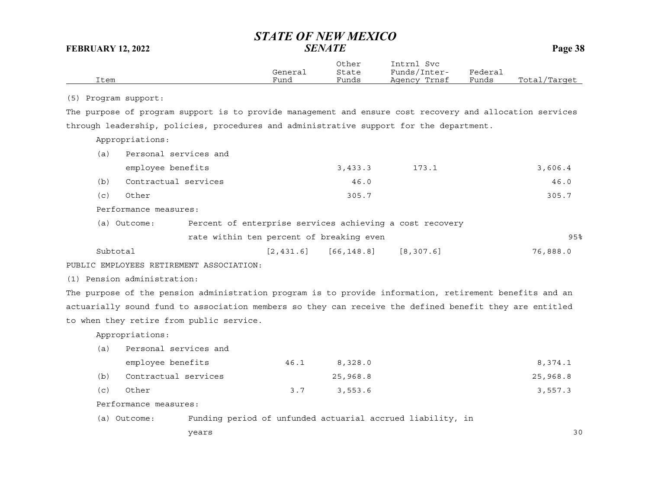| Item                                                                                                     | General<br>Fund | Other<br>State<br>Funds | Intrnl Svc<br>Funds/Inter-<br>Agency Trnsf | Federal<br>Funds | Total/Target |
|----------------------------------------------------------------------------------------------------------|-----------------|-------------------------|--------------------------------------------|------------------|--------------|
| (5) Program support:                                                                                     |                 |                         |                                            |                  |              |
| The purpose of program support is to provide management and ensure cost recovery and allocation services |                 |                         |                                            |                  |              |
| through leadership, policies, procedures and administrative support for the department.                  |                 |                         |                                            |                  |              |
| Appropriations:                                                                                          |                 |                         |                                            |                  |              |
| Personal services and<br>(a)                                                                             |                 |                         |                                            |                  |              |
| employee benefits                                                                                        |                 | 3,433.3                 | 173.1                                      |                  | 3,606.4      |
| Contractual services<br>(b)                                                                              |                 | 46.0                    |                                            |                  | 46.0         |
| Other<br>(c)                                                                                             |                 | 305.7                   |                                            |                  | 305.7        |
| Performance measures:                                                                                    |                 |                         |                                            |                  |              |
| Percent of enterprise services achieving a cost recovery<br>(a) Outcome:                                 |                 |                         |                                            |                  |              |
| rate within ten percent of breaking even                                                                 |                 |                         |                                            |                  | 95%          |
| Subtotal                                                                                                 | [2, 431.6]      | [66, 148.8]             | [8, 307.6]                                 |                  | 76,888.0     |
| PUBLIC EMPLOYEES RETIREMENT ASSOCIATION:                                                                 |                 |                         |                                            |                  |              |
| (1) Pension administration:                                                                              |                 |                         |                                            |                  |              |
| The purpose of the pension administration program is to provide information, retirement benefits and an  |                 |                         |                                            |                  |              |
| actuarially sound fund to association members so they can receive the defined benefit they are entitled  |                 |                         |                                            |                  |              |
| to when they retire from public service.                                                                 |                 |                         |                                            |                  |              |

Appropriations:

| (a) | Personal services and |      |          |          |
|-----|-----------------------|------|----------|----------|
|     | employee benefits     | 46.1 | 8,328.0  | 8,374.1  |
| (b) | Contractual services  |      | 25,968.8 | 25,968.8 |
| (C) | Other                 | 3.7  | 3,553.6  | 3,557.3  |

Performance measures:

(a) Outcome: Funding period of unfunded actuarial accrued liability, in

years 30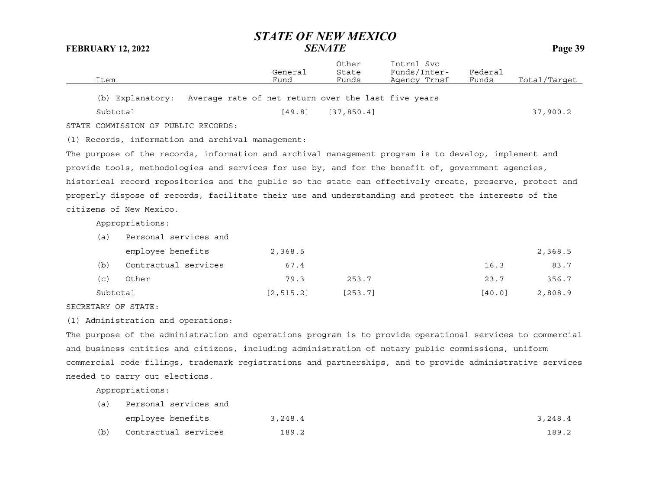| Item                                                                                                      | General<br>Fund | Other<br>State<br>Funds | Intrnl Svc<br>Funds/Inter-<br>Agency Trnsf | Federal<br>Funds | Total/Target |
|-----------------------------------------------------------------------------------------------------------|-----------------|-------------------------|--------------------------------------------|------------------|--------------|
| Average rate of net return over the last five years<br>(b) Explanatory:                                   |                 |                         |                                            |                  |              |
| Subtotal                                                                                                  | [49.8]          | [37, 850.4]             |                                            |                  | 37,900.2     |
| STATE COMMISSION OF PUBLIC RECORDS:                                                                       |                 |                         |                                            |                  |              |
| (1) Records, information and archival management:                                                         |                 |                         |                                            |                  |              |
| The purpose of the records, information and archival management program is to develop, implement and      |                 |                         |                                            |                  |              |
| provide tools, methodologies and services for use by, and for the benefit of, government agencies,        |                 |                         |                                            |                  |              |
| historical record repositories and the public so the state can effectively create, preserve, protect and  |                 |                         |                                            |                  |              |
| properly dispose of records, facilitate their use and understanding and protect the interests of the      |                 |                         |                                            |                  |              |
| citizens of New Mexico.                                                                                   |                 |                         |                                            |                  |              |
| Appropriations:                                                                                           |                 |                         |                                            |                  |              |
| Personal services and<br>(a)                                                                              |                 |                         |                                            |                  |              |
| employee benefits                                                                                         | 2,368.5         |                         |                                            |                  | 2,368.5      |
| Contractual services<br>(b)                                                                               | 67.4            |                         |                                            | 16.3             | 83.7         |
| Other<br>(C)                                                                                              | 79.3            | 253.7                   |                                            | 23.7             | 356.7        |
| Subtotal                                                                                                  | [2, 515.2]      | [253.7]                 |                                            | [40.0]           | 2,808.9      |
| SECRETARY OF STATE:                                                                                       |                 |                         |                                            |                  |              |
| (1) Administration and operations:                                                                        |                 |                         |                                            |                  |              |
| The purpose of the administration and operations program is to provide operational services to commercial |                 |                         |                                            |                  |              |
| and business entities and citizens, including administration of notary public commissions, uniform        |                 |                         |                                            |                  |              |
| commercial code filings, trademark registrations and partnerships, and to provide administrative services |                 |                         |                                            |                  |              |
| needed to carry out elections.                                                                            |                 |                         |                                            |                  |              |
| Appropriations:                                                                                           |                 |                         |                                            |                  |              |
| Personal services and<br>(a)                                                                              |                 |                         |                                            |                  |              |
| employee benefits                                                                                         | 3,248.4         |                         |                                            |                  | 3,248.4      |

(b) Contractual services 189.2 189.2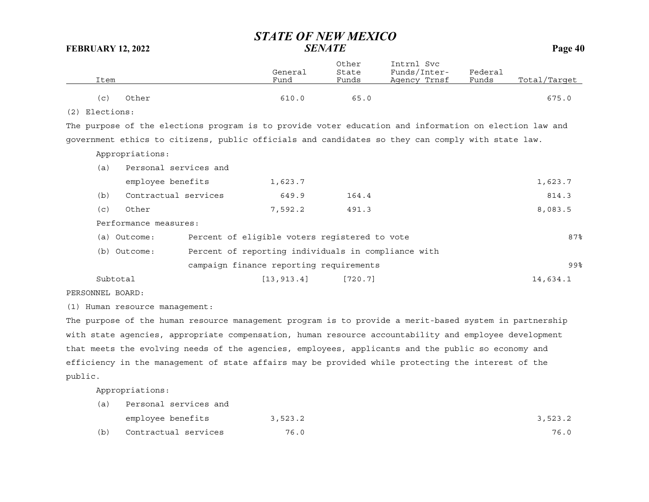|                  |                       | General                                                                                                | Other<br>State | Intrnl Svc<br>Funds/Inter- | Federal |              |
|------------------|-----------------------|--------------------------------------------------------------------------------------------------------|----------------|----------------------------|---------|--------------|
| Item             |                       | Fund                                                                                                   | Funds          | Agency Trnsf               | Funds   | Total/Target |
| (c)              | Other                 | 610.0                                                                                                  | 65.0           |                            |         | 675.0        |
| $(2)$ Elections: |                       |                                                                                                        |                |                            |         |              |
|                  |                       | The purpose of the elections program is to provide voter education and information on election law and |                |                            |         |              |
|                  |                       | government ethics to citizens, public officials and candidates so they can comply with state law.      |                |                            |         |              |
|                  | Appropriations:       |                                                                                                        |                |                            |         |              |
| (a)              | Personal services and |                                                                                                        |                |                            |         |              |
|                  | employee benefits     | 1,623.7                                                                                                |                |                            |         | 1,623.7      |
| (b)              | Contractual services  | 649.9                                                                                                  | 164.4          |                            |         | 814.3        |
| (c)              | Other                 | 7,592.2                                                                                                | 491.3          |                            |         | 8,083.5      |
|                  | Performance measures: |                                                                                                        |                |                            |         |              |
|                  | (a) Outcome:          | Percent of eligible voters registered to vote                                                          |                |                            |         | 87%          |
|                  | (b) Outcome:          | Percent of reporting individuals in compliance with                                                    |                |                            |         |              |
|                  |                       | campaign finance reporting requirements                                                                |                |                            |         | 99%          |
|                  | Subtotal              | [13, 913.4]                                                                                            | [720.7]        |                            |         | 14,634.1     |

PERSONNEL BOARD:

(1) Human resource management:

The purpose of the human resource management program is to provide a merit-based system in partnership with state agencies, appropriate compensation, human resource accountability and employee development that meets the evolving needs of the agencies, employees, applicants and the public so economy and efficiency in the management of state affairs may be provided while protecting the interest of the public.

Appropriations:

| (a) | Personal services and |         |         |
|-----|-----------------------|---------|---------|
|     | employee benefits     | 3,523.2 | 3,523.2 |
| (b) | Contractual services  | 76.0    | 76.0    |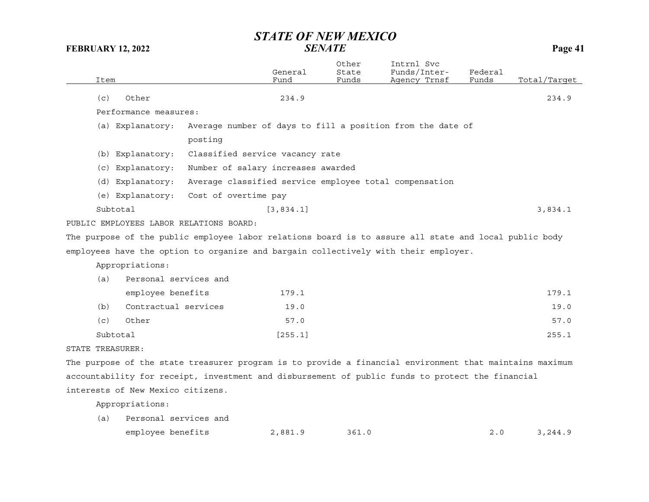|                  |                                         |                                                                                                         | General    | Other<br>State | Intrnl Svc<br>Funds/Inter- | Federal |              |
|------------------|-----------------------------------------|---------------------------------------------------------------------------------------------------------|------------|----------------|----------------------------|---------|--------------|
| Item             |                                         |                                                                                                         | Fund       | Funds          | Agency Trnsf               | Funds   | Total/Tarqet |
| (c)              | Other                                   |                                                                                                         | 234.9      |                |                            |         | 234.9        |
|                  | Performance measures:                   |                                                                                                         |            |                |                            |         |              |
|                  | (a) Explanatory:                        | Average number of days to fill a position from the date of                                              |            |                |                            |         |              |
|                  |                                         | posting                                                                                                 |            |                |                            |         |              |
|                  | (b) Explanatory:                        | Classified service vacancy rate                                                                         |            |                |                            |         |              |
|                  | (c) Explanatory:                        | Number of salary increases awarded                                                                      |            |                |                            |         |              |
|                  | (d) Explanatory:                        | Average classified service employee total compensation                                                  |            |                |                            |         |              |
|                  | (e) Explanatory:                        | Cost of overtime pay                                                                                    |            |                |                            |         |              |
|                  | Subtotal                                |                                                                                                         | [3, 834.1] |                |                            |         | 3,834.1      |
|                  | PUBLIC EMPLOYEES LABOR RELATIONS BOARD: |                                                                                                         |            |                |                            |         |              |
|                  |                                         | The purpose of the public employee labor relations board is to assure all state and local public body   |            |                |                            |         |              |
|                  |                                         | employees have the option to organize and bargain collectively with their employer.                     |            |                |                            |         |              |
|                  | Appropriations:                         |                                                                                                         |            |                |                            |         |              |
| (a)              | Personal services and                   |                                                                                                         |            |                |                            |         |              |
|                  | employee benefits                       |                                                                                                         | 179.1      |                |                            |         | 179.1        |
| (b)              | Contractual services                    |                                                                                                         | 19.0       |                |                            |         | 19.0         |
| (c)              | Other                                   |                                                                                                         | 57.0       |                |                            |         | 57.0         |
|                  | Subtotal                                |                                                                                                         | [255.1]    |                |                            |         | 255.1        |
| STATE TREASURER: |                                         |                                                                                                         |            |                |                            |         |              |
|                  |                                         | The purpose of the state treasurer program is to provide a financial environment that maintains maximum |            |                |                            |         |              |
|                  |                                         | accountability for receipt, investment and disbursement of public funds to protect the financial        |            |                |                            |         |              |
|                  | interests of New Mexico citizens.       |                                                                                                         |            |                |                            |         |              |

Appropriations:

(a) Personal services and employee benefits 2,881.9 361.0 2.0 3,244.9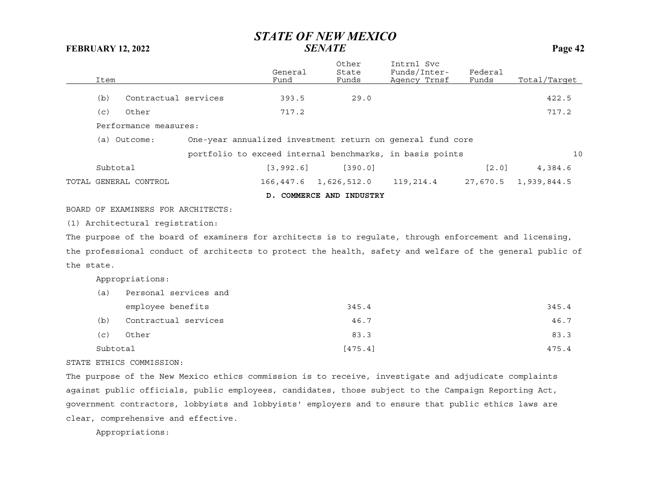|            | Item     |                                    |                                                                                                           | General<br>Fund | Other<br>State<br>Funds                                    | Intrnl Svc<br>Funds/Inter-<br>Agency Trnsf | Federal<br>Funds    | Total/Target         |
|------------|----------|------------------------------------|-----------------------------------------------------------------------------------------------------------|-----------------|------------------------------------------------------------|--------------------------------------------|---------------------|----------------------|
|            | (b)      | Contractual services               |                                                                                                           | 393.5           | 29.0                                                       |                                            |                     | 422.5                |
|            | (c)      | Other                              |                                                                                                           | 717.2           |                                                            |                                            |                     | 717.2                |
|            |          | Performance measures:              |                                                                                                           |                 |                                                            |                                            |                     |                      |
|            |          | (a) Outcome:                       |                                                                                                           |                 | One-year annualized investment return on general fund core |                                            |                     |                      |
|            |          |                                    |                                                                                                           |                 | portfolio to exceed internal benchmarks, in basis points   |                                            |                     | 10                   |
|            | Subtotal |                                    |                                                                                                           | [3, 992.6]      | [390.0]                                                    |                                            | $\lceil 2.0 \rceil$ | 4,384.6              |
|            |          | TOTAL GENERAL CONTROL              |                                                                                                           |                 | 166,447.6 1,626,512.0                                      | 119,214.4                                  |                     | 27,670.5 1,939,844.5 |
|            |          |                                    |                                                                                                           |                 | D. COMMERCE AND INDUSTRY                                   |                                            |                     |                      |
|            |          | BOARD OF EXAMINERS FOR ARCHITECTS: |                                                                                                           |                 |                                                            |                                            |                     |                      |
|            |          | (1) Architectural registration:    |                                                                                                           |                 |                                                            |                                            |                     |                      |
|            |          |                                    | The purpose of the board of examiners for architects is to regulate, through enforcement and licensing,   |                 |                                                            |                                            |                     |                      |
|            |          |                                    | the professional conduct of architects to protect the health, safety and welfare of the general public of |                 |                                                            |                                            |                     |                      |
| the state. |          |                                    |                                                                                                           |                 |                                                            |                                            |                     |                      |
|            |          | Appropriations:                    |                                                                                                           |                 |                                                            |                                            |                     |                      |
|            | (a)      | Personal services and              |                                                                                                           |                 |                                                            |                                            |                     |                      |
|            |          | employee benefits                  |                                                                                                           |                 | 345.4                                                      |                                            |                     | 345.4                |
|            | (b)      | Contractual services               |                                                                                                           |                 | 46.7                                                       |                                            |                     | 46.7                 |
|            | (c)      | Other                              |                                                                                                           |                 | 83.3                                                       |                                            |                     | 83.3                 |
|            | Subtotal |                                    |                                                                                                           |                 | $[475.4]$                                                  |                                            |                     | 475.4                |
|            |          |                                    |                                                                                                           |                 |                                                            |                                            |                     |                      |

### STATE ETHICS COMMISSION:

The purpose of the New Mexico ethics commission is to receive, investigate and adjudicate complaints against public officials, public employees, candidates, those subject to the Campaign Reporting Act, government contractors, lobbyists and lobbyists' employers and to ensure that public ethics laws are clear, comprehensive and effective.

Appropriations: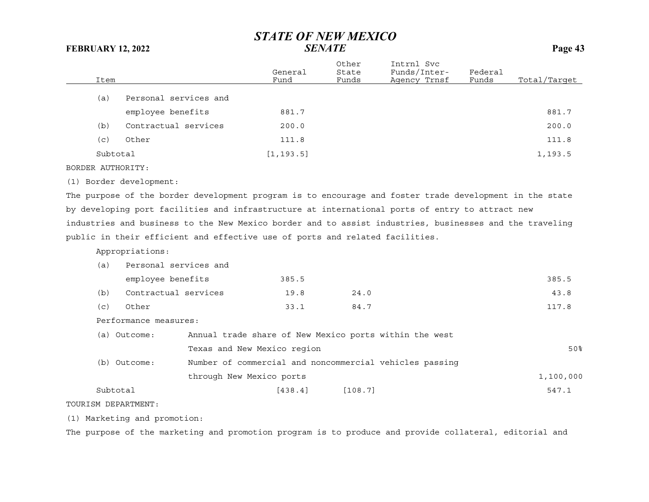| Item     |                       | General<br>Fund | Other<br>State<br>Funds | Intrnl Svc<br>Funds/Inter-<br>Agency Trnsf | Federal<br>Funds | Total/Target |
|----------|-----------------------|-----------------|-------------------------|--------------------------------------------|------------------|--------------|
| (a)      | Personal services and |                 |                         |                                            |                  |              |
|          | employee benefits     | 881.7           |                         |                                            |                  | 881.7        |
| (b)      | Contractual services  | 200.0           |                         |                                            |                  | 200.0        |
| (c)      | Other                 | 111.8           |                         |                                            |                  | 111.8        |
| Subtotal |                       | [1, 193.5]      |                         |                                            |                  | 1,193.5      |

BORDER AUTHORITY:

(1) Border development:

The purpose of the border development program is to encourage and foster trade development in the state by developing port facilities and infrastructure at international ports of entry to attract new industries and business to the New Mexico border and to assist industries, businesses and the traveling public in their efficient and effective use of ports and related facilities.

Appropriations:

| (a)        | Personal services and |       |                                                                                                                                                                                                                                    |       |
|------------|-----------------------|-------|------------------------------------------------------------------------------------------------------------------------------------------------------------------------------------------------------------------------------------|-------|
|            | employee benefits     | 385.5 |                                                                                                                                                                                                                                    | 385.5 |
| (b)        | Contractual services  | 19.8  | 24.0                                                                                                                                                                                                                               | 43.8  |
| (c)        | Other                 | 33.1  | 84.7                                                                                                                                                                                                                               | 117.8 |
|            | Performance measures: |       |                                                                                                                                                                                                                                    |       |
| $\sqrt{2}$ | $\sim$                |       | $\mathcal{L}$ and the set of the set of the set of the set of the set of the set of the set of the set of the set of the set of the set of the set of the set of the set of the set of the set of the set of the set of the set of |       |

| Outcome:<br>(a) | Annual trade share of New Mexico ports within the west  |           |
|-----------------|---------------------------------------------------------|-----------|
|                 | Texas and New Mexico region                             | 50%       |
| Outcome:<br>(b) | Number of commercial and noncommercial vehicles passing |           |
|                 | through New Mexico ports                                | 1,100,000 |
| Subtotal        | [438.4]<br>[108.7]                                      | 547.1     |

TOURISM DEPARTMENT:

(1) Marketing and promotion:

The purpose of the marketing and promotion program is to produce and provide collateral, editorial and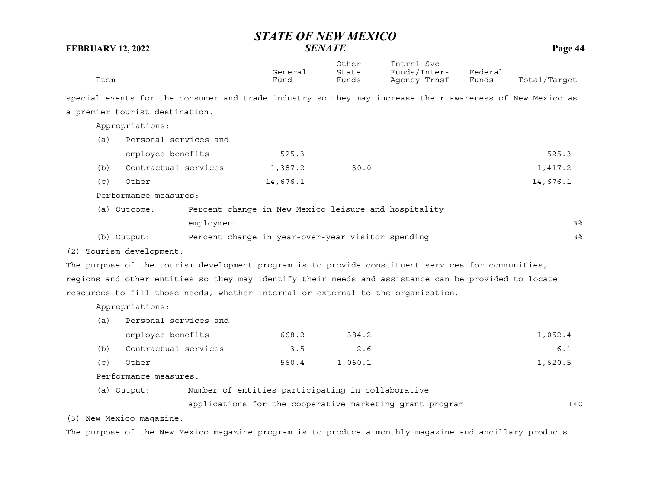| Item                                                                                                     |                                                          | General<br>Fund | Other<br>State<br>Funds | Intrnl Svc<br>Funds/Inter-<br>Agency Trnsf | Federal<br>Funds | Total/Target |
|----------------------------------------------------------------------------------------------------------|----------------------------------------------------------|-----------------|-------------------------|--------------------------------------------|------------------|--------------|
| special events for the consumer and trade industry so they may increase their awareness of New Mexico as |                                                          |                 |                         |                                            |                  |              |
| a premier tourist destination.                                                                           |                                                          |                 |                         |                                            |                  |              |
| Appropriations:                                                                                          |                                                          |                 |                         |                                            |                  |              |
| Personal services and<br>(a)                                                                             |                                                          |                 |                         |                                            |                  |              |
| employee benefits                                                                                        |                                                          | 525.3           |                         |                                            |                  | 525.3        |
| Contractual services<br>(b)                                                                              |                                                          | 1,387.2         | 30.0                    |                                            |                  | 1,417.2      |
| (c)<br>Other                                                                                             |                                                          | 14,676.1        |                         |                                            |                  | 14,676.1     |
| Performance measures:                                                                                    |                                                          |                 |                         |                                            |                  |              |
| (a) Outcome:                                                                                             | Percent change in New Mexico leisure and hospitality     |                 |                         |                                            |                  |              |
|                                                                                                          | employment                                               |                 |                         |                                            |                  | 3%           |
| (b) Output:                                                                                              | Percent change in year-over-year visitor spending        |                 |                         |                                            |                  | 3%           |
| (2) Tourism development:                                                                                 |                                                          |                 |                         |                                            |                  |              |
| The purpose of the tourism development program is to provide constituent services for communities,       |                                                          |                 |                         |                                            |                  |              |
| regions and other entities so they may identify their needs and assistance can be provided to locate     |                                                          |                 |                         |                                            |                  |              |
| resources to fill those needs, whether internal or external to the organization.                         |                                                          |                 |                         |                                            |                  |              |
| Appropriations:                                                                                          |                                                          |                 |                         |                                            |                  |              |
| Personal services and<br>(a)                                                                             |                                                          |                 |                         |                                            |                  |              |
| employee benefits                                                                                        |                                                          | 668.2           | 384.2                   |                                            |                  | 1,052.4      |
| Contractual services<br>(b)                                                                              |                                                          | 3.5             | 2.6                     |                                            |                  | 6.1          |
| Other<br>(c)                                                                                             |                                                          | 560.4           | 1,060.1                 |                                            |                  | 1,620.5      |
| Performance measures:                                                                                    |                                                          |                 |                         |                                            |                  |              |
| (a) Output:                                                                                              | Number of entities participating in collaborative        |                 |                         |                                            |                  |              |
|                                                                                                          | applications for the cooperative marketing grant program |                 |                         |                                            |                  | 140          |
| (3) New Mexico magazine:                                                                                 |                                                          |                 |                         |                                            |                  |              |
| The purpose of the New Mexico magazine program is to produce a monthly magazine and ancillary products   |                                                          |                 |                         |                                            |                  |              |
|                                                                                                          |                                                          |                 |                         |                                            |                  |              |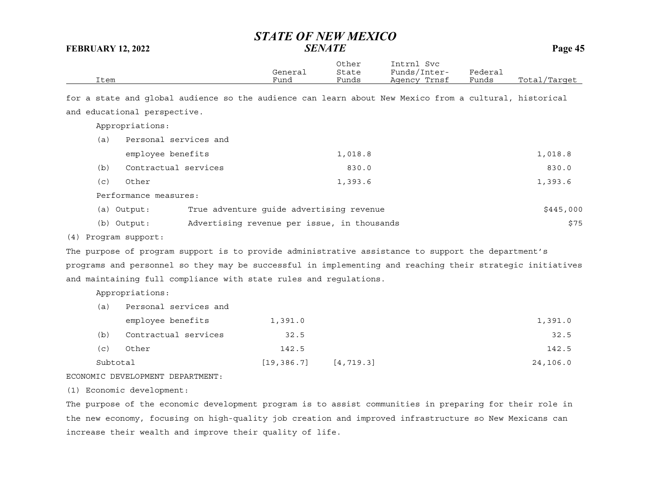|      | General | Other<br>State | Intrnl<br>Svc<br>Funds/Inter- | Federal |              |
|------|---------|----------------|-------------------------------|---------|--------------|
| Item | Fund    | Funds          | Agency Trnsf                  | Funds   | Total/Target |

for a state and global audience so the audience can learn about New Mexico from a cultural, historical and educational perspective.

Appropriations:

| (a)  | Personal services and |         |         |
|------|-----------------------|---------|---------|
|      | employee benefits     | 1,018.8 | 1,018.8 |
| (b)  | Contractual services  | 830.0   | 830.0   |
| (c)  | Other                 | 1,393.6 | 1,393.6 |
| $ -$ |                       |         |         |

Performance measures:

|  | (a) Output: | True adventure quide advertising revenue |  |  |  | \$445,000 |
|--|-------------|------------------------------------------|--|--|--|-----------|
|--|-------------|------------------------------------------|--|--|--|-----------|

| (b) Output:<br>Advertising revenue per issue, in thousands |  | \$75 |
|------------------------------------------------------------|--|------|
|------------------------------------------------------------|--|------|

(4) Program support:

The purpose of program support is to provide administrative assistance to support the department's programs and personnel so they may be successful in implementing and reaching their strategic initiatives and maintaining full compliance with state rules and regulations.

Appropriations:

| Subtotal |                       | [19, 386, 7] | [4, 719.3] | 24,106.0 |
|----------|-----------------------|--------------|------------|----------|
| (c)      | Other                 | 142.5        |            | 142.5    |
| (b)      | Contractual services  | 32.5         |            | 32.5     |
|          | employee benefits     | 1,391.0      |            | 1,391.0  |
| (a)      | Personal services and |              |            |          |

ECONOMIC DEVELOPMENT DEPARTMENT:

(1) Economic development:

The purpose of the economic development program is to assist communities in preparing for their role in the new economy, focusing on high-quality job creation and improved infrastructure so New Mexicans can increase their wealth and improve their quality of life.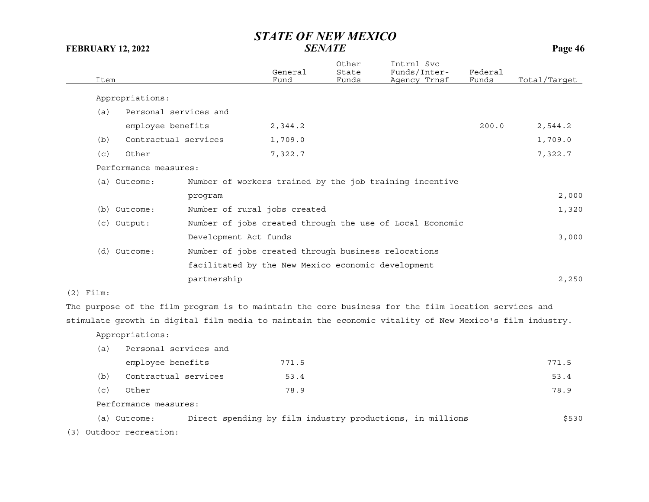|             |                         |                                                     | General | Other<br>State | Intrnl Svc<br>Funds/Inter-                                                                              | Federal |              |
|-------------|-------------------------|-----------------------------------------------------|---------|----------------|---------------------------------------------------------------------------------------------------------|---------|--------------|
| Item        |                         |                                                     | Fund    | Funds          | Agency Trnsf                                                                                            | Funds   | Total/Target |
|             | Appropriations:         |                                                     |         |                |                                                                                                         |         |              |
| (a)         | Personal services and   |                                                     |         |                |                                                                                                         |         |              |
|             | employee benefits       |                                                     | 2,344.2 |                |                                                                                                         | 200.0   | 2,544.2      |
| (b)         | Contractual services    |                                                     | 1,709.0 |                |                                                                                                         |         | 1,709.0      |
| (c)         | Other                   |                                                     | 7,322.7 |                |                                                                                                         |         | 7,322.7      |
|             | Performance measures:   |                                                     |         |                |                                                                                                         |         |              |
|             | (a) Outcome:            |                                                     |         |                | Number of workers trained by the job training incentive                                                 |         |              |
|             |                         | program                                             |         |                |                                                                                                         |         | 2,000        |
|             | (b) Outcome:            | Number of rural jobs created                        |         |                |                                                                                                         |         | 1,320        |
|             | (c) Output:             |                                                     |         |                | Number of jobs created through the use of Local Economic                                                |         |              |
|             |                         | Development Act funds                               |         |                |                                                                                                         |         | 3,000        |
|             | (d) Outcome:            | Number of jobs created through business relocations |         |                |                                                                                                         |         |              |
|             |                         | facilitated by the New Mexico economic development  |         |                |                                                                                                         |         |              |
|             |                         | partnership                                         |         |                |                                                                                                         |         | 2,250        |
| $(2)$ Film: |                         |                                                     |         |                |                                                                                                         |         |              |
|             |                         |                                                     |         |                | The purpose of the film program is to maintain the core business for the film location services and     |         |              |
|             |                         |                                                     |         |                | stimulate growth in digital film media to maintain the economic vitality of New Mexico's film industry. |         |              |
|             | Appropriations:         |                                                     |         |                |                                                                                                         |         |              |
| (a)         | Personal services and   |                                                     |         |                |                                                                                                         |         |              |
|             | employee benefits       |                                                     | 771.5   |                |                                                                                                         |         | 771.5        |
| (b)         | Contractual services    |                                                     | 53.4    |                |                                                                                                         |         | 53.4         |
| (c)         | Other                   |                                                     | 78.9    |                |                                                                                                         |         | 78.9         |
|             | Performance measures:   |                                                     |         |                |                                                                                                         |         |              |
|             | (a) Outcome:            |                                                     |         |                | Direct spending by film industry productions, in millions                                               |         | \$530        |
|             | (3) Outdoor recreation: |                                                     |         |                |                                                                                                         |         |              |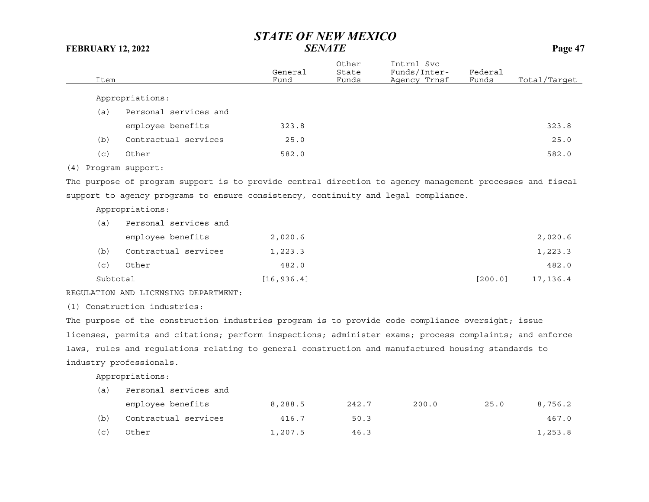| Item |                                                                                                          | General<br>Fund | Other<br>State<br>Funds | Intrnl Svc<br>Funds/Inter-<br>Agency Trnsf | Federal<br>Funds | Total/Target |
|------|----------------------------------------------------------------------------------------------------------|-----------------|-------------------------|--------------------------------------------|------------------|--------------|
|      | Appropriations:                                                                                          |                 |                         |                                            |                  |              |
| (a)  | Personal services and                                                                                    |                 |                         |                                            |                  |              |
|      | employee benefits                                                                                        | 323.8           |                         |                                            |                  | 323.8        |
| (b)  | Contractual services                                                                                     | 25.0            |                         |                                            |                  | 25.0         |
| (c)  | Other                                                                                                    | 582.0           |                         |                                            |                  | 582.0        |
|      |                                                                                                          |                 |                         |                                            |                  |              |
|      | (4) Program support:                                                                                     |                 |                         |                                            |                  |              |
|      | The purpose of program support is to provide central direction to agency management processes and fiscal |                 |                         |                                            |                  |              |
|      | support to agency programs to ensure consistency, continuity and legal compliance.                       |                 |                         |                                            |                  |              |
|      | Appropriations:                                                                                          |                 |                         |                                            |                  |              |
| (a)  | Personal services and                                                                                    |                 |                         |                                            |                  |              |
|      | employee benefits                                                                                        | 2,020.6         |                         |                                            |                  | 2,020.6      |
| (b)  | Contractual services                                                                                     | 1,223.3         |                         |                                            |                  | 1,223.3      |
| (C)  | Other                                                                                                    | 482.0           |                         |                                            |                  | 482.0        |
|      | Subtotal                                                                                                 | [16, 936.4]     |                         |                                            | [200.0]          | 17, 136.4    |
|      | REGULATION AND LICENSING DEPARTMENT:                                                                     |                 |                         |                                            |                  |              |
|      | (1) Construction industries:                                                                             |                 |                         |                                            |                  |              |
|      | The purpose of the construction industries program is to provide code compliance oversight; issue        |                 |                         |                                            |                  |              |
|      | licenses, permits and citations; perform inspections; administer exams; process complaints; and enforce  |                 |                         |                                            |                  |              |
|      | laws, rules and regulations relating to general construction and manufactured housing standards to       |                 |                         |                                            |                  |              |
|      | industry professionals.                                                                                  |                 |                         |                                            |                  |              |
|      | Appropriations:                                                                                          |                 |                         |                                            |                  |              |
| (a)  | Personal services and                                                                                    |                 |                         |                                            |                  |              |
|      | employee benefits                                                                                        | 8,288.5         | 242.7                   | 200.0                                      | 25.0             | 8,756.2      |
| (b)  | Contractual services                                                                                     | 416.7           | 50.3                    |                                            |                  | 467.0        |
|      |                                                                                                          |                 |                         |                                            |                  |              |
| (c)  | Other                                                                                                    | 1,207.5         | 46.3                    |                                            |                  | 1,253.8      |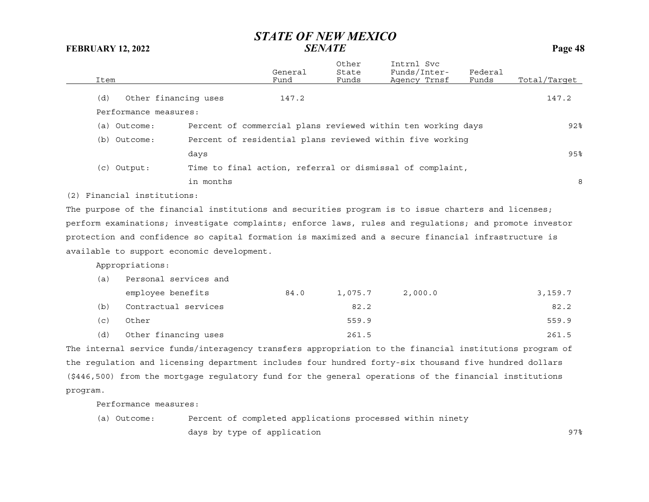|      |                             |                                            | General | Other<br>State | Intrnl Svc<br>Funds/Inter-                                                                              | Federal |              |
|------|-----------------------------|--------------------------------------------|---------|----------------|---------------------------------------------------------------------------------------------------------|---------|--------------|
| Item |                             |                                            | Fund    | Funds          | Agency Trnsf                                                                                            | Funds   | Total/Target |
| (d)  | Other financing uses        |                                            | 147.2   |                |                                                                                                         |         | 147.2        |
|      | Performance measures:       |                                            |         |                |                                                                                                         |         |              |
|      | (a) Outcome:                |                                            |         |                | Percent of commercial plans reviewed within ten working days                                            |         | 92%          |
|      | (b) Outcome:                |                                            |         |                | Percent of residential plans reviewed within five working                                               |         |              |
|      |                             | days                                       |         |                |                                                                                                         |         | 95%          |
|      | $(c)$ Output:               |                                            |         |                | Time to final action, referral or dismissal of complaint,                                               |         |              |
|      |                             | in months                                  |         |                |                                                                                                         |         | 8            |
|      | (2) Financial institutions: |                                            |         |                |                                                                                                         |         |              |
|      |                             |                                            |         |                | The purpose of the financial institutions and securities program is to issue charters and licenses;     |         |              |
|      |                             |                                            |         |                | perform examinations; investigate complaints; enforce laws, rules and regulations; and promote investor |         |              |
|      |                             |                                            |         |                | protection and confidence so capital formation is maximized and a secure financial infrastructure is    |         |              |
|      |                             | available to support economic development. |         |                |                                                                                                         |         |              |
|      | Appropriations:             |                                            |         |                |                                                                                                         |         |              |
| (a)  | Personal services and       |                                            |         |                |                                                                                                         |         |              |
|      | employee benefits           |                                            | 84.0    | 1,075.7        | 2,000.0                                                                                                 |         | 3,159.7      |
| (b)  | Contractual services        |                                            |         | 82.2           |                                                                                                         |         | 82.2         |
| (c)  | Other                       |                                            |         | 559.9          |                                                                                                         |         | 559.9        |
| (d)  | Other financing uses        |                                            |         | 261.5          |                                                                                                         |         | 261.5        |
|      |                             |                                            |         |                | The internal service funds/interagency transfers appropriation to the financial institutions program of |         |              |
|      |                             |                                            |         |                | the requlation and licensing department includes four hundred forty-six thousand five hundred dollars   |         |              |
|      |                             |                                            |         |                | (\$446,500) from the mortgage regulatory fund for the general operations of the financial institutions  |         |              |

program.

Performance measures:

(a) Outcome: Percent of completed applications processed within ninety days by type of application examples of the set of the set of the set of the set of the set of the set of the s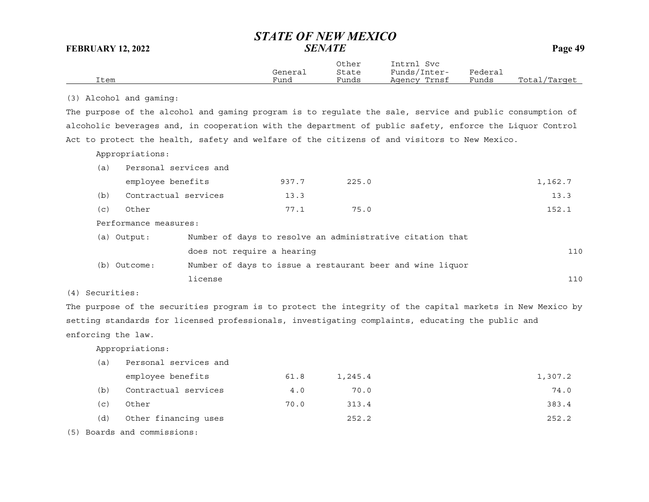|      |         | Other | Intrnl<br>Svc      |         |                  |
|------|---------|-------|--------------------|---------|------------------|
|      | General | State | Funds/I.<br>Inter- | Federai |                  |
| Item | Funa    | Funds | Trnsf<br>Agency    | Funds   | Total<br>/Target |

(3) Alcohol and gaming:

The purpose of the alcohol and gaming program is to regulate the sale, service and public consumption of alcoholic beverages and, in cooperation with the department of public safety, enforce the Liquor Control Act to protect the health, safety and welfare of the citizens of and visitors to New Mexico.

Appropriations:

| (a) | Personal services and |                            |                                                           |         |
|-----|-----------------------|----------------------------|-----------------------------------------------------------|---------|
|     | employee benefits     | 937.7                      | 225.0                                                     | 1,162.7 |
| (b) | Contractual services  | 13.3                       |                                                           | 13.3    |
| (c) | Other                 | 77.1                       | 75.0                                                      | 152.1   |
|     | Performance measures: |                            |                                                           |         |
|     | (a) Output:           |                            | Number of days to resolve an administrative citation that |         |
|     |                       | does not require a hearing |                                                           | 110     |
|     | (b) Outcome:          |                            | Number of days to issue a restaurant beer and wine liquor |         |
|     | license               |                            |                                                           | 110     |

(4) Securities:

The purpose of the securities program is to protect the integrity of the capital markets in New Mexico by setting standards for licensed professionals, investigating complaints, educating the public and enforcing the law.

Appropriations:

| (a) | Personal services and |      |         |         |
|-----|-----------------------|------|---------|---------|
|     | employee benefits     | 61.8 | 1,245.4 | 1,307.2 |
| (b) | Contractual services  | 4.0  | 70.0    | 74.0    |
| (c) | Other                 | 70.0 | 313.4   | 383.4   |
| (d) | Other financing uses  |      | 252.2   | 252.2   |
|     |                       |      |         |         |

(5) Boards and commissions: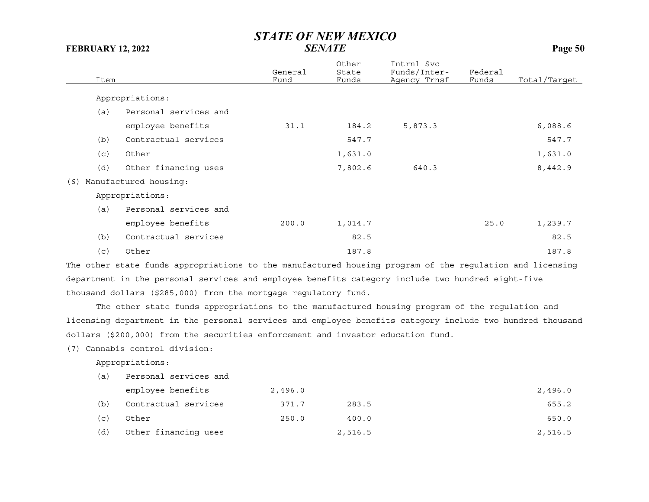| Item |                       | General<br>Fund | Other<br>State<br>Funds | Intrnl Svc<br>Funds/Inter-<br>Agency Trnsf | Federal<br>Funds | Total/Target |
|------|-----------------------|-----------------|-------------------------|--------------------------------------------|------------------|--------------|
|      | Appropriations:       |                 |                         |                                            |                  |              |
| (a)  | Personal services and |                 |                         |                                            |                  |              |
|      | employee benefits     | 31.1            | 184.2                   | 5,873.3                                    |                  | 6,088.6      |
| (b)  | Contractual services  |                 | 547.7                   |                                            |                  | 547.7        |
| (c)  | Other                 |                 | 1,631.0                 |                                            |                  | 1,631.0      |
| (d)  | Other financing uses  |                 | 7,802.6                 | 640.3                                      |                  | 8,442.9      |
| (6)  | Manufactured housing: |                 |                         |                                            |                  |              |
|      | Appropriations:       |                 |                         |                                            |                  |              |
| (a)  | Personal services and |                 |                         |                                            |                  |              |
|      | employee benefits     | 200.0           | 1,014.7                 |                                            | 25.0             | 1,239.7      |
| (b)  | Contractual services  |                 | 82.5                    |                                            |                  | 82.5         |
| (c)  | Other                 |                 | 187.8                   |                                            |                  | 187.8        |

The other state funds appropriations to the manufactured housing program of the regulation and licensing department in the personal services and employee benefits category include two hundred eight-five thousand dollars (\$285,000) from the mortgage regulatory fund.

The other state funds appropriations to the manufactured housing program of the regulation and licensing department in the personal services and employee benefits category include two hundred thousand dollars (\$200,000) from the securities enforcement and investor education fund.

(7) Cannabis control division:

Appropriations:

| (a) | Personal services and |         |         |         |
|-----|-----------------------|---------|---------|---------|
|     | employee benefits     | 2,496.0 |         | 2,496.0 |
| (b) | Contractual services  | 371.7   | 283.5   | 655.2   |
| (c) | Other                 | 250.0   | 400.0   | 650.0   |
| (d) | Other financing uses  |         | 2,516.5 | 2,516.5 |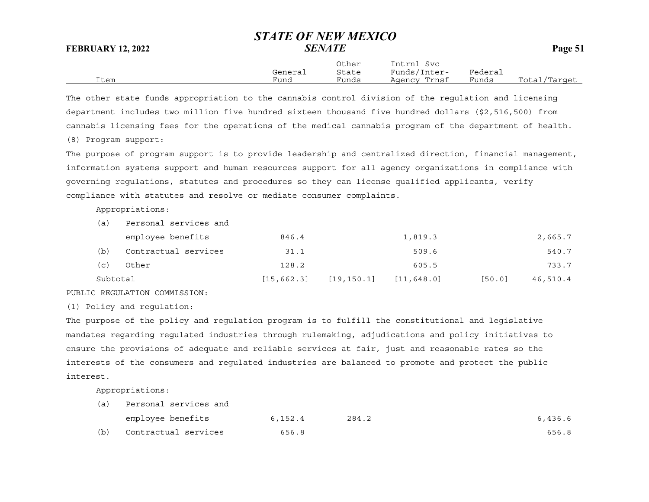Other Intrnl Svc General State Funds/Inter- Federal Item Fund Funds Agency Trnsf Funds Total/Target

The other state funds appropriation to the cannabis control division of the regulation and licensing department includes two million five hundred sixteen thousand five hundred dollars (\$2,516,500) from cannabis licensing fees for the operations of the medical cannabis program of the department of health.

(8) Program support:

The purpose of program support is to provide leadership and centralized direction, financial management, information systems support and human resources support for all agency organizations in compliance with governing regulations, statutes and procedures so they can license qualified applicants, verify compliance with statutes and resolve or mediate consumer complaints.

Appropriations:

| (a)      | Personal services and |             |             |             |        |          |
|----------|-----------------------|-------------|-------------|-------------|--------|----------|
|          | employee benefits     | 846.4       |             | 1,819.3     |        | 2,665.7  |
| (b)      | Contractual services  | 31.1        |             | 509.6       |        | 540.7    |
| (c)      | Other                 | 128.2       |             | 605.5       |        | 733.7    |
| Subtotal |                       | [15, 662.3] | [19, 150.1] | [11, 648.0] | [50.0] | 46,510.4 |

PUBLIC REGULATION COMMISSION:

(1) Policy and regulation:

The purpose of the policy and regulation program is to fulfill the constitutional and legislative mandates regarding regulated industries through rulemaking, adjudications and policy initiatives to ensure the provisions of adequate and reliable services at fair, just and reasonable rates so the interests of the consumers and regulated industries are balanced to promote and protect the public interest.

Appropriations:

| (a) | Personal services and |         |       |         |
|-----|-----------------------|---------|-------|---------|
|     | employee benefits     | 6,152.4 | 284.2 | 6,436.6 |
| (b) | Contractual services  | 656.8   |       | 656.8   |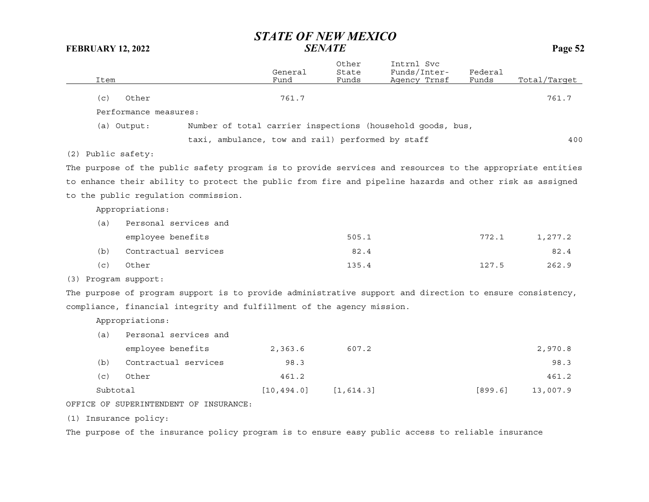| Item               |                                                                                                           | General<br>Fund | Other<br>State<br>Funds | Intrnl Svc<br>Funds/Inter-<br>Agency Trnsf                 | Federal<br>Funds | Total/Target |
|--------------------|-----------------------------------------------------------------------------------------------------------|-----------------|-------------------------|------------------------------------------------------------|------------------|--------------|
| (c)                | Other                                                                                                     | 761.7           |                         |                                                            |                  | 761.7        |
|                    | Performance measures:                                                                                     |                 |                         |                                                            |                  |              |
|                    | (a) Output:                                                                                               |                 |                         | Number of total carrier inspections (household goods, bus, |                  |              |
|                    | taxi, ambulance, tow and rail) performed by staff                                                         |                 |                         |                                                            |                  | 400          |
| (2) Public safety: |                                                                                                           |                 |                         |                                                            |                  |              |
|                    | The purpose of the public safety program is to provide services and resources to the appropriate entities |                 |                         |                                                            |                  |              |
|                    | to enhance their ability to protect the public from fire and pipeline hazards and other risk as assigned  |                 |                         |                                                            |                  |              |
|                    | to the public requlation commission.                                                                      |                 |                         |                                                            |                  |              |
|                    | Appropriations:                                                                                           |                 |                         |                                                            |                  |              |
| (a)                | Personal services and                                                                                     |                 |                         |                                                            |                  |              |
|                    | employee benefits                                                                                         |                 | 505.1                   |                                                            | 772.1            | 1,277.2      |
| (b)                | Contractual services                                                                                      |                 | 82.4                    |                                                            |                  | 82.4         |
| (c)                | Other                                                                                                     |                 | 135.4                   |                                                            | 127.5            | 262.9        |
| (3)                | Program support:                                                                                          |                 |                         |                                                            |                  |              |
|                    | The purpose of program support is to provide administrative support and direction to ensure consistency,  |                 |                         |                                                            |                  |              |
|                    | compliance, financial integrity and fulfillment of the agency mission.                                    |                 |                         |                                                            |                  |              |
|                    | Appropriations:                                                                                           |                 |                         |                                                            |                  |              |
| (a)                | Personal services and                                                                                     |                 |                         |                                                            |                  |              |
|                    | employee benefits                                                                                         | 2,363.6         | 607.2                   |                                                            |                  | 2,970.8      |
| (b)                | Contractual services                                                                                      | 98.3            |                         |                                                            |                  | 98.3         |
| (c)                | Other                                                                                                     | 461.2           |                         |                                                            |                  | 461.2        |
| Subtotal           |                                                                                                           | [10, 494.0]     | [1, 614.3]              |                                                            | [899.6]          | 13,007.9     |
|                    | OFFICE OF SUPERINTENDENT OF INSURANCE:                                                                    |                 |                         |                                                            |                  |              |

(1) Insurance policy:

The purpose of the insurance policy program is to ensure easy public access to reliable insurance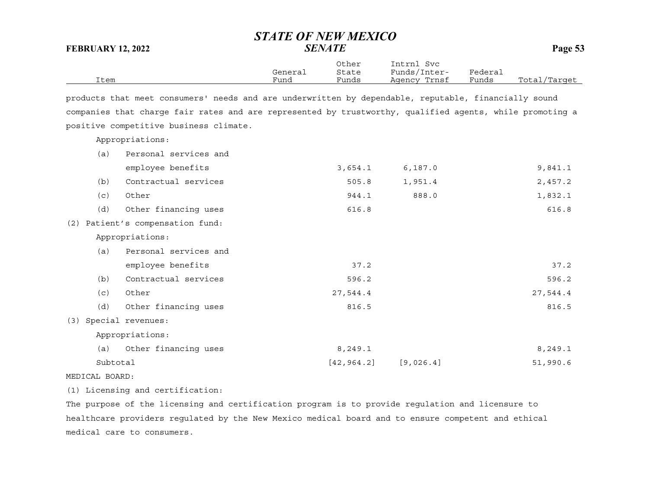| <b>FEBRUARY 12, 2022</b> |                                                                                                          | <b>STATE OF NEW MEXICO</b> | <b>SENATE</b>           |                                            |                  | Page 53      |
|--------------------------|----------------------------------------------------------------------------------------------------------|----------------------------|-------------------------|--------------------------------------------|------------------|--------------|
| Item                     |                                                                                                          | General<br>Fund            | Other<br>State<br>Funds | Intrnl Svc<br>Funds/Inter-<br>Agency Trnsf | Federal<br>Funds | Total/Target |
|                          | products that meet consumers' needs and are underwritten by dependable, reputable, financially sound     |                            |                         |                                            |                  |              |
|                          | companies that charge fair rates and are represented by trustworthy, qualified agents, while promoting a |                            |                         |                                            |                  |              |
|                          | positive competitive business climate.                                                                   |                            |                         |                                            |                  |              |
|                          | Appropriations:                                                                                          |                            |                         |                                            |                  |              |
| (a)                      | Personal services and                                                                                    |                            |                         |                                            |                  |              |
|                          | employee benefits                                                                                        |                            | 3,654.1                 | 6, 187.0                                   |                  | 9,841.1      |
| (b)                      | Contractual services                                                                                     |                            | 505.8                   | 1,951.4                                    |                  | 2,457.2      |
| (c)                      | Other                                                                                                    |                            | 944.1                   | 888.0                                      |                  | 1,832.1      |
| (d)                      | Other financing uses                                                                                     |                            | 616.8                   |                                            |                  | 616.8        |
|                          | (2) Patient's compensation fund:                                                                         |                            |                         |                                            |                  |              |
|                          | Appropriations:                                                                                          |                            |                         |                                            |                  |              |
| (a)                      | Personal services and                                                                                    |                            |                         |                                            |                  |              |
|                          | employee benefits                                                                                        |                            | 37.2                    |                                            |                  | 37.2         |
| (b)                      | Contractual services                                                                                     |                            | 596.2                   |                                            |                  | 596.2        |
| (c)                      | Other                                                                                                    |                            | 27,544.4                |                                            |                  | 27,544.4     |
| (d)                      | Other financing uses                                                                                     |                            | 816.5                   |                                            |                  | 816.5        |
| (3)                      | Special revenues:                                                                                        |                            |                         |                                            |                  |              |
|                          | Appropriations:                                                                                          |                            |                         |                                            |                  |              |
| (a)                      | Other financing uses                                                                                     |                            | 8,249.1                 |                                            |                  | 8,249.1      |
| Subtotal                 |                                                                                                          |                            | [42, 964.2]             | [9,026.4]                                  |                  | 51,990.6     |
| MEDICAL BOARD:           |                                                                                                          |                            |                         |                                            |                  |              |

(1) Licensing and certification:

The purpose of the licensing and certification program is to provide regulation and licensure to healthcare providers regulated by the New Mexico medical board and to ensure competent and ethical medical care to consumers.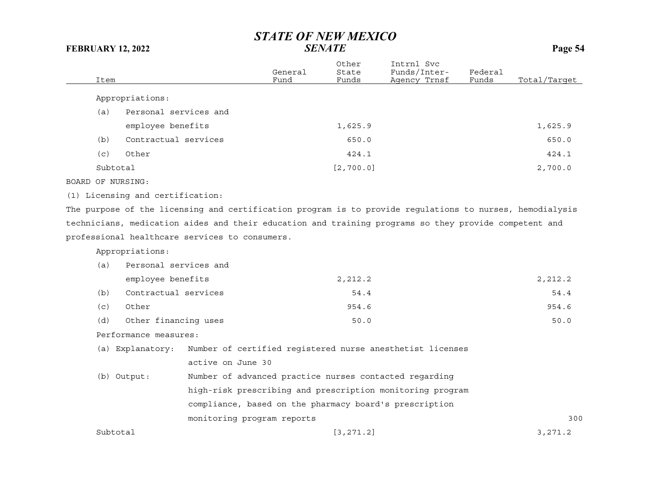|          |                       |                 |                         |                                            |                  | o            |
|----------|-----------------------|-----------------|-------------------------|--------------------------------------------|------------------|--------------|
| Item     |                       | General<br>Fund | Other<br>State<br>Funds | Intrnl Svc<br>Funds/Inter-<br>Agency Trnsf | Federal<br>Funds | Total/Target |
|          | Appropriations:       |                 |                         |                                            |                  |              |
| (a)      | Personal services and |                 |                         |                                            |                  |              |
|          | employee benefits     |                 | 1,625.9                 |                                            |                  | 1,625.9      |
| (b)      | Contractual services  |                 | 650.0                   |                                            |                  | 650.0        |
| (c)      | Other                 |                 | 424.1                   |                                            |                  | 424.1        |
| Subtotal |                       |                 | [2, 700.0]              |                                            |                  | 2,700.0      |

BOARD OF NURSING:

(1) Licensing and certification:

The purpose of the licensing and certification program is to provide regulations to nurses, hemodialysis technicians, medication aides and their education and training programs so they provide competent and professional healthcare services to consumers.

Appropriations:

| (a)      | Personal services and |                            |                                                           |         |
|----------|-----------------------|----------------------------|-----------------------------------------------------------|---------|
|          | employee benefits     |                            | 2,212.2                                                   | 2,212.2 |
| (b)      | Contractual services  |                            | 54.4                                                      | 54.4    |
| (c)      | Other                 |                            | 954.6                                                     | 954.6   |
| (d)      | Other financing uses  | 50.0                       |                                                           |         |
|          | Performance measures: |                            |                                                           |         |
|          | (a) Explanatory:      |                            | Number of certified registered nurse anesthetist licenses |         |
|          |                       | active on June 30          |                                                           |         |
|          | (b) Output:           |                            | Number of advanced practice nurses contacted regarding    |         |
|          |                       |                            | high-risk prescribing and prescription monitoring program |         |
|          |                       |                            | compliance, based on the pharmacy board's prescription    |         |
|          |                       | monitoring program reports |                                                           | 300     |
| Subtotal |                       |                            | [3, 271, 2]                                               | 3.271.2 |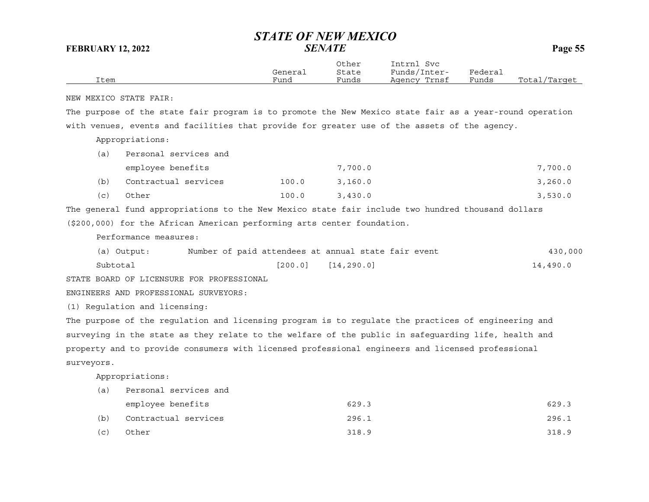| Item       |                                                                                                         | General<br>Fund | Other<br>State<br>Funds | Intrnl Svc<br>Funds/Inter-<br>Agency Trnsf | Federal<br>Funds | Total/Target |
|------------|---------------------------------------------------------------------------------------------------------|-----------------|-------------------------|--------------------------------------------|------------------|--------------|
|            | NEW MEXICO STATE FAIR:                                                                                  |                 |                         |                                            |                  |              |
|            | The purpose of the state fair program is to promote the New Mexico state fair as a year-round operation |                 |                         |                                            |                  |              |
|            | with venues, events and facilities that provide for greater use of the assets of the agency.            |                 |                         |                                            |                  |              |
|            | Appropriations:                                                                                         |                 |                         |                                            |                  |              |
| (a)        | Personal services and                                                                                   |                 |                         |                                            |                  |              |
|            | employee benefits                                                                                       |                 | 7,700.0                 |                                            |                  | 7,700.0      |
| (b)        | Contractual services                                                                                    | 100.0           | 3,160.0                 |                                            |                  | 3, 260.0     |
| (c)        | Other                                                                                                   | 100.0           | 3,430.0                 |                                            |                  | 3,530.0      |
|            | The general fund appropriations to the New Mexico state fair include two hundred thousand dollars       |                 |                         |                                            |                  |              |
|            | (\$200,000) for the African American performing arts center foundation.                                 |                 |                         |                                            |                  |              |
|            | Performance measures:                                                                                   |                 |                         |                                            |                  |              |
|            | Number of paid attendees at annual state fair event<br>(a) Output:                                      |                 |                         |                                            |                  | 430,000      |
| Subtotal   |                                                                                                         | [200.0]         | [14, 290.0]             |                                            |                  | 14,490.0     |
|            | STATE BOARD OF LICENSURE FOR PROFESSIONAL                                                               |                 |                         |                                            |                  |              |
|            | ENGINEERS AND PROFESSIONAL SURVEYORS:                                                                   |                 |                         |                                            |                  |              |
|            | (1) Regulation and licensing:                                                                           |                 |                         |                                            |                  |              |
|            | The purpose of the regulation and licensing program is to regulate the practices of engineering and     |                 |                         |                                            |                  |              |
|            | surveying in the state as they relate to the welfare of the public in safeguarding life, health and     |                 |                         |                                            |                  |              |
|            | property and to provide consumers with licensed professional engineers and licensed professional        |                 |                         |                                            |                  |              |
| surveyors. |                                                                                                         |                 |                         |                                            |                  |              |
|            | Appropriations:                                                                                         |                 |                         |                                            |                  |              |
| (a)        | Personal services and                                                                                   |                 |                         |                                            |                  |              |
|            | employee benefits                                                                                       |                 | 629.3                   |                                            |                  | 629.3        |
| (b)        | Contractual services                                                                                    |                 | 296.1                   |                                            |                  | 296.1        |
| (c)        | Other                                                                                                   |                 | 318.9                   |                                            |                  | 318.9        |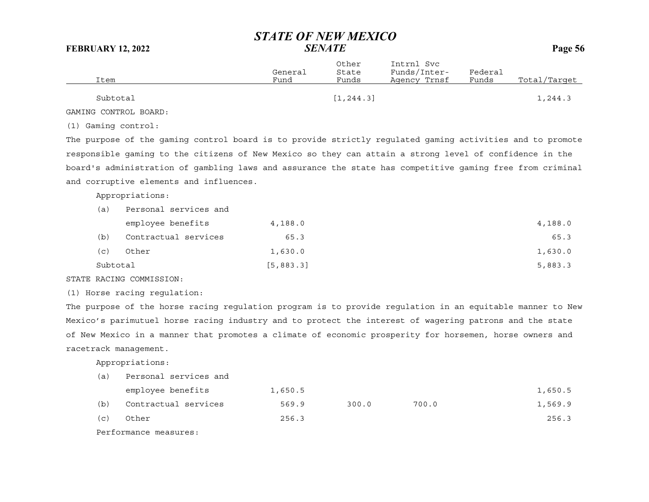| Item     | General<br>Fund | Other<br>State<br>Funds | Intrnl Svc<br>Funds/Inter-<br>Agency Trnsf | Federal<br>Funds | Total/Target |
|----------|-----------------|-------------------------|--------------------------------------------|------------------|--------------|
| Subtotal |                 | [1, 244.3]              |                                            |                  | l,244.3      |

GAMING CONTROL BOARD:

(1) Gaming control:

The purpose of the gaming control board is to provide strictly regulated gaming activities and to promote responsible gaming to the citizens of New Mexico so they can attain a strong level of confidence in the board's administration of gambling laws and assurance the state has competitive gaming free from criminal and corruptive elements and influences.

Appropriations:

| (a)      | Personal services and |            |         |
|----------|-----------------------|------------|---------|
|          | employee benefits     | 4,188.0    | 4,188.0 |
| (b)      | Contractual services  | 65.3       | 65.3    |
| (c)      | Other                 | 1,630.0    | 1,630.0 |
| Subtotal |                       | [5, 883.3] | 5,883.3 |

STATE RACING COMMISSION:

(1) Horse racing regulation:

The purpose of the horse racing regulation program is to provide regulation in an equitable manner to New Mexico's parimutuel horse racing industry and to protect the interest of wagering patrons and the state of New Mexico in a manner that promotes a climate of economic prosperity for horsemen, horse owners and racetrack management.

Appropriations:

| (a) | Personal services and |         |       |       |         |
|-----|-----------------------|---------|-------|-------|---------|
|     | employee benefits     | 1,650.5 |       |       | 1,650.5 |
| (b) | Contractual services  | 569.9   | 300.0 | 700.0 | 1,569.9 |
| (c) | Other                 | 256.3   |       |       | 256.3   |

Performance measures: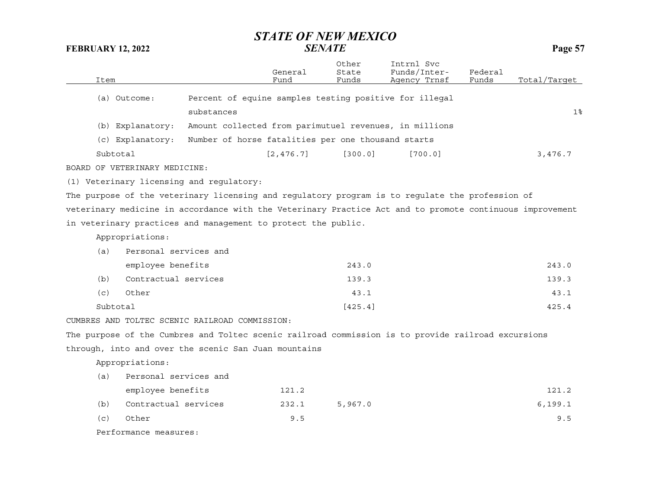| Item |                               |                                                               | General<br>Fund | Other<br>State<br>Funds | Intrnl Svc<br>Funds/Inter-<br>Agency Trnsf                                                               | Federal<br>Funds | Total/Target   |
|------|-------------------------------|---------------------------------------------------------------|-----------------|-------------------------|----------------------------------------------------------------------------------------------------------|------------------|----------------|
|      | (a) Outcome:                  |                                                               |                 |                         | Percent of equine samples testing positive for illegal                                                   |                  |                |
|      |                               | substances                                                    |                 |                         |                                                                                                          |                  | 1 <sup>°</sup> |
|      |                               |                                                               |                 |                         |                                                                                                          |                  |                |
|      | (b) Explanatory:              |                                                               |                 |                         | Amount collected from parimutuel revenues, in millions                                                   |                  |                |
|      | (c) Explanatory:              | Number of horse fatalities per one thousand starts            |                 |                         |                                                                                                          |                  |                |
|      | Subtotal                      |                                                               | [2, 476.7]      | [300.0]                 | [700.0]                                                                                                  |                  | 3,476.7        |
|      | BOARD OF VETERINARY MEDICINE: |                                                               |                 |                         |                                                                                                          |                  |                |
|      |                               | (1) Veterinary licensing and regulatory:                      |                 |                         |                                                                                                          |                  |                |
|      |                               |                                                               |                 |                         | The purpose of the veterinary licensing and regulatory program is to regulate the profession of          |                  |                |
|      |                               |                                                               |                 |                         | veterinary medicine in accordance with the Veterinary Practice Act and to promote continuous improvement |                  |                |
|      |                               | in veterinary practices and management to protect the public. |                 |                         |                                                                                                          |                  |                |
|      | Appropriations:               |                                                               |                 |                         |                                                                                                          |                  |                |
| (a)  | Personal services and         |                                                               |                 |                         |                                                                                                          |                  |                |
|      | employee benefits             |                                                               |                 | 243.0                   |                                                                                                          |                  | 243.0          |
| (b)  | Contractual services          |                                                               |                 | 139.3                   |                                                                                                          |                  | 139.3          |
| (c)  | Other                         |                                                               |                 | 43.1                    |                                                                                                          |                  | 43.1           |
|      | Subtotal                      |                                                               |                 | [425.4]                 |                                                                                                          |                  | 425.4          |
|      |                               | CUMBRES AND TOLTEC SCENIC RAILROAD COMMISSION:                |                 |                         |                                                                                                          |                  |                |
|      |                               |                                                               |                 |                         | The purpose of the Cumbres and Toltec scenic railroad commission is to provide railroad excursions       |                  |                |
|      |                               | through, into and over the scenic San Juan mountains          |                 |                         |                                                                                                          |                  |                |
|      | Appropriations:               |                                                               |                 |                         |                                                                                                          |                  |                |
| (a)  | Personal services and         |                                                               |                 |                         |                                                                                                          |                  |                |
|      | employee benefits             |                                                               | 121.2           |                         |                                                                                                          |                  | 121.2          |
| (b)  | Contractual services          |                                                               | 232.1           | 5,967.0                 |                                                                                                          |                  | 6, 199.1       |
| (c)  | Other                         |                                                               | 9.5             |                         |                                                                                                          |                  | 9.5            |
|      | Performance measures:         |                                                               |                 |                         |                                                                                                          |                  |                |
|      |                               |                                                               |                 |                         |                                                                                                          |                  |                |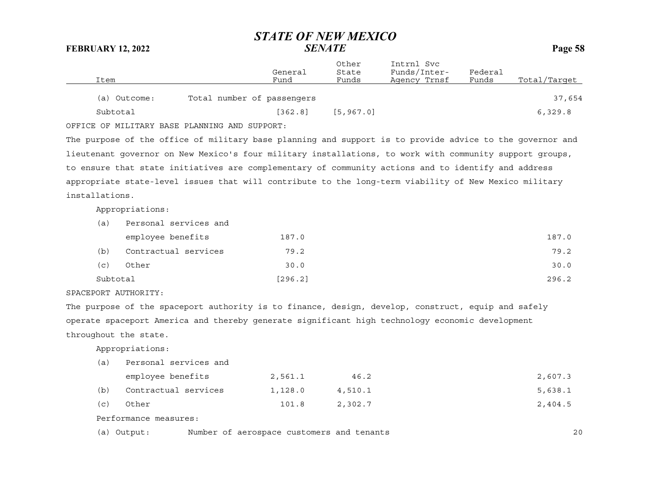|              | General                    | Other<br>State | Intrnl Svc<br>Funds/Inter- | Federal |              |
|--------------|----------------------------|----------------|----------------------------|---------|--------------|
| Item         | Fund                       | Funds          | Agency Trnsf               | Funds   | Total/Target |
| (a) Outcome: | Total number of passengers |                |                            |         | 37,654       |
|              |                            |                |                            |         |              |
| Subtotal     | [362.8]                    | [5, 967.0]     |                            |         | 6,329.8      |

OFFICE OF MILITARY BASE PLANNING AND SUPPORT:

The purpose of the office of military base planning and support is to provide advice to the governor and lieutenant governor on New Mexico's four military installations, to work with community support groups, to ensure that state initiatives are complementary of community actions and to identify and address appropriate state-level issues that will contribute to the long-term viability of New Mexico military installations.

Appropriations:

| (a)      | Personal services and |         |       |
|----------|-----------------------|---------|-------|
|          | employee benefits     | 187.0   | 187.0 |
| (b)      | Contractual services  | 79.2    | 79.2  |
| (c)      | Other                 | 30.0    | 30.0  |
| Subtotal |                       | [296.2] | 296.2 |

### SPACEPORT AUTHORITY:

The purpose of the spaceport authority is to finance, design, develop, construct, equip and safely operate spaceport America and thereby generate significant high technology economic development throughout the state.

Appropriations:

| (a) | Personal services and |         |         |         |
|-----|-----------------------|---------|---------|---------|
|     | employee benefits     | 2,561.1 | 46.2    | 2,607.3 |
| (b) | Contractual services  | 1,128.0 | 4,510.1 | 5,638.1 |
| (c) | Other                 | 101.8   | 2,302.7 | 2,404.5 |
|     |                       |         |         |         |

Performance measures:

(a) Output: Number of aerospace customers and tenants 20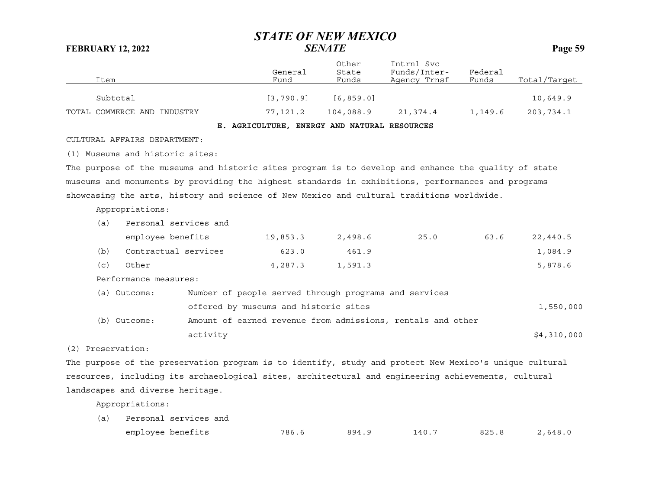| Item                        | General<br>Fund | Other<br>State<br>Funds | Intrnl Svc<br>Funds/Inter-<br>Agency Trnsf | Federal<br>Funds | Total/Target |
|-----------------------------|-----------------|-------------------------|--------------------------------------------|------------------|--------------|
| Subtotal                    | [3, 790.9]      | [6, 859, 0]             |                                            |                  | 10,649.9     |
| TOTAL COMMERCE AND INDUSTRY | 77,121.2        | 104,088.9               | 21,374.4                                   | 1,149.6          | 203,734.1    |

**E. AGRICULTURE, ENERGY AND NATURAL RESOURCES**

CULTURAL AFFAIRS DEPARTMENT:

(1) Museums and historic sites:

The purpose of the museums and historic sites program is to develop and enhance the quality of state museums and monuments by providing the highest standards in exhibitions, performances and programs showcasing the arts, history and science of New Mexico and cultural traditions worldwide.

Appropriations:

| (a) | Personal services and |          |         |      |      |          |
|-----|-----------------------|----------|---------|------|------|----------|
|     | employee benefits     | 19,853.3 | 2,498.6 | 25.0 | 63.6 | 22,440.5 |
| (b) | Contractual services  | 623.0    | 461.9   |      |      | 1,084.9  |
| (c) | Other                 | 4,287.3  | 1,591.3 |      |      | 5,878.6  |

Performance measures:

| (a) Outcome: | Number of people served through programs and services       |             |
|--------------|-------------------------------------------------------------|-------------|
|              | offered by museums and historic sites                       | 1,550,000   |
| (b) Outcome: | Amount of earned revenue from admissions, rentals and other |             |
|              | activity                                                    | \$4,310,000 |

(2) Preservation:

The purpose of the preservation program is to identify, study and protect New Mexico's unique cultural resources, including its archaeological sites, architectural and engineering achievements, cultural landscapes and diverse heritage.

Appropriations:

| (a) Personal services and |       |       |       |       |         |  |  |
|---------------------------|-------|-------|-------|-------|---------|--|--|
| employee benefits         | 786.6 | 894.9 | 140.7 | 825.8 | 2,648.0 |  |  |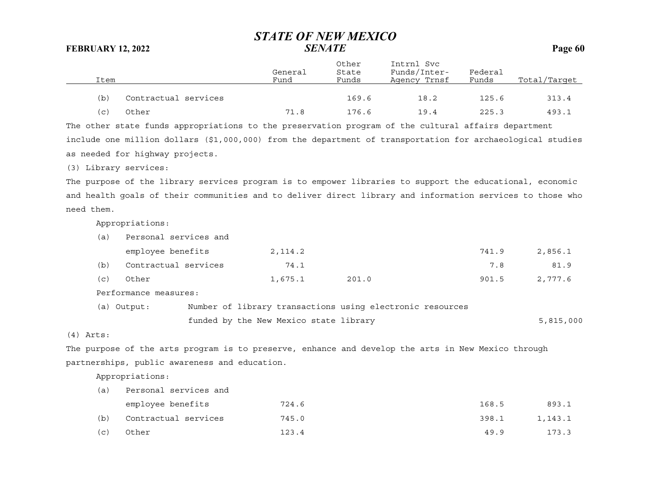Other Intrnl Svc

| Item |                      | General<br>Fund | State<br>Funds | Funds/Inter-<br>Agency Trnsf | Federal<br>Funds | Total/Target |
|------|----------------------|-----------------|----------------|------------------------------|------------------|--------------|
| (b)  | Contractual services |                 | 169.6          | 18.2                         | 125.6            | 313.4        |
| (C)  | Other                | 71.8            | 176.6          | 19.4                         | 225.3            | 493.1        |

The other state funds appropriations to the preservation program of the cultural affairs department include one million dollars (\$1,000,000) from the department of transportation for archaeological studies as needed for highway projects.

(3) Library services:

The purpose of the library services program is to empower libraries to support the educational, economic and health goals of their communities and to deliver direct library and information services to those who need them.

Appropriations:

| (a)   | Personal services and |         |       |       |         |
|-------|-----------------------|---------|-------|-------|---------|
|       | employee benefits     | 2,114.2 |       | 741.9 | 2,856.1 |
| (b)   | Contractual services  | 74.1    |       | 7.8   | 81.9    |
| ( C ) | Other                 | 1,675.1 | 201.0 | 901.5 | 2,777.6 |

Performance measures:

| (a) Output: |  | Number of library transactions using electronic resources |  |  |           |
|-------------|--|-----------------------------------------------------------|--|--|-----------|
|             |  | funded by the New Mexico state library                    |  |  | 5,815,000 |

(4) Arts:

The purpose of the arts program is to preserve, enhance and develop the arts in New Mexico through partnerships, public awareness and education.

Appropriations:

| (a) | Personal services and |       |       |         |  |  |
|-----|-----------------------|-------|-------|---------|--|--|
|     | employee benefits     | 724.6 | 168.5 | 893.1   |  |  |
| (b) | Contractual services  | 745.0 | 398.1 | 1,143.1 |  |  |
| (c) | Other                 | 123.4 | 49.9  | 173.3   |  |  |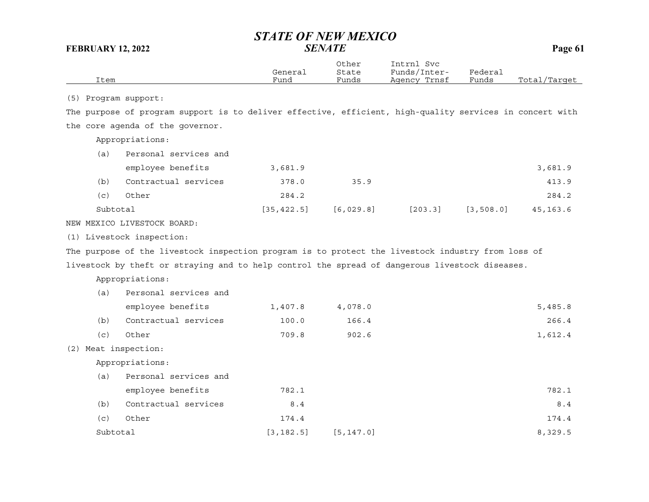|          |                                                                                                          | General     | Other<br>State | Intrnl Svc<br>Funds/Inter- | Federal    |              |
|----------|----------------------------------------------------------------------------------------------------------|-------------|----------------|----------------------------|------------|--------------|
| Item     |                                                                                                          | Fund        | Funds          | Agency Trnsf               | Funds      | Total/Target |
|          | (5) Program support:                                                                                     |             |                |                            |            |              |
|          | The purpose of program support is to deliver effective, efficient, high-quality services in concert with |             |                |                            |            |              |
|          | the core agenda of the governor.                                                                         |             |                |                            |            |              |
|          | Appropriations:                                                                                          |             |                |                            |            |              |
| (a)      | Personal services and                                                                                    |             |                |                            |            |              |
|          | employee benefits                                                                                        | 3,681.9     |                |                            |            | 3,681.9      |
| (b)      | Contractual services                                                                                     | 378.0       | 35.9           |                            |            | 413.9        |
| (c)      | Other                                                                                                    | 284.2       |                |                            |            | 284.2        |
| Subtotal |                                                                                                          | [35, 422.5] | [6, 029.8]     | [203.3]                    | [3, 508.0] | 45, 163.6    |
|          | NEW MEXICO LIVESTOCK BOARD:                                                                              |             |                |                            |            |              |
|          | (1) Livestock inspection:                                                                                |             |                |                            |            |              |
|          | The purpose of the livestock inspection program is to protect the livestock industry from loss of        |             |                |                            |            |              |
|          | livestock by theft or straying and to help control the spread of dangerous livestock diseases.           |             |                |                            |            |              |
|          | Appropriations:                                                                                          |             |                |                            |            |              |
| (a)      | Personal services and                                                                                    |             |                |                            |            |              |
|          | employee benefits                                                                                        | 1,407.8     | 4,078.0        |                            |            | 5,485.8      |
| (b)      | Contractual services                                                                                     | 100.0       | 166.4          |                            |            | 266.4        |
| (c)      | Other                                                                                                    | 709.8       | 902.6          |                            |            | 1,612.4      |
|          | (2) Meat inspection:                                                                                     |             |                |                            |            |              |
|          | Appropriations:                                                                                          |             |                |                            |            |              |
| (a)      | Personal services and                                                                                    |             |                |                            |            |              |
|          | employee benefits                                                                                        | 782.1       |                |                            |            | 782.1        |
| (b)      | Contractual services                                                                                     | 8.4         |                |                            |            | 8.4          |
| (c)      | Other                                                                                                    | 174.4       |                |                            |            | 174.4        |
| Subtotal |                                                                                                          | [3, 182.5]  | [5, 147.0]     |                            |            | 8,329.5      |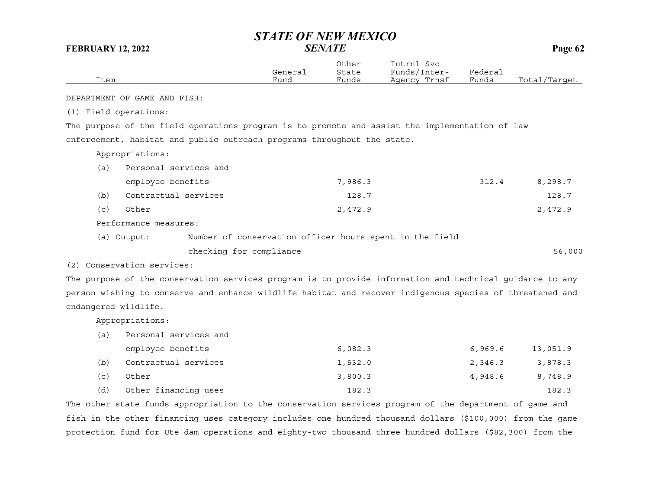| Item                  |                              |                                                                                                          | General<br>Fund | Other<br>State<br>Funds | Intrnl Svc<br>Funds/Inter-<br>Agency Trnsf | Federal<br>Funds | Total/Target |
|-----------------------|------------------------------|----------------------------------------------------------------------------------------------------------|-----------------|-------------------------|--------------------------------------------|------------------|--------------|
|                       | DEPARTMENT OF GAME AND FISH: |                                                                                                          |                 |                         |                                            |                  |              |
| (1) Field operations: |                              |                                                                                                          |                 |                         |                                            |                  |              |
|                       |                              | The purpose of the field operations program is to promote and assist the implementation of law           |                 |                         |                                            |                  |              |
|                       |                              | enforcement, habitat and public outreach programs throughout the state.                                  |                 |                         |                                            |                  |              |
|                       | Appropriations:              |                                                                                                          |                 |                         |                                            |                  |              |
| (a)                   | Personal services and        |                                                                                                          |                 |                         |                                            |                  |              |
|                       | employee benefits            |                                                                                                          |                 | 7,986.3                 |                                            | 312.4            | 8,298.7      |
| (b)                   | Contractual services         |                                                                                                          |                 | 128.7                   |                                            |                  | 128.7        |
| (c)                   | Other                        |                                                                                                          |                 | 2,472.9                 |                                            |                  | 2,472.9      |
|                       | Performance measures:        |                                                                                                          |                 |                         |                                            |                  |              |
|                       | (a) Output:                  | Number of conservation officer hours spent in the field                                                  |                 |                         |                                            |                  |              |
|                       |                              | checking for compliance                                                                                  |                 |                         |                                            |                  | 56,000       |
|                       | (2) Conservation services:   |                                                                                                          |                 |                         |                                            |                  |              |
|                       |                              | The purpose of the conservation services program is to provide information and technical guidance to any |                 |                         |                                            |                  |              |
|                       |                              | person wishing to conserve and enhance wildlife habitat and recover indigenous species of threatened and |                 |                         |                                            |                  |              |
| endangered wildlife.  |                              |                                                                                                          |                 |                         |                                            |                  |              |

Appropriations:

(a) Personal services and employee benefits 6,082.3 6,969.6 13,051.9 (b) Contractual services 1,532.0 2,346.3 3,878.3 (c) Other 3,800.3 4,948.6 8,748.9 (d) Other financing uses 182.3 182.3

The other state funds appropriation to the conservation services program of the department of game and fish in the other financing uses category includes one hundred thousand dollars (\$100,000) from the game protection fund for Ute dam operations and eighty-two thousand three hundred dollars (\$82,300) from the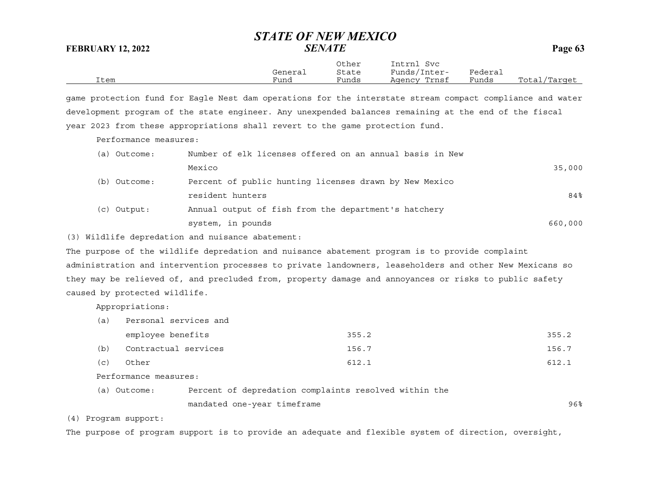|      |         | Other | Intrnl<br>Svc |         |              |
|------|---------|-------|---------------|---------|--------------|
|      | General | State | Funds/Inter-  | Federai |              |
| Item | Fund    | Funds | Agency Trnsf  | Funds   | Total/Target |

game protection fund for Eagle Nest dam operations for the interstate stream compact compliance and water development program of the state engineer. Any unexpended balances remaining at the end of the fiscal year 2023 from these appropriations shall revert to the game protection fund.

Performance measures:

| (a) Outcome: | Number of elk licenses offered on an annual basis in New |         |
|--------------|----------------------------------------------------------|---------|
|              | Mexico                                                   | 35,000  |
| (b) Outcome: | Percent of public hunting licenses drawn by New Mexico   |         |
|              | resident hunters                                         | 84%     |
| (c) Output:  | Annual output of fish from the department's hatchery     |         |
|              | system, in pounds                                        | 660,000 |

(3) Wildlife depredation and nuisance abatement:

The purpose of the wildlife depredation and nuisance abatement program is to provide complaint administration and intervention processes to private landowners, leaseholders and other New Mexicans so they may be relieved of, and precluded from, property damage and annoyances or risks to public safety caused by protected wildlife.

Appropriations:

| a.  | Personal services and |       |       |
|-----|-----------------------|-------|-------|
|     | employee benefits     | 355.2 | 355.2 |
| (b) | Contractual services  | 156.7 | 156.7 |
| (C) | Other                 | 612.1 | 612.1 |
|     |                       |       |       |

Performance measures:

| (a) Outcome: | Percent of depredation complaints resolved within the |     |
|--------------|-------------------------------------------------------|-----|
|              | mandated one-year timeframe                           | 96% |

(4) Program support:

The purpose of program support is to provide an adequate and flexible system of direction, oversight,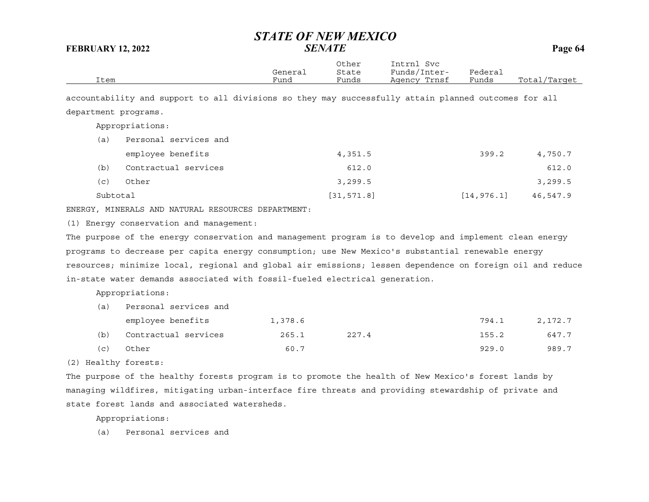| Item                 |  | General<br>Fund                                                                                      | Other<br>State<br>Funds | Intrnl Svc<br>Funds/Inter-<br>Agency Trnsf | Federal<br>Funds | Total/Target |
|----------------------|--|------------------------------------------------------------------------------------------------------|-------------------------|--------------------------------------------|------------------|--------------|
|                      |  | accountability and support to all divisions so they may successfully attain planned outcomes for all |                         |                                            |                  |              |
| department programs. |  |                                                                                                      |                         |                                            |                  |              |

Appropriations:

| (a)      | Personal services and |             |             |          |
|----------|-----------------------|-------------|-------------|----------|
|          | employee benefits     | 4,351.5     | 399.2       | 4,750.7  |
| (b)      | Contractual services  | 612.0       |             | 612.0    |
| (c)      | Other                 | 3,299.5     |             | 3, 299.5 |
| Subtotal |                       | [31, 571.8] | [14, 976.1] | 46,547.9 |

ENERGY, MINERALS AND NATURAL RESOURCES DEPARTMENT:

(1) Energy conservation and management:

The purpose of the energy conservation and management program is to develop and implement clean energy programs to decrease per capita energy consumption; use New Mexico's substantial renewable energy resources; minimize local, regional and global air emissions; lessen dependence on foreign oil and reduce in-state water demands associated with fossil-fueled electrical generation.

Appropriations:

| (a) | Personal services and |         |       |       |         |
|-----|-----------------------|---------|-------|-------|---------|
|     | employee benefits     | 1,378.6 |       | 794.1 | 2,172.7 |
| (b) | Contractual services  | 265.1   | 227.4 | 155.2 | 647.7   |
| (C) | Other                 | 60.7    |       | 929.0 | 989.7   |

(2) Healthy forests:

The purpose of the healthy forests program is to promote the health of New Mexico's forest lands by managing wildfires, mitigating urban-interface fire threats and providing stewardship of private and state forest lands and associated watersheds.

Appropriations:

(a) Personal services and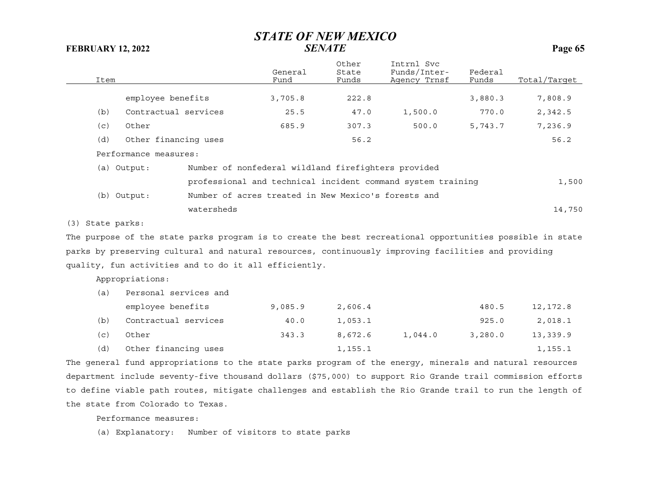| Item             |                       |                                                                                                                                                                                                                                                                                                             | General<br>Fund                                     | Other<br>State<br>Funds     | Intrnl Svc<br>Funds/Inter-<br>Agency Trnsf                                                                | Federal<br>Funds | Total/Target |
|------------------|-----------------------|-------------------------------------------------------------------------------------------------------------------------------------------------------------------------------------------------------------------------------------------------------------------------------------------------------------|-----------------------------------------------------|-----------------------------|-----------------------------------------------------------------------------------------------------------|------------------|--------------|
|                  | employee benefits     |                                                                                                                                                                                                                                                                                                             | 3,705.8                                             | 222.8                       |                                                                                                           | 3,880.3          | 7,808.9      |
| (b)              | Contractual services  |                                                                                                                                                                                                                                                                                                             | 25.5                                                | 47.0                        | 1,500.0                                                                                                   | 770.0            | 2,342.5      |
| (c)              | Other                 |                                                                                                                                                                                                                                                                                                             | 685.9                                               | 307.3                       | 500.0                                                                                                     | 5,743.7          | 7,236.9      |
| (d)              | Other financing uses  |                                                                                                                                                                                                                                                                                                             |                                                     | 56.2                        |                                                                                                           |                  | 56.2         |
|                  | Performance measures: |                                                                                                                                                                                                                                                                                                             |                                                     |                             |                                                                                                           |                  |              |
|                  | (a) Output:           |                                                                                                                                                                                                                                                                                                             | Number of nonfederal wildland firefighters provided |                             |                                                                                                           |                  |              |
|                  |                       |                                                                                                                                                                                                                                                                                                             |                                                     |                             | professional and technical incident command system training                                               |                  | 1,500        |
|                  | (b) Output:           |                                                                                                                                                                                                                                                                                                             | Number of acres treated in New Mexico's forests and |                             |                                                                                                           |                  |              |
|                  |                       | watersheds                                                                                                                                                                                                                                                                                                  |                                                     |                             |                                                                                                           |                  | 14,750       |
| (3) State parks: |                       |                                                                                                                                                                                                                                                                                                             |                                                     |                             |                                                                                                           |                  |              |
|                  |                       |                                                                                                                                                                                                                                                                                                             |                                                     |                             | The purpose of the state parks program is to create the best recreational opportunities possible in state |                  |              |
|                  |                       |                                                                                                                                                                                                                                                                                                             |                                                     |                             | parks by preserving cultural and natural resources, continuously improving facilities and providing       |                  |              |
|                  |                       | quality, fun activities and to do it all efficiently.                                                                                                                                                                                                                                                       |                                                     |                             |                                                                                                           |                  |              |
|                  | Appropriations:       |                                                                                                                                                                                                                                                                                                             |                                                     |                             |                                                                                                           |                  |              |
| (a)              | Personal services and |                                                                                                                                                                                                                                                                                                             |                                                     |                             |                                                                                                           |                  |              |
|                  | employee benefits     |                                                                                                                                                                                                                                                                                                             | 9,085.9                                             | 2,606.4                     |                                                                                                           | 480.5            | 12,172.8     |
| (b)              | Contractual services  |                                                                                                                                                                                                                                                                                                             | 40.0                                                | 1,053.1                     |                                                                                                           | 925.0            | 2,018.1      |
| (c)              | Other                 |                                                                                                                                                                                                                                                                                                             | 343.3                                               | 8,672.6                     | 1,044.0                                                                                                   | 3,280.0          | 13,339.9     |
| (d)              | Other financing uses  |                                                                                                                                                                                                                                                                                                             |                                                     | 1,155.1                     |                                                                                                           |                  | 1,155.1      |
|                  |                       | $\mathbf{a}$ , $\mathbf{a}$ , $\mathbf{a}$ , $\mathbf{a}$ , $\mathbf{a}$ , $\mathbf{a}$ , $\mathbf{a}$ , $\mathbf{a}$ , $\mathbf{a}$ , $\mathbf{a}$ , $\mathbf{a}$ , $\mathbf{a}$ , $\mathbf{a}$ , $\mathbf{a}$ , $\mathbf{a}$ , $\mathbf{a}$ , $\mathbf{a}$ , $\mathbf{a}$ , $\mathbf{a}$ , $\mathbf{a}$ , |                                                     | $\sim$ $\sim$ $\sim$ $\sim$ |                                                                                                           |                  |              |

The general fund appropriations to the state parks program of the energy, minerals and natural resources department include seventy-five thousand dollars (\$75,000) to support Rio Grande trail commission efforts to define viable path routes, mitigate challenges and establish the Rio Grande trail to run the length of the state from Colorado to Texas.

Performance measures:

(a) Explanatory: Number of visitors to state parks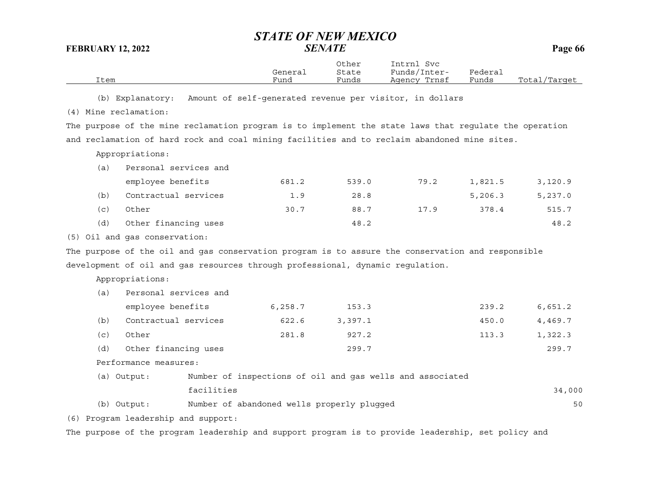|      |         | Other | Intrnl<br>Svc     |                             |                  |
|------|---------|-------|-------------------|-----------------------------|------------------|
|      | General | State | Funds/I<br>Inter- | ${}_{\rm \texttt{Federau}}$ |                  |
| Item | Fund    | Funds | Trnsf<br>Agencv   | Funds                       | Total<br>/Target |

(b) Explanatory: Amount of self-generated revenue per visitor, in dollars

(4) Mine reclamation:

The purpose of the mine reclamation program is to implement the state laws that regulate the operation and reclamation of hard rock and coal mining facilities and to reclaim abandoned mine sites.

Appropriations:

| al) | Personal services and |       |       |      |         |         |  |  |  |
|-----|-----------------------|-------|-------|------|---------|---------|--|--|--|
|     | employee benefits     | 681.2 | 539.0 | 79.2 | 1,821.5 | 3,120.9 |  |  |  |
| (b) | Contractual services  | 1.9   | 28.8  |      | 5,206.3 | 5,237.0 |  |  |  |
| (c) | Other                 | 30.7  | 88.7  | 17.9 | 378.4   | 515.7   |  |  |  |
| (d) | Other financing uses  |       | 48.2  |      |         | 48.2    |  |  |  |

(5) Oil and gas conservation:

The purpose of the oil and gas conservation program is to assure the conservation and responsible development of oil and gas resources through professional, dynamic regulation.

Appropriations:

| (a) | Personal services and |         |         |       |         |
|-----|-----------------------|---------|---------|-------|---------|
|     | employee benefits     | 6,258.7 | 153.3   | 239.2 | 6,651.2 |
| (b) | Contractual services  | 622.6   | 3,397.1 | 450.0 | 4,469.7 |
| (c) | Other                 | 281.8   | 927.2   | 113.3 | 1,322.3 |
| (d) | Other financing uses  |         | 299.7   |       | 299.7   |

Performance measures:

| (a) Output: | Number of inspections of oil and gas wells and associated |        |
|-------------|-----------------------------------------------------------|--------|
|             | facilities                                                | 34,000 |
| (b) Output: | Number of abandoned wells properly plugged                | 50     |

(6) Program leadership and support:

The purpose of the program leadership and support program is to provide leadership, set policy and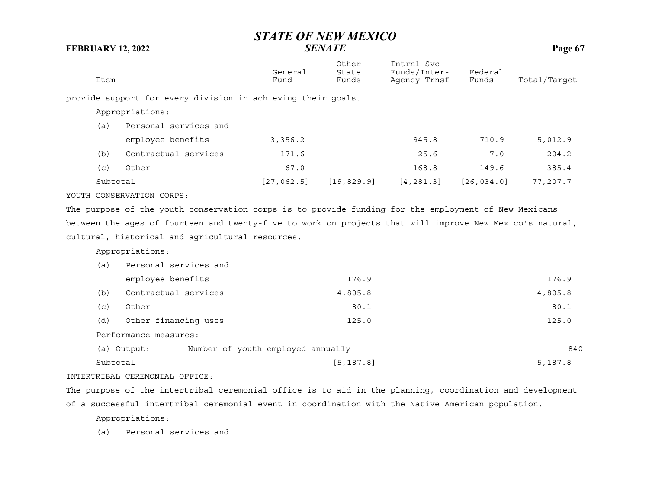| Item     |                                                                                                          | General<br>Fund                   | Other<br>State<br>Funds | Intrnl Svc<br>Funds/Inter-<br>Agency Trnsf | Federal<br>Funds | Total/Target |
|----------|----------------------------------------------------------------------------------------------------------|-----------------------------------|-------------------------|--------------------------------------------|------------------|--------------|
|          | provide support for every division in achieving their goals.                                             |                                   |                         |                                            |                  |              |
|          | Appropriations:                                                                                          |                                   |                         |                                            |                  |              |
| (a)      | Personal services and                                                                                    |                                   |                         |                                            |                  |              |
|          | employee benefits                                                                                        | 3,356.2                           |                         | 945.8                                      | 710.9            | 5,012.9      |
| (b)      | Contractual services                                                                                     | 171.6                             |                         | 25.6                                       | 7.0              | 204.2        |
| (c)      | Other                                                                                                    | 67.0                              |                         | 168.8                                      | 149.6            | 385.4        |
| Subtotal |                                                                                                          | [27, 062.5]                       | [19, 829.9]             | [4, 281.3]                                 | [26, 034.0]      | 77,207.7     |
|          | YOUTH CONSERVATION CORPS:                                                                                |                                   |                         |                                            |                  |              |
|          | The purpose of the youth conservation corps is to provide funding for the employment of New Mexicans     |                                   |                         |                                            |                  |              |
|          | between the ages of fourteen and twenty-five to work on projects that will improve New Mexico's natural, |                                   |                         |                                            |                  |              |
|          | cultural, historical and agricultural resources.                                                         |                                   |                         |                                            |                  |              |
|          | Appropriations:                                                                                          |                                   |                         |                                            |                  |              |
| (a)      | Personal services and                                                                                    |                                   |                         |                                            |                  |              |
|          | employee benefits                                                                                        |                                   | 176.9                   |                                            |                  | 176.9        |
| (b)      | Contractual services                                                                                     |                                   | 4,805.8                 |                                            |                  | 4,805.8      |
| (c)      | Other                                                                                                    |                                   | 80.1                    |                                            |                  | 80.1         |
| (d)      | Other financing uses                                                                                     |                                   | 125.0                   |                                            |                  | 125.0        |
|          | Performance measures:                                                                                    |                                   |                         |                                            |                  |              |
|          | (a) Output:                                                                                              | Number of youth employed annually |                         |                                            |                  | 840          |
| Subtotal |                                                                                                          |                                   | [5, 187.8]              |                                            |                  | 5,187.8      |
|          | INTERTRIBAL CEREMONIAL OFFICE:                                                                           |                                   |                         |                                            |                  |              |

The purpose of the intertribal ceremonial office is to aid in the planning, coordination and development of a successful intertribal ceremonial event in coordination with the Native American population.

Appropriations:

(a) Personal services and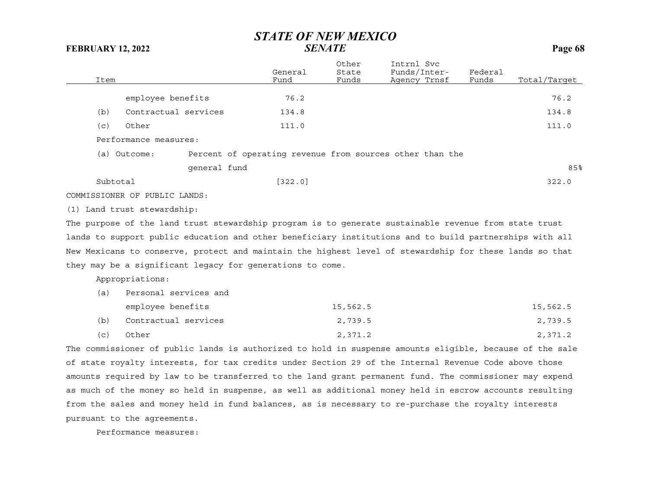|          |                               |              | General                                                                                                 | Other<br>State | Intrnl Svc<br>Funds/Inter- | Federal |              |
|----------|-------------------------------|--------------|---------------------------------------------------------------------------------------------------------|----------------|----------------------------|---------|--------------|
| Item     |                               |              | Fund                                                                                                    | Funds          | Agency Trnsf               | Funds   | Total/Target |
|          | employee benefits             |              | 76.2                                                                                                    |                |                            |         | 76.2         |
| (b)      | Contractual services          |              | 134.8                                                                                                   |                |                            |         | 134.8        |
| (c)      | Other                         |              | 111.0                                                                                                   |                |                            |         | 111.0        |
|          | Performance measures:         |              |                                                                                                         |                |                            |         |              |
|          | (a) Outcome:                  |              | Percent of operating revenue from sources other than the                                                |                |                            |         |              |
|          |                               | qeneral fund |                                                                                                         |                |                            |         | 85%          |
| Subtotal |                               |              | [322.0]                                                                                                 |                |                            |         | 322.0        |
|          | COMMISSIONER OF PUBLIC LANDS: |              |                                                                                                         |                |                            |         |              |
|          | (1) Land trust stewardship:   |              |                                                                                                         |                |                            |         |              |
|          |                               |              | The purpose of the land trust stewardship program is to generate sustainable revenue from state trust   |                |                            |         |              |
|          |                               |              | lands to support public education and other beneficiary institutions and to build partnerships with all |                |                            |         |              |
|          |                               |              | New Mexicans to conserve, protect and maintain the highest level of stewardship for these lands so that |                |                            |         |              |
|          |                               |              | they may be a significant legacy for generations to come.                                               |                |                            |         |              |
|          | Appropriations:               |              |                                                                                                         |                |                            |         |              |
|          |                               |              |                                                                                                         |                |                            |         |              |

(a) Personal services and employee benefits 15,562.5 15,562.5 (b) Contractual services 2,739.5 2,739.5 (c) Other 2,371.2 2,371.2

The commissioner of public lands is authorized to hold in suspense amounts eligible, because of the sale of state royalty interests, for tax credits under Section 29 of the Internal Revenue Code above those amounts required by law to be transferred to the land grant permanent fund. The commissioner may expend as much of the money so held in suspense, as well as additional money held in escrow accounts resulting from the sales and money held in fund balances, as is necessary to re-purchase the royalty interests pursuant to the agreements.

Performance measures: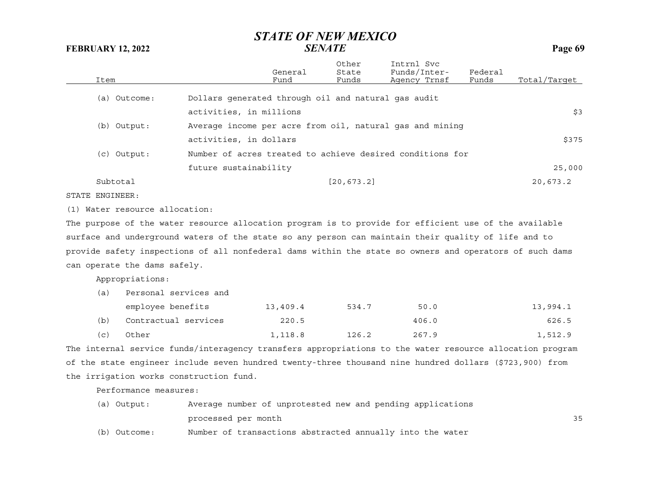|              |                                                           | General | Other<br>State | Intrnl Svc<br>Funds/Inter- | Federal |              |
|--------------|-----------------------------------------------------------|---------|----------------|----------------------------|---------|--------------|
| Item         |                                                           | Fund    | Funds          | Agency Trnsf               | Funds   | Total/Target |
| (a) Outcome: | Dollars generated through oil and natural gas audit       |         |                |                            |         |              |
|              | activities, in millions                                   |         |                |                            |         | \$3          |
| (b) Output:  | Average income per acre from oil, natural gas and mining  |         |                |                            |         |              |
|              | activities, in dollars                                    |         |                |                            |         | \$375        |
| (c) Output:  | Number of acres treated to achieve desired conditions for |         |                |                            |         |              |
|              | future sustainability                                     |         |                |                            |         | 25,000       |
| Subtotal     |                                                           |         | [20, 673.2]    |                            |         | 20,673.2     |
|              |                                                           |         |                |                            |         |              |

STATE ENGINEER:

(1) Water resource allocation:

The purpose of the water resource allocation program is to provide for efficient use of the available surface and underground waters of the state so any person can maintain their quality of life and to provide safety inspections of all nonfederal dams within the state so owners and operators of such dams can operate the dams safely.

Appropriations:

| (a) | Personal services and |          |       |       |          |  |  |  |  |
|-----|-----------------------|----------|-------|-------|----------|--|--|--|--|
|     | employee benefits     | 13,409.4 | 534.7 | 50.0  | 13,994.1 |  |  |  |  |
| (b) | Contractual services  | 220.5    |       | 406.0 | 626.5    |  |  |  |  |
| (c) | Other                 | 1,118.8  | 126.2 | 267.9 | 1,512.9  |  |  |  |  |

The internal service funds/interagency transfers appropriations to the water resource allocation program of the state engineer include seven hundred twenty-three thousand nine hundred dollars (\$723,900) from the irrigation works construction fund.

Performance measures:

| (a) Output: | Average number of unprotested new and pending applications |  |  |  |  |
|-------------|------------------------------------------------------------|--|--|--|--|
|             | processed per month                                        |  |  |  |  |
|             |                                                            |  |  |  |  |

(b) Outcome: Number of transactions abstracted annually into the water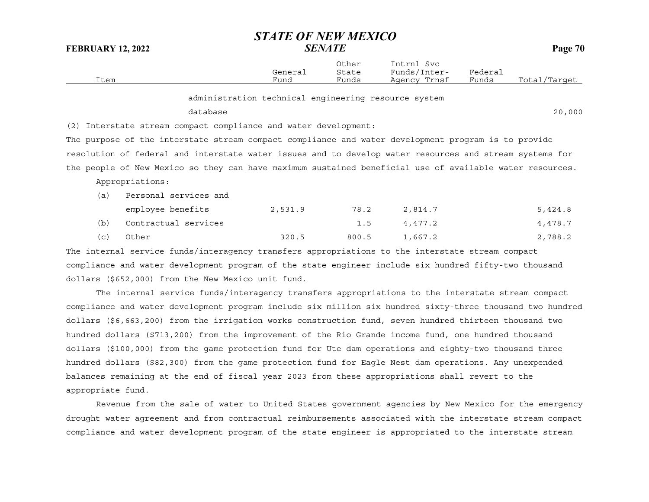|      | General | Other<br>State | Intrnl<br>Svc<br>Funds/Inter- | Federai |              |
|------|---------|----------------|-------------------------------|---------|--------------|
| Item | Fund    | Funds          | Agency Trnsf                  | Funds   | Total/Target |

administration technical engineering resource system

### database

e 20,000 and 20,000 and 20,000 and 20,000 and 20,000 and 20,000 and 20,000 and 20,000 and 20,000 and 20,000 and 20,000 and 20,000 and 20,000 and 20,000 and 20,000 and 20,000 and 20,000 and 20,000 and 20,000 and 20,000 and

(2) Interstate stream compact compliance and water development:

The purpose of the interstate stream compact compliance and water development program is to provide resolution of federal and interstate water issues and to develop water resources and stream systems for the people of New Mexico so they can have maximum sustained beneficial use of available water resources.

Appropriations:

| (a) | Personal services and |         |       |         |         |
|-----|-----------------------|---------|-------|---------|---------|
|     | employee benefits     | 2,531.9 | 78.2  | 2,814.7 | 5,424.8 |
| (b) | Contractual services  |         | 1.5   | 4.477.2 | 4,478.7 |
| (C) | Other                 | 320.5   | 800.5 | 1,667.2 | 2,788.2 |

The internal service funds/interagency transfers appropriations to the interstate stream compact compliance and water development program of the state engineer include six hundred fifty-two thousand dollars (\$652,000) from the New Mexico unit fund.

The internal service funds/interagency transfers appropriations to the interstate stream compact compliance and water development program include six million six hundred sixty-three thousand two hundred dollars (\$6,663,200) from the irrigation works construction fund, seven hundred thirteen thousand two hundred dollars (\$713,200) from the improvement of the Rio Grande income fund, one hundred thousand dollars (\$100,000) from the game protection fund for Ute dam operations and eighty-two thousand three hundred dollars (\$82,300) from the game protection fund for Eagle Nest dam operations. Any unexpended balances remaining at the end of fiscal year 2023 from these appropriations shall revert to the appropriate fund.

Revenue from the sale of water to United States government agencies by New Mexico for the emergency drought water agreement and from contractual reimbursements associated with the interstate stream compact compliance and water development program of the state engineer is appropriated to the interstate stream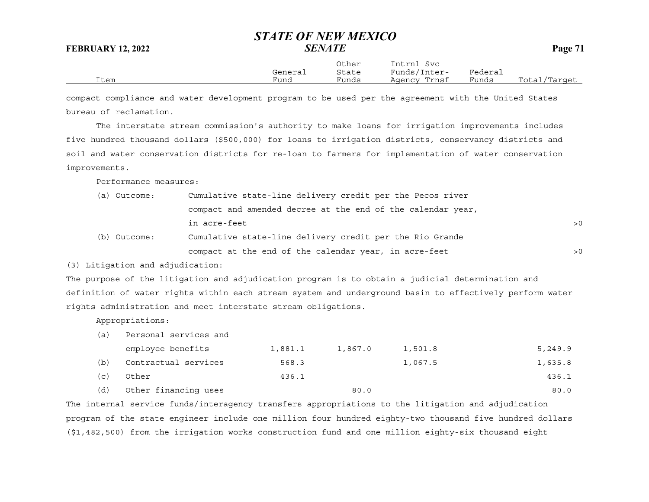Other Intrnl Svc General State Funds/Inter- Federal Item Fund Funds Agency Trnsf Funds Total/Target

compact compliance and water development program to be used per the agreement with the United States bureau of reclamation.

The interstate stream commission's authority to make loans for irrigation improvements includes five hundred thousand dollars (\$500,000) for loans to irrigation districts, conservancy districts and soil and water conservation districts for re-loan to farmers for implementation of water conservation improvements.

Performance measures:

| (a) Outcome: | Cumulative state-line delivery credit per the Pecos river   |     |
|--------------|-------------------------------------------------------------|-----|
|              | compact and amended decree at the end of the calendar year, |     |
|              | in acre-feet                                                | > 0 |
| (b) Outcome: | Cumulative state-line delivery credit per the Rio Grande    |     |
|              | compact at the end of the calendar year, in acre-feet       | > 0 |

(3) Litigation and adjudication:

The purpose of the litigation and adjudication program is to obtain a judicial determination and definition of water rights within each stream system and underground basin to effectively perform water rights administration and meet interstate stream obligations.

Appropriations:

(a) Personal services and

|     | employee benefits    | 1,881.1 | 1,867.0 | 1,501.8 | 5,249.9 |
|-----|----------------------|---------|---------|---------|---------|
| (b) | Contractual services | 568.3   |         | 1,067.5 | 1,635.8 |
| (C) | Other                | 436.1   |         |         | 436.1   |
| (d) | Other financing uses |         | 80.0    |         | 80.0    |

The internal service funds/interagency transfers appropriations to the litigation and adjudication program of the state engineer include one million four hundred eighty-two thousand five hundred dollars (\$1,482,500) from the irrigation works construction fund and one million eighty-six thousand eight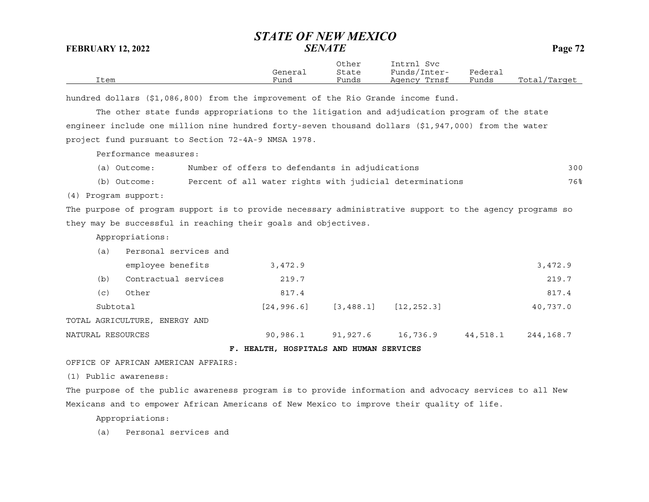|      | General | Other<br>State | Intrnl<br>Svc<br>Funds/Inter- | Federai |              |
|------|---------|----------------|-------------------------------|---------|--------------|
| Item | Fund    | Funds          | Agency Trnsf                  | Funds   | Total/Target |

hundred dollars (\$1,086,800) from the improvement of the Rio Grande income fund.

The other state funds appropriations to the litigation and adjudication program of the state engineer include one million nine hundred forty-seven thousand dollars (\$1,947,000) from the water project fund pursuant to Section 72-4A-9 NMSA 1978.

Performance measures:

|  | (a) Outcome: |  |  |  |  |  |  | Number of offers to defendants in adjudications | 3 O C |
|--|--------------|--|--|--|--|--|--|-------------------------------------------------|-------|
|--|--------------|--|--|--|--|--|--|-------------------------------------------------|-------|

(b) Outcome: Percent of all water rights with judicial determinations 76%

(4) Program support:

The purpose of program support is to provide necessary administrative support to the agency programs so they may be successful in reaching their goals and objectives.

Appropriations:

|                   | (a)      | Personal services and         |             |            |              |          |           |
|-------------------|----------|-------------------------------|-------------|------------|--------------|----------|-----------|
|                   |          | employee benefits             | 3,472.9     |            |              |          | 3,472.9   |
|                   | (b)      | Contractual services          | 219.7       |            |              |          | 219.7     |
|                   | (c)      | Other                         | 817.4       |            |              |          | 817.4     |
|                   | Subtotal |                               | [24, 996.6] | [3, 488.1] | [12, 252, 3] |          | 40,737.0  |
|                   |          | TOTAL AGRICULTURE, ENERGY AND |             |            |              |          |           |
| NATURAL RESOURCES |          |                               | 90,986.1    | 91,927.6   | 16,736.9     | 44,518.1 | 244,168.7 |

**F. HEALTH, HOSPITALS AND HUMAN SERVICES**

OFFICE OF AFRICAN AMERICAN AFFAIRS:

(1) Public awareness:

The purpose of the public awareness program is to provide information and advocacy services to all New Mexicans and to empower African Americans of New Mexico to improve their quality of life.

Appropriations:

(a) Personal services and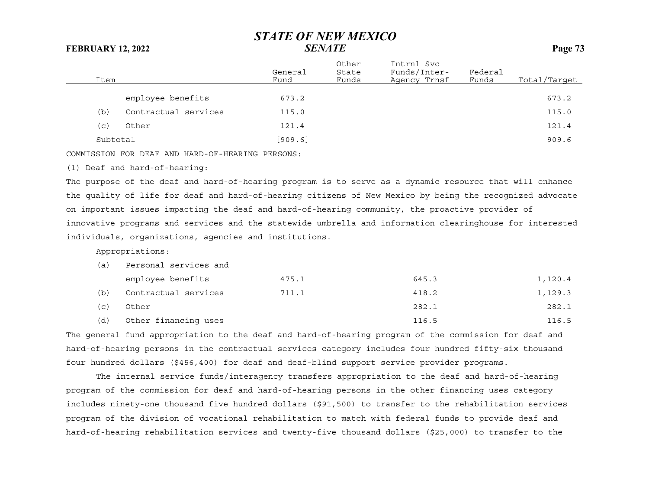| Item     |                      | General<br>Fund | Other<br>State<br>Funds | Intrnl Svc<br>Funds/Inter-<br>Agency Trnsf | Federal<br>Funds | Total/Target |
|----------|----------------------|-----------------|-------------------------|--------------------------------------------|------------------|--------------|
|          | employee benefits    | 673.2           |                         |                                            |                  | 673.2        |
| (b)      | Contractual services | 115.0           |                         |                                            |                  | 115.0        |
| (c)      | Other                | 121.4           |                         |                                            |                  | 121.4        |
| Subtotal |                      | [909.6]         |                         |                                            |                  | 909.6        |
|          |                      |                 |                         |                                            |                  |              |

COMMISSION FOR DEAF AND HARD-OF-HEARING PERSONS:

(1) Deaf and hard-of-hearing:

The purpose of the deaf and hard-of-hearing program is to serve as a dynamic resource that will enhance the quality of life for deaf and hard-of-hearing citizens of New Mexico by being the recognized advocate on important issues impacting the deaf and hard-of-hearing community, the proactive provider of innovative programs and services and the statewide umbrella and information clearinghouse for interested individuals, organizations, agencies and institutions.

Appropriations:

| (a) | Personal services and |       |       |         |  |  |  |  |
|-----|-----------------------|-------|-------|---------|--|--|--|--|
|     | employee benefits     | 475.1 | 645.3 | 1,120.4 |  |  |  |  |
| (b) | Contractual services  | 711.1 | 418.2 | 1,129.3 |  |  |  |  |
| (C) | Other                 |       | 282.1 | 282.1   |  |  |  |  |
| (d) | Other financing uses  |       | 116.5 | 116.5   |  |  |  |  |

The general fund appropriation to the deaf and hard-of-hearing program of the commission for deaf and hard-of-hearing persons in the contractual services category includes four hundred fifty-six thousand four hundred dollars (\$456,400) for deaf and deaf-blind support service provider programs.

The internal service funds/interagency transfers appropriation to the deaf and hard-of-hearing program of the commission for deaf and hard-of-hearing persons in the other financing uses category includes ninety-one thousand five hundred dollars (\$91,500) to transfer to the rehabilitation services program of the division of vocational rehabilitation to match with federal funds to provide deaf and hard-of-hearing rehabilitation services and twenty-five thousand dollars (\$25,000) to transfer to the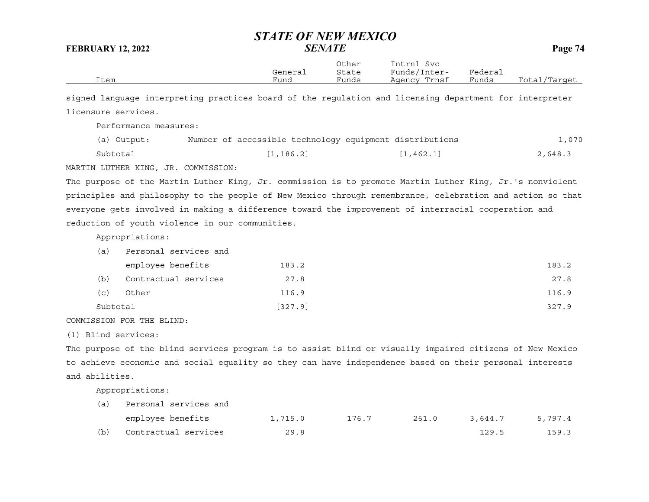|                |                                                                                                           | General    | Other<br>State | Intrnl Svc<br>Funds/Inter-                              | Federal |              |
|----------------|-----------------------------------------------------------------------------------------------------------|------------|----------------|---------------------------------------------------------|---------|--------------|
| Item           |                                                                                                           | Fund       | Funds          | Agency Trnsf                                            | Funds   | Total/Target |
|                | signed language interpreting practices board of the regulation and licensing department for interpreter   |            |                |                                                         |         |              |
|                | licensure services.                                                                                       |            |                |                                                         |         |              |
|                | Performance measures:                                                                                     |            |                |                                                         |         |              |
|                | (a) Output:                                                                                               |            |                | Number of accessible technology equipment distributions |         | 1,070        |
|                | Subtotal                                                                                                  | [1, 186.2] |                | [1, 462.1]                                              |         | 2,648.3      |
|                | MARTIN LUTHER KING, JR. COMMISSION:                                                                       |            |                |                                                         |         |              |
|                | The purpose of the Martin Luther King, Jr. commission is to promote Martin Luther King, Jr.'s nonviolent  |            |                |                                                         |         |              |
|                | principles and philosophy to the people of New Mexico through remembrance, celebration and action so that |            |                |                                                         |         |              |
|                | everyone gets involved in making a difference toward the improvement of interracial cooperation and       |            |                |                                                         |         |              |
|                | reduction of youth violence in our communities.                                                           |            |                |                                                         |         |              |
|                | Appropriations:                                                                                           |            |                |                                                         |         |              |
| (a)            | Personal services and                                                                                     |            |                |                                                         |         |              |
|                | employee benefits                                                                                         | 183.2      |                |                                                         |         | 183.2        |
| (b)            | Contractual services                                                                                      | 27.8       |                |                                                         |         | 27.8         |
| (c)            | Other                                                                                                     | 116.9      |                |                                                         |         | 116.9        |
|                | Subtotal                                                                                                  | [327.9]    |                |                                                         |         | 327.9        |
|                | COMMISSION FOR THE BLIND:                                                                                 |            |                |                                                         |         |              |
|                | (1) Blind services:                                                                                       |            |                |                                                         |         |              |
|                | The purpose of the blind services program is to assist blind or visually impaired citizens of New Mexico  |            |                |                                                         |         |              |
|                | to achieve economic and social equality so they can have independence based on their personal interests   |            |                |                                                         |         |              |
| and abilities. |                                                                                                           |            |                |                                                         |         |              |
|                | Appropriations:                                                                                           |            |                |                                                         |         |              |
| (a)            | Personal services and                                                                                     |            |                |                                                         |         |              |
|                | employee benefits                                                                                         | 1,715.0    | 176.7          | 261.0                                                   | 3,644.7 | 5,797.4      |
| (b)            | Contractual services                                                                                      | 29.8       |                |                                                         | 129.5   | 159.3        |
|                |                                                                                                           |            |                |                                                         |         |              |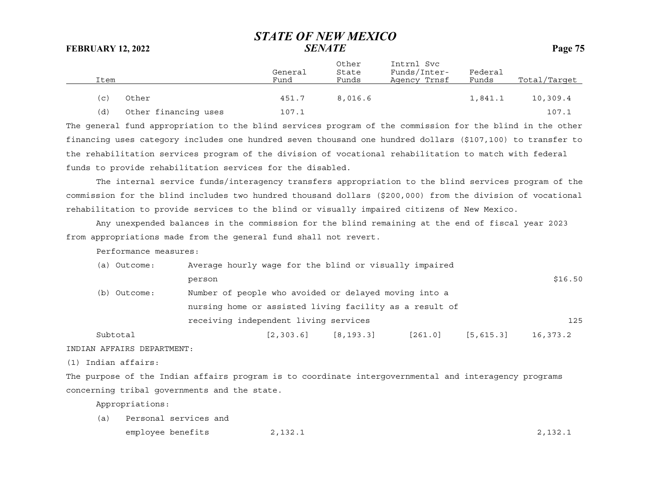| Item                |                      | General<br>Fund | Other<br>State<br>Funds | Intrnl Svc<br>Funds/Inter-<br>Agency Trnsf | Federal<br>Funds | Total/Target |
|---------------------|----------------------|-----------------|-------------------------|--------------------------------------------|------------------|--------------|
| $\left( $ $\right)$ | Other                | 451.7           | 8,016.6                 |                                            | 1,841.1          | 10,309.4     |
| (d)                 | Other financing uses | 107.1           |                         |                                            |                  | 107.1        |

The general fund appropriation to the blind services program of the commission for the blind in the other financing uses category includes one hundred seven thousand one hundred dollars (\$107,100) to transfer to the rehabilitation services program of the division of vocational rehabilitation to match with federal funds to provide rehabilitation services for the disabled.

The internal service funds/interagency transfers appropriation to the blind services program of the commission for the blind includes two hundred thousand dollars (\$200,000) from the division of vocational rehabilitation to provide services to the blind or visually impaired citizens of New Mexico.

Any unexpended balances in the commission for the blind remaining at the end of fiscal year 2023 from appropriations made from the general fund shall not revert.

Performance measures:

| (a) Outcome: | Average hourly wage for the blind or visually impaired  |            |             |         |             |          |
|--------------|---------------------------------------------------------|------------|-------------|---------|-------------|----------|
|              | person                                                  |            |             |         |             | \$16.50  |
| (b) Outcome: | Number of people who avoided or delayed moving into a   |            |             |         |             |          |
|              | nursing home or assisted living facility as a result of |            |             |         |             |          |
|              | receiving independent living services                   |            |             |         |             | 125      |
| Subtotal     |                                                         | [2, 303.6] | [8, 193, 3] | [261.0] | [5, 615, 3] | 16,373.2 |
|              |                                                         |            |             |         |             |          |

INDIAN AFFAIRS DEPARTMENT:

(1) Indian affairs:

The purpose of the Indian affairs program is to coordinate intergovernmental and interagency programs concerning tribal governments and the state.

Appropriations:

(a) Personal services and employee benefits 2,132.1 2,132.1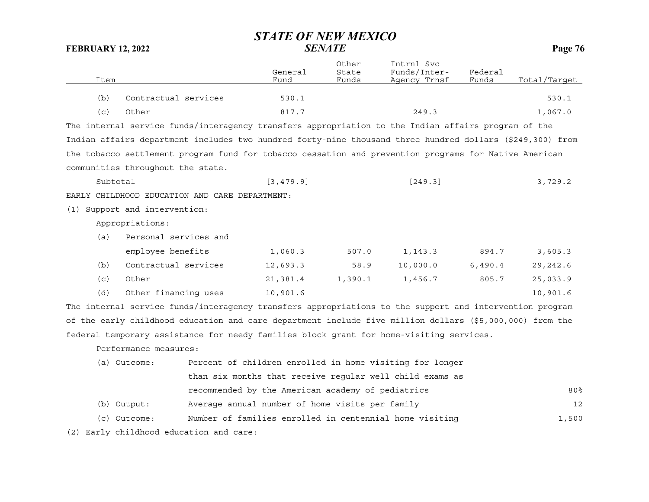|      |                                                                                                           | General    | Other<br>State | Intrnl Svc<br>Funds/Inter- | Federal |              |
|------|-----------------------------------------------------------------------------------------------------------|------------|----------------|----------------------------|---------|--------------|
| Item |                                                                                                           | Fund       | Funds          | Agency Trnsf               | Funds   | Total/Target |
| (b)  | Contractual services                                                                                      | 530.1      |                |                            |         | 530.1        |
| (c)  | Other                                                                                                     | 817.7      |                | 249.3                      |         | 1,067.0      |
|      | The internal service funds/interagency transfers appropriation to the Indian affairs program of the       |            |                |                            |         |              |
|      | Indian affairs department includes two hundred forty-nine thousand three hundred dollars (\$249,300) from |            |                |                            |         |              |
|      | the tobacco settlement program fund for tobacco cessation and prevention programs for Native American     |            |                |                            |         |              |
|      | communities throughout the state.                                                                         |            |                |                            |         |              |
|      | Subtotal                                                                                                  | [3, 479.9] |                | [249.3]                    |         | 3,729.2      |
|      | EARLY CHILDHOOD EDUCATION AND CARE DEPARTMENT:                                                            |            |                |                            |         |              |
| (1)  | Support and intervention:                                                                                 |            |                |                            |         |              |
|      | Appropriations:                                                                                           |            |                |                            |         |              |
| (a)  | Personal services and                                                                                     |            |                |                            |         |              |
|      | employee benefits                                                                                         | 1,060.3    | 507.0          | 1,143.3                    | 894.7   | 3,605.3      |
| (b)  | Contractual services                                                                                      | 12,693.3   | 58.9           | 10,000.0                   | 6,490.4 | 29,242.6     |
| (c)  | Other                                                                                                     | 21,381.4   | 1,390.1        | 1,456.7                    | 805.7   | 25,033.9     |
| (d)  | Other financing uses                                                                                      | 10,901.6   |                |                            |         | 10,901.6     |
|      | The internal service funds/interagency transfers appropriations to the support and intervention program   |            |                |                            |         |              |
|      | of the early childhood education and care department include five million dollars (\$5,000,000) from the  |            |                |                            |         |              |
|      | federal temporary assistance for needy families block grant for home-visiting services.                   |            |                |                            |         |              |
|      | Performance measures:                                                                                     |            |                |                            |         |              |

| (a) Outcome: | Percent of children enrolled in home visiting for longer |       |
|--------------|----------------------------------------------------------|-------|
|              | than six months that receive reqular well child exams as |       |
|              | recommended by the American academy of pediatrics        | 80%   |
| (b) Output:  | Average annual number of home visits per family          | 12    |
| (c) Outcome: | Number of families enrolled in centennial home visiting  | 1,500 |

(2) Early childhood education and care: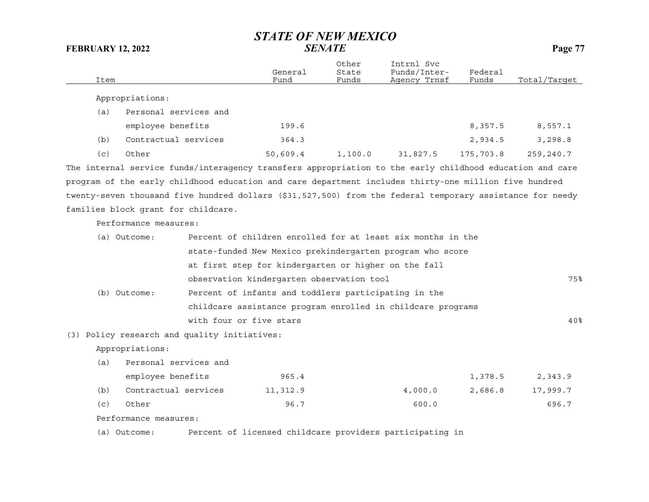| Item |                                     |                                                                                                           | General<br>Fund | Other<br>State<br>Funds | Intrnl Svc<br>Funds/Inter-<br>Agency Trnsf | Federal<br>Funds | Total/Target    |
|------|-------------------------------------|-----------------------------------------------------------------------------------------------------------|-----------------|-------------------------|--------------------------------------------|------------------|-----------------|
|      | Appropriations:                     |                                                                                                           |                 |                         |                                            |                  |                 |
| (a)  | Personal services and               |                                                                                                           |                 |                         |                                            |                  |                 |
|      | employee benefits                   |                                                                                                           | 199.6           |                         |                                            | 8,357.5          | 8,557.1         |
| (b)  | Contractual services                |                                                                                                           | 364.3           |                         |                                            | 2,934.5          | 3,298.8         |
| (c)  | Other                               |                                                                                                           | 50,609.4        | 1,100.0                 | 31,827.5                                   | 175,703.8        | 259,240.7       |
|      |                                     | The internal service funds/interagency transfers appropriation to the early childhood education and care  |                 |                         |                                            |                  |                 |
|      |                                     | program of the early childhood education and care department includes thirty-one million five hundred     |                 |                         |                                            |                  |                 |
|      |                                     | twenty-seven thousand five hundred dollars (\$31,527,500) from the federal temporary assistance for needy |                 |                         |                                            |                  |                 |
|      | families block grant for childcare. |                                                                                                           |                 |                         |                                            |                  |                 |
|      | Performance measures:               |                                                                                                           |                 |                         |                                            |                  |                 |
|      | (a) Outcome:                        | Percent of children enrolled for at least six months in the                                               |                 |                         |                                            |                  |                 |
|      |                                     | state-funded New Mexico prekindergarten program who score                                                 |                 |                         |                                            |                  |                 |
|      |                                     | at first step for kindergarten or higher on the fall                                                      |                 |                         |                                            |                  |                 |
|      |                                     | observation kindergarten observation tool                                                                 |                 |                         |                                            |                  | 75%             |
|      | (b) Outcome:                        | Percent of infants and toddlers participating in the                                                      |                 |                         |                                            |                  |                 |
|      |                                     | childcare assistance program enrolled in childcare programs                                               |                 |                         |                                            |                  |                 |
|      |                                     | with four or five stars                                                                                   |                 |                         |                                            |                  | 40 <sub>8</sub> |
|      |                                     | (3) Policy research and quality initiatives:                                                              |                 |                         |                                            |                  |                 |
|      | Appropriations:                     |                                                                                                           |                 |                         |                                            |                  |                 |
| (a)  | Personal services and               |                                                                                                           |                 |                         |                                            |                  |                 |
|      | employee benefits                   |                                                                                                           | 965.4           |                         |                                            | 1,378.5          | 2,343.9         |
| (b)  | Contractual services                |                                                                                                           | 11,312.9        |                         | 4,000.0                                    | 2,686.8          | 17,999.7        |
| (c)  | Other                               |                                                                                                           | 96.7            |                         | 600.0                                      |                  | 696.7           |
|      | Performance measures:               |                                                                                                           |                 |                         |                                            |                  |                 |

(a) Outcome: Percent of licensed childcare providers participating in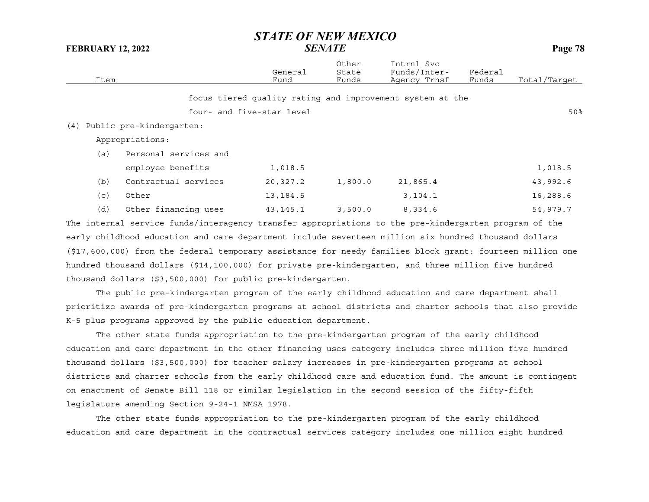| Item |                          | General<br>Fund           | Other<br>State<br>Funds | Intrnl Svc<br>Funds/Inter-<br>Agency Trnsf                | Federal<br>Funds | Total/Target |
|------|--------------------------|---------------------------|-------------------------|-----------------------------------------------------------|------------------|--------------|
|      |                          |                           |                         | focus tiered quality rating and improvement system at the |                  |              |
|      |                          | four- and five-star level |                         |                                                           |                  | 50%          |
| (4)  | Public pre-kindergarten: |                           |                         |                                                           |                  |              |
|      | Appropriations:          |                           |                         |                                                           |                  |              |
| (a)  | Personal services and    |                           |                         |                                                           |                  |              |
|      | employee benefits        | 1,018.5                   |                         |                                                           |                  | 1,018.5      |
| (b)  | Contractual services     | 20,327.2                  | 1,800.0                 | 21,865.4                                                  |                  | 43,992.6     |
| (c)  | Other                    | 13, 184.5                 |                         | 3, 104.1                                                  |                  | 16,288.6     |
| (d)  | Other financing uses     | 43, 145. 1                | 3,500.0                 | 8,334.6                                                   |                  | 54,979.7     |
|      |                          |                           |                         |                                                           |                  |              |

The internal service funds/interagency transfer appropriations to the pre-kindergarten program of the early childhood education and care department include seventeen million six hundred thousand dollars (\$17,600,000) from the federal temporary assistance for needy families block grant: fourteen million one hundred thousand dollars (\$14,100,000) for private pre-kindergarten, and three million five hundred thousand dollars (\$3,500,000) for public pre-kindergarten.

The public pre-kindergarten program of the early childhood education and care department shall prioritize awards of pre-kindergarten programs at school districts and charter schools that also provide K-5 plus programs approved by the public education department.

The other state funds appropriation to the pre-kindergarten program of the early childhood education and care department in the other financing uses category includes three million five hundred thousand dollars (\$3,500,000) for teacher salary increases in pre-kindergarten programs at school districts and charter schools from the early childhood care and education fund. The amount is contingent on enactment of Senate Bill 118 or similar legislation in the second session of the fifty-fifth legislature amending Section 9-24-1 NMSA 1978.

The other state funds appropriation to the pre-kindergarten program of the early childhood education and care department in the contractual services category includes one million eight hundred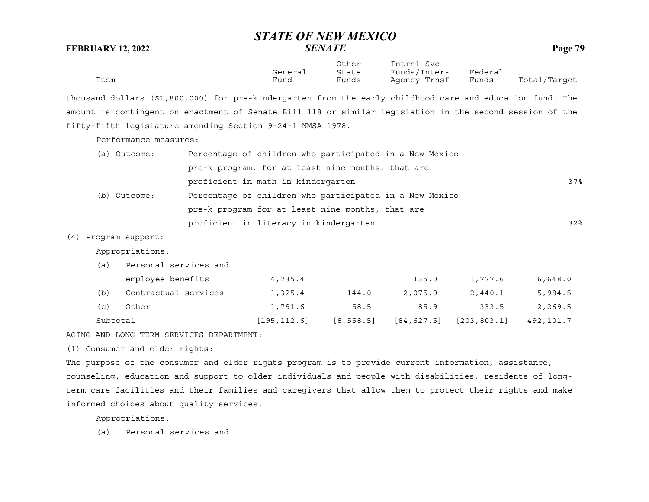| <b>FEBRUARY 12, 2022</b>                                                                                  | этлте от неп мемсо                                      | <b>SENATE</b>           |                                            |                  | Page 79      |
|-----------------------------------------------------------------------------------------------------------|---------------------------------------------------------|-------------------------|--------------------------------------------|------------------|--------------|
| Item                                                                                                      | General<br>Fund                                         | Other<br>State<br>Funds | Intrnl Svc<br>Funds/Inter-<br>Agency Trnsf | Federal<br>Funds | Total/Target |
| thousand dollars (\$1,800,000) for pre-kindergarten from the early childhood care and education fund. The |                                                         |                         |                                            |                  |              |
| amount is contingent on enactment of Senate Bill 118 or similar legislation in the second session of the  |                                                         |                         |                                            |                  |              |
| fifty-fifth legislature amending Section 9-24-1 NMSA 1978.                                                |                                                         |                         |                                            |                  |              |
| Performance measures:                                                                                     |                                                         |                         |                                            |                  |              |
| (a) Outcome:                                                                                              | Percentage of children who participated in a New Mexico |                         |                                            |                  |              |
|                                                                                                           | pre-k program, for at least nine months, that are       |                         |                                            |                  |              |
|                                                                                                           | proficient in math in kindergarten                      |                         |                                            |                  | 37%          |
| (b) Outcome:                                                                                              | Percentage of children who participated in a New Mexico |                         |                                            |                  |              |
|                                                                                                           | pre-k program for at least nine months, that are        |                         |                                            |                  |              |
|                                                                                                           | proficient in literacy in kindergarten                  |                         |                                            |                  | 32%          |
| Program support:<br>(4)                                                                                   |                                                         |                         |                                            |                  |              |
| Appropriations:                                                                                           |                                                         |                         |                                            |                  |              |
| Personal services and<br>(a)                                                                              |                                                         |                         |                                            |                  |              |
| employee benefits                                                                                         | 4,735.4                                                 |                         | 135.0                                      | 1,777.6          | 6,648.0      |
| Contractual services<br>(b)                                                                               | 1,325.4                                                 | 144.0                   | 2,075.0                                    | 2,440.1          | 5,984.5      |
| (c)<br>Other                                                                                              | 1,791.6                                                 | 58.5                    | 85.9                                       | 333.5            | 2,269.5      |
| Subtotal                                                                                                  | [195, 112.6]                                            | [8, 558.5]              | [84, 627.5]                                | [203, 803.1]     | 492,101.7    |
| AGING AND LONG-TERM SERVICES DEPARTMENT:                                                                  |                                                         |                         |                                            |                  |              |

*STATE OF NEW MEXICO*

(1) Consumer and elder rights:

The purpose of the consumer and elder rights program is to provide current information, assistance, counseling, education and support to older individuals and people with disabilities, residents of longterm care facilities and their families and caregivers that allow them to protect their rights and make informed choices about quality services.

Appropriations:

(a) Personal services and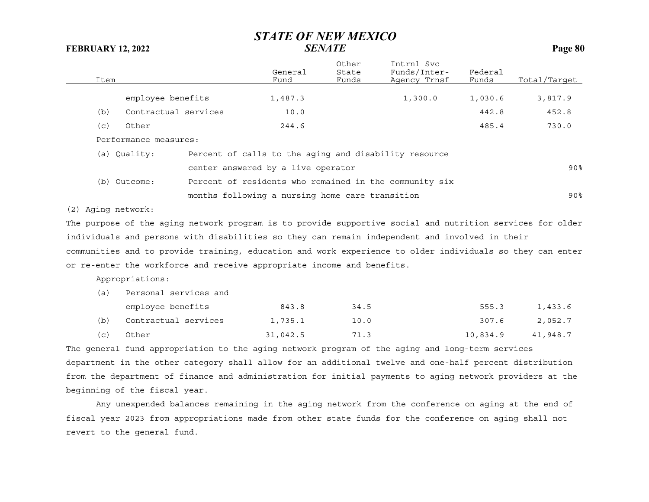| Item |                       | General<br>Fund                                       | Other<br>State<br>Funds | Intrnl Svc<br>Funds/Inter-<br>Agency Trnsf             | Federal<br>Funds | Total/Target |
|------|-----------------------|-------------------------------------------------------|-------------------------|--------------------------------------------------------|------------------|--------------|
|      | employee benefits     | 1,487.3                                               |                         | 1,300.0                                                | 1,030.6          | 3,817.9      |
| (b)  | Contractual services  | 10.0                                                  |                         |                                                        | 442.8            | 452.8        |
| (C)  | Other                 | 244.6                                                 |                         |                                                        | 485.4            | 730.0        |
|      | Performance measures: |                                                       |                         |                                                        |                  |              |
|      | (a) Quality:          | Percent of calls to the aging and disability resource |                         |                                                        |                  |              |
|      |                       | center answered by a live operator                    |                         |                                                        |                  | 90%          |
|      | (b) Outcome:          |                                                       |                         | Percent of residents who remained in the community six |                  |              |
|      |                       | months following a nursing home care transition       |                         |                                                        |                  | 90%          |
|      |                       |                                                       |                         |                                                        |                  |              |

(2) Aging network:

The purpose of the aging network program is to provide supportive social and nutrition services for older individuals and persons with disabilities so they can remain independent and involved in their communities and to provide training, education and work experience to older individuals so they can enter or re-enter the workforce and receive appropriate income and benefits.

Appropriations:

| (a) | Personal services and |          |      |          |          |  |  |  |  |
|-----|-----------------------|----------|------|----------|----------|--|--|--|--|
|     | employee benefits     | 843.8    | 34.5 | 555.3    | 1,433.6  |  |  |  |  |
| (b) | Contractual services  | 1,735.1  | 10.0 | 307.6    | 2,052.7  |  |  |  |  |
| (C) | Other                 | 31,042.5 | 71.3 | 10,834.9 | 41,948.7 |  |  |  |  |

The general fund appropriation to the aging network program of the aging and long-term services department in the other category shall allow for an additional twelve and one-half percent distribution from the department of finance and administration for initial payments to aging network providers at the beginning of the fiscal year.

Any unexpended balances remaining in the aging network from the conference on aging at the end of fiscal year 2023 from appropriations made from other state funds for the conference on aging shall not revert to the general fund.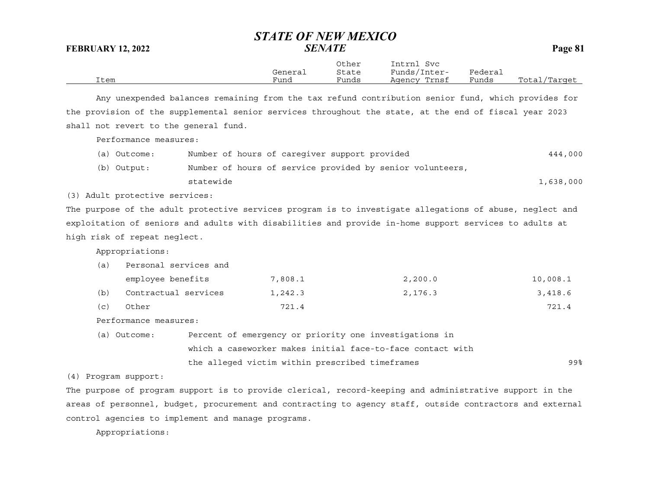|      |         | Other | Intrnl<br>Svc   |         |                  |
|------|---------|-------|-----------------|---------|------------------|
|      | General | State | Funds/Inter-    | Federai |                  |
| Item | Funa    | Funds | Trnsf<br>Agency | Funds   | Total<br>/Target |

Any unexpended balances remaining from the tax refund contribution senior fund, which provides for the provision of the supplemental senior services throughout the state, at the end of fiscal year 2023 shall not revert to the general fund.

Performance measures:

(a) Outcome: Number of hours of caregiver support provided 444,000 (b) Output: Number of hours of service provided by senior volunteers, statewide1,638,000

(3) Adult protective services:

The purpose of the adult protective services program is to investigate allegations of abuse, neglect and exploitation of seniors and adults with disabilities and provide in-home support services to adults at high risk of repeat neglect.

Appropriations:

| (a) | Personal services and |         |         |          |
|-----|-----------------------|---------|---------|----------|
|     | employee benefits     | 7,808.1 | 2,200.0 | 10,008.1 |
| (b) | Contractual services  | 1,242.3 | 2,176.3 | 3,418.6  |
| (C) | Other                 | 721.4   |         | 721.4    |

Performance measures:

| (a) Outcome: | Percent of emergency or priority one investigations in     |     |
|--------------|------------------------------------------------------------|-----|
|              | which a caseworker makes initial face-to-face contact with |     |
|              | the alleged victim within prescribed timeframes            | 99% |

(4) Program support:

The purpose of program support is to provide clerical, record-keeping and administrative support in the areas of personnel, budget, procurement and contracting to agency staff, outside contractors and external control agencies to implement and manage programs.

Appropriations: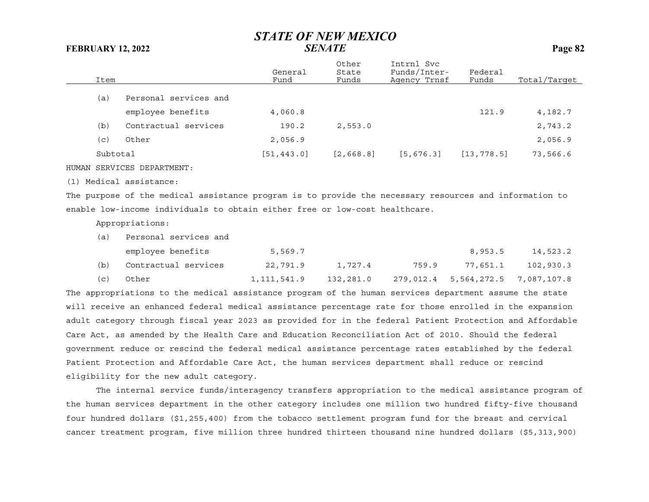| Item     |                            | General<br>Fund | Other<br>State<br>Funds | Intrnl Svc<br>Funds/Inter-<br>Agency Trnsf | Federal<br>Funds | Total/Target |
|----------|----------------------------|-----------------|-------------------------|--------------------------------------------|------------------|--------------|
| (a)      | Personal services and      |                 |                         |                                            |                  |              |
|          | employee benefits          | 4,060.8         |                         |                                            | 121.9            | 4,182.7      |
| (b)      | Contractual services       | 190.2           | 2,553.0                 |                                            |                  | 2,743.2      |
| (c)      | Other                      | 2,056.9         |                         |                                            |                  | 2,056.9      |
| Subtotal |                            | [51, 443.0]     | [2, 668.8]              | [5, 676.3]                                 | [13, 778.5]      | 73,566.6     |
|          | HUMAN SERVICES DEPARTMENT: |                 |                         |                                            |                  |              |
|          | (1) Medical assistance:    |                 |                         |                                            |                  |              |

The purpose of the medical assistance program is to provide the necessary resources and information to enable low-income individuals to obtain either free or low-cost healthcare.

Appropriations:

| (a) | Personal services and |             |           |       |                                   |           |
|-----|-----------------------|-------------|-----------|-------|-----------------------------------|-----------|
|     | employee benefits     | 5,569.7     |           |       | 8,953.5                           | 14,523.2  |
| (b) | Contractual services  | 22,791.9    | 1,727.4   | 759.9 | 77,651.1                          | 102,930.3 |
| (C) | Other                 | 1,111,541.9 | 132,281.0 |       | 279,012.4 5,564,272.5 7,087,107.8 |           |

The appropriations to the medical assistance program of the human services department assume the state will receive an enhanced federal medical assistance percentage rate for those enrolled in the expansion adult category through fiscal year 2023 as provided for in the federal Patient Protection and Affordable Care Act, as amended by the Health Care and Education Reconciliation Act of 2010. Should the federal government reduce or rescind the federal medical assistance percentage rates established by the federal Patient Protection and Affordable Care Act, the human services department shall reduce or rescind eligibility for the new adult category.

The internal service funds/interagency transfers appropriation to the medical assistance program of the human services department in the other category includes one million two hundred fifty-five thousand four hundred dollars (\$1,255,400) from the tobacco settlement program fund for the breast and cervical cancer treatment program, five million three hundred thirteen thousand nine hundred dollars (\$5,313,900)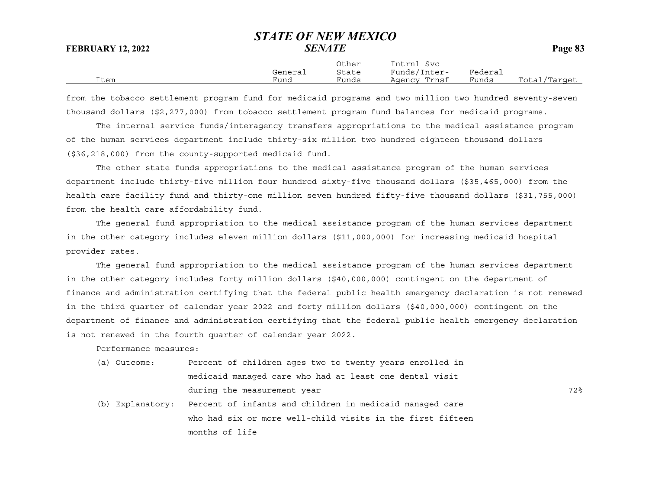|      |         | Other | Intrnl<br>Svc |         |              |
|------|---------|-------|---------------|---------|--------------|
|      | General | State | Funds/Inter-  | Federai |              |
| Item | Fund    | Funds | Agency Trnsf  | Funds   | Total/Target |

from the tobacco settlement program fund for medicaid programs and two million two hundred seventy-seven thousand dollars (\$2,277,000) from tobacco settlement program fund balances for medicaid programs.

The internal service funds/interagency transfers appropriations to the medical assistance program of the human services department include thirty-six million two hundred eighteen thousand dollars (\$36,218,000) from the county-supported medicaid fund.

The other state funds appropriations to the medical assistance program of the human services department include thirty-five million four hundred sixty-five thousand dollars (\$35,465,000) from the health care facility fund and thirty-one million seven hundred fifty-five thousand dollars (\$31,755,000) from the health care affordability fund.

The general fund appropriation to the medical assistance program of the human services department in the other category includes eleven million dollars (\$11,000,000) for increasing medicaid hospital provider rates.

The general fund appropriation to the medical assistance program of the human services department in the other category includes forty million dollars (\$40,000,000) contingent on the department of finance and administration certifying that the federal public health emergency declaration is not renewed in the third quarter of calendar year 2022 and forty million dollars (\$40,000,000) contingent on the department of finance and administration certifying that the federal public health emergency declaration is not renewed in the fourth quarter of calendar year 2022.

Performance measures:

| (a) Outcome: | Percent of children ages two to twenty years enrolled in |     |
|--------------|----------------------------------------------------------|-----|
|              | medicaid manaqed care who had at least one dental visit  |     |
|              | during the measurement year                              | 72% |

(b) Explanatory: Percent of infants and children in medicaid managed care who had six or more well-child visits in the first fifteen months of life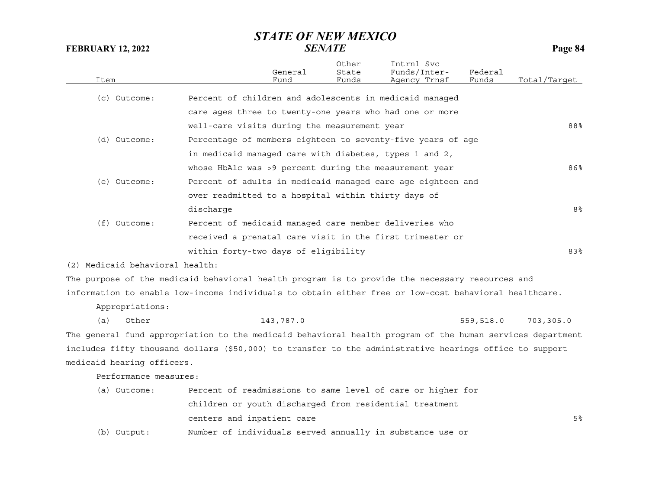| Item |                                 |                                                                                                           | General<br>Fund | Other<br>State<br>Funds | Intrnl Svc<br>Funds/Inter-<br>Agency Trnsf | Federal<br>Funds | Total/Tarqet |
|------|---------------------------------|-----------------------------------------------------------------------------------------------------------|-----------------|-------------------------|--------------------------------------------|------------------|--------------|
|      | (c) Outcome:                    | Percent of children and adolescents in medicaid managed                                                   |                 |                         |                                            |                  |              |
|      |                                 | care ages three to twenty-one years who had one or more                                                   |                 |                         |                                            |                  |              |
|      |                                 | well-care visits during the measurement year                                                              |                 |                         |                                            |                  | 88%          |
|      | (d) Outcome:                    | Percentage of members eighteen to seventy-five years of age                                               |                 |                         |                                            |                  |              |
|      |                                 | in medicaid managed care with diabetes, types 1 and 2,                                                    |                 |                         |                                            |                  |              |
|      |                                 | whose HbAlc was >9 percent during the measurement year                                                    |                 |                         |                                            |                  | 86%          |
|      | (e) Outcome:                    | Percent of adults in medicaid managed care age eighteen and                                               |                 |                         |                                            |                  |              |
|      |                                 | over readmitted to a hospital within thirty days of                                                       |                 |                         |                                            |                  |              |
|      |                                 | discharge                                                                                                 |                 |                         |                                            |                  | 8%           |
|      | (f) Outcome:                    | Percent of medicaid managed care member deliveries who                                                    |                 |                         |                                            |                  |              |
|      |                                 | received a prenatal care visit in the first trimester or                                                  |                 |                         |                                            |                  |              |
|      |                                 | within forty-two days of eligibility                                                                      |                 |                         |                                            |                  | 83%          |
|      | (2) Medicaid behavioral health: |                                                                                                           |                 |                         |                                            |                  |              |
|      |                                 | The purpose of the medicaid behavioral health program is to provide the necessary resources and           |                 |                         |                                            |                  |              |
|      |                                 | information to enable low-income individuals to obtain either free or low-cost behavioral healthcare.     |                 |                         |                                            |                  |              |
|      | Appropriations:                 |                                                                                                           |                 |                         |                                            |                  |              |
| (a)  | Other                           |                                                                                                           | 143,787.0       |                         |                                            | 559,518.0        | 703,305.0    |
|      |                                 | The general fund appropriation to the medicaid behavioral health program of the human services department |                 |                         |                                            |                  |              |
|      |                                 | includes fifty thousand dollars (\$50,000) to transfer to the administrative hearings office to support   |                 |                         |                                            |                  |              |
|      | medicaid hearing officers.      |                                                                                                           |                 |                         |                                            |                  |              |
|      | Performance measures:           |                                                                                                           |                 |                         |                                            |                  |              |
|      | (a) Outcome:                    | Percent of readmissions to same level of care or higher for                                               |                 |                         |                                            |                  |              |
|      |                                 | children or youth discharged from residential treatment                                                   |                 |                         |                                            |                  |              |
|      |                                 | centers and inpatient care                                                                                |                 |                         |                                            |                  | 5%           |
|      | (b) Output:                     | Number of individuals served annually in substance use or                                                 |                 |                         |                                            |                  |              |
|      |                                 |                                                                                                           |                 |                         |                                            |                  |              |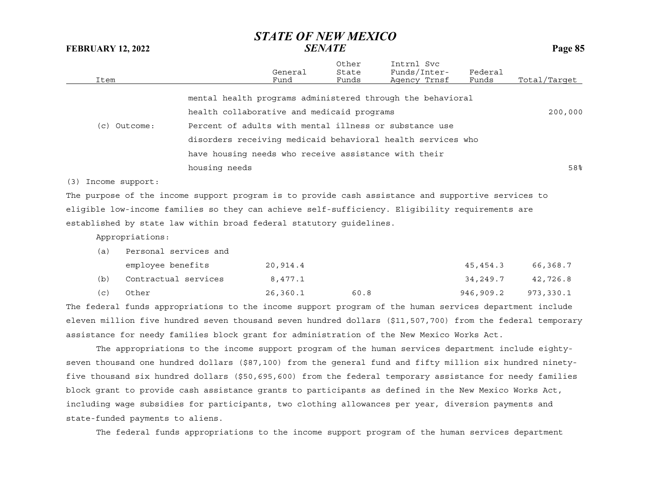| Item                                                                                               |                       | General<br>Fund                                             | Other<br>State<br>Funds | Intrnl Svc<br>Funds/Inter-<br>Agency Trnsf | Federal<br>Funds | Total/Target |
|----------------------------------------------------------------------------------------------------|-----------------------|-------------------------------------------------------------|-------------------------|--------------------------------------------|------------------|--------------|
|                                                                                                    |                       | mental health programs administered through the behavioral  |                         |                                            |                  |              |
|                                                                                                    |                       | health collaborative and medicaid programs                  |                         |                                            |                  | 200,000      |
| $(c)$ Outcome:                                                                                     |                       | Percent of adults with mental illness or substance use      |                         |                                            |                  |              |
|                                                                                                    |                       | disorders receiving medicaid behavioral health services who |                         |                                            |                  |              |
|                                                                                                    |                       | have housing needs who receive assistance with their        |                         |                                            |                  |              |
|                                                                                                    | housing needs         |                                                             |                         |                                            |                  | 58%          |
| $(3)$ Income support:                                                                              |                       |                                                             |                         |                                            |                  |              |
| The purpose of the income support program is to provide cash assistance and supportive services to |                       |                                                             |                         |                                            |                  |              |
| eligible low-income families so they can achieve self-sufficiency. Eligibility requirements are    |                       |                                                             |                         |                                            |                  |              |
| established by state law within broad federal statutory quidelines.                                |                       |                                                             |                         |                                            |                  |              |
| Appropriations:                                                                                    |                       |                                                             |                         |                                            |                  |              |
| (a)                                                                                                | Personal services and |                                                             |                         |                                            |                  |              |
| employee benefits                                                                                  |                       | 20,914.4                                                    |                         |                                            | 45,454.3         | 66,368.7     |

|     | embrovee neuerres    | <b>ム い , ノ エ ェ 、 エ</b> |      | ュファエンエ・フ | 00,000.1            |
|-----|----------------------|------------------------|------|----------|---------------------|
| (b) | Contractual services | 8,477.1                |      | 34,249.7 | 42,726.8            |
| (C) | Other                | 26,360.1               | 60.8 |          | 946,909.2 973,330.1 |

The federal funds appropriations to the income support program of the human services department include eleven million five hundred seven thousand seven hundred dollars (\$11,507,700) from the federal temporary assistance for needy families block grant for administration of the New Mexico Works Act.

The appropriations to the income support program of the human services department include eightyseven thousand one hundred dollars (\$87,100) from the general fund and fifty million six hundred ninetyfive thousand six hundred dollars (\$50,695,600) from the federal temporary assistance for needy families block grant to provide cash assistance grants to participants as defined in the New Mexico Works Act, including wage subsidies for participants, two clothing allowances per year, diversion payments and state-funded payments to aliens.

The federal funds appropriations to the income support program of the human services department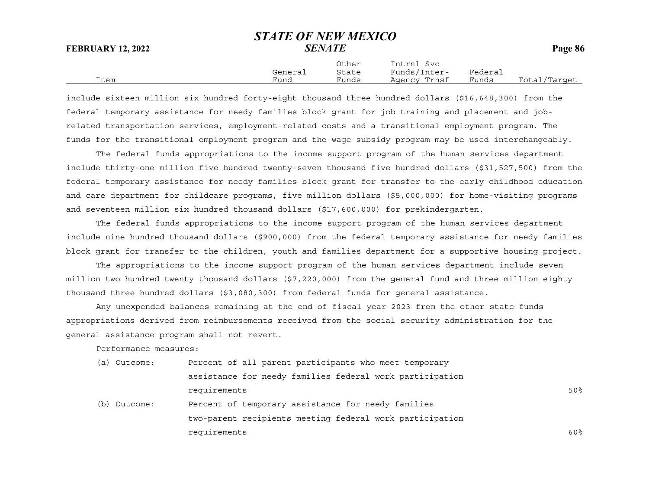|      |         | Other | Intrnl<br>Svc |         |              |
|------|---------|-------|---------------|---------|--------------|
|      | General | State | Funds/Inter-  | Federai |              |
| Item | Funa    | Funds | Agency Trnsf  | Funds   | Total/Target |

include sixteen million six hundred forty-eight thousand three hundred dollars (\$16,648,300) from the federal temporary assistance for needy families block grant for job training and placement and jobrelated transportation services, employment-related costs and a transitional employment program. The funds for the transitional employment program and the wage subsidy program may be used interchangeably.

The federal funds appropriations to the income support program of the human services department include thirty-one million five hundred twenty-seven thousand five hundred dollars (\$31,527,500) from the federal temporary assistance for needy families block grant for transfer to the early childhood education and care department for childcare programs, five million dollars (\$5,000,000) for home-visiting programs and seventeen million six hundred thousand dollars (\$17,600,000) for prekindergarten.

The federal funds appropriations to the income support program of the human services department include nine hundred thousand dollars (\$900,000) from the federal temporary assistance for needy families block grant for transfer to the children, youth and families department for a supportive housing project.

The appropriations to the income support program of the human services department include seven million two hundred twenty thousand dollars (\$7,220,000) from the general fund and three million eighty thousand three hundred dollars (\$3,080,300) from federal funds for general assistance.

Any unexpended balances remaining at the end of fiscal year 2023 from the other state funds appropriations derived from reimbursements received from the social security administration for the general assistance program shall not revert.

Performance measures:

| (a) Outcome: | Percent of all parent participants who meet temporary    |     |
|--------------|----------------------------------------------------------|-----|
|              | assistance for needy families federal work participation |     |
|              | requirements                                             | 50% |
| (b) Outcome: | Percent of temporary assistance for needy families       |     |
|              | two-parent recipients meeting federal work participation |     |
|              | requirements                                             | 60% |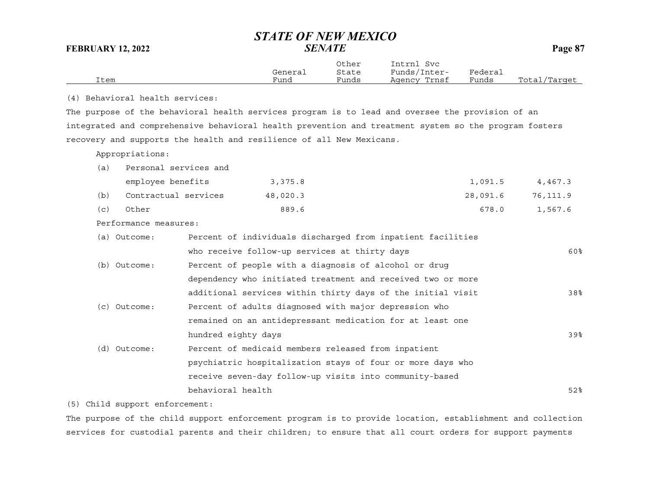|                                 | General | Other<br>State | Intrnl Svc<br>Funds/Inter- | Federal |              |
|---------------------------------|---------|----------------|----------------------------|---------|--------------|
| Item                            | Fund    | Funds          | Agency Trnsf               | Funds   | Total/Target |
| (4) Behavioral health services: |         |                |                            |         |              |

The purpose of the behavioral health services program is to lead and oversee the provision of an integrated and comprehensive behavioral health prevention and treatment system so the program fosters recovery and supports the health and resilience of all New Mexicans.

Appropriations:

| (a) Personal services and    |       |                                                                                                                                                                                                                                |  |
|------------------------------|-------|--------------------------------------------------------------------------------------------------------------------------------------------------------------------------------------------------------------------------------|--|
| المطلوع معمال المعدوم المسمر | 2.275 | $1.001$ $1.107$ $1.107$ $1.107$ $1.107$ $1.107$ $1.107$ $1.107$ $1.107$ $1.107$ $1.107$ $1.107$ $1.107$ $1.107$ $1.107$ $1.107$ $1.107$ $1.107$ $1.107$ $1.107$ $1.107$ $1.107$ $1.107$ $1.107$ $1.107$ $1.107$ $1.107$ $1.10$ |  |

|     | employee benefits    | 3,375.8  | 1,091.5  | 4,467.3  |
|-----|----------------------|----------|----------|----------|
| (b) | Contractual services | 48,020.3 | 28,091.6 | 76,111.9 |
| (C) | Other                | 889.6    | 678.0    | 1,567.6  |

Performance measures:

| (a) Outcome: | Percent of individuals discharged from inpatient facilities |     |
|--------------|-------------------------------------------------------------|-----|
|              | who receive follow-up services at thirty days               | 60% |
| (b) Outcome: | Percent of people with a diagnosis of alcohol or drug       |     |
|              | dependency who initiated treatment and received two or more |     |
|              | additional services within thirty days of the initial visit | 38% |
| (c) Outcome: | Percent of adults diagnosed with major depression who       |     |
|              | remained on an antidepressant medication for at least one   |     |
|              | hundred eighty days                                         | 39% |
| (d) Outcome: | Percent of medicaid members released from inpatient         |     |
|              | psychiatric hospitalization stays of four or more days who  |     |
|              | receive seven-day follow-up visits into community-based     |     |
|              | behavioral health                                           | 52% |
|              |                                                             |     |

(5) Child support enforcement:

The purpose of the child support enforcement program is to provide location, establishment and collection services for custodial parents and their children; to ensure that all court orders for support payments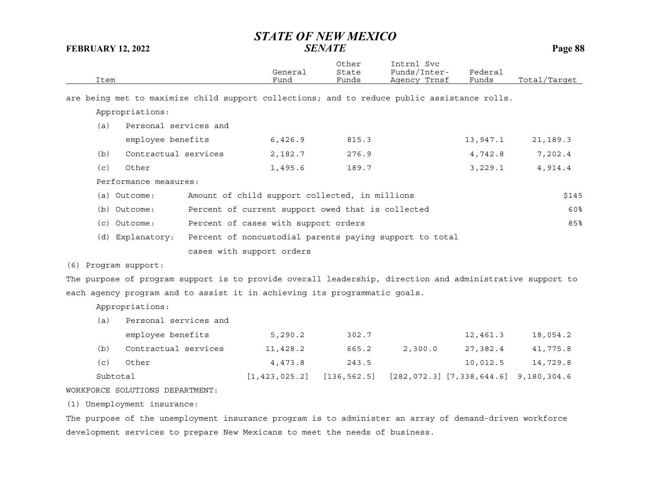| Item                                                                                                     | General<br>Fund                                         | Other<br>State<br>Funds | Intrnl Svc<br>Funds/Inter-<br>Agency Trnsf | Federal<br>Funds | Total/Target |
|----------------------------------------------------------------------------------------------------------|---------------------------------------------------------|-------------------------|--------------------------------------------|------------------|--------------|
| are being met to maximize child support collections; and to reduce public assistance rolls.              |                                                         |                         |                                            |                  |              |
| Appropriations:                                                                                          |                                                         |                         |                                            |                  |              |
| (a)<br>Personal services and                                                                             |                                                         |                         |                                            |                  |              |
| employee benefits                                                                                        | 6,426.9                                                 | 815.3                   |                                            | 13,947.1         | 21,189.3     |
| Contractual services<br>(b)                                                                              | 2,182.7                                                 | 276.9                   |                                            | 4,742.8          | 7,202.4      |
| (c)<br>Other                                                                                             | 1,495.6                                                 | 189.7                   |                                            | 3,229.1          | 4,914.4      |
| Performance measures:                                                                                    |                                                         |                         |                                            |                  |              |
| (a) Outcome:                                                                                             | Amount of child support collected, in millions          |                         |                                            |                  | \$145        |
| (b) Outcome:                                                                                             | Percent of current support owed that is collected       |                         |                                            |                  | 60%          |
| (c) Outcome:                                                                                             | Percent of cases with support orders                    |                         |                                            |                  | 85%          |
| (d) Explanatory:                                                                                         | Percent of noncustodial parents paying support to total |                         |                                            |                  |              |
|                                                                                                          | cases with support orders                               |                         |                                            |                  |              |
| Program support:<br>(6)                                                                                  |                                                         |                         |                                            |                  |              |
| The purpose of program support is to provide overall leadership, direction and administrative support to |                                                         |                         |                                            |                  |              |
| each agency program and to assist it in achieving its programmatic goals.                                |                                                         |                         |                                            |                  |              |
| Appropriations:                                                                                          |                                                         |                         |                                            |                  |              |
| Personal services and<br>(a)                                                                             |                                                         |                         |                                            |                  |              |
| employee benefits                                                                                        | 5, 290.2                                                | 302.7                   |                                            | 12,461.3         | 18,054.2     |
| Contractual services<br>(b)                                                                              | 11,428.2                                                | 665.2                   | 2,300.0                                    | 27,382.4         | 41,775.8     |
| Other<br>(c)                                                                                             | 4,473.8                                                 | 243.5                   |                                            | 10,012.5         | 14,729.8     |
| Subtotal                                                                                                 | [1, 423, 025.2]                                         | [136, 562.5]            | $[282, 072.3]$ $[7, 338, 644.6]$           |                  | 9,180,304.6  |
| WORKFORCE SOLUTIONS DEPARTMENT:                                                                          |                                                         |                         |                                            |                  |              |
| (1) Unemployment insurance:                                                                              |                                                         |                         |                                            |                  |              |

The purpose of the unemployment insurance program is to administer an array of demand-driven workforce development services to prepare New Mexicans to meet the needs of business.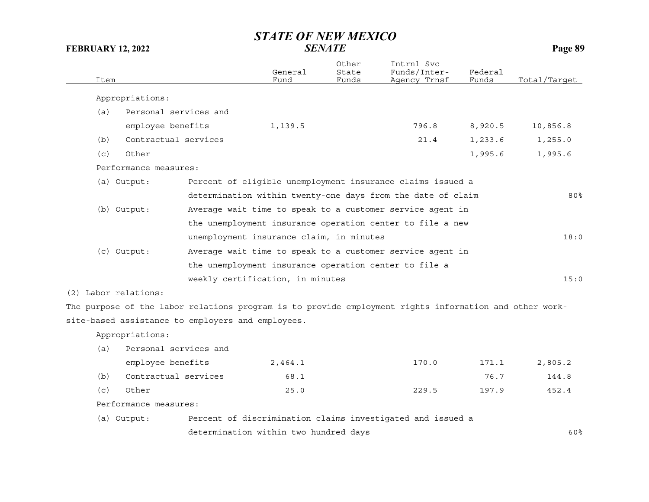| Item                  |                                                                                                        | General<br>Fund                                       | Other<br>State<br>Funds | Intrnl Svc<br>Funds/Inter-<br>Agency Trnsf                  | Federal<br>Funds | Total/Target |
|-----------------------|--------------------------------------------------------------------------------------------------------|-------------------------------------------------------|-------------------------|-------------------------------------------------------------|------------------|--------------|
| Appropriations:       |                                                                                                        |                                                       |                         |                                                             |                  |              |
| (a)                   | Personal services and                                                                                  |                                                       |                         |                                                             |                  |              |
|                       | employee benefits                                                                                      | 1,139.5                                               |                         | 796.8                                                       | 8,920.5          | 10,856.8     |
| (b)                   | Contractual services                                                                                   |                                                       |                         | 21.4                                                        | 1,233.6          | 1,255.0      |
| Other<br>(c)          |                                                                                                        |                                                       |                         |                                                             | 1,995.6          | 1,995.6      |
| Performance measures: |                                                                                                        |                                                       |                         |                                                             |                  |              |
| (a) Output:           |                                                                                                        |                                                       |                         | Percent of eligible unemployment insurance claims issued a  |                  |              |
|                       |                                                                                                        |                                                       |                         | determination within twenty-one days from the date of claim |                  | 80%          |
| (b) Output:           |                                                                                                        |                                                       |                         | Average wait time to speak to a customer service agent in   |                  |              |
|                       |                                                                                                        |                                                       |                         | the unemployment insurance operation center to file a new   |                  |              |
|                       |                                                                                                        | unemployment insurance claim, in minutes              |                         |                                                             |                  | 18:0         |
| (c) Output:           |                                                                                                        |                                                       |                         | Average wait time to speak to a customer service agent in   |                  |              |
|                       |                                                                                                        | the unemployment insurance operation center to file a |                         |                                                             |                  |              |
|                       |                                                                                                        | weekly certification, in minutes                      |                         |                                                             |                  | 15:0         |
| (2) Labor relations:  |                                                                                                        |                                                       |                         |                                                             |                  |              |
|                       | The purpose of the labor relations program is to provide employment rights information and other work- |                                                       |                         |                                                             |                  |              |
|                       | site-based assistance to employers and employees.                                                      |                                                       |                         |                                                             |                  |              |
| Appropriations:       |                                                                                                        |                                                       |                         |                                                             |                  |              |
| (a)                   | Personal services and                                                                                  |                                                       |                         |                                                             |                  |              |
|                       | employee benefits                                                                                      | 2,464.1                                               |                         | 170.0                                                       | 171.1            | 2,805.2      |
| (b)                   | Contractual services                                                                                   | 68.1                                                  |                         |                                                             | 76.7             | 144.8        |
| Other<br>(c)          |                                                                                                        | 25.0                                                  |                         | 229.5                                                       | 197.9            | 452.4        |
| Performance measures: |                                                                                                        |                                                       |                         |                                                             |                  |              |
| (a) Output:           |                                                                                                        |                                                       |                         | Percent of discrimination claims investigated and issued a  |                  |              |
|                       |                                                                                                        | determination within two hundred days                 |                         |                                                             |                  | 60%          |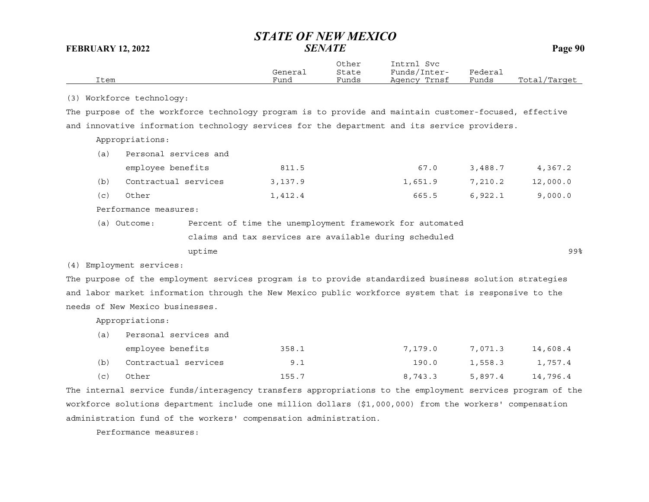| Item |                                 | General<br>Fund                                                                                        | Other<br>State<br>Funds | Intrnl Svc<br>Funds/Inter-<br>Agency Trnsf | Federal<br>Funds | Total/Target |
|------|---------------------------------|--------------------------------------------------------------------------------------------------------|-------------------------|--------------------------------------------|------------------|--------------|
|      | (3) Workforce technology:       |                                                                                                        |                         |                                            |                  |              |
|      |                                 | The purpose of the workforce technology program is to provide and maintain customer-focused, effective |                         |                                            |                  |              |
|      |                                 | and innovative information technology services for the department and its service providers.           |                         |                                            |                  |              |
|      | Appropriations:                 |                                                                                                        |                         |                                            |                  |              |
| (a)  | Personal services and           |                                                                                                        |                         |                                            |                  |              |
|      | employee benefits               | 811.5                                                                                                  |                         | 67.0                                       | 3,488.7          | 4,367.2      |
| (b)  | Contractual services            | 3,137.9                                                                                                |                         | 1,651.9                                    | 7,210.2          | 12,000.0     |
| (c)  | Other                           | 1,412.4                                                                                                |                         | 665.5                                      | 6,922.1          | 9,000.0      |
|      | Performance measures:           |                                                                                                        |                         |                                            |                  |              |
|      | (a) Outcome:                    | Percent of time the unemployment framework for automated                                               |                         |                                            |                  |              |
|      |                                 | claims and tax services are available during scheduled                                                 |                         |                                            |                  |              |
|      |                                 | uptime                                                                                                 |                         |                                            |                  | 99%          |
|      | (4) Employment services:        |                                                                                                        |                         |                                            |                  |              |
|      |                                 | The purpose of the employment services program is to provide standardized business solution strategies |                         |                                            |                  |              |
|      |                                 | and labor market information through the New Mexico public workforce system that is responsive to the  |                         |                                            |                  |              |
|      | needs of New Mexico businesses. |                                                                                                        |                         |                                            |                  |              |
|      | Appropriations:                 |                                                                                                        |                         |                                            |                  |              |
| (a)  | Personal services and           |                                                                                                        |                         |                                            |                  |              |
|      | employee benefits               | 358.1                                                                                                  |                         | 7,179.0                                    | 7,071.3          | 14,608.4     |
| (b)  | Contractual services            |                                                                                                        | 9.1                     | 190.0                                      | 1,558.3          | 1,757.4      |
| (c)  | Other                           | 155.7                                                                                                  |                         | 8,743.3                                    | 5,897.4          | 14,796.4     |

The internal service funds/interagency transfers appropriations to the employment services program of the workforce solutions department include one million dollars (\$1,000,000) from the workers' compensation administration fund of the workers' compensation administration.

Performance measures: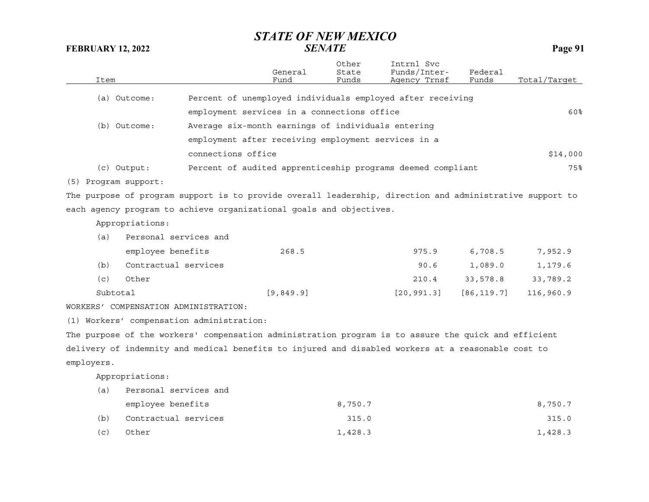| Item                 |                                       |                                                                                                          | General<br>Fund | Other<br>State<br>Funds | Intrnl Svc<br>Funds/Inter-<br>Agency Trnsf | Federal<br>Funds | Total/Target |
|----------------------|---------------------------------------|----------------------------------------------------------------------------------------------------------|-----------------|-------------------------|--------------------------------------------|------------------|--------------|
|                      | (a) Outcome:                          | Percent of unemployed individuals employed after receiving                                               |                 |                         |                                            |                  |              |
|                      |                                       | employment services in a connections office                                                              |                 |                         |                                            |                  | 60%          |
|                      | (b) Outcome:                          | Average six-month earnings of individuals entering                                                       |                 |                         |                                            |                  |              |
|                      |                                       | employment after receiving employment services in a                                                      |                 |                         |                                            |                  |              |
|                      |                                       | connections office                                                                                       |                 |                         |                                            |                  | \$14,000     |
|                      | $(c)$ Output:                         | Percent of audited apprenticeship programs deemed compliant                                              |                 |                         |                                            |                  | 75%          |
| (5) Program support: |                                       |                                                                                                          |                 |                         |                                            |                  |              |
|                      |                                       | The purpose of program support is to provide overall leadership, direction and administrative support to |                 |                         |                                            |                  |              |
|                      |                                       | each agency program to achieve organizational goals and objectives.                                      |                 |                         |                                            |                  |              |
|                      | Appropriations:                       |                                                                                                          |                 |                         |                                            |                  |              |
| (a)                  | Personal services and                 |                                                                                                          |                 |                         |                                            |                  |              |
|                      | employee benefits                     |                                                                                                          | 268.5           |                         | 975.9                                      | 6,708.5          | 7,952.9      |
| (b)                  | Contractual services                  |                                                                                                          |                 |                         | 90.6                                       | 1,089.0          | 1,179.6      |
| (c)                  | Other                                 |                                                                                                          |                 |                         | 210.4                                      | 33,578.8         | 33,789.2     |
| Subtotal             |                                       |                                                                                                          | [9, 849.9]      |                         | [20, 991.3]                                | [86, 119.7]      | 116,960.9    |
|                      | WORKERS' COMPENSATION ADMINISTRATION: |                                                                                                          |                 |                         |                                            |                  |              |
|                      |                                       | (1) Workers' compensation administration:                                                                |                 |                         |                                            |                  |              |
|                      |                                       | The purpose of the workers' compensation administration program is to assure the quick and efficient     |                 |                         |                                            |                  |              |
|                      |                                       | delivery of indemnity and medical benefits to injured and disabled workers at a reasonable cost to       |                 |                         |                                            |                  |              |
| employers.           |                                       |                                                                                                          |                 |                         |                                            |                  |              |
|                      | Appropriations:                       |                                                                                                          |                 |                         |                                            |                  |              |
| (a)                  | Personal services and                 |                                                                                                          |                 |                         |                                            |                  |              |
|                      | employee benefits                     |                                                                                                          |                 | 8,750.7                 |                                            |                  | 8,750.7      |
| (b)                  | Contractual services                  |                                                                                                          |                 | 315.0                   |                                            |                  | 315.0        |
| (c)                  | Other                                 |                                                                                                          |                 | 1,428.3                 |                                            |                  | 1,428.3      |
|                      |                                       |                                                                                                          |                 |                         |                                            |                  |              |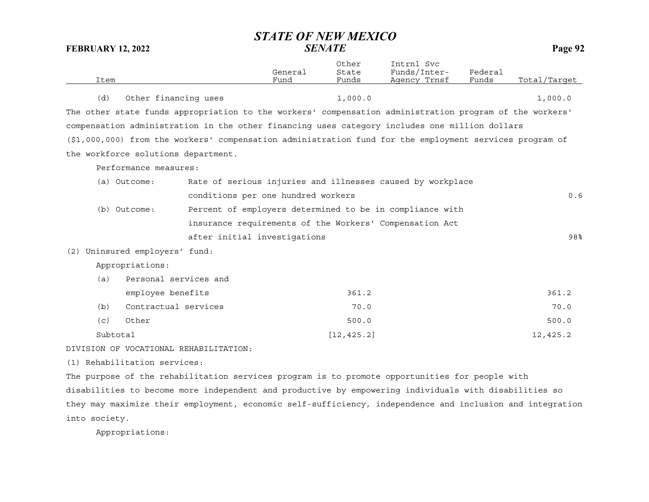|          |                                       |                                                                                                         | General | Other<br>State | Intrnl Svc<br>Funds/Inter- | Federal |              |
|----------|---------------------------------------|---------------------------------------------------------------------------------------------------------|---------|----------------|----------------------------|---------|--------------|
| Item     |                                       |                                                                                                         | Fund    | Funds          | Agency Trnsf               | Funds   | Total/Target |
| (d)      | Other financing uses                  |                                                                                                         |         | 1,000.0        |                            |         | 1,000.0      |
|          |                                       | The other state funds appropriation to the workers' compensation administration program of the workers' |         |                |                            |         |              |
|          |                                       | compensation administration in the other financing uses category includes one million dollars           |         |                |                            |         |              |
|          |                                       | (\$1,000,000) from the workers' compensation administration fund for the employment services program of |         |                |                            |         |              |
|          | the workforce solutions department.   |                                                                                                         |         |                |                            |         |              |
|          | Performance measures:                 |                                                                                                         |         |                |                            |         |              |
|          | (a) Outcome:                          | Rate of serious injuries and illnesses caused by workplace                                              |         |                |                            |         |              |
|          |                                       | conditions per one hundred workers                                                                      |         |                |                            |         | 0.6          |
|          | (b) Outcome:                          | Percent of employers determined to be in compliance with                                                |         |                |                            |         |              |
|          |                                       | insurance requirements of the Workers' Compensation Act                                                 |         |                |                            |         |              |
|          |                                       | after initial investigations                                                                            |         |                |                            |         | 98%          |
|          | (2) Uninsured employers' fund:        |                                                                                                         |         |                |                            |         |              |
|          | Appropriations:                       |                                                                                                         |         |                |                            |         |              |
| (a)      | Personal services and                 |                                                                                                         |         |                |                            |         |              |
|          | employee benefits                     |                                                                                                         |         | 361.2          |                            |         | 361.2        |
| (b)      | Contractual services                  |                                                                                                         |         | 70.0           |                            |         | 70.0         |
| (c)      | Other                                 |                                                                                                         |         | 500.0          |                            |         | 500.0        |
| Subtotal |                                       |                                                                                                         |         | [12, 425.2]    |                            |         | 12,425.2     |
|          | DIUICION OU UOCARIONAI DUUADIIIRATION |                                                                                                         |         |                |                            |         |              |

DIVISION OF VOCATIONAL REHABILITATION:

(1) Rehabilitation services:

The purpose of the rehabilitation services program is to promote opportunities for people with disabilities to become more independent and productive by empowering individuals with disabilities so they may maximize their employment, economic self-sufficiency, independence and inclusion and integration into society.

Appropriations: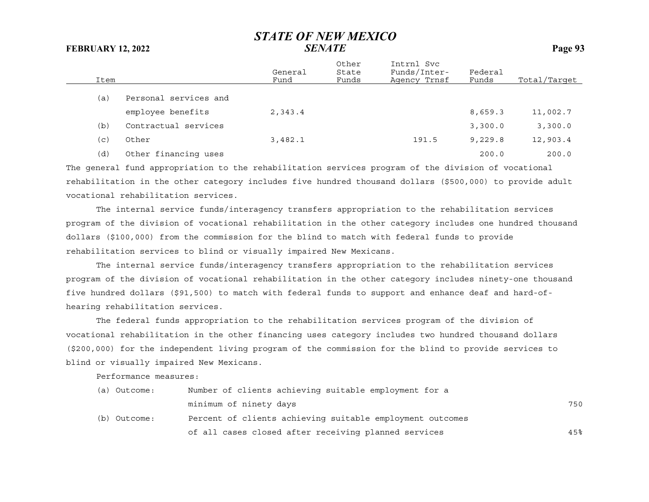| Item |                       | General<br>Fund | Other<br>State<br>Funds | Intrnl Svc<br>Funds/Inter-<br>Agency Trnsf | Federal<br>Funds | Total/Target |
|------|-----------------------|-----------------|-------------------------|--------------------------------------------|------------------|--------------|
| (a)  | Personal services and |                 |                         |                                            |                  |              |
|      | employee benefits     | 2,343.4         |                         |                                            | 8,659.3          | 11,002.7     |
| (b)  | Contractual services  |                 |                         |                                            | 3,300.0          | 3,300.0      |
| (c)  | Other                 | 3,482.1         |                         | 191.5                                      | 9,229.8          | 12,903.4     |
| (d)  | Other financing uses  |                 |                         |                                            | 200.0            | 200.0        |

The general fund appropriation to the rehabilitation services program of the division of vocational rehabilitation in the other category includes five hundred thousand dollars (\$500,000) to provide adult vocational rehabilitation services.

The internal service funds/interagency transfers appropriation to the rehabilitation services program of the division of vocational rehabilitation in the other category includes one hundred thousand dollars (\$100,000) from the commission for the blind to match with federal funds to provide rehabilitation services to blind or visually impaired New Mexicans.

The internal service funds/interagency transfers appropriation to the rehabilitation services program of the division of vocational rehabilitation in the other category includes ninety-one thousand five hundred dollars (\$91,500) to match with federal funds to support and enhance deaf and hard-ofhearing rehabilitation services.

The federal funds appropriation to the rehabilitation services program of the division of vocational rehabilitation in the other financing uses category includes two hundred thousand dollars (\$200,000) for the independent living program of the commission for the blind to provide services to blind or visually impaired New Mexicans.

Performance measures:

| (a) Outcome: | Number of clients achieving suitable employment for a     |     |
|--------------|-----------------------------------------------------------|-----|
|              | minimum of ninety days                                    | 750 |
| (b) Outcome: | Percent of clients achieving suitable employment outcomes |     |
|              | of all cases closed after receiving planned services      | 45% |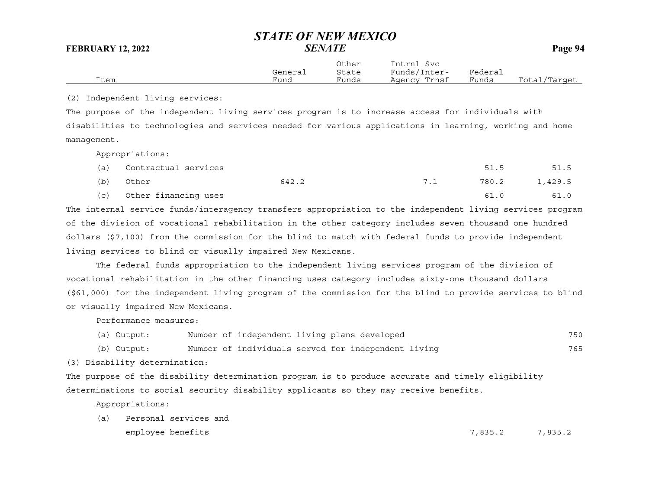|      | General | Other<br>State | Intrnl<br>Svc<br>Funds/Inter- | Federai |              |
|------|---------|----------------|-------------------------------|---------|--------------|
| Item | Fund    | Funds          | Agency Trnsf                  | Funds   | Total/Target |

(2) Independent living services:

The purpose of the independent living services program is to increase access for individuals with disabilities to technologies and services needed for various applications in learning, working and home management.

Appropriations:

| (a) | Contractual services     |       |     | 51.5          | 51.5 |
|-----|--------------------------|-------|-----|---------------|------|
| (b) | Other                    | 642.2 | 7.1 | 780.2 1,429.5 |      |
|     | (c) Other financing uses |       |     | 61.0          | 61.0 |

The internal service funds/interagency transfers appropriation to the independent living services program of the division of vocational rehabilitation in the other category includes seven thousand one hundred dollars (\$7,100) from the commission for the blind to match with federal funds to provide independent living services to blind or visually impaired New Mexicans.

The federal funds appropriation to the independent living services program of the division of vocational rehabilitation in the other financing uses category includes sixty-one thousand dollars (\$61,000) for the independent living program of the commission for the blind to provide services to blind or visually impaired New Mexicans.

Performance measures:

|  | (a) Output: |  |  |  | Number of independent living plans developed | 750 |
|--|-------------|--|--|--|----------------------------------------------|-----|
|--|-------------|--|--|--|----------------------------------------------|-----|

(b) Output: Number of individuals served for independent living 765

(3) Disability determination:

The purpose of the disability determination program is to produce accurate and timely eligibility determinations to social security disability applicants so they may receive benefits.

Appropriations:

(a) Personal services and employee benefits 7,835.2 7,835.2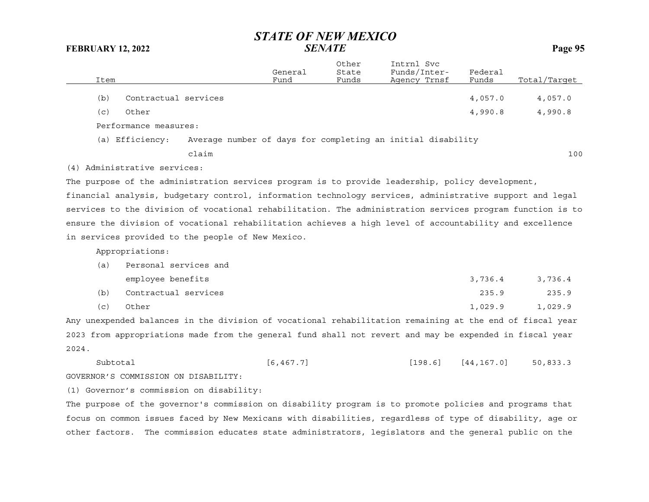| Item  |                                                   |       | General<br>Fund | Other<br>State<br>Funds | Intrnl Svc<br>Funds/Inter-<br>Agency Trnsf                                                                | Federal<br>Funds | Total/Target |
|-------|---------------------------------------------------|-------|-----------------|-------------------------|-----------------------------------------------------------------------------------------------------------|------------------|--------------|
|       |                                                   |       |                 |                         |                                                                                                           |                  |              |
| (b)   | Contractual services                              |       |                 |                         |                                                                                                           | 4,057.0          | 4,057.0      |
| (c)   | Other                                             |       |                 |                         |                                                                                                           | 4,990.8          | 4,990.8      |
|       | Performance measures:                             |       |                 |                         |                                                                                                           |                  |              |
|       | (a) Efficiency:                                   |       |                 |                         | Average number of days for completing an initial disability                                               |                  |              |
|       |                                                   | claim |                 |                         |                                                                                                           |                  | 100          |
|       | (4) Administrative services:                      |       |                 |                         |                                                                                                           |                  |              |
|       |                                                   |       |                 |                         | The purpose of the administration services program is to provide leadership, policy development,          |                  |              |
|       |                                                   |       |                 |                         | financial analysis, budgetary control, information technology services, administrative support and legal  |                  |              |
|       |                                                   |       |                 |                         | services to the division of vocational rehabilitation. The administration services program function is to |                  |              |
|       |                                                   |       |                 |                         | ensure the division of vocational rehabilitation achieves a high level of accountability and excellence   |                  |              |
|       | in services provided to the people of New Mexico. |       |                 |                         |                                                                                                           |                  |              |
|       | Appropriations:                                   |       |                 |                         |                                                                                                           |                  |              |
| (a)   | Personal services and                             |       |                 |                         |                                                                                                           |                  |              |
|       | employee benefits                                 |       |                 |                         |                                                                                                           | 3,736.4          | 3,736.4      |
| (b)   | Contractual services                              |       |                 |                         |                                                                                                           | 235.9            | 235.9        |
| (c)   | Other                                             |       |                 |                         |                                                                                                           | 1,029.9          | 1,029.9      |
|       |                                                   |       |                 |                         | Any unexpended balances in the division of vocational rehabilitation remaining at the end of fiscal year  |                  |              |
|       |                                                   |       |                 |                         | 2023 from appropriations made from the general fund shall not revert and may be expended in fiscal year   |                  |              |
| 2024. |                                                   |       |                 |                         |                                                                                                           |                  |              |
|       | Subtotal                                          |       | [6, 467.7]      |                         | [198.6]                                                                                                   | [44, 167.0]      | 50,833.3     |
|       | GOVERNOR'S COMMISSION ON DISABILITY:              |       |                 |                         |                                                                                                           |                  |              |
|       | (1) Governor's commission on disability:          |       |                 |                         |                                                                                                           |                  |              |
|       |                                                   |       |                 |                         |                                                                                                           |                  |              |

The purpose of the governor's commission on disability program is to promote policies and programs that focus on common issues faced by New Mexicans with disabilities, regardless of type of disability, age or other factors. The commission educates state administrators, legislators and the general public on the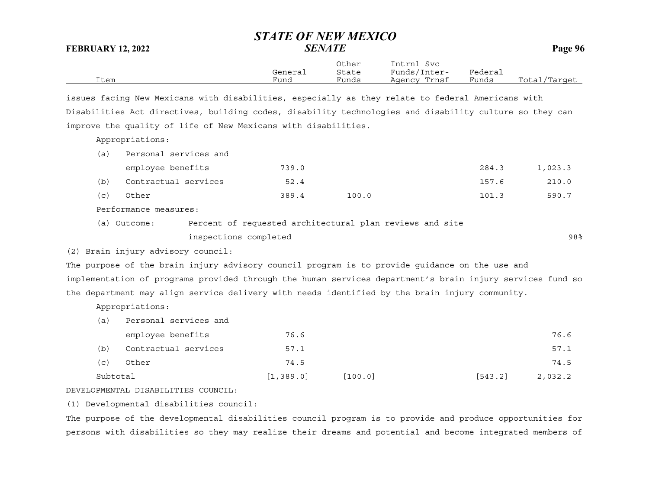|      |         | Other | Intrnl<br>Svc |         |              |
|------|---------|-------|---------------|---------|--------------|
|      | General | State | Funds/Inter-  | Federai |              |
| Item | Fund    | Funds | Agency Trnsf  | Funds   | Total/Target |

issues facing New Mexicans with disabilities, especially as they relate to federal Americans with Disabilities Act directives, building codes, disability technologies and disability culture so they can improve the quality of life of New Mexicans with disabilities.

Appropriations:

| (a) | Personal services and              |                       |       |                                                                                                           |       |         |
|-----|------------------------------------|-----------------------|-------|-----------------------------------------------------------------------------------------------------------|-------|---------|
|     | employee benefits                  |                       | 739.0 |                                                                                                           | 284.3 | 1,023.3 |
| (b) | Contractual services               |                       | 52.4  |                                                                                                           | 157.6 | 210.0   |
| (c) | Other                              |                       | 389.4 | 100.0                                                                                                     | 101.3 | 590.7   |
|     | Performance measures:              |                       |       |                                                                                                           |       |         |
|     | (a) Outcome:                       |                       |       | Percent of requested architectural plan reviews and site                                                  |       |         |
|     |                                    | inspections completed |       |                                                                                                           |       | 98%     |
|     | (2) Brain injury advisory council: |                       |       |                                                                                                           |       |         |
|     |                                    |                       |       | The purpose of the brain injury advisory council program is to provide quidance on the use and            |       |         |
|     |                                    |                       |       | implementation of programs provided through the human services department's brain injury services fund so |       |         |
|     |                                    |                       |       |                                                                                                           |       |         |

the department may align service delivery with needs identified by the brain injury community.

Appropriations:

| (a)         | Personal services and |            |         |         |         |
|-------------|-----------------------|------------|---------|---------|---------|
|             | employee benefits     | 76.6       |         |         | 76.6    |
| (b)         | Contractual services  | 57.1       |         |         | 57.1    |
| $\subset$ ) | Other                 | 74.5       |         |         | 74.5    |
| Subtotal    |                       | [1, 389.0] | [100.0] | [543.2] | 2,032.2 |

DEVELOPMENTAL DISABILITIES COUNCIL:

(1) Developmental disabilities council:

The purpose of the developmental disabilities council program is to provide and produce opportunities for persons with disabilities so they may realize their dreams and potential and become integrated members of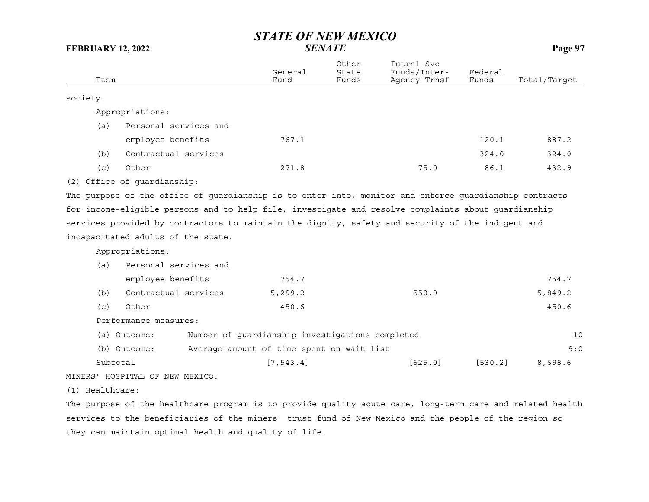| Item            |                                    | General<br>Fund                                 | Other<br>State<br>Funds | Intrnl Svc<br>Funds/Inter-<br>Agency Trnsf                                                             | Federal<br>Funds | Total/Target |
|-----------------|------------------------------------|-------------------------------------------------|-------------------------|--------------------------------------------------------------------------------------------------------|------------------|--------------|
| society.        |                                    |                                                 |                         |                                                                                                        |                  |              |
|                 |                                    |                                                 |                         |                                                                                                        |                  |              |
|                 | Appropriations:                    |                                                 |                         |                                                                                                        |                  |              |
| (a)             | Personal services and              |                                                 |                         |                                                                                                        |                  |              |
|                 | employee benefits                  | 767.1                                           |                         |                                                                                                        | 120.1            | 887.2        |
| (b)             | Contractual services               |                                                 |                         |                                                                                                        | 324.0            | 324.0        |
| (c)             | Other                              | 271.8                                           |                         | 75.0                                                                                                   | 86.1             | 432.9        |
|                 | (2) Office of guardianship:        |                                                 |                         |                                                                                                        |                  |              |
|                 |                                    |                                                 |                         | The purpose of the office of guardianship is to enter into, monitor and enforce guardianship contracts |                  |              |
|                 |                                    |                                                 |                         | for income-eligible persons and to help file, investigate and resolve complaints about guardianship    |                  |              |
|                 |                                    |                                                 |                         | services provided by contractors to maintain the dignity, safety and security of the indigent and      |                  |              |
|                 | incapacitated adults of the state. |                                                 |                         |                                                                                                        |                  |              |
|                 | Appropriations:                    |                                                 |                         |                                                                                                        |                  |              |
| (a)             | Personal services and              |                                                 |                         |                                                                                                        |                  |              |
|                 | employee benefits                  | 754.7                                           |                         |                                                                                                        |                  | 754.7        |
| (b)             | Contractual services               | 5,299.2                                         |                         | 550.0                                                                                                  |                  | 5,849.2      |
| (c)             | Other                              | 450.6                                           |                         |                                                                                                        |                  | 450.6        |
|                 | Performance measures:              |                                                 |                         |                                                                                                        |                  |              |
|                 | (a) Outcome:                       | Number of guardianship investigations completed |                         |                                                                                                        |                  | 10           |
|                 | (b) Outcome:                       | Average amount of time spent on wait list       |                         |                                                                                                        |                  | 9:0          |
|                 | Subtotal                           | [7, 543.4]                                      |                         | [625.0]                                                                                                | [530.2]          | 8,698.6      |
|                 | MINERS' HOSPITAL OF NEW MEXICO:    |                                                 |                         |                                                                                                        |                  |              |
| (1) Healthcare: |                                    |                                                 |                         |                                                                                                        |                  |              |

The purpose of the healthcare program is to provide quality acute care, long-term care and related health services to the beneficiaries of the miners' trust fund of New Mexico and the people of the region so they can maintain optimal health and quality of life.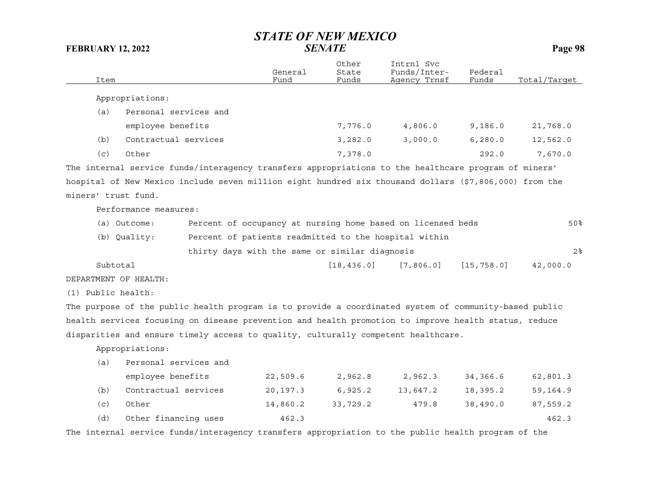| Item                |                                                                                                        | General<br>Fund                                       | Other<br>State<br>Funds | Intrnl Svc<br>Funds/Inter-<br>Agency Trnsf                  | Federal<br>Funds | Total/Tarqet   |
|---------------------|--------------------------------------------------------------------------------------------------------|-------------------------------------------------------|-------------------------|-------------------------------------------------------------|------------------|----------------|
|                     | Appropriations:                                                                                        |                                                       |                         |                                                             |                  |                |
| (a)                 | Personal services and                                                                                  |                                                       |                         |                                                             |                  |                |
|                     | employee benefits                                                                                      |                                                       | 7,776.0                 | 4,806.0                                                     | 9,186.0          | 21,768.0       |
| (b)                 | Contractual services                                                                                   |                                                       | 3,282.0                 | 3,000.0                                                     | 6, 280.0         | 12,562.0       |
| (c)                 | Other                                                                                                  |                                                       | 7,378.0                 |                                                             | 292.0            | 7,670.0        |
|                     | The internal service funds/interagency transfers appropriations to the healthcare program of miners'   |                                                       |                         |                                                             |                  |                |
|                     | hospital of New Mexico include seven million eight hundred six thousand dollars (\$7,806,000) from the |                                                       |                         |                                                             |                  |                |
| miners' trust fund. |                                                                                                        |                                                       |                         |                                                             |                  |                |
|                     | Performance measures:                                                                                  |                                                       |                         |                                                             |                  |                |
|                     | (a) Outcome:                                                                                           |                                                       |                         | Percent of occupancy at nursing home based on licensed beds |                  | 50%            |
|                     | (b) Quality:                                                                                           | Percent of patients readmitted to the hospital within |                         |                                                             |                  |                |
|                     |                                                                                                        | thirty days with the same or similar diagnosis        |                         |                                                             |                  | 2 <sup>°</sup> |
| Subtotal            |                                                                                                        |                                                       | [18, 436.0]             | [7, 806.0]                                                  | [15, 758.0]      | 42,000.0       |
|                     | DEPARTMENT OF HEALTH:                                                                                  |                                                       |                         |                                                             |                  |                |
| (1) Public health:  |                                                                                                        |                                                       |                         |                                                             |                  |                |
|                     | The purpose of the public health program is to provide a coordinated system of community-based public  |                                                       |                         |                                                             |                  |                |
|                     | health services focusing on disease prevention and health promotion to improve health status, reduce   |                                                       |                         |                                                             |                  |                |
|                     | disparities and ensure timely access to quality, culturally competent healthcare.                      |                                                       |                         |                                                             |                  |                |
|                     | Appropriations:                                                                                        |                                                       |                         |                                                             |                  |                |
| (a)                 | Personal services and                                                                                  |                                                       |                         |                                                             |                  |                |
|                     | employee benefits                                                                                      | 22,509.6                                              | 2,962.8                 | 2,962.3                                                     | 34,366.6         | 62,801.3       |
| (b)                 | Contractual services                                                                                   | 20,197.3                                              | 6,925.2                 | 13,647.2                                                    | 18,395.2         | 59,164.9       |
| (c)                 | Other                                                                                                  | 14,860.2                                              | 33,729.2                | 479.8                                                       | 38,490.0         | 87,559.2       |
| (d)                 | Other financing uses                                                                                   | 462.3                                                 |                         |                                                             |                  | 462.3          |

The internal service funds/interagency transfers appropriation to the public health program of the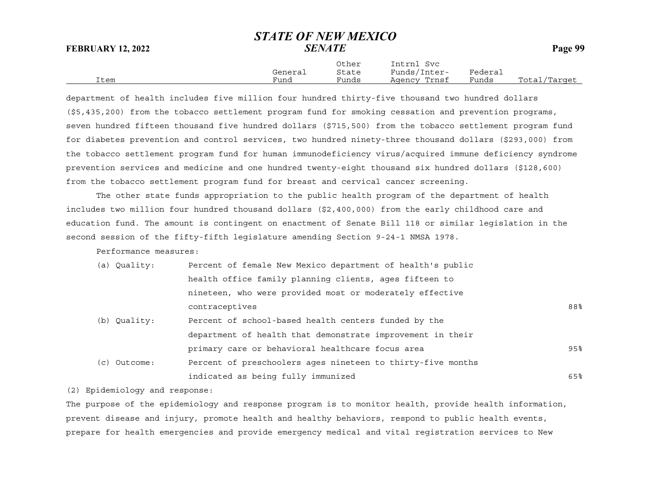Other Intrnl Svc General State Funds/Inter- Federal Item Fund Funds Agency Trnsf Funds Total/Target

department of health includes five million four hundred thirty-five thousand two hundred dollars (\$5,435,200) from the tobacco settlement program fund for smoking cessation and prevention programs, seven hundred fifteen thousand five hundred dollars (\$715,500) from the tobacco settlement program fund for diabetes prevention and control services, two hundred ninety-three thousand dollars (\$293,000) from the tobacco settlement program fund for human immunodeficiency virus/acquired immune deficiency syndrome prevention services and medicine and one hundred twenty-eight thousand six hundred dollars (\$128,600) from the tobacco settlement program fund for breast and cervical cancer screening.

The other state funds appropriation to the public health program of the department of health includes two million four hundred thousand dollars (\$2,400,000) from the early childhood care and education fund. The amount is contingent on enactment of Senate Bill 118 or similar legislation in the second session of the fifty-fifth legislature amending Section 9-24-1 NMSA 1978.

Performance measures:

| (a) Quality: | Percent of female New Mexico department of health's public  |        |
|--------------|-------------------------------------------------------------|--------|
|              | health office family planning clients, ages fifteen to      |        |
|              | nineteen, who were provided most or moderately effective    |        |
|              | contraceptives                                              | 88%    |
| (b) Quality: | Percent of school-based health centers funded by the        |        |
|              | department of health that demonstrate improvement in their  |        |
|              | primary care or behavioral healthcare focus area            | $95\%$ |
| (c) Outcome: | Percent of preschoolers ages nineteen to thirty-five months |        |
|              | indicated as being fully immunized                          | 65%    |

(2) Epidemiology and response:

The purpose of the epidemiology and response program is to monitor health, provide health information, prevent disease and injury, promote health and healthy behaviors, respond to public health events, prepare for health emergencies and provide emergency medical and vital registration services to New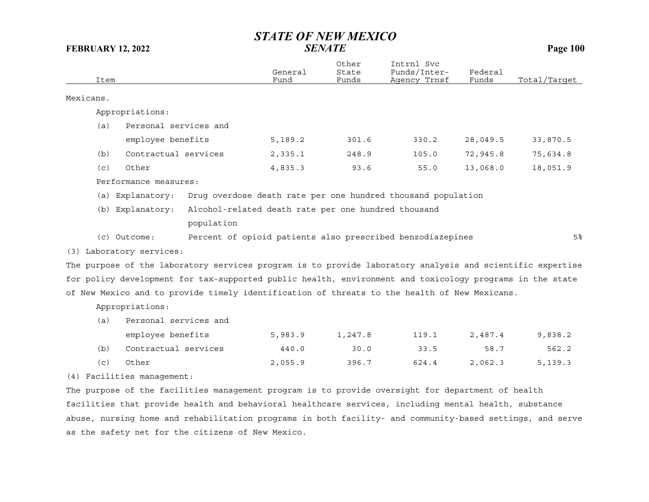|           | Item |                            |                                                                                                           | General<br>Fund | Other<br>State<br>Funds | Intrnl Svc<br>Funds/Inter-<br>Agency Trnsf                   | Federal<br>Funds | Total/Target   |
|-----------|------|----------------------------|-----------------------------------------------------------------------------------------------------------|-----------------|-------------------------|--------------------------------------------------------------|------------------|----------------|
| Mexicans. |      |                            |                                                                                                           |                 |                         |                                                              |                  |                |
|           |      | Appropriations:            |                                                                                                           |                 |                         |                                                              |                  |                |
|           | (a)  | Personal services and      |                                                                                                           |                 |                         |                                                              |                  |                |
|           |      | employee benefits          |                                                                                                           | 5,189.2         | 301.6                   | 330.2                                                        | 28,049.5         | 33,870.5       |
|           | (b)  | Contractual services       |                                                                                                           | 2,335.1         | 248.9                   | 105.0                                                        | 72,945.8         | 75,634.8       |
|           | (c)  | Other                      |                                                                                                           | 4,835.3         | 93.6                    | 55.0                                                         | 13,068.0         | 18,051.9       |
|           |      | Performance measures:      |                                                                                                           |                 |                         |                                                              |                  |                |
|           |      | (a) Explanatory:           |                                                                                                           |                 |                         | Drug overdose death rate per one hundred thousand population |                  |                |
|           |      | (b) Explanatory:           | Alcohol-related death rate per one hundred thousand                                                       |                 |                         |                                                              |                  |                |
|           |      |                            | population                                                                                                |                 |                         |                                                              |                  |                |
|           |      | (c) Outcome:               |                                                                                                           |                 |                         | Percent of opioid patients also prescribed benzodiazepines   |                  | 5 <sup>8</sup> |
|           |      | (3) Laboratory services:   |                                                                                                           |                 |                         |                                                              |                  |                |
|           |      |                            | The purpose of the laboratory services program is to provide laboratory analysis and scientific expertise |                 |                         |                                                              |                  |                |
|           |      |                            | for policy development for tax-supported public health, environment and toxicology programs in the state  |                 |                         |                                                              |                  |                |
|           |      |                            | of New Mexico and to provide timely identification of threats to the health of New Mexicans.              |                 |                         |                                                              |                  |                |
|           |      | Appropriations:            |                                                                                                           |                 |                         |                                                              |                  |                |
|           | (a)  | Personal services and      |                                                                                                           |                 |                         |                                                              |                  |                |
|           |      | employee benefits          |                                                                                                           | 5,983.9         | 1,247.8                 | 119.1                                                        | 2,487.4          | 9,838.2        |
|           | (b)  | Contractual services       |                                                                                                           | 440.0           | 30.0                    | 33.5                                                         | 58.7             | 562.2          |
|           | (c)  | Other                      |                                                                                                           | 2,055.9         | 396.7                   | 624.4                                                        | 2,062.3          | 5, 139.3       |
|           |      | (4) Facilities management: |                                                                                                           |                 |                         |                                                              |                  |                |
|           |      |                            | The purpose of the facilities management program is to provide oversight for department of health         |                 |                         |                                                              |                  |                |
|           |      |                            | facilities that provide health and behavioral healthcare services, including mental health, substance     |                 |                         |                                                              |                  |                |

abuse, nursing home and rehabilitation programs in both facility- and community-based settings, and serve as the safety net for the citizens of New Mexico.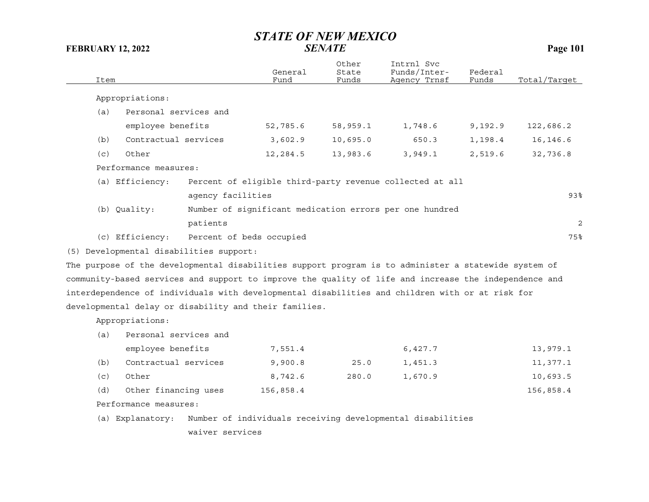| Item                                                                                                  |                   | General<br>Fund          | Other<br>State<br>Funds | Intrnl Svc<br>Funds/Inter-<br>Agency Trnsf                 | Federal<br>Funds | Total/Target   |
|-------------------------------------------------------------------------------------------------------|-------------------|--------------------------|-------------------------|------------------------------------------------------------|------------------|----------------|
| Appropriations:                                                                                       |                   |                          |                         |                                                            |                  |                |
| Personal services and<br>(a)                                                                          |                   |                          |                         |                                                            |                  |                |
| employee benefits                                                                                     |                   | 52,785.6                 | 58,959.1                | 1,748.6                                                    | 9,192.9          | 122,686.2      |
| Contractual services<br>(b)                                                                           |                   | 3,602.9                  | 10,695.0                | 650.3                                                      | 1,198.4          | 16, 146.6      |
| Other<br>(c)                                                                                          |                   | 12,284.5                 | 13,983.6                | 3,949.1                                                    | 2,519.6          | 32,736.8       |
| Performance measures:                                                                                 |                   |                          |                         |                                                            |                  |                |
| (a) Efficiency:                                                                                       |                   |                          |                         | Percent of eligible third-party revenue collected at all   |                  |                |
|                                                                                                       | agency facilities |                          |                         |                                                            |                  | 93%            |
| (b) Quality:                                                                                          |                   |                          |                         | Number of significant medication errors per one hundred    |                  |                |
|                                                                                                       | patients          |                          |                         |                                                            |                  | $\overline{c}$ |
| (c) Efficiency:                                                                                       |                   | Percent of beds occupied |                         |                                                            |                  | 75%            |
| (5) Developmental disabilities support:                                                               |                   |                          |                         |                                                            |                  |                |
| The purpose of the developmental disabilities support program is to administer a statewide system of  |                   |                          |                         |                                                            |                  |                |
| community-based services and support to improve the quality of life and increase the independence and |                   |                          |                         |                                                            |                  |                |
| interdependence of individuals with developmental disabilities and children with or at risk for       |                   |                          |                         |                                                            |                  |                |
| developmental delay or disability and their families.                                                 |                   |                          |                         |                                                            |                  |                |
| Appropriations:                                                                                       |                   |                          |                         |                                                            |                  |                |
| Personal services and<br>(a)                                                                          |                   |                          |                         |                                                            |                  |                |
| employee benefits                                                                                     |                   | 7,551.4                  |                         | 6,427.7                                                    |                  | 13,979.1       |
| Contractual services<br>(b)                                                                           |                   | 9,900.8                  | 25.0                    | 1,451.3                                                    |                  | 11,377.1       |
| (c)<br>Other                                                                                          |                   | 8,742.6                  | 280.0                   | 1,670.9                                                    |                  | 10,693.5       |
| (d)<br>Other financing uses                                                                           |                   | 156,858.4                |                         |                                                            |                  | 156,858.4      |
| Performance measures:                                                                                 |                   |                          |                         |                                                            |                  |                |
| (a) Explanatory:                                                                                      |                   |                          |                         | Number of individuals receiving developmental disabilities |                  |                |
|                                                                                                       | waiver services   |                          |                         |                                                            |                  |                |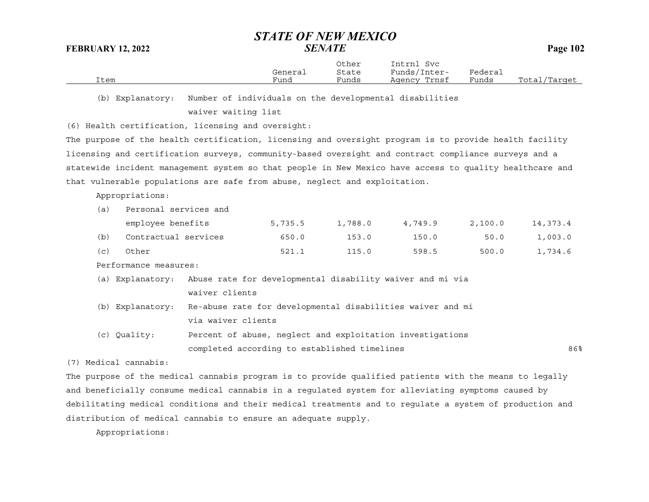|      |         | Other | Intrnl<br>Svc   |                             |                  |
|------|---------|-------|-----------------|-----------------------------|------------------|
|      | General | State | Funds/Inter-    | ${}_{\rm \texttt{Federau}}$ |                  |
| Item | Funa    | Funds | Trnsf<br>Aqency | Funds                       | Total<br>/Target |

(b) Explanatory: Number of individuals on the developmental disabilities

waiver waiting list

(6) Health certification, licensing and oversight:

The purpose of the health certification, licensing and oversight program is to provide health facility licensing and certification surveys, community-based oversight and contract compliance surveys and a statewide incident management system so that people in New Mexico have access to quality healthcare and that vulnerable populations are safe from abuse, neglect and exploitation.

Appropriations:

|  |  | Personal services and | (a) |
|--|--|-----------------------|-----|
|--|--|-----------------------|-----|

|     | employee benefits    | 5,735.5 | 1,788.0 | 4,749.9 | 2,100.0 | 14,373.4 |
|-----|----------------------|---------|---------|---------|---------|----------|
| (b) | Contractual services | 650.0   | 153.0   | 150.0   | 50.0    | 1,003.0  |
| (C) | Other                | 521.1   | 115.0   | 598.5   | 500.0   | 1,734.6  |

Performance measures:

(a) Explanatory: Abuse rate for developmental disability waiver and mi via waiver clients

(b) Explanatory: Re-abuse rate for developmental disabilities waiver and mi via waiver clients

(c) Quality: Percent of abuse, neglect and exploitation investigations completed according to established timelines 86%

(7) Medical cannabis:

The purpose of the medical cannabis program is to provide qualified patients with the means to legally and beneficially consume medical cannabis in a regulated system for alleviating symptoms caused by debilitating medical conditions and their medical treatments and to regulate a system of production and distribution of medical cannabis to ensure an adequate supply.

Appropriations: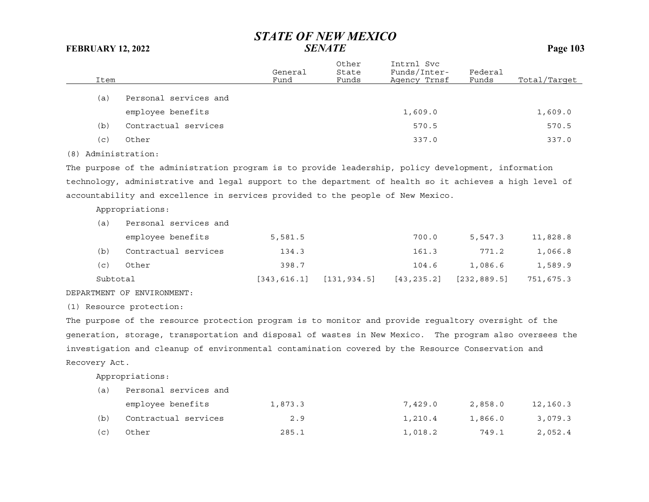|     | Item |                       | General<br>Fund | Other<br>State<br>Funds | Intrnl Svc<br>Funds/Inter-<br>Agency Trnsf | Federal<br>Funds | Total/Target |
|-----|------|-----------------------|-----------------|-------------------------|--------------------------------------------|------------------|--------------|
|     | (a)  | Personal services and |                 |                         |                                            |                  |              |
|     |      | employee benefits     |                 |                         | 1,609.0                                    |                  | 1,609.0      |
|     | (b)  | Contractual services  |                 |                         | 570.5                                      |                  | 570.5        |
|     | (c)  | Other                 |                 |                         | 337.0                                      |                  | 337.0        |
| (8) |      | Administration:       |                 |                         |                                            |                  |              |

The purpose of the administration program is to provide leadership, policy development, information technology, administrative and legal support to the department of health so it achieves a high level of accountability and excellence in services provided to the people of New Mexico.

Appropriations:

| (a)      | Personal services and |              |              |             |              |           |
|----------|-----------------------|--------------|--------------|-------------|--------------|-----------|
|          | employee benefits     | 5,581.5      |              | 700.0       | 5,547.3      | 11,828.8  |
| (b)      | Contractual services  | 134.3        |              | 161.3       | 771.2        | 1,066.8   |
| (C)      | Other                 | 398.7        |              | 104.6       | 1,086.6      | 1,589.9   |
| Subtotal |                       | [343, 616.1] | [131, 934.5] | [43, 235.2] | [232, 889.5] | 751,675.3 |

### DEPARTMENT OF ENVIRONMENT:

(1) Resource protection:

The purpose of the resource protection program is to monitor and provide regualtory oversight of the generation, storage, transportation and disposal of wastes in New Mexico. The program also oversees the investigation and cleanup of environmental contamination covered by the Resource Conservation and Recovery Act.

Appropriations:

| (a) | Personal services and |         |         |         |          |  |  |  |
|-----|-----------------------|---------|---------|---------|----------|--|--|--|
|     | employee benefits     | 1,873.3 | 7,429.0 | 2,858.0 | 12,160.3 |  |  |  |
| (b) | Contractual services  | 2.9     | 1,210.4 | 1,866.0 | 3,079.3  |  |  |  |
| (C) | Other                 | 285.1   | 1,018.2 | 749.1   | 2,052.4  |  |  |  |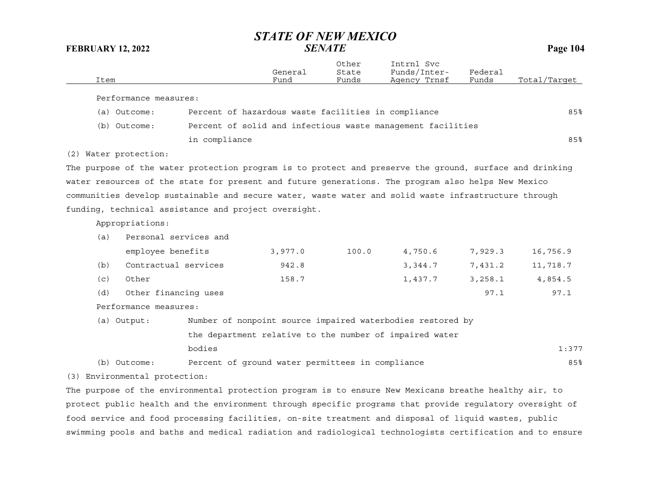| Item                                                                                                    |                       | General<br>Fund                                             | Other<br>State<br>Funds | Intrnl Svc<br>Funds/Inter-<br>Agency Trnsf | Federal<br>Funds | Total/Target |
|---------------------------------------------------------------------------------------------------------|-----------------------|-------------------------------------------------------------|-------------------------|--------------------------------------------|------------------|--------------|
| Performance measures:                                                                                   |                       |                                                             |                         |                                            |                  |              |
| (a) Outcome:                                                                                            |                       | Percent of hazardous waste facilities in compliance         |                         |                                            |                  | 85%          |
| (b) Outcome:                                                                                            |                       | Percent of solid and infectious waste management facilities |                         |                                            |                  |              |
|                                                                                                         | in compliance         |                                                             |                         |                                            |                  | 85%          |
| (2) Water protection:                                                                                   |                       |                                                             |                         |                                            |                  |              |
| The purpose of the water protection program is to protect and preserve the ground, surface and drinking |                       |                                                             |                         |                                            |                  |              |
| water resources of the state for present and future generations. The program also helps New Mexico      |                       |                                                             |                         |                                            |                  |              |
| communities develop sustainable and secure water, waste water and solid waste infrastructure through    |                       |                                                             |                         |                                            |                  |              |
| funding, technical assistance and project oversight.                                                    |                       |                                                             |                         |                                            |                  |              |
| Appropriations:                                                                                         |                       |                                                             |                         |                                            |                  |              |
| (a)                                                                                                     | Personal services and |                                                             |                         |                                            |                  |              |
|                                                                                                         | employee benefits     | 3,977.0                                                     | 100.0                   | 4,750.6                                    | 7,929.3          | 16,756.9     |
| (b)                                                                                                     | Contractual services  | 942.8                                                       |                         | 3,344.7                                    | 7,431.2          | 11,718.7     |
| Other<br>(c)                                                                                            |                       | 158.7                                                       |                         | 1,437.7                                    | 3,258.1          | 4,854.5      |
| (d)                                                                                                     | Other financing uses  |                                                             |                         |                                            | 97.1             | 97.1         |
| Performance measures:                                                                                   |                       |                                                             |                         |                                            |                  |              |
| (a) Output:                                                                                             |                       | Number of nonpoint source impaired waterbodies restored by  |                         |                                            |                  |              |
|                                                                                                         |                       | the department relative to the number of impaired water     |                         |                                            |                  |              |
|                                                                                                         | bodies                |                                                             |                         |                                            |                  | 1:377        |
| (b) Outcome:                                                                                            |                       | Percent of ground water permittees in compliance            |                         |                                            |                  | 85%          |

(3) Environmental protection:

The purpose of the environmental protection program is to ensure New Mexicans breathe healthy air, to protect public health and the environment through specific programs that provide regulatory oversight of food service and food processing facilities, on-site treatment and disposal of liquid wastes, public swimming pools and baths and medical radiation and radiological technologists certification and to ensure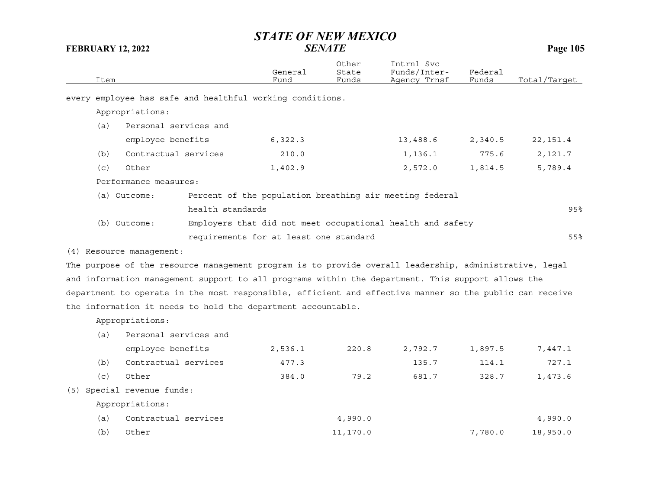| Item         |                                                                                                         |                                        | General<br>Fund | Other<br>State<br>Funds | Intrnl Svc<br>Funds/Inter-<br>Agency Trnsf                 | Federal<br>Funds | Total/Target |
|--------------|---------------------------------------------------------------------------------------------------------|----------------------------------------|-----------------|-------------------------|------------------------------------------------------------|------------------|--------------|
|              | every employee has safe and healthful working conditions.                                               |                                        |                 |                         |                                                            |                  |              |
|              | Appropriations:                                                                                         |                                        |                 |                         |                                                            |                  |              |
| (a)          | Personal services and                                                                                   |                                        |                 |                         |                                                            |                  |              |
|              | employee benefits                                                                                       |                                        | 6,322.3         |                         | 13,488.6                                                   | 2,340.5          | 22, 151.4    |
| (b)          | Contractual services                                                                                    |                                        | 210.0           |                         | 1,136.1                                                    | 775.6            | 2,121.7      |
| Other<br>(c) |                                                                                                         |                                        | 1,402.9         |                         | 2,572.0                                                    | 1,814.5          | 5,789.4      |
|              | Performance measures:                                                                                   |                                        |                 |                         |                                                            |                  |              |
|              | (a) Outcome:                                                                                            |                                        |                 |                         | Percent of the population breathing air meeting federal    |                  |              |
|              |                                                                                                         | health standards                       |                 |                         |                                                            |                  | 95%          |
|              | (b) Outcome:                                                                                            |                                        |                 |                         | Employers that did not meet occupational health and safety |                  |              |
|              |                                                                                                         | requirements for at least one standard |                 |                         |                                                            |                  | 55%          |
|              | (4) Resource management:                                                                                |                                        |                 |                         |                                                            |                  |              |
|              | The purpose of the resource management program is to provide overall leadership, administrative, legal  |                                        |                 |                         |                                                            |                  |              |
|              | and information management support to all programs within the department. This support allows the       |                                        |                 |                         |                                                            |                  |              |
|              | department to operate in the most responsible, efficient and effective manner so the public can receive |                                        |                 |                         |                                                            |                  |              |
|              | the information it needs to hold the department accountable.                                            |                                        |                 |                         |                                                            |                  |              |
|              | Appropriations:                                                                                         |                                        |                 |                         |                                                            |                  |              |
| (a)          | Personal services and                                                                                   |                                        |                 |                         |                                                            |                  |              |
|              | employee benefits                                                                                       |                                        | 2,536.1         | 220.8                   | 2,792.7                                                    | 1,897.5          | 7,447.1      |
| (b)          | Contractual services                                                                                    |                                        | 477.3           |                         | 135.7                                                      | 114.1            | 727.1        |
| (c)          | Other                                                                                                   |                                        | 384.0           | 79.2                    | 681.7                                                      | 328.7            | 1,473.6      |
|              | (5) Special revenue funds:                                                                              |                                        |                 |                         |                                                            |                  |              |
|              | Appropriations:                                                                                         |                                        |                 |                         |                                                            |                  |              |
| (a)          | Contractual services                                                                                    |                                        |                 | 4,990.0                 |                                                            |                  | 4,990.0      |
| (b)          | Other                                                                                                   |                                        |                 | 11,170.0                |                                                            | 7,780.0          | 18,950.0     |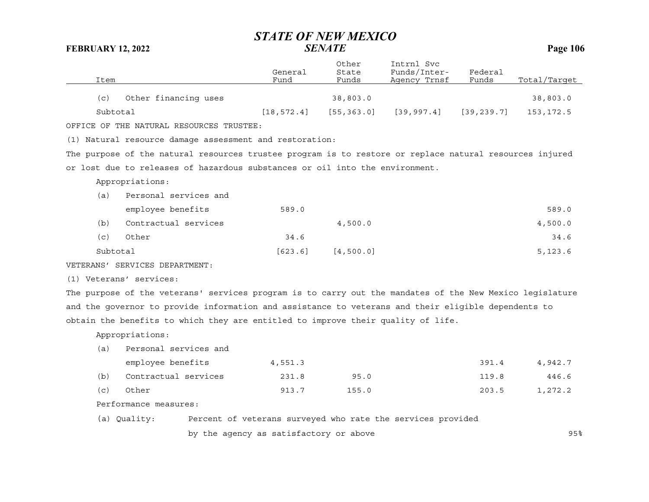| Item     |                                                                                                         | General<br>Fund | Other<br>State<br>Funds | Intrnl Svc<br>Funds/Inter-<br>Agency Trnsf | Federal<br>Funds | Total/Target |
|----------|---------------------------------------------------------------------------------------------------------|-----------------|-------------------------|--------------------------------------------|------------------|--------------|
|          |                                                                                                         |                 |                         |                                            |                  |              |
| (c)      | Other financing uses                                                                                    |                 | 38,803.0                |                                            |                  | 38,803.0     |
| Subtotal |                                                                                                         | [18, 572.4]     | [55, 363.0]             | [39, 997.4]                                | [39, 239.7]      | 153, 172.5   |
|          | OFFICE OF THE NATURAL RESOURCES TRUSTEE:                                                                |                 |                         |                                            |                  |              |
|          | (1) Natural resource damage assessment and restoration:                                                 |                 |                         |                                            |                  |              |
|          | The purpose of the natural resources trustee program is to restore or replace natural resources injured |                 |                         |                                            |                  |              |
|          | or lost due to releases of hazardous substances or oil into the environment.                            |                 |                         |                                            |                  |              |
|          | Appropriations:                                                                                         |                 |                         |                                            |                  |              |
| (a)      | Personal services and                                                                                   |                 |                         |                                            |                  |              |
|          | employee benefits                                                                                       | 589.0           |                         |                                            |                  | 589.0        |
| (b)      | Contractual services                                                                                    |                 | 4,500.0                 |                                            |                  | 4,500.0      |
| (c)      | Other                                                                                                   | 34.6            |                         |                                            |                  | 34.6         |
| Subtotal |                                                                                                         | [623.6]         | [4, 500.0]              |                                            |                  | 5, 123.6     |
|          | VETERANS' SERVICES DEPARTMENT:                                                                          |                 |                         |                                            |                  |              |
|          |                                                                                                         |                 |                         |                                            |                  |              |

(1) Veterans' services:

The purpose of the veterans' services program is to carry out the mandates of the New Mexico legislature and the governor to provide information and assistance to veterans and their eligible dependents to obtain the benefits to which they are entitled to improve their quality of life.

Appropriations:

| (a) | Personal services and |         |       |       |         |
|-----|-----------------------|---------|-------|-------|---------|
|     | employee benefits     | 4,551.3 |       | 391.4 | 4,942.7 |
| (b) | Contractual services  | 231.8   | 95.0  | 119.8 | 446.6   |
| (c) | Other                 | 913.7   | 155.0 | 203.5 | 1,272.2 |

Performance measures:

(a) Quality: Percent of veterans surveyed who rate the services provided

by the agency as satisfactory or above 95%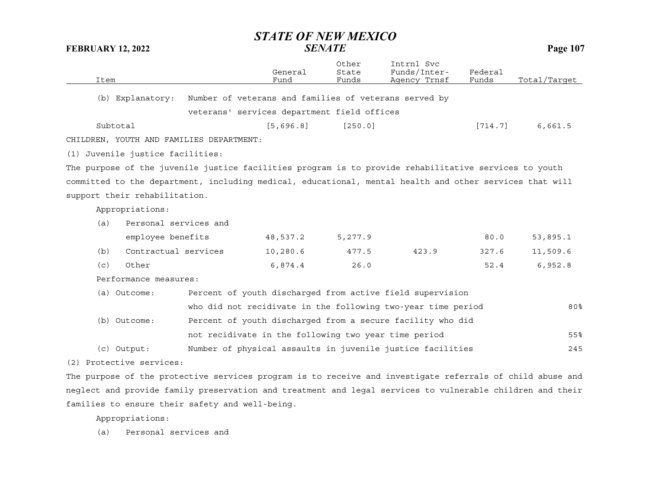| Item                                                                                                      |                                                       | General<br>Fund | Other<br>State<br>Funds | Intrnl Svc<br>Funds/Inter-<br>Agency Trnsf                   | Federal<br>Funds | Total/Target |
|-----------------------------------------------------------------------------------------------------------|-------------------------------------------------------|-----------------|-------------------------|--------------------------------------------------------------|------------------|--------------|
| (b) Explanatory:                                                                                          | Number of veterans and families of veterans served by |                 |                         |                                                              |                  |              |
|                                                                                                           | veterans' services department field offices           |                 |                         |                                                              |                  |              |
|                                                                                                           |                                                       |                 |                         |                                                              |                  |              |
| Subtotal                                                                                                  |                                                       | [5,696.8]       | [250.0]                 |                                                              | [714.7]          | 6,661.5      |
| CHILDREN, YOUTH AND FAMILIES DEPARTMENT:                                                                  |                                                       |                 |                         |                                                              |                  |              |
| (1) Juvenile justice facilities:                                                                          |                                                       |                 |                         |                                                              |                  |              |
| The purpose of the juvenile justice facilities program is to provide rehabilitative services to youth     |                                                       |                 |                         |                                                              |                  |              |
| committed to the department, including medical, educational, mental health and other services that will   |                                                       |                 |                         |                                                              |                  |              |
| support their rehabilitation.                                                                             |                                                       |                 |                         |                                                              |                  |              |
| Appropriations:                                                                                           |                                                       |                 |                         |                                                              |                  |              |
| Personal services and<br>(a)                                                                              |                                                       |                 |                         |                                                              |                  |              |
| employee benefits                                                                                         |                                                       | 48,537.2        | 5,277.9                 |                                                              | 80.0             | 53,895.1     |
| Contractual services<br>(b)                                                                               |                                                       | 10,280.6        | 477.5                   | 423.9                                                        | 327.6            | 11,509.6     |
| Other<br>(c)                                                                                              |                                                       | 6,874.4         | 26.0                    |                                                              | 52.4             | 6,952.8      |
| Performance measures:                                                                                     |                                                       |                 |                         |                                                              |                  |              |
| (a) Outcome:                                                                                              |                                                       |                 |                         | Percent of youth discharged from active field supervision    |                  |              |
|                                                                                                           |                                                       |                 |                         | who did not recidivate in the following two-year time period |                  | 80%          |
| (b) Outcome:                                                                                              |                                                       |                 |                         | Percent of youth discharged from a secure facility who did   |                  |              |
|                                                                                                           | not recidivate in the following two year time period  |                 |                         |                                                              |                  | 55%          |
| $(c)$ Output:                                                                                             |                                                       |                 |                         | Number of physical assaults in juvenile justice facilities   |                  | 245          |
| (2) Protective services:                                                                                  |                                                       |                 |                         |                                                              |                  |              |
| The purpose of the protective services program is to receive and investigate referrals of child abuse and |                                                       |                 |                         |                                                              |                  |              |
|                                                                                                           |                                                       |                 |                         |                                                              |                  |              |

neglect and provide family preservation and treatment and legal services to vulnerable children and their families to ensure their safety and well-being.

Appropriations:

(a) Personal services and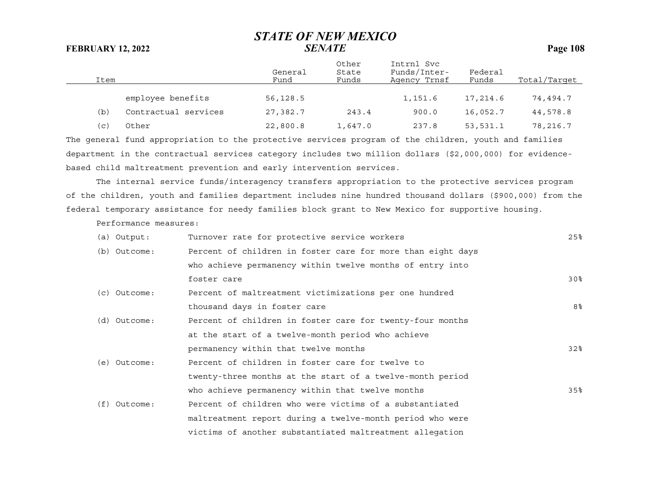| Item |                      | General<br>Fund | Other<br>State<br>Funds | Intrnl Svc<br>Funds/Inter-<br>Agency Trnsf | Federal<br>Funds | Total/Target |
|------|----------------------|-----------------|-------------------------|--------------------------------------------|------------------|--------------|
|      | employee benefits    | 56,128.5        |                         | 1,151.6                                    | 17,214.6         | 74,494.7     |
| (b)  | Contractual services | 27,382.7        | 243.4                   | 900.0                                      | 16,052.7         | 44,578.8     |
| (c)  | Other                | 22,800.8        | 1,647.0                 | 237.8                                      | 53,531.1         | 78,216.7     |

The general fund appropriation to the protective services program of the children, youth and families department in the contractual services category includes two million dollars (\$2,000,000) for evidencebased child maltreatment prevention and early intervention services.

The internal service funds/interagency transfers appropriation to the protective services program of the children, youth and families department includes nine hundred thousand dollars (\$900,000) from the federal temporary assistance for needy families block grant to New Mexico for supportive housing.

Performance measures:

| (a) Output:    | Turnover rate for protective service workers                | 25%             |
|----------------|-------------------------------------------------------------|-----------------|
| (b) Outcome:   | Percent of children in foster care for more than eight days |                 |
|                | who achieve permanency within twelve months of entry into   |                 |
|                | foster care                                                 | 30 <sup>8</sup> |
| (c) Outcome:   | Percent of maltreatment victimizations per one hundred      |                 |
|                | thousand days in foster care                                | 8%              |
| (d) Outcome:   | Percent of children in foster care for twenty-four months   |                 |
|                | at the start of a twelve-month period who achieve           |                 |
|                | permanency within that twelve months                        | 32%             |
| (e) Outcome:   | Percent of children in foster care for twelve to            |                 |
|                | twenty-three months at the start of a twelve-month period   |                 |
|                | who achieve permanency within that twelve months            | 35%             |
| $(f)$ Outcome: | Percent of children who were victims of a substantiated     |                 |
|                | maltreatment report during a twelve-month period who were   |                 |
|                | victims of another substantiated maltreatment allegation    |                 |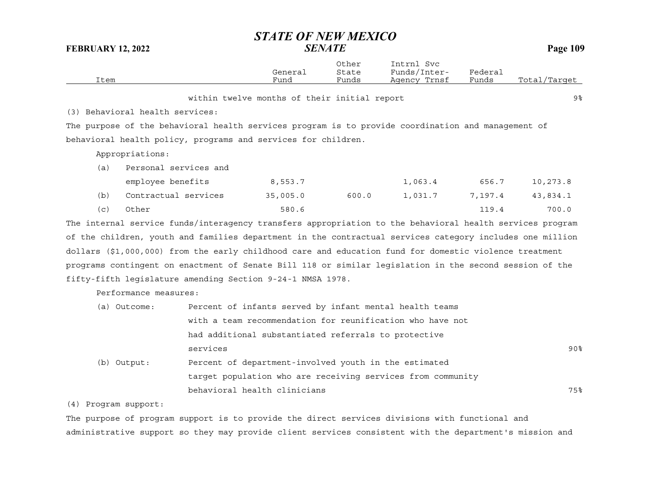# *STATE OF NEW MEXICO*

| <b>FEBRUARY 12, 2022</b>                                                                                 | <i>SENATE</i>   |                         | <b>Page 109</b>                                             |                  |              |
|----------------------------------------------------------------------------------------------------------|-----------------|-------------------------|-------------------------------------------------------------|------------------|--------------|
| Item                                                                                                     | General<br>Fund | Other<br>State<br>Funds | Intrnl Svc<br>Funds/Inter-<br>Agency Trnsf                  | Federal<br>Funds | Total/Target |
|                                                                                                          |                 |                         |                                                             |                  |              |
| within twelve months of their initial report                                                             |                 |                         |                                                             |                  | 9%           |
| (3) Behavioral health services:                                                                          |                 |                         |                                                             |                  |              |
| The purpose of the behavioral health services program is to provide coordination and management of       |                 |                         |                                                             |                  |              |
| behavioral health policy, programs and services for children.                                            |                 |                         |                                                             |                  |              |
| Appropriations:                                                                                          |                 |                         |                                                             |                  |              |
| Personal services and<br>(a)                                                                             |                 |                         |                                                             |                  |              |
| employee benefits                                                                                        | 8,553.7         |                         | 1,063.4                                                     | 656.7            | 10,273.8     |
| (b)<br>Contractual services                                                                              | 35,005.0        | 600.0                   | 1,031.7                                                     | 7,197.4          | 43,834.1     |
| (c)<br>Other                                                                                             | 580.6           |                         |                                                             | 119.4            | 700.0        |
| The internal service funds/interagency transfers appropriation to the behavioral health services program |                 |                         |                                                             |                  |              |
| of the children, youth and families department in the contractual services category includes one million |                 |                         |                                                             |                  |              |
| dollars (\$1,000,000) from the early childhood care and education fund for domestic violence treatment   |                 |                         |                                                             |                  |              |
| programs contingent on enactment of Senate Bill 118 or similar legislation in the second session of the  |                 |                         |                                                             |                  |              |
| fifty-fifth legislature amending Section 9-24-1 NMSA 1978.                                               |                 |                         |                                                             |                  |              |
| Performance measures:                                                                                    |                 |                         |                                                             |                  |              |
| (a) Outcome:                                                                                             |                 |                         | Percent of infants served by infant mental health teams     |                  |              |
|                                                                                                          |                 |                         | with a team recommendation for reunification who have not   |                  |              |
| had additional substantiated referrals to protective                                                     |                 |                         |                                                             |                  |              |
| services                                                                                                 |                 |                         |                                                             |                  | $90\%$       |
| (b) Output:<br>Percent of department-involved youth in the estimated                                     |                 |                         |                                                             |                  |              |
|                                                                                                          |                 |                         | target population who are receiving services from community |                  |              |
| behavioral health clinicians                                                                             |                 |                         |                                                             |                  | 75%          |
| (4) Program support:                                                                                     |                 |                         |                                                             |                  |              |

The purpose of program support is to provide the direct services divisions with functional and administrative support so they may provide client services consistent with the department's mission and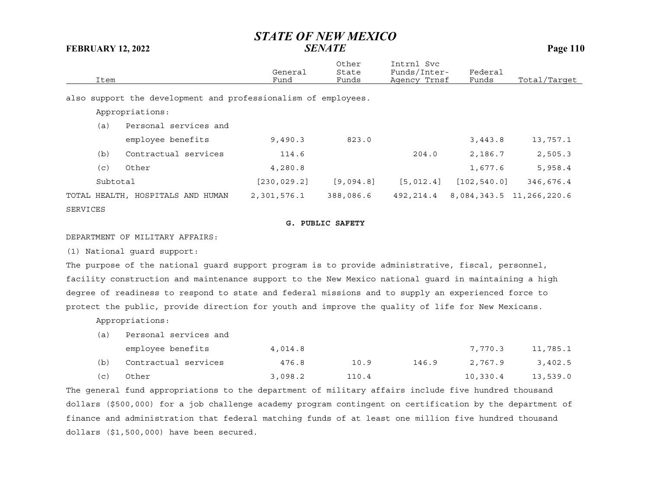|          |                                                                | General      | Other<br>State | Intrnl Svc<br>Funds/Inter- | Federal      |                          |
|----------|----------------------------------------------------------------|--------------|----------------|----------------------------|--------------|--------------------------|
| Item     |                                                                | Fund         | Funds          | Agency Trnsf               | Funds        | Total/Target             |
|          | also support the development and professionalism of employees. |              |                |                            |              |                          |
|          | Appropriations:                                                |              |                |                            |              |                          |
| (a)      | Personal services and                                          |              |                |                            |              |                          |
|          | employee benefits                                              | 9,490.3      | 823.0          |                            | 3,443.8      | 13,757.1                 |
| (b)      | Contractual services                                           | 114.6        |                | 204.0                      | 2,186.7      | 2,505.3                  |
| (c)      | Other                                                          | 4,280.8      |                |                            | 1,677.6      | 5,958.4                  |
| Subtotal |                                                                | [230, 029.2] | [9,094.8]      | [5, 012.4]                 | [102, 540.0] | 346,676.4                |
|          | TOTAL HEALTH, HOSPITALS AND HUMAN                              | 2,301,576.1  | 388,086.6      | 492,214.4                  |              | 8,084,343.5 11,266,220.6 |
| SERVICES |                                                                |              |                |                            |              |                          |

#### **G. PUBLIC SAFETY**

#### DEPARTMENT OF MILITARY AFFAIRS:

(1) National guard support:

The purpose of the national guard support program is to provide administrative, fiscal, personnel, facility construction and maintenance support to the New Mexico national guard in maintaining a high degree of readiness to respond to state and federal missions and to supply an experienced force to protect the public, provide direction for youth and improve the quality of life for New Mexicans.

Appropriations:

(a) Personal services and

|     | employee benefits    | 4,014.8 |       |       | 7,770.3  | 11,785.1 |
|-----|----------------------|---------|-------|-------|----------|----------|
| (b) | Contractual services | 476.8   | 10.9  | 146.9 | 2,767.9  | 3,402.5  |
| (C) | Other                | 3,098.2 | 110.4 |       | 10,330.4 | 13,539.0 |

The general fund appropriations to the department of military affairs include five hundred thousand dollars (\$500,000) for a job challenge academy program contingent on certification by the department of finance and administration that federal matching funds of at least one million five hundred thousand dollars (\$1,500,000) have been secured.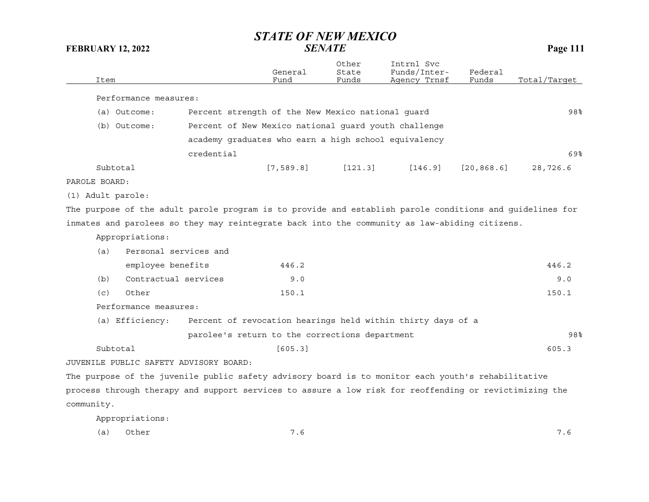| Item          |                                        |                                                                                                          | General<br>Fund | Other<br>State<br>Funds | Intrnl Svc<br>Funds/Inter-<br>Agency Trnsf | Federal<br>Funds | Total/Target |
|---------------|----------------------------------------|----------------------------------------------------------------------------------------------------------|-----------------|-------------------------|--------------------------------------------|------------------|--------------|
|               | Performance measures:                  |                                                                                                          |                 |                         |                                            |                  |              |
|               | (a) Outcome:                           | Percent strength of the New Mexico national guard                                                        |                 |                         |                                            |                  | 98%          |
|               | (b) Outcome:                           | Percent of New Mexico national quard youth challenge                                                     |                 |                         |                                            |                  |              |
|               |                                        |                                                                                                          |                 |                         |                                            |                  |              |
|               |                                        | academy graduates who earn a high school equivalency                                                     |                 |                         |                                            |                  |              |
|               |                                        | credential                                                                                               |                 |                         |                                            |                  | 69%          |
|               | Subtotal                               |                                                                                                          | [7, 589.8]      | [121.3]                 | [146.9]                                    | [20, 868.6]      | 28,726.6     |
| PAROLE BOARD: |                                        |                                                                                                          |                 |                         |                                            |                  |              |
|               | (1) Adult parole:                      |                                                                                                          |                 |                         |                                            |                  |              |
|               |                                        | The purpose of the adult parole program is to provide and establish parole conditions and guidelines for |                 |                         |                                            |                  |              |
|               |                                        | inmates and parolees so they may reintegrate back into the community as law-abiding citizens.            |                 |                         |                                            |                  |              |
|               | Appropriations:                        |                                                                                                          |                 |                         |                                            |                  |              |
| (a)           | Personal services and                  |                                                                                                          |                 |                         |                                            |                  |              |
|               | employee benefits                      |                                                                                                          | 446.2           |                         |                                            |                  | 446.2        |
| (b)           | Contractual services                   |                                                                                                          | 9.0             |                         |                                            |                  | 9.0          |
| (c)           | Other                                  |                                                                                                          | 150.1           |                         |                                            |                  | 150.1        |
|               | Performance measures:                  |                                                                                                          |                 |                         |                                            |                  |              |
|               | (a) Efficiency:                        | Percent of revocation hearings held within thirty days of a                                              |                 |                         |                                            |                  |              |
|               |                                        | parolee's return to the corrections department                                                           |                 |                         |                                            |                  | 98%          |
|               | Subtotal                               |                                                                                                          | [605.3]         |                         |                                            |                  | 605.3        |
|               |                                        |                                                                                                          |                 |                         |                                            |                  |              |
|               | JUVENILE PUBLIC SAFETY ADVISORY BOARD: |                                                                                                          |                 |                         |                                            |                  |              |
|               |                                        | The purpose of the juvenile public safety advisory board is to monitor each youth's rehabilitative       |                 |                         |                                            |                  |              |
|               |                                        | process through therapy and support services to assure a low risk for reoffending or revictimizing the   |                 |                         |                                            |                  |              |
| community.    |                                        |                                                                                                          |                 |                         |                                            |                  |              |

Appropriations:

|  | (a) Other |  | $\cdot$ 6 |
|--|-----------|--|-----------|
|--|-----------|--|-----------|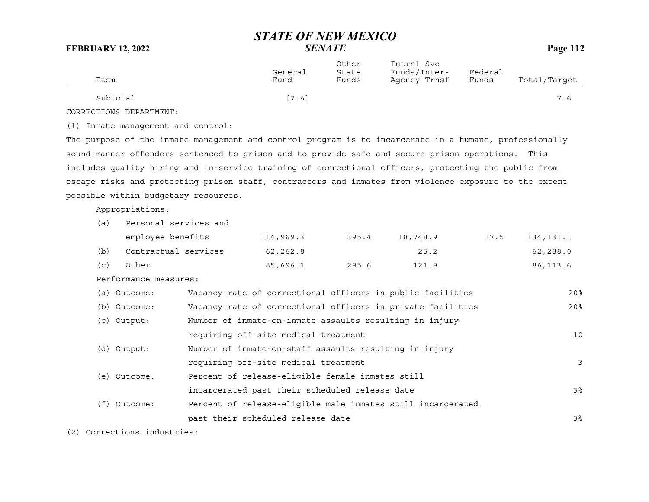Other Intrnl Svc General State Funds/Inter- Federal Item Fund Funds Agency Trnsf Funds Total/Target  ${\rm Subtotal}$  . The contract of  $[7.6]$  and  $[7.6]$  . The contract of  $[7.6]$  and  $[7.6]$ 

CORRECTIONS DEPARTMENT:

(1) Inmate management and control:

The purpose of the inmate management and control program is to incarcerate in a humane, professionally sound manner offenders sentenced to prison and to provide safe and secure prison operations. This includes quality hiring and in-service training of correctional officers, protecting the public from escape risks and protecting prison staff, contractors and inmates from violence exposure to the extent possible within budgetary resources.

Appropriations:

| (a)          |                                                                                             |           |                                                                                                                   |                                                                                                                                                                                                                                                                                                                                                                                                                     |            |
|--------------|---------------------------------------------------------------------------------------------|-----------|-------------------------------------------------------------------------------------------------------------------|---------------------------------------------------------------------------------------------------------------------------------------------------------------------------------------------------------------------------------------------------------------------------------------------------------------------------------------------------------------------------------------------------------------------|------------|
|              |                                                                                             | 395.4     | 18,748.9                                                                                                          | 17.5                                                                                                                                                                                                                                                                                                                                                                                                                | 134, 131.1 |
|              | 62,262.8                                                                                    |           | 25.2                                                                                                              |                                                                                                                                                                                                                                                                                                                                                                                                                     | 62, 288.0  |
| Other        | 85,696.1                                                                                    | 295.6     | 121.9                                                                                                             |                                                                                                                                                                                                                                                                                                                                                                                                                     | 86,113.6   |
|              |                                                                                             |           |                                                                                                                   |                                                                                                                                                                                                                                                                                                                                                                                                                     |            |
| (a) Outcome: |                                                                                             |           |                                                                                                                   |                                                                                                                                                                                                                                                                                                                                                                                                                     | 20%        |
| (b) Outcome: |                                                                                             |           |                                                                                                                   |                                                                                                                                                                                                                                                                                                                                                                                                                     | 20%        |
| (c) Output:  |                                                                                             |           |                                                                                                                   |                                                                                                                                                                                                                                                                                                                                                                                                                     |            |
|              |                                                                                             |           |                                                                                                                   |                                                                                                                                                                                                                                                                                                                                                                                                                     | 10         |
| (d) Output:  |                                                                                             |           |                                                                                                                   |                                                                                                                                                                                                                                                                                                                                                                                                                     |            |
|              |                                                                                             |           |                                                                                                                   |                                                                                                                                                                                                                                                                                                                                                                                                                     | 3          |
| (e) Outcome: |                                                                                             |           |                                                                                                                   |                                                                                                                                                                                                                                                                                                                                                                                                                     |            |
|              |                                                                                             |           |                                                                                                                   |                                                                                                                                                                                                                                                                                                                                                                                                                     | 3%         |
| Outcome:     |                                                                                             |           |                                                                                                                   |                                                                                                                                                                                                                                                                                                                                                                                                                     |            |
|              |                                                                                             |           |                                                                                                                   |                                                                                                                                                                                                                                                                                                                                                                                                                     | 3%         |
|              | Personal services and<br>employee benefits<br>Contractual services<br>Performance measures: | 114,969.3 | requiring off-site medical treatment<br>requiring off-site medical treatment<br>past their scheduled release date | Vacancy rate of correctional officers in public facilities<br>Vacancy rate of correctional officers in private facilities<br>Number of inmate-on-inmate assaults resulting in injury<br>Number of inmate-on-staff assaults resulting in injury<br>Percent of release-eligible female inmates still<br>incarcerated past their scheduled release date<br>Percent of release-eligible male inmates still incarcerated |            |

(2) Corrections industries: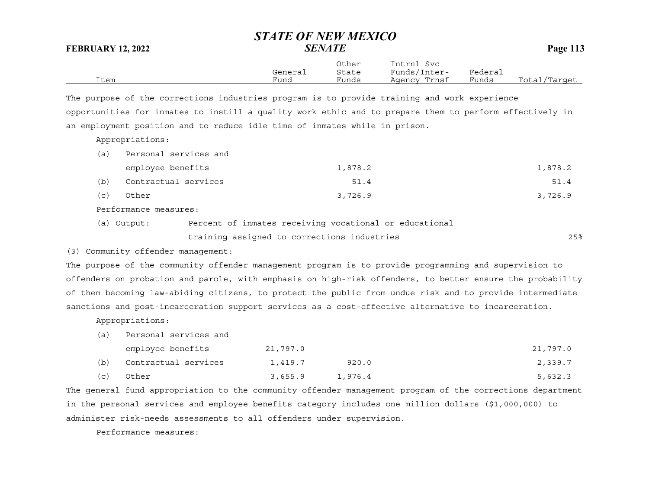|      |         | Other | Intrnl<br>Svc |         |              |
|------|---------|-------|---------------|---------|--------------|
|      | General | State | Funds/Inter-  | Federai |              |
| Item | Fund    | Funds | Agency Trnsf  | Funds   | Total/Target |

The purpose of the corrections industries program is to provide training and work experience opportunities for inmates to instill a quality work ethic and to prepare them to perform effectively in an employment position and to reduce idle time of inmates while in prison.

Appropriations:

| (a) | Personal services and |         |         |
|-----|-----------------------|---------|---------|
|     | employee benefits     | 1,878.2 | 1,878.2 |
| (b) | Contractual services  | 51.4    | 51.4    |
| (c) | Other                 | 3,726.9 | 3,726.9 |
|     |                       |         |         |

Performance measures:

(a) Output: Percent of inmates receiving vocational or educational training assigned to corrections industries 25%

(3) Community offender management:

The purpose of the community offender management program is to provide programming and supervision to offenders on probation and parole, with emphasis on high-risk offenders, to better ensure the probability of them becoming law-abiding citizens, to protect the public from undue risk and to provide intermediate sanctions and post-incarceration support services as a cost-effective alternative to incarceration.

Appropriations:

(a) Personal services and

| employee benefits |                      | 21,797.0 |         | 21,797.0 |
|-------------------|----------------------|----------|---------|----------|
| (b)               | Contractual services | 1,419.7  | 920.0   | 2,339.7  |
| (C)               | Other                | 3,655.9  | 1,976.4 | 5,632.3  |

The general fund appropriation to the community offender management program of the corrections department in the personal services and employee benefits category includes one million dollars (\$1,000,000) to administer risk-needs assessments to all offenders under supervision.

Performance measures: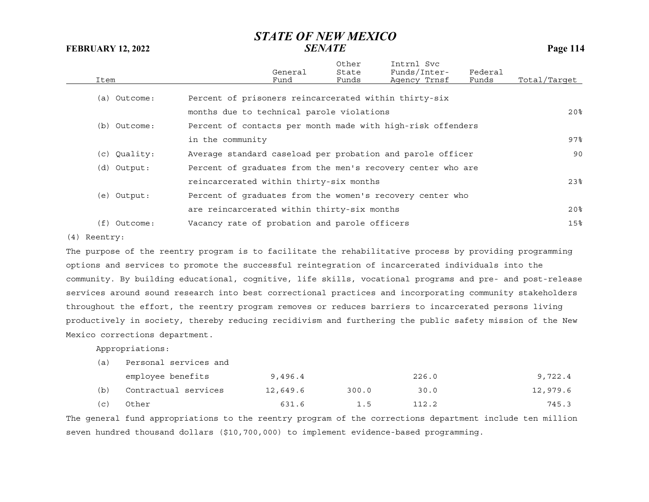|      |              |                                                             | General | Other<br>State | Intrnl Svc<br>Funds/Inter- | Federal |                 |
|------|--------------|-------------------------------------------------------------|---------|----------------|----------------------------|---------|-----------------|
| Item |              |                                                             | Fund    | Funds          | Agency Trnsf               | Funds   | Total/Target    |
|      | (a) Outcome: | Percent of prisoners reincarcerated within thirty-six       |         |                |                            |         |                 |
|      |              | months due to technical parole violations                   |         |                |                            |         | 20 <sub>8</sub> |
|      | (b) Outcome: | Percent of contacts per month made with high-risk offenders |         |                |                            |         |                 |
|      |              | in the community                                            |         |                |                            |         | 97%             |
|      | (c) Quality: | Average standard caseload per probation and parole officer  |         |                |                            |         | 90              |
|      | (d) Output:  | Percent of graduates from the men's recovery center who are |         |                |                            |         |                 |
|      |              | reincarcerated within thirty-six months                     |         |                |                            |         | 23%             |
|      | (e) Output:  | Percent of graduates from the women's recovery center who   |         |                |                            |         |                 |
|      |              | are reincarcerated within thirty-six months                 |         |                |                            |         | 20 <sub>8</sub> |
| (f)  | Outcome:     | Vacancy rate of probation and parole officers               |         |                |                            |         | 15%             |
|      |              |                                                             |         |                |                            |         |                 |

#### (4) Reentry:

The purpose of the reentry program is to facilitate the rehabilitative process by providing programming options and services to promote the successful reintegration of incarcerated individuals into the community. By building educational, cognitive, life skills, vocational programs and pre- and post-release services around sound research into best correctional practices and incorporating community stakeholders throughout the effort, the reentry program removes or reduces barriers to incarcerated persons living productively in society, thereby reducing recidivism and furthering the public safety mission of the New Mexico corrections department.

Appropriations:

(a) Personal services and

|     | employee benefits    | 9,496.4  |       | 226.0 | 9,722.4  |
|-----|----------------------|----------|-------|-------|----------|
| (b) | Contractual services | 12,649.6 | 300.0 | 30.0  | 12,979.6 |
| (c) | Other                | 631.6    | 1.5   | 112.2 | 745.3    |

The general fund appropriations to the reentry program of the corrections department include ten million seven hundred thousand dollars (\$10,700,000) to implement evidence-based programming.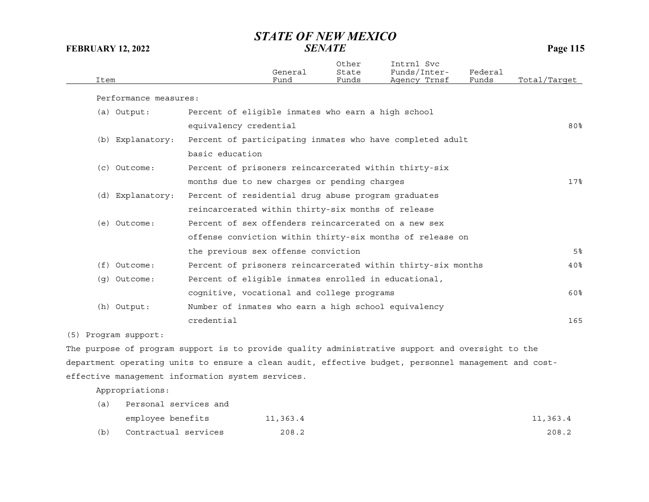| Item                  |                        | General<br>Fund                                      | Other<br>State<br>Funds | Intrnl Svc<br>Funds/Inter-<br>Agency Trnsf                   | Federal<br>Funds | Total/Target    |
|-----------------------|------------------------|------------------------------------------------------|-------------------------|--------------------------------------------------------------|------------------|-----------------|
| Performance measures: |                        |                                                      |                         |                                                              |                  |                 |
| (a) Output:           |                        | Percent of eligible inmates who earn a high school   |                         |                                                              |                  |                 |
|                       | equivalency credential |                                                      |                         |                                                              |                  | 80 <sub>8</sub> |
| (b) Explanatory:      |                        |                                                      |                         | Percent of participating inmates who have completed adult    |                  |                 |
|                       | basic education        |                                                      |                         |                                                              |                  |                 |
| $(c)$ Outcome:        |                        |                                                      |                         | Percent of prisoners reincarcerated within thirty-six        |                  |                 |
|                       |                        | months due to new charges or pending charges         |                         |                                                              |                  | 17%             |
| (d) Explanatory:      |                        | Percent of residential drug abuse program graduates  |                         |                                                              |                  |                 |
|                       |                        | reincarcerated within thirty-six months of release   |                         |                                                              |                  |                 |
| (e) Outcome:          |                        | Percent of sex offenders reincarcerated on a new sex |                         |                                                              |                  |                 |
|                       |                        |                                                      |                         | offense conviction within thirty-six months of release on    |                  |                 |
|                       |                        | the previous sex offense conviction                  |                         |                                                              |                  | 5%              |
| $(f)$ Outcome:        |                        |                                                      |                         | Percent of prisoners reincarcerated within thirty-six months |                  | 40 <sup>8</sup> |
| (q) Outcome:          |                        | Percent of eligible inmates enrolled in educational, |                         |                                                              |                  |                 |
|                       |                        | cognitive, vocational and college programs           |                         |                                                              |                  | 60%             |
| (h) Output:           |                        | Number of inmates who earn a high school equivalency |                         |                                                              |                  |                 |
|                       | credential             |                                                      |                         |                                                              |                  | 165             |
|                       |                        |                                                      |                         |                                                              |                  |                 |

(5) Program support:

The purpose of program support is to provide quality administrative support and oversight to the department operating units to ensure a clean audit, effective budget, personnel management and costeffective management information system services.

Appropriations:

| (a) | Personal services and |          |          |
|-----|-----------------------|----------|----------|
|     | employee benefits     | 11,363.4 | 11,363.4 |
| (b) | Contractual services  | 208.2    | 208.2    |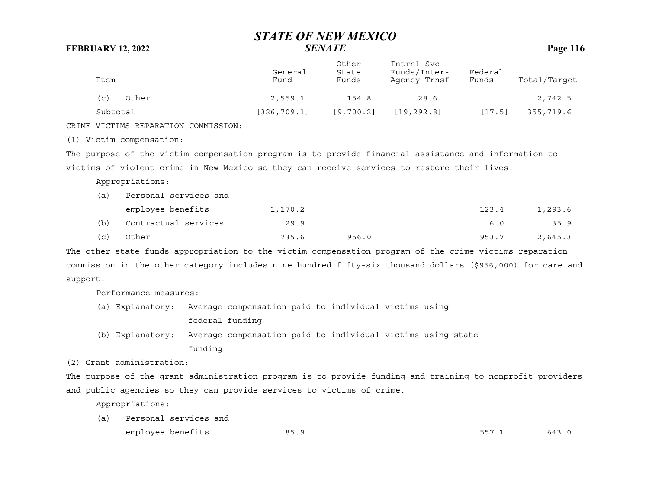|          | Item     |                                      |                 | General<br>Fund                                                                                            | Other<br>State<br>Funds | Intrnl Svc<br>Funds/Inter-<br>Agency Trnsf | Federal<br>Funds | Total/Target |
|----------|----------|--------------------------------------|-----------------|------------------------------------------------------------------------------------------------------------|-------------------------|--------------------------------------------|------------------|--------------|
|          |          |                                      |                 |                                                                                                            |                         |                                            |                  |              |
|          | (c)      | Other                                |                 | 2,559.1                                                                                                    | 154.8                   | 28.6                                       |                  | 2,742.5      |
|          | Subtotal |                                      |                 | [326, 709.1]                                                                                               | [9, 700.2]              | [19, 292.8]                                | [17.5]           | 355,719.6    |
|          |          | CRIME VICTIMS REPARATION COMMISSION: |                 |                                                                                                            |                         |                                            |                  |              |
|          |          | (1) Victim compensation:             |                 |                                                                                                            |                         |                                            |                  |              |
|          |          |                                      |                 | The purpose of the victim compensation program is to provide financial assistance and information to       |                         |                                            |                  |              |
|          |          |                                      |                 | victims of violent crime in New Mexico so they can receive services to restore their lives.                |                         |                                            |                  |              |
|          |          | Appropriations:                      |                 |                                                                                                            |                         |                                            |                  |              |
|          | (a)      | Personal services and                |                 |                                                                                                            |                         |                                            |                  |              |
|          |          | employee benefits                    |                 | 1,170.2                                                                                                    |                         |                                            | 123.4            | 1,293.6      |
|          | (b)      | Contractual services                 |                 | 29.9                                                                                                       |                         |                                            | 6.0              | 35.9         |
|          | (c)      | Other                                |                 | 735.6                                                                                                      | 956.0                   |                                            | 953.7            | 2,645.3      |
|          |          |                                      |                 | The other state funds appropriation to the victim compensation program of the crime victims reparation     |                         |                                            |                  |              |
|          |          |                                      |                 | commission in the other category includes nine hundred fifty-six thousand dollars (\$956,000) for care and |                         |                                            |                  |              |
| support. |          |                                      |                 |                                                                                                            |                         |                                            |                  |              |
|          |          | Performance measures:                |                 |                                                                                                            |                         |                                            |                  |              |
|          |          | (a) Explanatory:                     |                 | Average compensation paid to individual victims using                                                      |                         |                                            |                  |              |
|          |          |                                      | federal funding |                                                                                                            |                         |                                            |                  |              |
|          |          | (b) Explanatory:                     |                 | Average compensation paid to individual victims using state                                                |                         |                                            |                  |              |
|          |          |                                      | funding         |                                                                                                            |                         |                                            |                  |              |
|          |          |                                      |                 |                                                                                                            |                         |                                            |                  |              |

(2) Grant administration:

The purpose of the grant administration program is to provide funding and training to nonprofit providers and public agencies so they can provide services to victims of crime.

Appropriations:

(a) Personal services and employee benefits 85.9 557.1 643.0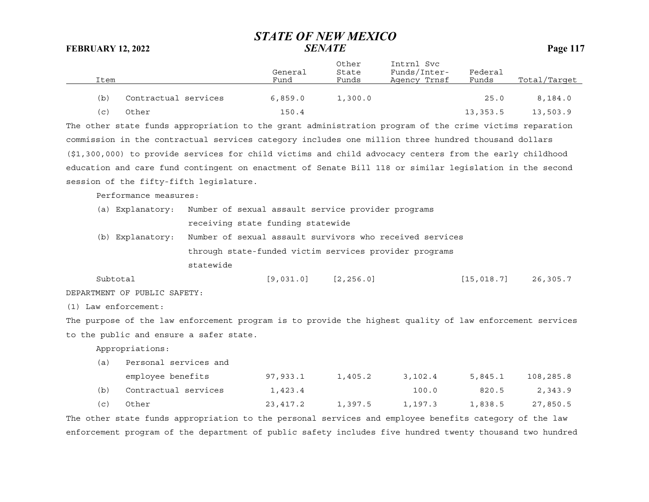| Item |                      | General<br>Fund | Other<br>State<br>Funds | Intrnl Svc<br>Funds/Inter-<br>Agency Trnsf | Federal<br>Funds | Total/Target |
|------|----------------------|-----------------|-------------------------|--------------------------------------------|------------------|--------------|
| (b)  | Contractual services | 6,859.0         | 1,300.0                 |                                            | 25.0             | 8.184.0      |
| (c)  | Other                | 150.4           |                         |                                            | 13,353.5         | 13,503.9     |

The other state funds appropriation to the grant administration program of the crime victims reparation commission in the contractual services category includes one million three hundred thousand dollars (\$1,300,000) to provide services for child victims and child advocacy centers from the early childhood education and care fund contingent on enactment of Senate Bill 118 or similar legislation in the second session of the fifty-fifth legislature.

Performance measures:

| (a) Explanatory: Number of sexual assault service provider programs                                |                                   |  |  |  |
|----------------------------------------------------------------------------------------------------|-----------------------------------|--|--|--|
|                                                                                                    | receiving state funding statewide |  |  |  |
| 71. A commitment compared and annual control of the commitment of the commitment of the commitment |                                   |  |  |  |

(b) Explanatory: Number of sexual assault survivors who received services through state-funded victim services provider programs statewide

Subtotal [9,031.0] [2,256.0] [15,018.7] 26,305.7

DEPARTMENT OF PUBLIC SAFETY:

(1) Law enforcement:

The purpose of the law enforcement program is to provide the highest quality of law enforcement services to the public and ensure a safer state.

Appropriations:

(a) Personal services and

|     | employee benefits    | 97,933.1 | 1,405.2 | 3,102.4 | 5.845.1 | 108,285.8 |
|-----|----------------------|----------|---------|---------|---------|-----------|
| (b) | Contractual services | 1,423.4  |         | 100.0   | 820.5   | 2,343.9   |
| (C) | Other                | 23,417.2 | 1,397.5 | 1,197.3 | 1,838.5 | 27,850.5  |

The other state funds appropriation to the personal services and employee benefits category of the law enforcement program of the department of public safety includes five hundred twenty thousand two hundred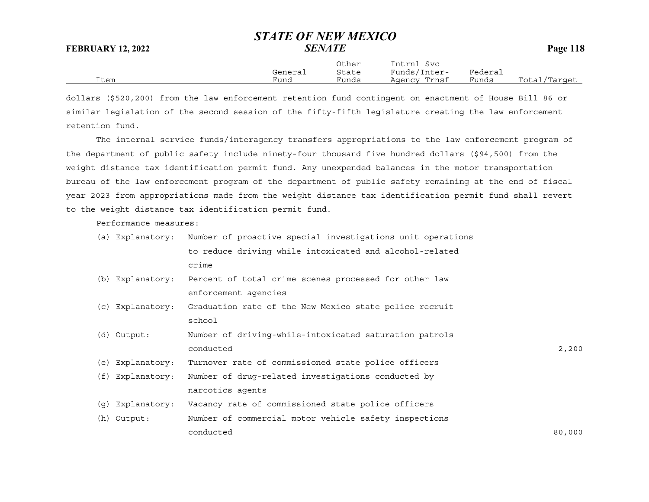Other Intrnl Svc General State Funds/Inter- Federal Item Fund Funds Agency Trnsf Funds Total/Target

dollars (\$520,200) from the law enforcement retention fund contingent on enactment of House Bill 86 or similar legislation of the second session of the fifty-fifth legislature creating the law enforcement retention fund.

The internal service funds/interagency transfers appropriations to the law enforcement program of the department of public safety include ninety-four thousand five hundred dollars (\$94,500) from the weight distance tax identification permit fund. Any unexpended balances in the motor transportation bureau of the law enforcement program of the department of public safety remaining at the end of fiscal year 2023 from appropriations made from the weight distance tax identification permit fund shall revert to the weight distance tax identification permit fund.

Performance measures:

|  | (a) Explanatory: Number of proactive special investigations unit operations |  |
|--|-----------------------------------------------------------------------------|--|
|  | to reduce driving while intoxicated and alcohol-related                     |  |
|  | crime                                                                       |  |

- (b) Explanatory: Percent of total crime scenes processed for other law enforcement agencies
- (c) Explanatory: Graduation rate of the New Mexico state police recruit school
- (d) Output: Number of driving-while-intoxicated saturation patrols conductedd and  $2,200$
- (e) Explanatory: Turnover rate of commissioned state police officers
- (f) Explanatory: Number of drug-related investigations conducted by narcotics agents
- (g) Explanatory: Vacancy rate of commissioned state police officers
- (h) Output: Number of commercial motor vehicle safety inspections conducted80,000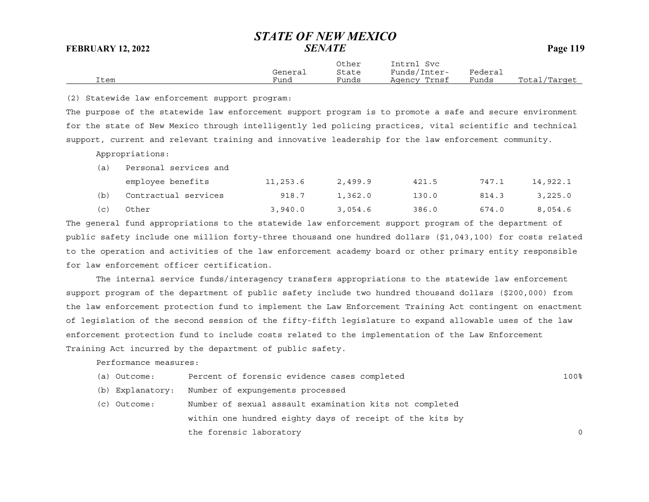|      |         | Other | Intrnl<br>Svc |         |              |
|------|---------|-------|---------------|---------|--------------|
|      | General | State | Funds/Inter-  | Federai |              |
| Item | Fund    | Funds | Agency Trnsf  | Funds   | Total/Target |

(2) Statewide law enforcement support program:

The purpose of the statewide law enforcement support program is to promote a safe and secure environment for the state of New Mexico through intelligently led policing practices, vital scientific and technical support, current and relevant training and innovative leadership for the law enforcement community.

Appropriations:

| (a) | Personal services and |          |         |       |       |          |
|-----|-----------------------|----------|---------|-------|-------|----------|
|     | employee benefits     | 11,253.6 | 2,499.9 | 421.5 | 747.1 | 14,922.1 |
| (b) | Contractual services  | 918.7    | 1,362.0 | 130.0 | 814.3 | 3,225.0  |
| (c) | Other                 | 3,940.0  | 3,054.6 | 386.0 | 674.0 | 8,054.6  |

The general fund appropriations to the statewide law enforcement support program of the department of public safety include one million forty-three thousand one hundred dollars (\$1,043,100) for costs related to the operation and activities of the law enforcement academy board or other primary entity responsible for law enforcement officer certification.

The internal service funds/interagency transfers appropriations to the statewide law enforcement support program of the department of public safety include two hundred thousand dollars (\$200,000) from the law enforcement protection fund to implement the Law Enforcement Training Act contingent on enactment of legislation of the second session of the fifty-fifth legislature to expand allowable uses of the law enforcement protection fund to include costs related to the implementation of the Law Enforcement Training Act incurred by the department of public safety.

Performance measures:

| (a) Outcome:     | Percent of forensic evidence cases completed             | 100%     |
|------------------|----------------------------------------------------------|----------|
| (b) Explanatory: | Number of expungements processed                         |          |
| (c) Outcome:     | Number of sexual assault examination kits not completed  |          |
|                  | within one hundred eighty days of receipt of the kits by |          |
|                  | the forensic laboratory                                  | $\Omega$ |
|                  |                                                          |          |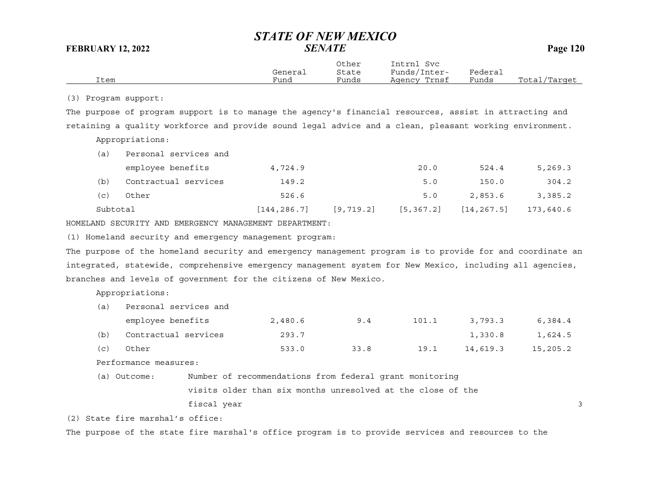|                      |                                                                                                           | General                                                     | Other<br>State | Intrnl Svc<br>Funds/Inter- | Federal     |              |
|----------------------|-----------------------------------------------------------------------------------------------------------|-------------------------------------------------------------|----------------|----------------------------|-------------|--------------|
| Item                 |                                                                                                           | Fund                                                        | Funds          | Agency Trnsf               | Funds       | Total/Target |
| (3) Program support: |                                                                                                           |                                                             |                |                            |             |              |
|                      | The purpose of program support is to manage the agency's financial resources, assist in attracting and    |                                                             |                |                            |             |              |
|                      | retaining a quality workforce and provide sound legal advice and a clean, pleasant working environment.   |                                                             |                |                            |             |              |
|                      | Appropriations:                                                                                           |                                                             |                |                            |             |              |
| (a)                  | Personal services and                                                                                     |                                                             |                |                            |             |              |
|                      | employee benefits                                                                                         | 4,724.9                                                     |                | 20.0                       | 524.4       | 5,269.3      |
| (b)                  | Contractual services                                                                                      | 149.2                                                       |                | 5.0                        | 150.0       | 304.2        |
| (c)                  | Other                                                                                                     | 526.6                                                       |                | 5.0                        | 2,853.6     | 3,385.2      |
| Subtotal             |                                                                                                           | [144, 286.7]                                                | [9, 719.2]     | [5, 367.2]                 | [14, 267.5] | 173,640.6    |
|                      | HOMELAND SECURITY AND EMERGENCY MANAGEMENT DEPARTMENT:                                                    |                                                             |                |                            |             |              |
|                      | (1) Homeland security and emergency management program:                                                   |                                                             |                |                            |             |              |
|                      | The purpose of the homeland security and emergency management program is to provide for and coordinate an |                                                             |                |                            |             |              |
|                      | integrated, statewide, comprehensive emergency management system for New Mexico, including all agencies,  |                                                             |                |                            |             |              |
|                      | branches and levels of government for the citizens of New Mexico.                                         |                                                             |                |                            |             |              |
|                      | Appropriations:                                                                                           |                                                             |                |                            |             |              |
| (a)                  | Personal services and                                                                                     |                                                             |                |                            |             |              |
|                      | employee benefits                                                                                         | 2,480.6                                                     | 9.4            | 101.1                      | 3,793.3     | 6,384.4      |
| (b)                  | Contractual services                                                                                      | 293.7                                                       |                |                            | 1,330.8     | 1,624.5      |
| (c)                  | Other                                                                                                     | 533.0                                                       | 33.8           | 19.1                       | 14,619.3    | 15,205.2     |
|                      | Performance measures:                                                                                     |                                                             |                |                            |             |              |
|                      | (a) Outcome:                                                                                              | Number of recommendations from federal grant monitoring     |                |                            |             |              |
|                      |                                                                                                           | visits older than six months unresolved at the close of the |                |                            |             |              |
|                      | fiscal year                                                                                               |                                                             |                |                            |             | 3            |
|                      | (2) State fire marshal's office:                                                                          |                                                             |                |                            |             |              |
|                      | The purpose of the state fire marshal's office program is to provide services and resources to the        |                                                             |                |                            |             |              |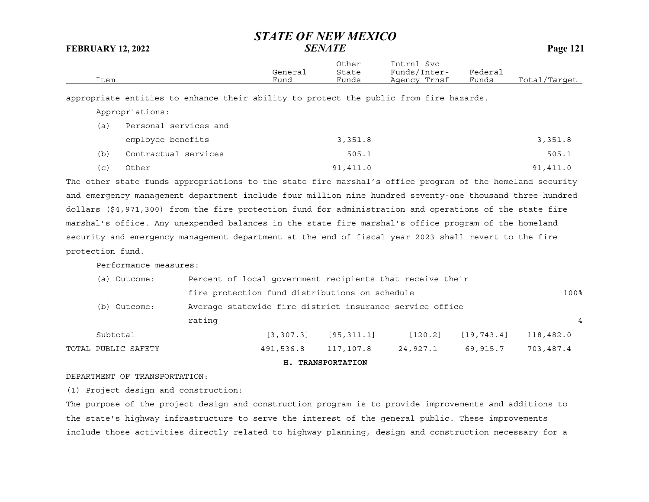| Item |                 |                       | General<br>Fund | Other<br>State<br>Funds | Intrnl Svc<br>Funds/Inter-<br>Agency Trnsf                                             | Federal<br>Funds | Total/Target |
|------|-----------------|-----------------------|-----------------|-------------------------|----------------------------------------------------------------------------------------|------------------|--------------|
|      |                 |                       |                 |                         | appropriate entities to enhance their ability to protect the public from fire hazards. |                  |              |
|      | Appropriations: |                       |                 |                         |                                                                                        |                  |              |
| a    |                 | Personal services and |                 |                         |                                                                                        |                  |              |

|     | employee benefits    | 3,351.8  | 3,351.8  |
|-----|----------------------|----------|----------|
| (b) | Contractual services | 505.1    | 505.1    |
| (C) | Other                | 91,411.0 | 91,411.0 |

The other state funds appropriations to the state fire marshal's office program of the homeland security and emergency management department include four million nine hundred seventy-one thousand three hundred dollars (\$4,971,300) from the fire protection fund for administration and operations of the state fire marshal's office. Any unexpended balances in the state fire marshal's office program of the homeland security and emergency management department at the end of fiscal year 2023 shall revert to the fire protection fund.

Performance measures:

|                     |        |                                                           | H. TRANSPORTATION |          |              |           |  |
|---------------------|--------|-----------------------------------------------------------|-------------------|----------|--------------|-----------|--|
| TOTAL PUBLIC SAFETY |        | 491,536.8                                                 | 117,107.8         | 24,927.1 | 69,915.7     | 703,487.4 |  |
| Subtotal            |        | [3, 307, 3]                                               | [95, 311, 1]      | [120.2]  | [19, 743, 4] | 118,482.0 |  |
|                     | rating |                                                           |                   |          |              | 4         |  |
| (b) Outcome:        |        | Average statewide fire district insurance service office  |                   |          |              |           |  |
|                     |        | fire protection fund distributions on schedule            |                   |          |              |           |  |
| (a) Outcome:        |        | Percent of local government recipients that receive their |                   |          |              |           |  |

#### DEPARTMENT OF TRANSPORTATION:

(1) Project design and construction:

The purpose of the project design and construction program is to provide improvements and additions to the state's highway infrastructure to serve the interest of the general public. These improvements include those activities directly related to highway planning, design and construction necessary for a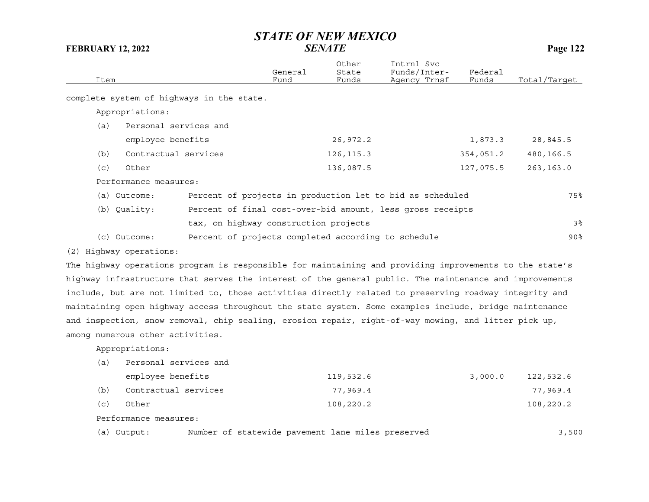| Item |                                                                                                         | General<br>Fund | Other<br>State<br>Funds | Intrnl Svc<br>Funds/Inter-<br>Agency Trnsf | Federal<br>Funds | Total/Target   |
|------|---------------------------------------------------------------------------------------------------------|-----------------|-------------------------|--------------------------------------------|------------------|----------------|
|      | complete system of highways in the state.                                                               |                 |                         |                                            |                  |                |
|      | Appropriations:                                                                                         |                 |                         |                                            |                  |                |
| (a)  | Personal services and                                                                                   |                 |                         |                                            |                  |                |
|      | employee benefits                                                                                       |                 | 26,972.2                |                                            | 1,873.3          | 28,845.5       |
| (b)  | Contractual services                                                                                    |                 | 126, 115.3              |                                            | 354,051.2        | 480,166.5      |
| (c)  | Other                                                                                                   |                 | 136,087.5               |                                            | 127,075.5        | 263, 163.0     |
|      | Performance measures:                                                                                   |                 |                         |                                            |                  |                |
|      | Percent of projects in production let to bid as scheduled<br>(a) Outcome:                               |                 |                         |                                            |                  | 75%            |
|      | Percent of final cost-over-bid amount, less gross receipts<br>(b) Quality:                              |                 |                         |                                            |                  |                |
|      | tax, on highway construction projects                                                                   |                 |                         |                                            |                  | 3 <sup>°</sup> |
|      | (c) Outcome:<br>Percent of projects completed according to schedule                                     |                 |                         |                                            |                  | $90\%$         |
|      | (2) Highway operations:                                                                                 |                 |                         |                                            |                  |                |
|      | The highway operations program is responsible for maintaining and providing improvements to the state's |                 |                         |                                            |                  |                |
|      | highway infrastructure that serves the interest of the general public. The maintenance and improvements |                 |                         |                                            |                  |                |
|      | include, but are not limited to, those activities directly related to preserving roadway integrity and  |                 |                         |                                            |                  |                |
|      | maintaining open highway access throughout the state system. Some examples include, bridge maintenance  |                 |                         |                                            |                  |                |
|      | and inspection, snow removal, chip sealing, erosion repair, right-of-way mowing, and litter pick up,    |                 |                         |                                            |                  |                |
|      | among numerous other activities.                                                                        |                 |                         |                                            |                  |                |
|      | Appropriations:                                                                                         |                 |                         |                                            |                  |                |
| (a)  | Personal services and                                                                                   |                 |                         |                                            |                  |                |

|     | employee benefits    | 119,532.6 | 3,000.0 | 122,532.6 |
|-----|----------------------|-----------|---------|-----------|
| (b) | Contractual services | 77,969.4  |         | 77,969.4  |
| (c) | Other                | 108,220.2 |         | 108,220.2 |

Performance measures:

(a) Output: Number of statewide pavement lane miles preserved 3,500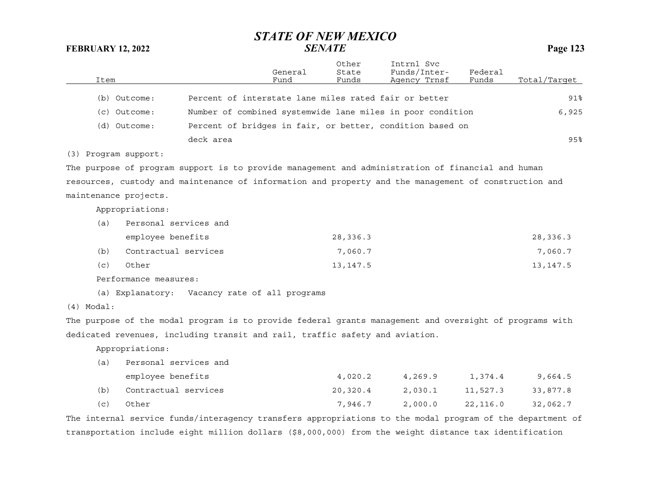| Item         |                       |                                                                                                         | General<br>Fund | Other<br>State<br>Funds | Intrnl Svc<br>Funds/Inter-<br>Agency Trnsf                 | Federal<br>Funds | Total/Target |
|--------------|-----------------------|---------------------------------------------------------------------------------------------------------|-----------------|-------------------------|------------------------------------------------------------|------------------|--------------|
|              | (b) Outcome:          | Percent of interstate lane miles rated fair or better                                                   |                 |                         |                                                            |                  | 91%          |
|              |                       |                                                                                                         |                 |                         |                                                            |                  |              |
|              | (c) Outcome:          |                                                                                                         |                 |                         | Number of combined systemwide lane miles in poor condition |                  | 6,925        |
|              | (d) Outcome:          |                                                                                                         |                 |                         | Percent of bridges in fair, or better, condition based on  |                  |              |
|              |                       | deck area                                                                                               |                 |                         |                                                            |                  | 95%          |
|              | (3) Program support:  |                                                                                                         |                 |                         |                                                            |                  |              |
|              |                       | The purpose of program support is to provide management and administration of financial and human       |                 |                         |                                                            |                  |              |
|              |                       | resources, custody and maintenance of information and property and the management of construction and   |                 |                         |                                                            |                  |              |
|              | maintenance projects. |                                                                                                         |                 |                         |                                                            |                  |              |
|              | Appropriations:       |                                                                                                         |                 |                         |                                                            |                  |              |
| (a)          | Personal services and |                                                                                                         |                 |                         |                                                            |                  |              |
|              | employee benefits     |                                                                                                         |                 | 28,336.3                |                                                            |                  | 28,336.3     |
| (b)          | Contractual services  |                                                                                                         |                 | 7,060.7                 |                                                            |                  | 7,060.7      |
| (c)          | Other                 |                                                                                                         |                 | 13, 147.5               |                                                            |                  | 13, 147.5    |
|              |                       |                                                                                                         |                 |                         |                                                            |                  |              |
|              | Performance measures: |                                                                                                         |                 |                         |                                                            |                  |              |
|              |                       | (a) Explanatory: Vacancy rate of all programs                                                           |                 |                         |                                                            |                  |              |
| $(4)$ Modal: |                       |                                                                                                         |                 |                         |                                                            |                  |              |
|              |                       | The purpose of the modal program is to provide federal grants management and oversight of programs with |                 |                         |                                                            |                  |              |
|              |                       | dedicated revenues, including transit and rail, traffic safety and aviation.                            |                 |                         |                                                            |                  |              |
|              | Appropriations:       |                                                                                                         |                 |                         |                                                            |                  |              |
| (a)          | Personal services and |                                                                                                         |                 |                         |                                                            |                  |              |
|              | employee benefits     |                                                                                                         |                 | 4,020.2                 | 4,269.9                                                    | 1,374.4          | 9,664.5      |
| (b)          | Contractual services  |                                                                                                         |                 | 20,320.4                | 2,030.1                                                    | 11,527.3         | 33,877.8     |
| (c)          | Other                 |                                                                                                         |                 | 7,946.7                 | 2,000.0                                                    | 22,116.0         | 32,062.7     |

The internal service funds/interagency transfers appropriations to the modal program of the department of transportation include eight million dollars (\$8,000,000) from the weight distance tax identification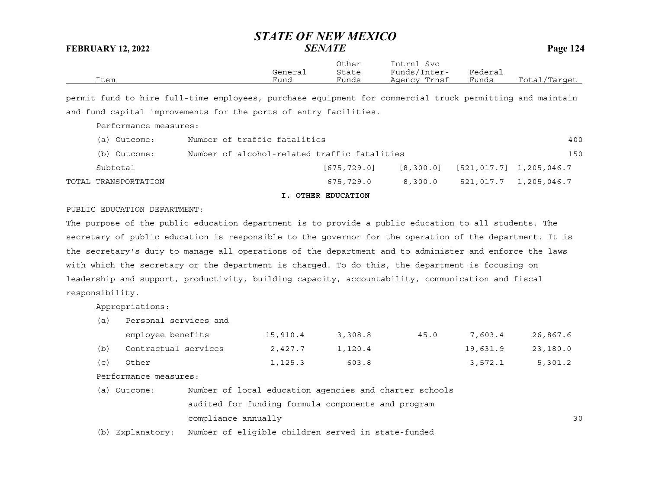|      | General | Other<br>State | Intrnl<br>Svc<br>Funds/Inter- | Federal |              |
|------|---------|----------------|-------------------------------|---------|--------------|
| Item | Fund    | Funds          | Agency Trnsf                  | Funds   | Total/Target |

permit fund to hire full-time employees, purchase equipment for commercial truck permitting and maintain and fund capital improvements for the ports of entry facilities.

Performance measures:

| (a) Outcome:                                                 | Number of traffic fatalities |             |         |                                       | 400                   |
|--------------------------------------------------------------|------------------------------|-------------|---------|---------------------------------------|-----------------------|
| Number of alcohol-related traffic fatalities<br>(b) Outcome: |                              |             |         |                                       | 150                   |
| Subtotal                                                     |                              | [675,729.0] |         | $[8,300.0]$ $[521,017.7]$ 1,205,046.7 |                       |
| TOTAL TRANSPORTATION                                         |                              | 675,729.0   | 8,300.0 |                                       | 521,017.7 1,205,046.7 |

**I. OTHER EDUCATION**

#### PUBLIC EDUCATION DEPARTMENT:

The purpose of the public education department is to provide a public education to all students. The secretary of public education is responsible to the governor for the operation of the department. It is the secretary's duty to manage all operations of the department and to administer and enforce the laws with which the secretary or the department is charged. To do this, the department is focusing on leadership and support, productivity, building capacity, accountability, communication and fiscal responsibility.

Appropriations:

| a)  | Personal services and |          |         |      |          |          |  |  |  |  |
|-----|-----------------------|----------|---------|------|----------|----------|--|--|--|--|
|     | employee benefits     | 15,910.4 | 3,308.8 | 45.0 | 7,603.4  | 26,867.6 |  |  |  |  |
| (b) | Contractual services  | 2,427.7  | 1,120.4 |      | 19,631.9 | 23,180.0 |  |  |  |  |
| (C) | Other                 | 1,125.3  | 603.8   |      | 3,572.1  | 5,301.2  |  |  |  |  |

Performance measures:

| (a) Outcome: | Number of local education agencies and charter schools |     |
|--------------|--------------------------------------------------------|-----|
|              | audited for funding formula components and program     |     |
|              | compliance annually                                    | 3 C |

(b) Explanatory: Number of eligible children served in state-funded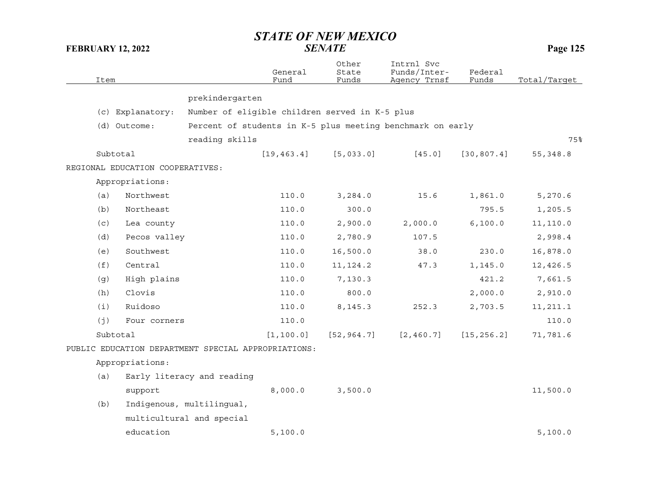| Item |                                  |                                                            | General<br>Fund | Other<br>State<br>Funds | Intrnl Svc<br>Funds/Inter-<br>Agency Trnsf | Federal<br>Funds | Total/Target |
|------|----------------------------------|------------------------------------------------------------|-----------------|-------------------------|--------------------------------------------|------------------|--------------|
|      |                                  | prekindergarten                                            |                 |                         |                                            |                  |              |
|      | (c) Explanatory:                 | Number of eligible children served in K-5 plus             |                 |                         |                                            |                  |              |
|      | (d) Outcome:                     | Percent of students in K-5 plus meeting benchmark on early |                 |                         |                                            |                  |              |
|      |                                  | reading skills                                             |                 |                         |                                            |                  | 75%          |
|      | Subtotal                         |                                                            | [19, 463.4]     | [5,033.0]               | [45.0]                                     | [30, 807.4]      | 55, 348.8    |
|      | REGIONAL EDUCATION COOPERATIVES: |                                                            |                 |                         |                                            |                  |              |
|      | Appropriations:                  |                                                            |                 |                         |                                            |                  |              |
| (a)  | Northwest                        |                                                            | 110.0           | 3,284.0                 | 15.6                                       | 1,861.0          | 5,270.6      |
| (b)  | Northeast                        |                                                            | 110.0           | 300.0                   |                                            | 795.5            | 1,205.5      |
| (c)  | Lea county                       |                                                            | 110.0           | 2,900.0                 | 2,000.0                                    | 6, 100.0         | 11,110.0     |
| (d)  | Pecos valley                     |                                                            | 110.0           | 2,780.9                 | 107.5                                      |                  | 2,998.4      |
| (e)  | Southwest                        |                                                            | 110.0           | 16,500.0                | 38.0                                       | 230.0            | 16,878.0     |
| (f)  | Central                          |                                                            | 110.0           | 11, 124.2               | 47.3                                       |                  |              |
|      |                                  |                                                            |                 |                         |                                            | 1,145.0          | 12,426.5     |
| (g)  | High plains                      |                                                            | 110.0           | 7,130.3                 |                                            | 421.2            | 7,661.5      |
| (h)  | Clovis                           |                                                            | 110.0           | 800.0                   |                                            | 2,000.0          | 2,910.0      |
| (i)  | Ruidoso                          |                                                            | 110.0           | 8,145.3                 | 252.3                                      | 2,703.5          | 11,211.1     |
| (j)  | Four corners                     |                                                            | 110.0           |                         |                                            |                  | 110.0        |
|      | Subtotal                         |                                                            | [1, 100.0]      | [52, 964.7]             | [2, 460.7]                                 | [15, 256.2]      | 71,781.6     |
|      |                                  | PUBLIC EDUCATION DEPARTMENT SPECIAL APPROPRIATIONS:        |                 |                         |                                            |                  |              |
|      | Appropriations:                  |                                                            |                 |                         |                                            |                  |              |
| (a)  |                                  | Early literacy and reading                                 |                 |                         |                                            |                  |              |
|      | support                          |                                                            | 8,000.0         | 3,500.0                 |                                            |                  | 11,500.0     |
| (b)  |                                  | Indigenous, multilingual,                                  |                 |                         |                                            |                  |              |
|      |                                  | multicultural and special                                  |                 |                         |                                            |                  |              |
|      | education                        |                                                            | 5,100.0         |                         |                                            |                  | 5,100.0      |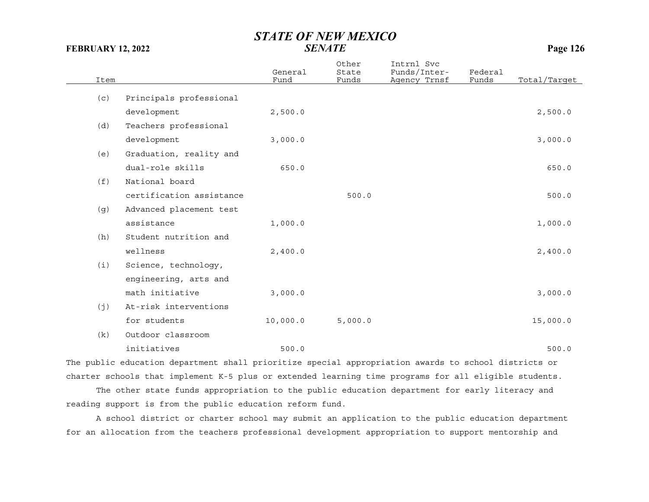| Item |                          | General<br>Fund | Other<br>State<br>Funds | Intrnl Svc<br>Funds/Inter-<br>Agency Trnsf | Federal<br>Funds | Total/Target |
|------|--------------------------|-----------------|-------------------------|--------------------------------------------|------------------|--------------|
| (c)  | Principals professional  |                 |                         |                                            |                  |              |
|      | development              | 2,500.0         |                         |                                            |                  | 2,500.0      |
| (d)  | Teachers professional    |                 |                         |                                            |                  |              |
|      | development              | 3,000.0         |                         |                                            |                  | 3,000.0      |
| (e)  | Graduation, reality and  |                 |                         |                                            |                  |              |
|      | dual-role skills         | 650.0           |                         |                                            |                  | 650.0        |
| (f)  | National board           |                 |                         |                                            |                  |              |
|      | certification assistance |                 | 500.0                   |                                            |                  | 500.0        |
| (g)  | Advanced placement test  |                 |                         |                                            |                  |              |
|      | assistance               | 1,000.0         |                         |                                            |                  | 1,000.0      |
| (h)  | Student nutrition and    |                 |                         |                                            |                  |              |
|      | wellness                 | 2,400.0         |                         |                                            |                  | 2,400.0      |
| (i)  | Science, technology,     |                 |                         |                                            |                  |              |
|      | engineering, arts and    |                 |                         |                                            |                  |              |
|      | math initiative          | 3,000.0         |                         |                                            |                  | 3,000.0      |
| (j)  | At-risk interventions    |                 |                         |                                            |                  |              |
|      | for students             | 10,000.0        | 5,000.0                 |                                            |                  | 15,000.0     |
| (k)  | Outdoor classroom        |                 |                         |                                            |                  |              |
|      | initiatives              | 500.0           |                         |                                            |                  | 500.0        |

The public education department shall prioritize special appropriation awards to school districts or charter schools that implement K-5 plus or extended learning time programs for all eligible students.

The other state funds appropriation to the public education department for early literacy and reading support is from the public education reform fund.

A school district or charter school may submit an application to the public education department for an allocation from the teachers professional development appropriation to support mentorship and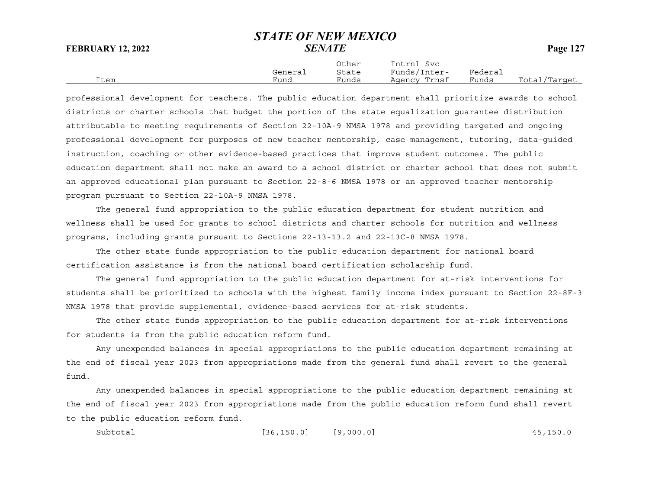Other Intrnl Svc General State Funds/Inter- Federal Item Fund Funds Agency Trnsf Funds Total/Target

professional development for teachers. The public education department shall prioritize awards to school districts or charter schools that budget the portion of the state equalization guarantee distribution attributable to meeting requirements of Section 22-10A-9 NMSA 1978 and providing targeted and ongoing professional development for purposes of new teacher mentorship, case management, tutoring, data-guided instruction, coaching or other evidence-based practices that improve student outcomes. The public education department shall not make an award to a school district or charter school that does not submit an approved educational plan pursuant to Section 22-8-6 NMSA 1978 or an approved teacher mentorship program pursuant to Section 22-10A-9 NMSA 1978.

The general fund appropriation to the public education department for student nutrition and wellness shall be used for grants to school districts and charter schools for nutrition and wellness programs, including grants pursuant to Sections 22-13-13.2 and 22-13C-8 NMSA 1978.

The other state funds appropriation to the public education department for national board certification assistance is from the national board certification scholarship fund.

The general fund appropriation to the public education department for at-risk interventions for students shall be prioritized to schools with the highest family income index pursuant to Section 22-8F-3 NMSA 1978 that provide supplemental, evidence-based services for at-risk students.

The other state funds appropriation to the public education department for at-risk interventions for students is from the public education reform fund.

Any unexpended balances in special appropriations to the public education department remaining at the end of fiscal year 2023 from appropriations made from the general fund shall revert to the general fund.

Any unexpended balances in special appropriations to the public education department remaining at the end of fiscal year 2023 from appropriations made from the public education reform fund shall revert to the public education reform fund.

Subtotal [36,150.0] [9,000.0] 45,150.0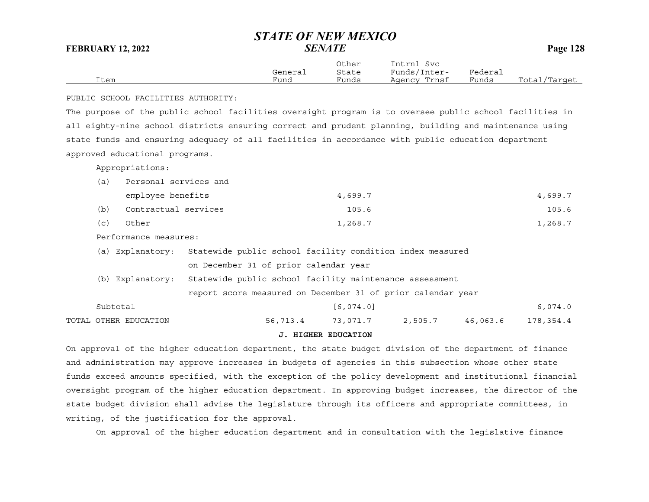|      |         | Other | Intrnl<br>Svc |         |              |
|------|---------|-------|---------------|---------|--------------|
|      | General | State | Funds/Inter-  | Federai |              |
| Item | Fund    | Funds | Agency Trnsf  | Funds   | Total/Target |

PUBLIC SCHOOL FACILITIES AUTHORITY:

The purpose of the public school facilities oversight program is to oversee public school facilities in all eighty-nine school districts ensuring correct and prudent planning, building and maintenance using state funds and ensuring adequacy of all facilities in accordance with public education department approved educational programs.

Appropriations:

| (a)                   | Personal services and |                                                             |          |            |         |          |           |
|-----------------------|-----------------------|-------------------------------------------------------------|----------|------------|---------|----------|-----------|
|                       | employee benefits     |                                                             |          | 4,699.7    |         |          | 4,699.7   |
| (b)                   | Contractual services  |                                                             |          | 105.6      |         |          | 105.6     |
| (c)                   | Other                 |                                                             |          | 1,268.7    |         |          | 1,268.7   |
| Performance measures: |                       |                                                             |          |            |         |          |           |
|                       | (a) Explanatory:      | Statewide public school facility condition index measured   |          |            |         |          |           |
|                       |                       | on December 31 of prior calendar year                       |          |            |         |          |           |
|                       | (b) Explanatory:      | Statewide public school facility maintenance assessment     |          |            |         |          |           |
|                       |                       | report score measured on December 31 of prior calendar year |          |            |         |          |           |
| Subtotal              |                       |                                                             |          | [6, 074.0] |         |          | 6,074.0   |
|                       | TOTAL OTHER EDUCATION |                                                             | 56,713.4 | 73,071.7   | 2,505.7 | 46,063.6 | 178,354.4 |

#### **J. HIGHER EDUCATION**

On approval of the higher education department, the state budget division of the department of finance and administration may approve increases in budgets of agencies in this subsection whose other state funds exceed amounts specified, with the exception of the policy development and institutional financial oversight program of the higher education department. In approving budget increases, the director of the state budget division shall advise the legislature through its officers and appropriate committees, in writing, of the justification for the approval.

On approval of the higher education department and in consultation with the legislative finance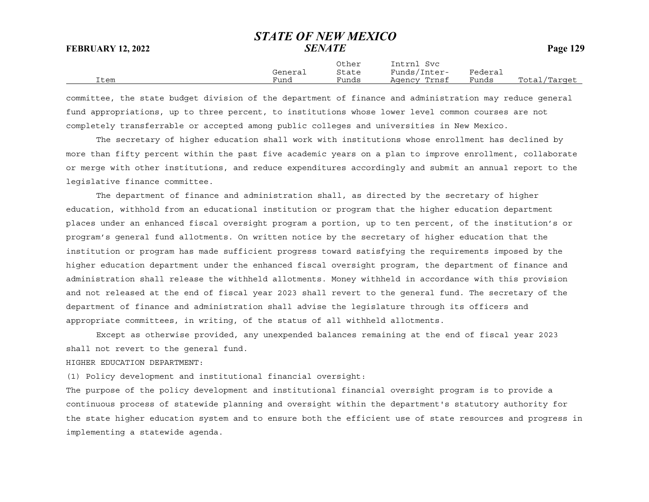Other Intrnl Svc General State Funds/Inter- Federal Item Fund Funds Agency Trnsf Funds Total/Target

committee, the state budget division of the department of finance and administration may reduce general fund appropriations, up to three percent, to institutions whose lower level common courses are not completely transferrable or accepted among public colleges and universities in New Mexico.

The secretary of higher education shall work with institutions whose enrollment has declined by more than fifty percent within the past five academic years on a plan to improve enrollment, collaborate or merge with other institutions, and reduce expenditures accordingly and submit an annual report to the legislative finance committee.

The department of finance and administration shall, as directed by the secretary of higher education, withhold from an educational institution or program that the higher education department places under an enhanced fiscal oversight program a portion, up to ten percent, of the institution's or program's general fund allotments. On written notice by the secretary of higher education that the institution or program has made sufficient progress toward satisfying the requirements imposed by the higher education department under the enhanced fiscal oversight program, the department of finance and administration shall release the withheld allotments. Money withheld in accordance with this provision and not released at the end of fiscal year 2023 shall revert to the general fund. The secretary of the department of finance and administration shall advise the legislature through its officers and appropriate committees, in writing, of the status of all withheld allotments.

Except as otherwise provided, any unexpended balances remaining at the end of fiscal year 2023 shall not revert to the general fund.

#### HIGHER EDUCATION DEPARTMENT:

(1) Policy development and institutional financial oversight:

The purpose of the policy development and institutional financial oversight program is to provide a continuous process of statewide planning and oversight within the department's statutory authority for the state higher education system and to ensure both the efficient use of state resources and progress in implementing a statewide agenda.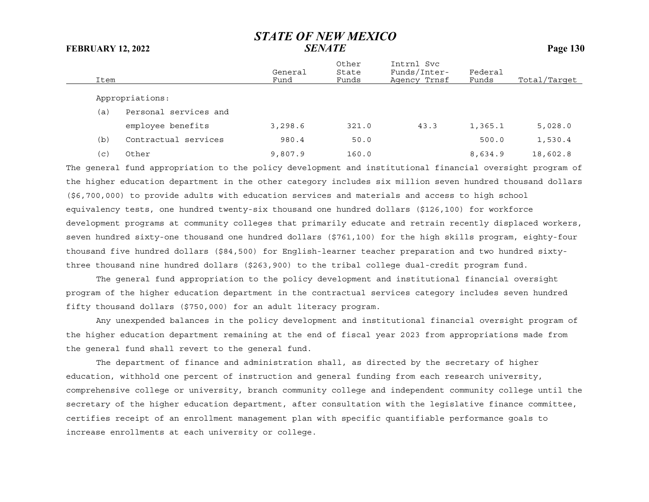| Item |                       | General<br>Fund | Other<br>State<br>Funds | Intrnl Svc<br>Funds/Inter-<br>Agency Trnsf | Federal<br>Funds | Total/Target |
|------|-----------------------|-----------------|-------------------------|--------------------------------------------|------------------|--------------|
|      | Appropriations:       |                 |                         |                                            |                  |              |
| (a)  | Personal services and |                 |                         |                                            |                  |              |
|      | employee benefits     | 3,298.6         | 321.0                   | 43.3                                       | 1,365.1          | 5,028.0      |
| (b)  | Contractual services  | 980.4           | 50.0                    |                                            | 500.0            | 1,530.4      |
| (c)  | Other                 | 9,807.9         | 160.0                   |                                            | 8,634.9          | 18,602.8     |

The general fund appropriation to the policy development and institutional financial oversight program of the higher education department in the other category includes six million seven hundred thousand dollars (\$6,700,000) to provide adults with education services and materials and access to high school equivalency tests, one hundred twenty-six thousand one hundred dollars (\$126,100) for workforce development programs at community colleges that primarily educate and retrain recently displaced workers, seven hundred sixty-one thousand one hundred dollars (\$761,100) for the high skills program, eighty-four thousand five hundred dollars (\$84,500) for English-learner teacher preparation and two hundred sixtythree thousand nine hundred dollars (\$263,900) to the tribal college dual-credit program fund.

The general fund appropriation to the policy development and institutional financial oversight program of the higher education department in the contractual services category includes seven hundred fifty thousand dollars (\$750,000) for an adult literacy program.

Any unexpended balances in the policy development and institutional financial oversight program of the higher education department remaining at the end of fiscal year 2023 from appropriations made from the general fund shall revert to the general fund.

The department of finance and administration shall, as directed by the secretary of higher education, withhold one percent of instruction and general funding from each research university, comprehensive college or university, branch community college and independent community college until the secretary of the higher education department, after consultation with the legislative finance committee, certifies receipt of an enrollment management plan with specific quantifiable performance goals to increase enrollments at each university or college.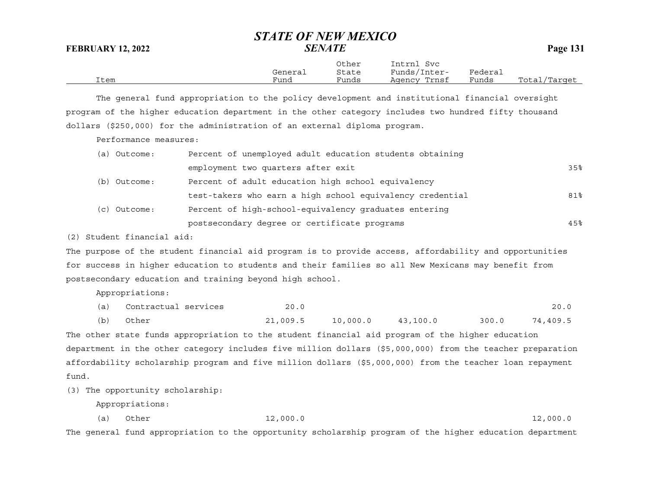|      |         | Other | Intrnl<br>Svc |         |              |
|------|---------|-------|---------------|---------|--------------|
|      | General | State | Funds/Inter-  | Federai |              |
| Item | Fund    | Funds | Agency Trnsf  | Funds   | Total/Target |

The general fund appropriation to the policy development and institutional financial oversight program of the higher education department in the other category includes two hundred fifty thousand dollars (\$250,000) for the administration of an external diploma program.

Performance measures:

| (a) Outcome: | Percent of unemployed adult education students obtaining  |     |
|--------------|-----------------------------------------------------------|-----|
|              | employment two quarters after exit                        | 35% |
| (b) Outcome: | Percent of adult education high school equivalency        |     |
|              | test-takers who earn a high school equivalency credential | 81% |
| (c) Outcome: | Percent of high-school-equivalency graduates entering     |     |
|              | postsecondary degree or certificate programs              | 45% |

(2) Student financial aid:

The purpose of the student financial aid program is to provide access, affordability and opportunities for success in higher education to students and their families so all New Mexicans may benefit from postsecondary education and training beyond high school.

Appropriations:

| (a) | Contractual services | 20.0     |          |          |       | 20.0     |
|-----|----------------------|----------|----------|----------|-------|----------|
| (b) | Other                | 21,009.5 | 10,000.0 | 43,100.0 | 300.0 | 74,409.5 |

The other state funds appropriation to the student financial aid program of the higher education department in the other category includes five million dollars (\$5,000,000) from the teacher preparation affordability scholarship program and five million dollars (\$5,000,000) from the teacher loan repayment fund.

(3) The opportunity scholarship:

Appropriations:

| (a) | Other | 12,000.0 | 12,000.0 |
|-----|-------|----------|----------|
|     |       |          |          |

The general fund appropriation to the opportunity scholarship program of the higher education department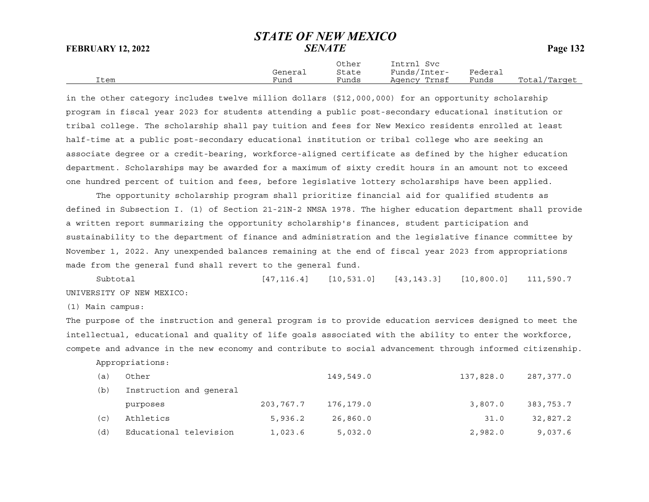|      |         | Other | Intrnl<br>Svc |         |              |
|------|---------|-------|---------------|---------|--------------|
|      | General | State | Funds/Inter-  | Federai |              |
| Item | Fund    | Funds | Agency Trnsf  | Funds   | Total/Target |

in the other category includes twelve million dollars (\$12,000,000) for an opportunity scholarship program in fiscal year 2023 for students attending a public post-secondary educational institution or tribal college. The scholarship shall pay tuition and fees for New Mexico residents enrolled at least half-time at a public post-secondary educational institution or tribal college who are seeking an associate degree or a credit-bearing, workforce-aligned certificate as defined by the higher education department. Scholarships may be awarded for a maximum of sixty credit hours in an amount not to exceed one hundred percent of tuition and fees, before legislative lottery scholarships have been applied.

The opportunity scholarship program shall prioritize financial aid for qualified students as defined in Subsection I. (1) of Section 21-21N-2 NMSA 1978. The higher education department shall provide a written report summarizing the opportunity scholarship's finances, student participation and sustainability to the department of finance and administration and the legislative finance committee by November 1, 2022. Any unexpended balances remaining at the end of fiscal year 2023 from appropriations made from the general fund shall revert to the general fund.

Subtotal [47,116.4] [10,531.0] [43,143.3] [10,800.0] 111,590.7 UNIVERSITY OF NEW MEXICO:

(1) Main campus:

The purpose of the instruction and general program is to provide education services designed to meet the intellectual, educational and quality of life goals associated with the ability to enter the workforce, compete and advance in the new economy and contribute to social advancement through informed citizenship.

Appropriations:

| (a)            | Other                   |           | 149,549.0 | 137,828.0 | 287,377.0 |
|----------------|-------------------------|-----------|-----------|-----------|-----------|
| (b)            | Instruction and general |           |           |           |           |
|                | purposes                | 203,767.7 | 176,179.0 | 3,807.0   | 383,753.7 |
| $(\mathtt{c})$ | Athletics               | 5,936.2   | 26,860.0  | 31.0      | 32,827.2  |
| (d)            | Educational television  | 1,023.6   | 5,032.0   | 2,982.0   | 9,037.6   |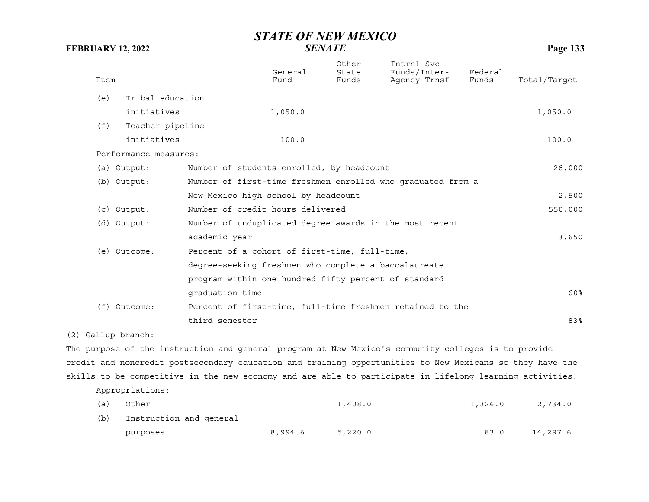| Item |                       |                 | General<br>Fund                                      | Other<br>State<br>Funds | Intrnl Svc<br>Funds/Inter-<br>Agency Trnsf                                                          | Federal<br>Funds | Total/Target |
|------|-----------------------|-----------------|------------------------------------------------------|-------------------------|-----------------------------------------------------------------------------------------------------|------------------|--------------|
| (e)  | Tribal education      |                 |                                                      |                         |                                                                                                     |                  |              |
|      | initiatives           |                 | 1,050.0                                              |                         |                                                                                                     |                  | 1,050.0      |
| (f)  | Teacher pipeline      |                 |                                                      |                         |                                                                                                     |                  |              |
|      | initiatives           |                 | 100.0                                                |                         |                                                                                                     |                  | 100.0        |
|      | Performance measures: |                 |                                                      |                         |                                                                                                     |                  |              |
|      | $(a)$ Output:         |                 | Number of students enrolled, by headcount            |                         |                                                                                                     |                  | 26,000       |
|      | $(b)$ Output:         |                 |                                                      |                         | Number of first-time freshmen enrolled who graduated from a                                         |                  |              |
|      |                       |                 | New Mexico high school by headcount                  |                         |                                                                                                     |                  | 2,500        |
|      | $(c)$ Output:         |                 | Number of credit hours delivered                     |                         |                                                                                                     |                  | 550,000      |
|      | (d) Output:           |                 |                                                      |                         | Number of unduplicated degree awards in the most recent                                             |                  |              |
|      |                       | academic year   |                                                      |                         |                                                                                                     |                  | 3,650        |
|      | (e) Outcome:          |                 | Percent of a cohort of first-time, full-time,        |                         |                                                                                                     |                  |              |
|      |                       |                 | degree-seeking freshmen who complete a baccalaureate |                         |                                                                                                     |                  |              |
|      |                       |                 | program within one hundred fifty percent of standard |                         |                                                                                                     |                  |              |
|      |                       | graduation time |                                                      |                         |                                                                                                     |                  | 60%          |
|      | $(f)$ Outcome:        |                 |                                                      |                         | Percent of first-time, full-time freshmen retained to the                                           |                  |              |
|      |                       | third semester  |                                                      |                         |                                                                                                     |                  | 83%          |
|      | (2) Gallup branch:    |                 |                                                      |                         |                                                                                                     |                  |              |
|      |                       |                 |                                                      |                         | The purpose of the instruction and general program at New Mexico's community colleges is to provide |                  |              |

credit and noncredit postsecondary education and training opportunities to New Mexicans so they have the skills to be competitive in the new economy and are able to participate in lifelong learning activities.

Appropriations:

| (a) | Other                   |         | 1,408.0 | 1,326.0 | 2,734.0  |
|-----|-------------------------|---------|---------|---------|----------|
| (b) | Instruction and general |         |         |         |          |
|     | purposes                | 8,994.6 | 5,220.0 | 83.0    | 14,297.6 |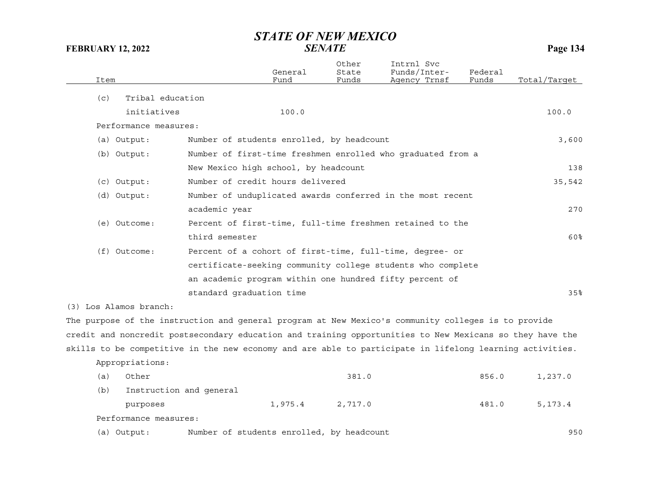| Item |                        |                                           | General<br>Fund | Other<br>State<br>Funds | Intrnl Svc<br>Funds/Inter-<br>Agency Trnsf                                                               | Federal<br>Funds | Total/Target |
|------|------------------------|-------------------------------------------|-----------------|-------------------------|----------------------------------------------------------------------------------------------------------|------------------|--------------|
| (c)  | Tribal education       |                                           |                 |                         |                                                                                                          |                  |              |
|      | initiatives            |                                           | 100.0           |                         |                                                                                                          |                  | 100.0        |
|      | Performance measures:  |                                           |                 |                         |                                                                                                          |                  |              |
|      | (a) Output:            | Number of students enrolled, by headcount |                 |                         |                                                                                                          |                  | 3,600        |
|      | (b) Output:            |                                           |                 |                         | Number of first-time freshmen enrolled who graduated from a                                              |                  |              |
|      |                        | New Mexico high school, by headcount      |                 |                         |                                                                                                          |                  | 138          |
|      | $(c)$ Output:          | Number of credit hours delivered          |                 |                         |                                                                                                          |                  | 35,542       |
|      | $(d)$ Output:          |                                           |                 |                         | Number of unduplicated awards conferred in the most recent                                               |                  |              |
|      |                        | academic year                             |                 |                         |                                                                                                          |                  | 270          |
|      | (e) Outcome:           |                                           |                 |                         | Percent of first-time, full-time freshmen retained to the                                                |                  |              |
|      |                        | third semester                            |                 |                         |                                                                                                          |                  | 60%          |
|      | $(f)$ Outcome:         |                                           |                 |                         | Percent of a cohort of first-time, full-time, degree- or                                                 |                  |              |
|      |                        |                                           |                 |                         | certificate-seeking community college students who complete                                              |                  |              |
|      |                        |                                           |                 |                         | an academic program within one hundred fifty percent of                                                  |                  |              |
|      |                        | standard graduation time                  |                 |                         |                                                                                                          |                  | 35%          |
|      | (3) Los Alamos branch: |                                           |                 |                         |                                                                                                          |                  |              |
|      |                        |                                           |                 |                         | The purpose of the instruction and general program at New Mexico's community colleges is to provide      |                  |              |
|      |                        |                                           |                 |                         | credit and noncredit postsecondary education and training opportunities to New Mexicans so they have the |                  |              |
|      |                        |                                           |                 |                         | skills to be competitive in the new economy and are able to participate in lifelong learning activities. |                  |              |
|      | Appropriations:        |                                           |                 |                         |                                                                                                          |                  |              |
| (a)  | Other                  |                                           |                 | 381.0                   |                                                                                                          | 856.0            | 1,237.0      |

| (a) | Other                   |         | 381.0   | 856.0 | 1,237.0 |
|-----|-------------------------|---------|---------|-------|---------|
| (b) | Instruction and general |         |         |       |         |
|     | purposes                | 1,975.4 | 2,717.0 | 481.0 | 5,173.4 |
|     | Performance measures:   |         |         |       |         |
|     |                         |         |         |       |         |

(a) Output: Number of students enrolled, by headcount 950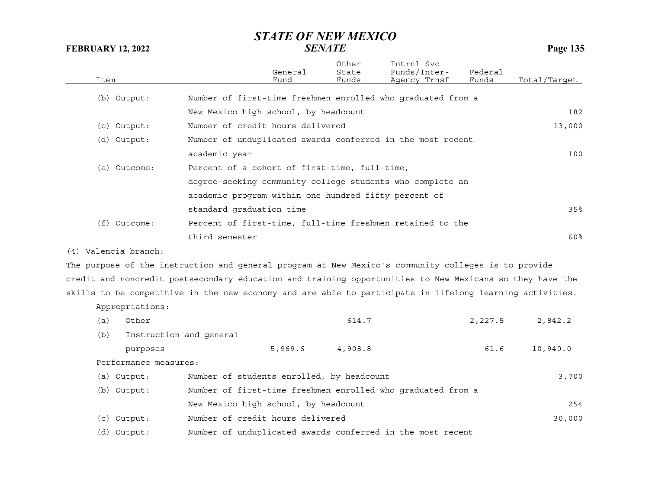| Item |                       |                                                      | General<br>Fund | Other<br>State<br>Funds | Intrnl Svc<br>Funds/Inter-<br>Agency Trnsf                                                               | Federal<br>Funds | Total/Target |
|------|-----------------------|------------------------------------------------------|-----------------|-------------------------|----------------------------------------------------------------------------------------------------------|------------------|--------------|
|      | (b) Output:           |                                                      |                 |                         | Number of first-time freshmen enrolled who graduated from a                                              |                  |              |
|      |                       | New Mexico high school, by headcount                 |                 |                         |                                                                                                          |                  | 182          |
|      | (c) Output:           | Number of credit hours delivered                     |                 |                         |                                                                                                          |                  | 13,000       |
|      | (d) Output:           |                                                      |                 |                         | Number of unduplicated awards conferred in the most recent                                               |                  |              |
|      |                       | academic year                                        |                 |                         |                                                                                                          |                  | 100          |
|      | (e) Outcome:          | Percent of a cohort of first-time, full-time,        |                 |                         |                                                                                                          |                  |              |
|      |                       |                                                      |                 |                         | degree-seeking community college students who complete an                                                |                  |              |
|      |                       | academic program within one hundred fifty percent of |                 |                         |                                                                                                          |                  |              |
|      |                       | standard graduation time                             |                 |                         |                                                                                                          |                  | 35%          |
|      | (f) Outcome:          |                                                      |                 |                         | Percent of first-time, full-time freshmen retained to the                                                |                  |              |
|      |                       | third semester                                       |                 |                         |                                                                                                          |                  | 60%          |
|      | (4) Valencia branch:  |                                                      |                 |                         |                                                                                                          |                  |              |
|      |                       |                                                      |                 |                         | The purpose of the instruction and general program at New Mexico's community colleges is to provide      |                  |              |
|      |                       |                                                      |                 |                         | credit and noncredit postsecondary education and training opportunities to New Mexicans so they have the |                  |              |
|      |                       |                                                      |                 |                         | skills to be competitive in the new economy and are able to participate in lifelong learning activities. |                  |              |
|      | Appropriations:       |                                                      |                 |                         |                                                                                                          |                  |              |
| (a)  | Other                 |                                                      |                 | 614.7                   |                                                                                                          | 2,227.5          | 2,842.2      |
| (b)  |                       | Instruction and general                              |                 |                         |                                                                                                          |                  |              |
|      | purposes              |                                                      | 5,969.6         | 4,908.8                 |                                                                                                          | 61.6             | 10,940.0     |
|      | Performance measures: |                                                      |                 |                         |                                                                                                          |                  |              |
|      | (a) Output:           | Number of students enrolled, by headcount            |                 |                         |                                                                                                          |                  | 3,700        |
|      | (b) Output:           |                                                      |                 |                         | Number of first-time freshmen enrolled who graduated from a                                              |                  |              |
|      |                       | New Mexico high school, by headcount                 |                 |                         |                                                                                                          |                  | 254          |
|      | $(c)$ Output:         | Number of credit hours delivered                     |                 |                         |                                                                                                          |                  | 30,000       |
|      | (d) Output:           |                                                      |                 |                         | Number of unduplicated awards conferred in the most recent                                               |                  |              |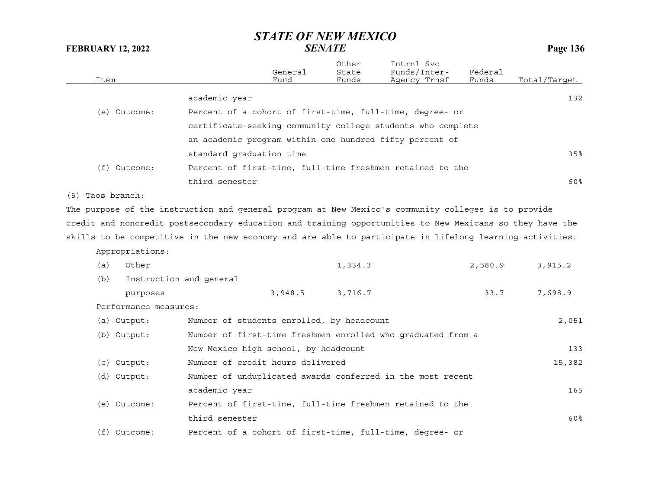| Item                                                                                                     |                                           | General<br>Fund | Other<br>State<br>Funds | Intrnl Svc<br>Funds/Inter-<br>Agency Trnsf                  | Federal<br>Funds | Total/Target |
|----------------------------------------------------------------------------------------------------------|-------------------------------------------|-----------------|-------------------------|-------------------------------------------------------------|------------------|--------------|
|                                                                                                          | academic year                             |                 |                         |                                                             |                  | 132          |
| (e) Outcome:                                                                                             |                                           |                 |                         | Percent of a cohort of first-time, full-time, degree- or    |                  |              |
|                                                                                                          |                                           |                 |                         | certificate-seeking community college students who complete |                  |              |
|                                                                                                          |                                           |                 |                         | an academic program within one hundred fifty percent of     |                  |              |
|                                                                                                          | standard graduation time                  |                 |                         |                                                             |                  | 35%          |
| (f) Outcome:                                                                                             |                                           |                 |                         | Percent of first-time, full-time freshmen retained to the   |                  |              |
|                                                                                                          | third semester                            |                 |                         |                                                             |                  | 60%          |
|                                                                                                          |                                           |                 |                         |                                                             |                  |              |
| (5) Taos branch:                                                                                         |                                           |                 |                         |                                                             |                  |              |
| The purpose of the instruction and general program at New Mexico's community colleges is to provide      |                                           |                 |                         |                                                             |                  |              |
| credit and noncredit postsecondary education and training opportunities to New Mexicans so they have the |                                           |                 |                         |                                                             |                  |              |
| skills to be competitive in the new economy and are able to participate in lifelong learning activities. |                                           |                 |                         |                                                             |                  |              |
| Appropriations:                                                                                          |                                           |                 |                         |                                                             |                  |              |
| Other<br>(a)                                                                                             |                                           |                 | 1,334.3                 |                                                             | 2,580.9          | 3,915.2      |
| Instruction and general<br>(b)                                                                           |                                           |                 |                         |                                                             |                  |              |
| purposes                                                                                                 |                                           | 3,948.5         | 3,716.7                 |                                                             | 33.7             | 7,698.9      |
| Performance measures:                                                                                    |                                           |                 |                         |                                                             |                  |              |
| (a) Output:                                                                                              | Number of students enrolled, by headcount |                 |                         |                                                             |                  | 2,051        |
| (b) Output:                                                                                              |                                           |                 |                         | Number of first-time freshmen enrolled who graduated from a |                  |              |
|                                                                                                          | New Mexico high school, by headcount      |                 |                         |                                                             |                  | 133          |
| (c) Output:                                                                                              | Number of credit hours delivered          |                 |                         |                                                             |                  | 15,382       |
| (d) Output:                                                                                              |                                           |                 |                         | Number of unduplicated awards conferred in the most recent  |                  |              |
|                                                                                                          | academic year                             |                 |                         |                                                             |                  | 165          |
| (e) Outcome:                                                                                             |                                           |                 |                         | Percent of first-time, full-time freshmen retained to the   |                  |              |
|                                                                                                          | third semester                            |                 |                         |                                                             |                  | 60%          |
| $(f)$ Outcome:                                                                                           |                                           |                 |                         | Percent of a cohort of first-time, full-time, degree- or    |                  |              |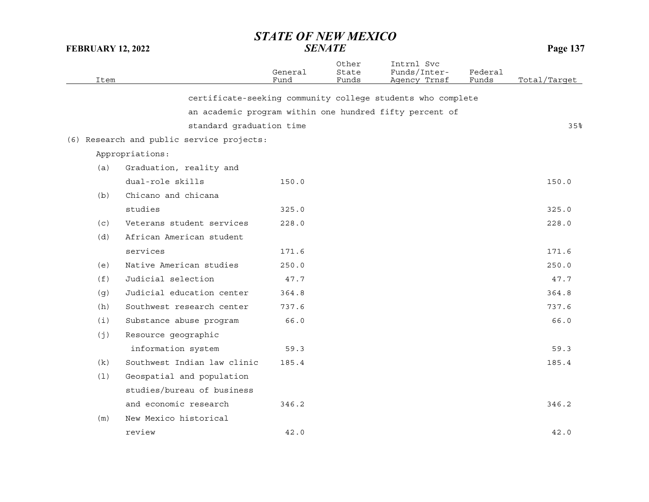| Item |                                           | General<br>Fund | Other<br>State<br>Funds | Intrnl Svc<br>Funds/Inter-<br>Agency Trnsf                  | Federal<br>Funds | Total/Target |
|------|-------------------------------------------|-----------------|-------------------------|-------------------------------------------------------------|------------------|--------------|
|      |                                           |                 |                         |                                                             |                  |              |
|      |                                           |                 |                         | certificate-seeking community college students who complete |                  |              |
|      |                                           |                 |                         | an academic program within one hundred fifty percent of     |                  |              |
|      | standard graduation time                  |                 |                         |                                                             |                  | 35%          |
|      | (6) Research and public service projects: |                 |                         |                                                             |                  |              |
|      | Appropriations:                           |                 |                         |                                                             |                  |              |
| (a)  | Graduation, reality and                   |                 |                         |                                                             |                  |              |
|      | dual-role skills                          | 150.0           |                         |                                                             |                  | 150.0        |
| (b)  | Chicano and chicana                       |                 |                         |                                                             |                  |              |
|      | studies                                   | 325.0           |                         |                                                             |                  | 325.0        |
| (c)  | Veterans student services                 | 228.0           |                         |                                                             |                  | 228.0        |
| (d)  | African American student                  |                 |                         |                                                             |                  |              |
|      | services                                  | 171.6           |                         |                                                             |                  | 171.6        |
| (e)  | Native American studies                   | 250.0           |                         |                                                             |                  | 250.0        |
| (f)  | Judicial selection                        | 47.7            |                         |                                                             |                  | 47.7         |
| (g)  | Judicial education center                 | 364.8           |                         |                                                             |                  | 364.8        |
| (h)  | Southwest research center                 | 737.6           |                         |                                                             |                  | 737.6        |
| (i)  | Substance abuse program                   | 66.0            |                         |                                                             |                  | 66.0         |
| (j)  | Resource geographic                       |                 |                         |                                                             |                  |              |
|      | information system                        | 59.3            |                         |                                                             |                  | 59.3         |
| (k)  | Southwest Indian law clinic               | 185.4           |                         |                                                             |                  | 185.4        |
| (1)  | Geospatial and population                 |                 |                         |                                                             |                  |              |
|      | studies/bureau of business                |                 |                         |                                                             |                  |              |
|      | and economic research                     | 346.2           |                         |                                                             |                  | 346.2        |
| (m)  | New Mexico historical                     |                 |                         |                                                             |                  |              |
|      | review                                    | 42.0            |                         |                                                             |                  | 42.0         |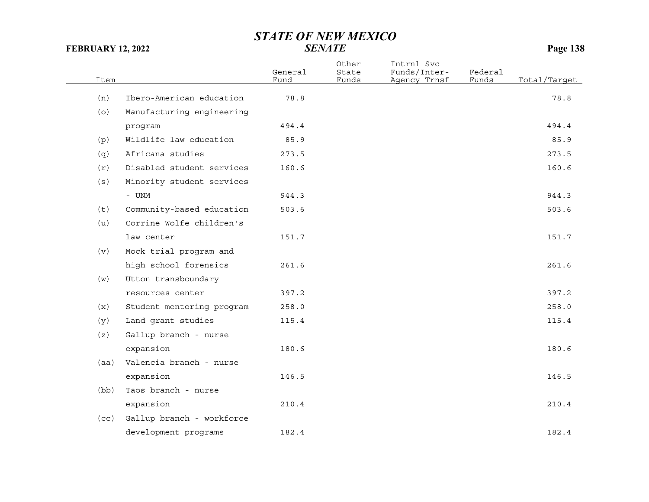## *STATE OF NEW MEXICO*

Total/Tarqet

# **FEBRUARY 12, 2022** *SENATE* **Page 138** Other Intrnl Svc General State Funds/Inter- Federal

| (n)  | Ibero-American education  | 78.8  | 78.8  |
|------|---------------------------|-------|-------|
| (0)  | Manufacturing engineering |       |       |
|      | program                   | 494.4 | 494.4 |
| (p)  | Wildlife law education    | 85.9  | 85.9  |
| (q)  | Africana studies          | 273.5 | 273.5 |
| (r)  | Disabled student services | 160.6 | 160.6 |
| (s)  | Minority student services |       |       |
|      | $-$ UNM                   | 944.3 | 944.3 |
| (t)  | Community-based education | 503.6 | 503.6 |
| (u)  | Corrine Wolfe children's  |       |       |
|      | law center                | 151.7 | 151.7 |
| (v)  | Mock trial program and    |       |       |
|      | high school forensics     | 261.6 | 261.6 |
| (w)  | Utton transboundary       |       |       |
|      | resources center          | 397.2 | 397.2 |
| (x)  | Student mentoring program | 258.0 | 258.0 |
| (y)  | Land grant studies        | 115.4 | 115.4 |
| (z)  | Gallup branch - nurse     |       |       |
|      | expansion                 | 180.6 | 180.6 |
| (aa) | Valencia branch - nurse   |       |       |
|      | expansion                 | 146.5 | 146.5 |
| (bb) | Taos branch - nurse       |       |       |
|      | expansion                 | 210.4 | 210.4 |
| (cc) | Gallup branch - workforce |       |       |
|      | development programs      | 182.4 | 182.4 |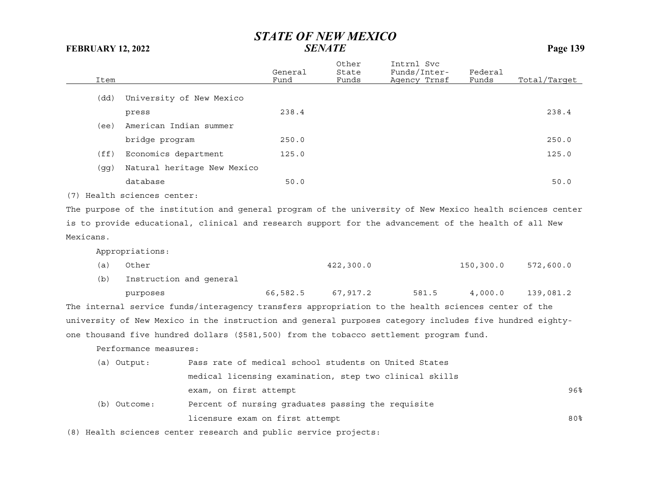|           |                             |                                                                                                           | General  | Other<br>State | Intrnl Svc<br>Funds/Inter-                              | Federal   |              |
|-----------|-----------------------------|-----------------------------------------------------------------------------------------------------------|----------|----------------|---------------------------------------------------------|-----------|--------------|
| Item      |                             |                                                                                                           | Fund     | Funds          | Agency Trnsf                                            | Funds     | Total/Target |
| (dd)      | University of New Mexico    |                                                                                                           |          |                |                                                         |           |              |
|           | press                       |                                                                                                           | 238.4    |                |                                                         |           | 238.4        |
| (ee)      | American Indian summer      |                                                                                                           |          |                |                                                         |           |              |
|           | bridge program              |                                                                                                           | 250.0    |                |                                                         |           | 250.0        |
| (f f)     | Economics department        |                                                                                                           | 125.0    |                |                                                         |           | 125.0        |
| (gg)      |                             | Natural heritage New Mexico                                                                               |          |                |                                                         |           |              |
|           | database                    |                                                                                                           | 50.0     |                |                                                         |           | 50.0         |
|           | (7) Health sciences center: |                                                                                                           |          |                |                                                         |           |              |
|           |                             | The purpose of the institution and general program of the university of New Mexico health sciences center |          |                |                                                         |           |              |
|           |                             | is to provide educational, clinical and research support for the advancement of the health of all New     |          |                |                                                         |           |              |
| Mexicans. |                             |                                                                                                           |          |                |                                                         |           |              |
|           | Appropriations:             |                                                                                                           |          |                |                                                         |           |              |
| (a)       | Other                       |                                                                                                           |          | 422,300.0      |                                                         | 150,300.0 | 572,600.0    |
| (b)       | Instruction and general     |                                                                                                           |          |                |                                                         |           |              |
|           | purposes                    |                                                                                                           | 66,582.5 | 67,917.2       | 581.5                                                   | 4,000.0   | 139,081.2    |
|           |                             | The internal service funds/interagency transfers appropriation to the health sciences center of the       |          |                |                                                         |           |              |
|           |                             | university of New Mexico in the instruction and general purposes category includes five hundred eighty-   |          |                |                                                         |           |              |
|           |                             | one thousand five hundred dollars (\$581,500) from the tobacco settlement program fund.                   |          |                |                                                         |           |              |
|           | Performance measures:       |                                                                                                           |          |                |                                                         |           |              |
|           | (a) Output:                 | Pass rate of medical school students on United States                                                     |          |                |                                                         |           |              |
|           |                             |                                                                                                           |          |                | medical licensing examination, step two clinical skills |           |              |
|           |                             | exam, on first attempt                                                                                    |          |                |                                                         |           | 96%          |
|           | (b) Outcome:                | Percent of nursing graduates passing the requisite                                                        |          |                |                                                         |           |              |
|           |                             | licensure exam on first attempt                                                                           |          |                |                                                         |           | 80%          |
|           |                             | (8) Health sciences center research and public service projects:                                          |          |                |                                                         |           |              |
|           |                             |                                                                                                           |          |                |                                                         |           |              |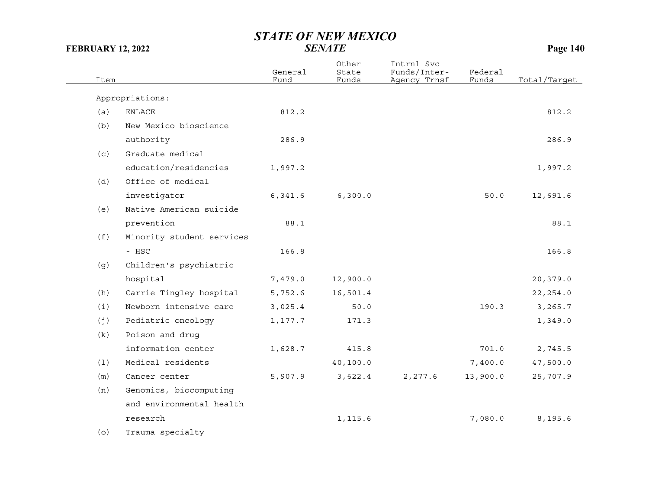| Item |                           | General<br>Fund | Other<br>State<br>Funds | Intrnl Svc<br>Funds/Inter-<br>Agency Trnsf | Federal<br>Funds | Total/Target |
|------|---------------------------|-----------------|-------------------------|--------------------------------------------|------------------|--------------|
|      | Appropriations:           |                 |                         |                                            |                  |              |
| (a)  | <b>ENLACE</b>             | 812.2           |                         |                                            |                  | 812.2        |
| (b)  | New Mexico bioscience     |                 |                         |                                            |                  |              |
|      | authority                 | 286.9           |                         |                                            |                  | 286.9        |
| (c)  | Graduate medical          |                 |                         |                                            |                  |              |
|      | education/residencies     | 1,997.2         |                         |                                            |                  | 1,997.2      |
| (d)  | Office of medical         |                 |                         |                                            |                  |              |
|      | investigator              | 6,341.6         | 6, 300.0                |                                            | 50.0             | 12,691.6     |
| (e)  | Native American suicide   |                 |                         |                                            |                  |              |
|      | prevention                | 88.1            |                         |                                            |                  | 88.1         |
| (f)  | Minority student services |                 |                         |                                            |                  |              |
|      | - HSC                     | 166.8           |                         |                                            |                  | 166.8        |
| (g)  | Children's psychiatric    |                 |                         |                                            |                  |              |
|      | hospital                  | 7,479.0         | 12,900.0                |                                            |                  | 20,379.0     |
| (h)  | Carrie Tingley hospital   | 5,752.6         | 16,501.4                |                                            |                  | 22, 254.0    |
| (i)  | Newborn intensive care    | 3,025.4         | 50.0                    |                                            | 190.3            | 3,265.7      |
| (j)  | Pediatric oncology        | 1,177.7         | 171.3                   |                                            |                  | 1,349.0      |
| (k)  | Poison and drug           |                 |                         |                                            |                  |              |
|      | information center        | 1,628.7         | 415.8                   |                                            | 701.0            | 2,745.5      |
| (1)  | Medical residents         |                 | 40, 100.0               |                                            | 7,400.0          | 47,500.0     |
| (m)  | Cancer center             | 5,907.9         | 3,622.4                 | 2,277.6                                    | 13,900.0         | 25,707.9     |
| (n)  | Genomics, biocomputing    |                 |                         |                                            |                  |              |
|      | and environmental health  |                 |                         |                                            |                  |              |
|      | research                  |                 | 1,115.6                 |                                            | 7,080.0          | 8,195.6      |
| (o)  | Trauma specialty          |                 |                         |                                            |                  |              |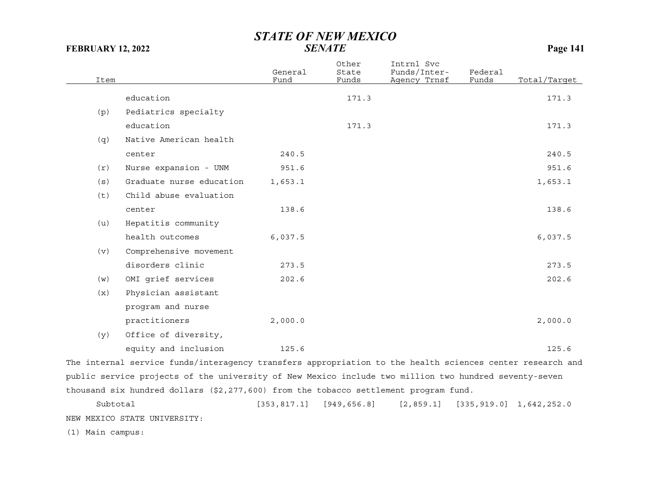| Item |                          | General<br>Fund | Other<br>State<br>Funds | Intrnl Svc<br>Funds/Inter-<br>Agency Trnsf | Federal<br>Funds | Total/Target |
|------|--------------------------|-----------------|-------------------------|--------------------------------------------|------------------|--------------|
|      | education                |                 | 171.3                   |                                            |                  | 171.3        |
| (p)  | Pediatrics specialty     |                 |                         |                                            |                  |              |
|      | education                |                 | 171.3                   |                                            |                  | 171.3        |
| (q)  | Native American health   |                 |                         |                                            |                  |              |
|      | center                   | 240.5           |                         |                                            |                  | 240.5        |
| (r)  | Nurse expansion - UNM    | 951.6           |                         |                                            |                  | 951.6        |
| (s)  | Graduate nurse education | 1,653.1         |                         |                                            |                  | 1,653.1      |
| (t)  | Child abuse evaluation   |                 |                         |                                            |                  |              |
|      | center                   | 138.6           |                         |                                            |                  | 138.6        |
| (u)  | Hepatitis community      |                 |                         |                                            |                  |              |
|      | health outcomes          | 6,037.5         |                         |                                            |                  | 6,037.5      |
| (v)  | Comprehensive movement   |                 |                         |                                            |                  |              |
|      | disorders clinic         | 273.5           |                         |                                            |                  | 273.5        |
| (w)  | OMI grief services       | 202.6           |                         |                                            |                  | 202.6        |
| (x)  | Physician assistant      |                 |                         |                                            |                  |              |
|      | program and nurse        |                 |                         |                                            |                  |              |
|      | practitioners            | 2,000.0         |                         |                                            |                  | 2,000.0      |
| (y)  | Office of diversity,     |                 |                         |                                            |                  |              |
|      | equity and inclusion     | 125.6           |                         |                                            |                  | 125.6        |

The internal service funds/interagency transfers appropriation to the health sciences center research and public service projects of the university of New Mexico include two million two hundred seventy-seven thousand six hundred dollars (\$2,277,600) from the tobacco settlement program fund.

Subtotal [353,817.1] [949,656.8] [2,859.1] [335,919.0] 1,642,252.0 NEW MEXICO STATE UNIVERSITY:

(1) Main campus: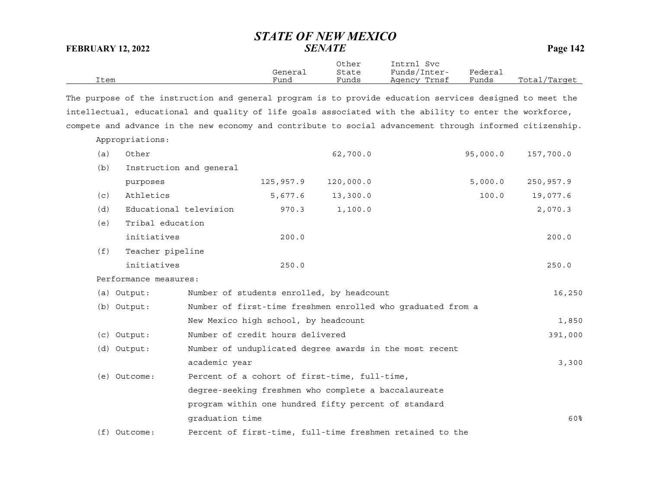| Item |                         |                                                                                                           | General<br>Fund | Other<br>State<br>Funds | Intrnl Svc<br>Funds/Inter-<br>Agency Trnsf                  | Federal<br>Funds | Total/Target |
|------|-------------------------|-----------------------------------------------------------------------------------------------------------|-----------------|-------------------------|-------------------------------------------------------------|------------------|--------------|
|      |                         | The purpose of the instruction and general program is to provide education services designed to meet the  |                 |                         |                                                             |                  |              |
|      |                         | intellectual, educational and quality of life goals associated with the ability to enter the workforce,   |                 |                         |                                                             |                  |              |
|      |                         | compete and advance in the new economy and contribute to social advancement through informed citizenship. |                 |                         |                                                             |                  |              |
|      | Appropriations:         |                                                                                                           |                 |                         |                                                             |                  |              |
| (a)  | Other                   |                                                                                                           |                 | 62,700.0                |                                                             | 95,000.0         | 157,700.0    |
| (b)  | Instruction and general |                                                                                                           |                 |                         |                                                             |                  |              |
|      | purposes                |                                                                                                           | 125,957.9       | 120,000.0               |                                                             | 5,000.0          | 250,957.9    |
| (c)  | Athletics               |                                                                                                           | 5,677.6         | 13,300.0                |                                                             | 100.0            | 19,077.6     |
| (d)  | Educational television  |                                                                                                           | 970.3           | 1,100.0                 |                                                             |                  | 2,070.3      |
| (e)  | Tribal education        |                                                                                                           |                 |                         |                                                             |                  |              |
|      | initiatives             |                                                                                                           | 200.0           |                         |                                                             |                  | 200.0        |
| (f)  | Teacher pipeline        |                                                                                                           |                 |                         |                                                             |                  |              |
|      | initiatives             |                                                                                                           | 250.0           |                         |                                                             |                  | 250.0        |
|      | Performance measures:   |                                                                                                           |                 |                         |                                                             |                  |              |
|      | (a) Output:             | Number of students enrolled, by headcount                                                                 |                 |                         |                                                             |                  | 16,250       |
|      | (b) Output:             |                                                                                                           |                 |                         | Number of first-time freshmen enrolled who graduated from a |                  |              |
|      |                         | New Mexico high school, by headcount                                                                      |                 |                         |                                                             |                  | 1,850        |
|      | $(c)$ Output:           | Number of credit hours delivered                                                                          |                 |                         |                                                             |                  | 391,000      |
|      | (d) Output:             |                                                                                                           |                 |                         | Number of unduplicated degree awards in the most recent     |                  |              |
|      |                         | academic year                                                                                             |                 |                         |                                                             |                  | 3,300        |
|      | (e) Outcome:            | Percent of a cohort of first-time, full-time,                                                             |                 |                         |                                                             |                  |              |
|      |                         | degree-seeking freshmen who complete a baccalaureate                                                      |                 |                         |                                                             |                  |              |
|      |                         | program within one hundred fifty percent of standard                                                      |                 |                         |                                                             |                  |              |
|      |                         | graduation time                                                                                           |                 |                         |                                                             |                  | 60%          |
|      | $(f)$ Outcome:          |                                                                                                           |                 |                         | Percent of first-time, full-time freshmen retained to the   |                  |              |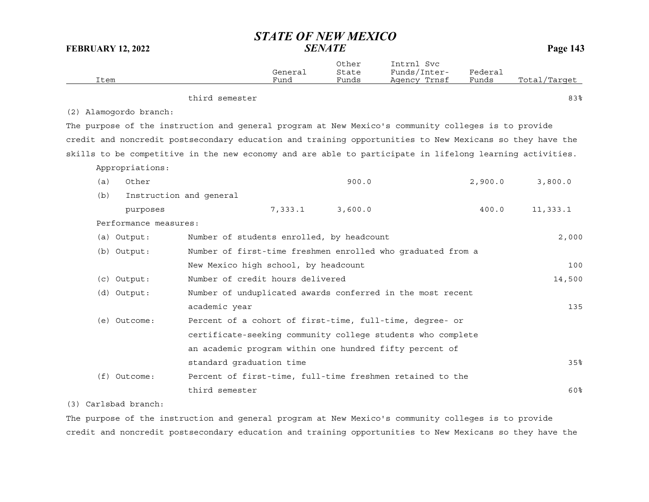| Item |                        |                                           | General<br>Fund | Other<br>State<br>Funds | Intrnl Svc<br>Funds/Inter-<br>Agency Trnsf                                                               | Federal<br>Funds | Total/Target |
|------|------------------------|-------------------------------------------|-----------------|-------------------------|----------------------------------------------------------------------------------------------------------|------------------|--------------|
|      |                        | third semester                            |                 |                         |                                                                                                          |                  | 83%          |
|      | (2) Alamogordo branch: |                                           |                 |                         |                                                                                                          |                  |              |
|      |                        |                                           |                 |                         | The purpose of the instruction and general program at New Mexico's community colleges is to provide      |                  |              |
|      |                        |                                           |                 |                         | credit and noncredit postsecondary education and training opportunities to New Mexicans so they have the |                  |              |
|      |                        |                                           |                 |                         | skills to be competitive in the new economy and are able to participate in lifelong learning activities. |                  |              |
|      | Appropriations:        |                                           |                 |                         |                                                                                                          |                  |              |
| (a)  | Other                  |                                           |                 | 900.0                   |                                                                                                          | 2,900.0          | 3,800.0      |
| (b)  |                        | Instruction and general                   |                 |                         |                                                                                                          |                  |              |
|      | purposes               |                                           | 7,333.1         | 3,600.0                 |                                                                                                          | 400.0            | 11,333.1     |
|      | Performance measures:  |                                           |                 |                         |                                                                                                          |                  |              |
|      | (a) Output:            | Number of students enrolled, by headcount |                 |                         |                                                                                                          |                  | 2,000        |
|      | (b) Output:            |                                           |                 |                         | Number of first-time freshmen enrolled who graduated from a                                              |                  |              |
|      |                        | New Mexico high school, by headcount      |                 |                         |                                                                                                          |                  | 100          |
|      | $(c)$ Output:          | Number of credit hours delivered          |                 |                         |                                                                                                          |                  | 14,500       |
|      | (d) Output:            |                                           |                 |                         | Number of unduplicated awards conferred in the most recent                                               |                  |              |
|      |                        | academic year                             |                 |                         |                                                                                                          |                  | 135          |
|      | (e) Outcome:           |                                           |                 |                         | Percent of a cohort of first-time, full-time, degree- or                                                 |                  |              |
|      |                        |                                           |                 |                         | certificate-seeking community college students who complete                                              |                  |              |
|      |                        |                                           |                 |                         | an academic program within one hundred fifty percent of                                                  |                  |              |
|      |                        | standard graduation time                  |                 |                         |                                                                                                          |                  | 35%          |
|      | $(f)$ Outcome:         |                                           |                 |                         | Percent of first-time, full-time freshmen retained to the                                                |                  |              |
|      |                        | third semester                            |                 |                         |                                                                                                          |                  | 60%          |

#### (3) Carlsbad branch:

The purpose of the instruction and general program at New Mexico's community colleges is to provide credit and noncredit postsecondary education and training opportunities to New Mexicans so they have the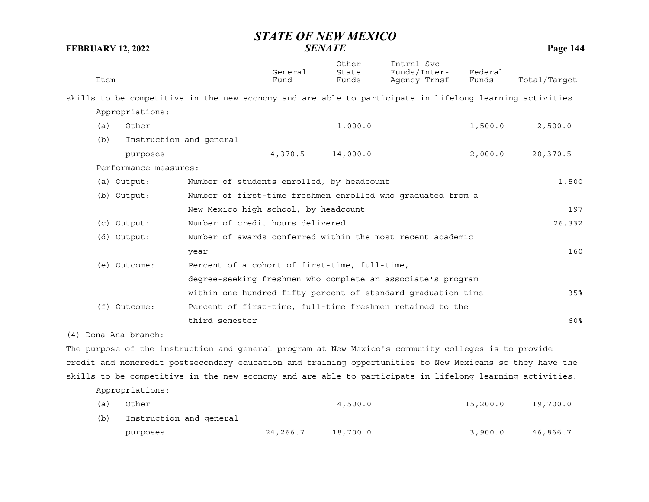| Item                  | General<br>Fund                                                                                          | Other<br>State<br>Funds | Intrnl Svc<br>Funds/Inter-<br>Agency Trnsf | Federal<br>Funds | Total/Tarqet |
|-----------------------|----------------------------------------------------------------------------------------------------------|-------------------------|--------------------------------------------|------------------|--------------|
|                       | skills to be competitive in the new economy and are able to participate in lifelong learning activities. |                         |                                            |                  |              |
| Appropriations:       |                                                                                                          |                         |                                            |                  |              |
| Other<br>(a)          |                                                                                                          | 1,000.0                 |                                            | 1,500.0          | 2,500.0      |
| (b)                   | Instruction and general                                                                                  |                         |                                            |                  |              |
| purposes              | 4,370.5                                                                                                  | 14,000.0                |                                            | 2,000.0          | 20,370.5     |
| Performance measures: |                                                                                                          |                         |                                            |                  |              |
| (a) Output:           | Number of students enrolled, by headcount                                                                |                         |                                            |                  | 1,500        |
| (b) Output:           | Number of first-time freshmen enrolled who graduated from a                                              |                         |                                            |                  |              |
|                       | New Mexico high school, by headcount                                                                     |                         |                                            |                  | 197          |
| $(c)$ Output:         | Number of credit hours delivered                                                                         |                         |                                            |                  | 26,332       |
| (d) Output:           | Number of awards conferred within the most recent academic                                               |                         |                                            |                  |              |
|                       | year                                                                                                     |                         |                                            |                  | 160          |
| (e) Outcome:          | Percent of a cohort of first-time, full-time,                                                            |                         |                                            |                  |              |
|                       | degree-seeking freshmen who complete an associate's program                                              |                         |                                            |                  |              |
|                       | within one hundred fifty percent of standard graduation time                                             |                         |                                            |                  | 35%          |
| $(f)$ Outcome:        | Percent of first-time, full-time freshmen retained to the                                                |                         |                                            |                  |              |
|                       | third semester                                                                                           |                         |                                            |                  | 60%          |
| (4) Dona Ana branch:  |                                                                                                          |                         |                                            |                  |              |
|                       | The purpose of the instruction and general program at New Mexico's community colleges is to provide      |                         |                                            |                  |              |
|                       | credit and noncredit postsecondary education and training opportunities to New Mexicans so they have the |                         |                                            |                  |              |
|                       | skills to be competitive in the new economy and are able to participate in lifelong learning activities. |                         |                                            |                  |              |
| Appropriations:       |                                                                                                          |                         |                                            |                  |              |
| Other<br>(a)          |                                                                                                          | 4,500.0                 |                                            | 15,200.0         | 19,700.0     |
| (b)                   | Instruction and general                                                                                  |                         |                                            |                  |              |

purposes 24,266.7 18,700.0 3,900.0 46,866.7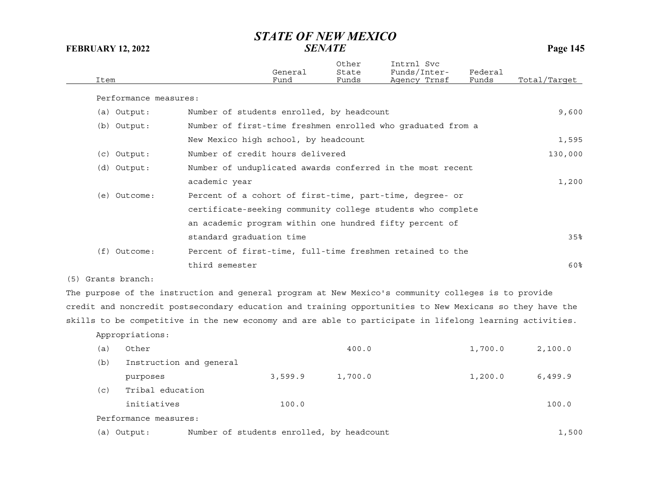| Item               |                         |                                                                                                          | General<br>Fund | Other<br>State<br>Funds | Intrnl Svc<br>Funds/Inter-<br>Agency Trnsf | Federal<br>Funds | Total/Target |
|--------------------|-------------------------|----------------------------------------------------------------------------------------------------------|-----------------|-------------------------|--------------------------------------------|------------------|--------------|
|                    | Performance measures:   |                                                                                                          |                 |                         |                                            |                  |              |
|                    | (a) Output:             | Number of students enrolled, by headcount                                                                |                 |                         |                                            |                  | 9,600        |
|                    | (b) Output:             | Number of first-time freshmen enrolled who graduated from a                                              |                 |                         |                                            |                  |              |
|                    |                         | New Mexico high school, by headcount                                                                     |                 |                         |                                            |                  | 1,595        |
|                    | $(c)$ Output:           | Number of credit hours delivered                                                                         |                 |                         |                                            |                  | 130,000      |
|                    | (d) Output:             | Number of unduplicated awards conferred in the most recent                                               |                 |                         |                                            |                  |              |
|                    |                         | academic year                                                                                            |                 |                         |                                            |                  | 1,200        |
|                    | (e) Outcome:            | Percent of a cohort of first-time, part-time, degree- or                                                 |                 |                         |                                            |                  |              |
|                    |                         | certificate-seeking community college students who complete                                              |                 |                         |                                            |                  |              |
|                    |                         | an academic program within one hundred fifty percent of                                                  |                 |                         |                                            |                  |              |
|                    |                         | standard graduation time                                                                                 |                 |                         |                                            |                  | 35%          |
|                    | $(f)$ Outcome:          | Percent of first-time, full-time freshmen retained to the                                                |                 |                         |                                            |                  |              |
|                    |                         | third semester                                                                                           |                 |                         |                                            |                  | 60%          |
| (5) Grants branch: |                         |                                                                                                          |                 |                         |                                            |                  |              |
|                    |                         | The purpose of the instruction and general program at New Mexico's community colleges is to provide      |                 |                         |                                            |                  |              |
|                    |                         | credit and noncredit postsecondary education and training opportunities to New Mexicans so they have the |                 |                         |                                            |                  |              |
|                    |                         | skills to be competitive in the new economy and are able to participate in lifelong learning activities. |                 |                         |                                            |                  |              |
|                    | Appropriations:         |                                                                                                          |                 |                         |                                            |                  |              |
| (a)                | Other                   |                                                                                                          |                 | 400.0                   |                                            | 1,700.0          | 2,100.0      |
| (b)                | Instruction and general |                                                                                                          |                 |                         |                                            |                  |              |
|                    | purposes                |                                                                                                          | 3,599.9         | 1,700.0                 |                                            | 1,200.0          | 6,499.9      |

(c) Tribal education

initiatives 100.0 100.0

Performance measures:

(a) Output: Number of students enrolled, by headcount (a) 00 minutes (1,500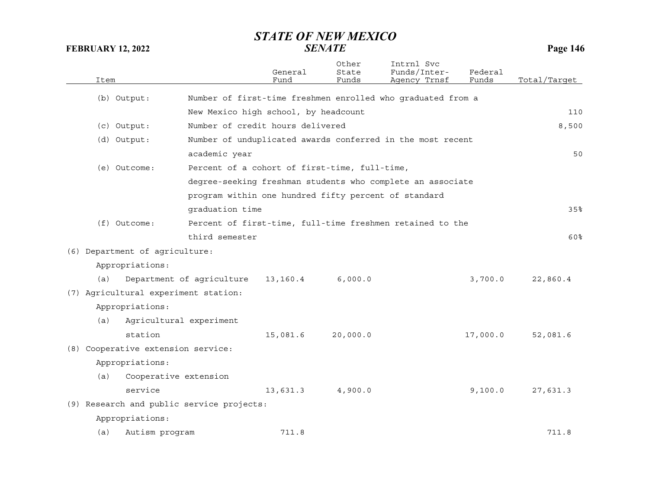|     | Item                               |                                                      | General<br>Fund | Other<br>State<br>Funds | Intrnl Svc<br>Funds/Inter-<br>Agency Trnsf                  | Federal<br>Funds | Total/Target |
|-----|------------------------------------|------------------------------------------------------|-----------------|-------------------------|-------------------------------------------------------------|------------------|--------------|
|     | (b) Output:                        |                                                      |                 |                         | Number of first-time freshmen enrolled who graduated from a |                  |              |
|     |                                    | New Mexico high school, by headcount                 |                 |                         |                                                             |                  | 110          |
|     | (c) Output:                        | Number of credit hours delivered                     |                 |                         |                                                             |                  | 8,500        |
|     | (d) Output:                        |                                                      |                 |                         | Number of unduplicated awards conferred in the most recent  |                  |              |
|     |                                    | academic year                                        |                 |                         |                                                             |                  | 50           |
|     | (e) Outcome:                       | Percent of a cohort of first-time, full-time,        |                 |                         |                                                             |                  |              |
|     |                                    |                                                      |                 |                         | degree-seeking freshman students who complete an associate  |                  |              |
|     |                                    | program within one hundred fifty percent of standard |                 |                         |                                                             |                  |              |
|     |                                    | graduation time                                      |                 |                         |                                                             |                  | 35%          |
|     | (f) Outcome:                       |                                                      |                 |                         | Percent of first-time, full-time freshmen retained to the   |                  |              |
|     |                                    | third semester                                       |                 |                         |                                                             |                  | 60%          |
|     | (6) Department of agriculture:     |                                                      |                 |                         |                                                             |                  |              |
|     | Appropriations:                    |                                                      |                 |                         |                                                             |                  |              |
| (a) |                                    | Department of agriculture                            | 13,160.4        | 6,000.0                 |                                                             | 3,700.0          | 22,860.4     |
|     |                                    | (7) Agricultural experiment station:                 |                 |                         |                                                             |                  |              |
|     | Appropriations:                    |                                                      |                 |                         |                                                             |                  |              |
| (a) |                                    | Agricultural experiment                              |                 |                         |                                                             |                  |              |
|     | station                            |                                                      | 15,081.6        | 20,000.0                |                                                             | 17,000.0         | 52,081.6     |
|     | (8) Cooperative extension service: |                                                      |                 |                         |                                                             |                  |              |
|     | Appropriations:                    |                                                      |                 |                         |                                                             |                  |              |
| (a) |                                    | Cooperative extension                                |                 |                         |                                                             |                  |              |
|     | service                            |                                                      | 13,631.3        | 4,900.0                 |                                                             | 9,100.0          | 27,631.3     |
|     |                                    | (9) Research and public service projects:            |                 |                         |                                                             |                  |              |
|     | Appropriations:                    |                                                      |                 |                         |                                                             |                  |              |
|     |                                    |                                                      |                 |                         |                                                             |                  | 711.8        |
| (a) | Autism program                     |                                                      | 711.8           |                         |                                                             |                  |              |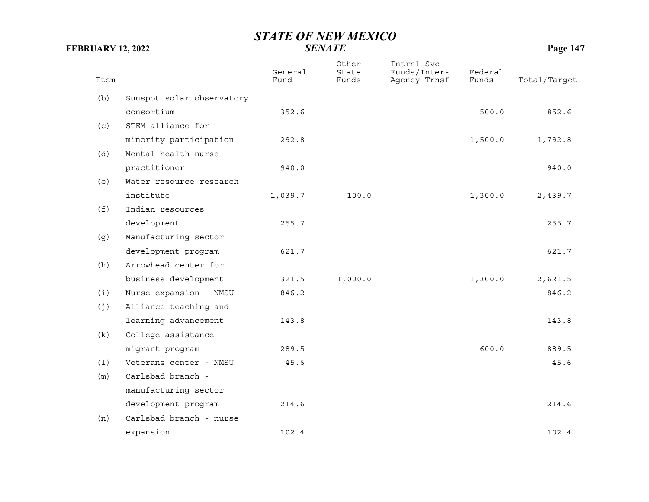| Item |                           | General<br>Fund | Other<br>State<br>Funds | Intrnl Svc<br>Funds/Inter-<br>Agency Trnsf | Federal<br>Funds | Total/Target |
|------|---------------------------|-----------------|-------------------------|--------------------------------------------|------------------|--------------|
|      |                           |                 |                         |                                            |                  |              |
| (b)  | Sunspot solar observatory |                 |                         |                                            |                  |              |
|      | consortium                | 352.6           |                         |                                            | 500.0            | 852.6        |
| (c)  | STEM alliance for         |                 |                         |                                            |                  |              |
|      | minority participation    | 292.8           |                         |                                            | 1,500.0          | 1,792.8      |
| (d)  | Mental health nurse       |                 |                         |                                            |                  |              |
|      | practitioner              | 940.0           |                         |                                            |                  | 940.0        |
| (e)  | Water resource research   |                 |                         |                                            |                  |              |
|      | institute                 | 1,039.7         | 100.0                   |                                            | 1,300.0          | 2,439.7      |
| (f)  | Indian resources          |                 |                         |                                            |                  |              |
|      | development               | 255.7           |                         |                                            |                  | 255.7        |
| (g)  | Manufacturing sector      |                 |                         |                                            |                  |              |
|      | development program       | 621.7           |                         |                                            |                  | 621.7        |
| (h)  | Arrowhead center for      |                 |                         |                                            |                  |              |
|      | business development      | 321.5           | 1,000.0                 |                                            | 1,300.0          | 2,621.5      |
| (i)  | Nurse expansion - NMSU    | 846.2           |                         |                                            |                  | 846.2        |
| (j)  | Alliance teaching and     |                 |                         |                                            |                  |              |
|      | learning advancement      | 143.8           |                         |                                            |                  | 143.8        |
| (k)  | College assistance        |                 |                         |                                            |                  |              |
|      | migrant program           | 289.5           |                         |                                            | 600.0            | 889.5        |
| (1)  | Veterans center - NMSU    | 45.6            |                         |                                            |                  | 45.6         |
| (m)  | Carlsbad branch -         |                 |                         |                                            |                  |              |
|      | manufacturing sector      |                 |                         |                                            |                  |              |
|      | development program       | 214.6           |                         |                                            |                  | 214.6        |
| (n)  | Carlsbad branch - nurse   |                 |                         |                                            |                  |              |
|      | expansion                 | 102.4           |                         |                                            |                  | 102.4        |
|      |                           |                 |                         |                                            |                  |              |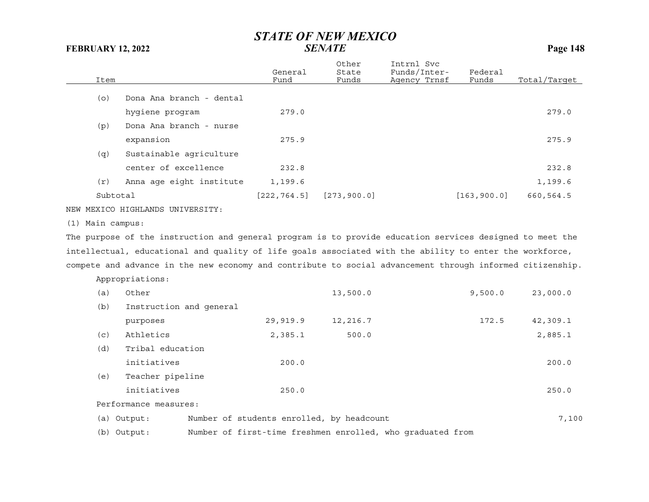|                  |                                                                                                           | General<br>Fund | Other<br>State                            | Intrnl Svc<br>Funds/Inter-                                 | Federal      | Total/Target |
|------------------|-----------------------------------------------------------------------------------------------------------|-----------------|-------------------------------------------|------------------------------------------------------------|--------------|--------------|
| Item             |                                                                                                           |                 | Funds                                     | Agency Trnsf                                               | Funds        |              |
| (O)              | Dona Ana branch - dental                                                                                  |                 |                                           |                                                            |              |              |
|                  | hygiene program                                                                                           | 279.0           |                                           |                                                            |              | 279.0        |
| (p)              | Dona Ana branch - nurse                                                                                   |                 |                                           |                                                            |              |              |
|                  | expansion                                                                                                 | 275.9           |                                           |                                                            |              | 275.9        |
| (q)              | Sustainable agriculture                                                                                   |                 |                                           |                                                            |              |              |
|                  | center of excellence                                                                                      | 232.8           |                                           |                                                            |              | 232.8        |
| (r)              | Anna age eight institute                                                                                  | 1,199.6         |                                           |                                                            |              | 1,199.6      |
| Subtotal         |                                                                                                           | [222, 764.5]    | [273, 900.0]                              |                                                            | [163, 900.0] | 660,564.5    |
|                  | NEW MEXICO HIGHLANDS UNIVERSITY:                                                                          |                 |                                           |                                                            |              |              |
| (1) Main campus: |                                                                                                           |                 |                                           |                                                            |              |              |
|                  | The purpose of the instruction and general program is to provide education services designed to meet the  |                 |                                           |                                                            |              |              |
|                  | intellectual, educational and quality of life goals associated with the ability to enter the workforce,   |                 |                                           |                                                            |              |              |
|                  | compete and advance in the new economy and contribute to social advancement through informed citizenship. |                 |                                           |                                                            |              |              |
|                  | Appropriations:                                                                                           |                 |                                           |                                                            |              |              |
| (a)              | Other                                                                                                     |                 | 13,500.0                                  |                                                            | 9,500.0      | 23,000.0     |
| (b)              | Instruction and general                                                                                   |                 |                                           |                                                            |              |              |
|                  | purposes                                                                                                  | 29,919.9        | 12,216.7                                  |                                                            | 172.5        | 42,309.1     |
| (c)              | Athletics                                                                                                 | 2,385.1         | 500.0                                     |                                                            |              | 2,885.1      |
| (d)              | Tribal education                                                                                          |                 |                                           |                                                            |              |              |
|                  | initiatives                                                                                               | 200.0           |                                           |                                                            |              | 200.0        |
| (e)              | Teacher pipeline                                                                                          |                 |                                           |                                                            |              |              |
|                  | initiatives                                                                                               | 250.0           |                                           |                                                            |              | 250.0        |
|                  | Performance measures:                                                                                     |                 |                                           |                                                            |              |              |
|                  | (a) Output:                                                                                               |                 | Number of students enrolled, by headcount |                                                            |              | 7,100        |
|                  | (b) Output:                                                                                               |                 |                                           | Number of first-time freshmen enrolled, who graduated from |              |              |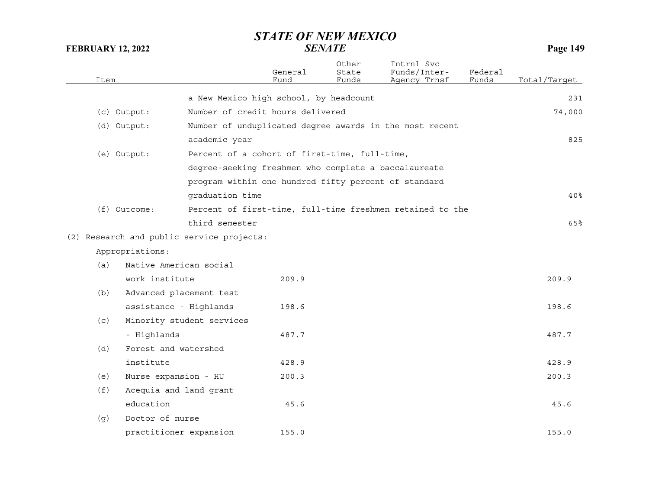| Item |                        |                                           | General<br>Fund                               | Other<br>State<br>Funds | Intrnl Svc<br>Funds/Inter-<br>Agency Trnsf                | Federal<br>Funds | Total/Target |
|------|------------------------|-------------------------------------------|-----------------------------------------------|-------------------------|-----------------------------------------------------------|------------------|--------------|
|      |                        |                                           | a New Mexico high school, by headcount        |                         |                                                           |                  | 231          |
|      | (c) Output:            |                                           | Number of credit hours delivered              |                         |                                                           |                  | 74,000       |
|      | (d) Output:            |                                           |                                               |                         | Number of unduplicated degree awards in the most recent   |                  |              |
|      |                        | academic year                             |                                               |                         |                                                           |                  | 825          |
|      | (e) Output:            |                                           | Percent of a cohort of first-time, full-time, |                         |                                                           |                  |              |
|      |                        |                                           |                                               |                         | degree-seeking freshmen who complete a baccalaureate      |                  |              |
|      |                        |                                           |                                               |                         | program within one hundred fifty percent of standard      |                  |              |
|      |                        | graduation time                           |                                               |                         |                                                           |                  | 40%          |
|      | (f) Outcome:           |                                           |                                               |                         | Percent of first-time, full-time freshmen retained to the |                  |              |
|      |                        | third semester                            |                                               |                         |                                                           |                  | 65%          |
|      |                        | (2) Research and public service projects: |                                               |                         |                                                           |                  |              |
|      | Appropriations:        |                                           |                                               |                         |                                                           |                  |              |
| (a)  | Native American social |                                           |                                               |                         |                                                           |                  |              |
|      | work institute         |                                           | 209.9                                         |                         |                                                           |                  | 209.9        |
| (b)  |                        | Advanced placement test                   |                                               |                         |                                                           |                  |              |
|      | assistance - Highlands |                                           | 198.6                                         |                         |                                                           |                  | 198.6        |
| (c)  |                        | Minority student services                 |                                               |                         |                                                           |                  |              |
|      | - Highlands            |                                           | 487.7                                         |                         |                                                           |                  | 487.7        |
| (d)  | Forest and watershed   |                                           |                                               |                         |                                                           |                  |              |
|      | institute              |                                           | 428.9                                         |                         |                                                           |                  | 428.9        |
| (e)  | Nurse expansion - HU   |                                           | 200.3                                         |                         |                                                           |                  | 200.3        |
| (f)  | Acequia and land grant |                                           |                                               |                         |                                                           |                  |              |
|      | education              |                                           | 45.6                                          |                         |                                                           |                  | 45.6         |
| (g)  | Doctor of nurse        |                                           |                                               |                         |                                                           |                  |              |
|      | practitioner expansion |                                           | 155.0                                         |                         |                                                           |                  | 155.0        |
|      |                        |                                           |                                               |                         |                                                           |                  |              |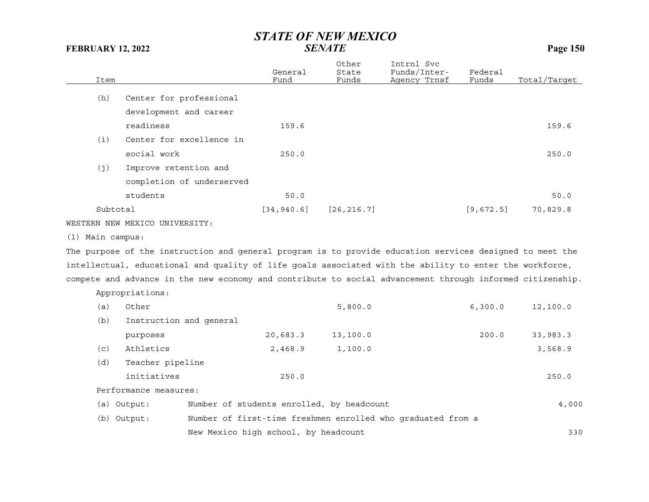| Item               |                                                                                                           | General<br>Fund                      | Other<br>State<br>Funds                   | Intrnl Svc<br>Funds/Inter-<br>Agency Trnsf                  | Federal<br>Funds | Total/Tarqet |
|--------------------|-----------------------------------------------------------------------------------------------------------|--------------------------------------|-------------------------------------------|-------------------------------------------------------------|------------------|--------------|
|                    |                                                                                                           |                                      |                                           |                                                             |                  |              |
| (h)                | Center for professional                                                                                   |                                      |                                           |                                                             |                  |              |
|                    | development and career                                                                                    |                                      |                                           |                                                             |                  |              |
|                    | readiness                                                                                                 | 159.6                                |                                           |                                                             |                  | 159.6        |
| (i)                | Center for excellence in                                                                                  |                                      |                                           |                                                             |                  |              |
|                    | social work                                                                                               | 250.0                                |                                           |                                                             |                  | 250.0        |
| (j)                | Improve retention and                                                                                     |                                      |                                           |                                                             |                  |              |
|                    | completion of underserved                                                                                 |                                      |                                           |                                                             |                  |              |
|                    | students                                                                                                  | 50.0                                 |                                           |                                                             |                  | 50.0         |
| Subtotal           |                                                                                                           | [34, 940.6]                          | [26, 216.7]                               |                                                             | [9,672.5]        | 70,829.8     |
|                    | WESTERN NEW MEXICO UNIVERSITY:                                                                            |                                      |                                           |                                                             |                  |              |
| $(1)$ Main campus: |                                                                                                           |                                      |                                           |                                                             |                  |              |
|                    | The purpose of the instruction and general program is to provide education services designed to meet the  |                                      |                                           |                                                             |                  |              |
|                    | intellectual, educational and quality of life goals associated with the ability to enter the workforce,   |                                      |                                           |                                                             |                  |              |
|                    | compete and advance in the new economy and contribute to social advancement through informed citizenship. |                                      |                                           |                                                             |                  |              |
|                    | Appropriations:                                                                                           |                                      |                                           |                                                             |                  |              |
| (a)                | Other                                                                                                     |                                      | 5,800.0                                   |                                                             | 6, 300.0         | 12,100.0     |
| (b)                | Instruction and general                                                                                   |                                      |                                           |                                                             |                  |              |
|                    | purposes                                                                                                  | 20,683.3                             | 13,100.0                                  |                                                             | 200.0            | 33,983.3     |
| (c)                | Athletics                                                                                                 | 2,468.9                              | 1,100.0                                   |                                                             |                  | 3,568.9      |
| (d)                | Teacher pipeline                                                                                          |                                      |                                           |                                                             |                  |              |
|                    | initiatives                                                                                               | 250.0                                |                                           |                                                             |                  | 250.0        |
|                    | Performance measures:                                                                                     |                                      |                                           |                                                             |                  |              |
|                    | (a) Output:                                                                                               |                                      | Number of students enrolled, by headcount |                                                             |                  | 4,000        |
|                    | (b) Output:                                                                                               |                                      |                                           | Number of first-time freshmen enrolled who graduated from a |                  |              |
|                    |                                                                                                           | New Mexico high school, by headcount |                                           |                                                             |                  | 330          |
|                    |                                                                                                           |                                      |                                           |                                                             |                  |              |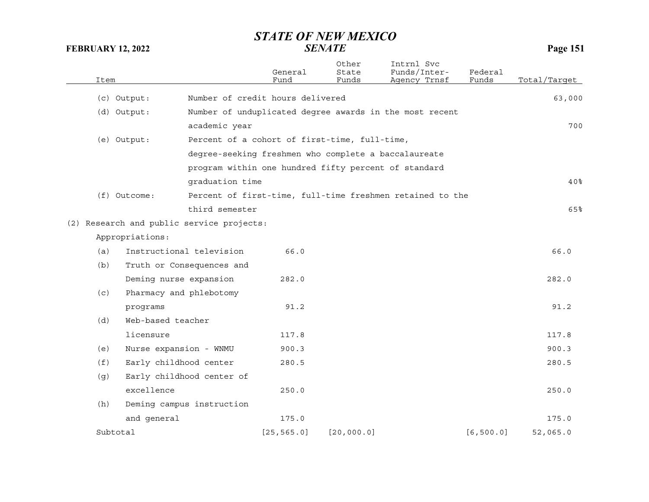| Item     |                   |                                                      | General<br>Fund                                      | Other<br>State<br>Funds | Intrnl Svc<br>Funds/Inter-<br>Agency Trnsf                | Federal<br>Funds | Total/Target |
|----------|-------------------|------------------------------------------------------|------------------------------------------------------|-------------------------|-----------------------------------------------------------|------------------|--------------|
|          | (c) Output:       | Number of credit hours delivered                     |                                                      |                         |                                                           |                  | 63,000       |
|          | (d) Output:       |                                                      |                                                      |                         | Number of unduplicated degree awards in the most recent   |                  |              |
|          |                   | academic year                                        |                                                      |                         |                                                           |                  | 700          |
|          | (e) Output:       | Percent of a cohort of first-time, full-time,        |                                                      |                         |                                                           |                  |              |
|          |                   |                                                      | degree-seeking freshmen who complete a baccalaureate |                         |                                                           |                  |              |
|          |                   |                                                      |                                                      |                         |                                                           |                  |              |
|          |                   | program within one hundred fifty percent of standard |                                                      |                         |                                                           |                  | 40%          |
|          |                   | graduation time                                      |                                                      |                         |                                                           |                  |              |
|          | (f) Outcome:      |                                                      |                                                      |                         | Percent of first-time, full-time freshmen retained to the |                  |              |
|          |                   | third semester                                       |                                                      |                         |                                                           |                  | 65%          |
|          |                   | (2) Research and public service projects:            |                                                      |                         |                                                           |                  |              |
|          | Appropriations:   |                                                      |                                                      |                         |                                                           |                  |              |
| (a)      |                   | Instructional television                             | 66.0                                                 |                         |                                                           |                  | 66.0         |
| (b)      |                   | Truth or Consequences and                            |                                                      |                         |                                                           |                  |              |
|          |                   | Deming nurse expansion                               | 282.0                                                |                         |                                                           |                  | 282.0        |
| (c)      |                   | Pharmacy and phlebotomy                              |                                                      |                         |                                                           |                  |              |
|          | programs          |                                                      | 91.2                                                 |                         |                                                           |                  | 91.2         |
| (d)      | Web-based teacher |                                                      |                                                      |                         |                                                           |                  |              |
|          | licensure         |                                                      | 117.8                                                |                         |                                                           |                  | 117.8        |
| (e)      |                   | Nurse expansion - WNMU                               | 900.3                                                |                         |                                                           |                  | 900.3        |
| (f)      |                   | Early childhood center                               | 280.5                                                |                         |                                                           |                  | 280.5        |
| (g)      |                   | Early childhood center of                            |                                                      |                         |                                                           |                  |              |
|          | excellence        |                                                      | 250.0                                                |                         |                                                           |                  | 250.0        |
| (h)      |                   | Deming campus instruction                            |                                                      |                         |                                                           |                  |              |
|          | and general       |                                                      | 175.0                                                |                         |                                                           |                  | 175.0        |
| Subtotal |                   |                                                      | [25, 565.0]                                          | [20, 000.0]             |                                                           | [6, 500.0]       | 52,065.0     |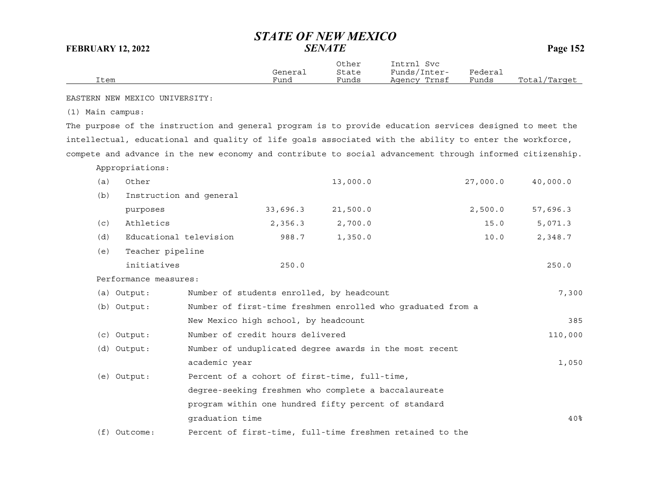|      |         | Other | Intrnl<br>Svc |         |              |
|------|---------|-------|---------------|---------|--------------|
|      | General | State | Funds/Inter-  | Federai |              |
| Item | Fund    | Funds | Agency Trnsf  | Funds   | Total/Target |

EASTERN NEW MEXICO UNIVERSITY:

(1) Main campus:

The purpose of the instruction and general program is to provide education services designed to meet the intellectual, educational and quality of life goals associated with the ability to enter the workforce, compete and advance in the new economy and contribute to social advancement through informed citizenship.

Appropriations:

| (a) | Other                   |                 |                                      | 13,000.0                                                    | 27,000.0 | 40,000.0        |
|-----|-------------------------|-----------------|--------------------------------------|-------------------------------------------------------------|----------|-----------------|
| (b) | Instruction and general |                 |                                      |                                                             |          |                 |
|     | purposes                |                 | 33,696.3                             | 21,500.0                                                    | 2,500.0  | 57,696.3        |
| (c) | Athletics               |                 | 2,356.3                              | 2,700.0                                                     | 15.0     | 5,071.3         |
| (d) | Educational television  |                 | 988.7                                | 1,350.0                                                     | 10.0     | 2,348.7         |
| (e) | Teacher pipeline        |                 |                                      |                                                             |          |                 |
|     | initiatives             |                 | 250.0                                |                                                             |          | 250.0           |
|     | Performance measures:   |                 |                                      |                                                             |          |                 |
|     | $(a)$ Output:           |                 |                                      | Number of students enrolled, by headcount                   |          | 7,300           |
|     | (b) Output:             |                 |                                      | Number of first-time freshmen enrolled who graduated from a |          |                 |
|     |                         |                 | New Mexico high school, by headcount |                                                             |          | 385             |
|     | (c) Output:             |                 | Number of credit hours delivered     |                                                             |          | 110,000         |
|     | (d) Output:             |                 |                                      | Number of unduplicated degree awards in the most recent     |          |                 |
|     |                         | academic year   |                                      |                                                             |          | 1,050           |
|     | (e) Output:             |                 |                                      | Percent of a cohort of first-time, full-time,               |          |                 |
|     |                         |                 |                                      | degree-seeking freshmen who complete a baccalaureate        |          |                 |
|     |                         |                 |                                      | program within one hundred fifty percent of standard        |          |                 |
|     |                         | graduation time |                                      |                                                             |          | 40 <sup>8</sup> |
|     | $(f)$ Outcome:          |                 |                                      | Percent of first-time, full-time freshmen retained to the   |          |                 |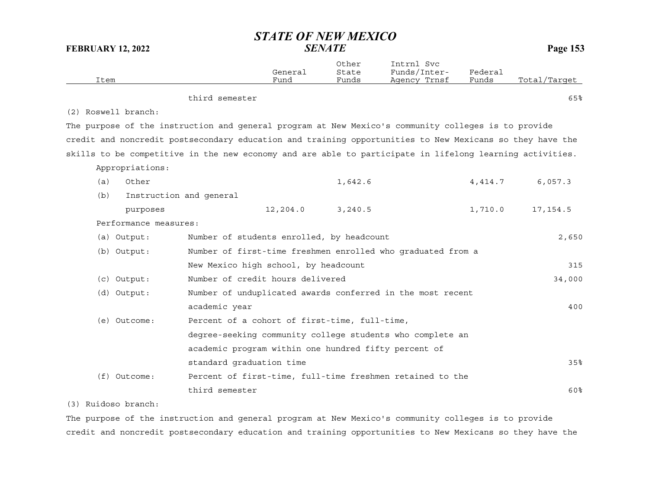| Item                |                         | General<br>Fund                                                                                          | Other<br>State<br>Funds | Intrnl Svc<br>Funds/Inter-<br>Agency Trnsf | Federal<br>Funds | Total/Target |
|---------------------|-------------------------|----------------------------------------------------------------------------------------------------------|-------------------------|--------------------------------------------|------------------|--------------|
|                     |                         | third semester                                                                                           |                         |                                            |                  | 65%          |
| (2) Roswell branch: |                         |                                                                                                          |                         |                                            |                  |              |
|                     |                         | The purpose of the instruction and general program at New Mexico's community colleges is to provide      |                         |                                            |                  |              |
|                     |                         | credit and noncredit postsecondary education and training opportunities to New Mexicans so they have the |                         |                                            |                  |              |
|                     |                         | skills to be competitive in the new economy and are able to participate in lifelong learning activities. |                         |                                            |                  |              |
| Appropriations:     |                         |                                                                                                          |                         |                                            |                  |              |
| (a)                 | Other                   |                                                                                                          | 1,642.6                 |                                            | 4, 414.7         | 6,057.3      |
| (b)                 | Instruction and general |                                                                                                          |                         |                                            |                  |              |
|                     | purposes                | 12,204.0                                                                                                 | 3,240.5                 |                                            | 1,710.0          | 17, 154.5    |
|                     | Performance measures:   |                                                                                                          |                         |                                            |                  |              |
| (a) Output:         |                         | Number of students enrolled, by headcount                                                                |                         |                                            |                  | 2,650        |
| (b) Output:         |                         | Number of first-time freshmen enrolled who graduated from a                                              |                         |                                            |                  |              |
|                     |                         | New Mexico high school, by headcount                                                                     |                         |                                            |                  | 315          |
| $(c)$ Output:       |                         | Number of credit hours delivered                                                                         |                         |                                            |                  | 34,000       |
| (d) Output:         |                         | Number of unduplicated awards conferred in the most recent                                               |                         |                                            |                  |              |
|                     |                         | academic year                                                                                            |                         |                                            |                  | 400          |
| (e) Outcome:        |                         | Percent of a cohort of first-time, full-time,                                                            |                         |                                            |                  |              |
|                     |                         | degree-seeking community college students who complete an                                                |                         |                                            |                  |              |
|                     |                         | academic program within one hundred fifty percent of                                                     |                         |                                            |                  |              |
|                     |                         | standard graduation time                                                                                 |                         |                                            |                  | 35%          |
| $(f)$ Outcome:      |                         | Percent of first-time, full-time freshmen retained to the                                                |                         |                                            |                  |              |
|                     |                         | third semester                                                                                           |                         |                                            |                  | 60%          |

### (3) Ruidoso branch:

The purpose of the instruction and general program at New Mexico's community colleges is to provide credit and noncredit postsecondary education and training opportunities to New Mexicans so they have the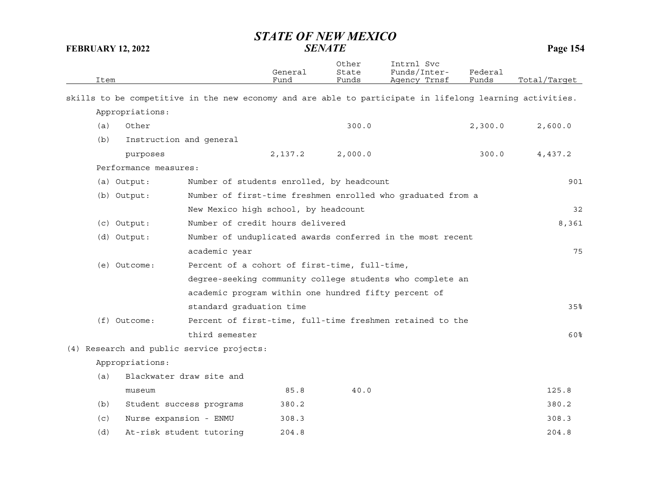| Item           |                          |                                                      | General<br>Fund | Other<br>State<br>Funds | Intrnl Svc<br>Funds/Inter-<br>Agency Trnsf                                                               | Federal<br>Funds | Total/Target |
|----------------|--------------------------|------------------------------------------------------|-----------------|-------------------------|----------------------------------------------------------------------------------------------------------|------------------|--------------|
|                |                          |                                                      |                 |                         |                                                                                                          |                  |              |
|                |                          |                                                      |                 |                         | skills to be competitive in the new economy and are able to participate in lifelong learning activities. |                  |              |
|                | Appropriations:          |                                                      |                 |                         |                                                                                                          |                  |              |
| (a)            | Other                    |                                                      |                 | 300.0                   |                                                                                                          | 2,300.0          | 2,600.0      |
| (b)            | Instruction and general  |                                                      |                 |                         |                                                                                                          |                  |              |
|                | purposes                 |                                                      | 2,137.2         | 2,000.0                 |                                                                                                          | 300.0            | 4,437.2      |
|                | Performance measures:    |                                                      |                 |                         |                                                                                                          |                  |              |
| (a) Output:    |                          | Number of students enrolled, by headcount            |                 |                         |                                                                                                          |                  | 901          |
| (b) Output:    |                          |                                                      |                 |                         | Number of first-time freshmen enrolled who graduated from a                                              |                  |              |
|                |                          | New Mexico high school, by headcount                 |                 |                         |                                                                                                          |                  | 32           |
| (c) Output:    |                          | Number of credit hours delivered                     |                 |                         |                                                                                                          |                  | 8,361        |
| (d) Output:    |                          |                                                      |                 |                         | Number of unduplicated awards conferred in the most recent                                               |                  |              |
|                |                          | academic year                                        |                 |                         |                                                                                                          |                  | 75           |
| (e) Outcome:   |                          | Percent of a cohort of first-time, full-time,        |                 |                         |                                                                                                          |                  |              |
|                |                          |                                                      |                 |                         | degree-seeking community college students who complete an                                                |                  |              |
|                |                          | academic program within one hundred fifty percent of |                 |                         |                                                                                                          |                  |              |
|                |                          | standard graduation time                             |                 |                         |                                                                                                          |                  | 35%          |
| $(f)$ Outcome: |                          |                                                      |                 |                         | Percent of first-time, full-time freshmen retained to the                                                |                  |              |
|                |                          | third semester                                       |                 |                         |                                                                                                          |                  | 60%          |
|                |                          | (4) Research and public service projects:            |                 |                         |                                                                                                          |                  |              |
|                | Appropriations:          |                                                      |                 |                         |                                                                                                          |                  |              |
| (a)            | Blackwater draw site and |                                                      |                 |                         |                                                                                                          |                  |              |
|                | museum                   |                                                      | 85.8            | 40.0                    |                                                                                                          |                  | 125.8        |
| (b)            | Student success programs |                                                      | 380.2           |                         |                                                                                                          |                  | 380.2        |
| (c)            | Nurse expansion - ENMU   |                                                      | 308.3           |                         |                                                                                                          |                  | 308.3        |
| (d)            | At-risk student tutoring |                                                      | 204.8           |                         |                                                                                                          |                  | 204.8        |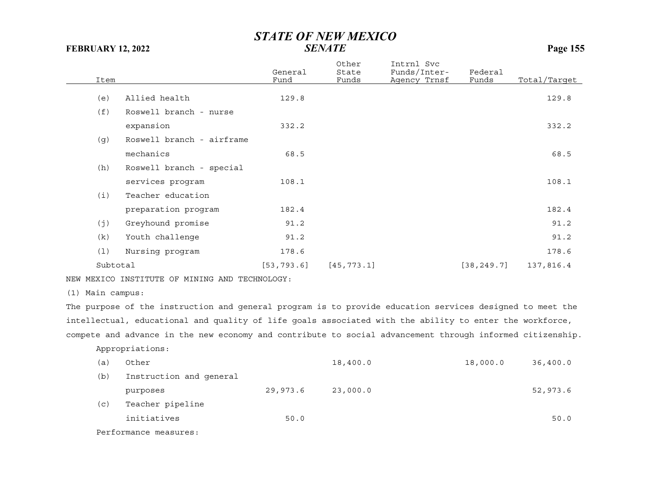| Item     |                           | General<br>Fund | Other<br>State<br>Funds | Intrnl Svc<br>Funds/Inter-<br>Agency Trnsf | Federal<br>Funds | Total/Target |
|----------|---------------------------|-----------------|-------------------------|--------------------------------------------|------------------|--------------|
|          |                           |                 |                         |                                            |                  |              |
| (e)      | Allied health             | 129.8           |                         |                                            |                  | 129.8        |
| (f)      | Roswell branch - nurse    |                 |                         |                                            |                  |              |
|          | expansion                 | 332.2           |                         |                                            |                  | 332.2        |
| (g)      | Roswell branch - airframe |                 |                         |                                            |                  |              |
|          | mechanics                 | 68.5            |                         |                                            |                  | 68.5         |
| (h)      | Roswell branch - special  |                 |                         |                                            |                  |              |
|          | services program          | 108.1           |                         |                                            |                  | 108.1        |
| (i)      | Teacher education         |                 |                         |                                            |                  |              |
|          | preparation program       | 182.4           |                         |                                            |                  | 182.4        |
| (j)      | Greyhound promise         | 91.2            |                         |                                            |                  | 91.2         |
| (k)      | Youth challenge           | 91.2            |                         |                                            |                  | 91.2         |
| (1)      | Nursing program           | 178.6           |                         |                                            |                  | 178.6        |
| Subtotal |                           | [53, 793.6]     | [45, 773.1]             |                                            | [38, 249.7]      | 137,816.4    |

NEW MEXICO INSTITUTE OF MINING AND TECHNOLOGY:

(1) Main campus:

The purpose of the instruction and general program is to provide education services designed to meet the intellectual, educational and quality of life goals associated with the ability to enter the workforce, compete and advance in the new economy and contribute to social advancement through informed citizenship.

Appropriations:

| (a) | Other                   |          | 18,400.0 | 18,000.0 | 36,400.0 |
|-----|-------------------------|----------|----------|----------|----------|
| (b) | Instruction and general |          |          |          |          |
|     | purposes                | 29,973.6 | 23,000.0 |          | 52,973.6 |
| (c) | Teacher pipeline        |          |          |          |          |
|     | initiatives             | 50.0     |          |          | 50.0     |
|     |                         |          |          |          |          |

Performance measures: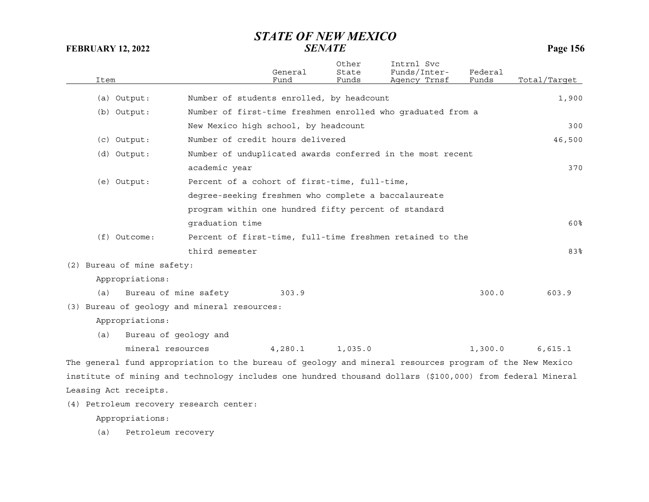| Item                       |                                                                                                           | General<br>Fund                                      | Other<br>State<br>Funds | Intrnl Svc<br>Funds/Inter-<br>Agency Trnsf                  | Federal<br>Funds | Total/Target |
|----------------------------|-----------------------------------------------------------------------------------------------------------|------------------------------------------------------|-------------------------|-------------------------------------------------------------|------------------|--------------|
| (a) Output:                |                                                                                                           | Number of students enrolled, by headcount            |                         |                                                             |                  | 1,900        |
| (b) Output:                |                                                                                                           |                                                      |                         | Number of first-time freshmen enrolled who graduated from a |                  |              |
|                            |                                                                                                           | New Mexico high school, by headcount                 |                         |                                                             |                  | 300          |
| $(c)$ Output:              |                                                                                                           | Number of credit hours delivered                     |                         |                                                             |                  | 46,500       |
| (d) Output:                |                                                                                                           |                                                      |                         | Number of unduplicated awards conferred in the most recent  |                  |              |
|                            | academic year                                                                                             |                                                      |                         |                                                             |                  | 370          |
| (e) Output:                |                                                                                                           | Percent of a cohort of first-time, full-time,        |                         |                                                             |                  |              |
|                            |                                                                                                           | degree-seeking freshmen who complete a baccalaureate |                         |                                                             |                  |              |
|                            |                                                                                                           | program within one hundred fifty percent of standard |                         |                                                             |                  |              |
|                            | graduation time                                                                                           |                                                      |                         |                                                             |                  | 60%          |
| (f) Outcome:               |                                                                                                           |                                                      |                         | Percent of first-time, full-time freshmen retained to the   |                  |              |
|                            | third semester                                                                                            |                                                      |                         |                                                             |                  | 83%          |
| (2) Bureau of mine safety: |                                                                                                           |                                                      |                         |                                                             |                  |              |
| Appropriations:            |                                                                                                           |                                                      |                         |                                                             |                  |              |
| (a)                        | Bureau of mine safety                                                                                     | 303.9                                                |                         |                                                             | 300.0            | 603.9        |
|                            | (3) Bureau of geology and mineral resources:                                                              |                                                      |                         |                                                             |                  |              |
| Appropriations:            |                                                                                                           |                                                      |                         |                                                             |                  |              |
| (a)                        | Bureau of geology and                                                                                     |                                                      |                         |                                                             |                  |              |
|                            | mineral resources                                                                                         | 4,280.1                                              | 1,035.0                 |                                                             | 1,300.0          | 6,615.1      |
|                            | The general fund appropriation to the bureau of geology and mineral resources program of the New Mexico   |                                                      |                         |                                                             |                  |              |
|                            | institute of mining and technology includes one hundred thousand dollars (\$100,000) from federal Mineral |                                                      |                         |                                                             |                  |              |
| Leasing Act receipts.      |                                                                                                           |                                                      |                         |                                                             |                  |              |

(4) Petroleum recovery research center:

Appropriations:

(a) Petroleum recovery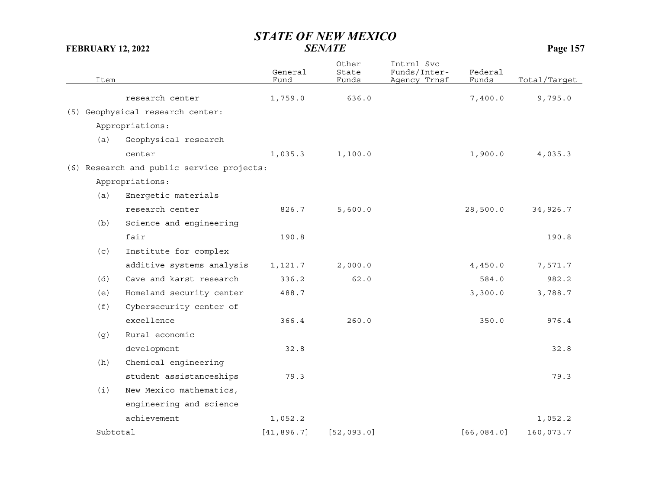|          | Item |                                           | General<br>Fund | Other<br>State<br>Funds | Intrnl Svc<br>Funds/Inter-<br>Agency Trnsf | Federal<br>Funds | Total/Target |
|----------|------|-------------------------------------------|-----------------|-------------------------|--------------------------------------------|------------------|--------------|
|          |      |                                           |                 |                         |                                            |                  |              |
|          |      | research center                           | 1,759.0         | 636.0                   |                                            | 7,400.0          | 9,795.0      |
|          |      | (5) Geophysical research center:          |                 |                         |                                            |                  |              |
|          |      | Appropriations:                           |                 |                         |                                            |                  |              |
|          | (a)  | Geophysical research                      |                 |                         |                                            |                  |              |
|          |      | center                                    | 1,035.3         | 1,100.0                 |                                            | 1,900.0          | 4,035.3      |
|          |      | (6) Research and public service projects: |                 |                         |                                            |                  |              |
|          |      | Appropriations:                           |                 |                         |                                            |                  |              |
|          | (a)  | Energetic materials                       |                 |                         |                                            |                  |              |
|          |      | research center                           | 826.7           | 5,600.0                 |                                            | 28,500.0         | 34,926.7     |
|          | (b)  | Science and engineering                   |                 |                         |                                            |                  |              |
|          |      | fair                                      | 190.8           |                         |                                            |                  | 190.8        |
|          | (c)  | Institute for complex                     |                 |                         |                                            |                  |              |
|          |      | additive systems analysis                 | 1,121.7         | 2,000.0                 |                                            | 4,450.0          | 7,571.7      |
|          | (d)  | Cave and karst research                   | 336.2           | 62.0                    |                                            | 584.0            | 982.2        |
|          | (e)  | Homeland security center                  | 488.7           |                         |                                            | 3,300.0          | 3,788.7      |
|          | (f)  | Cybersecurity center of                   |                 |                         |                                            |                  |              |
|          |      | excellence                                | 366.4           | 260.0                   |                                            | 350.0            | 976.4        |
|          | (g)  | Rural economic                            |                 |                         |                                            |                  |              |
|          |      | development                               | 32.8            |                         |                                            |                  | 32.8         |
|          | (h)  | Chemical engineering                      |                 |                         |                                            |                  |              |
|          |      | student assistanceships                   | 79.3            |                         |                                            |                  | 79.3         |
|          | (i)  | New Mexico mathematics,                   |                 |                         |                                            |                  |              |
|          |      | engineering and science                   |                 |                         |                                            |                  |              |
|          |      | achievement                               | 1,052.2         |                         |                                            |                  | 1,052.2      |
| Subtotal |      | [41, 896.7]                               | [52, 093.0]     |                         | [66, 084.0]                                | 160,073.7        |              |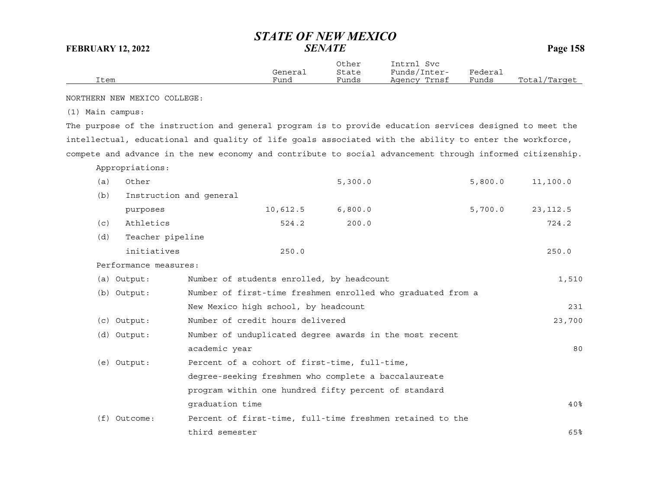|      | General | Other<br>State | Intrnl<br>Svc<br>Funds/Inter- | Federal |              |
|------|---------|----------------|-------------------------------|---------|--------------|
| Item | Fund    | Funds          | Agency Trnsf                  | Funds   | Total/Tarqet |

NORTHERN NEW MEXICO COLLEGE:

(1) Main campus:

The purpose of the instruction and general program is to provide education services designed to meet the intellectual, educational and quality of life goals associated with the ability to enter the workforce, compete and advance in the new economy and contribute to social advancement through informed citizenship.

Appropriations:

| (a) | Other                                                                      |                                                           | 5,300.0 | 5,800.0 | 11,100.0  |  |  |
|-----|----------------------------------------------------------------------------|-----------------------------------------------------------|---------|---------|-----------|--|--|
| (b) | Instruction and general                                                    |                                                           |         |         |           |  |  |
|     | purposes                                                                   | 10,612.5                                                  | 6,800.0 | 5,700.0 | 23, 112.5 |  |  |
| (c) | Athletics                                                                  | 524.2                                                     | 200.0   |         | 724.2     |  |  |
| (d) | Teacher pipeline                                                           |                                                           |         |         |           |  |  |
|     | initiatives                                                                | 250.0                                                     |         |         | 250.0     |  |  |
|     | Performance measures:                                                      |                                                           |         |         |           |  |  |
|     | (a) Output:                                                                | Number of students enrolled, by headcount                 |         |         | 1,510     |  |  |
|     | Number of first-time freshmen enrolled who graduated from a<br>(b) Output: |                                                           |         |         |           |  |  |
|     |                                                                            | New Mexico high school, by headcount                      |         |         |           |  |  |
|     | $(c)$ Output:                                                              | Number of credit hours delivered                          | 23,700  |         |           |  |  |
|     | (d) Output:                                                                | Number of unduplicated degree awards in the most recent   |         |         |           |  |  |
|     |                                                                            | academic year                                             |         |         | 80        |  |  |
|     | (e) Output:                                                                | Percent of a cohort of first-time, full-time,             |         |         |           |  |  |
|     |                                                                            | degree-seeking freshmen who complete a baccalaureate      |         |         |           |  |  |
|     |                                                                            | program within one hundred fifty percent of standard      |         |         |           |  |  |
|     |                                                                            | graduation time                                           |         |         | 40%       |  |  |
| (f) | Outcome:                                                                   | Percent of first-time, full-time freshmen retained to the |         |         |           |  |  |
|     |                                                                            | third semester                                            |         |         | 65%       |  |  |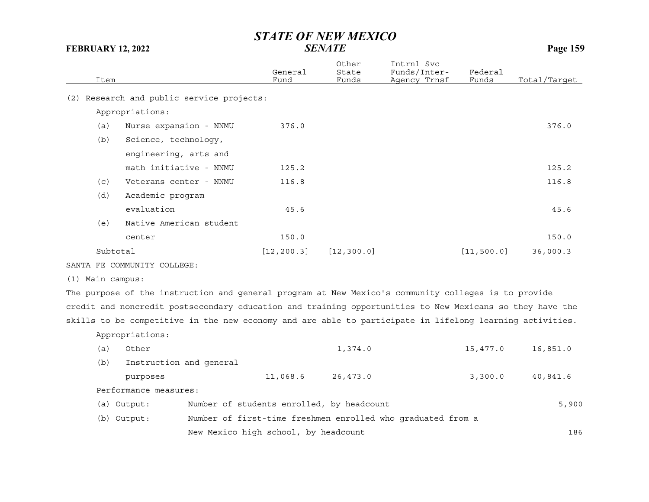| Item |                                       | General<br>Fund | Other<br>State<br>Funds | Intrnl Svc<br>Funds/Inter-<br>Agency Trnsf | Federal<br>Funds | Total/Target |
|------|---------------------------------------|-----------------|-------------------------|--------------------------------------------|------------------|--------------|
| (2)  | Research and public service projects: |                 |                         |                                            |                  |              |
|      | Appropriations:                       |                 |                         |                                            |                  |              |
| (a)  | Nurse expansion - NNMU                | 376.0           |                         |                                            |                  | 376.0        |
| (b)  | Science, technology,                  |                 |                         |                                            |                  |              |
|      | engineering, arts and                 |                 |                         |                                            |                  |              |
|      | math initiative - NNMU                | 125.2           |                         |                                            |                  | 125.2        |
| (c)  | Veterans center - NNMU                | 116.8           |                         |                                            |                  | 116.8        |
| (d)  | Academic program                      |                 |                         |                                            |                  |              |
|      | evaluation                            | 45.6            |                         |                                            |                  | 45.6         |
| (e)  | Native American student               |                 |                         |                                            |                  |              |
|      | center                                | 150.0           |                         |                                            |                  | 150.0        |
|      | Subtotal                              | [12, 200.3]     | [12, 300.0]             |                                            | [11, 500.0]      | 36,000.3     |
|      |                                       |                 |                         |                                            |                  |              |

SANTA FE COMMUNITY COLLEGE:

(1) Main campus:

The purpose of the instruction and general program at New Mexico's community colleges is to provide credit and noncredit postsecondary education and training opportunities to New Mexicans so they have the skills to be competitive in the new economy and are able to participate in lifelong learning activities.

Appropriations:

| (a) | Other                                                                      |                                           |          | 1,374.0  |  | 15,477.0 | 16,851.0 |  |  |
|-----|----------------------------------------------------------------------------|-------------------------------------------|----------|----------|--|----------|----------|--|--|
| (b) | Instruction and general                                                    |                                           |          |          |  |          |          |  |  |
|     | purposes                                                                   |                                           | 11,068.6 | 26,473.0 |  | 3,300.0  | 40,841.6 |  |  |
|     | Performance measures:                                                      |                                           |          |          |  |          |          |  |  |
|     | (a) Output:                                                                | Number of students enrolled, by headcount |          |          |  |          | 5,900    |  |  |
|     | Number of first-time freshmen enrolled who graduated from a<br>(b) Output: |                                           |          |          |  |          |          |  |  |
|     | New Mexico high school, by headcount                                       |                                           |          |          |  | 186      |          |  |  |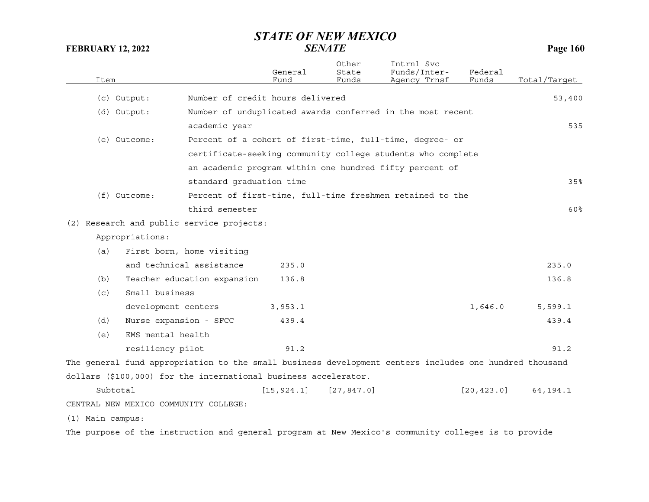| Item             |                                       |                                                                 | General<br>Fund                  | Other<br>State<br>Funds | Intrnl Svc<br>Funds/Inter-<br>Agency Trnsf                                                             | Federal<br>Funds | Total/Tarqet |
|------------------|---------------------------------------|-----------------------------------------------------------------|----------------------------------|-------------------------|--------------------------------------------------------------------------------------------------------|------------------|--------------|
|                  | (c) Output:                           |                                                                 | Number of credit hours delivered |                         |                                                                                                        |                  | 53,400       |
|                  | (d) Output:                           |                                                                 |                                  |                         | Number of unduplicated awards conferred in the most recent                                             |                  |              |
|                  |                                       | academic year                                                   |                                  |                         |                                                                                                        |                  | 535          |
|                  | (e) Outcome:                          |                                                                 |                                  |                         | Percent of a cohort of first-time, full-time, degree- or                                               |                  |              |
|                  |                                       |                                                                 |                                  |                         | certificate-seeking community college students who complete                                            |                  |              |
|                  |                                       |                                                                 |                                  |                         | an academic program within one hundred fifty percent of                                                |                  |              |
|                  |                                       | standard graduation time                                        |                                  |                         |                                                                                                        |                  | 35%          |
|                  | $(f)$ Outcome:                        |                                                                 |                                  |                         | Percent of first-time, full-time freshmen retained to the                                              |                  |              |
|                  |                                       | third semester                                                  |                                  |                         |                                                                                                        |                  | 60%          |
|                  |                                       | (2) Research and public service projects:                       |                                  |                         |                                                                                                        |                  |              |
|                  | Appropriations:                       |                                                                 |                                  |                         |                                                                                                        |                  |              |
| (a)              |                                       | First born, home visiting                                       |                                  |                         |                                                                                                        |                  |              |
|                  |                                       | and technical assistance                                        | 235.0                            |                         |                                                                                                        |                  | 235.0        |
| (b)              |                                       | Teacher education expansion                                     | 136.8                            |                         |                                                                                                        |                  | 136.8        |
| (c)              | Small business                        |                                                                 |                                  |                         |                                                                                                        |                  |              |
|                  | development centers                   |                                                                 | 3,953.1                          |                         |                                                                                                        | 1,646.0          | 5,599.1      |
| (d)              | Nurse expansion - SFCC                |                                                                 | 439.4                            |                         |                                                                                                        |                  | 439.4        |
| (e)              | EMS mental health                     |                                                                 |                                  |                         |                                                                                                        |                  |              |
|                  | resiliency pilot                      |                                                                 | 91.2                             |                         |                                                                                                        |                  | 91.2         |
|                  |                                       |                                                                 |                                  |                         | The general fund appropriation to the small business development centers includes one hundred thousand |                  |              |
|                  |                                       | dollars (\$100,000) for the international business accelerator. |                                  |                         |                                                                                                        |                  |              |
|                  | Subtotal                              |                                                                 | [15, 924.1]                      | [27, 847.0]             |                                                                                                        | [20, 423.0]      | 64, 194. 1   |
|                  | CENTRAL NEW MEXICO COMMUNITY COLLEGE: |                                                                 |                                  |                         |                                                                                                        |                  |              |
|                  |                                       |                                                                 |                                  |                         |                                                                                                        |                  |              |
| (1) Main campus: |                                       |                                                                 |                                  |                         |                                                                                                        |                  |              |

The purpose of the instruction and general program at New Mexico's community colleges is to provide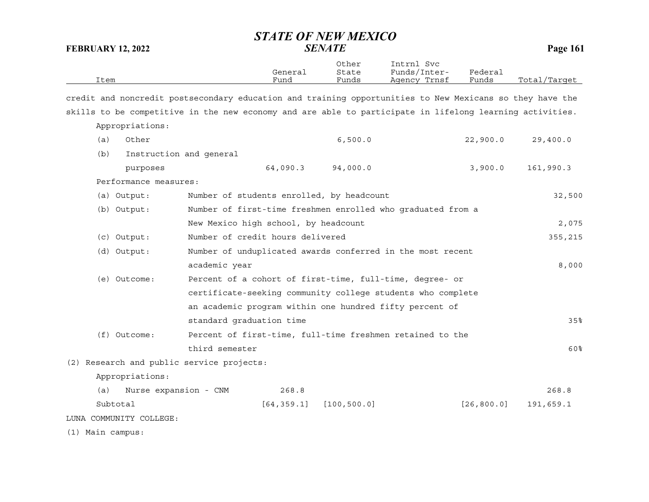|                                                                                                          |                                                             | General     | Other<br>State | Intrnl Svc<br>Funds/Inter- | Federal     |              |  |
|----------------------------------------------------------------------------------------------------------|-------------------------------------------------------------|-------------|----------------|----------------------------|-------------|--------------|--|
| Item                                                                                                     |                                                             | Fund        | Funds          | Agency Trnsf               | Funds       | Total/Target |  |
| credit and noncredit postsecondary education and training opportunities to New Mexicans so they have the |                                                             |             |                |                            |             |              |  |
| skills to be competitive in the new economy and are able to participate in lifelong learning activities. |                                                             |             |                |                            |             |              |  |
| Appropriations:                                                                                          |                                                             |             |                |                            |             |              |  |
| Other<br>(a)                                                                                             |                                                             |             | 6,500.0        |                            | 22,900.0    | 29,400.0     |  |
| (b)                                                                                                      | Instruction and general                                     |             |                |                            |             |              |  |
| purposes                                                                                                 |                                                             | 64,090.3    | 94,000.0       |                            | 3,900.0     | 161,990.3    |  |
| Performance measures:                                                                                    |                                                             |             |                |                            |             |              |  |
| (a) Output:                                                                                              | Number of students enrolled, by headcount                   |             |                |                            |             | 32,500       |  |
| Number of first-time freshmen enrolled who graduated from a<br>(b) Output:                               |                                                             |             |                |                            |             |              |  |
| New Mexico high school, by headcount                                                                     |                                                             |             |                |                            |             |              |  |
| (c) Output:                                                                                              | Number of credit hours delivered                            |             |                |                            |             |              |  |
| Number of unduplicated awards conferred in the most recent<br>(d) Output:                                |                                                             |             |                |                            |             |              |  |
|                                                                                                          | academic year                                               |             |                |                            |             | 8,000        |  |
| (e) Outcome:                                                                                             | Percent of a cohort of first-time, full-time, degree- or    |             |                |                            |             |              |  |
|                                                                                                          | certificate-seeking community college students who complete |             |                |                            |             |              |  |
|                                                                                                          | an academic program within one hundred fifty percent of     |             |                |                            |             |              |  |
|                                                                                                          | standard graduation time                                    |             |                |                            |             | 35%          |  |
| (f) Outcome:                                                                                             | Percent of first-time, full-time freshmen retained to the   |             |                |                            |             |              |  |
|                                                                                                          | third semester                                              |             |                |                            |             | 60%          |  |
| (2) Research and public service projects:                                                                |                                                             |             |                |                            |             |              |  |
| Appropriations:                                                                                          |                                                             |             |                |                            |             |              |  |
| (a)<br>Nurse expansion - CNM                                                                             |                                                             | 268.8       |                |                            |             | 268.8        |  |
| Subtotal                                                                                                 |                                                             | [64, 359.1] | [100, 500.0]   |                            | [26, 800.0] | 191,659.1    |  |
| LUNA COMMUNITY COLLEGE:                                                                                  |                                                             |             |                |                            |             |              |  |
| (1) Main campus:                                                                                         |                                                             |             |                |                            |             |              |  |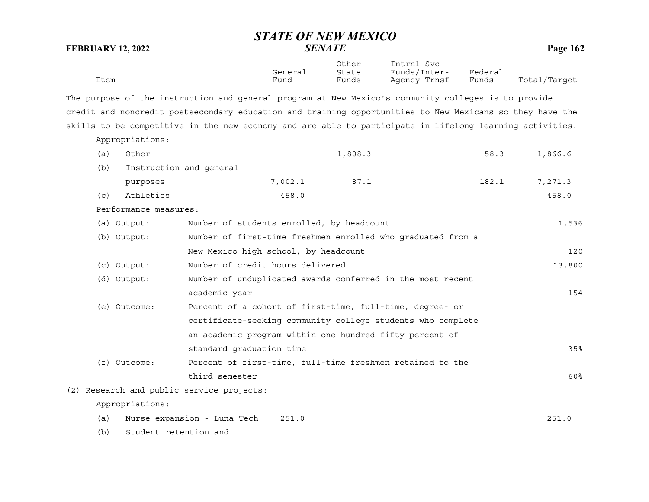| Item |                       |                                                                                                          | General<br>Fund                                             | Other<br>State<br>Funds | Intrnl Svc<br>Funds/Inter-<br>Agency Trnsf                  | Federal<br>Funds | Total/Target |  |
|------|-----------------------|----------------------------------------------------------------------------------------------------------|-------------------------------------------------------------|-------------------------|-------------------------------------------------------------|------------------|--------------|--|
|      |                       | The purpose of the instruction and general program at New Mexico's community colleges is to provide      |                                                             |                         |                                                             |                  |              |  |
|      |                       | credit and noncredit postsecondary education and training opportunities to New Mexicans so they have the |                                                             |                         |                                                             |                  |              |  |
|      |                       | skills to be competitive in the new economy and are able to participate in lifelong learning activities. |                                                             |                         |                                                             |                  |              |  |
|      | Appropriations:       |                                                                                                          |                                                             |                         |                                                             |                  |              |  |
| (a)  | Other                 |                                                                                                          |                                                             | 1,808.3                 |                                                             | 58.3             | 1,866.6      |  |
| (b)  |                       | Instruction and general                                                                                  |                                                             |                         |                                                             |                  |              |  |
|      | purposes              |                                                                                                          | 7,002.1                                                     | 87.1                    |                                                             | 182.1            | 7,271.3      |  |
| (c)  | Athletics             |                                                                                                          | 458.0                                                       |                         |                                                             |                  | 458.0        |  |
|      | Performance measures: |                                                                                                          |                                                             |                         |                                                             |                  |              |  |
|      | (a) Output:           | Number of students enrolled, by headcount                                                                |                                                             |                         |                                                             |                  | 1,536        |  |
|      | (b) Output:           |                                                                                                          | Number of first-time freshmen enrolled who graduated from a |                         |                                                             |                  |              |  |
|      |                       | New Mexico high school, by headcount                                                                     |                                                             |                         |                                                             |                  | 120          |  |
|      | (c) Output:           | Number of credit hours delivered                                                                         |                                                             |                         |                                                             |                  | 13,800       |  |
|      | (d) Output:           |                                                                                                          |                                                             |                         | Number of unduplicated awards conferred in the most recent  |                  |              |  |
|      |                       | academic year                                                                                            |                                                             |                         |                                                             |                  | 154          |  |
|      | (e) Outcome:          |                                                                                                          |                                                             |                         | Percent of a cohort of first-time, full-time, degree- or    |                  |              |  |
|      |                       |                                                                                                          |                                                             |                         | certificate-seeking community college students who complete |                  |              |  |
|      |                       |                                                                                                          |                                                             |                         | an academic program within one hundred fifty percent of     |                  |              |  |
|      |                       | standard graduation time                                                                                 |                                                             |                         |                                                             |                  | 35%          |  |
|      | (f) Outcome:          |                                                                                                          |                                                             |                         | Percent of first-time, full-time freshmen retained to the   |                  |              |  |
|      |                       | third semester                                                                                           |                                                             |                         |                                                             |                  | 60%          |  |
|      |                       | (2) Research and public service projects:                                                                |                                                             |                         |                                                             |                  |              |  |
|      | Appropriations:       |                                                                                                          |                                                             |                         |                                                             |                  |              |  |
| (a)  |                       | Nurse expansion - Luna Tech                                                                              | 251.0                                                       |                         |                                                             |                  | 251.0        |  |
| (b)  | Student retention and |                                                                                                          |                                                             |                         |                                                             |                  |              |  |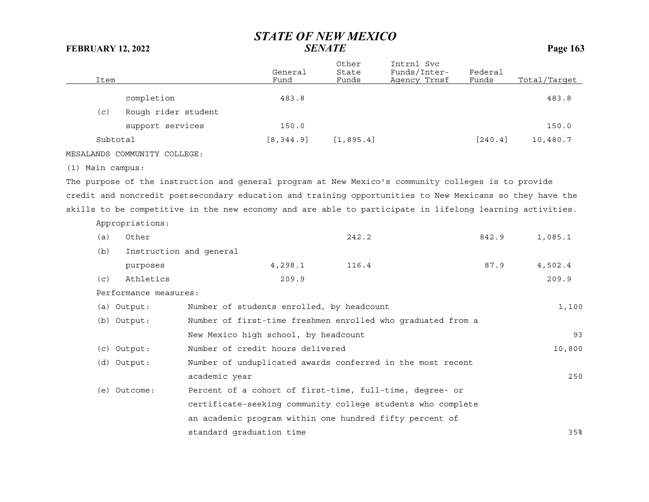| Item             |                              |                                           | General<br>Fund | Other<br>State<br>Funds | Intrnl Svc<br>Funds/Inter-<br>Agency Trnsf                                                               | Federal<br>Funds | Total/Target |
|------------------|------------------------------|-------------------------------------------|-----------------|-------------------------|----------------------------------------------------------------------------------------------------------|------------------|--------------|
|                  | completion                   |                                           | 483.8           |                         |                                                                                                          |                  | 483.8        |
| (c)              | Rough rider student          |                                           |                 |                         |                                                                                                          |                  |              |
|                  | support services             |                                           | 150.0           |                         |                                                                                                          |                  | 150.0        |
| Subtotal         |                              |                                           | [8, 344.9]      | [1, 895.4]              |                                                                                                          | [240.4]          | 10,480.7     |
|                  | MESALANDS COMMUNITY COLLEGE: |                                           |                 |                         |                                                                                                          |                  |              |
| (1) Main campus: |                              |                                           |                 |                         |                                                                                                          |                  |              |
|                  |                              |                                           |                 |                         | The purpose of the instruction and general program at New Mexico's community colleges is to provide      |                  |              |
|                  |                              |                                           |                 |                         | credit and noncredit postsecondary education and training opportunities to New Mexicans so they have the |                  |              |
|                  |                              |                                           |                 |                         | skills to be competitive in the new economy and are able to participate in lifelong learning activities. |                  |              |
|                  | Appropriations:              |                                           |                 |                         |                                                                                                          |                  |              |
| (a)              | Other                        |                                           |                 | 242.2                   |                                                                                                          | 842.9            | 1,085.1      |
| (b)              |                              | Instruction and general                   |                 |                         |                                                                                                          |                  |              |
|                  | purposes                     |                                           | 4,298.1         | 116.4                   |                                                                                                          | 87.9             | 4,502.4      |
| (c)              | Athletics                    |                                           | 209.9           |                         |                                                                                                          |                  | 209.9        |
|                  | Performance measures:        |                                           |                 |                         |                                                                                                          |                  |              |
|                  | $(a)$ Output:                | Number of students enrolled, by headcount |                 |                         |                                                                                                          |                  | 1,100        |
|                  | (b) Output:                  |                                           |                 |                         | Number of first-time freshmen enrolled who graduated from a                                              |                  |              |
|                  |                              | New Mexico high school, by headcount      |                 |                         |                                                                                                          |                  | 93           |
|                  | $(c)$ Output:                | Number of credit hours delivered          |                 |                         |                                                                                                          |                  | 10,800       |
|                  | (d) Output:                  |                                           |                 |                         | Number of unduplicated awards conferred in the most recent                                               |                  |              |
|                  |                              | academic year                             |                 |                         |                                                                                                          |                  | 250          |
|                  | (e) Outcome:                 |                                           |                 |                         | Percent of a cohort of first-time, full-time, degree- or                                                 |                  |              |
|                  |                              |                                           |                 |                         | certificate-seeking community college students who complete                                              |                  |              |
|                  |                              |                                           |                 |                         | an academic program within one hundred fifty percent of                                                  |                  |              |
|                  |                              | standard graduation time                  |                 |                         |                                                                                                          |                  | 35%          |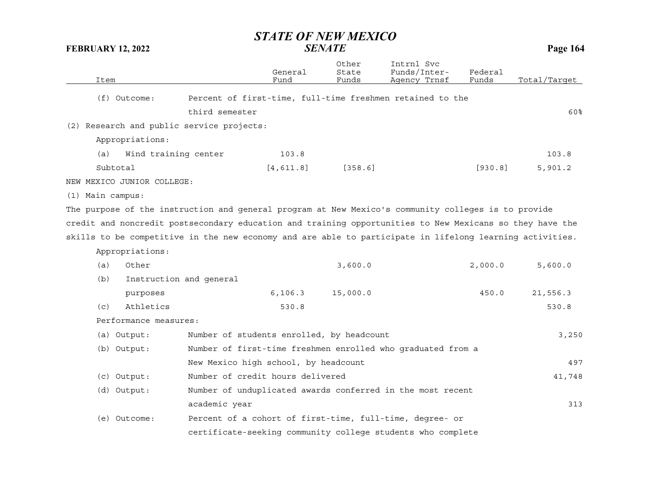| Item                                                                                                     |                         | General<br>Fund                           | Other<br>State<br>Funds | Intrnl Svc<br>Funds/Inter-<br>Agency Trnsf                  | Federal<br>Funds | Total/Target |
|----------------------------------------------------------------------------------------------------------|-------------------------|-------------------------------------------|-------------------------|-------------------------------------------------------------|------------------|--------------|
| $(f)$ Outcome:                                                                                           |                         |                                           |                         | Percent of first-time, full-time freshmen retained to the   |                  |              |
|                                                                                                          | third semester          |                                           |                         |                                                             |                  | 60%          |
| (2) Research and public service projects:                                                                |                         |                                           |                         |                                                             |                  |              |
| Appropriations:                                                                                          |                         |                                           |                         |                                                             |                  |              |
| (a)                                                                                                      | Wind training center    | 103.8                                     |                         |                                                             |                  | 103.8        |
| Subtotal                                                                                                 |                         | [4, 611.8]                                | [358.6]                 |                                                             | [930.8]          | 5,901.2      |
| NEW MEXICO JUNIOR COLLEGE:                                                                               |                         |                                           |                         |                                                             |                  |              |
| (1) Main campus:                                                                                         |                         |                                           |                         |                                                             |                  |              |
| The purpose of the instruction and general program at New Mexico's community colleges is to provide      |                         |                                           |                         |                                                             |                  |              |
| credit and noncredit postsecondary education and training opportunities to New Mexicans so they have the |                         |                                           |                         |                                                             |                  |              |
| skills to be competitive in the new economy and are able to participate in lifelong learning activities. |                         |                                           |                         |                                                             |                  |              |
| Appropriations:                                                                                          |                         |                                           |                         |                                                             |                  |              |
| Other<br>(a)                                                                                             |                         |                                           | 3,600.0                 |                                                             | 2,000.0          | 5,600.0      |
| (b)                                                                                                      | Instruction and general |                                           |                         |                                                             |                  |              |
| purposes                                                                                                 |                         | 6, 106.3                                  | 15,000.0                |                                                             | 450.0            | 21,556.3     |
| Athletics<br>(c)                                                                                         |                         | 530.8                                     |                         |                                                             |                  | 530.8        |
| Performance measures:                                                                                    |                         |                                           |                         |                                                             |                  |              |
| $(a)$ Output:                                                                                            |                         | Number of students enrolled, by headcount |                         |                                                             |                  | 3,250        |
| (b) Output:                                                                                              |                         |                                           |                         | Number of first-time freshmen enrolled who graduated from a |                  |              |
|                                                                                                          |                         | New Mexico high school, by headcount      |                         |                                                             |                  | 497          |
| $(c)$ Output:                                                                                            |                         | Number of credit hours delivered          |                         |                                                             |                  | 41,748       |
| (d) Output:                                                                                              |                         |                                           |                         | Number of unduplicated awards conferred in the most recent  |                  |              |
|                                                                                                          | academic year           |                                           |                         |                                                             |                  | 313          |
| (e) Outcome:                                                                                             |                         |                                           |                         | Percent of a cohort of first-time, full-time, degree- or    |                  |              |
|                                                                                                          |                         |                                           |                         | certificate-seeking community college students who complete |                  |              |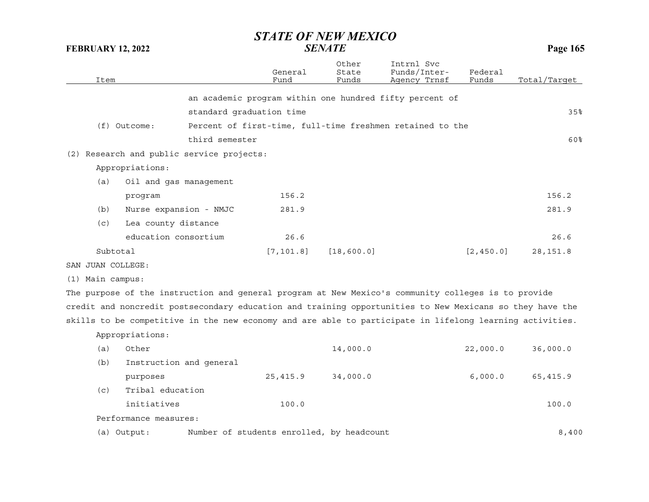| Item                                                                                                     |                          | General<br>Fund | Other<br>State<br>Funds | Intrnl Svc<br>Funds/Inter-<br>Agency Trnsf                | Federal<br>Funds | Total/Tarqet |
|----------------------------------------------------------------------------------------------------------|--------------------------|-----------------|-------------------------|-----------------------------------------------------------|------------------|--------------|
|                                                                                                          |                          |                 |                         |                                                           |                  |              |
|                                                                                                          |                          |                 |                         | an academic program within one hundred fifty percent of   |                  |              |
|                                                                                                          | standard graduation time |                 |                         |                                                           |                  | 35%          |
| (f) Outcome:                                                                                             |                          |                 |                         | Percent of first-time, full-time freshmen retained to the |                  |              |
|                                                                                                          | third semester           |                 |                         |                                                           |                  | 60%          |
| (2) Research and public service projects:                                                                |                          |                 |                         |                                                           |                  |              |
| Appropriations:                                                                                          |                          |                 |                         |                                                           |                  |              |
| (a)<br>Oil and gas management                                                                            |                          |                 |                         |                                                           |                  |              |
| program                                                                                                  |                          | 156.2           |                         |                                                           |                  | 156.2        |
| Nurse expansion - NMJC<br>(b)                                                                            |                          | 281.9           |                         |                                                           |                  | 281.9        |
| (c)<br>Lea county distance                                                                               |                          |                 |                         |                                                           |                  |              |
| education consortium                                                                                     |                          | 26.6            |                         |                                                           |                  | 26.6         |
| Subtotal                                                                                                 |                          | [7, 101.8]      | [18, 600.0]             |                                                           | [2, 450.0]       | 28, 151.8    |
| SAN JUAN COLLEGE:                                                                                        |                          |                 |                         |                                                           |                  |              |
| (1) Main campus:                                                                                         |                          |                 |                         |                                                           |                  |              |
| The purpose of the instruction and general program at New Mexico's community colleges is to provide      |                          |                 |                         |                                                           |                  |              |
| credit and noncredit postsecondary education and training opportunities to New Mexicans so they have the |                          |                 |                         |                                                           |                  |              |
| skills to be competitive in the new economy and are able to participate in lifelong learning activities. |                          |                 |                         |                                                           |                  |              |
| Appropriations:                                                                                          |                          |                 |                         |                                                           |                  |              |
| Other<br>(a)                                                                                             |                          |                 | 14,000.0                |                                                           | 22,000.0         | 36,000.0     |
| (b)<br>Instruction and general                                                                           |                          |                 |                         |                                                           |                  |              |
| purposes                                                                                                 |                          | 25, 415.9       | 34,000.0                |                                                           | 6,000.0          | 65,415.9     |
| Tribal education<br>(c)                                                                                  |                          |                 |                         |                                                           |                  |              |
| initiatives                                                                                              |                          | 100.0           |                         |                                                           |                  | 100.0        |
| Performance measures:                                                                                    |                          |                 |                         |                                                           |                  |              |

(a) Output: Number of students enrolled, by headcount 8,400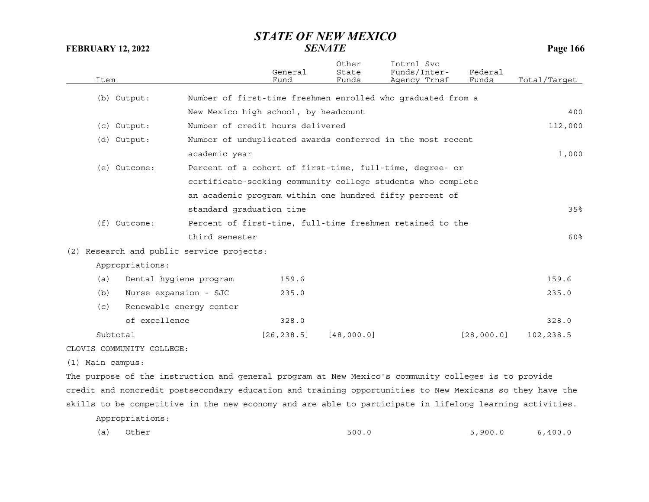| Item |                                           |                                      | General<br>Fund | Other<br>State<br>Funds | Intrnl Svc<br>Funds/Inter-<br>Agency Trnsf                  | Federal<br>Funds | Total/Target |
|------|-------------------------------------------|--------------------------------------|-----------------|-------------------------|-------------------------------------------------------------|------------------|--------------|
|      | (b) Output:                               |                                      |                 |                         | Number of first-time freshmen enrolled who graduated from a |                  |              |
|      |                                           | New Mexico high school, by headcount |                 |                         |                                                             |                  | 400          |
|      | $(c)$ Output:                             | Number of credit hours delivered     |                 |                         |                                                             |                  | 112,000      |
|      | (d) Output:                               |                                      |                 |                         | Number of unduplicated awards conferred in the most recent  |                  |              |
|      |                                           | academic year                        |                 |                         |                                                             |                  | 1,000        |
|      | (e) Outcome:                              |                                      |                 |                         | Percent of a cohort of first-time, full-time, degree- or    |                  |              |
|      |                                           |                                      |                 |                         | certificate-seeking community college students who complete |                  |              |
|      |                                           |                                      |                 |                         | an academic program within one hundred fifty percent of     |                  |              |
|      |                                           | standard graduation time             |                 |                         |                                                             |                  | 35%          |
|      | $(f)$ Outcome:                            |                                      |                 |                         | Percent of first-time, full-time freshmen retained to the   |                  |              |
|      |                                           | third semester                       |                 |                         |                                                             |                  | 60%          |
|      | (2) Research and public service projects: |                                      |                 |                         |                                                             |                  |              |
|      | Appropriations:                           |                                      |                 |                         |                                                             |                  |              |
| (a)  | Dental hygiene program                    |                                      | 159.6           |                         |                                                             |                  | 159.6        |
| (b)  | Nurse expansion - SJC                     |                                      | 235.0           |                         |                                                             |                  | 235.0        |
| (c)  | Renewable energy center                   |                                      |                 |                         |                                                             |                  |              |
|      | of excellence                             |                                      | 328.0           |                         |                                                             |                  | 328.0        |
|      | Subtotal                                  |                                      | [26, 238.5]     | [48,000.0]              |                                                             | [28,000.0]       | 102,238.5    |
|      | CLOVIS COMMUNITY COLLEGE:                 |                                      |                 |                         |                                                             |                  |              |
|      |                                           |                                      |                 |                         |                                                             |                  |              |

(1) Main campus:

The purpose of the instruction and general program at New Mexico's community colleges is to provide credit and noncredit postsecondary education and training opportunities to New Mexicans so they have the skills to be competitive in the new economy and are able to participate in lifelong learning activities. Appropriations:

| (a)<br>Other | 500.0 | 5,900.0 | 6,400.0<br>. |
|--------------|-------|---------|--------------|
|--------------|-------|---------|--------------|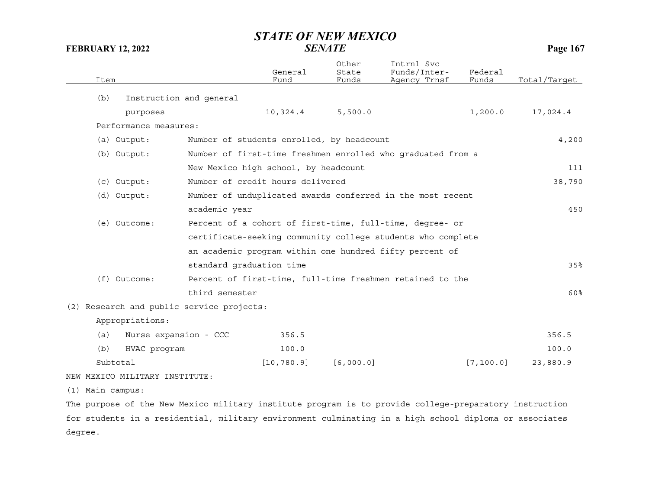| Item |                                |                                           | General<br>Fund                           | Other<br>State<br>Funds | Intrnl Svc<br>Funds/Inter-<br>Agency Trnsf                  | Federal<br>Funds | Total/Target |
|------|--------------------------------|-------------------------------------------|-------------------------------------------|-------------------------|-------------------------------------------------------------|------------------|--------------|
| (b)  |                                | Instruction and general                   |                                           |                         |                                                             |                  |              |
|      | purposes                       |                                           | 10,324.4                                  | 5,500.0                 |                                                             | 1,200.0          | 17,024.4     |
|      | Performance measures:          |                                           |                                           |                         |                                                             |                  |              |
|      | (a) Output:                    |                                           | Number of students enrolled, by headcount |                         |                                                             |                  | 4,200        |
|      | (b) Output:                    |                                           |                                           |                         | Number of first-time freshmen enrolled who graduated from a |                  |              |
|      |                                |                                           | New Mexico high school, by headcount      |                         |                                                             |                  | 111          |
|      | (c) Output:                    |                                           | Number of credit hours delivered          |                         |                                                             |                  | 38,790       |
|      | (d) Output:                    |                                           |                                           |                         | Number of unduplicated awards conferred in the most recent  |                  |              |
|      |                                | academic year                             |                                           |                         |                                                             |                  | 450          |
|      | (e) Outcome:                   |                                           |                                           |                         | Percent of a cohort of first-time, full-time, degree- or    |                  |              |
|      |                                |                                           |                                           |                         | certificate-seeking community college students who complete |                  |              |
|      |                                |                                           |                                           |                         | an academic program within one hundred fifty percent of     |                  |              |
|      |                                | standard graduation time                  |                                           |                         |                                                             |                  | 35%          |
|      | $(f)$ Outcome:                 |                                           |                                           |                         | Percent of first-time, full-time freshmen retained to the   |                  |              |
|      |                                | third semester                            |                                           |                         |                                                             |                  | 60%          |
|      |                                | (2) Research and public service projects: |                                           |                         |                                                             |                  |              |
|      | Appropriations:                |                                           |                                           |                         |                                                             |                  |              |
| (a)  | Nurse expansion - CCC          |                                           | 356.5                                     |                         |                                                             |                  | 356.5        |
| (b)  | HVAC program                   |                                           | 100.0                                     |                         |                                                             |                  | 100.0        |
|      | Subtotal                       |                                           | [10, 780.9]                               | [6,000.0]               |                                                             | [7, 100.0]       | 23,880.9     |
|      | NEW MEXICO MILITARY INSTITUTE: |                                           |                                           |                         |                                                             |                  |              |
|      |                                |                                           |                                           |                         |                                                             |                  |              |

(1) Main campus:

The purpose of the New Mexico military institute program is to provide college-preparatory instruction for students in a residential, military environment culminating in a high school diploma or associates degree.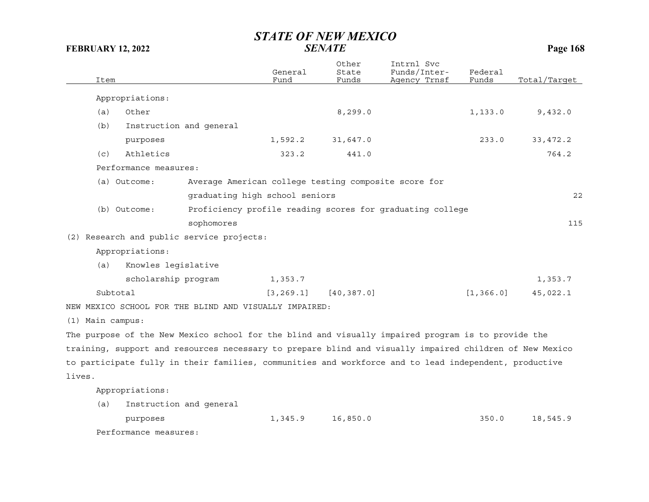|                  | Item     |                       |                                                        | General<br>Fund | Other<br>State<br>Funds | Intrnl Svc<br>Funds/Inter-<br>Agency Trnsf                                                              | Federal<br>Funds | Total/Target |
|------------------|----------|-----------------------|--------------------------------------------------------|-----------------|-------------------------|---------------------------------------------------------------------------------------------------------|------------------|--------------|
|                  |          | Appropriations:       |                                                        |                 |                         |                                                                                                         |                  |              |
|                  | (a)      | Other                 |                                                        |                 | 8, 299.0                |                                                                                                         | 1, 133.0         | 9,432.0      |
|                  | (b)      |                       | Instruction and general                                |                 |                         |                                                                                                         |                  |              |
|                  |          |                       |                                                        |                 |                         |                                                                                                         |                  |              |
|                  |          | purposes              |                                                        | 1,592.2         | 31,647.0                |                                                                                                         | 233.0            | 33, 472.2    |
|                  | (c)      | Athletics             |                                                        | 323.2           | 441.0                   |                                                                                                         |                  | 764.2        |
|                  |          | Performance measures: |                                                        |                 |                         |                                                                                                         |                  |              |
|                  |          | (a) Outcome:          | Average American college testing composite score for   |                 |                         |                                                                                                         |                  |              |
|                  |          |                       | graduating high school seniors                         |                 |                         |                                                                                                         |                  | 22           |
|                  |          | (b) Outcome:          |                                                        |                 |                         | Proficiency profile reading scores for graduating college                                               |                  |              |
|                  |          |                       | sophomores                                             |                 |                         |                                                                                                         |                  | 115          |
|                  |          |                       | (2) Research and public service projects:              |                 |                         |                                                                                                         |                  |              |
|                  |          | Appropriations:       |                                                        |                 |                         |                                                                                                         |                  |              |
|                  | (a)      | Knowles legislative   |                                                        |                 |                         |                                                                                                         |                  |              |
|                  |          | scholarship program   |                                                        | 1,353.7         |                         |                                                                                                         |                  | 1,353.7      |
|                  | Subtotal |                       |                                                        | [3, 269.1]      | [40, 387.0]             |                                                                                                         | [1, 366.0]       | 45,022.1     |
|                  |          |                       | NEW MEXICO SCHOOL FOR THE BLIND AND VISUALLY IMPAIRED: |                 |                         |                                                                                                         |                  |              |
| (1) Main campus: |          |                       |                                                        |                 |                         |                                                                                                         |                  |              |
|                  |          |                       |                                                        |                 |                         | The purpose of the New Mexico school for the blind and visually impaired program is to provide the      |                  |              |
|                  |          |                       |                                                        |                 |                         | training, support and resources necessary to prepare blind and visually impaired children of New Mexico |                  |              |
|                  |          |                       |                                                        |                 |                         |                                                                                                         |                  |              |
|                  |          |                       |                                                        |                 |                         | to participate fully in their families, communities and workforce and to lead independent, productive   |                  |              |
| lives.           |          |                       |                                                        |                 |                         |                                                                                                         |                  |              |
|                  |          | Appropriations:       |                                                        |                 |                         |                                                                                                         |                  |              |
|                  | (a)      |                       | Instruction and general                                |                 |                         |                                                                                                         |                  |              |
|                  |          | purposes              |                                                        | 1,345.9         | 16,850.0                |                                                                                                         | 350.0            | 18,545.9     |
|                  |          | Performance measures: |                                                        |                 |                         |                                                                                                         |                  |              |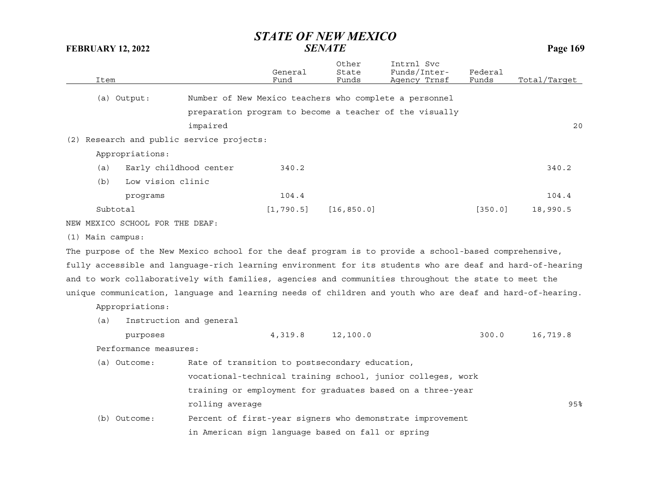|                    | Item     |                                 |                                                   | General<br>Fund | Other<br>State<br>Funds | Intrnl Svc<br>Funds/Inter-<br>Agency Trnsf                                                                | Federal<br>Funds | Total/Target |
|--------------------|----------|---------------------------------|---------------------------------------------------|-----------------|-------------------------|-----------------------------------------------------------------------------------------------------------|------------------|--------------|
|                    |          | (a) Output:                     |                                                   |                 |                         | Number of New Mexico teachers who complete a personnel                                                    |                  |              |
|                    |          |                                 |                                                   |                 |                         | preparation program to become a teacher of the visually                                                   |                  |              |
|                    |          |                                 | impaired                                          |                 |                         |                                                                                                           |                  | 20           |
|                    |          |                                 | (2) Research and public service projects:         |                 |                         |                                                                                                           |                  |              |
|                    |          | Appropriations:                 |                                                   |                 |                         |                                                                                                           |                  |              |
|                    | (a)      | Early childhood center          |                                                   | 340.2           |                         |                                                                                                           |                  | 340.2        |
|                    | (b)      | Low vision clinic               |                                                   |                 |                         |                                                                                                           |                  |              |
|                    |          | programs                        |                                                   | 104.4           |                         |                                                                                                           |                  | 104.4        |
|                    | Subtotal |                                 |                                                   | [1, 790.5]      | [16, 850.0]             |                                                                                                           | [350.0]          | 18,990.5     |
|                    |          | NEW MEXICO SCHOOL FOR THE DEAF: |                                                   |                 |                         |                                                                                                           |                  |              |
| $(1)$ Main campus: |          |                                 |                                                   |                 |                         |                                                                                                           |                  |              |
|                    |          |                                 |                                                   |                 |                         | The purpose of the New Mexico school for the deaf program is to provide a school-based comprehensive,     |                  |              |
|                    |          |                                 |                                                   |                 |                         | fully accessible and language-rich learning environment for its students who are deaf and hard-of-hearing |                  |              |
|                    |          |                                 |                                                   |                 |                         | and to work collaboratively with families, agencies and communities throughout the state to meet the      |                  |              |
|                    |          |                                 |                                                   |                 |                         | unique communication, language and learning needs of children and youth who are deaf and hard-of-hearing. |                  |              |
|                    |          | Appropriations:                 |                                                   |                 |                         |                                                                                                           |                  |              |
|                    | (a)      |                                 | Instruction and general                           |                 |                         |                                                                                                           |                  |              |
|                    |          | purposes                        |                                                   | 4,319.8         | 12,100.0                |                                                                                                           | 300.0            | 16,719.8     |
|                    |          | Performance measures:           |                                                   |                 |                         |                                                                                                           |                  |              |
|                    |          | (a) Outcome:                    | Rate of transition to postsecondary education,    |                 |                         |                                                                                                           |                  |              |
|                    |          |                                 |                                                   |                 |                         | vocational-technical training school, junior colleges, work                                               |                  |              |
|                    |          |                                 |                                                   |                 |                         | training or employment for graduates based on a three-year                                                |                  |              |
|                    |          |                                 | rolling average                                   |                 |                         |                                                                                                           |                  | 95%          |
|                    |          | (b) Outcome:                    |                                                   |                 |                         | Percent of first-year signers who demonstrate improvement                                                 |                  |              |
|                    |          |                                 | in American sign language based on fall or spring |                 |                         |                                                                                                           |                  |              |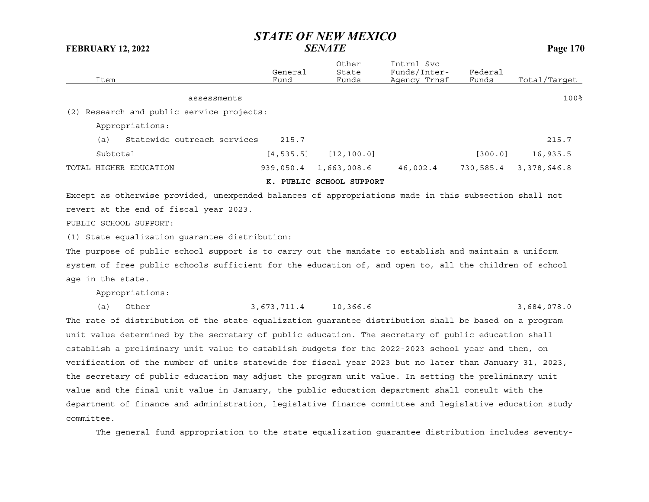| Item                                      | General<br>Fund | Other<br>State<br>Funds | Intrnl Svc<br>Funds/Inter-<br>Agency Trnsf | Federal<br>Funds | Total/Target |
|-------------------------------------------|-----------------|-------------------------|--------------------------------------------|------------------|--------------|
| assessments                               |                 |                         |                                            |                  | 100%         |
| (2) Research and public service projects: |                 |                         |                                            |                  |              |
| Appropriations:                           |                 |                         |                                            |                  |              |
| Statewide outreach services<br>(a)        | 215.7           |                         |                                            |                  | 215.7        |
| Subtotal                                  | [4, 535.5]      | [12, 100.0]             |                                            | [300.0]          | 16,935.5     |
| TOTAL HIGHER EDUCATION                    | 939,050.4       | 1,663,008.6             | 46,002.4                                   | 730,585.4        | 3,378,646.8  |
|                                           | к.              | PUBLIC SCHOOL SUPPORT   |                                            |                  |              |

Except as otherwise provided, unexpended balances of appropriations made in this subsection shall not revert at the end of fiscal year 2023. PUBLIC SCHOOL SUPPORT:

(1) State equalization guarantee distribution:

The purpose of public school support is to carry out the mandate to establish and maintain a uniform system of free public schools sufficient for the education of, and open to, all the children of school age in the state.

Appropriations:

| (a) Other<br>3,684,078.0<br>3,673,711.4 10,366.6 |  |
|--------------------------------------------------|--|
|--------------------------------------------------|--|

The rate of distribution of the state equalization guarantee distribution shall be based on a program unit value determined by the secretary of public education. The secretary of public education shall establish a preliminary unit value to establish budgets for the 2022-2023 school year and then, on verification of the number of units statewide for fiscal year 2023 but no later than January 31, 2023, the secretary of public education may adjust the program unit value. In setting the preliminary unit value and the final unit value in January, the public education department shall consult with the department of finance and administration, legislative finance committee and legislative education study committee.

The general fund appropriation to the state equalization guarantee distribution includes seventy-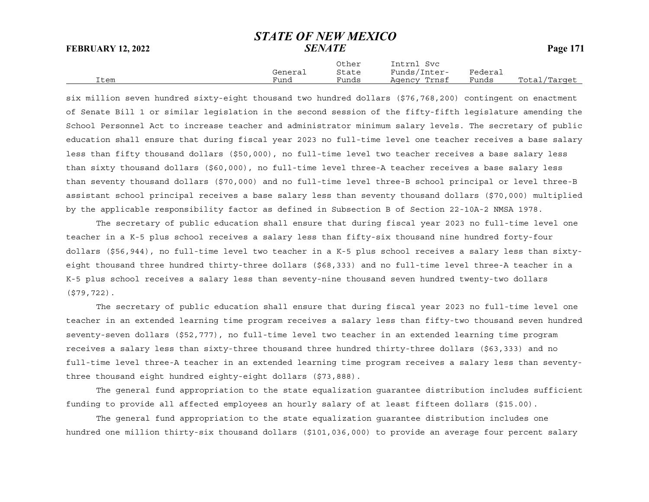|      |         | Other | Intrnl<br>Svc |         |              |
|------|---------|-------|---------------|---------|--------------|
|      | General | State | Funds/Inter-  | Federai |              |
| Item | Fund    | Funds | Agency Trnsf  | Funds   | Total/Target |

six million seven hundred sixty-eight thousand two hundred dollars (\$76,768,200) contingent on enactment of Senate Bill 1 or similar legislation in the second session of the fifty-fifth legislature amending the School Personnel Act to increase teacher and administrator minimum salary levels. The secretary of public education shall ensure that during fiscal year 2023 no full-time level one teacher receives a base salary less than fifty thousand dollars (\$50,000), no full-time level two teacher receives a base salary less than sixty thousand dollars (\$60,000), no full-time level three-A teacher receives a base salary less than seventy thousand dollars (\$70,000) and no full-time level three-B school principal or level three-B assistant school principal receives a base salary less than seventy thousand dollars (\$70,000) multiplied by the applicable responsibility factor as defined in Subsection B of Section 22-10A-2 NMSA 1978.

The secretary of public education shall ensure that during fiscal year 2023 no full-time level one teacher in a K-5 plus school receives a salary less than fifty-six thousand nine hundred forty-four dollars (\$56,944), no full-time level two teacher in a K-5 plus school receives a salary less than sixtyeight thousand three hundred thirty-three dollars (\$68,333) and no full-time level three-A teacher in a K-5 plus school receives a salary less than seventy-nine thousand seven hundred twenty-two dollars (\$79,722).

The secretary of public education shall ensure that during fiscal year 2023 no full-time level one teacher in an extended learning time program receives a salary less than fifty-two thousand seven hundred seventy-seven dollars (\$52,777), no full-time level two teacher in an extended learning time program receives a salary less than sixty-three thousand three hundred thirty-three dollars (\$63,333) and no full-time level three-A teacher in an extended learning time program receives a salary less than seventythree thousand eight hundred eighty-eight dollars (\$73,888).

The general fund appropriation to the state equalization guarantee distribution includes sufficient funding to provide all affected employees an hourly salary of at least fifteen dollars (\$15.00).

The general fund appropriation to the state equalization guarantee distribution includes one hundred one million thirty-six thousand dollars (\$101,036,000) to provide an average four percent salary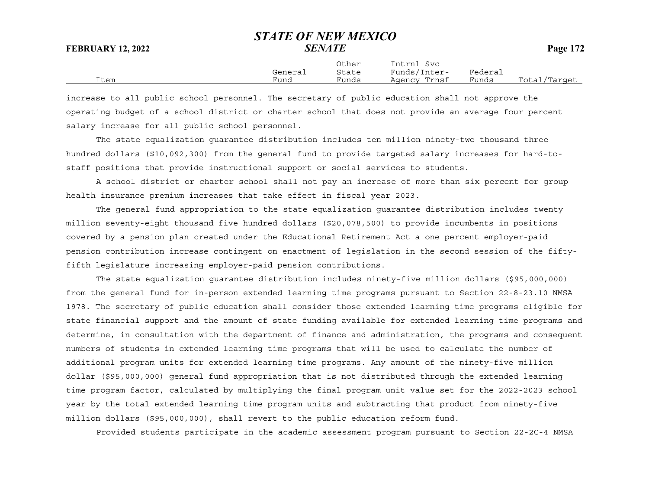Other Intrnl Svc General State Funds/Inter- Federal Item Fund Funds Agency Trnsf Funds Total/Target

increase to all public school personnel. The secretary of public education shall not approve the operating budget of a school district or charter school that does not provide an average four percent salary increase for all public school personnel.

The state equalization guarantee distribution includes ten million ninety-two thousand three hundred dollars (\$10,092,300) from the general fund to provide targeted salary increases for hard-tostaff positions that provide instructional support or social services to students.

A school district or charter school shall not pay an increase of more than six percent for group health insurance premium increases that take effect in fiscal year 2023.

The general fund appropriation to the state equalization guarantee distribution includes twenty million seventy-eight thousand five hundred dollars (\$20,078,500) to provide incumbents in positions covered by a pension plan created under the Educational Retirement Act a one percent employer-paid pension contribution increase contingent on enactment of legislation in the second session of the fiftyfifth legislature increasing employer-paid pension contributions.

The state equalization guarantee distribution includes ninety-five million dollars (\$95,000,000) from the general fund for in-person extended learning time programs pursuant to Section 22-8-23.10 NMSA 1978. The secretary of public education shall consider those extended learning time programs eligible for state financial support and the amount of state funding available for extended learning time programs and determine, in consultation with the department of finance and administration, the programs and consequent numbers of students in extended learning time programs that will be used to calculate the number of additional program units for extended learning time programs. Any amount of the ninety-five million dollar (\$95,000,000) general fund appropriation that is not distributed through the extended learning time program factor, calculated by multiplying the final program unit value set for the 2022-2023 school year by the total extended learning time program units and subtracting that product from ninety-five million dollars (\$95,000,000), shall revert to the public education reform fund.

Provided students participate in the academic assessment program pursuant to Section 22-2C-4 NMSA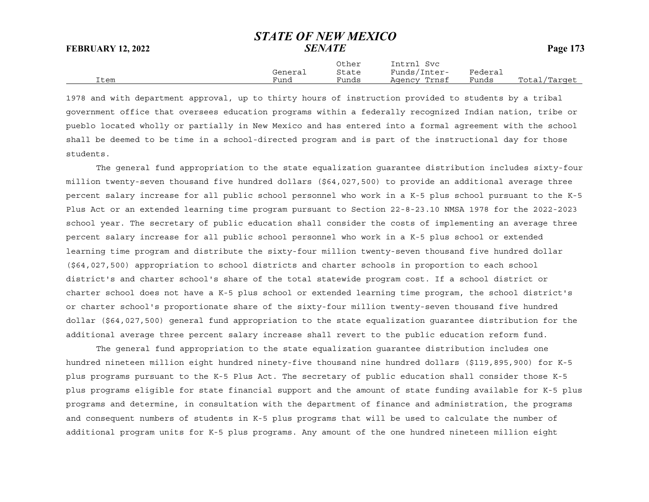|      |         | Other | Intrnl Svc   |         |              |
|------|---------|-------|--------------|---------|--------------|
|      | General | State | Funds/Inter- | Federal |              |
| Item | Fund    | Funds | Agency Trnsf | Funds   | Total/Target |

1978 and with department approval, up to thirty hours of instruction provided to students by a tribal government office that oversees education programs within a federally recognized Indian nation, tribe or pueblo located wholly or partially in New Mexico and has entered into a formal agreement with the school shall be deemed to be time in a school-directed program and is part of the instructional day for those students.

The general fund appropriation to the state equalization guarantee distribution includes sixty-four million twenty-seven thousand five hundred dollars (\$64,027,500) to provide an additional average three percent salary increase for all public school personnel who work in a K-5 plus school pursuant to the K-5 Plus Act or an extended learning time program pursuant to Section 22-8-23.10 NMSA 1978 for the 2022-2023 school year. The secretary of public education shall consider the costs of implementing an average three percent salary increase for all public school personnel who work in a K-5 plus school or extended learning time program and distribute the sixty-four million twenty-seven thousand five hundred dollar (\$64,027,500) appropriation to school districts and charter schools in proportion to each school district's and charter school's share of the total statewide program cost. If a school district or charter school does not have a K-5 plus school or extended learning time program, the school district's or charter school's proportionate share of the sixty-four million twenty-seven thousand five hundred dollar (\$64,027,500) general fund appropriation to the state equalization guarantee distribution for the additional average three percent salary increase shall revert to the public education reform fund.

The general fund appropriation to the state equalization guarantee distribution includes one hundred nineteen million eight hundred ninety-five thousand nine hundred dollars (\$119,895,900) for K-5 plus programs pursuant to the K-5 Plus Act. The secretary of public education shall consider those K-5 plus programs eligible for state financial support and the amount of state funding available for K-5 plus programs and determine, in consultation with the department of finance and administration, the programs and consequent numbers of students in K-5 plus programs that will be used to calculate the number of additional program units for K-5 plus programs. Any amount of the one hundred nineteen million eight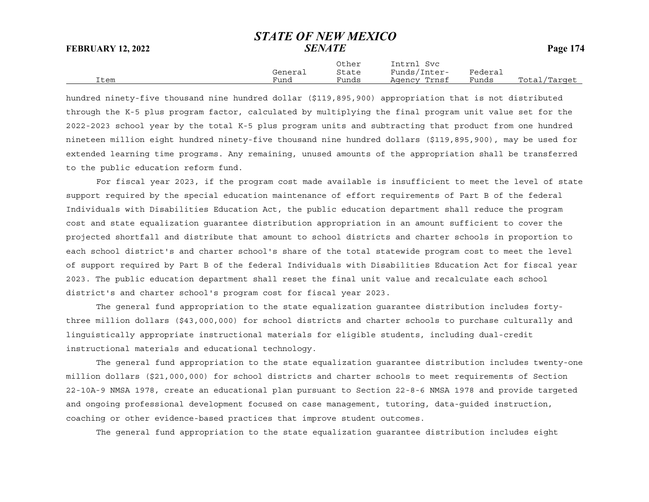Other Intrnl Svc General State Funds/Inter- Federal Item Fund Funds Agency Trnsf Funds Total/Target

hundred ninety-five thousand nine hundred dollar (\$119,895,900) appropriation that is not distributed through the K-5 plus program factor, calculated by multiplying the final program unit value set for the 2022-2023 school year by the total K-5 plus program units and subtracting that product from one hundred nineteen million eight hundred ninety-five thousand nine hundred dollars (\$119,895,900), may be used for extended learning time programs. Any remaining, unused amounts of the appropriation shall be transferred to the public education reform fund.

For fiscal year 2023, if the program cost made available is insufficient to meet the level of state support required by the special education maintenance of effort requirements of Part B of the federal Individuals with Disabilities Education Act, the public education department shall reduce the program cost and state equalization guarantee distribution appropriation in an amount sufficient to cover the projected shortfall and distribute that amount to school districts and charter schools in proportion to each school district's and charter school's share of the total statewide program cost to meet the level of support required by Part B of the federal Individuals with Disabilities Education Act for fiscal year 2023. The public education department shall reset the final unit value and recalculate each school district's and charter school's program cost for fiscal year 2023.

The general fund appropriation to the state equalization guarantee distribution includes fortythree million dollars (\$43,000,000) for school districts and charter schools to purchase culturally and linguistically appropriate instructional materials for eligible students, including dual-credit instructional materials and educational technology.

The general fund appropriation to the state equalization guarantee distribution includes twenty-one million dollars (\$21,000,000) for school districts and charter schools to meet requirements of Section 22-10A-9 NMSA 1978, create an educational plan pursuant to Section 22-8-6 NMSA 1978 and provide targeted and ongoing professional development focused on case management, tutoring, data-guided instruction, coaching or other evidence-based practices that improve student outcomes.

The general fund appropriation to the state equalization guarantee distribution includes eight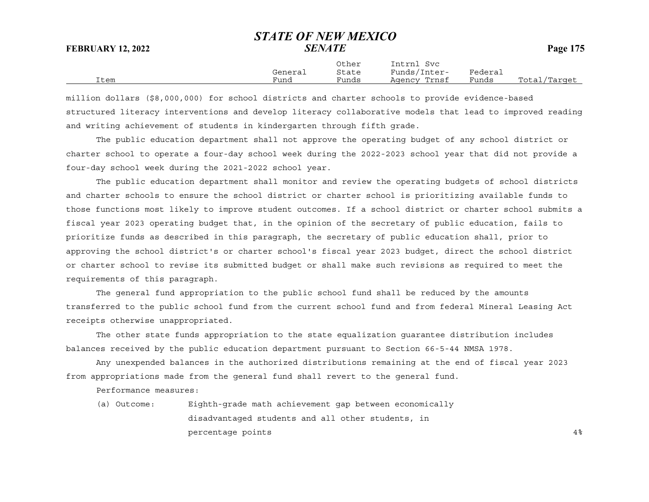$Tn+vn \log$ 

|                |              | utner | nt rn<br><b>SVC</b> |                                 |                  |
|----------------|--------------|-------|---------------------|---------------------------------|------------------|
|                | ~<br>General | State | Funds/<br>Inter-    | ${}^{\rm F}$ edera ${}_{\rm L}$ |                  |
| ` + ∩m<br>ᆂᄂᄂᄖ | Funa         | Funds | Trnsf<br>Agency     | Funds                           | Total<br>'Target |

million dollars (\$8,000,000) for school districts and charter schools to provide evidence-based structured literacy interventions and develop literacy collaborative models that lead to improved reading and writing achievement of students in kindergarten through fifth grade.

The public education department shall not approve the operating budget of any school district or charter school to operate a four-day school week during the 2022-2023 school year that did not provide a four-day school week during the 2021-2022 school year.

The public education department shall monitor and review the operating budgets of school districts and charter schools to ensure the school district or charter school is prioritizing available funds to those functions most likely to improve student outcomes. If a school district or charter school submits a fiscal year 2023 operating budget that, in the opinion of the secretary of public education, fails to prioritize funds as described in this paragraph, the secretary of public education shall, prior to approving the school district's or charter school's fiscal year 2023 budget, direct the school district or charter school to revise its submitted budget or shall make such revisions as required to meet the requirements of this paragraph.

The general fund appropriation to the public school fund shall be reduced by the amounts transferred to the public school fund from the current school fund and from federal Mineral Leasing Act receipts otherwise unappropriated.

The other state funds appropriation to the state equalization guarantee distribution includes balances received by the public education department pursuant to Section 66-5-44 NMSA 1978.

Any unexpended balances in the authorized distributions remaining at the end of fiscal year 2023 from appropriations made from the general fund shall revert to the general fund.

Performance measures:

(a) Outcome: Eighth-grade math achievement gap between economically disadvantaged students and all other students, in percentage points  $4\frac{1}{8}$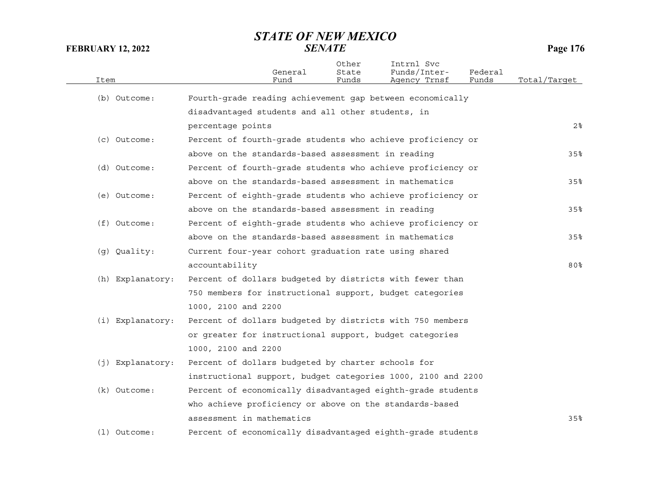| Item             | General<br>Fund                                              | Other<br>State<br>Funds | Intrnl Svc<br>Funds/Inter-<br>Agency Trnsf | Federal<br>Funds | Total/Tarqet |
|------------------|--------------------------------------------------------------|-------------------------|--------------------------------------------|------------------|--------------|
| (b) Outcome:     | Fourth-grade reading achievement gap between economically    |                         |                                            |                  |              |
|                  | disadvantaged students and all other students, in            |                         |                                            |                  |              |
|                  | percentage points                                            |                         |                                            |                  | $2\,$        |
| (c) Outcome:     | Percent of fourth-grade students who achieve proficiency or  |                         |                                            |                  |              |
|                  | above on the standards-based assessment in reading           |                         |                                            |                  | 35%          |
| (d) Outcome:     | Percent of fourth-grade students who achieve proficiency or  |                         |                                            |                  |              |
|                  | above on the standards-based assessment in mathematics       |                         |                                            |                  | 35%          |
| (e) Outcome:     | Percent of eighth-grade students who achieve proficiency or  |                         |                                            |                  |              |
|                  | above on the standards-based assessment in reading           |                         |                                            |                  | 35%          |
| (f) Outcome:     | Percent of eighth-grade students who achieve proficiency or  |                         |                                            |                  |              |
|                  | above on the standards-based assessment in mathematics       |                         |                                            |                  | 35%          |
| (g) Quality:     | Current four-year cohort graduation rate using shared        |                         |                                            |                  |              |
|                  | accountability                                               |                         |                                            |                  | $80\%$       |
| (h) Explanatory: | Percent of dollars budgeted by districts with fewer than     |                         |                                            |                  |              |
|                  | 750 members for instructional support, budget categories     |                         |                                            |                  |              |
|                  | 1000, 2100 and 2200                                          |                         |                                            |                  |              |
| (i) Explanatory: | Percent of dollars budgeted by districts with 750 members    |                         |                                            |                  |              |
|                  | or greater for instructional support, budget categories      |                         |                                            |                  |              |
|                  | 1000, 2100 and 2200                                          |                         |                                            |                  |              |
| (j) Explanatory: | Percent of dollars budgeted by charter schools for           |                         |                                            |                  |              |
|                  | instructional support, budget categories 1000, 2100 and 2200 |                         |                                            |                  |              |
| (k) Outcome:     | Percent of economically disadvantaged eighth-grade students  |                         |                                            |                  |              |
|                  | who achieve proficiency or above on the standards-based      |                         |                                            |                  |              |
|                  | assessment in mathematics                                    |                         |                                            |                  | 35%          |
| $(1)$ Outcome:   | Percent of economically disadvantaged eighth-grade students  |                         |                                            |                  |              |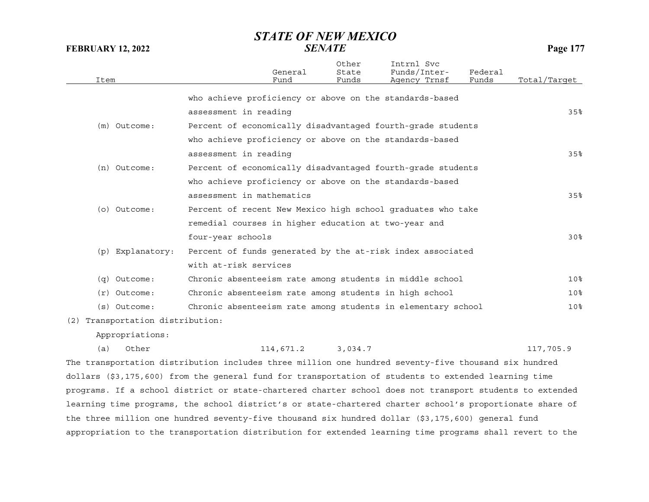| Item |                                  |                                                      | General<br>Fund | Other<br>State<br>Funds | Intrnl Svc<br>Funds/Inter-<br>Agency Trnsf                                                               | Federal<br>Funds | Total/Target    |
|------|----------------------------------|------------------------------------------------------|-----------------|-------------------------|----------------------------------------------------------------------------------------------------------|------------------|-----------------|
|      |                                  |                                                      |                 |                         | who achieve proficiency or above on the standards-based                                                  |                  |                 |
|      |                                  | assessment in reading                                |                 |                         |                                                                                                          |                  | 35%             |
|      | (m) Outcome:                     |                                                      |                 |                         |                                                                                                          |                  |                 |
|      |                                  |                                                      |                 |                         | Percent of economically disadvantaged fourth-grade students                                              |                  |                 |
|      |                                  |                                                      |                 |                         | who achieve proficiency or above on the standards-based                                                  |                  |                 |
|      |                                  | assessment in reading                                |                 |                         |                                                                                                          |                  | 35%             |
|      | (n) Outcome:                     |                                                      |                 |                         | Percent of economically disadvantaged fourth-grade students                                              |                  |                 |
|      |                                  |                                                      |                 |                         | who achieve proficiency or above on the standards-based                                                  |                  |                 |
|      |                                  | assessment in mathematics                            |                 |                         |                                                                                                          |                  | 35%             |
|      | (o) Outcome:                     |                                                      |                 |                         | Percent of recent New Mexico high school graduates who take                                              |                  |                 |
|      |                                  | remedial courses in higher education at two-year and |                 |                         |                                                                                                          |                  |                 |
|      |                                  | four-year schools                                    |                 |                         |                                                                                                          |                  | 30 <sup>8</sup> |
|      | (p) Explanatory:                 |                                                      |                 |                         | Percent of funds generated by the at-risk index associated                                               |                  |                 |
|      |                                  | with at-risk services                                |                 |                         |                                                                                                          |                  |                 |
|      | $(q)$ Outcome:                   |                                                      |                 |                         | Chronic absenteeism rate among students in middle school                                                 |                  | 10 <sup>8</sup> |
|      | $(r)$ Outcome:                   |                                                      |                 |                         | Chronic absenteeism rate among students in high school                                                   |                  | 10 <sup>8</sup> |
|      | $(s)$ Outcome:                   |                                                      |                 |                         | Chronic absenteeism rate among students in elementary school                                             |                  | 10%             |
|      | (2) Transportation distribution: |                                                      |                 |                         |                                                                                                          |                  |                 |
|      | Appropriations:                  |                                                      |                 |                         |                                                                                                          |                  |                 |
| (a)  | Other                            |                                                      | 114,671.2       | 3,034.7                 |                                                                                                          |                  | 117,705.9       |
|      |                                  |                                                      |                 |                         | The transportation distribution includes three million one hundred seventy-five thousand six hundred     |                  |                 |
|      |                                  |                                                      |                 |                         | dollars (\$3,175,600) from the general fund for transportation of students to extended learning time     |                  |                 |
|      |                                  |                                                      |                 |                         | programs. If a school district or state-chartered charter school does not transport students to extended |                  |                 |
|      |                                  |                                                      |                 |                         | learning time programs, the school district's or state-chartered charter school's proportionate share of |                  |                 |

appropriation to the transportation distribution for extended learning time programs shall revert to the

the three million one hundred seventy-five thousand six hundred dollar (\$3,175,600) general fund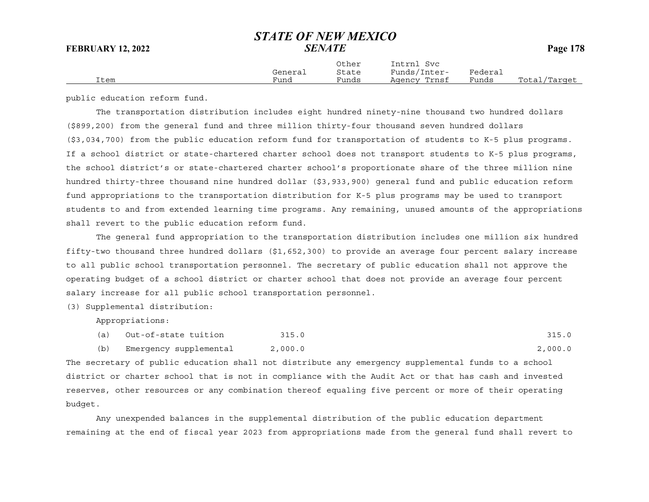|  |  | <b>Pag</b> |
|--|--|------------|
|  |  |            |

|      | General | Other<br>State | Intrnl<br>Svc<br>Funds/Inter- | Federai |              |
|------|---------|----------------|-------------------------------|---------|--------------|
| Item | Fund    | Funds          | Agency Trnsf                  | Funds   | Total/Target |

public education reform fund.

The transportation distribution includes eight hundred ninety-nine thousand two hundred dollars (\$899,200) from the general fund and three million thirty-four thousand seven hundred dollars (\$3,034,700) from the public education reform fund for transportation of students to K-5 plus programs. If a school district or state-chartered charter school does not transport students to K-5 plus programs, the school district's or state-chartered charter school's proportionate share of the three million nine hundred thirty-three thousand nine hundred dollar (\$3,933,900) general fund and public education reform fund appropriations to the transportation distribution for K-5 plus programs may be used to transport students to and from extended learning time programs. Any remaining, unused amounts of the appropriations shall revert to the public education reform fund.

The general fund appropriation to the transportation distribution includes one million six hundred fifty-two thousand three hundred dollars (\$1,652,300) to provide an average four percent salary increase to all public school transportation personnel. The secretary of public education shall not approve the operating budget of a school district or charter school that does not provide an average four percent salary increase for all public school transportation personnel.

(3) Supplemental distribution:

Appropriations:

- (a) Out-of-state tuition 315.0 315.0 315.0
- (b) Emergency supplemental 2,000.0 2,000.0

The secretary of public education shall not distribute any emergency supplemental funds to a school district or charter school that is not in compliance with the Audit Act or that has cash and invested reserves, other resources or any combination thereof equaling five percent or more of their operating budget.

Any unexpended balances in the supplemental distribution of the public education department remaining at the end of fiscal year 2023 from appropriations made from the general fund shall revert to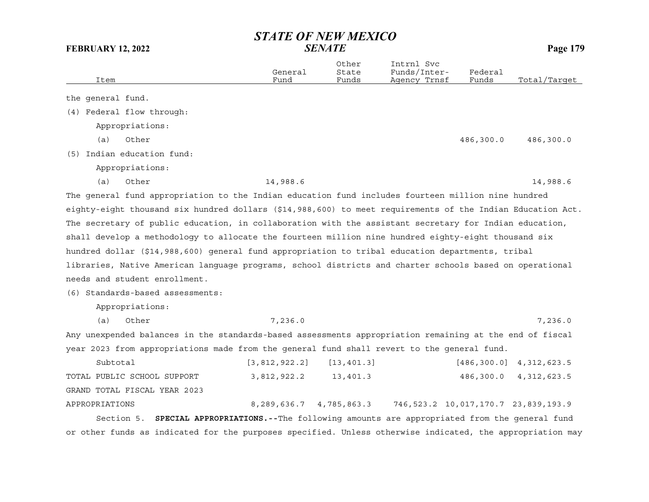| <b>FEBRUARY 12, 2022</b>                                                                                   | <b>SENATE</b>                                                                                 |                         |                                            |                  | Page 179                                 |  |
|------------------------------------------------------------------------------------------------------------|-----------------------------------------------------------------------------------------------|-------------------------|--------------------------------------------|------------------|------------------------------------------|--|
| Item                                                                                                       | General<br>Fund                                                                               | Other<br>State<br>Funds | Intrnl Svc<br>Funds/Inter-<br>Agency Trnsf | Federal<br>Funds | Total/Target                             |  |
| the general fund.                                                                                          |                                                                                               |                         |                                            |                  |                                          |  |
| (4) Federal flow through:                                                                                  |                                                                                               |                         |                                            |                  |                                          |  |
| Appropriations:                                                                                            |                                                                                               |                         |                                            |                  |                                          |  |
| Other<br>(a)                                                                                               |                                                                                               |                         |                                            | 486,300.0        | 486,300.0                                |  |
| (5) Indian education fund:                                                                                 |                                                                                               |                         |                                            |                  |                                          |  |
| Appropriations:                                                                                            |                                                                                               |                         |                                            |                  |                                          |  |
| (a)<br>Other                                                                                               | 14,988.6                                                                                      |                         |                                            |                  | 14,988.6                                 |  |
| The general fund appropriation to the Indian education fund includes fourteen million nine hundred         |                                                                                               |                         |                                            |                  |                                          |  |
| eighty-eight thousand six hundred dollars (\$14,988,600) to meet requirements of the Indian Education Act. |                                                                                               |                         |                                            |                  |                                          |  |
| The secretary of public education, in collaboration with the assistant secretary for Indian education,     |                                                                                               |                         |                                            |                  |                                          |  |
| shall develop a methodology to allocate the fourteen million nine hundred eighty-eight thousand six        |                                                                                               |                         |                                            |                  |                                          |  |
| hundred dollar (\$14,988,600) general fund appropriation to tribal education departments, tribal           |                                                                                               |                         |                                            |                  |                                          |  |
| libraries, Native American language programs, school districts and charter schools based on operational    |                                                                                               |                         |                                            |                  |                                          |  |
| needs and student enrollment.                                                                              |                                                                                               |                         |                                            |                  |                                          |  |
| (6) Standards-based assessments:                                                                           |                                                                                               |                         |                                            |                  |                                          |  |
| Appropriations:                                                                                            |                                                                                               |                         |                                            |                  |                                          |  |
| (a)<br>Other                                                                                               | 7,236.0                                                                                       |                         |                                            |                  | 7,236.0                                  |  |
| Any unexpended balances in the standards-based assessments appropriation remaining at the end of fiscal    |                                                                                               |                         |                                            |                  |                                          |  |
| year 2023 from appropriations made from the general fund shall revert to the general fund.                 |                                                                                               |                         |                                            |                  |                                          |  |
| Subtotal                                                                                                   | [3, 812, 922.2]                                                                               | [13, 401.3]             |                                            |                  | $[486, 300.0]$ 4, 312, 623.5             |  |
| TOTAL PUBLIC SCHOOL SUPPORT                                                                                | 3,812,922.2                                                                                   | 13,401.3                |                                            | 486,300.0        | 4, 312, 623.5                            |  |
| GRAND TOTAL FISCAL YEAR 2023                                                                               |                                                                                               |                         |                                            |                  |                                          |  |
| APPROPRIATIONS                                                                                             | 8,289,636.7 4,785,863.3                                                                       |                         |                                            |                  | 746, 523.2 10, 017, 170.7 23, 839, 193.9 |  |
| Section 5.                                                                                                 | <b>SPECIAL APPROPRIATIONS.</b> --The following amounts are appropriated from the general fund |                         |                                            |                  |                                          |  |
| or other funds as indicated for the purposes specified. Unless otherwise indicated, the appropriation may  |                                                                                               |                         |                                            |                  |                                          |  |

# *STATE OF NEW MEXICO*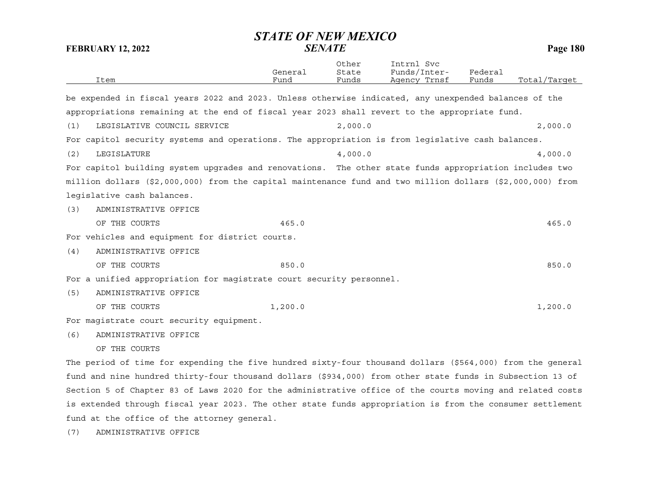| Item                                                                                                       | General<br>Fund | Other<br>State<br>Funds | Intrnl Svc<br>Funds/Inter-<br>Agency Trnsf | Federal<br>Funds | Total/Target |
|------------------------------------------------------------------------------------------------------------|-----------------|-------------------------|--------------------------------------------|------------------|--------------|
| be expended in fiscal years 2022 and 2023. Unless otherwise indicated, any unexpended balances of the      |                 |                         |                                            |                  |              |
| appropriations remaining at the end of fiscal year 2023 shall revert to the appropriate fund.              |                 |                         |                                            |                  |              |
|                                                                                                            |                 |                         |                                            |                  |              |
| LEGISLATIVE COUNCIL SERVICE<br>(1)                                                                         |                 | 2,000.0                 |                                            |                  | 2,000.0      |
| For capitol security systems and operations. The appropriation is from legislative cash balances.          |                 |                         |                                            |                  |              |
| LEGISLATURE<br>(2)                                                                                         |                 | 4,000.0                 |                                            |                  | 4,000.0      |
| For capitol building system upgrades and renovations. The other state funds appropriation includes two     |                 |                         |                                            |                  |              |
| million dollars (\$2,000,000) from the capital maintenance fund and two million dollars (\$2,000,000) from |                 |                         |                                            |                  |              |
| legislative cash balances.                                                                                 |                 |                         |                                            |                  |              |
| ADMINISTRATIVE OFFICE<br>(3)                                                                               |                 |                         |                                            |                  |              |
| OF THE COURTS                                                                                              | 465.0           |                         |                                            |                  | 465.0        |
| For vehicles and equipment for district courts.                                                            |                 |                         |                                            |                  |              |
| ADMINISTRATIVE OFFICE<br>(4)                                                                               |                 |                         |                                            |                  |              |
| OF THE COURTS                                                                                              | 850.0           |                         |                                            |                  | 850.0        |
| For a unified appropriation for magistrate court security personnel.                                       |                 |                         |                                            |                  |              |
| (5)<br>ADMINISTRATIVE OFFICE                                                                               |                 |                         |                                            |                  |              |
| OF THE COURTS                                                                                              | 1,200.0         |                         |                                            |                  | 1,200.0      |
| For magistrate court security equipment.                                                                   |                 |                         |                                            |                  |              |
| ADMINISTRATIVE OFFICE<br>(6)                                                                               |                 |                         |                                            |                  |              |
| OF THE COURTS                                                                                              |                 |                         |                                            |                  |              |
| The period of time for expending the five hundred sixty-four thousand dollars (\$564,000) from the general |                 |                         |                                            |                  |              |

fund and nine hundred thirty-four thousand dollars (\$934,000) from other state funds in Subsection 13 of Section 5 of Chapter 83 of Laws 2020 for the administrative office of the courts moving and related costs is extended through fiscal year 2023. The other state funds appropriation is from the consumer settlement fund at the office of the attorney general.

(7) ADMINISTRATIVE OFFICE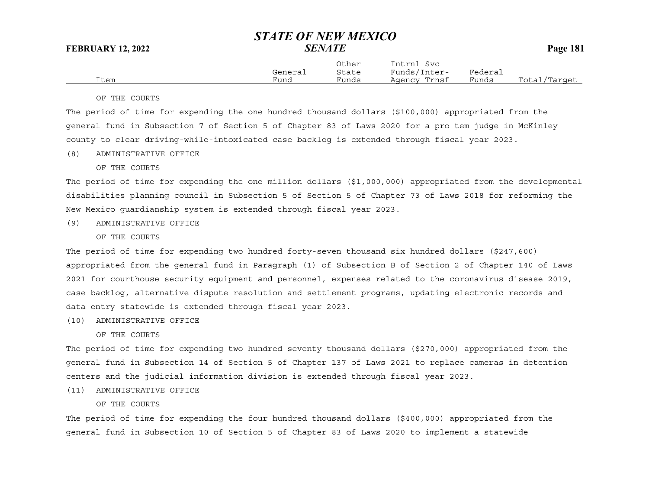|      | General | Other<br>State | Intrnl<br>Svc<br>Funds/Inter- | Federal |              |
|------|---------|----------------|-------------------------------|---------|--------------|
| Item | Funa    | Funds          | Agency Trnsf                  | Funds   | Total/Tarqet |

### OF THE COURTS

The period of time for expending the one hundred thousand dollars (\$100,000) appropriated from the general fund in Subsection 7 of Section 5 of Chapter 83 of Laws 2020 for a pro tem judge in McKinley county to clear driving-while-intoxicated case backlog is extended through fiscal year 2023.

(8) ADMINISTRATIVE OFFICE

## OF THE COURTS

The period of time for expending the one million dollars (\$1,000,000) appropriated from the developmental disabilities planning council in Subsection 5 of Section 5 of Chapter 73 of Laws 2018 for reforming the New Mexico guardianship system is extended through fiscal year 2023.

(9) ADMINISTRATIVE OFFICE

OF THE COURTS

The period of time for expending two hundred forty-seven thousand six hundred dollars (\$247,600) appropriated from the general fund in Paragraph (1) of Subsection B of Section 2 of Chapter 140 of Laws 2021 for courthouse security equipment and personnel, expenses related to the coronavirus disease 2019, case backlog, alternative dispute resolution and settlement programs, updating electronic records and data entry statewide is extended through fiscal year 2023.

(10) ADMINISTRATIVE OFFICE

OF THE COURTS

The period of time for expending two hundred seventy thousand dollars (\$270,000) appropriated from the general fund in Subsection 14 of Section 5 of Chapter 137 of Laws 2021 to replace cameras in detention centers and the judicial information division is extended through fiscal year 2023.

(11) ADMINISTRATIVE OFFICE

OF THE COURTS

The period of time for expending the four hundred thousand dollars (\$400,000) appropriated from the general fund in Subsection 10 of Section 5 of Chapter 83 of Laws 2020 to implement a statewide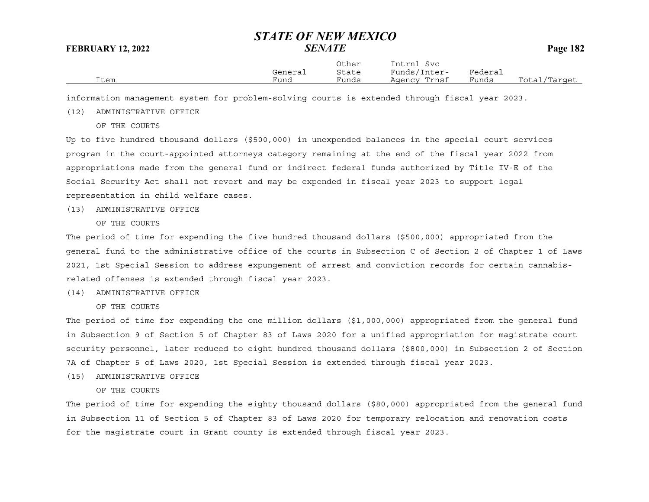|      | General | Other<br>State | Intrnl<br>Svc<br>Funds/Inter- | Federal |              |
|------|---------|----------------|-------------------------------|---------|--------------|
| Item | Fund    | Funds          | Agency Trnsf                  | Funds   | Total/Target |

information management system for problem-solving courts is extended through fiscal year 2023.

## (12) ADMINISTRATIVE OFFICE

OF THE COURTS

Up to five hundred thousand dollars (\$500,000) in unexpended balances in the special court services program in the court-appointed attorneys category remaining at the end of the fiscal year 2022 from appropriations made from the general fund or indirect federal funds authorized by Title IV-E of the Social Security Act shall not revert and may be expended in fiscal year 2023 to support legal representation in child welfare cases.

(13) ADMINISTRATIVE OFFICE

OF THE COURTS

The period of time for expending the five hundred thousand dollars (\$500,000) appropriated from the general fund to the administrative office of the courts in Subsection C of Section 2 of Chapter 1 of Laws 2021, 1st Special Session to address expungement of arrest and conviction records for certain cannabisrelated offenses is extended through fiscal year 2023.

(14) ADMINISTRATIVE OFFICE

OF THE COURTS

The period of time for expending the one million dollars (\$1,000,000) appropriated from the general fund in Subsection 9 of Section 5 of Chapter 83 of Laws 2020 for a unified appropriation for magistrate court security personnel, later reduced to eight hundred thousand dollars (\$800,000) in Subsection 2 of Section 7A of Chapter 5 of Laws 2020, 1st Special Session is extended through fiscal year 2023.

- (15) ADMINISTRATIVE OFFICE
	- OF THE COURTS

The period of time for expending the eighty thousand dollars (\$80,000) appropriated from the general fund in Subsection 11 of Section 5 of Chapter 83 of Laws 2020 for temporary relocation and renovation costs for the magistrate court in Grant county is extended through fiscal year 2023.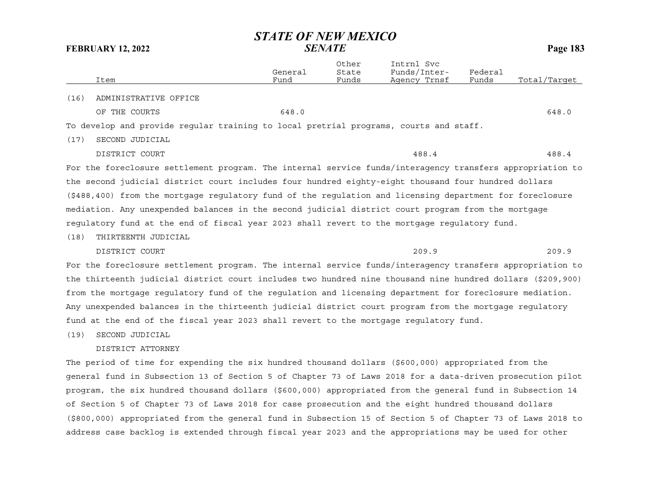|      | Item                                                                                                      | General<br>Fund | Other<br>State<br>Funds | Intrnl Svc<br>Funds/Inter-<br>Agency Trnsf | Federal<br>Funds | Total/Target |
|------|-----------------------------------------------------------------------------------------------------------|-----------------|-------------------------|--------------------------------------------|------------------|--------------|
| (16) | ADMINISTRATIVE OFFICE                                                                                     |                 |                         |                                            |                  |              |
|      | OF THE COURTS                                                                                             | 648.0           |                         |                                            |                  | 648.0        |
|      | To develop and provide reqular training to local pretrial programs, courts and staff.                     |                 |                         |                                            |                  |              |
| (17) | SECOND JUDICIAL                                                                                           |                 |                         |                                            |                  |              |
|      | DISTRICT COURT                                                                                            |                 |                         | 488.4                                      |                  | 488.4        |
|      | For the foreclosure settlement program. The internal service funds/interagency transfers appropriation to |                 |                         |                                            |                  |              |

the second judicial district court includes four hundred eighty-eight thousand four hundred dollars (\$488,400) from the mortgage regulatory fund of the regulation and licensing department for foreclosure mediation. Any unexpended balances in the second judicial district court program from the mortgage regulatory fund at the end of fiscal year 2023 shall revert to the mortgage regulatory fund.

### (18) THIRTEENTH JUDICIAL

DISTRICT COURT 209.9 209.9

For the foreclosure settlement program. The internal service funds/interagency transfers appropriation to the thirteenth judicial district court includes two hundred nine thousand nine hundred dollars (\$209,900) from the mortgage regulatory fund of the regulation and licensing department for foreclosure mediation. Any unexpended balances in the thirteenth judicial district court program from the mortgage regulatory fund at the end of the fiscal year 2023 shall revert to the mortgage regulatory fund.

(19) SECOND JUDICIAL

## DISTRICT ATTORNEY

The period of time for expending the six hundred thousand dollars (\$600,000) appropriated from the general fund in Subsection 13 of Section 5 of Chapter 73 of Laws 2018 for a data-driven prosecution pilot program, the six hundred thousand dollars (\$600,000) appropriated from the general fund in Subsection 14 of Section 5 of Chapter 73 of Laws 2018 for case prosecution and the eight hundred thousand dollars (\$800,000) appropriated from the general fund in Subsection 15 of Section 5 of Chapter 73 of Laws 2018 to address case backlog is extended through fiscal year 2023 and the appropriations may be used for other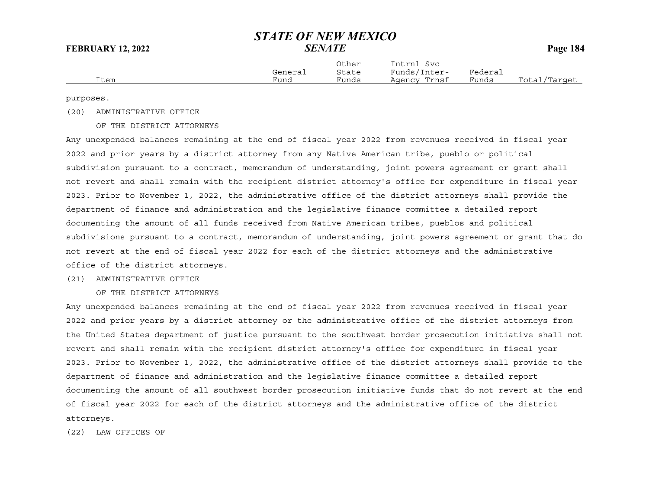|      | General | Other<br>State | Intrnl<br>Svc<br>Funds/Inter- | Federal |              |
|------|---------|----------------|-------------------------------|---------|--------------|
| Item | Fund    | Funds          | Agency Trnsf                  | Funds   | Total/Target |

purposes.

(20) ADMINISTRATIVE OFFICE

### OF THE DISTRICT ATTORNEYS

Any unexpended balances remaining at the end of fiscal year 2022 from revenues received in fiscal year 2022 and prior years by a district attorney from any Native American tribe, pueblo or political subdivision pursuant to a contract, memorandum of understanding, joint powers agreement or grant shall not revert and shall remain with the recipient district attorney's office for expenditure in fiscal year 2023. Prior to November 1, 2022, the administrative office of the district attorneys shall provide the department of finance and administration and the legislative finance committee a detailed report documenting the amount of all funds received from Native American tribes, pueblos and political subdivisions pursuant to a contract, memorandum of understanding, joint powers agreement or grant that do not revert at the end of fiscal year 2022 for each of the district attorneys and the administrative office of the district attorneys.

## (21) ADMINISTRATIVE OFFICE

OF THE DISTRICT ATTORNEYS

Any unexpended balances remaining at the end of fiscal year 2022 from revenues received in fiscal year 2022 and prior years by a district attorney or the administrative office of the district attorneys from the United States department of justice pursuant to the southwest border prosecution initiative shall not revert and shall remain with the recipient district attorney's office for expenditure in fiscal year 2023. Prior to November 1, 2022, the administrative office of the district attorneys shall provide to the department of finance and administration and the legislative finance committee a detailed report documenting the amount of all southwest border prosecution initiative funds that do not revert at the end of fiscal year 2022 for each of the district attorneys and the administrative office of the district attorneys.

(22) LAW OFFICES OF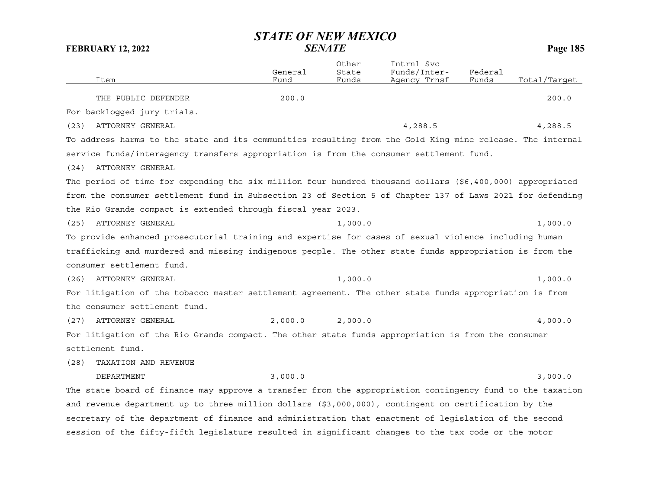|      |                                                                                                           | General | Other<br>State | Intrnl Svc<br>Funds/Inter- | Federal |              |
|------|-----------------------------------------------------------------------------------------------------------|---------|----------------|----------------------------|---------|--------------|
|      | Item                                                                                                      | Fund    | Funds          | Agency Trnsf               | Funds   | Total/Target |
|      | THE PUBLIC DEFENDER                                                                                       | 200.0   |                |                            |         | 200.0        |
|      | For backlogged jury trials.                                                                               |         |                |                            |         |              |
| (23) | ATTORNEY GENERAL                                                                                          |         |                | 4,288.5                    |         | 4,288.5      |
|      | To address harms to the state and its communities resulting from the Gold King mine release. The internal |         |                |                            |         |              |
|      | service funds/interagency transfers appropriation is from the consumer settlement fund.                   |         |                |                            |         |              |
| (24) | ATTORNEY GENERAL                                                                                          |         |                |                            |         |              |
|      | The period of time for expending the six million four hundred thousand dollars (\$6,400,000) appropriated |         |                |                            |         |              |
|      | from the consumer settlement fund in Subsection 23 of Section 5 of Chapter 137 of Laws 2021 for defending |         |                |                            |         |              |
|      | the Rio Grande compact is extended through fiscal year 2023.                                              |         |                |                            |         |              |
| (25) | ATTORNEY GENERAL                                                                                          |         | 1,000.0        |                            |         | 1,000.0      |
|      | To provide enhanced prosecutorial training and expertise for cases of sexual violence including human     |         |                |                            |         |              |
|      | trafficking and murdered and missing indigenous people. The other state funds appropriation is from the   |         |                |                            |         |              |
|      | consumer settlement fund.                                                                                 |         |                |                            |         |              |
| (26) | ATTORNEY GENERAL                                                                                          |         | 1,000.0        |                            |         | 1,000.0      |
|      | For litigation of the tobacco master settlement agreement. The other state funds appropriation is from    |         |                |                            |         |              |
|      | the consumer settlement fund.                                                                             |         |                |                            |         |              |
| (27) | ATTORNEY GENERAL                                                                                          | 2,000.0 | 2,000.0        |                            |         | 4,000.0      |
|      | For litigation of the Rio Grande compact. The other state funds appropriation is from the consumer        |         |                |                            |         |              |
|      | settlement fund.                                                                                          |         |                |                            |         |              |
| (28) | TAXATION AND REVENUE                                                                                      |         |                |                            |         |              |
|      | <b>DEPARTMENT</b>                                                                                         | 3,000.0 |                |                            |         | 3,000.0      |
|      | The state board of finance may approve a transfer from the appropriation contingency fund to the taxation |         |                |                            |         |              |
|      | and revenue department up to three million dollars (\$3,000,000), contingent on certification by the      |         |                |                            |         |              |
|      | secretary of the department of finance and administration that enactment of legislation of the second     |         |                |                            |         |              |
|      | session of the fifty-fifth legislature resulted in significant changes to the tax code or the motor       |         |                |                            |         |              |
|      |                                                                                                           |         |                |                            |         |              |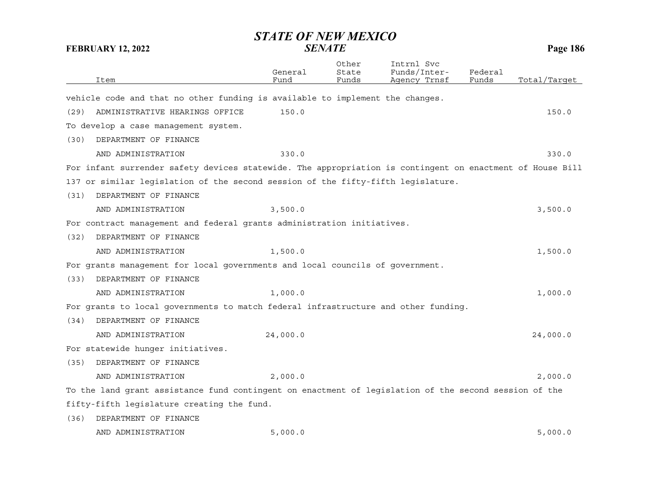| <b>STATE OF NEW MEXICO</b><br><b>SENATE</b><br>Page 186<br><b>FEBRUARY 12, 2022</b> |                                                                                                           |                 |                         |                                            |                  |              |
|-------------------------------------------------------------------------------------|-----------------------------------------------------------------------------------------------------------|-----------------|-------------------------|--------------------------------------------|------------------|--------------|
|                                                                                     | Item                                                                                                      | General<br>Fund | Other<br>State<br>Funds | Intrnl Svc<br>Funds/Inter-<br>Agency Trnsf | Federal<br>Funds | Total/Target |
|                                                                                     |                                                                                                           |                 |                         |                                            |                  |              |
|                                                                                     | vehicle code and that no other funding is available to implement the changes.                             |                 |                         |                                            |                  |              |
| (29)                                                                                | ADMINISTRATIVE HEARINGS OFFICE                                                                            | 150.0           |                         |                                            |                  | 150.0        |
|                                                                                     | To develop a case management system.                                                                      |                 |                         |                                            |                  |              |
| (30)                                                                                | DEPARTMENT OF FINANCE                                                                                     |                 |                         |                                            |                  |              |
|                                                                                     | AND ADMINISTRATION                                                                                        | 330.0           |                         |                                            |                  | 330.0        |
|                                                                                     | For infant surrender safety devices statewide. The appropriation is contingent on enactment of House Bill |                 |                         |                                            |                  |              |
|                                                                                     | 137 or similar legislation of the second session of the fifty-fifth legislature.                          |                 |                         |                                            |                  |              |
| (31)                                                                                | DEPARTMENT OF FINANCE                                                                                     |                 |                         |                                            |                  |              |
|                                                                                     | AND ADMINISTRATION                                                                                        | 3,500.0         |                         |                                            |                  | 3,500.0      |
|                                                                                     | For contract management and federal grants administration initiatives.                                    |                 |                         |                                            |                  |              |
| (32)                                                                                | DEPARTMENT OF FINANCE                                                                                     |                 |                         |                                            |                  |              |
|                                                                                     | AND ADMINISTRATION                                                                                        | 1,500.0         |                         |                                            |                  | 1,500.0      |
|                                                                                     | For grants management for local governments and local councils of government.                             |                 |                         |                                            |                  |              |
| (33)                                                                                | DEPARTMENT OF FINANCE                                                                                     |                 |                         |                                            |                  |              |
|                                                                                     | AND ADMINISTRATION                                                                                        | 1,000.0         |                         |                                            |                  | 1,000.0      |
|                                                                                     | For grants to local governments to match federal infrastructure and other funding.                        |                 |                         |                                            |                  |              |
| (34)                                                                                | DEPARTMENT OF FINANCE                                                                                     |                 |                         |                                            |                  |              |
|                                                                                     | AND ADMINISTRATION                                                                                        | 24,000.0        |                         |                                            |                  | 24,000.0     |
|                                                                                     | For statewide hunger initiatives.                                                                         |                 |                         |                                            |                  |              |
| (35)                                                                                | DEPARTMENT OF FINANCE                                                                                     |                 |                         |                                            |                  |              |
|                                                                                     | AND ADMINISTRATION                                                                                        | 2,000.0         |                         |                                            |                  | 2,000.0      |
|                                                                                     | To the land grant assistance fund contingent on enactment of legislation of the second session of the     |                 |                         |                                            |                  |              |
|                                                                                     | fifty-fifth legislature creating the fund.                                                                |                 |                         |                                            |                  |              |
| (36)                                                                                | DEPARTMENT OF FINANCE                                                                                     |                 |                         |                                            |                  |              |
|                                                                                     | AND ADMINISTRATION                                                                                        | 5,000.0         |                         |                                            |                  | 5,000.0      |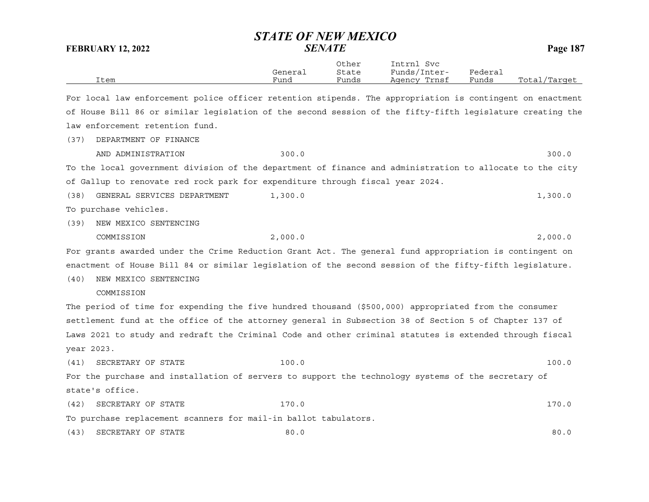|                                                                                                           | <b>STATE OF NEW MEXICO</b> |                         |                                            |                  |              |
|-----------------------------------------------------------------------------------------------------------|----------------------------|-------------------------|--------------------------------------------|------------------|--------------|
| <b>FEBRUARY 12, 2022</b>                                                                                  |                            | <b>SENATE</b>           |                                            |                  | Page 187     |
| Item                                                                                                      | General<br>Fund            | Other<br>State<br>Funds | Intrnl Svc<br>Funds/Inter-<br>Agency Trnsf | Federal<br>Funds | Total/Target |
| For local law enforcement police officer retention stipends. The appropriation is contingent on enactment |                            |                         |                                            |                  |              |
| of House Bill 86 or similar legislation of the second session of the fifty-fifth legislature creating the |                            |                         |                                            |                  |              |
| law enforcement retention fund.                                                                           |                            |                         |                                            |                  |              |
| DEPARTMENT OF FINANCE<br>(37)                                                                             |                            |                         |                                            |                  |              |
| AND ADMINISTRATION                                                                                        | 300.0                      |                         |                                            |                  | 300.0        |
| To the local government division of the department of finance and administration to allocate to the city  |                            |                         |                                            |                  |              |
| of Gallup to renovate red rock park for expenditure through fiscal year 2024.                             |                            |                         |                                            |                  |              |
| (38)<br>GENERAL SERVICES DEPARTMENT                                                                       | 1,300.0                    |                         |                                            |                  | 1,300.0      |
| To purchase vehicles.                                                                                     |                            |                         |                                            |                  |              |
| NEW MEXICO SENTENCING<br>(39)                                                                             |                            |                         |                                            |                  |              |
| COMMISSION                                                                                                | 2,000.0                    |                         |                                            |                  | 2,000.0      |
| For grants awarded under the Crime Reduction Grant Act. The general fund appropriation is contingent on   |                            |                         |                                            |                  |              |
| enactment of House Bill 84 or similar legislation of the second session of the fifty-fifth legislature.   |                            |                         |                                            |                  |              |
| NEW MEXICO SENTENCING<br>(40)                                                                             |                            |                         |                                            |                  |              |
| COMMISSION                                                                                                |                            |                         |                                            |                  |              |
| The period of time for expending the five hundred thousand (\$500,000) appropriated from the consumer     |                            |                         |                                            |                  |              |
| settlement fund at the office of the attorney general in Subsection 38 of Section 5 of Chapter 137 of     |                            |                         |                                            |                  |              |
| Laws 2021 to study and redraft the Criminal Code and other criminal statutes is extended through fiscal   |                            |                         |                                            |                  |              |
| year 2023.                                                                                                |                            |                         |                                            |                  |              |
| SECRETARY OF STATE<br>(41)                                                                                | 100.0                      |                         |                                            |                  | 100.0        |
| For the purchase and installation of servers to support the technology systems of the secretary of        |                            |                         |                                            |                  |              |
| state's office.                                                                                           |                            |                         |                                            |                  |              |
| SECRETARY OF STATE<br>(42)                                                                                | 170.0                      |                         |                                            |                  | 170.0        |
| To purchase replacement scanners for mail-in ballot tabulators.                                           |                            |                         |                                            |                  |              |
| SECRETARY OF STATE<br>(43)                                                                                | 80.0                       |                         |                                            |                  | 80.0         |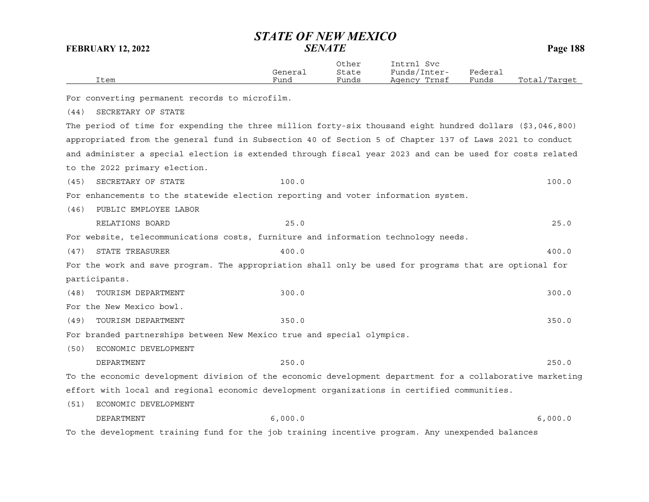|      |         | Other | Intrnl<br>Svc |         |              |
|------|---------|-------|---------------|---------|--------------|
|      | General | State | Funds/Inter-  | Federai |              |
| Item | Fund    | Funds | Agency Trnsf  | Funds   | Total/Target |
|      |         |       |               |         |              |

For converting permanent records to microfilm.

(44) SECRETARY OF STATE

The period of time for expending the three million forty-six thousand eight hundred dollars (\$3,046,800) appropriated from the general fund in Subsection 40 of Section 5 of Chapter 137 of Laws 2021 to conduct and administer a special election is extended through fiscal year 2023 and can be used for costs related to the 2022 primary election.

(45) SECRETARY OF STATE 100.0 100.0

For enhancements to the statewide election reporting and voter information system.

(46) PUBLIC EMPLOYEE LABOR

RELATIONS BOARD 25.0 25.0

For website, telecommunications costs, furniture and information technology needs.

(47) STATE TREASURER 400.0 400.0 400.0 400.0 400.0 400.0 400.0 400.0 400.0 400.0 400.0 400.0 400.0 400.0 400.0 400.0 400.0 400.0 400.0 400.0 400.0 400.0 400.0 400.0 400.0 400.0 400.0 400.0 400.0 400.0 400.0 400.0 400.0 400

For the work and save program. The appropriation shall only be used for programs that are optional for participants.

(48) TOURISM DEPARTMENT 300.0 300.0

For the New Mexico bowl.

(49) TOURISM DEPARTMENT 350.0 350.0

For branded partnerships between New Mexico true and special olympics.

(50) ECONOMIC DEVELOPMENT

DEPARTMENT 250.0 250.0

To the economic development division of the economic development department for a collaborative marketing effort with local and regional economic development organizations in certified communities.

(51) ECONOMIC DEVELOPMENT

DEPARTMENT 6,000.0 6,000.0

To the development training fund for the job training incentive program. Any unexpended balances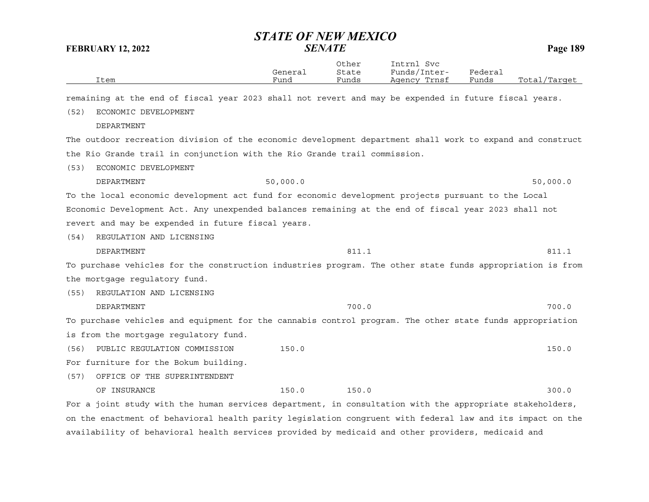|      | General | Other<br>State | Intrnl<br>Svc<br>Funds/I<br>Inter- | ${}_{\rm \texttt{Federau}}$ |                  |
|------|---------|----------------|------------------------------------|-----------------------------|------------------|
| Item | Funo    | Funds          | Trnsf<br>Agency                    | Funds                       | Total<br>/Target |
|      |         |                |                                    |                             |                  |

remaining at the end of fiscal year 2023 shall not revert and may be expended in future fiscal years.

(52) ECONOMIC DEVELOPMENT

DEPARTMENT

The outdoor recreation division of the economic development department shall work to expand and construct the Rio Grande trail in conjunction with the Rio Grande trail commission.

- (53) ECONOMIC DEVELOPMENT
- DEPARTMENT 50,000.0 50,000.0 To the local economic development act fund for economic development projects pursuant to the Local

Economic Development Act. Any unexpended balances remaining at the end of fiscal year 2023 shall not revert and may be expended in future fiscal years.

(54) REGULATION AND LICENSING

DEPARTMENT 811.1 811.1

To purchase vehicles for the construction industries program. The other state funds appropriation is from the mortgage regulatory fund.

(55) REGULATION AND LICENSING

DEPARTMENT 700.0 700.0

To purchase vehicles and equipment for the cannabis control program. The other state funds appropriation is from the mortgage regulatory fund.

(56) PUBLIC REGULATION COMMISSION 150.0 150.0

For furniture for the Bokum building.

(57) OFFICE OF THE SUPERINTENDENT

OF INSURANCE 300.0 150.0 150.0 150.0 150.0 300.0

For a joint study with the human services department, in consultation with the appropriate stakeholders, on the enactment of behavioral health parity legislation congruent with federal law and its impact on the availability of behavioral health services provided by medicaid and other providers, medicaid and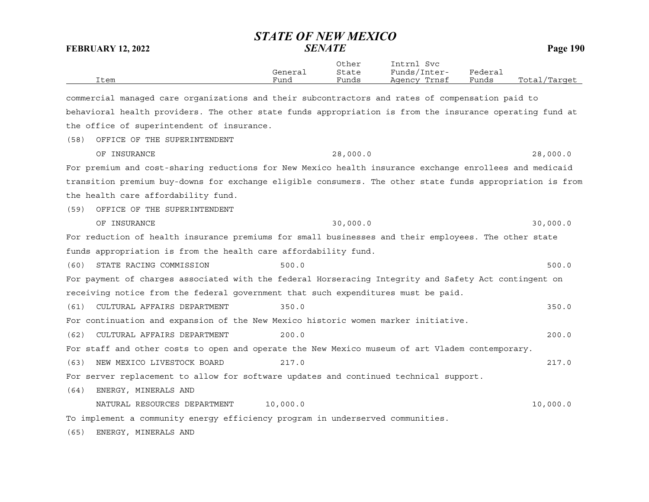| <b>FEBRUARY 12, 2022</b>                                                                                  |                 | ыліе VI New Mexico<br><b>SENATE</b> |                                            |                  | Page 190     |
|-----------------------------------------------------------------------------------------------------------|-----------------|-------------------------------------|--------------------------------------------|------------------|--------------|
| Item                                                                                                      | General<br>Fund | Other<br>State<br>Funds             | Intrnl Svc<br>Funds/Inter-<br>Agency Trnsf | Federal<br>Funds | Total/Target |
| commercial managed care organizations and their subcontractors and rates of compensation paid to          |                 |                                     |                                            |                  |              |
| behavioral health providers. The other state funds appropriation is from the insurance operating fund at  |                 |                                     |                                            |                  |              |
| the office of superintendent of insurance.                                                                |                 |                                     |                                            |                  |              |
| OFFICE OF THE SUPERINTENDENT<br>(58)                                                                      |                 |                                     |                                            |                  |              |
| OF INSURANCE                                                                                              |                 | 28,000.0                            |                                            |                  | 28,000.0     |
| For premium and cost-sharing reductions for New Mexico health insurance exchange enrollees and medicaid   |                 |                                     |                                            |                  |              |
| transition premium buy-downs for exchange eligible consumers. The other state funds appropriation is from |                 |                                     |                                            |                  |              |
| the health care affordability fund.                                                                       |                 |                                     |                                            |                  |              |
| OFFICE OF THE SUPERINTENDENT<br>(59)                                                                      |                 |                                     |                                            |                  |              |
| OF INSURANCE                                                                                              |                 | 30,000.0                            |                                            |                  | 30,000.0     |
| For reduction of health insurance premiums for small businesses and their employees. The other state      |                 |                                     |                                            |                  |              |
| funds appropriation is from the health care affordability fund.                                           |                 |                                     |                                            |                  |              |
| STATE RACING COMMISSION<br>(60)                                                                           | 500.0           |                                     |                                            |                  | 500.0        |
| For payment of charges associated with the federal Horseracing Integrity and Safety Act contingent on     |                 |                                     |                                            |                  |              |
| receiving notice from the federal government that such expenditures must be paid.                         |                 |                                     |                                            |                  |              |
| CULTURAL AFFAIRS DEPARTMENT<br>(61)                                                                       | 350.0           |                                     |                                            |                  | 350.0        |
| For continuation and expansion of the New Mexico historic women marker initiative.                        |                 |                                     |                                            |                  |              |
| CULTURAL AFFAIRS DEPARTMENT<br>(62)                                                                       | 200.0           |                                     |                                            |                  | 200.0        |
| For staff and other costs to open and operate the New Mexico museum of art Vladem contemporary.           |                 |                                     |                                            |                  |              |
| (63)<br>NEW MEXICO LIVESTOCK BOARD                                                                        | 217.0           |                                     |                                            |                  | 217.0        |
| For server replacement to allow for software updates and continued technical support.                     |                 |                                     |                                            |                  |              |
| ENERGY, MINERALS AND<br>(64)                                                                              |                 |                                     |                                            |                  |              |
| NATURAL RESOURCES DEPARTMENT                                                                              | 10,000.0        |                                     |                                            |                  | 10,000.0     |
| To implement a community energy efficiency program in underserved communities.                            |                 |                                     |                                            |                  |              |
| (65)<br>ENERGY, MINERALS AND                                                                              |                 |                                     |                                            |                  |              |

*STATE OF NEW MEXICO*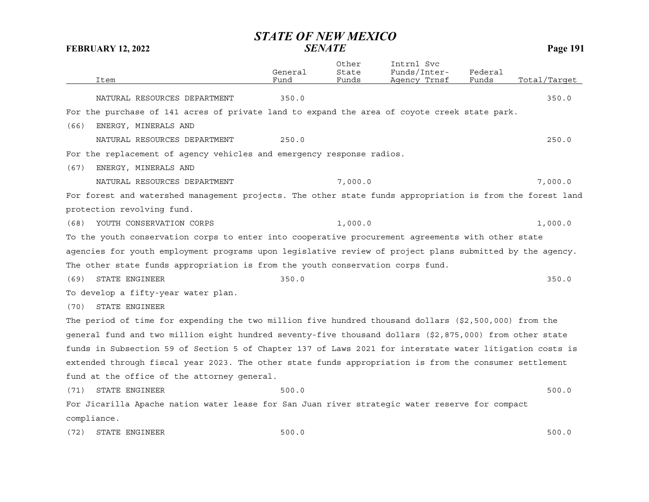| Item                                                                                                      | General<br>Fund | Other<br>State<br>Funds | Intrnl Svc<br>Funds/Inter-<br>Agency Trnst | Federal<br>Funds | Total/Target |
|-----------------------------------------------------------------------------------------------------------|-----------------|-------------------------|--------------------------------------------|------------------|--------------|
|                                                                                                           |                 |                         |                                            |                  |              |
| NATURAL RESOURCES DEPARTMENT                                                                              | 350.0           |                         |                                            |                  | 350.0        |
| For the purchase of 141 acres of private land to expand the area of coyote creek state park.              |                 |                         |                                            |                  |              |
| (66)<br>ENERGY, MINERALS AND                                                                              |                 |                         |                                            |                  |              |
| NATURAL RESOURCES DEPARTMENT                                                                              | 250.0           |                         |                                            |                  | 250.0        |
| For the replacement of agency vehicles and emergency response radios.                                     |                 |                         |                                            |                  |              |
| (67)<br>ENERGY, MINERALS AND                                                                              |                 |                         |                                            |                  |              |
| NATURAL RESOURCES DEPARTMENT                                                                              |                 | 7,000.0                 |                                            |                  | 7,000.0      |
| For forest and watershed management projects. The other state funds appropriation is from the forest land |                 |                         |                                            |                  |              |
| protection revolving fund.                                                                                |                 |                         |                                            |                  |              |
| YOUTH CONSERVATION CORPS<br>(68)                                                                          |                 | 1,000.0                 |                                            |                  | 1,000.0      |
| To the youth conservation corps to enter into cooperative procurement agreements with other state         |                 |                         |                                            |                  |              |
| agencies for youth employment programs upon legislative review of project plans submitted by the agency.  |                 |                         |                                            |                  |              |
| The other state funds appropriation is from the youth conservation corps fund.                            |                 |                         |                                            |                  |              |
| STATE ENGINEER<br>(69)                                                                                    | 350.0           |                         |                                            |                  | 350.0        |
| To develop a fifty-year water plan.                                                                       |                 |                         |                                            |                  |              |
| STATE ENGINEER<br>(70)                                                                                    |                 |                         |                                            |                  |              |
| The period of time for expending the two million five hundred thousand dollars (\$2,500,000) from the     |                 |                         |                                            |                  |              |
| general fund and two million eight hundred seventy-five thousand dollars (\$2,875,000) from other state   |                 |                         |                                            |                  |              |
| funds in Subsection 59 of Section 5 of Chapter 137 of Laws 2021 for interstate water litigation costs is  |                 |                         |                                            |                  |              |
| extended through fiscal year 2023. The other state funds appropriation is from the consumer settlement    |                 |                         |                                            |                  |              |
| fund at the office of the attorney general.                                                               |                 |                         |                                            |                  |              |
| STATE ENGINEER<br>(71)                                                                                    | 500.0           |                         |                                            |                  | 500.0        |
| For Jicarilla Apache nation water lease for San Juan river strategic water reserve for compact            |                 |                         |                                            |                  |              |
| compliance.                                                                                               |                 |                         |                                            |                  |              |
| (72)<br>STATE ENGINEER                                                                                    | 500.0           |                         |                                            |                  | 500.0        |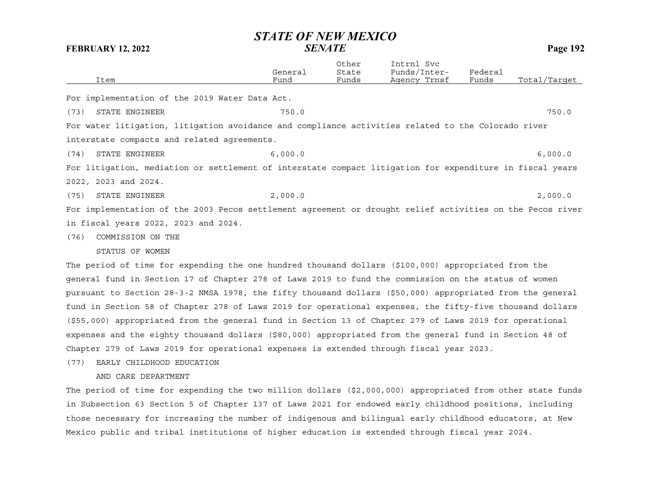|      |                                                                                                           | General | Other<br>State | Intrnl Svc<br>Funds/Inter- | Federal |              |
|------|-----------------------------------------------------------------------------------------------------------|---------|----------------|----------------------------|---------|--------------|
|      | Item                                                                                                      | Fund    | Funds          | Agency Trnsf               | Funds   | Total/Target |
|      | For implementation of the 2019 Water Data Act.                                                            |         |                |                            |         |              |
| (73) | STATE ENGINEER                                                                                            | 750.0   |                |                            |         | 750.0        |
|      | For water litigation, litigation avoidance and compliance activities related to the Colorado river        |         |                |                            |         |              |
|      | interstate compacts and related agreements.                                                               |         |                |                            |         |              |
| (74) | STATE ENGINEER                                                                                            | 6,000.0 |                |                            |         | 6,000.0      |
|      | For litigation, mediation or settlement of interstate compact litigation for expenditure in fiscal years  |         |                |                            |         |              |
|      | 2022, 2023 and 2024.                                                                                      |         |                |                            |         |              |
| (75) | STATE ENGINEER                                                                                            | 2,000.0 |                |                            |         | 2,000.0      |
|      | For implementation of the 2003 Pecos settlement agreement or drought relief activities on the Pecos river |         |                |                            |         |              |
|      | in fiscal years 2022, 2023 and 2024.                                                                      |         |                |                            |         |              |
| (76) | COMMISSION ON THE                                                                                         |         |                |                            |         |              |
|      | STATUS OF WOMEN                                                                                           |         |                |                            |         |              |
|      | The period of time for expending the one hundred thousand dollars (\$100,000) appropriated from the       |         |                |                            |         |              |

general fund in Section 17 of Chapter 278 of Laws 2019 to fund the commission on the status of women pursuant to Section 28-3-2 NMSA 1978, the fifty thousand dollars (\$50,000) appropriated from the general fund in Section 58 of Chapter 278 of Laws 2019 for operational expenses, the fifty-five thousand dollars (\$55,000) appropriated from the general fund in Section 13 of Chapter 279 of Laws 2019 for operational expenses and the eighty thousand dollars (\$80,000) appropriated from the general fund in Section 48 of Chapter 279 of Laws 2019 for operational expenses is extended through fiscal year 2023.

(77) EARLY CHILDHOOD EDUCATION

AND CARE DEPARTMENT

The period of time for expending the two million dollars (\$2,000,000) appropriated from other state funds in Subsection 63 Section 5 of Chapter 137 of Laws 2021 for endowed early childhood positions, including those necessary for increasing the number of indigenous and bilingual early childhood educators, at New Mexico public and tribal institutions of higher education is extended through fiscal year 2024.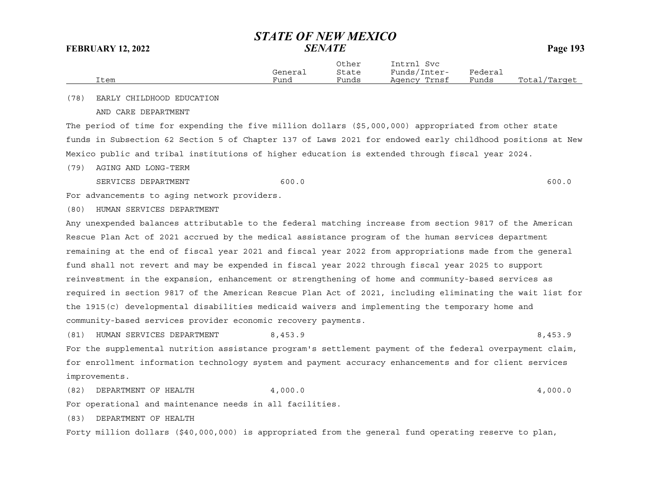|      | General | Other<br>State | Intrnl<br>Svc<br>Funds/Inter- | Federal |              |
|------|---------|----------------|-------------------------------|---------|--------------|
| Item | Fund    | Funds          | Agency Trnsf                  | Funds   | Total/Tarqet |

(78) EARLY CHILDHOOD EDUCATION

AND CARE DEPARTMENT

The period of time for expending the five million dollars (\$5,000,000) appropriated from other state funds in Subsection 62 Section 5 of Chapter 137 of Laws 2021 for endowed early childhood positions at New Mexico public and tribal institutions of higher education is extended through fiscal year 2024.

(79) AGING AND LONG-TERM

SERVICES DEPARTMENT 600.0 600.0 600.0 600.0 600.0 600.0 600.0 600.0 600.0 600.0 600.0 600.0 600.0 600.0 600.0 600.0 600.0 600.0 600.0 600.0 600.0 600.0 600.0 600.0 600.0 600.0 600.0 600.0 600.0 600.0 600.0 600.0 600.0 600.

For advancements to aging network providers.

(80) HUMAN SERVICES DEPARTMENT

Any unexpended balances attributable to the federal matching increase from section 9817 of the American Rescue Plan Act of 2021 accrued by the medical assistance program of the human services department remaining at the end of fiscal year 2021 and fiscal year 2022 from appropriations made from the general fund shall not revert and may be expended in fiscal year 2022 through fiscal year 2025 to support reinvestment in the expansion, enhancement or strengthening of home and community-based services as required in section 9817 of the American Rescue Plan Act of 2021, including eliminating the wait list for the 1915(c) developmental disabilities medicaid waivers and implementing the temporary home and community-based services provider economic recovery payments.

(81) HUMAN SERVICES DEPARTMENT 8,453.9 8,453.9

For the supplemental nutrition assistance program's settlement payment of the federal overpayment claim, for enrollment information technology system and payment accuracy enhancements and for client services improvements.

(82) DEPARTMENT OF HEALTH 4,000.0 4,000 4,000 4,000 4,000 4,000 4,000 4,000 4,000 4,000 4,000 4,000 4,000 4,000 4,000 4,000 4,000 4,000 4,000 4,000 4,000 4,000 4,000 4,000 4,000 4,000 4,000 4,000 4,000 4,000 4,000 4,000 4,

For operational and maintenance needs in all facilities.

(83) DEPARTMENT OF HEALTH

Forty million dollars (\$40,000,000) is appropriated from the general fund operating reserve to plan,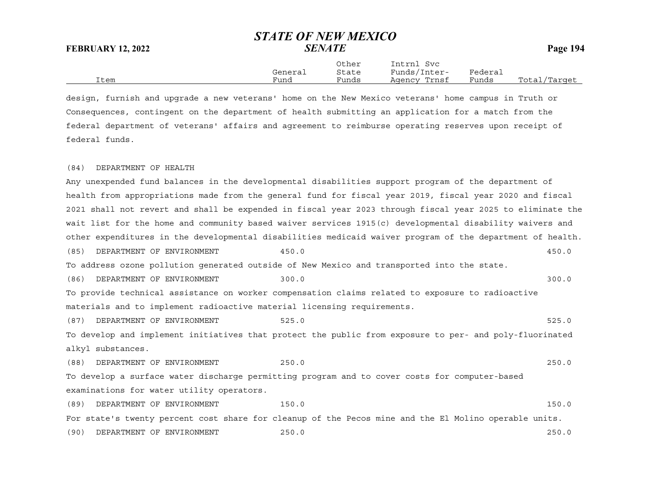Other Intrnl Svc General State Funds/Inter- Federal Item Fund Funds Agency Trnsf Funds Total/Target

design, furnish and upgrade a new veterans' home on the New Mexico veterans' home campus in Truth or Consequences, contingent on the department of health submitting an application for a match from the federal department of veterans' affairs and agreement to reimburse operating reserves upon receipt of federal funds.

## (84) DEPARTMENT OF HEALTH

Any unexpended fund balances in the developmental disabilities support program of the department of health from appropriations made from the general fund for fiscal year 2019, fiscal year 2020 and fiscal 2021 shall not revert and shall be expended in fiscal year 2023 through fiscal year 2025 to eliminate the wait list for the home and community based waiver services 1915(c) developmental disability waivers and other expenditures in the developmental disabilities medicaid waiver program of the department of health. (85) DEPARTMENT OF ENVIRONMENT 450.0 450.0 To address ozone pollution generated outside of New Mexico and transported into the state. (86) DEPARTMENT OF ENVIRONMENT 300.0 300.0 To provide technical assistance on worker compensation claims related to exposure to radioactive materials and to implement radioactive material licensing requirements. (87) DEPARTMENT OF ENVIRONMENT 525.0 525.0 To develop and implement initiatives that protect the public from exposure to per- and poly-fluorinated alkyl substances. (88) DEPARTMENT OF ENVIRONMENT 250.0 250.0 To develop a surface water discharge permitting program and to cover costs for computer-based examinations for water utility operators. (89) DEPARTMENT OF ENVIRONMENT 150.0 150.0 150.0 For state's twenty percent cost share for cleanup of the Pecos mine and the El Molino operable units.

(90) DEPARTMENT OF ENVIRONMENT 250.0 250.0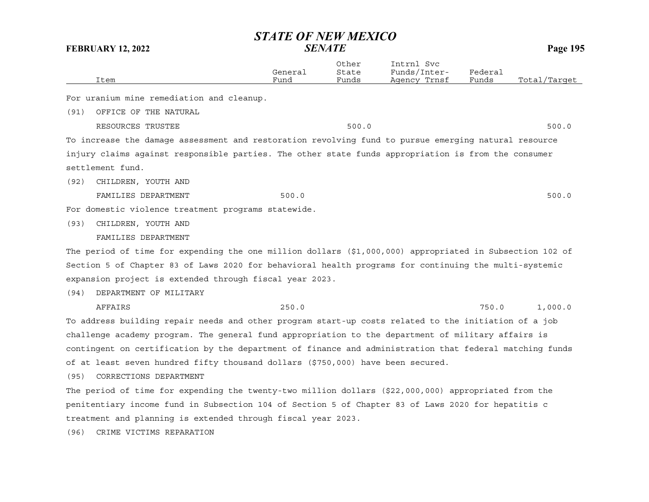|      |                                                                                                          | General | Other<br>State | Intrnl Svc<br>Funds/Inter- | Federal |              |
|------|----------------------------------------------------------------------------------------------------------|---------|----------------|----------------------------|---------|--------------|
|      | Item                                                                                                     | Fund    | Funds          | Agency Trnsf               | Funds   | Total/Target |
|      | For uranium mine remediation and cleanup.                                                                |         |                |                            |         |              |
| (91) | OFFICE OF THE NATURAL                                                                                    |         |                |                            |         |              |
|      | RESOURCES TRUSTEE                                                                                        |         | 500.0          |                            |         | 500.0        |
|      | To increase the damage assessment and restoration revolving fund to pursue emerging natural resource     |         |                |                            |         |              |
|      | injury claims against responsible parties. The other state funds appropriation is from the consumer      |         |                |                            |         |              |
|      | settlement fund.                                                                                         |         |                |                            |         |              |
| (92) | CHILDREN, YOUTH AND                                                                                      |         |                |                            |         |              |
|      | FAMILIES DEPARTMENT                                                                                      | 500.0   |                |                            |         | 500.0        |
|      | For domestic violence treatment programs statewide.                                                      |         |                |                            |         |              |
| (93) | CHILDREN, YOUTH AND                                                                                      |         |                |                            |         |              |
|      | FAMILIES DEPARTMENT                                                                                      |         |                |                            |         |              |
|      | The period of time for expending the one million dollars (\$1,000,000) appropriated in Subsection 102 of |         |                |                            |         |              |
|      | Section 5 of Chapter 83 of Laws 2020 for behavioral health programs for continuing the multi-systemic    |         |                |                            |         |              |
|      | expansion project is extended through fiscal year 2023.                                                  |         |                |                            |         |              |
| (94) | DEPARTMENT OF MILITARY                                                                                   |         |                |                            |         |              |
|      | AFFAIRS                                                                                                  | 250.0   |                |                            | 750.0   | 1,000.0      |
|      | To address building repair needs and other program start-up costs related to the initiation of a job     |         |                |                            |         |              |
|      | challenge academy program. The general fund appropriation to the department of military affairs is       |         |                |                            |         |              |
|      | contingent on certification by the department of finance and administration that federal matching funds  |         |                |                            |         |              |
|      | of at least seven hundred fifty thousand dollars (\$750,000) have been secured.                          |         |                |                            |         |              |
| (95) | CORRECTIONS DEPARTMENT                                                                                   |         |                |                            |         |              |
|      | The period of time for expending the twenty-two million dollars (\$22,000,000) appropriated from the     |         |                |                            |         |              |
|      | penitentiary income fund in Subsection 104 of Section 5 of Chapter 83 of Laws 2020 for hepatitis c       |         |                |                            |         |              |
|      | treatment and planning is extended through fiscal year 2023.                                             |         |                |                            |         |              |
| (96) | CRIME VICTIMS REPARATION                                                                                 |         |                |                            |         |              |
|      |                                                                                                          |         |                |                            |         |              |
|      |                                                                                                          |         |                |                            |         |              |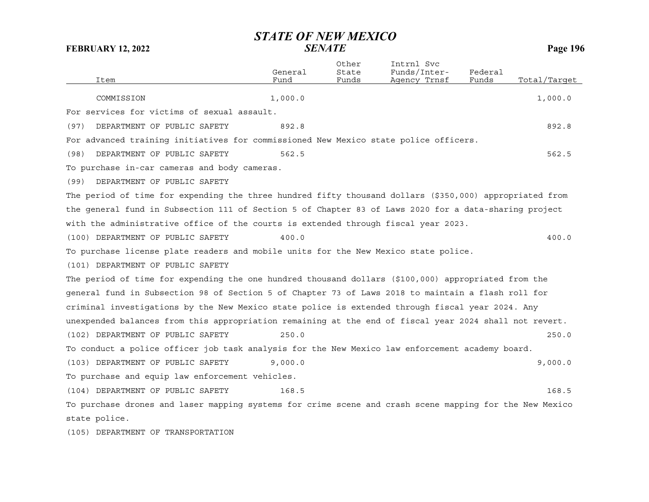|                                                                                                         | General | Other<br>State | Intrnl Svc<br>Funds/Inter- | Federal |              |
|---------------------------------------------------------------------------------------------------------|---------|----------------|----------------------------|---------|--------------|
| Item                                                                                                    | Fund    | Funds          | Agency Trnsf               | Funds   | Total/Target |
| COMMISSION                                                                                              | 1,000.0 |                |                            |         | 1,000.0      |
| For services for victims of sexual assault.                                                             |         |                |                            |         |              |
| DEPARTMENT OF PUBLIC SAFETY<br>(97)                                                                     | 892.8   |                |                            |         | 892.8        |
| For advanced training initiatives for commissioned New Mexico state police officers.                    |         |                |                            |         |              |
| DEPARTMENT OF PUBLIC SAFETY<br>(98)                                                                     | 562.5   |                |                            |         | 562.5        |
| To purchase in-car cameras and body cameras.                                                            |         |                |                            |         |              |
| DEPARTMENT OF PUBLIC SAFETY<br>(99)                                                                     |         |                |                            |         |              |
| The period of time for expending the three hundred fifty thousand dollars (\$350,000) appropriated from |         |                |                            |         |              |
| the general fund in Subsection 111 of Section 5 of Chapter 83 of Laws 2020 for a data-sharing project   |         |                |                            |         |              |
| with the administrative office of the courts is extended through fiscal year 2023.                      |         |                |                            |         |              |
| (100) DEPARTMENT OF PUBLIC SAFETY                                                                       | 400.0   |                |                            |         | 400.0        |
| To purchase license plate readers and mobile units for the New Mexico state police.                     |         |                |                            |         |              |
| (101) DEPARTMENT OF PUBLIC SAFETY                                                                       |         |                |                            |         |              |
| The period of time for expending the one hundred thousand dollars (\$100,000) appropriated from the     |         |                |                            |         |              |
| general fund in Subsection 98 of Section 5 of Chapter 73 of Laws 2018 to maintain a flash roll for      |         |                |                            |         |              |
| criminal investigations by the New Mexico state police is extended through fiscal year 2024. Any        |         |                |                            |         |              |
| unexpended balances from this appropriation remaining at the end of fiscal year 2024 shall not revert.  |         |                |                            |         |              |
| (102) DEPARTMENT OF PUBLIC SAFETY                                                                       | 250.0   |                |                            |         | 250.0        |
| To conduct a police officer job task analysis for the New Mexico law enforcement academy board.         |         |                |                            |         |              |
| (103) DEPARTMENT OF PUBLIC SAFETY                                                                       | 9,000.0 |                |                            |         | 9,000.0      |
| To purchase and equip law enforcement vehicles.                                                         |         |                |                            |         |              |
| (104) DEPARTMENT OF PUBLIC SAFETY                                                                       | 168.5   |                |                            |         | 168.5        |
| To purchase drones and laser mapping systems for crime scene and crash scene mapping for the New Mexico |         |                |                            |         |              |
| state police.                                                                                           |         |                |                            |         |              |
|                                                                                                         |         |                |                            |         |              |

(105) DEPARTMENT OF TRANSPORTATION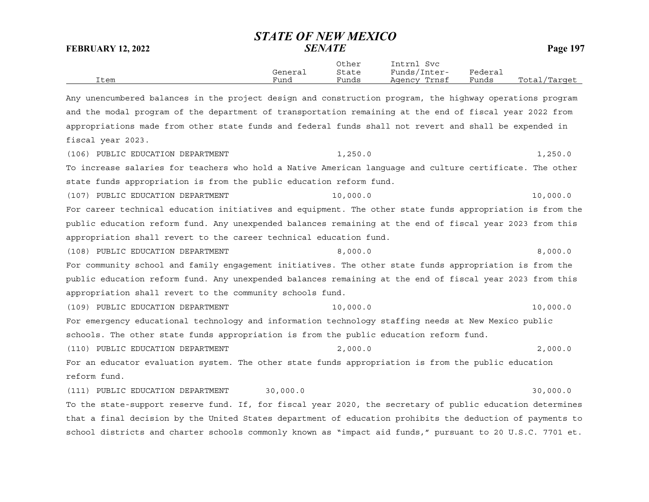|      |         | Other | Intrnl<br>Svc   |         |                  |
|------|---------|-------|-----------------|---------|------------------|
|      | General | State | Funds/Inter-    | Federai |                  |
| Item | Funa    | Funds | Trnsf<br>Agency | Funds   | Total<br>/Target |

Any unencumbered balances in the project design and construction program, the highway operations program and the modal program of the department of transportation remaining at the end of fiscal year 2022 from appropriations made from other state funds and federal funds shall not revert and shall be expended in fiscal year 2023. (106) PUBLIC EDUCATION DEPARTMENT  $1,250.0$   $1,250.0$ To increase salaries for teachers who hold a Native American language and culture certificate. The other state funds appropriation is from the public education reform fund. (107) PUBLIC EDUCATION DEPARTMENT  $10,000.0$ For career technical education initiatives and equipment. The other state funds appropriation is from the public education reform fund. Any unexpended balances remaining at the end of fiscal year 2023 from this appropriation shall revert to the career technical education fund. (108) PUBLIC EDUCATION DEPARTMENT 8,000.0 8,000.0 8,000 8,000.0 For community school and family engagement initiatives. The other state funds appropriation is from the public education reform fund. Any unexpended balances remaining at the end of fiscal year 2023 from this appropriation shall revert to the community schools fund. (109) PUBLIC EDUCATION DEPARTMENT  $10,000.0$ For emergency educational technology and information technology staffing needs at New Mexico public schools. The other state funds appropriation is from the public education reform fund. (110) PUBLIC EDUCATION DEPARTMENT 2,000.0 2,000.0 For an educator evaluation system. The other state funds appropriation is from the public education reform fund.(111) PUBLIC EDUCATION DEPARTMENT 30,000.0 30,000 30,000.0 To the state-support reserve fund. If, for fiscal year 2020, the secretary of public education determines that a final decision by the United States department of education prohibits the deduction of payments to

school districts and charter schools commonly known as "impact aid funds," pursuant to 20 U.S.C. 7701 et.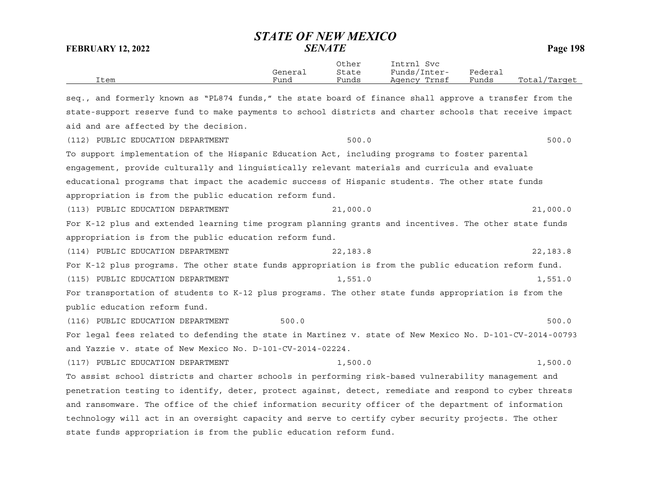| Item                                                                                                     | General<br>Fund | Other<br>State<br>Funds | Intrnl Svc<br>Funds/Inter-<br>Agency Trnsf | Federal<br>Funds | Total/Target |
|----------------------------------------------------------------------------------------------------------|-----------------|-------------------------|--------------------------------------------|------------------|--------------|
| seq., and formerly known as "PL874 funds," the state board of finance shall approve a transfer from the  |                 |                         |                                            |                  |              |
| state-support reserve fund to make payments to school districts and charter schools that receive impact  |                 |                         |                                            |                  |              |
| aid and are affected by the decision.                                                                    |                 |                         |                                            |                  |              |
|                                                                                                          |                 |                         |                                            |                  |              |
| (112) PUBLIC EDUCATION DEPARTMENT                                                                        |                 | 500.0                   |                                            |                  | 500.0        |
| To support implementation of the Hispanic Education Act, including programs to foster parental           |                 |                         |                                            |                  |              |
| engagement, provide culturally and linguistically relevant materials and curricula and evaluate          |                 |                         |                                            |                  |              |
| educational programs that impact the academic success of Hispanic students. The other state funds        |                 |                         |                                            |                  |              |
| appropriation is from the public education reform fund.                                                  |                 |                         |                                            |                  |              |
| (113) PUBLIC EDUCATION DEPARTMENT                                                                        |                 | 21,000.0                |                                            |                  | 21,000.0     |
| For K-12 plus and extended learning time program planning grants and incentives. The other state funds   |                 |                         |                                            |                  |              |
| appropriation is from the public education reform fund.                                                  |                 |                         |                                            |                  |              |
| (114) PUBLIC EDUCATION DEPARTMENT                                                                        |                 | 22, 183.8               |                                            |                  | 22, 183.8    |
| For K-12 plus programs. The other state funds appropriation is from the public education reform fund.    |                 |                         |                                            |                  |              |
| (115) PUBLIC EDUCATION DEPARTMENT                                                                        |                 | 1,551.0                 |                                            |                  | 1,551.0      |
| For transportation of students to K-12 plus programs. The other state funds appropriation is from the    |                 |                         |                                            |                  |              |
| public education reform fund.                                                                            |                 |                         |                                            |                  |              |
| (116) PUBLIC EDUCATION DEPARTMENT                                                                        | 500.0           |                         |                                            |                  | 500.0        |
| For legal fees related to defending the state in Martinez v. state of New Mexico No. D-101-CV-2014-00793 |                 |                         |                                            |                  |              |
| and Yazzie v. state of New Mexico No. D-101-CV-2014-02224.                                               |                 |                         |                                            |                  |              |
| (117) PUBLIC EDUCATION DEPARTMENT                                                                        |                 | 1,500.0                 |                                            |                  | 1,500.0      |
| To assist school districts and charter schools in performing risk-based vulnerability management and     |                 |                         |                                            |                  |              |
| penetration testing to identify, deter, protect against, detect, remediate and respond to cyber threats  |                 |                         |                                            |                  |              |
| and ransomware. The office of the chief information security officer of the department of information    |                 |                         |                                            |                  |              |
| technology will act in an oversight capacity and serve to certify cyber security projects. The other     |                 |                         |                                            |                  |              |
| state funds appropriation is from the public education reform fund.                                      |                 |                         |                                            |                  |              |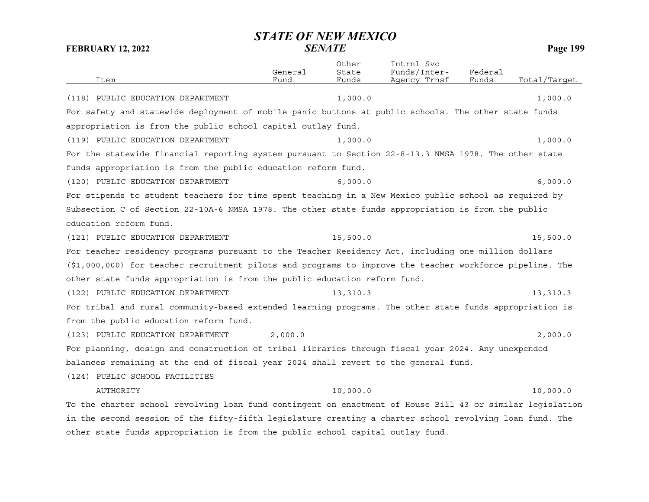| Item                                                                                                      | General<br>Fund | Other<br>State<br>Funds | Intrnl Svc<br>Funds/Inter-<br>Agency Trnsf | Federal<br>Funds | Total/Target |
|-----------------------------------------------------------------------------------------------------------|-----------------|-------------------------|--------------------------------------------|------------------|--------------|
| (118) PUBLIC EDUCATION DEPARTMENT                                                                         |                 | 1,000.0                 |                                            |                  | 1,000.0      |
| For safety and statewide deployment of mobile panic buttons at public schools. The other state funds      |                 |                         |                                            |                  |              |
| appropriation is from the public school capital outlay fund.                                              |                 |                         |                                            |                  |              |
| (119) PUBLIC EDUCATION DEPARTMENT                                                                         |                 | 1,000.0                 |                                            |                  | 1,000.0      |
| For the statewide financial reporting system pursuant to Section 22-8-13.3 NMSA 1978. The other state     |                 |                         |                                            |                  |              |
| funds appropriation is from the public education reform fund.                                             |                 |                         |                                            |                  |              |
| (120) PUBLIC EDUCATION DEPARTMENT                                                                         |                 | 6,000.0                 |                                            |                  | 6,000.0      |
| For stipends to student teachers for time spent teaching in a New Mexico public school as required by     |                 |                         |                                            |                  |              |
| Subsection C of Section 22-10A-6 NMSA 1978. The other state funds appropriation is from the public        |                 |                         |                                            |                  |              |
| education reform fund.                                                                                    |                 |                         |                                            |                  |              |
| (121) PUBLIC EDUCATION DEPARTMENT                                                                         |                 | 15,500.0                |                                            |                  | 15,500.0     |
| For teacher residency programs pursuant to the Teacher Residency Act, including one million dollars       |                 |                         |                                            |                  |              |
| (\$1,000,000) for teacher recruitment pilots and programs to improve the teacher workforce pipeline. The  |                 |                         |                                            |                  |              |
| other state funds appropriation is from the public education reform fund.                                 |                 |                         |                                            |                  |              |
| (122) PUBLIC EDUCATION DEPARTMENT                                                                         |                 | 13,310.3                |                                            |                  | 13,310.3     |
| For tribal and rural community-based extended learning programs. The other state funds appropriation is   |                 |                         |                                            |                  |              |
| from the public education reform fund.                                                                    |                 |                         |                                            |                  |              |
| (123) PUBLIC EDUCATION DEPARTMENT                                                                         | 2,000.0         |                         |                                            |                  | 2,000.0      |
| For planning, design and construction of tribal libraries through fiscal year 2024. Any unexpended        |                 |                         |                                            |                  |              |
| balances remaining at the end of fiscal year 2024 shall revert to the general fund.                       |                 |                         |                                            |                  |              |
| (124) PUBLIC SCHOOL FACILITIES                                                                            |                 |                         |                                            |                  |              |
| AUTHORITY                                                                                                 |                 | 10,000.0                |                                            |                  | 10,000.0     |
| To the charter school revolving loan fund contingent on enactment of House Bill 43 or similar legislation |                 |                         |                                            |                  |              |
| in the second session of the fifty-fifth legislature creating a charter school revolving loan fund. The   |                 |                         |                                            |                  |              |
| other state funds appropriation is from the public school capital outlay fund.                            |                 |                         |                                            |                  |              |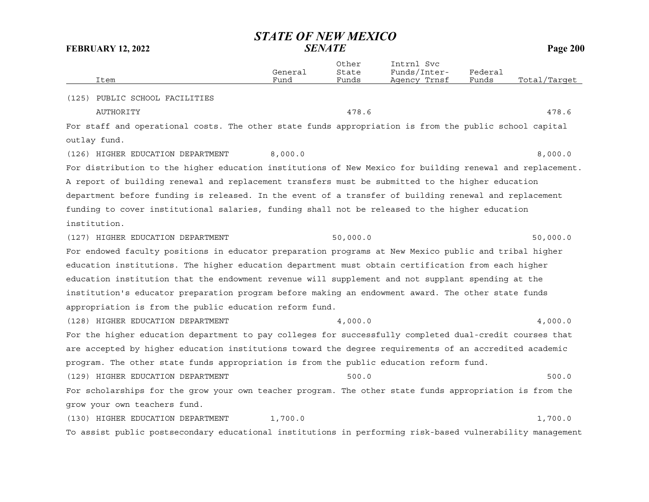| Item                                                                                                      | General<br>Fund | Other<br>State<br>Funds | Intrnl Svc<br>Funds/Inter-<br>Agency Trnsf | Federal<br>Funds | Total/Target |
|-----------------------------------------------------------------------------------------------------------|-----------------|-------------------------|--------------------------------------------|------------------|--------------|
| (125) PUBLIC SCHOOL FACILITIES                                                                            |                 |                         |                                            |                  |              |
| <b>AUTHORITY</b>                                                                                          |                 | 478.6                   |                                            |                  | 478.6        |
| For staff and operational costs. The other state funds appropriation is from the public school capital    |                 |                         |                                            |                  |              |
| outlay fund.                                                                                              |                 |                         |                                            |                  |              |
| (126) HIGHER EDUCATION DEPARTMENT                                                                         | 8,000.0         |                         |                                            |                  | 8,000.0      |
| For distribution to the higher education institutions of New Mexico for building renewal and replacement. |                 |                         |                                            |                  |              |
| A report of building renewal and replacement transfers must be submitted to the higher education          |                 |                         |                                            |                  |              |
| department before funding is released. In the event of a transfer of building renewal and replacement     |                 |                         |                                            |                  |              |
| funding to cover institutional salaries, funding shall not be released to the higher education            |                 |                         |                                            |                  |              |
| institution.                                                                                              |                 |                         |                                            |                  |              |
| (127) HIGHER EDUCATION DEPARTMENT                                                                         |                 | 50,000.0                |                                            |                  | 50,000.0     |
| For endowed faculty positions in educator preparation programs at New Mexico public and tribal higher     |                 |                         |                                            |                  |              |
| education institutions. The higher education department must obtain certification from each higher        |                 |                         |                                            |                  |              |
| education institution that the endowment revenue will supplement and not supplant spending at the         |                 |                         |                                            |                  |              |
| institution's educator preparation program before making an endowment award. The other state funds        |                 |                         |                                            |                  |              |
| appropriation is from the public education reform fund.                                                   |                 |                         |                                            |                  |              |
| (128) HIGHER EDUCATION DEPARTMENT                                                                         |                 | 4,000.0                 |                                            |                  | 4,000.0      |
| For the higher education department to pay colleges for successfully completed dual-credit courses that   |                 |                         |                                            |                  |              |
| are accepted by higher education institutions toward the degree requirements of an accredited academic    |                 |                         |                                            |                  |              |
| program. The other state funds appropriation is from the public education reform fund.                    |                 |                         |                                            |                  |              |
| (129) HIGHER EDUCATION DEPARTMENT                                                                         |                 | 500.0                   |                                            |                  | 500.0        |
| For scholarships for the grow your own teacher program. The other state funds appropriation is from the   |                 |                         |                                            |                  |              |
| grow your own teachers fund.                                                                              |                 |                         |                                            |                  |              |
| (130) HIGHER EDUCATION DEPARTMENT                                                                         | 1,700.0         |                         |                                            |                  | 1,700.0      |
| To assist public postsecondary educational institutions in performing risk-based vulnerability management |                 |                         |                                            |                  |              |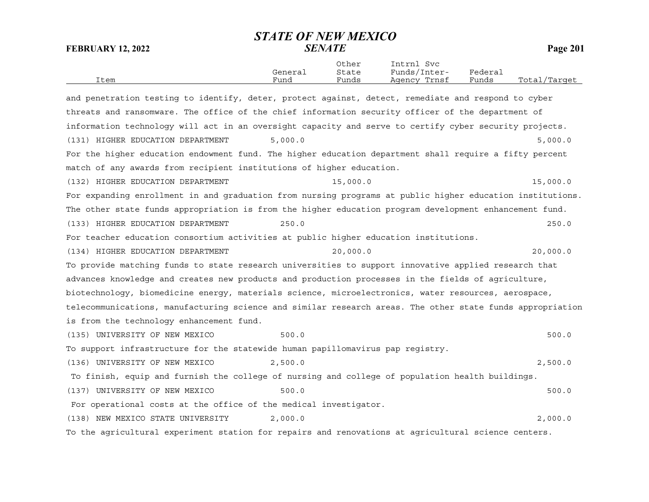| Item                                                                                                      | General<br>Fund | Other<br>State<br>Funds | Intrnl Svc<br>Funds/Inter-<br>Agency Trnsf | Federal<br>Funds | Total/Target |
|-----------------------------------------------------------------------------------------------------------|-----------------|-------------------------|--------------------------------------------|------------------|--------------|
| and penetration testing to identify, deter, protect against, detect, remediate and respond to cyber       |                 |                         |                                            |                  |              |
| threats and ransomware. The office of the chief information security officer of the department of         |                 |                         |                                            |                  |              |
|                                                                                                           |                 |                         |                                            |                  |              |
| information technology will act in an oversight capacity and serve to certify cyber security projects.    |                 |                         |                                            |                  |              |
| (131) HIGHER EDUCATION DEPARTMENT                                                                         | 5,000.0         |                         |                                            |                  | 5,000.0      |
| For the higher education endowment fund. The higher education department shall require a fifty percent    |                 |                         |                                            |                  |              |
| match of any awards from recipient institutions of higher education.                                      |                 |                         |                                            |                  |              |
| (132) HIGHER EDUCATION DEPARTMENT                                                                         |                 | 15,000.0                |                                            |                  | 15,000.0     |
| For expanding enrollment in and graduation from nursing programs at public higher education institutions. |                 |                         |                                            |                  |              |
| The other state funds appropriation is from the higher education program development enhancement fund.    |                 |                         |                                            |                  |              |
| (133) HIGHER EDUCATION DEPARTMENT                                                                         | 250.0           |                         |                                            |                  | 250.0        |
| For teacher education consortium activities at public higher education institutions.                      |                 |                         |                                            |                  |              |
| (134) HIGHER EDUCATION DEPARTMENT                                                                         |                 | 20,000.0                |                                            |                  | 20,000.0     |
| To provide matching funds to state research universities to support innovative applied research that      |                 |                         |                                            |                  |              |
| advances knowledge and creates new products and production processes in the fields of agriculture,        |                 |                         |                                            |                  |              |
| biotechnology, biomedicine energy, materials science, microelectronics, water resources, aerospace,       |                 |                         |                                            |                  |              |
| telecommunications, manufacturing science and similar research areas. The other state funds appropriation |                 |                         |                                            |                  |              |
| is from the technology enhancement fund.                                                                  |                 |                         |                                            |                  |              |
| (135) UNIVERSITY OF NEW MEXICO                                                                            | 500.0           |                         |                                            |                  | 500.0        |
| To support infrastructure for the statewide human papillomavirus pap registry.                            |                 |                         |                                            |                  |              |
| (136) UNIVERSITY OF NEW MEXICO                                                                            | 2,500.0         |                         |                                            |                  | 2,500.0      |
| To finish, equip and furnish the college of nursing and college of population health buildings.           |                 |                         |                                            |                  |              |
| (137) UNIVERSITY OF NEW MEXICO                                                                            | 500.0           |                         |                                            |                  | 500.0        |
| For operational costs at the office of the medical investigator.                                          |                 |                         |                                            |                  |              |
| (138) NEW MEXICO STATE UNIVERSITY                                                                         | 2,000.0         |                         |                                            |                  | 2,000.0      |
| To the agricultural experiment station for repairs and renovations at agricultural science centers.       |                 |                         |                                            |                  |              |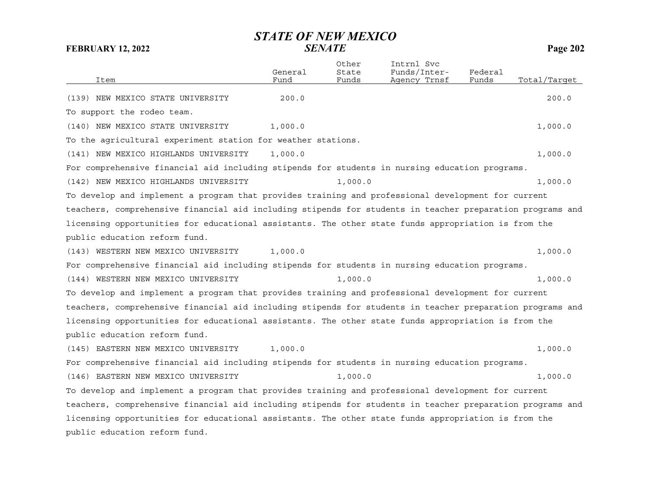| Item                                                                                                      | General<br>Fund | Other<br>State<br>Funds | Intrnl Svc<br>Funds/Inter-<br>Agency Trnsf | Federal<br>Funds | Total/Target |
|-----------------------------------------------------------------------------------------------------------|-----------------|-------------------------|--------------------------------------------|------------------|--------------|
|                                                                                                           |                 |                         |                                            |                  |              |
| (139) NEW MEXICO STATE UNIVERSITY                                                                         | 200.0           |                         |                                            |                  | 200.0        |
| To support the rodeo team.                                                                                |                 |                         |                                            |                  |              |
| (140) NEW MEXICO STATE UNIVERSITY                                                                         | 1,000.0         |                         |                                            |                  | 1,000.0      |
| To the agricultural experiment station for weather stations.                                              |                 |                         |                                            |                  |              |
| (141) NEW MEXICO HIGHLANDS UNIVERSITY                                                                     | 1,000.0         |                         |                                            |                  | 1,000.0      |
| For comprehensive financial aid including stipends for students in nursing education programs.            |                 |                         |                                            |                  |              |
| (142) NEW MEXICO HIGHLANDS UNIVERSITY                                                                     |                 | 1,000.0                 |                                            |                  | 1,000.0      |
| To develop and implement a program that provides training and professional development for current        |                 |                         |                                            |                  |              |
| teachers, comprehensive financial aid including stipends for students in teacher preparation programs and |                 |                         |                                            |                  |              |
| licensing opportunities for educational assistants. The other state funds appropriation is from the       |                 |                         |                                            |                  |              |
| public education reform fund.                                                                             |                 |                         |                                            |                  |              |
| (143) WESTERN NEW MEXICO UNIVERSITY                                                                       | 1,000.0         |                         |                                            |                  | 1,000.0      |
| For comprehensive financial aid including stipends for students in nursing education programs.            |                 |                         |                                            |                  |              |
| (144) WESTERN NEW MEXICO UNIVERSITY                                                                       |                 | 1,000.0                 |                                            |                  | 1,000.0      |
| To develop and implement a program that provides training and professional development for current        |                 |                         |                                            |                  |              |
| teachers, comprehensive financial aid including stipends for students in teacher preparation programs and |                 |                         |                                            |                  |              |
| licensing opportunities for educational assistants. The other state funds appropriation is from the       |                 |                         |                                            |                  |              |
| public education reform fund.                                                                             |                 |                         |                                            |                  |              |
| (145) EASTERN NEW MEXICO UNIVERSITY                                                                       | 1,000.0         |                         |                                            |                  | 1,000.0      |
| For comprehensive financial aid including stipends for students in nursing education programs.            |                 |                         |                                            |                  |              |
| (146) EASTERN NEW MEXICO UNIVERSITY                                                                       |                 | 1,000.0                 |                                            |                  | 1,000.0      |
| To develop and implement a program that provides training and professional development for current        |                 |                         |                                            |                  |              |
| teachers, comprehensive financial aid including stipends for students in teacher preparation programs and |                 |                         |                                            |                  |              |
| licensing opportunities for educational assistants. The other state funds appropriation is from the       |                 |                         |                                            |                  |              |
| public education reform fund.                                                                             |                 |                         |                                            |                  |              |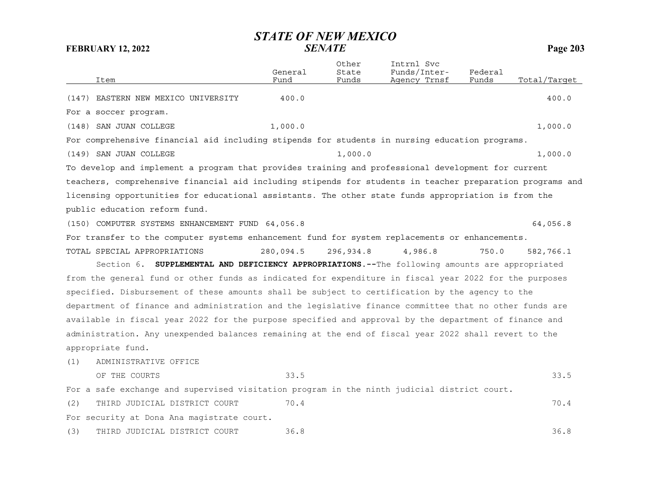| Item                                                                                                      | General<br>Fund | Other<br>State<br>Funds | Intrnl Svc<br>Funds/Inter-<br>Agency Trnsf | Federal<br>Funds | Total/Target |
|-----------------------------------------------------------------------------------------------------------|-----------------|-------------------------|--------------------------------------------|------------------|--------------|
| (147) EASTERN NEW MEXICO UNIVERSITY                                                                       | 400.0           |                         |                                            |                  | 400.0        |
| For a soccer program.                                                                                     |                 |                         |                                            |                  |              |
| (148) SAN JUAN COLLEGE                                                                                    | 1,000.0         |                         |                                            |                  | 1,000.0      |
| For comprehensive financial aid including stipends for students in nursing education programs.            |                 |                         |                                            |                  |              |
| (149) SAN JUAN COLLEGE                                                                                    |                 | 1,000.0                 |                                            |                  | 1,000.0      |
| To develop and implement a program that provides training and professional development for current        |                 |                         |                                            |                  |              |
| teachers, comprehensive financial aid including stipends for students in teacher preparation programs and |                 |                         |                                            |                  |              |
| licensing opportunities for educational assistants. The other state funds appropriation is from the       |                 |                         |                                            |                  |              |
| public education reform fund.                                                                             |                 |                         |                                            |                  |              |
| (150) COMPUTER SYSTEMS ENHANCEMENT FUND 64,056.8                                                          |                 |                         |                                            |                  | 64,056.8     |
| For transfer to the computer systems enhancement fund for system replacements or enhancements.            |                 |                         |                                            |                  |              |
| TOTAL SPECIAL APPROPRIATIONS                                                                              | 280,094.5       | 296,934.8               | 4,986.8                                    | 750.0            | 582,766.1    |
| Section 6. SUPPLEMENTAL AND DEFICIENCY APPROPRIATIONS.--The following amounts are appropriated            |                 |                         |                                            |                  |              |
| from the general fund or other funds as indicated for expenditure in fiscal year 2022 for the purposes    |                 |                         |                                            |                  |              |
| specified. Disbursement of these amounts shall be subject to certification by the agency to the           |                 |                         |                                            |                  |              |
| department of finance and administration and the legislative finance committee that no other funds are    |                 |                         |                                            |                  |              |
| available in fiscal year 2022 for the purpose specified and approval by the department of finance and     |                 |                         |                                            |                  |              |
| administration. Any unexpended balances remaining at the end of fiscal year 2022 shall revert to the      |                 |                         |                                            |                  |              |
| appropriate fund.                                                                                         |                 |                         |                                            |                  |              |
| ADMINISTRATIVE OFFICE<br>(1)                                                                              |                 |                         |                                            |                  |              |
| OF THE COURTS                                                                                             | 33.5            |                         |                                            |                  | 33.5         |
| For a safe exchange and supervised visitation program in the ninth judicial district court.               |                 |                         |                                            |                  |              |
| THIRD JUDICIAL DISTRICT COURT<br>(2)                                                                      | 70.4            |                         |                                            |                  | 70.4         |
| For security at Dona Ana magistrate court.                                                                |                 |                         |                                            |                  |              |
| THIRD JUDICIAL DISTRICT COURT<br>(3)                                                                      | 36.8            |                         |                                            |                  | 36.8         |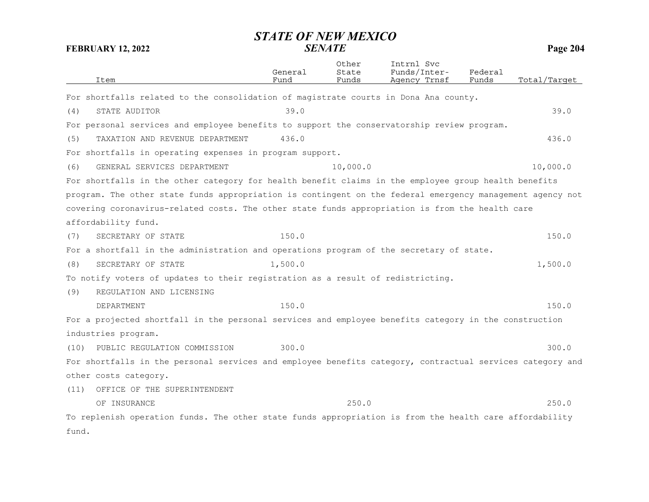| Item                                                                                                      | General<br>Fund | Other<br>State<br>Funds | Intrnl Svc<br>Funds/Inter-<br>Agency Trnsf | Federal<br>Funds | Total/Target |
|-----------------------------------------------------------------------------------------------------------|-----------------|-------------------------|--------------------------------------------|------------------|--------------|
| For shortfalls related to the consolidation of magistrate courts in Dona Ana county.                      |                 |                         |                                            |                  |              |
| STATE AUDITOR<br>(4)                                                                                      | 39.0            |                         |                                            |                  | 39.0         |
| For personal services and employee benefits to support the conservatorship review program.                |                 |                         |                                            |                  |              |
| TAXATION AND REVENUE DEPARTMENT<br>(5)                                                                    | 436.0           |                         |                                            |                  | 436.0        |
| For shortfalls in operating expenses in program support.                                                  |                 |                         |                                            |                  |              |
| GENERAL SERVICES DEPARTMENT<br>(6)                                                                        |                 | 10,000.0                |                                            |                  | 10,000.0     |
| For shortfalls in the other category for health benefit claims in the employee group health benefits      |                 |                         |                                            |                  |              |
| program. The other state funds appropriation is contingent on the federal emergency management agency not |                 |                         |                                            |                  |              |
| covering coronavirus-related costs. The other state funds appropriation is from the health care           |                 |                         |                                            |                  |              |
| affordability fund.                                                                                       |                 |                         |                                            |                  |              |
| SECRETARY OF STATE<br>(7)                                                                                 | 150.0           |                         |                                            |                  | 150.0        |
| For a shortfall in the administration and operations program of the secretary of state.                   |                 |                         |                                            |                  |              |
| SECRETARY OF STATE<br>(8)                                                                                 | 1,500.0         |                         |                                            |                  | 1,500.0      |
| To notify voters of updates to their registration as a result of redistricting.                           |                 |                         |                                            |                  |              |
| (9)<br>REGULATION AND LICENSING                                                                           |                 |                         |                                            |                  |              |
| <b>DEPARTMENT</b>                                                                                         | 150.0           |                         |                                            |                  | 150.0        |
| For a projected shortfall in the personal services and employee benefits category in the construction     |                 |                         |                                            |                  |              |
| industries program.                                                                                       |                 |                         |                                            |                  |              |
| PUBLIC REGULATION COMMISSION<br>(10)                                                                      | 300.0           |                         |                                            |                  | 300.0        |
| For shortfalls in the personal services and employee benefits category, contractual services category and |                 |                         |                                            |                  |              |
| other costs category.                                                                                     |                 |                         |                                            |                  |              |
| OFFICE OF THE SUPERINTENDENT<br>(11)                                                                      |                 |                         |                                            |                  |              |
| OF INSURANCE                                                                                              |                 | 250.0                   |                                            |                  | 250.0        |
| To replenish operation funds. The other state funds appropriation is from the health care affordability   |                 |                         |                                            |                  |              |
| fund.                                                                                                     |                 |                         |                                            |                  |              |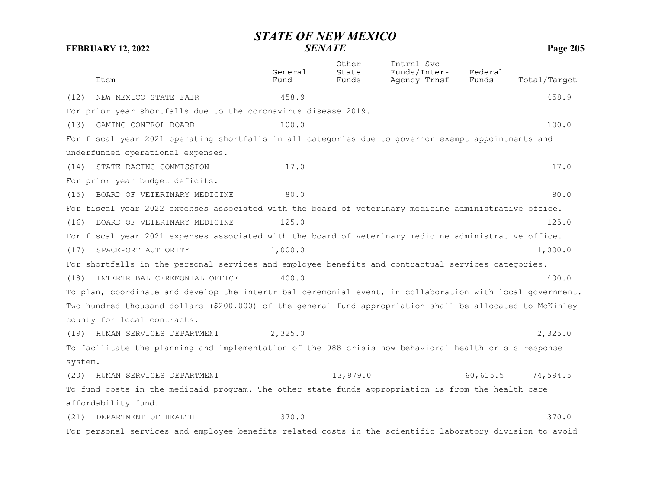|         | Item                                                                                                      | General<br>Fund | Other<br>State<br>Funds | Intrnl Svc<br>Funds/Inter-<br>Agency Trnsf | Federal<br>Funds | Total/Target |
|---------|-----------------------------------------------------------------------------------------------------------|-----------------|-------------------------|--------------------------------------------|------------------|--------------|
| (12)    | NEW MEXICO STATE FAIR                                                                                     | 458.9           |                         |                                            |                  | 458.9        |
|         | For prior year shortfalls due to the coronavirus disease 2019.                                            |                 |                         |                                            |                  |              |
| (13)    | GAMING CONTROL BOARD                                                                                      | 100.0           |                         |                                            |                  | 100.0        |
|         | For fiscal year 2021 operating shortfalls in all categories due to governor exempt appointments and       |                 |                         |                                            |                  |              |
|         | underfunded operational expenses.                                                                         |                 |                         |                                            |                  |              |
| (14)    | STATE RACING COMMISSION                                                                                   | 17.0            |                         |                                            |                  | 17.0         |
|         | For prior year budget deficits.                                                                           |                 |                         |                                            |                  |              |
| (15)    | BOARD OF VETERINARY MEDICINE                                                                              | 80.0            |                         |                                            |                  | 80.0         |
|         | For fiscal year 2022 expenses associated with the board of veterinary medicine administrative office.     |                 |                         |                                            |                  |              |
| (16)    | BOARD OF VETERINARY MEDICINE                                                                              | 125.0           |                         |                                            |                  | 125.0        |
|         | For fiscal year 2021 expenses associated with the board of veterinary medicine administrative office.     |                 |                         |                                            |                  |              |
| (17)    | SPACEPORT AUTHORITY                                                                                       | 1,000.0         |                         |                                            |                  | 1,000.0      |
|         | For shortfalls in the personal services and employee benefits and contractual services categories.        |                 |                         |                                            |                  |              |
| (18)    | INTERTRIBAL CEREMONIAL OFFICE                                                                             | 400.0           |                         |                                            |                  | 400.0        |
|         | To plan, coordinate and develop the intertribal ceremonial event, in collaboration with local government. |                 |                         |                                            |                  |              |
|         | Two hundred thousand dollars (\$200,000) of the general fund appropriation shall be allocated to McKinley |                 |                         |                                            |                  |              |
|         | county for local contracts.                                                                               |                 |                         |                                            |                  |              |
| (19)    | HUMAN SERVICES DEPARTMENT                                                                                 | 2,325.0         |                         |                                            |                  | 2,325.0      |
|         | To facilitate the planning and implementation of the 988 crisis now behavioral health crisis response     |                 |                         |                                            |                  |              |
| system. |                                                                                                           |                 |                         |                                            |                  |              |
| (20)    | HUMAN SERVICES DEPARTMENT                                                                                 |                 | 13,979.0                |                                            | 60, 615.5        | 74,594.5     |
|         | To fund costs in the medicaid program. The other state funds appropriation is from the health care        |                 |                         |                                            |                  |              |
|         | affordability fund.                                                                                       |                 |                         |                                            |                  |              |
| (21)    | DEPARTMENT OF HEALTH                                                                                      | 370.0           |                         |                                            |                  | 370.0        |
|         | For personal services and employee benefits related costs in the scientific laboratory division to avoid  |                 |                         |                                            |                  |              |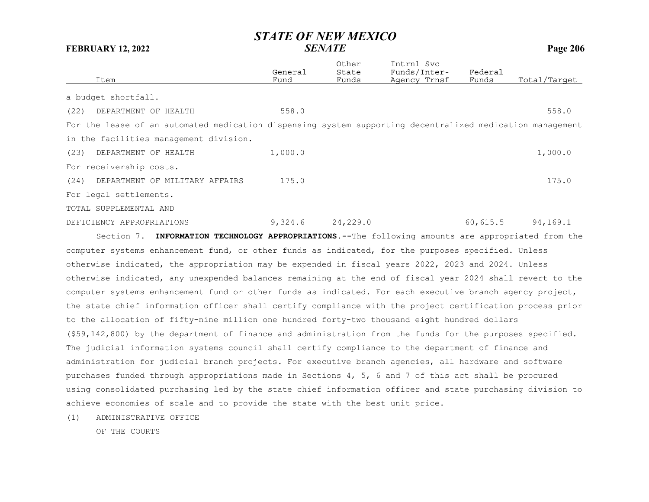|      | Item                                                                                                      | General<br>Fund | Other<br>State<br>Funds | Intrnl Svc<br>Funds/Inter-<br>Agency Trnsf | Federal<br>Funds | Total/Target |
|------|-----------------------------------------------------------------------------------------------------------|-----------------|-------------------------|--------------------------------------------|------------------|--------------|
|      | a budget shortfall.                                                                                       |                 |                         |                                            |                  |              |
| (22) | DEPARTMENT OF HEALTH                                                                                      | 558.0           |                         |                                            |                  | 558.0        |
|      | For the lease of an automated medication dispensing system supporting decentralized medication management |                 |                         |                                            |                  |              |
|      | in the facilities management division.                                                                    |                 |                         |                                            |                  |              |
| (23) | DEPARTMENT OF HEALTH                                                                                      | 1,000.0         |                         |                                            |                  | 1,000.0      |
|      | For receivership costs.                                                                                   |                 |                         |                                            |                  |              |
| (24) | DEPARTMENT OF MILITARY AFFAIRS                                                                            | 175.0           |                         |                                            |                  | 175.0        |
|      | For legal settlements.                                                                                    |                 |                         |                                            |                  |              |
|      | TOTAL SUPPLEMENTAL AND                                                                                    |                 |                         |                                            |                  |              |
|      | DEFICIENCY APPROPRIATIONS                                                                                 | 9,324.6         | 24,229.0                |                                            | 60, 615.5        | 94,169.1     |

Section 7. **INFORMATION TECHNOLOGY APPROPRIATIONS.--**The following amounts are appropriated from the computer systems enhancement fund, or other funds as indicated, for the purposes specified. Unless otherwise indicated, the appropriation may be expended in fiscal years 2022, 2023 and 2024. Unless otherwise indicated, any unexpended balances remaining at the end of fiscal year 2024 shall revert to the computer systems enhancement fund or other funds as indicated. For each executive branch agency project, the state chief information officer shall certify compliance with the project certification process prior to the allocation of fifty-nine million one hundred forty-two thousand eight hundred dollars (\$59,142,800) by the department of finance and administration from the funds for the purposes specified. The judicial information systems council shall certify compliance to the department of finance and administration for judicial branch projects. For executive branch agencies, all hardware and software purchases funded through appropriations made in Sections 4, 5, 6 and 7 of this act shall be procured using consolidated purchasing led by the state chief information officer and state purchasing division to achieve economies of scale and to provide the state with the best unit price.

(1) ADMINISTRATIVE OFFICE

OF THE COURTS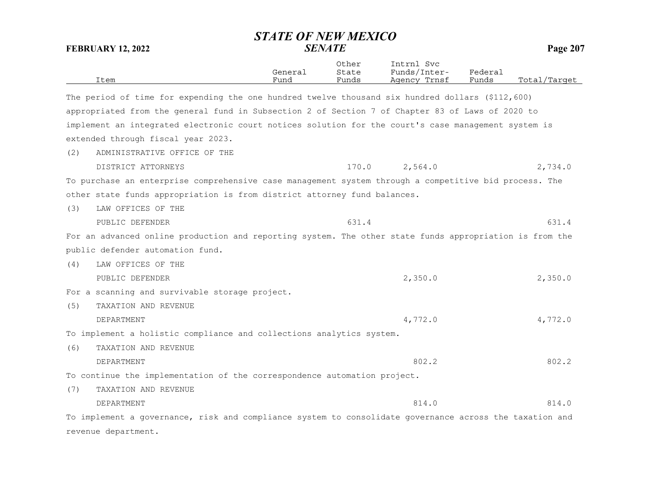|     | Item                                                                                                    | General<br>Fund | Other<br>State<br>Funds | Intrnl Svc<br>Funds/Inter-<br>Agency Trnsf | Federal<br>Funds | Total/Target |
|-----|---------------------------------------------------------------------------------------------------------|-----------------|-------------------------|--------------------------------------------|------------------|--------------|
|     | The period of time for expending the one hundred twelve thousand six hundred dollars (\$112,600)        |                 |                         |                                            |                  |              |
|     | appropriated from the general fund in Subsection 2 of Section 7 of Chapter 83 of Laws of 2020 to        |                 |                         |                                            |                  |              |
|     | implement an integrated electronic court notices solution for the court's case management system is     |                 |                         |                                            |                  |              |
|     | extended through fiscal year 2023.                                                                      |                 |                         |                                            |                  |              |
| (2) | ADMINISTRATIVE OFFICE OF THE                                                                            |                 |                         |                                            |                  |              |
|     | DISTRICT ATTORNEYS                                                                                      |                 | 170.0                   | 2,564.0                                    |                  | 2,734.0      |
|     | To purchase an enterprise comprehensive case management system through a competitive bid process. The   |                 |                         |                                            |                  |              |
|     | other state funds appropriation is from district attorney fund balances.                                |                 |                         |                                            |                  |              |
| (3) | LAW OFFICES OF THE                                                                                      |                 |                         |                                            |                  |              |
|     | PUBLIC DEFENDER                                                                                         |                 | 631.4                   |                                            |                  | 631.4        |
|     | For an advanced online production and reporting system. The other state funds appropriation is from the |                 |                         |                                            |                  |              |
|     | public defender automation fund.                                                                        |                 |                         |                                            |                  |              |
| (4) | LAW OFFICES OF THE                                                                                      |                 |                         |                                            |                  |              |
|     | PUBLIC DEFENDER                                                                                         |                 |                         | 2,350.0                                    |                  | 2,350.0      |
|     | For a scanning and survivable storage project.                                                          |                 |                         |                                            |                  |              |
| (5) | TAXATION AND REVENUE                                                                                    |                 |                         |                                            |                  |              |
|     | DEPARTMENT                                                                                              |                 |                         | 4,772.0                                    |                  | 4,772.0      |
|     | To implement a holistic compliance and collections analytics system.                                    |                 |                         |                                            |                  |              |
| (6) | TAXATION AND REVENUE                                                                                    |                 |                         |                                            |                  |              |
|     | <b>DEPARTMENT</b>                                                                                       |                 |                         | 802.2                                      |                  | 802.2        |
|     | To continue the implementation of the correspondence automation project.                                |                 |                         |                                            |                  |              |
| (7) | TAXATION AND REVENUE                                                                                    |                 |                         |                                            |                  |              |
|     | DEPARTMENT                                                                                              |                 |                         | 814.0                                      |                  | 814.0        |
|     | To implement a governance, risk and compliance system to consolidate governance across the taxation and |                 |                         |                                            |                  |              |
|     | revenue department.                                                                                     |                 |                         |                                            |                  |              |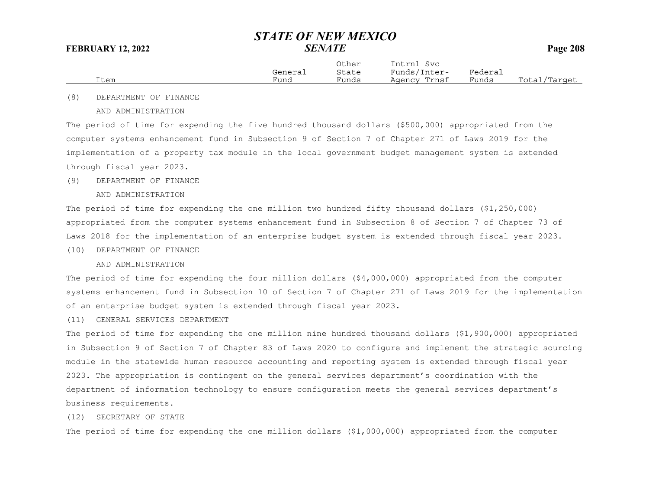|      |         | Other | Intrnl<br>Svc    |                       |                  |
|------|---------|-------|------------------|-----------------------|------------------|
|      | General | State | Funds/<br>Inter- | ${}_{\text{Federau}}$ |                  |
| Item | Fund    | Funds | Trnsf<br>Agency  | Funds                 | Total<br>'Target |

(8) DEPARTMENT OF FINANCE

AND ADMINISTRATION

The period of time for expending the five hundred thousand dollars (\$500,000) appropriated from the computer systems enhancement fund in Subsection 9 of Section 7 of Chapter 271 of Laws 2019 for the implementation of a property tax module in the local government budget management system is extended through fiscal year 2023.

### (9) DEPARTMENT OF FINANCE

AND ADMINISTRATION

The period of time for expending the one million two hundred fifty thousand dollars (\$1,250,000) appropriated from the computer systems enhancement fund in Subsection 8 of Section 7 of Chapter 73 of Laws 2018 for the implementation of an enterprise budget system is extended through fiscal year 2023.

(10) DEPARTMENT OF FINANCE

AND ADMINISTRATION

The period of time for expending the four million dollars (\$4,000,000) appropriated from the computer systems enhancement fund in Subsection 10 of Section 7 of Chapter 271 of Laws 2019 for the implementation of an enterprise budget system is extended through fiscal year 2023.

(11) GENERAL SERVICES DEPARTMENT

The period of time for expending the one million nine hundred thousand dollars (\$1,900,000) appropriated in Subsection 9 of Section 7 of Chapter 83 of Laws 2020 to configure and implement the strategic sourcing module in the statewide human resource accounting and reporting system is extended through fiscal year 2023. The appropriation is contingent on the general services department's coordination with the department of information technology to ensure configuration meets the general services department's business requirements.

## (12) SECRETARY OF STATE

The period of time for expending the one million dollars (\$1,000,000) appropriated from the computer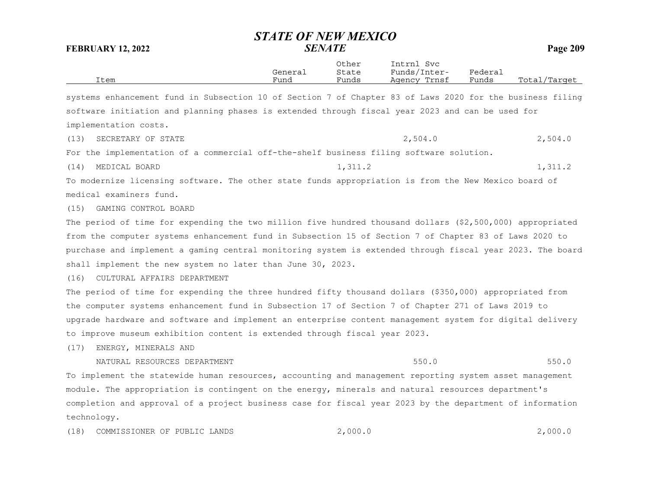| <b>FEBRUARY 12, 2022</b>                                                                                  | STATE OF NEW MEXICO | <b>SENATE</b>           |                                            |                  | Page 209     |
|-----------------------------------------------------------------------------------------------------------|---------------------|-------------------------|--------------------------------------------|------------------|--------------|
| Item                                                                                                      | General<br>Fund     | Other<br>State<br>Funds | Intrnl Svc<br>Funds/Inter-<br>Agency Trnsf | Federal<br>Funds | Total/Tarqet |
| systems enhancement fund in Subsection 10 of Section 7 of Chapter 83 of Laws 2020 for the business filing |                     |                         |                                            |                  |              |
| software initiation and planning phases is extended through fiscal year 2023 and can be used for          |                     |                         |                                            |                  |              |
| implementation costs.                                                                                     |                     |                         |                                            |                  |              |
| SECRETARY OF STATE<br>(13)                                                                                |                     |                         | 2,504.0                                    |                  | 2,504.0      |
| For the implementation of a commercial off-the-shelf business filing software solution.                   |                     |                         |                                            |                  |              |
| MEDICAL BOARD<br>(14)                                                                                     |                     | 1,311.2                 |                                            |                  | 1,311.2      |
| To modernize licensing software. The other state funds appropriation is from the New Mexico board of      |                     |                         |                                            |                  |              |
| medical examiners fund.                                                                                   |                     |                         |                                            |                  |              |
| (15) GAMING CONTROL BOARD                                                                                 |                     |                         |                                            |                  |              |
| The period of time for expending the two million five hundred thousand dollars (\$2,500,000) appropriated |                     |                         |                                            |                  |              |
| from the computer systems enhancement fund in Subsection 15 of Section 7 of Chapter 83 of Laws 2020 to    |                     |                         |                                            |                  |              |
| purchase and implement a gaming central monitoring system is extended through fiscal year 2023. The board |                     |                         |                                            |                  |              |
| shall implement the new system no later than June 30, 2023.                                               |                     |                         |                                            |                  |              |
| CULTURAL AFFAIRS DEPARTMENT<br>(16)                                                                       |                     |                         |                                            |                  |              |
| The period of time for expending the three hundred fifty thousand dollars (\$350,000) appropriated from   |                     |                         |                                            |                  |              |
| the computer systems enhancement fund in Subsection 17 of Section 7 of Chapter 271 of Laws 2019 to        |                     |                         |                                            |                  |              |
| upgrade hardware and software and implement an enterprise content management system for digital delivery  |                     |                         |                                            |                  |              |
| to improve museum exhibition content is extended through fiscal year 2023.                                |                     |                         |                                            |                  |              |
| (17)<br>ENERGY, MINERALS AND                                                                              |                     |                         |                                            |                  |              |
| NATURAL RESOURCES DEPARTMENT                                                                              |                     |                         | 550.0                                      |                  | 550.0        |
| To implement the statewide human resources, accounting and management reporting system asset management   |                     |                         |                                            |                  |              |
| module. The appropriation is contingent on the energy, minerals and natural resources department's        |                     |                         |                                            |                  |              |
| completion and approval of a project business case for fiscal year 2023 by the department of information  |                     |                         |                                            |                  |              |
| technology.                                                                                               |                     |                         |                                            |                  |              |
| (18)<br>COMMISSIONER OF PUBLIC LANDS                                                                      |                     | 2,000.0                 |                                            |                  | 2,000.0      |

*STATE OF NEW MEXICO*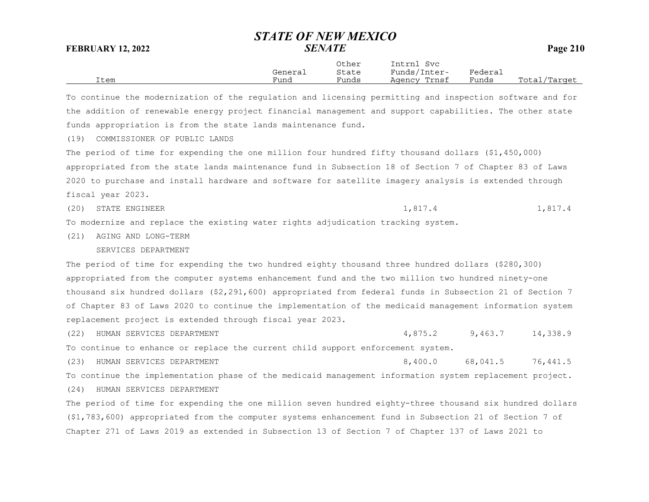|      |         | Other | Intrnl<br>Svc |         |                   |
|------|---------|-------|---------------|---------|-------------------|
|      | General | State | Funds/Inter-  | Federai |                   |
| Item | Fund    | Funds | Agency Trnsf  | Funds   | Total,<br>/Target |
|      |         |       |               |         |                   |

To continue the modernization of the regulation and licensing permitting and inspection software and for the addition of renewable energy project financial management and support capabilities. The other state funds appropriation is from the state lands maintenance fund.

(19) COMMISSIONER OF PUBLIC LANDS

The period of time for expending the one million four hundred fifty thousand dollars (\$1,450,000) appropriated from the state lands maintenance fund in Subsection 18 of Section 7 of Chapter 83 of Laws 2020 to purchase and install hardware and software for satellite imagery analysis is extended through fiscal year 2023.

(20) STATE ENGINEER 1,817.4 1,817.4

To modernize and replace the existing water rights adjudication tracking system.

(21) AGING AND LONG-TERM

### SERVICES DEPARTMENT

The period of time for expending the two hundred eighty thousand three hundred dollars (\$280,300) appropriated from the computer systems enhancement fund and the two million two hundred ninety-one thousand six hundred dollars (\$2,291,600) appropriated from federal funds in Subsection 21 of Section 7 of Chapter 83 of Laws 2020 to continue the implementation of the medicaid management information system replacement project is extended through fiscal year 2023.

(22) HUMAN SERVICES DEPARTMENT 4,875.2 9,463.7 14,338.9 To continue to enhance or replace the current child support enforcement system.

(23) HUMAN SERVICES DEPARTMENT (23) 8,400.0 68,041.5 76,441.5 To continue the implementation phase of the medicaid management information system replacement project.

(24) HUMAN SERVICES DEPARTMENT

The period of time for expending the one million seven hundred eighty-three thousand six hundred dollars (\$1,783,600) appropriated from the computer systems enhancement fund in Subsection 21 of Section 7 of Chapter 271 of Laws 2019 as extended in Subsection 13 of Section 7 of Chapter 137 of Laws 2021 to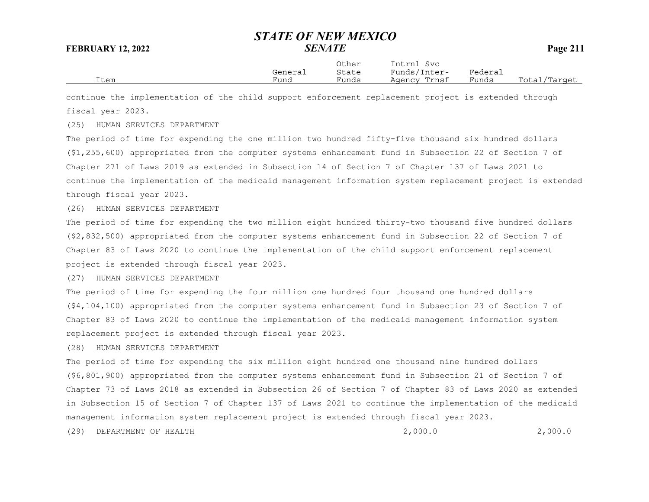|      | General | Other<br>State | Intrnl<br>Svc<br>Funds/Inter- | Federai |              |
|------|---------|----------------|-------------------------------|---------|--------------|
| Item | Fund    | Funds          | Agency Trnsf                  | Funds   | Total/Target |

continue the implementation of the child support enforcement replacement project is extended through fiscal year 2023.

## (25) HUMAN SERVICES DEPARTMENT

The period of time for expending the one million two hundred fifty-five thousand six hundred dollars (\$1,255,600) appropriated from the computer systems enhancement fund in Subsection 22 of Section 7 of Chapter 271 of Laws 2019 as extended in Subsection 14 of Section 7 of Chapter 137 of Laws 2021 to continue the implementation of the medicaid management information system replacement project is extended through fiscal year 2023.

### (26) HUMAN SERVICES DEPARTMENT

The period of time for expending the two million eight hundred thirty-two thousand five hundred dollars (\$2,832,500) appropriated from the computer systems enhancement fund in Subsection 22 of Section 7 of Chapter 83 of Laws 2020 to continue the implementation of the child support enforcement replacement project is extended through fiscal year 2023.

### (27) HUMAN SERVICES DEPARTMENT

The period of time for expending the four million one hundred four thousand one hundred dollars (\$4,104,100) appropriated from the computer systems enhancement fund in Subsection 23 of Section 7 of Chapter 83 of Laws 2020 to continue the implementation of the medicaid management information system replacement project is extended through fiscal year 2023.

### (28) HUMAN SERVICES DEPARTMENT

The period of time for expending the six million eight hundred one thousand nine hundred dollars (\$6,801,900) appropriated from the computer systems enhancement fund in Subsection 21 of Section 7 of Chapter 73 of Laws 2018 as extended in Subsection 26 of Section 7 of Chapter 83 of Laws 2020 as extended in Subsection 15 of Section 7 of Chapter 137 of Laws 2021 to continue the implementation of the medicaid management information system replacement project is extended through fiscal year 2023.

(29) DEPARTMENT OF HEALTH 2,000.0 2,000.0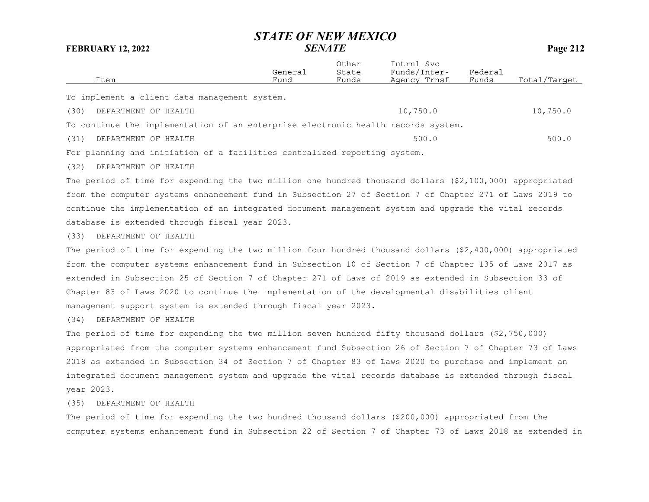| Item                                                                              | General<br>Fund | Other<br>State<br>Funds | Intrnl Svc<br>Funds/Inter-<br>Agency Trnsf | Federal<br>Funds | Total/Tarqet |
|-----------------------------------------------------------------------------------|-----------------|-------------------------|--------------------------------------------|------------------|--------------|
|                                                                                   |                 |                         |                                            |                  |              |
| To implement a client data management system.                                     |                 |                         |                                            |                  |              |
| (30)<br>DEPARTMENT OF HEALTH                                                      |                 |                         | 10,750.0                                   |                  | 10,750.0     |
| To continue the implementation of an enterprise electronic health records system. |                 |                         |                                            |                  |              |
| (31)<br>DEPARTMENT OF HEALTH                                                      |                 |                         | 500.0                                      |                  | 500.0        |
|                                                                                   |                 |                         |                                            |                  |              |

For planning and initiation of a facilities centralized reporting system.

(32) DEPARTMENT OF HEALTH

The period of time for expending the two million one hundred thousand dollars (\$2,100,000) appropriated from the computer systems enhancement fund in Subsection 27 of Section 7 of Chapter 271 of Laws 2019 to continue the implementation of an integrated document management system and upgrade the vital records database is extended through fiscal year 2023.

(33) DEPARTMENT OF HEALTH

The period of time for expending the two million four hundred thousand dollars (\$2,400,000) appropriated from the computer systems enhancement fund in Subsection 10 of Section 7 of Chapter 135 of Laws 2017 as extended in Subsection 25 of Section 7 of Chapter 271 of Laws of 2019 as extended in Subsection 33 of Chapter 83 of Laws 2020 to continue the implementation of the developmental disabilities client management support system is extended through fiscal year 2023.

(34) DEPARTMENT OF HEALTH

The period of time for expending the two million seven hundred fifty thousand dollars (\$2,750,000) appropriated from the computer systems enhancement fund Subsection 26 of Section 7 of Chapter 73 of Laws 2018 as extended in Subsection 34 of Section 7 of Chapter 83 of Laws 2020 to purchase and implement an integrated document management system and upgrade the vital records database is extended through fiscal year 2023.

(35) DEPARTMENT OF HEALTH

The period of time for expending the two hundred thousand dollars (\$200,000) appropriated from the computer systems enhancement fund in Subsection 22 of Section 7 of Chapter 73 of Laws 2018 as extended in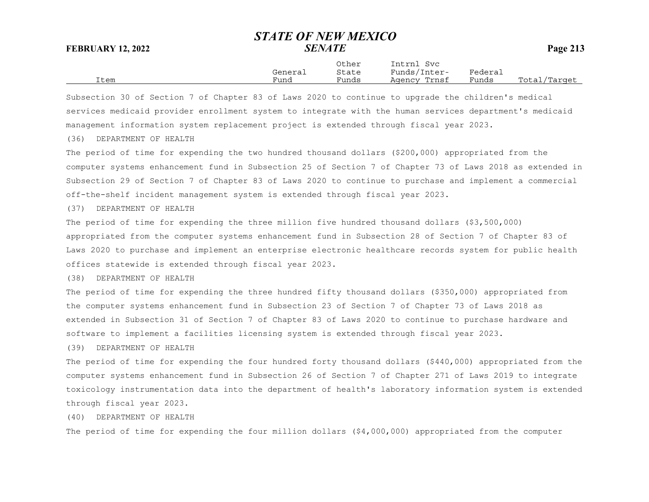|      |         | Other | Intrnl<br>Svc |         |              |
|------|---------|-------|---------------|---------|--------------|
|      | General | State | Funds/Inter-  | Federai |              |
| Item | $F$ una | Funds | Agency Trnsf  | Funds   | Total/Tarqet |

Subsection 30 of Section 7 of Chapter 83 of Laws 2020 to continue to upgrade the children's medical services medicaid provider enrollment system to integrate with the human services department's medicaid management information system replacement project is extended through fiscal year 2023.

(36) DEPARTMENT OF HEALTH

The period of time for expending the two hundred thousand dollars (\$200,000) appropriated from the computer systems enhancement fund in Subsection 25 of Section 7 of Chapter 73 of Laws 2018 as extended in Subsection 29 of Section 7 of Chapter 83 of Laws 2020 to continue to purchase and implement a commercial off-the-shelf incident management system is extended through fiscal year 2023.

(37) DEPARTMENT OF HEALTH

The period of time for expending the three million five hundred thousand dollars (\$3,500,000) appropriated from the computer systems enhancement fund in Subsection 28 of Section 7 of Chapter 83 of Laws 2020 to purchase and implement an enterprise electronic healthcare records system for public health offices statewide is extended through fiscal year 2023.

(38) DEPARTMENT OF HEALTH

The period of time for expending the three hundred fifty thousand dollars (\$350,000) appropriated from the computer systems enhancement fund in Subsection 23 of Section 7 of Chapter 73 of Laws 2018 as extended in Subsection 31 of Section 7 of Chapter 83 of Laws 2020 to continue to purchase hardware and software to implement a facilities licensing system is extended through fiscal year 2023.

(39) DEPARTMENT OF HEALTH

The period of time for expending the four hundred forty thousand dollars (\$440,000) appropriated from the computer systems enhancement fund in Subsection 26 of Section 7 of Chapter 271 of Laws 2019 to integrate toxicology instrumentation data into the department of health's laboratory information system is extended through fiscal year 2023.

(40) DEPARTMENT OF HEALTH

The period of time for expending the four million dollars (\$4,000,000) appropriated from the computer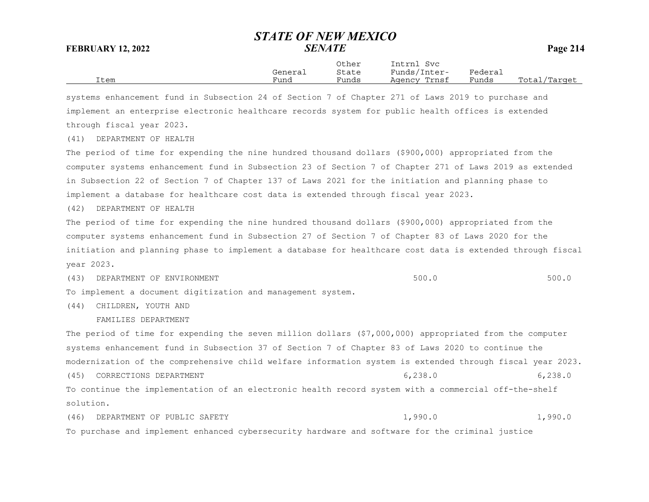|      |         | Other | Intrnl<br>Svc |         |              |
|------|---------|-------|---------------|---------|--------------|
|      | General | State | Funds/Inter-  | Federai |              |
| Item | Fund    | Funds | Agency Trnsf  | Funds   | Total/Target |

systems enhancement fund in Subsection 24 of Section 7 of Chapter 271 of Laws 2019 to purchase and implement an enterprise electronic healthcare records system for public health offices is extended through fiscal year 2023.

(41) DEPARTMENT OF HEALTH

The period of time for expending the nine hundred thousand dollars (\$900,000) appropriated from the computer systems enhancement fund in Subsection 23 of Section 7 of Chapter 271 of Laws 2019 as extended in Subsection 22 of Section 7 of Chapter 137 of Laws 2021 for the initiation and planning phase to implement a database for healthcare cost data is extended through fiscal year 2023.

(42) DEPARTMENT OF HEALTH

The period of time for expending the nine hundred thousand dollars (\$900,000) appropriated from the computer systems enhancement fund in Subsection 27 of Section 7 of Chapter 83 of Laws 2020 for the initiation and planning phase to implement a database for healthcare cost data is extended through fiscal year 2023.

(43) DEPARTMENT OF ENVIRONMENT (2000) SOULD SUB-SERVICE SOULD SOULD SOULD SOULD SOULD SOULD SOULD

To implement a document digitization and management system.

(44) CHILDREN, YOUTH AND

FAMILIES DEPARTMENT

The period of time for expending the seven million dollars (\$7,000,000) appropriated from the computer systems enhancement fund in Subsection 37 of Section 7 of Chapter 83 of Laws 2020 to continue the modernization of the comprehensive child welfare information system is extended through fiscal year 2023. (45) CORRECTIONS DEPARTMENT (45) (45) 6,238.0

To continue the implementation of an electronic health record system with a commercial off-the-shelf solution.

(46) DEPARTMENT OF PUBLIC SAFETY 1,990.0 1,990.0 1,990.0 To purchase and implement enhanced cybersecurity hardware and software for the criminal justice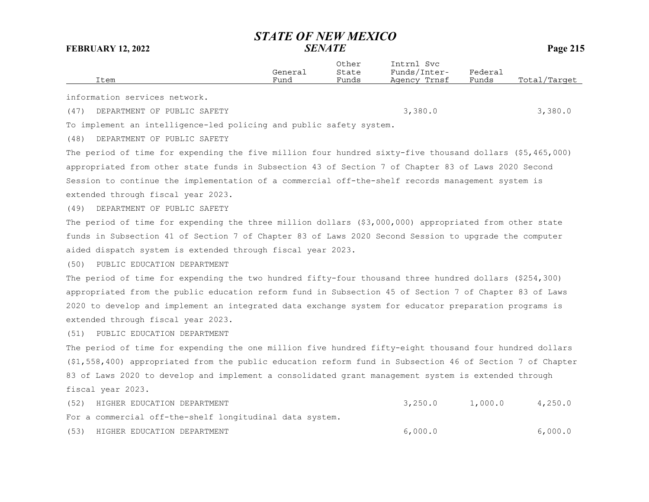|      | Item                                                                                                      | General<br>Fund | Other<br>State<br>Funds | Intrnl Svc<br>Funds/Inter-<br>Agency Trnsf | Federal<br>Funds | Total/Target |
|------|-----------------------------------------------------------------------------------------------------------|-----------------|-------------------------|--------------------------------------------|------------------|--------------|
|      | information services network.                                                                             |                 |                         |                                            |                  |              |
| (47) | DEPARTMENT OF PUBLIC SAFETY                                                                               |                 |                         | 3,380.0                                    |                  | 3,380.0      |
|      | To implement an intelligence-led policing and public safety system.                                       |                 |                         |                                            |                  |              |
| (48) | DEPARTMENT OF PUBLIC SAFETY                                                                               |                 |                         |                                            |                  |              |
|      | The period of time for expending the five million four hundred sixty-five thousand dollars (\$5,465,000)  |                 |                         |                                            |                  |              |
|      | appropriated from other state funds in Subsection 43 of Section 7 of Chapter 83 of Laws 2020 Second       |                 |                         |                                            |                  |              |
|      | Session to continue the implementation of a commercial off-the-shelf records management system is         |                 |                         |                                            |                  |              |
|      | extended through fiscal year 2023.                                                                        |                 |                         |                                            |                  |              |
| (49) | DEPARTMENT OF PUBLIC SAFETY                                                                               |                 |                         |                                            |                  |              |
|      | The period of time for expending the three million dollars (\$3,000,000) appropriated from other state    |                 |                         |                                            |                  |              |
|      | funds in Subsection 41 of Section 7 of Chapter 83 of Laws 2020 Second Session to upgrade the computer     |                 |                         |                                            |                  |              |
|      | aided dispatch system is extended through fiscal year 2023.                                               |                 |                         |                                            |                  |              |
| (50) | PUBLIC EDUCATION DEPARTMENT                                                                               |                 |                         |                                            |                  |              |
|      | The period of time for expending the two hundred fifty-four thousand three hundred dollars (\$254,300)    |                 |                         |                                            |                  |              |
|      | appropriated from the public education reform fund in Subsection 45 of Section 7 of Chapter 83 of Laws    |                 |                         |                                            |                  |              |
|      | 2020 to develop and implement an integrated data exchange system for educator preparation programs is     |                 |                         |                                            |                  |              |
|      | extended through fiscal year 2023.                                                                        |                 |                         |                                            |                  |              |
| (51) | PUBLIC EDUCATION DEPARTMENT                                                                               |                 |                         |                                            |                  |              |
|      | The period of time for expending the one million five hundred fifty-eight thousand four hundred dollars   |                 |                         |                                            |                  |              |
|      | (\$1,558,400) appropriated from the public education reform fund in Subsection 46 of Section 7 of Chapter |                 |                         |                                            |                  |              |
|      | 83 of Laws 2020 to develop and implement a consolidated grant management system is extended through       |                 |                         |                                            |                  |              |
|      | fiscal year 2023.                                                                                         |                 |                         |                                            |                  |              |
| (52) | HIGHER EDUCATION DEPARTMENT                                                                               |                 |                         | 3,250.0                                    | 1,000.0          | 4,250.0      |
|      | For a commercial off-the-shelf longitudinal data system.                                                  |                 |                         |                                            |                  |              |
| (53) | HIGHER EDUCATION DEPARTMENT                                                                               |                 |                         | 6,000.0                                    |                  | 6,000.0      |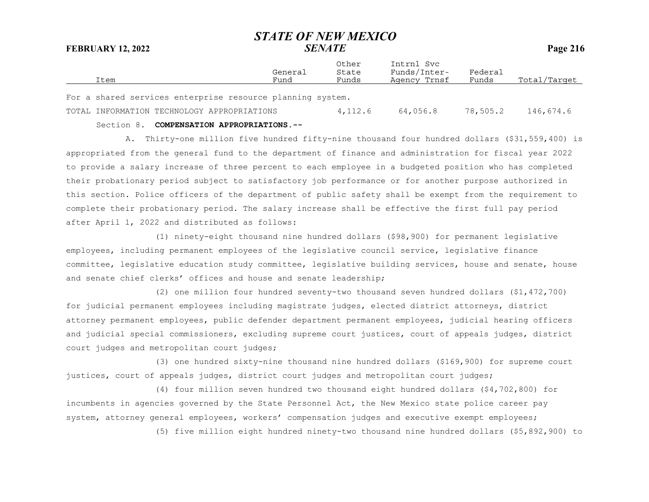| Item                                                       | General<br>Fund | Other<br>State<br>Funds | Intrnl Svc<br>Funds/Inter-<br>Agency Trnsf | Federal<br>Funds | Total/Target |
|------------------------------------------------------------|-----------------|-------------------------|--------------------------------------------|------------------|--------------|
| For a shared services enterprise resource planning system. |                 |                         |                                            |                  |              |
| TOTAL INFORMATION TECHNOLOGY APPROPRIATIONS                |                 | 4,112.6                 | 64,056.8                                   | 78,505.2         | 146,674.6    |

### Section 8. **COMPENSATION APPROPRIATIONS.--**

A. Thirty-one million five hundred fifty-nine thousand four hundred dollars (\$31,559,400) is appropriated from the general fund to the department of finance and administration for fiscal year 2022 to provide a salary increase of three percent to each employee in a budgeted position who has completed their probationary period subject to satisfactory job performance or for another purpose authorized in this section. Police officers of the department of public safety shall be exempt from the requirement to complete their probationary period. The salary increase shall be effective the first full pay period after April 1, 2022 and distributed as follows:

(1) ninety-eight thousand nine hundred dollars (\$98,900) for permanent legislative employees, including permanent employees of the legislative council service, legislative finance committee, legislative education study committee, legislative building services, house and senate, house and senate chief clerks' offices and house and senate leadership;

(2) one million four hundred seventy-two thousand seven hundred dollars (\$1,472,700) for judicial permanent employees including magistrate judges, elected district attorneys, district attorney permanent employees, public defender department permanent employees, judicial hearing officers and judicial special commissioners, excluding supreme court justices, court of appeals judges, district court judges and metropolitan court judges;

(3) one hundred sixty-nine thousand nine hundred dollars (\$169,900) for supreme court justices, court of appeals judges, district court judges and metropolitan court judges;

(4) four million seven hundred two thousand eight hundred dollars (\$4,702,800) for incumbents in agencies governed by the State Personnel Act, the New Mexico state police career pay system, attorney general employees, workers' compensation judges and executive exempt employees;

(5) five million eight hundred ninety-two thousand nine hundred dollars (\$5,892,900) to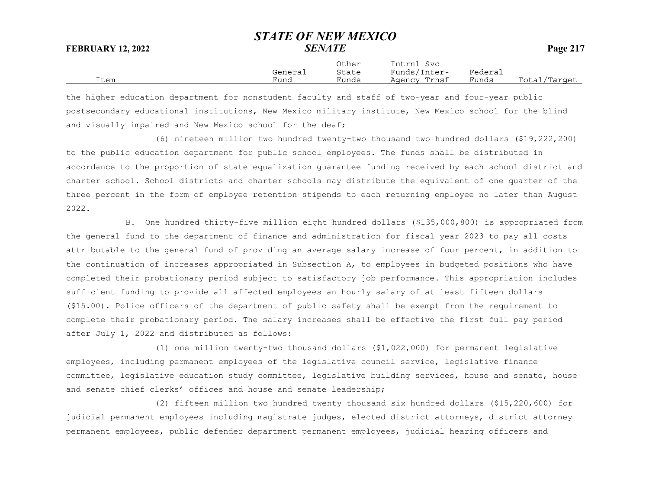Other Intrnl Svc General State Funds/Inter- Federal Item Fund Funds Agency Trnsf Funds Total/Target

the higher education department for nonstudent faculty and staff of two-year and four-year public postsecondary educational institutions, New Mexico military institute, New Mexico school for the blind and visually impaired and New Mexico school for the deaf;

(6) nineteen million two hundred twenty-two thousand two hundred dollars (\$19,222,200) to the public education department for public school employees. The funds shall be distributed in accordance to the proportion of state equalization guarantee funding received by each school district and charter school. School districts and charter schools may distribute the equivalent of one quarter of the three percent in the form of employee retention stipends to each returning employee no later than August 2022.

B. One hundred thirty-five million eight hundred dollars (\$135,000,800) is appropriated from the general fund to the department of finance and administration for fiscal year 2023 to pay all costs attributable to the general fund of providing an average salary increase of four percent, in addition to the continuation of increases appropriated in Subsection A, to employees in budgeted positions who have completed their probationary period subject to satisfactory job performance. This appropriation includes sufficient funding to provide all affected employees an hourly salary of at least fifteen dollars (\$15.00). Police officers of the department of public safety shall be exempt from the requirement to complete their probationary period. The salary increases shall be effective the first full pay period after July 1, 2022 and distributed as follows:

(1) one million twenty-two thousand dollars (\$1,022,000) for permanent legislative employees, including permanent employees of the legislative council service, legislative finance committee, legislative education study committee, legislative building services, house and senate, house and senate chief clerks' offices and house and senate leadership;

(2) fifteen million two hundred twenty thousand six hundred dollars (\$15,220,600) for judicial permanent employees including magistrate judges, elected district attorneys, district attorney permanent employees, public defender department permanent employees, judicial hearing officers and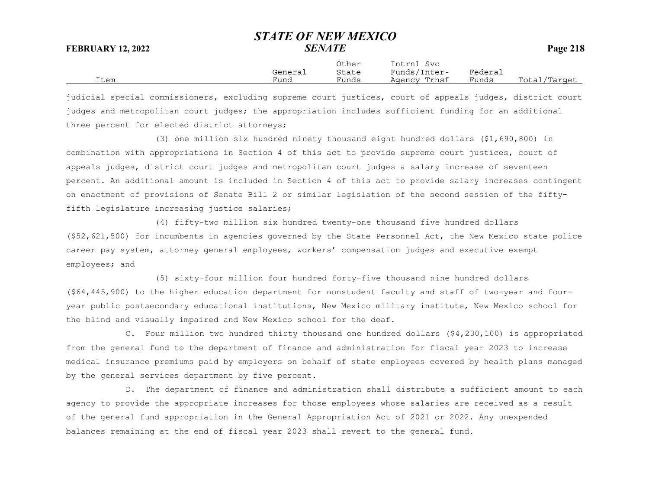Other Intrnl SvcGeneral State Funds/Inter- Federal<br>Fund Funds Agency-Trnsf Funds Item Fund Funds Agency Trnsf Funds Total/Target

judicial special commissioners, excluding supreme court justices, court of appeals judges, district court judges and metropolitan court judges; the appropriation includes sufficient funding for an additional three percent for elected district attorneys;

(3) one million six hundred ninety thousand eight hundred dollars (\$1,690,800) in combination with appropriations in Section 4 of this act to provide supreme court justices, court of appeals judges, district court judges and metropolitan court judges a salary increase of seventeen percent. An additional amount is included in Section 4 of this act to provide salary increases contingent on enactment of provisions of Senate Bill 2 or similar legislation of the second session of the fiftyfifth legislature increasing justice salaries;

(4) fifty-two million six hundred twenty-one thousand five hundred dollars (\$52,621,500) for incumbents in agencies governed by the State Personnel Act, the New Mexico state police career pay system, attorney general employees, workers' compensation judges and executive exempt employees; and

(5) sixty-four million four hundred forty-five thousand nine hundred dollars (\$64,445,900) to the higher education department for nonstudent faculty and staff of two-year and fouryear public postsecondary educational institutions, New Mexico military institute, New Mexico school for the blind and visually impaired and New Mexico school for the deaf.

C. Four million two hundred thirty thousand one hundred dollars (\$4,230,100) is appropriated from the general fund to the department of finance and administration for fiscal year 2023 to increase medical insurance premiums paid by employers on behalf of state employees covered by health plans managed by the general services department by five percent.

D. The department of finance and administration shall distribute a sufficient amount to each agency to provide the appropriate increases for those employees whose salaries are received as a result of the general fund appropriation in the General Appropriation Act of 2021 or 2022. Any unexpended balances remaining at the end of fiscal year 2023 shall revert to the general fund.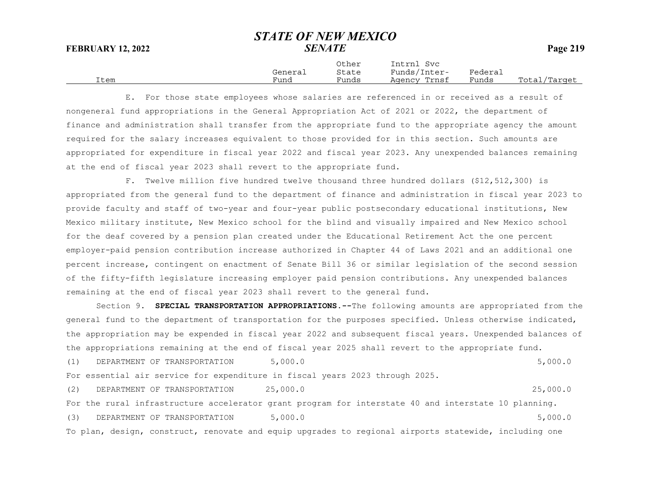|      |         | Other | Intrnl<br>Svc |         |              |
|------|---------|-------|---------------|---------|--------------|
|      | General | State | Funds/Inter-  | Federai |              |
| Item | Fund    | Funds | Agency Trnsf  | Funds   | Total/Target |

E. For those state employees whose salaries are referenced in or received as a result of nongeneral fund appropriations in the General Appropriation Act of 2021 or 2022, the department of finance and administration shall transfer from the appropriate fund to the appropriate agency the amount required for the salary increases equivalent to those provided for in this section. Such amounts are appropriated for expenditure in fiscal year 2022 and fiscal year 2023. Any unexpended balances remaining at the end of fiscal year 2023 shall revert to the appropriate fund.

F. Twelve million five hundred twelve thousand three hundred dollars (\$12,512,300) is appropriated from the general fund to the department of finance and administration in fiscal year 2023 to provide faculty and staff of two-year and four-year public postsecondary educational institutions, New Mexico military institute, New Mexico school for the blind and visually impaired and New Mexico school for the deaf covered by a pension plan created under the Educational Retirement Act the one percent employer-paid pension contribution increase authorized in Chapter 44 of Laws 2021 and an additional one percent increase, contingent on enactment of Senate Bill 36 or similar legislation of the second session of the fifty-fifth legislature increasing employer paid pension contributions. Any unexpended balances remaining at the end of fiscal year 2023 shall revert to the general fund.

Section 9. **SPECIAL TRANSPORTATION APPROPRIATIONS.--**The following amounts are appropriated from the general fund to the department of transportation for the purposes specified. Unless otherwise indicated, the appropriation may be expended in fiscal year 2022 and subsequent fiscal years. Unexpended balances of the appropriations remaining at the end of fiscal year 2025 shall revert to the appropriate fund.

(1) DEPARTMENT OF TRANSPORTATION 5,000.0 5,000 5,000 5,000 5,000 5,000 5,000 5,000 5,000 5,000 5,000 5,000 5,000 5,000 5,000 5,000 5,000 5,000 5,000 5,000 5,000 5,000 5,000 5,000 5,000 5,000 5,000 5,000 5,000 5,000 5,000 5 For essential air service for expenditure in fiscal years 2023 through 2025. (2) DEPARTMENT OF TRANSPORTATION 25,000.0 25,000.0 For the rural infrastructure accelerator grant program for interstate 40 and interstate 10 planning. (3) DEPARTMENT OF TRANSPORTATION 5,000.0 5,000 5,000 5,000 5,000 5,000 5,000 5,000 5,000 5,000 5,000 5,000 5,000 5,000 5,000 5,000 5,000 5,000 5,000 5,000 5,000 5,000 5,000 5,000 5,000 5,000 5,000 5,000 5,000 5,000 5,000 5 To plan, design, construct, renovate and equip upgrades to regional airports statewide, including one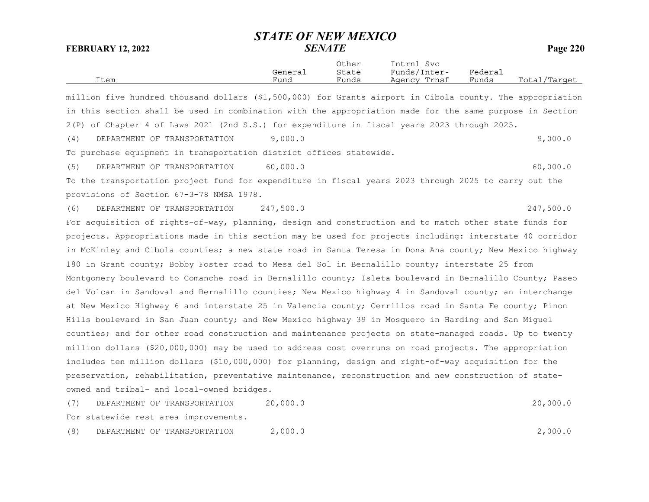|      |         | Other | Intrnl<br>Svc   |                             |                  |
|------|---------|-------|-----------------|-----------------------------|------------------|
|      | General | State | Funds/Inter-    | ${}_{\rm \texttt{Federau}}$ |                  |
| Item | Funa    | Funds | Trnsf<br>Aqency | Funds                       | Total<br>/Target |

million five hundred thousand dollars (\$1,500,000) for Grants airport in Cibola county. The appropriation in this section shall be used in combination with the appropriation made for the same purpose in Section 2(P) of Chapter 4 of Laws 2021 (2nd S.S.) for expenditure in fiscal years 2023 through 2025.

(4) DEPARTMENT OF TRANSPORTATION 9,000.0 9,000.0

To purchase equipment in transportation district offices statewide.

(5) DEPARTMENT OF TRANSPORTATION 60,000.0 60,000 60,000 60,000 60,000 60,000 60,000 60,000 60,000 60,000 60,000 60,000 60,000 60,000 60,000 60,000 60,000 60,000 60,000 60,000 60,000 60,000 60,000 60,000 60,000 60,000 60,00

To the transportation project fund for expenditure in fiscal years 2023 through 2025 to carry out the provisions of Section 67-3-78 NMSA 1978.

(6) DEPARTMENT OF TRANSPORTATION 247,500.0 247,500.0

For acquisition of rights-of-way, planning, design and construction and to match other state funds for projects. Appropriations made in this section may be used for projects including: interstate 40 corridor in McKinley and Cibola counties; a new state road in Santa Teresa in Dona Ana county; New Mexico highway 180 in Grant county; Bobby Foster road to Mesa del Sol in Bernalillo county; interstate 25 from Montgomery boulevard to Comanche road in Bernalillo county; Isleta boulevard in Bernalillo County; Paseo del Volcan in Sandoval and Bernalillo counties; New Mexico highway 4 in Sandoval county; an interchange at New Mexico Highway 6 and interstate 25 in Valencia county; Cerrillos road in Santa Fe county; Pinon Hills boulevard in San Juan county; and New Mexico highway 39 in Mosquero in Harding and San Miguel counties; and for other road construction and maintenance projects on state-managed roads. Up to twenty million dollars (\$20,000,000) may be used to address cost overruns on road projects. The appropriation includes ten million dollars (\$10,000,000) for planning, design and right-of-way acquisition for the preservation, rehabilitation, preventative maintenance, reconstruction and new construction of stateowned and tribal- and local-owned bridges.

(7) DEPARTMENT OF TRANSPORTATION 20,000.0 20,000.0 For statewide rest area improvements.

(8) DEPARTMENT OF TRANSPORTATION 2,000.0 2,000.0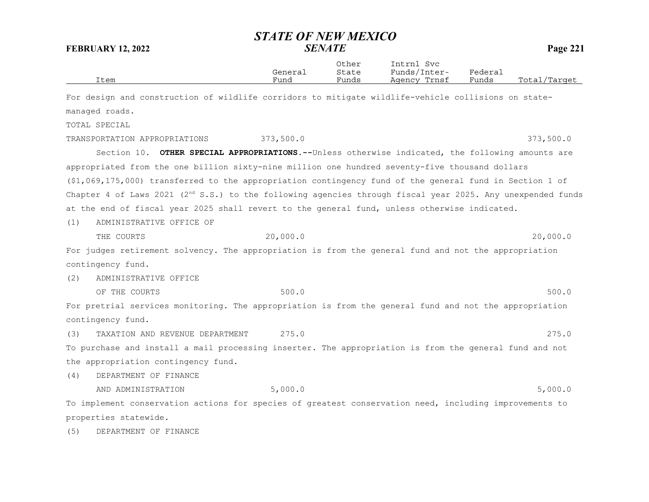| Item                                                                                                                   | General<br>Fund | Other<br>State<br>Funds | Intrnl Svc<br>Funds/Inter-<br>Agency Trnsf | Federal<br>Funds | Total/Target |
|------------------------------------------------------------------------------------------------------------------------|-----------------|-------------------------|--------------------------------------------|------------------|--------------|
| For design and construction of wildlife corridors to mitigate wildlife-vehicle collisions on state-                    |                 |                         |                                            |                  |              |
| managed roads.                                                                                                         |                 |                         |                                            |                  |              |
| TOTAL SPECIAL                                                                                                          |                 |                         |                                            |                  |              |
| TRANSPORTATION APPROPRIATIONS                                                                                          | 373,500.0       |                         |                                            |                  | 373,500.0    |
| Section 10. OTHER SPECIAL APPROPRIATIONS.--Unless otherwise indicated, the following amounts are                       |                 |                         |                                            |                  |              |
| appropriated from the one billion sixty-nine million one hundred seventy-five thousand dollars                         |                 |                         |                                            |                  |              |
| $(1,069,175,000)$ transferred to the appropriation contingency fund of the general fund in Section 1 of                |                 |                         |                                            |                  |              |
| Chapter 4 of Laws 2021 (2 <sup>nd</sup> S.S.) to the following agencies through fiscal year 2025. Any unexpended funds |                 |                         |                                            |                  |              |
| at the end of fiscal year 2025 shall revert to the general fund, unless otherwise indicated.                           |                 |                         |                                            |                  |              |
| ADMINISTRATIVE OFFICE OF<br>(1)                                                                                        |                 |                         |                                            |                  |              |
| THE COURTS                                                                                                             | 20,000.0        |                         |                                            |                  | 20,000.0     |
| For judges retirement solvency. The appropriation is from the general fund and not the appropriation                   |                 |                         |                                            |                  |              |
| contingency fund.                                                                                                      |                 |                         |                                            |                  |              |
| ADMINISTRATIVE OFFICE<br>(2)                                                                                           |                 |                         |                                            |                  |              |
| OF THE COURTS                                                                                                          | 500.0           |                         |                                            |                  | 500.0        |
| For pretrial services monitoring. The appropriation is from the general fund and not the appropriation                 |                 |                         |                                            |                  |              |
| contingency fund.                                                                                                      |                 |                         |                                            |                  |              |
| TAXATION AND REVENUE DEPARTMENT<br>(3)                                                                                 | 275.0           |                         |                                            |                  | 275.0        |
| To purchase and install a mail processing inserter. The appropriation is from the general fund and not                 |                 |                         |                                            |                  |              |
| the appropriation contingency fund.                                                                                    |                 |                         |                                            |                  |              |
| (4)<br>DEPARTMENT OF FINANCE                                                                                           |                 |                         |                                            |                  |              |
| AND ADMINISTRATION                                                                                                     | 5,000.0         |                         |                                            |                  | 5,000.0      |
| To implement conservation actions for species of greatest conservation need, including improvements to                 |                 |                         |                                            |                  |              |
| properties statewide.                                                                                                  |                 |                         |                                            |                  |              |
| (5)<br>DEPARTMENT OF FINANCE                                                                                           |                 |                         |                                            |                  |              |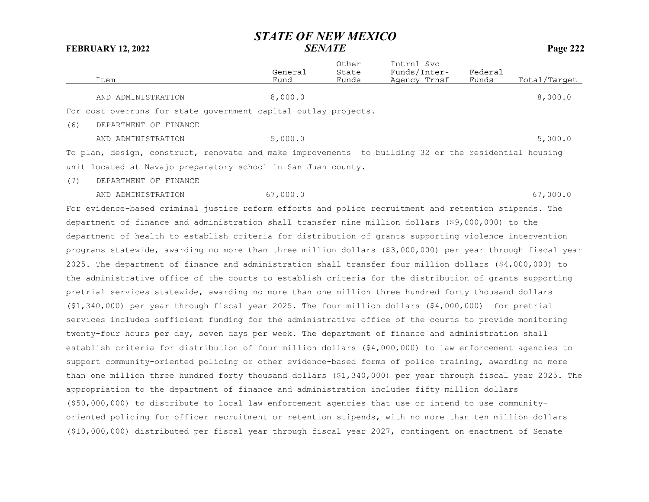|     | Item                                                            | General<br>Fund | Other<br>State<br>Funds | Intrnl Svc<br>Funds/Inter-<br>Agency Trnsf | Federal<br>Funds | Total/Target |
|-----|-----------------------------------------------------------------|-----------------|-------------------------|--------------------------------------------|------------------|--------------|
|     | AND ADMINISTRATION                                              | 8,000.0         |                         |                                            |                  | 8,000.0      |
|     | For cost overruns for state government capital outlay projects. |                 |                         |                                            |                  |              |
| (6) | DEPARTMENT OF FINANCE                                           |                 |                         |                                            |                  |              |
|     | AND ADMINISTRATION                                              | 5,000.0         |                         |                                            |                  | 5,000.0      |
|     |                                                                 |                 |                         |                                            |                  |              |

To plan, design, construct, renovate and make improvements to building 32 or the residential housing unit located at Navajo preparatory school in San Juan county.

(7) DEPARTMENT OF FINANCE

AND ADMINISTRATION 67,000.0 67,000.0 67,000 67,000 67,000 67,000 67,000 67,000 67,000 67,000 67,000 67,000 67,000 67,000 67,000 67,000 67,000 67,000 67,000 67,000 67,000 67,000 67,000 67,000 67,000 67,000 67,000 67,000 67,

For evidence-based criminal justice reform efforts and police recruitment and retention stipends. The department of finance and administration shall transfer nine million dollars (\$9,000,000) to the department of health to establish criteria for distribution of grants supporting violence intervention programs statewide, awarding no more than three million dollars (\$3,000,000) per year through fiscal year 2025. The department of finance and administration shall transfer four million dollars (\$4,000,000) to the administrative office of the courts to establish criteria for the distribution of grants supporting pretrial services statewide, awarding no more than one million three hundred forty thousand dollars (\$1,340,000) per year through fiscal year 2025. The four million dollars (\$4,000,000) for pretrial services includes sufficient funding for the administrative office of the courts to provide monitoring twenty-four hours per day, seven days per week. The department of finance and administration shall establish criteria for distribution of four million dollars (\$4,000,000) to law enforcement agencies to support community-oriented policing or other evidence-based forms of police training, awarding no more than one million three hundred forty thousand dollars (\$1,340,000) per year through fiscal year 2025. The appropriation to the department of finance and administration includes fifty million dollars (\$50,000,000) to distribute to local law enforcement agencies that use or intend to use communityoriented policing for officer recruitment or retention stipends, with no more than ten million dollars (\$10,000,000) distributed per fiscal year through fiscal year 2027, contingent on enactment of Senate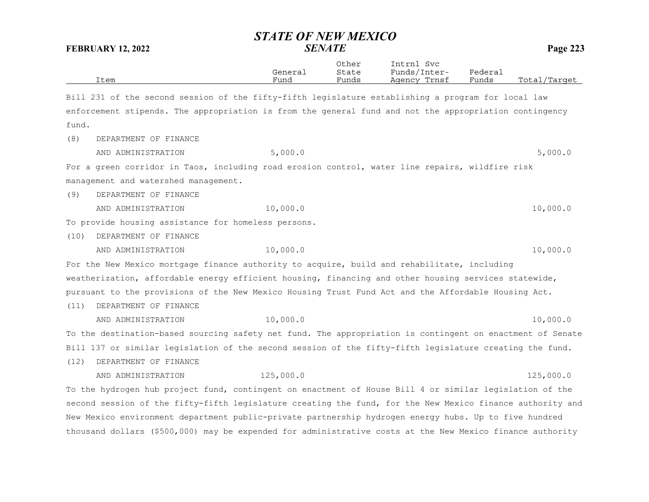|       | <b>FEBRUARY 12, 2022</b>                                                                                  | <b>SENATE</b>   |                         |                                            |                  | Page 223     |  |
|-------|-----------------------------------------------------------------------------------------------------------|-----------------|-------------------------|--------------------------------------------|------------------|--------------|--|
|       | Item                                                                                                      | General<br>Fund | Other<br>State<br>Funds | Intrnl Svc<br>Funds/Inter-<br>Agency Trnsf | Federal<br>Funds | Total/Target |  |
|       | Bill 231 of the second session of the fifty-fifth legislature establishing a program for local law        |                 |                         |                                            |                  |              |  |
|       | enforcement stipends. The appropriation is from the general fund and not the appropriation contingency    |                 |                         |                                            |                  |              |  |
| fund. |                                                                                                           |                 |                         |                                            |                  |              |  |
| (8)   | DEPARTMENT OF FINANCE                                                                                     |                 |                         |                                            |                  |              |  |
|       | AND ADMINISTRATION                                                                                        | 5,000.0         |                         |                                            |                  | 5,000.0      |  |
|       | For a green corridor in Taos, including road erosion control, water line repairs, wildfire risk           |                 |                         |                                            |                  |              |  |
|       | management and watershed management.                                                                      |                 |                         |                                            |                  |              |  |
| (9)   | DEPARTMENT OF FINANCE                                                                                     |                 |                         |                                            |                  |              |  |
|       | AND ADMINISTRATION                                                                                        | 10,000.0        |                         |                                            |                  | 10,000.0     |  |
|       | To provide housing assistance for homeless persons.                                                       |                 |                         |                                            |                  |              |  |
| (10)  | DEPARTMENT OF FINANCE                                                                                     |                 |                         |                                            |                  |              |  |
|       | AND ADMINISTRATION                                                                                        | 10,000.0        |                         |                                            |                  | 10,000.0     |  |
|       | For the New Mexico mortgage finance authority to acquire, build and rehabilitate, including               |                 |                         |                                            |                  |              |  |
|       | weatherization, affordable energy efficient housing, financing and other housing services statewide,      |                 |                         |                                            |                  |              |  |
|       | pursuant to the provisions of the New Mexico Housing Trust Fund Act and the Affordable Housing Act.       |                 |                         |                                            |                  |              |  |
| (11)  | DEPARTMENT OF FINANCE                                                                                     |                 |                         |                                            |                  |              |  |
|       | AND ADMINISTRATION                                                                                        | 10,000.0        |                         |                                            |                  | 10,000.0     |  |
|       | To the destination-based sourcing safety net fund. The appropriation is contingent on enactment of Senate |                 |                         |                                            |                  |              |  |
|       | Bill 137 or similar legislation of the second session of the fifty-fifth legislature creating the fund.   |                 |                         |                                            |                  |              |  |
| (12)  | DEPARTMENT OF FINANCE                                                                                     |                 |                         |                                            |                  |              |  |
|       | AND ADMINISTRATION                                                                                        | 125,000.0       |                         |                                            |                  | 125,000.0    |  |
|       | To the hydrogen hub project fund, contingent on enactment of House Bill 4 or similar legislation of the   |                 |                         |                                            |                  |              |  |
|       | second session of the fifty-fifth legislature creating the fund, for the New Mexico finance authority and |                 |                         |                                            |                  |              |  |
|       | New Mexico environment department public-private partnership hydrogen energy hubs. Up to five hundred     |                 |                         |                                            |                  |              |  |
|       | thousand dollars (\$500,000) may be expended for administrative costs at the New Mexico finance authority |                 |                         |                                            |                  |              |  |

# *STATE OF NEW MEXICO*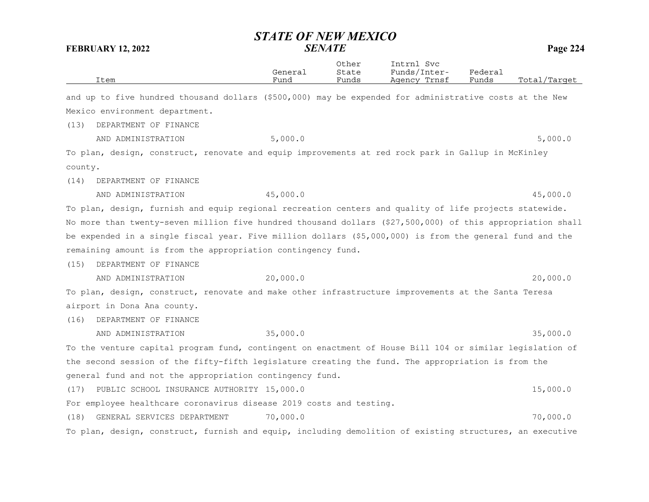|         | Item                                                                                                       | General<br>Fund | Other<br>State<br>Funds | Intrnl Svc<br>Funds/Inter-<br>Agency Trnsf | Federal<br>Funds | Total/Target |
|---------|------------------------------------------------------------------------------------------------------------|-----------------|-------------------------|--------------------------------------------|------------------|--------------|
|         | and up to five hundred thousand dollars (\$500,000) may be expended for administrative costs at the New    |                 |                         |                                            |                  |              |
|         | Mexico environment department.                                                                             |                 |                         |                                            |                  |              |
| (13)    | DEPARTMENT OF FINANCE                                                                                      |                 |                         |                                            |                  |              |
|         | AND ADMINISTRATION                                                                                         | 5,000.0         |                         |                                            |                  | 5,000.0      |
|         | To plan, design, construct, renovate and equip improvements at red rock park in Gallup in McKinley         |                 |                         |                                            |                  |              |
| county. |                                                                                                            |                 |                         |                                            |                  |              |
| (14)    | DEPARTMENT OF FINANCE                                                                                      |                 |                         |                                            |                  |              |
|         | AND ADMINISTRATION                                                                                         | 45,000.0        |                         |                                            |                  | 45,000.0     |
|         | To plan, design, furnish and equip regional recreation centers and quality of life projects statewide.     |                 |                         |                                            |                  |              |
|         | No more than twenty-seven million five hundred thousand dollars (\$27,500,000) of this appropriation shall |                 |                         |                                            |                  |              |
|         | be expended in a single fiscal year. Five million dollars (\$5,000,000) is from the general fund and the   |                 |                         |                                            |                  |              |
|         | remaining amount is from the appropriation contingency fund.                                               |                 |                         |                                            |                  |              |
| (15)    | DEPARTMENT OF FINANCE                                                                                      |                 |                         |                                            |                  |              |
|         | AND ADMINISTRATION                                                                                         | 20,000.0        |                         |                                            |                  | 20,000.0     |
|         | To plan, design, construct, renovate and make other infrastructure improvements at the Santa Teresa        |                 |                         |                                            |                  |              |
|         | airport in Dona Ana county.                                                                                |                 |                         |                                            |                  |              |
| (16)    | DEPARTMENT OF FINANCE                                                                                      |                 |                         |                                            |                  |              |
|         | AND ADMINISTRATION                                                                                         | 35,000.0        |                         |                                            |                  | 35,000.0     |
|         | To the venture capital program fund, contingent on enactment of House Bill 104 or similar legislation of   |                 |                         |                                            |                  |              |
|         | the second session of the fifty-fifth legislature creating the fund. The appropriation is from the         |                 |                         |                                            |                  |              |
|         | general fund and not the appropriation contingency fund.                                                   |                 |                         |                                            |                  |              |
| (17)    | PUBLIC SCHOOL INSURANCE AUTHORITY 15,000.0                                                                 |                 |                         |                                            |                  | 15,000.0     |
|         | For employee healthcare coronavirus disease 2019 costs and testing.                                        |                 |                         |                                            |                  |              |
| (18)    | GENERAL SERVICES DEPARTMENT                                                                                | 70,000.0        |                         |                                            |                  | 70,000.0     |
|         | To plan, design, construct, furnish and equip, including demolition of existing structures, an executive   |                 |                         |                                            |                  |              |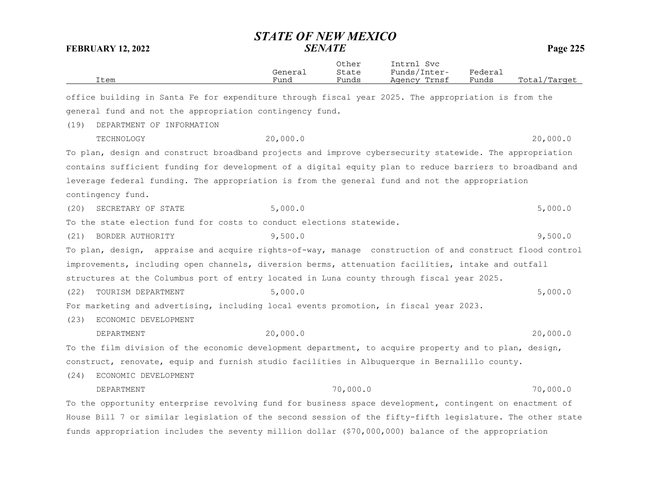|                                                                                                           | <b>STATE OF NEW MEXICO</b> |                         |                                            |                  | Page 225     |  |  |
|-----------------------------------------------------------------------------------------------------------|----------------------------|-------------------------|--------------------------------------------|------------------|--------------|--|--|
| <b>SENATE</b><br><b>FEBRUARY 12, 2022</b>                                                                 |                            |                         |                                            |                  |              |  |  |
| Item                                                                                                      | General<br>Fund            | Other<br>State<br>Funds | Intrnl Svc<br>Funds/Inter-<br>Agency Trnsf | Federal<br>Funds | Total/Target |  |  |
| office building in Santa Fe for expenditure through fiscal year 2025. The appropriation is from the       |                            |                         |                                            |                  |              |  |  |
| general fund and not the appropriation contingency fund.                                                  |                            |                         |                                            |                  |              |  |  |
| (19)<br>DEPARTMENT OF INFORMATION                                                                         |                            |                         |                                            |                  |              |  |  |
| TECHNOLOGY                                                                                                | 20,000.0                   |                         |                                            |                  | 20,000.0     |  |  |
| To plan, design and construct broadband projects and improve cybersecurity statewide. The appropriation   |                            |                         |                                            |                  |              |  |  |
| contains sufficient funding for development of a digital equity plan to reduce barriers to broadband and  |                            |                         |                                            |                  |              |  |  |
| leverage federal funding. The appropriation is from the general fund and not the appropriation            |                            |                         |                                            |                  |              |  |  |
| contingency fund.                                                                                         |                            |                         |                                            |                  |              |  |  |
| SECRETARY OF STATE<br>(20)                                                                                | 5,000.0                    |                         |                                            |                  | 5,000.0      |  |  |
| To the state election fund for costs to conduct elections statewide.                                      |                            |                         |                                            |                  |              |  |  |
| (21)<br>BORDER AUTHORITY                                                                                  | 9,500.0                    |                         |                                            |                  | 9,500.0      |  |  |
| To plan, design, appraise and acquire rights-of-way, manage construction of and construct flood control   |                            |                         |                                            |                  |              |  |  |
| improvements, including open channels, diversion berms, attenuation facilities, intake and outfall        |                            |                         |                                            |                  |              |  |  |
| structures at the Columbus port of entry located in Luna county through fiscal year 2025.                 |                            |                         |                                            |                  |              |  |  |
| (22)<br>TOURISM DEPARTMENT                                                                                | 5,000.0                    |                         |                                            |                  | 5,000.0      |  |  |
| For marketing and advertising, including local events promotion, in fiscal year 2023.                     |                            |                         |                                            |                  |              |  |  |
| (23)<br>ECONOMIC DEVELOPMENT                                                                              |                            |                         |                                            |                  |              |  |  |
| DEPARTMENT                                                                                                | 20,000.0                   |                         |                                            |                  | 20,000.0     |  |  |
| To the film division of the economic development department, to acquire property and to plan, design,     |                            |                         |                                            |                  |              |  |  |
| construct, renovate, equip and furnish studio facilities in Albuquerque in Bernalillo county.             |                            |                         |                                            |                  |              |  |  |
| (24)<br>ECONOMIC DEVELOPMENT                                                                              |                            |                         |                                            |                  |              |  |  |
| DEPARTMENT                                                                                                |                            | 70,000.0                |                                            |                  | 70,000.0     |  |  |
| To the opportunity enterprise revolving fund for business space development, contingent on enactment of   |                            |                         |                                            |                  |              |  |  |
| House Bill 7 or similar legislation of the second session of the fifty-fifth legislature. The other state |                            |                         |                                            |                  |              |  |  |
| funds appropriation includes the seventy million dollar (\$70,000,000) balance of the appropriation       |                            |                         |                                            |                  |              |  |  |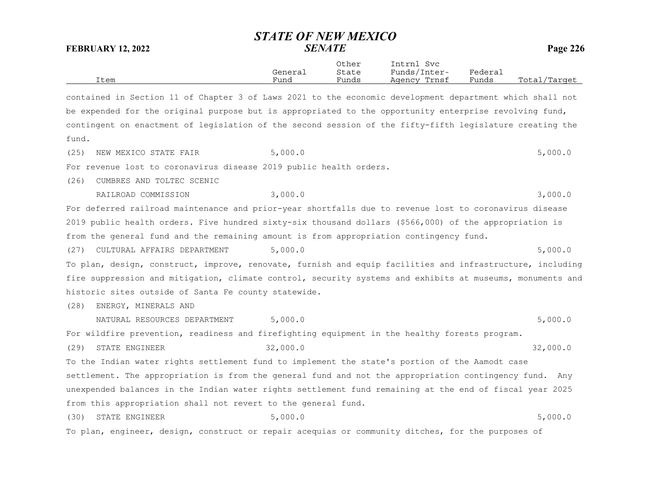Other Intrnl Svc General State Funds/Inter- Federal Item Fund Funds Agency Trnsf Funds Total/Target

contained in Section 11 of Chapter 3 of Laws 2021 to the economic development department which shall not be expended for the original purpose but is appropriated to the opportunity enterprise revolving fund, contingent on enactment of legislation of the second session of the fifty-fifth legislature creating the fund.

(25) NEW MEXICO STATE FAIR  $5,000.0$ 

For revenue lost to coronavirus disease 2019 public health orders.

(26) CUMBRES AND TOLTEC SCENIC

RAILROAD COMMISSION 3,000.0 3,000.0 3,000 3,000 3,000 3,000 3,000 3,000 3,000 3,000 3,000 3,000 3,000 3,000 3,000 3,000 5,000 5,000 5,000 5,000 5,000 5,000 5,000 5,000 5,000 5,000 5,000 5,000 5,000 5,000 5,000 5,000 5,000

For deferred railroad maintenance and prior-year shortfalls due to revenue lost to coronavirus disease 2019 public health orders. Five hundred sixty-six thousand dollars (\$566,000) of the appropriation is from the general fund and the remaining amount is from appropriation contingency fund.

(27) CULTURAL AFFAIRS DEPARTMENT 5,000.0 5,000 5,000 5,000.0

To plan, design, construct, improve, renovate, furnish and equip facilities and infrastructure, including fire suppression and mitigation, climate control, security systems and exhibits at museums, monuments and historic sites outside of Santa Fe county statewide.

(28) ENERGY, MINERALS AND

NATURAL RESOURCES DEPARTMENT 5,000.0 5,000 5,000 5,000.0

For wildfire prevention, readiness and firefighting equipment in the healthy forests program.

(29) STATE ENGINEER 32,000.0 32,000 and 32,000 and 32,000 32,000 32,000 and 32,000 and 32,000 and 32,000 and 32,000 and 32,000 and 32,000 and 32,000 and 32,000 and 32,000 and 32,000 and 32,000 and 32,000 and 32,000 and 32,

To the Indian water rights settlement fund to implement the state's portion of the Aamodt case settlement. The appropriation is from the general fund and not the appropriation contingency fund. Any unexpended balances in the Indian water rights settlement fund remaining at the end of fiscal year 2025 from this appropriation shall not revert to the general fund.

(30) STATE ENGINEER 5,000.0 5,000 5,000 5,000 5,000 5,000 5,000 5,000 5,000 5,000 5,000 5,000 5,000 5,000 5,000 5,000 5,000 5,000 5,000 5,000 5,000 5,000 5,000 5,000 5,000 5,000 5,000 5,000 5,000 5,000 5,000 5,000 5,000 5, To plan, engineer, design, construct or repair acequias or community ditches, for the purposes of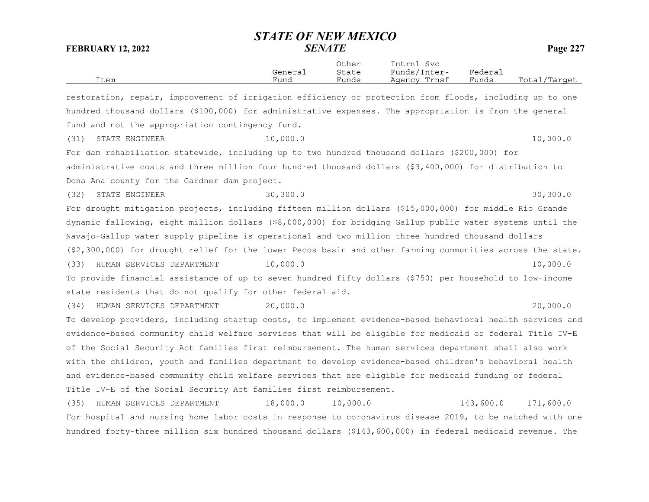| Item                                                                                                                | General<br>Fund | Other<br>State<br>Funds | Intrnl Svc<br>Funds/Inter-<br>Agency Trnsf | Federal<br>Funds | Total/Target |
|---------------------------------------------------------------------------------------------------------------------|-----------------|-------------------------|--------------------------------------------|------------------|--------------|
| restoration, repair, improvement of irrigation efficiency or protection from floods, including up to one            |                 |                         |                                            |                  |              |
| hundred thousand dollars (\$100,000) for administrative expenses. The appropriation is from the general             |                 |                         |                                            |                  |              |
| fund and not the appropriation contingency fund.                                                                    |                 |                         |                                            |                  |              |
| (31)<br>STATE ENGINEER                                                                                              | 10,000.0        |                         |                                            |                  | 10,000.0     |
| For dam rehabiliation statewide, including up to two hundred thousand dollars (\$200,000) for                       |                 |                         |                                            |                  |              |
| administrative costs and three million four hundred thousand dollars (\$3,400,000) for distribution to              |                 |                         |                                            |                  |              |
| Dona Ana county for the Gardner dam project.                                                                        |                 |                         |                                            |                  |              |
| (32)<br>STATE ENGINEER                                                                                              | 30, 300.0       |                         |                                            |                  | 30, 300.0    |
| For drought mitigation projects, including fifteen million dollars (\$15,000,000) for middle Rio Grande             |                 |                         |                                            |                  |              |
| dynamic fallowing, eight million dollars (\$8,000,000) for bridging Gallup public water systems until the           |                 |                         |                                            |                  |              |
| Navajo-Gallup water supply pipeline is operational and two million three hundred thousand dollars                   |                 |                         |                                            |                  |              |
| $(\frac{2}{300}, 000)$ for drought relief for the lower Pecos basin and other farming communities across the state. |                 |                         |                                            |                  |              |
| HUMAN SERVICES DEPARTMENT<br>(33)                                                                                   | 10,000.0        |                         |                                            |                  | 10,000.0     |
| To provide financial assistance of up to seven hundred fifty dollars (\$750) per household to low-income            |                 |                         |                                            |                  |              |
| state residents that do not qualify for other federal aid.                                                          |                 |                         |                                            |                  |              |
| HUMAN SERVICES DEPARTMENT<br>(34)                                                                                   | 20,000.0        |                         |                                            |                  | 20,000.0     |
| To develop providers, including startup costs, to implement evidence-based behavioral health services and           |                 |                         |                                            |                  |              |
| evidence-based community child welfare services that will be eligible for medicaid or federal Title IV-E            |                 |                         |                                            |                  |              |
| of the Social Security Act families first reimbursement. The human services department shall also work              |                 |                         |                                            |                  |              |
| with the children, youth and families department to develop evidence-based children's behavioral health             |                 |                         |                                            |                  |              |
| and evidence-based community child welfare services that are eligible for medicaid funding or federal               |                 |                         |                                            |                  |              |
| Title IV-E of the Social Security Act families first reimbursement.                                                 |                 |                         |                                            |                  |              |
| (35)<br>HUMAN SERVICES DEPARTMENT                                                                                   | 18,000.0        | 10,000.0                |                                            | 143,600.0        | 171,600.0    |
| For hospital and nursing home labor costs in response to coronavirus disease 2019, to be matched with one           |                 |                         |                                            |                  |              |
| hundred forty-three million six hundred thousand dollars (\$143,600,000) in federal medicaid revenue. The           |                 |                         |                                            |                  |              |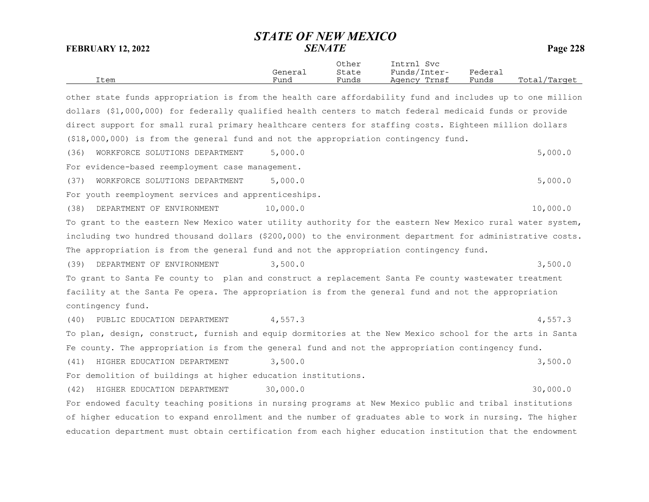Other Intrnl Svc General State Funds/Inter- Federal Item Fund Funds Agency Trnsf Funds Total/Target

other state funds appropriation is from the health care affordability fund and includes up to one million dollars (\$1,000,000) for federally qualified health centers to match federal medicaid funds or provide direct support for small rural primary healthcare centers for staffing costs. Eighteen million dollars (\$18,000,000) is from the general fund and not the appropriation contingency fund. (36) WORKFORCE SOLUTIONS DEPARTMENT 5,000.0 5,000 5,000 5,000 5,000 5,000 5,000 5,000 5,000 5,000 5,000 5,000 5,000 5,000 5,000 5,000 5,000 5,000 5,000 5,000 5,000 5,000 5,000 5,000 5,000 5,000 5,000 5,000 5,000 5,000 5,00 For evidence-based reemployment case management. (37) WORKFORCE SOLUTIONS DEPARTMENT 5,000.0 5,000 5,000 5,000 5,000 5,000 5,000 5,000 5,000 5,000 5,000 5,000 5,000 5,000 5,000 5,000 5,000 5,000 5,000 5,000 5,000 5,000 5,000 5,000 5,000 5,000 5,000 5,000 5,000 5,000 5,00 For youth reemployment services and apprenticeships. (38) DEPARTMENT OF ENVIRONMENT 10,000.0 10,000 1000.0 10,000.0 To grant to the eastern New Mexico water utility authority for the eastern New Mexico rural water system, including two hundred thousand dollars (\$200,000) to the environment department for administrative costs. The appropriation is from the general fund and not the appropriation contingency fund. (39) DEPARTMENT OF ENVIRONMENT 3,500.0 3,500 CONTROLLER 3,500 CONTROL 3,500 CONTROLLER SEA To grant to Santa Fe county to plan and construct a replacement Santa Fe county wastewater treatment facility at the Santa Fe opera. The appropriation is from the general fund and not the appropriation contingency fund. (40) PUBLIC EDUCATION DEPARTMENT 4,557.3 4,557.3 To plan, design, construct, furnish and equip dormitories at the New Mexico school for the arts in Santa Fe county. The appropriation is from the general fund and not the appropriation contingency fund. (41) HIGHER EDUCATION DEPARTMENT 3,500.0 3,500 3,500.0 For demolition of buildings at higher education institutions. (42) HIGHER EDUCATION DEPARTMENT 30,000.0 30,000 30,000.0 For endowed faculty teaching positions in nursing programs at New Mexico public and tribal institutions of higher education to expand enrollment and the number of graduates able to work in nursing. The higher education department must obtain certification from each higher education institution that the endowment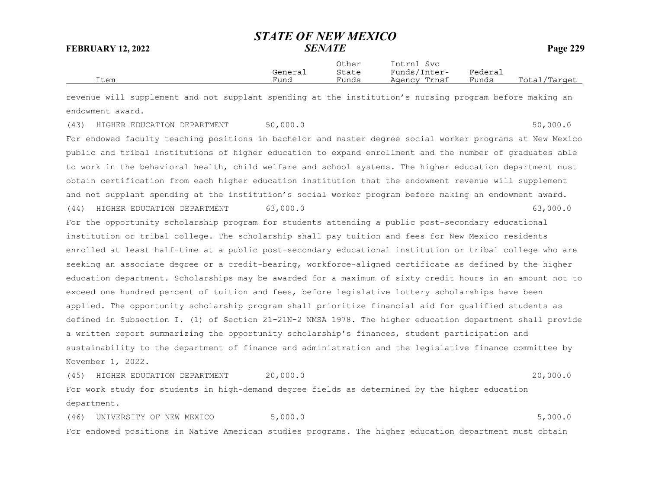|      |         | Other | Intrnl<br>Svc |         |              |
|------|---------|-------|---------------|---------|--------------|
|      | General | State | Funds/Inter-  | Federai |              |
| Item | Fund    | Funds | Agency Trnsf  | Funds   | Total/Target |

revenue will supplement and not supplant spending at the institution's nursing program before making an endowment award.

(43) HIGHER EDUCATION DEPARTMENT 50,000.0 50,000 50,000.0

For endowed faculty teaching positions in bachelor and master degree social worker programs at New Mexico public and tribal institutions of higher education to expand enrollment and the number of graduates able to work in the behavioral health, child welfare and school systems. The higher education department must obtain certification from each higher education institution that the endowment revenue will supplement and not supplant spending at the institution's social worker program before making an endowment award. (44) HIGHER EDUCATION DEPARTMENT 63,000.0 63,000 63,000.0 63,000 63,000 63,000 63,000 63,000 63,000 63,000 63,000 63,000 63,000 63,000 63,000 63,000 63,000 63,000 63,000 63,000 63,000 63,000 63,000 63,000 63,000 63,000 63,

For the opportunity scholarship program for students attending a public post-secondary educational institution or tribal college. The scholarship shall pay tuition and fees for New Mexico residents enrolled at least half-time at a public post-secondary educational institution or tribal college who are seeking an associate degree or a credit-bearing, workforce-aligned certificate as defined by the higher education department. Scholarships may be awarded for a maximum of sixty credit hours in an amount not to exceed one hundred percent of tuition and fees, before legislative lottery scholarships have been applied. The opportunity scholarship program shall prioritize financial aid for qualified students as defined in Subsection I. (1) of Section 21-21N-2 NMSA 1978. The higher education department shall provide a written report summarizing the opportunity scholarship's finances, student participation and sustainability to the department of finance and administration and the legislative finance committee by November 1, 2022.

(45) HIGHER EDUCATION DEPARTMENT 20,000.0 20,000.0 For work study for students in high-demand degree fields as determined by the higher education

department.

(46) UNIVERSITY OF NEW MEXICO 5,000.0 5,000 FOR SALE STORIES AND THE SERVICE STORIES OF STORIES AND THE STORIES For endowed positions in Native American studies programs. The higher education department must obtain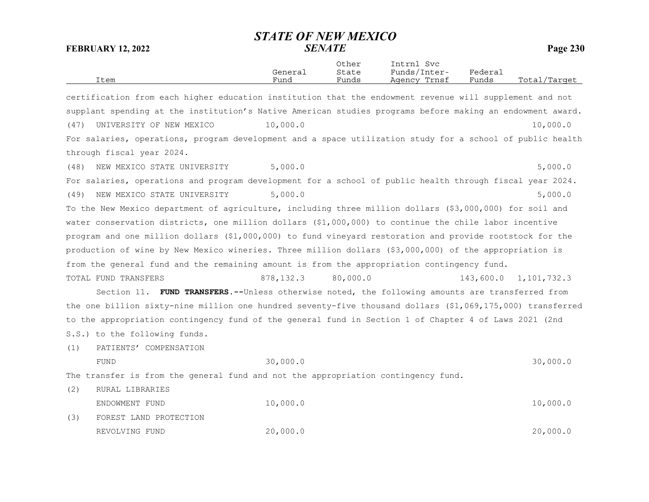|      | Item                                                                                                       | General<br>Fund | Other<br>State<br>Funds | Intrnl Svc<br>Funds/Inter-<br>Agency Trnsf | Federal<br>Funds | Total/Target |
|------|------------------------------------------------------------------------------------------------------------|-----------------|-------------------------|--------------------------------------------|------------------|--------------|
|      | certification from each higher education institution that the endowment revenue will supplement and not    |                 |                         |                                            |                  |              |
|      | supplant spending at the institution's Native American studies programs before making an endowment award.  |                 |                         |                                            |                  |              |
| (47) | UNIVERSITY OF NEW MEXICO                                                                                   | 10,000.0        |                         |                                            |                  | 10,000.0     |
|      | For salaries, operations, program development and a space utilization study for a school of public health  |                 |                         |                                            |                  |              |
|      | through fiscal year 2024.                                                                                  |                 |                         |                                            |                  |              |
| (48) | NEW MEXICO STATE UNIVERSITY                                                                                | 5,000.0         |                         |                                            |                  | 5,000.0      |
|      | For salaries, operations and program development for a school of public health through fiscal year 2024.   |                 |                         |                                            |                  |              |
| (49) | NEW MEXICO STATE UNIVERSITY                                                                                | 5,000.0         |                         |                                            |                  | 5,000.0      |
|      | To the New Mexico department of agriculture, including three million dollars (\$3,000,000) for soil and    |                 |                         |                                            |                  |              |
|      | water conservation districts, one million dollars (\$1,000,000) to continue the chile labor incentive      |                 |                         |                                            |                  |              |
|      | program and one million dollars (\$1,000,000) to fund vineyard restoration and provide rootstock for the   |                 |                         |                                            |                  |              |
|      | production of wine by New Mexico wineries. Three million dollars (\$3,000,000) of the appropriation is     |                 |                         |                                            |                  |              |
|      | from the general fund and the remaining amount is from the appropriation contingency fund.                 |                 |                         |                                            |                  |              |
|      | TOTAL FUND TRANSFERS                                                                                       | 878, 132.3      | 80,000.0                |                                            | 143,600.0        | 1,101,732.3  |
|      | Section 11. FUND TRANSFERS.--Unless otherwise noted, the following amounts are transferred from            |                 |                         |                                            |                  |              |
|      | the one billion sixty-nine million one hundred seventy-five thousand dollars (\$1,069,175,000) transferred |                 |                         |                                            |                  |              |
|      | to the appropriation contingency fund of the general fund in Section 1 of Chapter 4 of Laws 2021 (2nd      |                 |                         |                                            |                  |              |
|      | S.S.) to the following funds.                                                                              |                 |                         |                                            |                  |              |
| (1)  | PATIENTS' COMPENSATION                                                                                     |                 |                         |                                            |                  |              |
|      | FUND                                                                                                       | 30,000.0        |                         |                                            |                  | 30,000.0     |
|      | The transfer is from the general fund and not the appropriation contingency fund.                          |                 |                         |                                            |                  |              |
| (2)  | RURAL LIBRARIES                                                                                            |                 |                         |                                            |                  |              |
|      | ENDOWMENT FUND                                                                                             | 10,000.0        |                         |                                            |                  | 10,000.0     |
| (3)  | FOREST LAND PROTECTION                                                                                     |                 |                         |                                            |                  |              |
|      | REVOLVING FUND                                                                                             | 20,000.0        |                         |                                            |                  | 20,000.0     |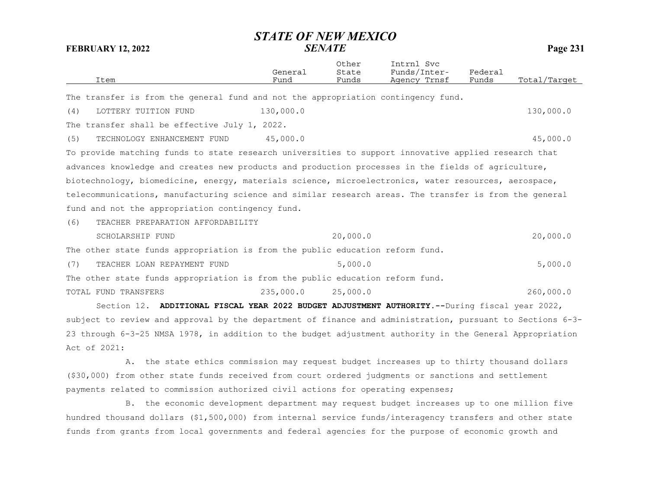*STATE OF NEW MEXICO***FEBRUARY 12, 2022** *SENATE* **Page 231** Other Intrnl Svc General State Funds/Inter- Federal Item Fund Funds Agency Trnsf Funds Total/Target The transfer is from the general fund and not the appropriation contingency fund. (4) LOTTERY TUITION FUND 130,000.0 130,000.0 The transfer shall be effective July 1, 2022. (5) TECHNOLOGY ENHANCEMENT FUND 45,000.0 45,000.0 To provide matching funds to state research universities to support innovative applied research that advances knowledge and creates new products and production processes in the fields of agriculture, biotechnology, biomedicine, energy, materials science, microelectronics, water resources, aerospace, telecommunications, manufacturing science and similar research areas. The transfer is from the general fund and not the appropriation contingency fund. (6) TEACHER PREPARATION AFFORDABILITY SCHOLARSHIP FUND 20.000.0 20.000.0 20.000.0 The other state funds appropriation is from the public education reform fund. (7) TEACHER LOAN REPAYMENT FUND 5,000.0 5,000.0 5,000.0 The other state funds appropriation is from the public education reform fund. TOTAL FUND TRANSFERS 235,000.0 25,000.0 260,000.0 Section 12. **ADDITIONAL FISCAL YEAR 2022 BUDGET ADJUSTMENT AUTHORITY.--**During fiscal year 2022,

subject to review and approval by the department of finance and administration, pursuant to Sections 6-3-23 through 6-3-25 NMSA 1978, in addition to the budget adjustment authority in the General Appropriation Act of 2021:

A. the state ethics commission may request budget increases up to thirty thousand dollars (\$30,000) from other state funds received from court ordered judgments or sanctions and settlement payments related to commission authorized civil actions for operating expenses;

B. the economic development department may request budget increases up to one million five hundred thousand dollars (\$1,500,000) from internal service funds/interagency transfers and other state funds from grants from local governments and federal agencies for the purpose of economic growth and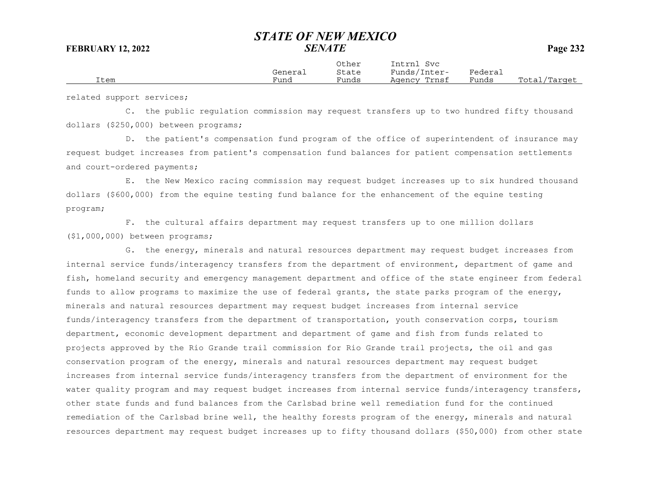|      | General | Other<br>State | Intrnl<br>Svc<br>Funds/Inter- | Federai |              |
|------|---------|----------------|-------------------------------|---------|--------------|
| Item | Fund    | Funds          | Agency Trnsf                  | Funds   | Total/Target |

related support services;

C. the public regulation commission may request transfers up to two hundred fifty thousand dollars (\$250,000) between programs;

D. the patient's compensation fund program of the office of superintendent of insurance may request budget increases from patient's compensation fund balances for patient compensation settlements and court-ordered payments;

E. the New Mexico racing commission may request budget increases up to six hundred thousand dollars (\$600,000) from the equine testing fund balance for the enhancement of the equine testing program;

F. the cultural affairs department may request transfers up to one million dollars (\$1,000,000) between programs;

G. the energy, minerals and natural resources department may request budget increases from internal service funds/interagency transfers from the department of environment, department of game and fish, homeland security and emergency management department and office of the state engineer from federal funds to allow programs to maximize the use of federal grants, the state parks program of the energy, minerals and natural resources department may request budget increases from internal service funds/interagency transfers from the department of transportation, youth conservation corps, tourism department, economic development department and department of game and fish from funds related to projects approved by the Rio Grande trail commission for Rio Grande trail projects, the oil and gas conservation program of the energy, minerals and natural resources department may request budget increases from internal service funds/interagency transfers from the department of environment for the water quality program and may request budget increases from internal service funds/interagency transfers, other state funds and fund balances from the Carlsbad brine well remediation fund for the continuedremediation of the Carlsbad brine well, the healthy forests program of the energy, minerals and natural resources department may request budget increases up to fifty thousand dollars (\$50,000) from other state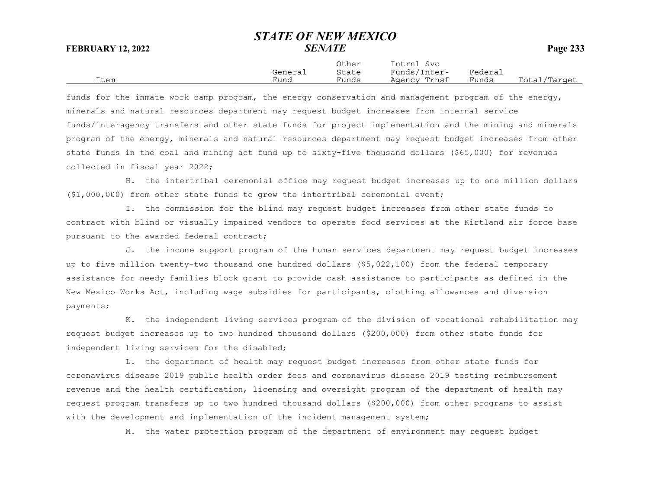Item Fund Funds Agency Trnsf Funds Total/Target

Other Intrnl SvcGeneral State Funds/Inter- Federal

funds for the inmate work camp program, the energy conservation and management program of the energy, minerals and natural resources department may request budget increases from internal service funds/interagency transfers and other state funds for project implementation and the mining and minerals program of the energy, minerals and natural resources department may request budget increases from other state funds in the coal and mining act fund up to sixty-five thousand dollars (\$65,000) for revenues collected in fiscal year 2022;

H. the intertribal ceremonial office may request budget increases up to one million dollars (\$1,000,000) from other state funds to grow the intertribal ceremonial event;

I. the commission for the blind may request budget increases from other state funds to contract with blind or visually impaired vendors to operate food services at the Kirtland air force base pursuant to the awarded federal contract;

J. the income support program of the human services department may request budget increases up to five million twenty-two thousand one hundred dollars (\$5,022,100) from the federal temporary assistance for needy families block grant to provide cash assistance to participants as defined in the New Mexico Works Act, including wage subsidies for participants, clothing allowances and diversion payments;

K. the independent living services program of the division of vocational rehabilitation may request budget increases up to two hundred thousand dollars (\$200,000) from other state funds for independent living services for the disabled;

L. the department of health may request budget increases from other state funds for coronavirus disease 2019 public health order fees and coronavirus disease 2019 testing reimbursement revenue and the health certification, licensing and oversight program of the department of health may request program transfers up to two hundred thousand dollars (\$200,000) from other programs to assist with the development and implementation of the incident management system;

M. the water protection program of the department of environment may request budget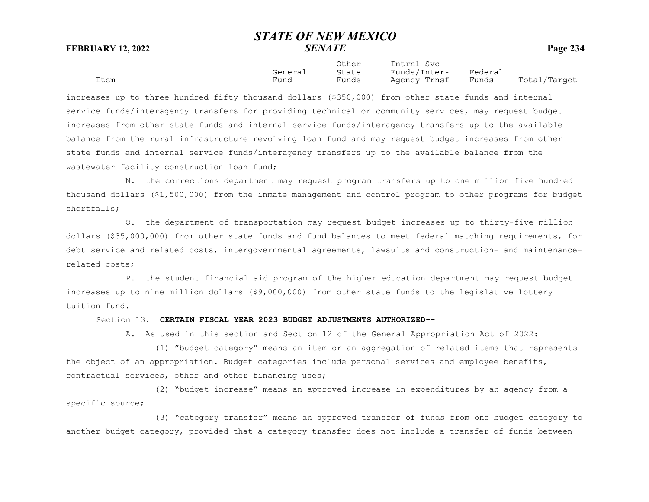|      |         | Other | Intrnl<br>Svc |         |              |
|------|---------|-------|---------------|---------|--------------|
|      | General | State | Funds/Inter-  | Federai |              |
| Item | Fund    | Funds | Agency Trnsf  | Funds   | Total/Target |

increases up to three hundred fifty thousand dollars (\$350,000) from other state funds and internal service funds/interagency transfers for providing technical or community services, may request budget increases from other state funds and internal service funds/interagency transfers up to the available balance from the rural infrastructure revolving loan fund and may request budget increases from other state funds and internal service funds/interagency transfers up to the available balance from the wastewater facility construction loan fund;

N. the corrections department may request program transfers up to one million five hundred thousand dollars (\$1,500,000) from the inmate management and control program to other programs for budget shortfalls;

O. the department of transportation may request budget increases up to thirty-five million dollars (\$35,000,000) from other state funds and fund balances to meet federal matching requirements, for debt service and related costs, intergovernmental agreements, lawsuits and construction- and maintenancerelated costs;

P. the student financial aid program of the higher education department may request budget increases up to nine million dollars (\$9,000,000) from other state funds to the legislative lottery tuition fund.

Section 13. **CERTAIN FISCAL YEAR 2023 BUDGET ADJUSTMENTS AUTHORIZED--**

A. As used in this section and Section 12 of the General Appropriation Act of 2022:

(1) "budget category" means an item or an aggregation of related items that represents the object of an appropriation. Budget categories include personal services and employee benefits, contractual services, other and other financing uses;

(2) "budget increase" means an approved increase in expenditures by an agency from a specific source;

(3) "category transfer" means an approved transfer of funds from one budget category to another budget category, provided that a category transfer does not include a transfer of funds between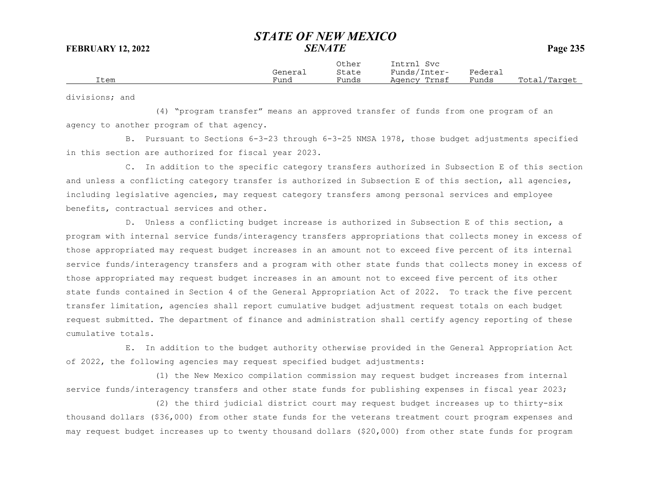|      | Generai | ortier<br>State | TUCTUT<br>5 V C<br>Funds/1<br>Inter- | ${}_{\rm \texttt{Federau}}$ |                  |
|------|---------|-----------------|--------------------------------------|-----------------------------|------------------|
| Item | Fund    | Funds           | Trnsf<br>Agency                      | Funds                       | Total<br>Target/ |

Other Intrnl Svc

divisions; and

(4) "program transfer" means an approved transfer of funds from one program of an agency to another program of that agency.

B. Pursuant to Sections 6-3-23 through 6-3-25 NMSA 1978, those budget adjustments specified in this section are authorized for fiscal year 2023.

C. In addition to the specific category transfers authorized in Subsection E of this section and unless a conflicting category transfer is authorized in Subsection E of this section, all agencies, including legislative agencies, may request category transfers among personal services and employee benefits, contractual services and other.

D. Unless a conflicting budget increase is authorized in Subsection E of this section, a program with internal service funds/interagency transfers appropriations that collects money in excess of those appropriated may request budget increases in an amount not to exceed five percent of its internal service funds/interagency transfers and a program with other state funds that collects money in excess of those appropriated may request budget increases in an amount not to exceed five percent of its other state funds contained in Section 4 of the General Appropriation Act of 2022. To track the five percent transfer limitation, agencies shall report cumulative budget adjustment request totals on each budget request submitted. The department of finance and administration shall certify agency reporting of these cumulative totals.

E. In addition to the budget authority otherwise provided in the General Appropriation Act of 2022, the following agencies may request specified budget adjustments:

(1) the New Mexico compilation commission may request budget increases from internal service funds/interagency transfers and other state funds for publishing expenses in fiscal year 2023;

(2) the third judicial district court may request budget increases up to thirty-six thousand dollars (\$36,000) from other state funds for the veterans treatment court program expenses and may request budget increases up to twenty thousand dollars (\$20,000) from other state funds for program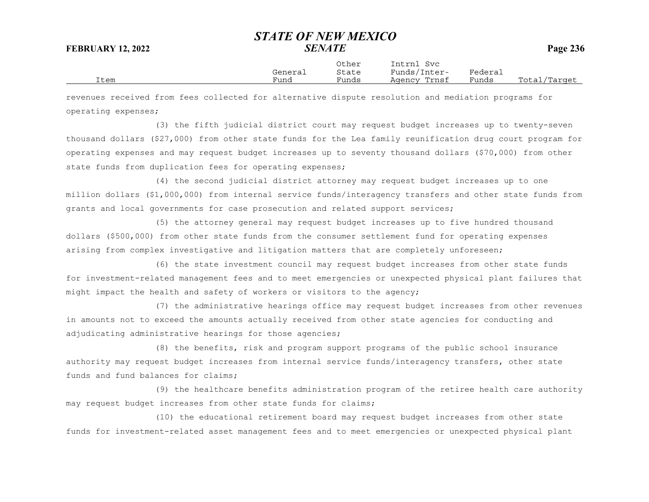|      |         | Other | Intrnl<br>Svc   |         |                  |
|------|---------|-------|-----------------|---------|------------------|
|      | General | State | Funds/Inter-    | Federai |                  |
| Item | Funa    | Funds | Trnsf<br>Agency | Funds   | Total<br>/Target |

revenues received from fees collected for alternative dispute resolution and mediation programs for operating expenses;

(3) the fifth judicial district court may request budget increases up to twenty-seven thousand dollars (\$27,000) from other state funds for the Lea family reunification drug court program for operating expenses and may request budget increases up to seventy thousand dollars (\$70,000) from other state funds from duplication fees for operating expenses;

(4) the second judicial district attorney may request budget increases up to one million dollars (\$1,000,000) from internal service funds/interagency transfers and other state funds from grants and local governments for case prosecution and related support services;

(5) the attorney general may request budget increases up to five hundred thousand dollars (\$500,000) from other state funds from the consumer settlement fund for operating expenses arising from complex investigative and litigation matters that are completely unforeseen;

(6) the state investment council may request budget increases from other state funds for investment-related management fees and to meet emergencies or unexpected physical plant failures that might impact the health and safety of workers or visitors to the agency;

(7) the administrative hearings office may request budget increases from other revenues in amounts not to exceed the amounts actually received from other state agencies for conducting and adjudicating administrative hearings for those agencies;

(8) the benefits, risk and program support programs of the public school insurance authority may request budget increases from internal service funds/interagency transfers, other state funds and fund balances for claims;

(9) the healthcare benefits administration program of the retiree health care authority may request budget increases from other state funds for claims;

(10) the educational retirement board may request budget increases from other state funds for investment-related asset management fees and to meet emergencies or unexpected physical plant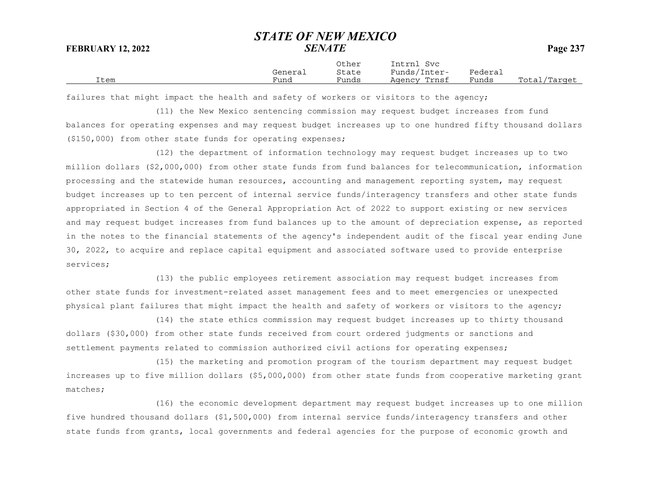|      |         | Other | Intrnl<br>Svc   |         |                  |
|------|---------|-------|-----------------|---------|------------------|
|      | General | State | Funds/Inter-    | Federai |                  |
| Item | Funa    | Funds | Trnsf<br>Agency | Funds   | Total<br>/Target |

failures that might impact the health and safety of workers or visitors to the agency;

(11) the New Mexico sentencing commission may request budget increases from fund balances for operating expenses and may request budget increases up to one hundred fifty thousand dollars (\$150,000) from other state funds for operating expenses;

(12) the department of information technology may request budget increases up to two million dollars (\$2,000,000) from other state funds from fund balances for telecommunication, information processing and the statewide human resources, accounting and management reporting system, may request budget increases up to ten percent of internal service funds/interagency transfers and other state funds appropriated in Section 4 of the General Appropriation Act of 2022 to support existing or new services and may request budget increases from fund balances up to the amount of depreciation expense, as reported in the notes to the financial statements of the agency's independent audit of the fiscal year ending June 30, 2022, to acquire and replace capital equipment and associated software used to provide enterprise services;

(13) the public employees retirement association may request budget increases from other state funds for investment-related asset management fees and to meet emergencies or unexpected physical plant failures that might impact the health and safety of workers or visitors to the agency;

(14) the state ethics commission may request budget increases up to thirty thousand dollars (\$30,000) from other state funds received from court ordered judgments or sanctions and settlement payments related to commission authorized civil actions for operating expenses;

(15) the marketing and promotion program of the tourism department may request budget increases up to five million dollars (\$5,000,000) from other state funds from cooperative marketing grant matches;

(16) the economic development department may request budget increases up to one million five hundred thousand dollars (\$1,500,000) from internal service funds/interagency transfers and other state funds from grants, local governments and federal agencies for the purpose of economic growth and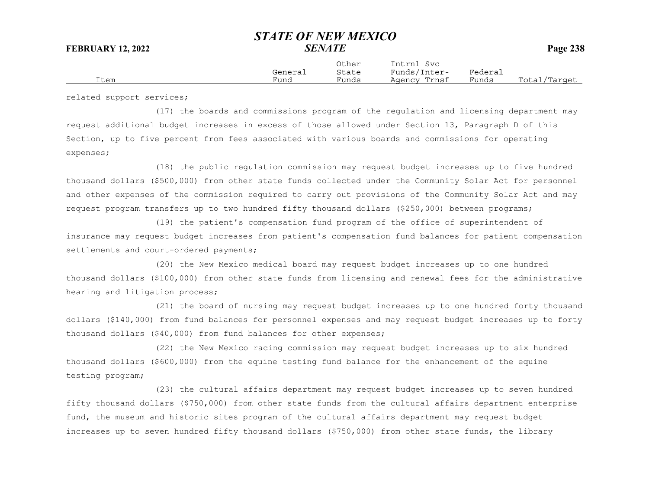| Other<br>General<br>State<br>Funds<br>Funa<br>Item | Intrnl<br>Svc<br>Funds/Inter-<br>Agency Trnsf | Federai<br>Funds | Total,<br>/Target |
|----------------------------------------------------|-----------------------------------------------|------------------|-------------------|
|----------------------------------------------------|-----------------------------------------------|------------------|-------------------|

related support services;

(17) the boards and commissions program of the regulation and licensing department may request additional budget increases in excess of those allowed under Section 13, Paragraph D of this Section, up to five percent from fees associated with various boards and commissions for operating expenses;

(18) the public regulation commission may request budget increases up to five hundred thousand dollars (\$500,000) from other state funds collected under the Community Solar Act for personnel and other expenses of the commission required to carry out provisions of the Community Solar Act and may request program transfers up to two hundred fifty thousand dollars (\$250,000) between programs;

(19) the patient's compensation fund program of the office of superintendent of insurance may request budget increases from patient's compensation fund balances for patient compensation settlements and court-ordered payments;

(20) the New Mexico medical board may request budget increases up to one hundred thousand dollars (\$100,000) from other state funds from licensing and renewal fees for the administrative hearing and litigation process;

(21) the board of nursing may request budget increases up to one hundred forty thousand dollars (\$140,000) from fund balances for personnel expenses and may request budget increases up to forty thousand dollars (\$40,000) from fund balances for other expenses;

(22) the New Mexico racing commission may request budget increases up to six hundred thousand dollars (\$600,000) from the equine testing fund balance for the enhancement of the equine testing program;

(23) the cultural affairs department may request budget increases up to seven hundred fifty thousand dollars (\$750,000) from other state funds from the cultural affairs department enterprise fund, the museum and historic sites program of the cultural affairs department may request budget increases up to seven hundred fifty thousand dollars (\$750,000) from other state funds, the library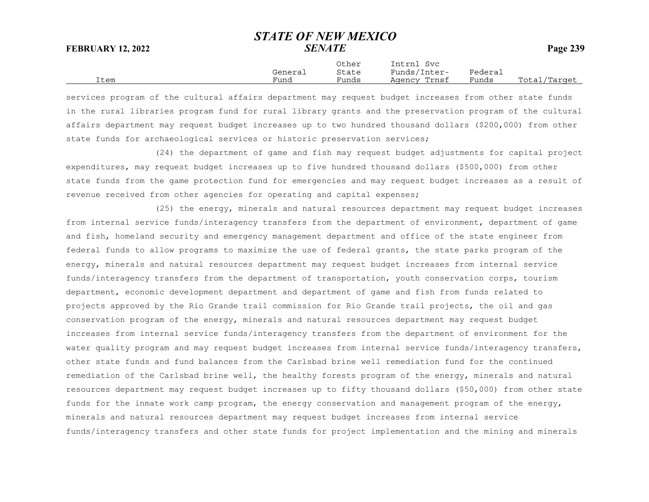|      |         | Other | Intrnl<br>Svc |         |              |
|------|---------|-------|---------------|---------|--------------|
|      | General | State | Funds/Inter-  | Federai |              |
| Item | Fund    | Funds | Agency Trnsf  | Funds   | Total/Target |

services program of the cultural affairs department may request budget increases from other state funds in the rural libraries program fund for rural library grants and the preservation program of the cultural affairs department may request budget increases up to two hundred thousand dollars (\$200,000) from other state funds for archaeological services or historic preservation services;

(24) the department of game and fish may request budget adjustments for capital project expenditures, may request budget increases up to five hundred thousand dollars (\$500,000) from other state funds from the game protection fund for emergencies and may request budget increases as a result of revenue received from other agencies for operating and capital expenses;

(25) the energy, minerals and natural resources department may request budget increases from internal service funds/interagency transfers from the department of environment, department of game and fish, homeland security and emergency management department and office of the state engineer from federal funds to allow programs to maximize the use of federal grants, the state parks program of the energy, minerals and natural resources department may request budget increases from internal service funds/interagency transfers from the department of transportation, youth conservation corps, tourism department, economic development department and department of game and fish from funds related to projects approved by the Rio Grande trail commission for Rio Grande trail projects, the oil and gas conservation program of the energy, minerals and natural resources department may request budget increases from internal service funds/interagency transfers from the department of environment for the water quality program and may request budget increases from internal service funds/interagency transfers, other state funds and fund balances from the Carlsbad brine well remediation fund for the continuedremediation of the Carlsbad brine well, the healthy forests program of the energy, minerals and natural resources department may request budget increases up to fifty thousand dollars (\$50,000) from other state funds for the inmate work camp program, the energy conservation and management program of the energy, minerals and natural resources department may request budget increases from internal service funds/interagency transfers and other state funds for project implementation and the mining and minerals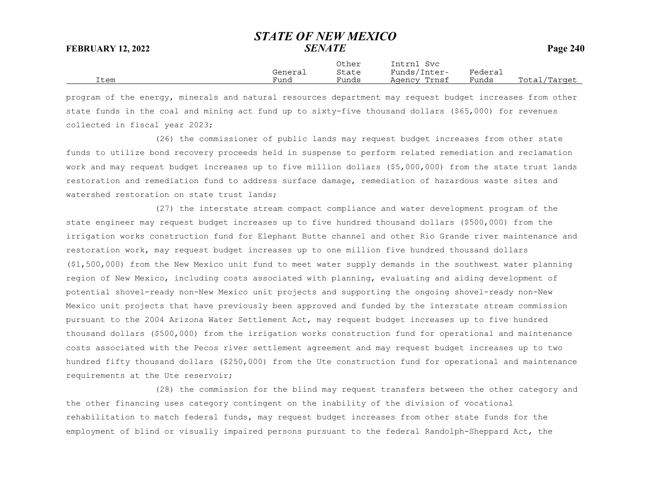Other Intrnl Svc General State Funds/Inter- Federal Item Fund Funds Agency Trnsf Funds Total/Target

program of the energy, minerals and natural resources department may request budget increases from other state funds in the coal and mining act fund up to sixty-five thousand dollars (\$65,000) for revenues collected in fiscal year 2023;

(26) the commissioner of public lands may request budget increases from other state funds to utilize bond recovery proceeds held in suspense to perform related remediation and reclamation work and may request budget increases up to five million dollars (\$5,000,000) from the state trust lands restoration and remediation fund to address surface damage, remediation of hazardous waste sites and watershed restoration on state trust lands;

(27) the interstate stream compact compliance and water development program of the state engineer may request budget increases up to five hundred thousand dollars (\$500,000) from the irrigation works construction fund for Elephant Butte channel and other Rio Grande river maintenance and restoration work, may request budget increases up to one million five hundred thousand dollars (\$1,500,000) from the New Mexico unit fund to meet water supply demands in the southwest water planning region of New Mexico, including costs associated with planning, evaluating and aiding development of potential shovel-ready non-New Mexico unit projects and supporting the ongoing shovel-ready non-New Mexico unit projects that have previously been approved and funded by the interstate stream commission pursuant to the 2004 Arizona Water Settlement Act, may request budget increases up to five hundred thousand dollars (\$500,000) from the irrigation works construction fund for operational and maintenance costs associated with the Pecos river settlement agreement and may request budget increases up to two hundred fifty thousand dollars (\$250,000) from the Ute construction fund for operational and maintenance requirements at the Ute reservoir;

(28) the commission for the blind may request transfers between the other category and the other financing uses category contingent on the inability of the division of vocational rehabilitation to match federal funds, may request budget increases from other state funds for the employment of blind or visually impaired persons pursuant to the federal Randolph-Sheppard Act, the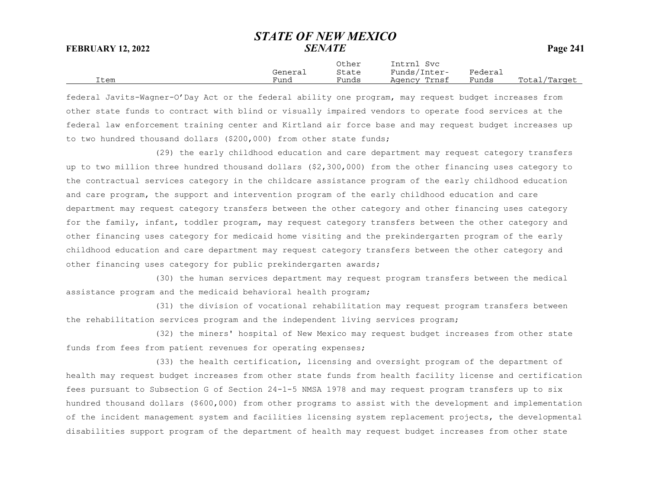|      |         | Other | Intrnl<br>Svc |         |              |
|------|---------|-------|---------------|---------|--------------|
|      | General | State | Funds/Inter-  | Federai |              |
| Item | Fund    | Funds | Agency Trnsf  | Funds   | Total/Target |

federal Javits-Wagner-O'Day Act or the federal ability one program, may request budget increases from other state funds to contract with blind or visually impaired vendors to operate food services at the federal law enforcement training center and Kirtland air force base and may request budget increases up to two hundred thousand dollars (\$200,000) from other state funds;

(29) the early childhood education and care department may request category transfers up to two million three hundred thousand dollars (\$2,300,000) from the other financing uses category to the contractual services category in the childcare assistance program of the early childhood education and care program, the support and intervention program of the early childhood education and care department may request category transfers between the other category and other financing uses category for the family, infant, toddler program, may request category transfers between the other category and other financing uses category for medicaid home visiting and the prekindergarten program of the early childhood education and care department may request category transfers between the other category and other financing uses category for public prekindergarten awards;

(30) the human services department may request program transfers between the medical assistance program and the medicaid behavioral health program;

(31) the division of vocational rehabilitation may request program transfers between the rehabilitation services program and the independent living services program;

(32) the miners' hospital of New Mexico may request budget increases from other state funds from fees from patient revenues for operating expenses;

(33) the health certification, licensing and oversight program of the department of health may request budget increases from other state funds from health facility license and certification fees pursuant to Subsection G of Section 24-1-5 NMSA 1978 and may request program transfers up to six hundred thousand dollars (\$600,000) from other programs to assist with the development and implementation of the incident management system and facilities licensing system replacement projects, the developmental disabilities support program of the department of health may request budget increases from other state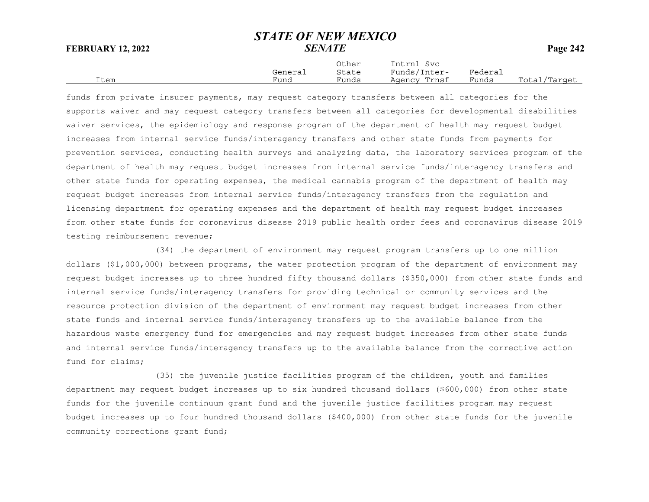|      |         | Other | Intrnl<br>Svc |         |              |
|------|---------|-------|---------------|---------|--------------|
|      | General | State | Funds/Inter-  | Federai |              |
| Item | Funa    | Funds | Agency Trnsf  | Funds   | Total/Target |

funds from private insurer payments, may request category transfers between all categories for the supports waiver and may request category transfers between all categories for developmental disabilities waiver services, the epidemiology and response program of the department of health may request budget increases from internal service funds/interagency transfers and other state funds from payments for prevention services, conducting health surveys and analyzing data, the laboratory services program of the department of health may request budget increases from internal service funds/interagency transfers and other state funds for operating expenses, the medical cannabis program of the department of health may request budget increases from internal service funds/interagency transfers from the regulation and licensing department for operating expenses and the department of health may request budget increases from other state funds for coronavirus disease 2019 public health order fees and coronavirus disease 2019 testing reimbursement revenue;

(34) the department of environment may request program transfers up to one million dollars (\$1,000,000) between programs, the water protection program of the department of environment may request budget increases up to three hundred fifty thousand dollars (\$350,000) from other state funds and internal service funds/interagency transfers for providing technical or community services and the resource protection division of the department of environment may request budget increases from other state funds and internal service funds/interagency transfers up to the available balance from the hazardous waste emergency fund for emergencies and may request budget increases from other state funds and internal service funds/interagency transfers up to the available balance from the corrective action fund for claims;

(35) the juvenile justice facilities program of the children, youth and families department may request budget increases up to six hundred thousand dollars (\$600,000) from other state funds for the juvenile continuum grant fund and the juvenile justice facilities program may request budget increases up to four hundred thousand dollars (\$400,000) from other state funds for the juvenile community corrections grant fund;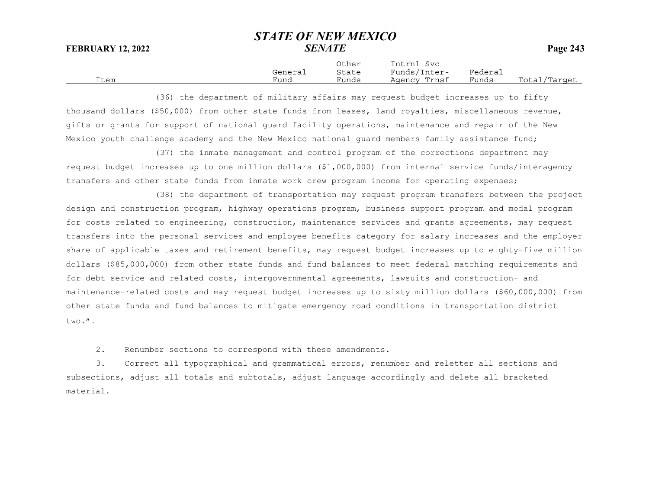|      |         | Other | Intrnl<br>Svc |         |              |
|------|---------|-------|---------------|---------|--------------|
|      | General | State | Funds/Inter-  | Federai |              |
| Item | Fund    | Funds | Agency Trnsf  | Funds   | Total/Target |

(36) the department of military affairs may request budget increases up to fifty thousand dollars (\$50,000) from other state funds from leases, land royalties, miscellaneous revenue, gifts or grants for support of national guard facility operations, maintenance and repair of the New Mexico youth challenge academy and the New Mexico national guard members family assistance fund;

(37) the inmate management and control program of the corrections department may request budget increases up to one million dollars (\$1,000,000) from internal service funds/interagency transfers and other state funds from inmate work crew program income for operating expenses;

(38) the department of transportation may request program transfers between the project design and construction program, highway operations program, business support program and modal program for costs related to engineering, construction, maintenance services and grants agreements, may request transfers into the personal services and employee benefits category for salary increases and the employer share of applicable taxes and retirement benefits, may request budget increases up to eighty-five million dollars (\$85,000,000) from other state funds and fund balances to meet federal matching requirements and for debt service and related costs, intergovernmental agreements, lawsuits and construction- and maintenance-related costs and may request budget increases up to sixty million dollars (\$60,000,000) from other state funds and fund balances to mitigate emergency road conditions in transportation district two.".

2. Renumber sections to correspond with these amendments.

3. Correct all typographical and grammatical errors, renumber and reletter all sections and subsections, adjust all totals and subtotals, adjust language accordingly and delete all bracketed material.